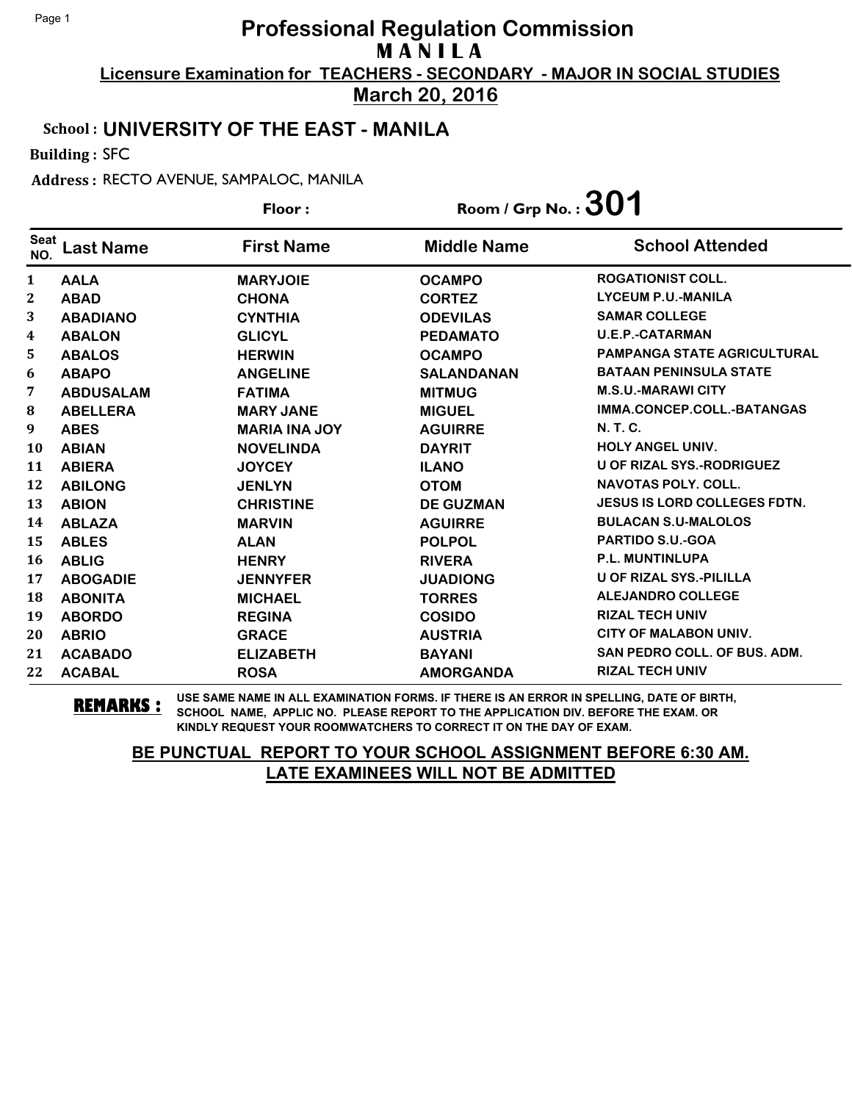**March 20, 2016**

#### School : **UNIVERSITY OF THE EAST - MANILA**

Building : SFC

Address : RECTO AVENUE, SAMPALOC, MANILA

|                    |                  | Floor:               | Room / Grp No. : $301$ |                                     |
|--------------------|------------------|----------------------|------------------------|-------------------------------------|
| <b>Seat</b><br>NO. | <b>Last Name</b> | <b>First Name</b>    | <b>Middle Name</b>     | <b>School Attended</b>              |
| $\mathbf{1}$       | <b>AALA</b>      | <b>MARYJOIE</b>      | <b>OCAMPO</b>          | <b>ROGATIONIST COLL.</b>            |
| 2                  | <b>ABAD</b>      | <b>CHONA</b>         | <b>CORTEZ</b>          | <b>LYCEUM P.U.-MANILA</b>           |
| 3                  | <b>ABADIANO</b>  | <b>CYNTHIA</b>       | <b>ODEVILAS</b>        | <b>SAMAR COLLEGE</b>                |
| 4                  | <b>ABALON</b>    | <b>GLICYL</b>        | <b>PEDAMATO</b>        | <b>U.E.P.-CATARMAN</b>              |
| 5                  | <b>ABALOS</b>    | <b>HERWIN</b>        | <b>OCAMPO</b>          | <b>PAMPANGA STATE AGRICULTURAL</b>  |
| 6                  | <b>ABAPO</b>     | <b>ANGELINE</b>      | <b>SALANDANAN</b>      | <b>BATAAN PENINSULA STATE</b>       |
| 7                  | <b>ABDUSALAM</b> | <b>FATIMA</b>        | <b>MITMUG</b>          | <b>M.S.U.-MARAWI CITY</b>           |
| $\bf{8}$           | <b>ABELLERA</b>  | <b>MARY JANE</b>     | <b>MIGUEL</b>          | IMMA.CONCEP.COLL.-BATANGAS          |
| 9                  | <b>ABES</b>      | <b>MARIA INA JOY</b> | <b>AGUIRRE</b>         | <b>N.T.C.</b>                       |
| <b>10</b>          | <b>ABIAN</b>     | <b>NOVELINDA</b>     | <b>DAYRIT</b>          | <b>HOLY ANGEL UNIV.</b>             |
| 11                 | <b>ABIERA</b>    | <b>JOYCEY</b>        | <b>ILANO</b>           | <b>U OF RIZAL SYS.-RODRIGUEZ</b>    |
| 12                 | <b>ABILONG</b>   | <b>JENLYN</b>        | <b>OTOM</b>            | <b>NAVOTAS POLY. COLL.</b>          |
| 13                 | <b>ABION</b>     | <b>CHRISTINE</b>     | <b>DE GUZMAN</b>       | <b>JESUS IS LORD COLLEGES FDTN.</b> |
| 14                 | <b>ABLAZA</b>    | <b>MARVIN</b>        | <b>AGUIRRE</b>         | <b>BULACAN S.U-MALOLOS</b>          |
| 15                 | <b>ABLES</b>     | <b>ALAN</b>          | <b>POLPOL</b>          | <b>PARTIDO S.U.-GOA</b>             |
| 16                 | <b>ABLIG</b>     | <b>HENRY</b>         | <b>RIVERA</b>          | <b>P.L. MUNTINLUPA</b>              |
| 17                 | <b>ABOGADIE</b>  | <b>JENNYFER</b>      | <b>JUADIONG</b>        | <b>U OF RIZAL SYS.-PILILLA</b>      |
| 18                 | <b>ABONITA</b>   | <b>MICHAEL</b>       | <b>TORRES</b>          | <b>ALEJANDRO COLLEGE</b>            |
| 19                 | <b>ABORDO</b>    | <b>REGINA</b>        | <b>COSIDO</b>          | <b>RIZAL TECH UNIV</b>              |
| 20                 | <b>ABRIO</b>     | <b>GRACE</b>         | <b>AUSTRIA</b>         | <b>CITY OF MALABON UNIV.</b>        |
| 21                 | <b>ACABADO</b>   | <b>ELIZABETH</b>     | <b>BAYANI</b>          | <b>SAN PEDRO COLL. OF BUS. ADM.</b> |
| 22                 | <b>ACABAL</b>    | <b>ROSA</b>          | <b>AMORGANDA</b>       | <b>RIZAL TECH UNIV</b>              |

**REMARKS :** USE SAME NAME IN ALL EXAMINATION FORMS. IF THERE IS AN ERROR IN SPELLING, DATE OF BIRTH, SCHOOL NAME, APPLIC NO. PLEASE REPORT TO THE APPLICATION DIV. BEFORE THE EXAM. OR KINDLY REQUEST YOUR ROOMWATCHERS TO CORRECT IT ON THE DAY OF EXAM.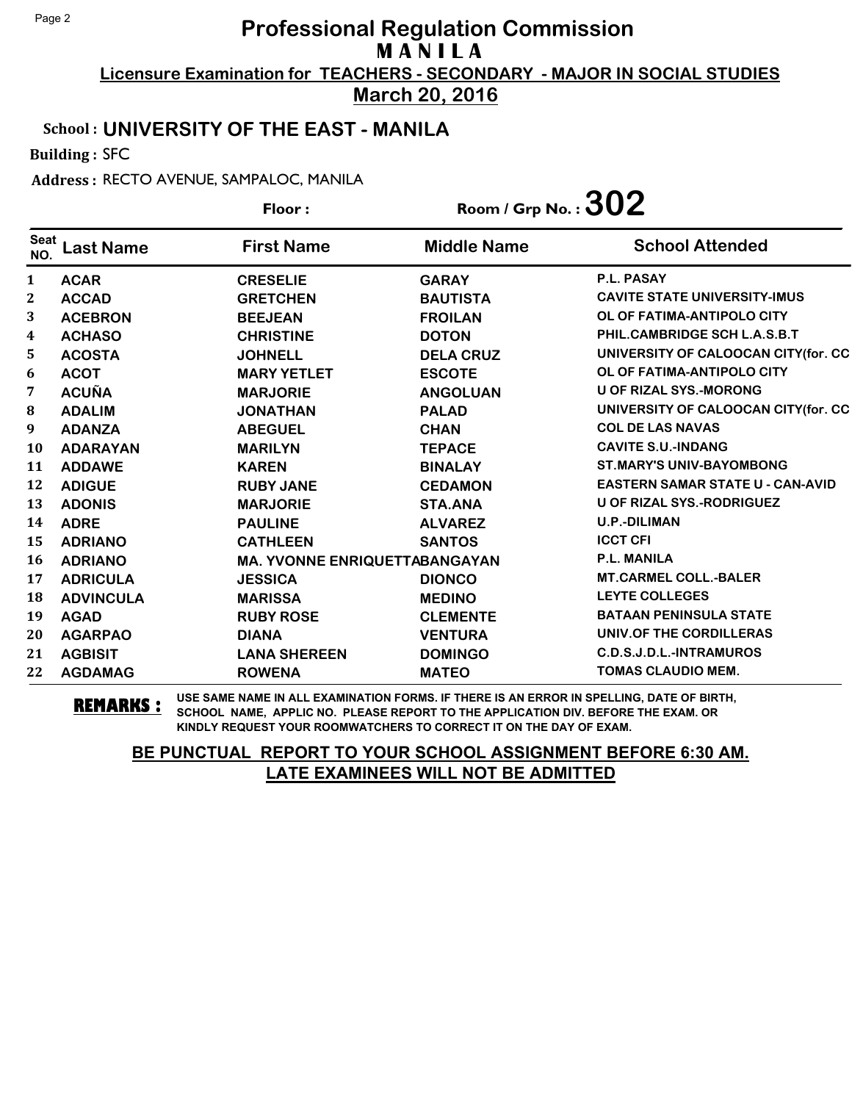**March 20, 2016**

### School : **UNIVERSITY OF THE EAST - MANILA**

Building : SFC

Address : RECTO AVENUE, SAMPALOC, MANILA

|                    |                  | Floor:                               | Room / Grp No. : $302$ |                                         |
|--------------------|------------------|--------------------------------------|------------------------|-----------------------------------------|
| <b>Seat</b><br>NO. | <b>Last Name</b> | <b>First Name</b>                    | <b>Middle Name</b>     | <b>School Attended</b>                  |
| 1                  | <b>ACAR</b>      | <b>CRESELIE</b>                      | <b>GARAY</b>           | P.L. PASAY                              |
| 2                  | <b>ACCAD</b>     | <b>GRETCHEN</b>                      | <b>BAUTISTA</b>        | <b>CAVITE STATE UNIVERSITY-IMUS</b>     |
| 3                  | <b>ACEBRON</b>   | <b>BEEJEAN</b>                       | <b>FROILAN</b>         | OL OF FATIMA-ANTIPOLO CITY              |
| 4                  | <b>ACHASO</b>    | <b>CHRISTINE</b>                     | <b>DOTON</b>           | PHIL.CAMBRIDGE SCH L.A.S.B.T            |
| 5.                 | <b>ACOSTA</b>    | <b>JOHNELL</b>                       | <b>DELA CRUZ</b>       | UNIVERSITY OF CALOOCAN CITY(for. CC     |
| 6                  | <b>ACOT</b>      | <b>MARY YETLET</b>                   | <b>ESCOTE</b>          | OL OF FATIMA-ANTIPOLO CITY              |
| 7                  | <b>ACUÑA</b>     | <b>MARJORIE</b>                      | <b>ANGOLUAN</b>        | <b>U OF RIZAL SYS.-MORONG</b>           |
| 8                  | <b>ADALIM</b>    | <b>JONATHAN</b>                      | <b>PALAD</b>           | UNIVERSITY OF CALOOCAN CITY(for. CC     |
| 9                  | <b>ADANZA</b>    | <b>ABEGUEL</b>                       | <b>CHAN</b>            | <b>COL DE LAS NAVAS</b>                 |
| <b>10</b>          | <b>ADARAYAN</b>  | <b>MARILYN</b>                       | <b>TEPACE</b>          | <b>CAVITE S.U.-INDANG</b>               |
| 11                 | <b>ADDAWE</b>    | <b>KAREN</b>                         | <b>BINALAY</b>         | <b>ST.MARY'S UNIV-BAYOMBONG</b>         |
| 12                 | <b>ADIGUE</b>    | <b>RUBY JANE</b>                     | <b>CEDAMON</b>         | <b>EASTERN SAMAR STATE U - CAN-AVID</b> |
| 13                 | <b>ADONIS</b>    | <b>MARJORIE</b>                      | <b>STA.ANA</b>         | <b>U OF RIZAL SYS.-RODRIGUEZ</b>        |
| 14                 | <b>ADRE</b>      | <b>PAULINE</b>                       | <b>ALVAREZ</b>         | <b>U.P.-DILIMAN</b>                     |
| 15                 | <b>ADRIANO</b>   | <b>CATHLEEN</b>                      | <b>SANTOS</b>          | <b>ICCT CFI</b>                         |
| 16                 | <b>ADRIANO</b>   | <b>MA. YVONNE ENRIQUETTABANGAYAN</b> |                        | <b>P.L. MANILA</b>                      |
| 17                 | <b>ADRICULA</b>  | <b>JESSICA</b>                       | <b>DIONCO</b>          | <b>MT.CARMEL COLL.-BALER</b>            |
| 18                 | <b>ADVINCULA</b> | <b>MARISSA</b>                       | <b>MEDINO</b>          | <b>LEYTE COLLEGES</b>                   |
| 19                 | <b>AGAD</b>      | <b>RUBY ROSE</b>                     | <b>CLEMENTE</b>        | <b>BATAAN PENINSULA STATE</b>           |
| 20                 | <b>AGARPAO</b>   | <b>DIANA</b>                         | <b>VENTURA</b>         | UNIV.OF THE CORDILLERAS                 |
| 21                 | <b>AGBISIT</b>   | <b>LANA SHEREEN</b>                  | <b>DOMINGO</b>         | C.D.S.J.D.L.-INTRAMUROS                 |
| 22                 | <b>AGDAMAG</b>   | <b>ROWENA</b>                        | <b>MATEO</b>           | TOMAS CLAUDIO MEM.                      |

**REMARKS :** USE SAME NAME IN ALL EXAMINATION FORMS. IF THERE IS AN ERROR IN SPELLING, DATE OF BIRTH, SCHOOL NAME, APPLIC NO. PLEASE REPORT TO THE APPLICATION DIV. BEFORE THE EXAM. OR KINDLY REQUEST YOUR ROOMWATCHERS TO CORRECT IT ON THE DAY OF EXAM.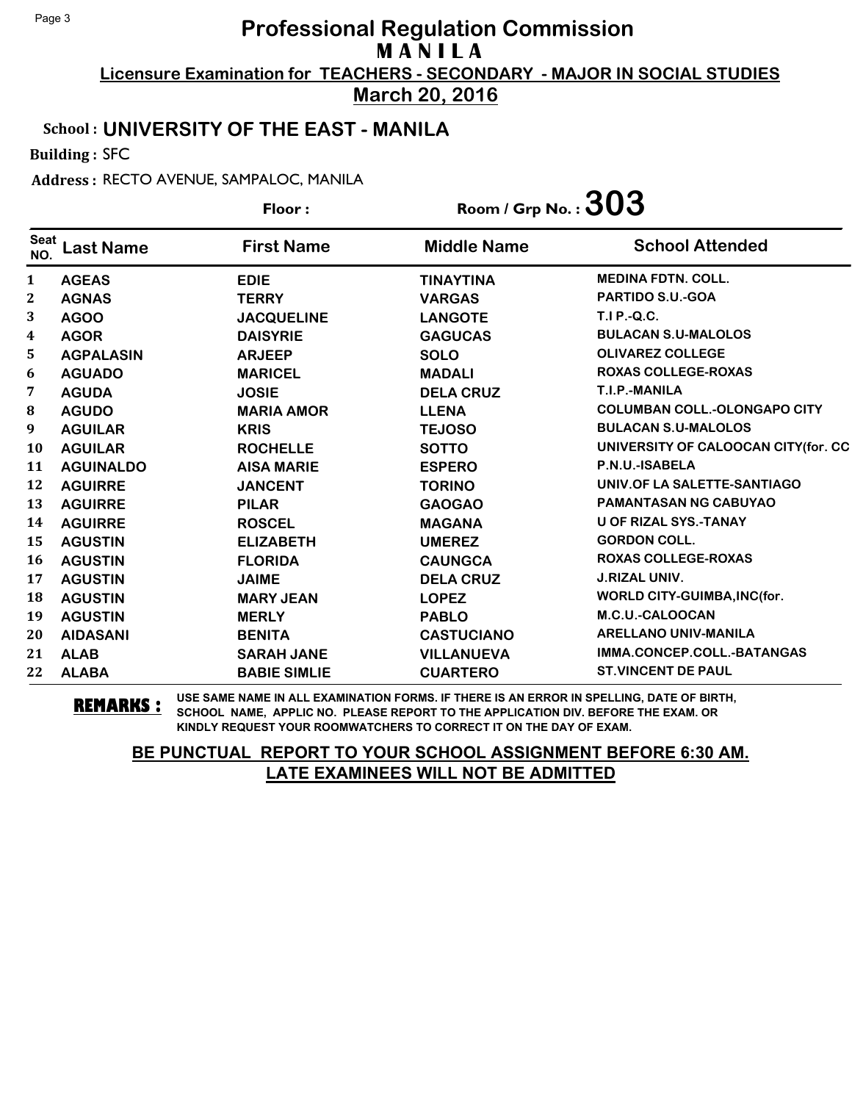**March 20, 2016**

#### School : **UNIVERSITY OF THE EAST - MANILA**

Building : SFC

Address : RECTO AVENUE, SAMPALOC, MANILA

|                         |                  | Floor:              | Room / Grp No. : $303$ |                                     |
|-------------------------|------------------|---------------------|------------------------|-------------------------------------|
| <b>Seat</b><br>NO.      | <b>Last Name</b> | <b>First Name</b>   | <b>Middle Name</b>     | <b>School Attended</b>              |
| 1                       | <b>AGEAS</b>     | <b>EDIE</b>         | <b>TINAYTINA</b>       | <b>MEDINA FDTN. COLL.</b>           |
| 2                       | <b>AGNAS</b>     | <b>TERRY</b>        | <b>VARGAS</b>          | PARTIDO S.U.-GOA                    |
| 3                       | <b>AGOO</b>      | <b>JACQUELINE</b>   | <b>LANGOTE</b>         | <b>T.I P.-Q.C.</b>                  |
| $\overline{\mathbf{4}}$ | <b>AGOR</b>      | <b>DAISYRIE</b>     | <b>GAGUCAS</b>         | <b>BULACAN S.U-MALOLOS</b>          |
| 5.                      | <b>AGPALASIN</b> | <b>ARJEEP</b>       | <b>SOLO</b>            | <b>OLIVAREZ COLLEGE</b>             |
| 6                       | <b>AGUADO</b>    | <b>MARICEL</b>      | <b>MADALI</b>          | <b>ROXAS COLLEGE-ROXAS</b>          |
| 7                       | <b>AGUDA</b>     | <b>JOSIE</b>        | <b>DELA CRUZ</b>       | T.I.P.-MANILA                       |
| 8                       | <b>AGUDO</b>     | <b>MARIA AMOR</b>   | <b>LLENA</b>           | <b>COLUMBAN COLL.-OLONGAPO CITY</b> |
| 9                       | <b>AGUILAR</b>   | <b>KRIS</b>         | <b>TEJOSO</b>          | <b>BULACAN S.U-MALOLOS</b>          |
| <b>10</b>               | <b>AGUILAR</b>   | <b>ROCHELLE</b>     | <b>SOTTO</b>           | UNIVERSITY OF CALOOCAN CITY(for. CC |
| 11                      | <b>AGUINALDO</b> | <b>AISA MARIE</b>   | <b>ESPERO</b>          | P.N.U.-ISABELA                      |
| 12                      | <b>AGUIRRE</b>   | <b>JANCENT</b>      | <b>TORINO</b>          | UNIV.OF LA SALETTE-SANTIAGO         |
| 13                      | <b>AGUIRRE</b>   | <b>PILAR</b>        | <b>GAOGAO</b>          | <b>PAMANTASAN NG CABUYAO</b>        |
| 14                      | <b>AGUIRRE</b>   | <b>ROSCEL</b>       | <b>MAGANA</b>          | <b>U OF RIZAL SYS.-TANAY</b>        |
| 15                      | <b>AGUSTIN</b>   | <b>ELIZABETH</b>    | <b>UMEREZ</b>          | <b>GORDON COLL.</b>                 |
| 16                      | <b>AGUSTIN</b>   | <b>FLORIDA</b>      | <b>CAUNGCA</b>         | <b>ROXAS COLLEGE-ROXAS</b>          |
| 17                      | <b>AGUSTIN</b>   | <b>JAIME</b>        | <b>DELA CRUZ</b>       | <b>J.RIZAL UNIV.</b>                |
| 18                      | <b>AGUSTIN</b>   | <b>MARY JEAN</b>    | <b>LOPEZ</b>           | <b>WORLD CITY-GUIMBA, INC(for.</b>  |
| 19                      | <b>AGUSTIN</b>   | <b>MERLY</b>        | <b>PABLO</b>           | M.C.U.-CALOOCAN                     |
| 20                      | <b>AIDASANI</b>  | <b>BENITA</b>       | <b>CASTUCIANO</b>      | <b>ARELLANO UNIV-MANILA</b>         |
| 21                      | <b>ALAB</b>      | <b>SARAH JANE</b>   | <b>VILLANUEVA</b>      | IMMA.CONCEP.COLL.-BATANGAS          |
| 22                      | <b>ALABA</b>     | <b>BABIE SIMLIE</b> | <b>CUARTERO</b>        | <b>ST.VINCENT DE PAUL</b>           |

**REMARKS :** USE SAME NAME IN ALL EXAMINATION FORMS. IF THERE IS AN ERROR IN SPELLING, DATE OF BIRTH, SCHOOL NAME, APPLIC NO. PLEASE REPORT TO THE APPLICATION DIV. BEFORE THE EXAM. OR KINDLY REQUEST YOUR ROOMWATCHERS TO CORRECT IT ON THE DAY OF EXAM.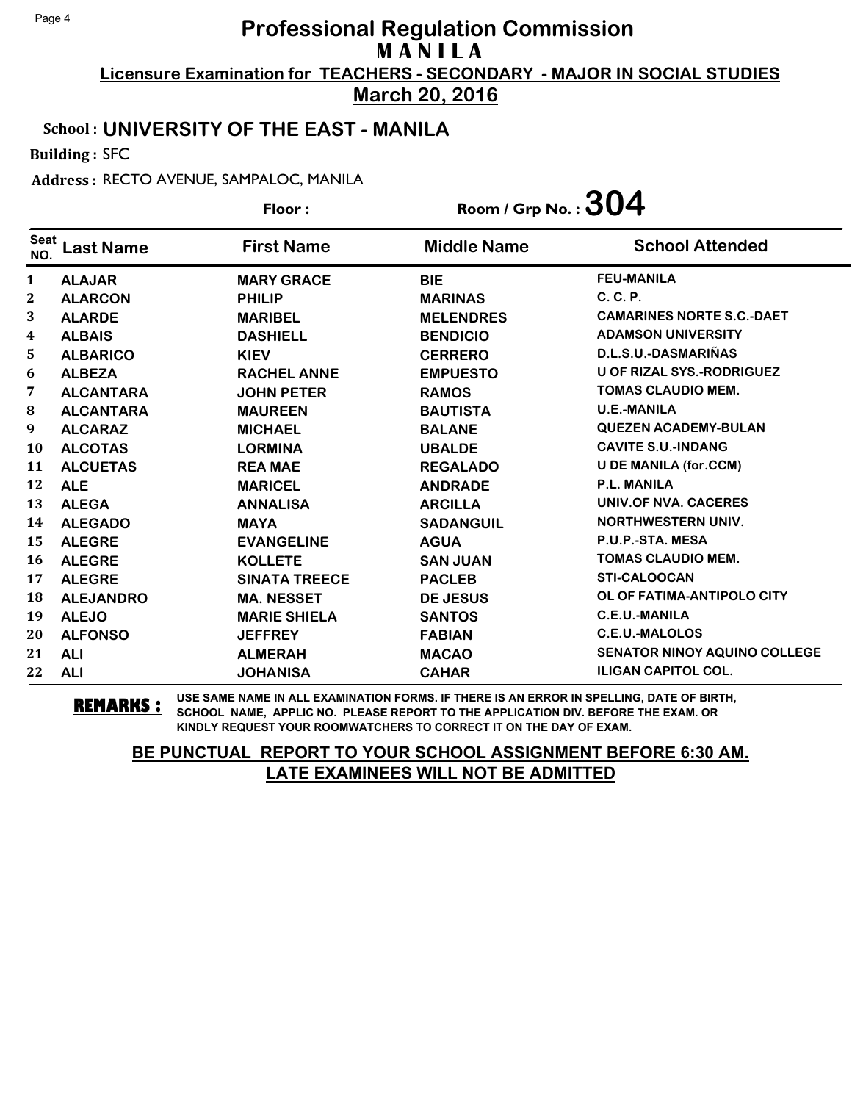**March 20, 2016**

#### School : **UNIVERSITY OF THE EAST - MANILA**

Building : SFC

Address : RECTO AVENUE, SAMPALOC, MANILA

|                    |                  | Floor:               | Room / Grp No. : $304$ |                                     |
|--------------------|------------------|----------------------|------------------------|-------------------------------------|
| <b>Seat</b><br>NO. | <b>Last Name</b> | <b>First Name</b>    | <b>Middle Name</b>     | <b>School Attended</b>              |
| 1                  | <b>ALAJAR</b>    | <b>MARY GRACE</b>    | <b>BIE</b>             | <b>FEU-MANILA</b>                   |
| $\mathbf{2}$       | <b>ALARCON</b>   | <b>PHILIP</b>        | <b>MARINAS</b>         | $C, C, P$ .                         |
| 3                  | <b>ALARDE</b>    | <b>MARIBEL</b>       | <b>MELENDRES</b>       | <b>CAMARINES NORTE S.C.-DAET</b>    |
| 4                  | <b>ALBAIS</b>    | <b>DASHIELL</b>      | <b>BENDICIO</b>        | <b>ADAMSON UNIVERSITY</b>           |
| 5                  | <b>ALBARICO</b>  | <b>KIEV</b>          | <b>CERRERO</b>         | D.L.S.U.-DASMARIÑAS                 |
| 6                  | <b>ALBEZA</b>    | <b>RACHEL ANNE</b>   | <b>EMPUESTO</b>        | <b>U OF RIZAL SYS.-RODRIGUEZ</b>    |
| 7                  | <b>ALCANTARA</b> | <b>JOHN PETER</b>    | <b>RAMOS</b>           | <b>TOMAS CLAUDIO MEM.</b>           |
| 8                  | <b>ALCANTARA</b> | <b>MAUREEN</b>       | <b>BAUTISTA</b>        | <b>U.E.-MANILA</b>                  |
| 9                  | <b>ALCARAZ</b>   | <b>MICHAEL</b>       | <b>BALANE</b>          | <b>QUEZEN ACADEMY-BULAN</b>         |
| <b>10</b>          | <b>ALCOTAS</b>   | <b>LORMINA</b>       | <b>UBALDE</b>          | <b>CAVITE S.U.-INDANG</b>           |
| 11                 | <b>ALCUETAS</b>  | <b>REA MAE</b>       | <b>REGALADO</b>        | <b>U DE MANILA (for.CCM)</b>        |
| 12                 | <b>ALE</b>       | <b>MARICEL</b>       | <b>ANDRADE</b>         | <b>P.L. MANILA</b>                  |
| 13                 | <b>ALEGA</b>     | <b>ANNALISA</b>      | <b>ARCILLA</b>         | UNIV.OF NVA. CACERES                |
| 14                 | <b>ALEGADO</b>   | <b>MAYA</b>          | <b>SADANGUIL</b>       | <b>NORTHWESTERN UNIV.</b>           |
| 15                 | <b>ALEGRE</b>    | <b>EVANGELINE</b>    | <b>AGUA</b>            | P.U.P.-STA. MESA                    |
| 16                 | <b>ALEGRE</b>    | <b>KOLLETE</b>       | <b>SAN JUAN</b>        | <b>TOMAS CLAUDIO MEM.</b>           |
| 17                 | <b>ALEGRE</b>    | <b>SINATA TREECE</b> | <b>PACLEB</b>          | <b>STI-CALOOCAN</b>                 |
| 18                 | <b>ALEJANDRO</b> | <b>MA. NESSET</b>    | <b>DE JESUS</b>        | OL OF FATIMA-ANTIPOLO CITY          |
| 19                 | <b>ALEJO</b>     | <b>MARIE SHIELA</b>  | <b>SANTOS</b>          | <b>C.E.U.-MANILA</b>                |
| 20                 | <b>ALFONSO</b>   | <b>JEFFREY</b>       | <b>FABIAN</b>          | <b>C.E.U.-MALOLOS</b>               |
| 21                 | <b>ALI</b>       | <b>ALMERAH</b>       | <b>MACAO</b>           | <b>SENATOR NINOY AQUINO COLLEGE</b> |
| 22                 | <b>ALI</b>       | <b>JOHANISA</b>      | <b>CAHAR</b>           | <b>ILIGAN CAPITOL COL.</b>          |

**REMARKS :** USE SAME NAME IN ALL EXAMINATION FORMS. IF THERE IS AN ERROR IN SPELLING, DATE OF BIRTH, SCHOOL NAME, APPLIC NO. PLEASE REPORT TO THE APPLICATION DIV. BEFORE THE EXAM. OR KINDLY REQUEST YOUR ROOMWATCHERS TO CORRECT IT ON THE DAY OF EXAM.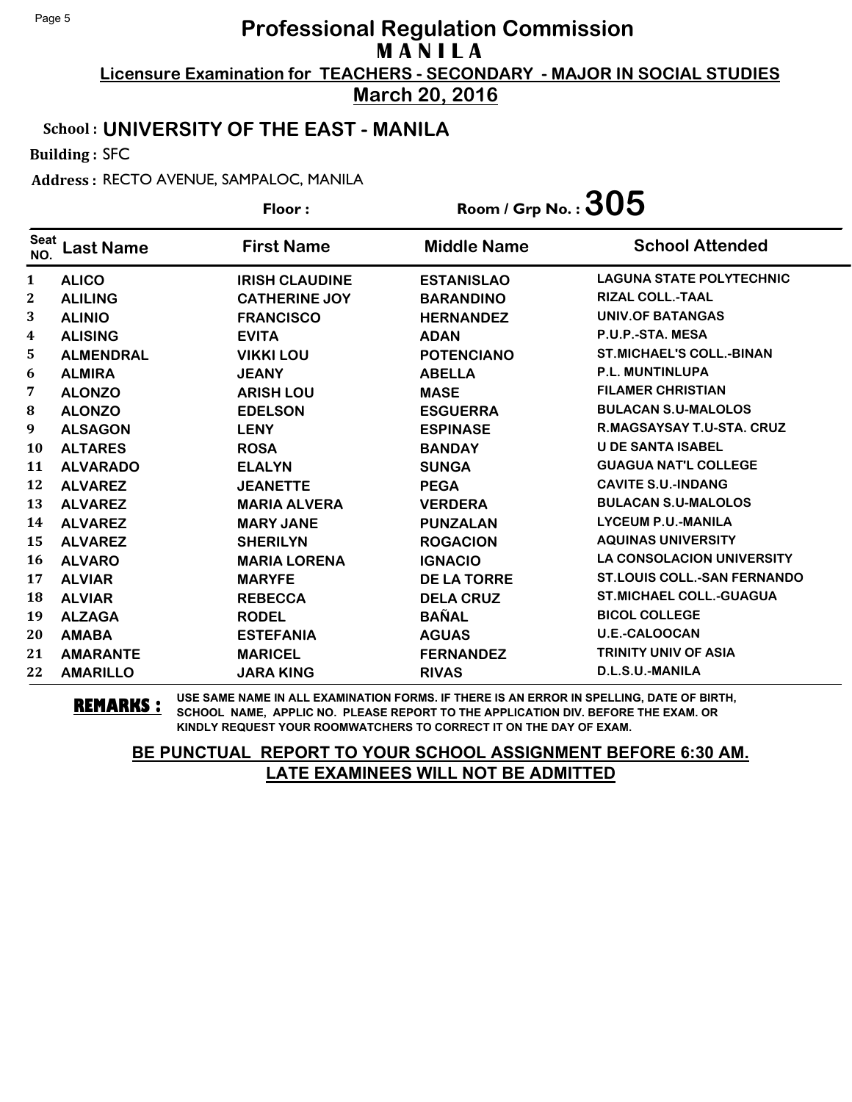**March 20, 2016**

#### School : **UNIVERSITY OF THE EAST - MANILA**

Building : SFC

Address : RECTO AVENUE, SAMPALOC, MANILA

|                    |                  | Floor:                | Room / Grp No. : $305$ |                                    |
|--------------------|------------------|-----------------------|------------------------|------------------------------------|
| <b>Seat</b><br>NO. | <b>Last Name</b> | <b>First Name</b>     | <b>Middle Name</b>     | <b>School Attended</b>             |
| 1                  | <b>ALICO</b>     | <b>IRISH CLAUDINE</b> | <b>ESTANISLAO</b>      | <b>LAGUNA STATE POLYTECHNIC</b>    |
| $\boldsymbol{2}$   | <b>ALILING</b>   | <b>CATHERINE JOY</b>  | <b>BARANDINO</b>       | <b>RIZAL COLL.-TAAL</b>            |
| 3                  | <b>ALINIO</b>    | <b>FRANCISCO</b>      | <b>HERNANDEZ</b>       | <b>UNIV.OF BATANGAS</b>            |
| 4                  | <b>ALISING</b>   | <b>EVITA</b>          | <b>ADAN</b>            | P.U.P.-STA. MESA                   |
| 5                  | <b>ALMENDRAL</b> | <b>VIKKI LOU</b>      | <b>POTENCIANO</b>      | <b>ST.MICHAEL'S COLL.-BINAN</b>    |
| 6                  | <b>ALMIRA</b>    | <b>JEANY</b>          | <b>ABELLA</b>          | <b>P.L. MUNTINLUPA</b>             |
| 7                  | <b>ALONZO</b>    | <b>ARISH LOU</b>      | <b>MASE</b>            | <b>FILAMER CHRISTIAN</b>           |
| 8                  | <b>ALONZO</b>    | <b>EDELSON</b>        | <b>ESGUERRA</b>        | <b>BULACAN S.U-MALOLOS</b>         |
| 9                  | <b>ALSAGON</b>   | <b>LENY</b>           | <b>ESPINASE</b>        | <b>R.MAGSAYSAY T.U-STA. CRUZ</b>   |
| <b>10</b>          | <b>ALTARES</b>   | <b>ROSA</b>           | <b>BANDAY</b>          | <b>U DE SANTA ISABEL</b>           |
| 11                 | <b>ALVARADO</b>  | <b>ELALYN</b>         | <b>SUNGA</b>           | <b>GUAGUA NAT'L COLLEGE</b>        |
| 12                 | <b>ALVAREZ</b>   | <b>JEANETTE</b>       | <b>PEGA</b>            | <b>CAVITE S.U.-INDANG</b>          |
| 13                 | <b>ALVAREZ</b>   | <b>MARIA ALVERA</b>   | <b>VERDERA</b>         | <b>BULACAN S.U-MALOLOS</b>         |
| 14                 | <b>ALVAREZ</b>   | <b>MARY JANE</b>      | <b>PUNZALAN</b>        | <b>LYCEUM P.U.-MANILA</b>          |
| 15                 | <b>ALVAREZ</b>   | <b>SHERILYN</b>       | <b>ROGACION</b>        | <b>AQUINAS UNIVERSITY</b>          |
| <b>16</b>          | <b>ALVARO</b>    | <b>MARIA LORENA</b>   | <b>IGNACIO</b>         | <b>LA CONSOLACION UNIVERSITY</b>   |
| 17                 | <b>ALVIAR</b>    | <b>MARYFE</b>         | <b>DE LA TORRE</b>     | <b>ST.LOUIS COLL.-SAN FERNANDO</b> |
| 18                 | <b>ALVIAR</b>    | <b>REBECCA</b>        | <b>DELA CRUZ</b>       | <b>ST.MICHAEL COLL.-GUAGUA</b>     |
| 19                 | <b>ALZAGA</b>    | <b>RODEL</b>          | <b>BAÑAL</b>           | <b>BICOL COLLEGE</b>               |
| 20                 | <b>AMABA</b>     | <b>ESTEFANIA</b>      | <b>AGUAS</b>           | <b>U.E.-CALOOCAN</b>               |
| 21                 | <b>AMARANTE</b>  | <b>MARICEL</b>        | <b>FERNANDEZ</b>       | <b>TRINITY UNIV OF ASIA</b>        |
| 22                 | <b>AMARILLO</b>  | <b>JARA KING</b>      | <b>RIVAS</b>           | D.L.S.U.-MANILA                    |

**REMARKS :** USE SAME NAME IN ALL EXAMINATION FORMS. IF THERE IS AN ERROR IN SPELLING, DATE OF BIRTH, SCHOOL NAME, APPLIC NO. PLEASE REPORT TO THE APPLICATION DIV. BEFORE THE EXAM. OR KINDLY REQUEST YOUR ROOMWATCHERS TO CORRECT IT ON THE DAY OF EXAM.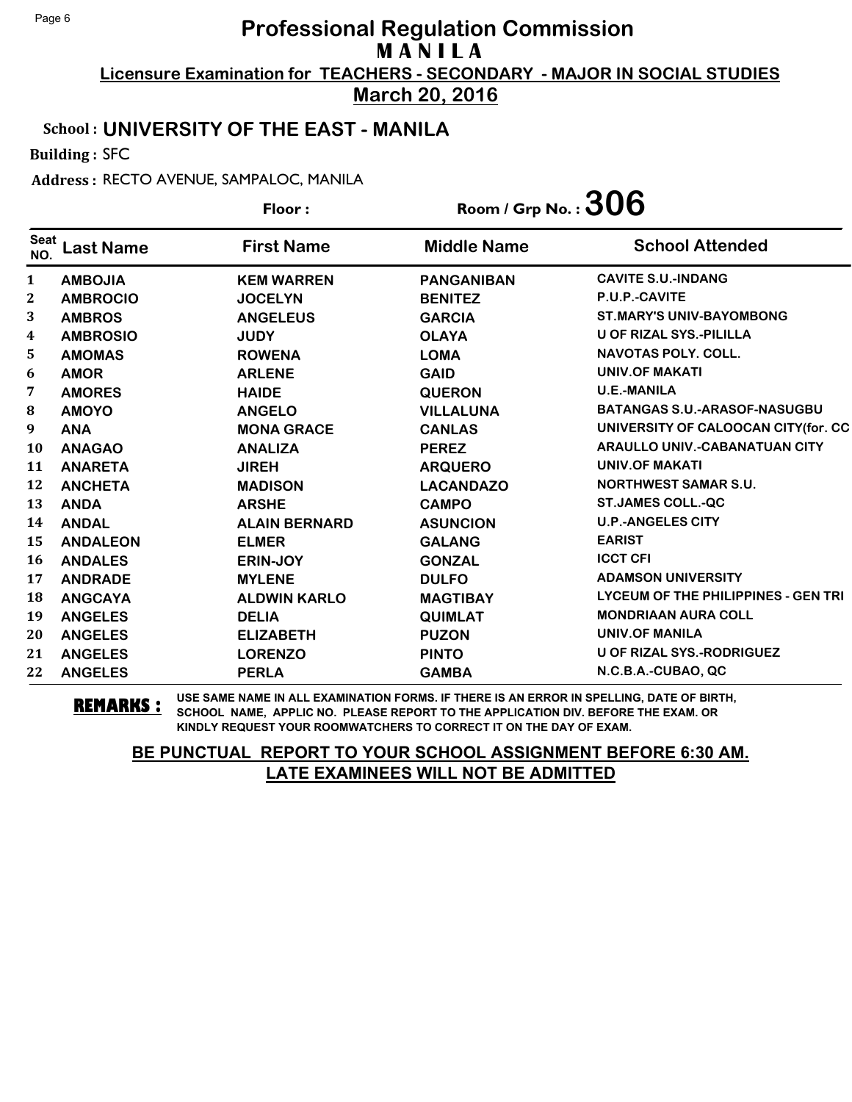**March 20, 2016**

#### School : **UNIVERSITY OF THE EAST - MANILA**

Building : SFC

Address : RECTO AVENUE, SAMPALOC, MANILA

|                    |                  | Floor:               | Room / Grp No. : $306$ |                                      |
|--------------------|------------------|----------------------|------------------------|--------------------------------------|
| <b>Seat</b><br>NO. | <b>Last Name</b> | <b>First Name</b>    | <b>Middle Name</b>     | <b>School Attended</b>               |
| $\mathbf{1}$       | <b>AMBOJIA</b>   | <b>KEM WARREN</b>    | <b>PANGANIBAN</b>      | <b>CAVITE S.U.-INDANG</b>            |
| $\boldsymbol{2}$   | <b>AMBROCIO</b>  | <b>JOCELYN</b>       | <b>BENITEZ</b>         | P.U.P.-CAVITE                        |
| 3                  | <b>AMBROS</b>    | <b>ANGELEUS</b>      | <b>GARCIA</b>          | <b>ST.MARY'S UNIV-BAYOMBONG</b>      |
| 4                  | <b>AMBROSIO</b>  | <b>JUDY</b>          | <b>OLAYA</b>           | <b>U OF RIZAL SYS.-PILILLA</b>       |
| 5                  | <b>AMOMAS</b>    | <b>ROWENA</b>        | <b>LOMA</b>            | <b>NAVOTAS POLY, COLL.</b>           |
| 6                  | <b>AMOR</b>      | <b>ARLENE</b>        | <b>GAID</b>            | UNIV.OF MAKATI                       |
| 7                  | <b>AMORES</b>    | <b>HAIDE</b>         | <b>QUERON</b>          | <b>U.E.-MANILA</b>                   |
| 8                  | <b>AMOYO</b>     | <b>ANGELO</b>        | <b>VILLALUNA</b>       | <b>BATANGAS S.U.-ARASOF-NASUGBU</b>  |
| 9                  | <b>ANA</b>       | <b>MONA GRACE</b>    | <b>CANLAS</b>          | UNIVERSITY OF CALOOCAN CITY(for. CC  |
| 10                 | <b>ANAGAO</b>    | <b>ANALIZA</b>       | <b>PEREZ</b>           | <b>ARAULLO UNIV.-CABANATUAN CITY</b> |
| 11                 | <b>ANARETA</b>   | <b>JIREH</b>         | <b>ARQUERO</b>         | <b>UNIV.OF MAKATI</b>                |
| 12                 | <b>ANCHETA</b>   | <b>MADISON</b>       | <b>LACANDAZO</b>       | <b>NORTHWEST SAMAR S.U.</b>          |
| 13                 | <b>ANDA</b>      | <b>ARSHE</b>         | <b>CAMPO</b>           | <b>ST.JAMES COLL.-QC</b>             |
| 14                 | <b>ANDAL</b>     | <b>ALAIN BERNARD</b> | <b>ASUNCION</b>        | <b>U.P.-ANGELES CITY</b>             |
| 15                 | <b>ANDALEON</b>  | <b>ELMER</b>         | <b>GALANG</b>          | <b>EARIST</b>                        |
| 16                 | <b>ANDALES</b>   | <b>ERIN-JOY</b>      | <b>GONZAL</b>          | <b>ICCT CFI</b>                      |
| 17                 | <b>ANDRADE</b>   | <b>MYLENE</b>        | <b>DULFO</b>           | <b>ADAMSON UNIVERSITY</b>            |
| 18                 | <b>ANGCAYA</b>   | <b>ALDWIN KARLO</b>  | <b>MAGTIBAY</b>        | LYCEUM OF THE PHILIPPINES - GEN TRI  |
| 19                 | <b>ANGELES</b>   | <b>DELIA</b>         | <b>QUIMLAT</b>         | <b>MONDRIAAN AURA COLL</b>           |
| 20                 | <b>ANGELES</b>   | <b>ELIZABETH</b>     | <b>PUZON</b>           | <b>UNIV.OF MANILA</b>                |
| 21                 | <b>ANGELES</b>   | <b>LORENZO</b>       | <b>PINTO</b>           | U OF RIZAL SYS.-RODRIGUEZ            |
| 22                 | <b>ANGELES</b>   | <b>PERLA</b>         | <b>GAMBA</b>           | N.C.B.A.-CUBAO, QC                   |

**REMARKS :** USE SAME NAME IN ALL EXAMINATION FORMS. IF THERE IS AN ERROR IN SPELLING, DATE OF BIRTH, SCHOOL NAME, APPLIC NO. PLEASE REPORT TO THE APPLICATION DIV. BEFORE THE EXAM. OR KINDLY REQUEST YOUR ROOMWATCHERS TO CORRECT IT ON THE DAY OF EXAM.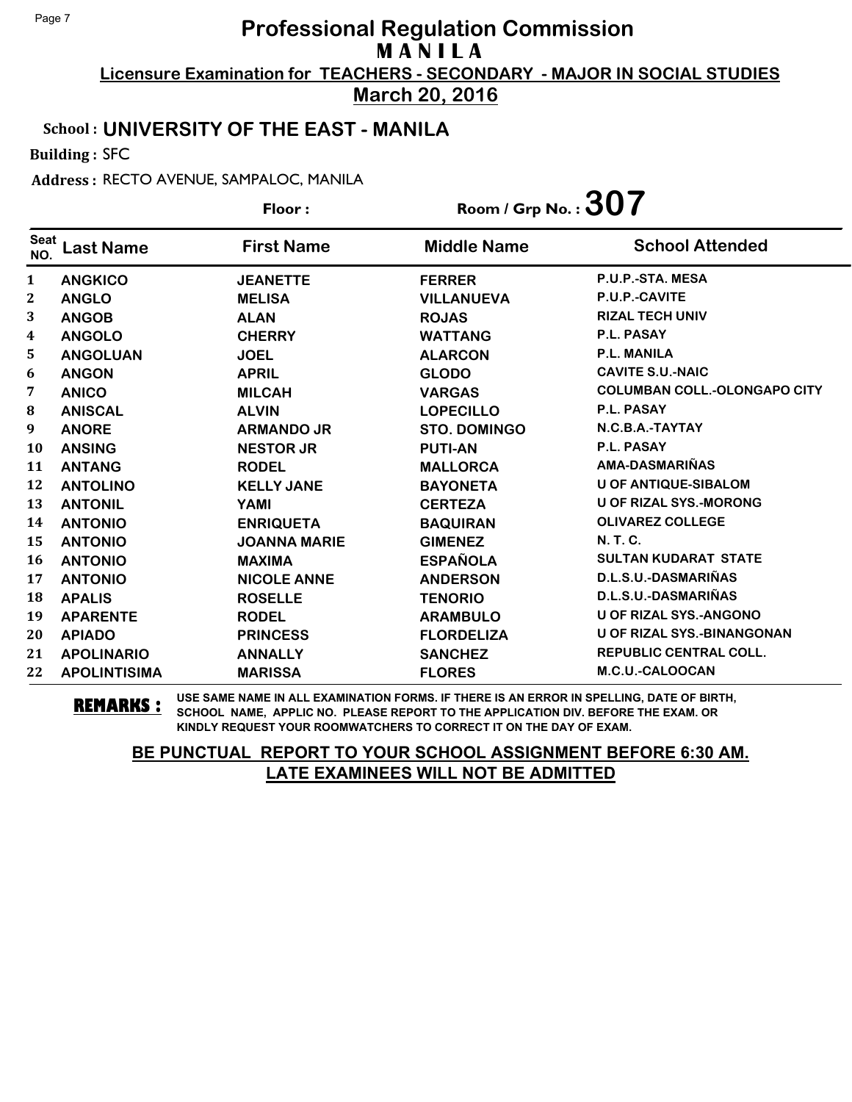**March 20, 2016**

#### School : **UNIVERSITY OF THE EAST - MANILA**

Building : SFC

Address : RECTO AVENUE, SAMPALOC, MANILA

|                    |                     | Floor:              | Room / Grp No. : $307$ |                                     |
|--------------------|---------------------|---------------------|------------------------|-------------------------------------|
| <b>Seat</b><br>NO. | <b>Last Name</b>    | <b>First Name</b>   | <b>Middle Name</b>     | <b>School Attended</b>              |
| $\mathbf{1}$       | <b>ANGKICO</b>      | <b>JEANETTE</b>     | <b>FERRER</b>          | P.U.P.-STA. MESA                    |
| 2                  | <b>ANGLO</b>        | <b>MELISA</b>       | <b>VILLANUEVA</b>      | P.U.P.-CAVITE                       |
| 3                  | <b>ANGOB</b>        | <b>ALAN</b>         | <b>ROJAS</b>           | <b>RIZAL TECH UNIV</b>              |
| 4                  | <b>ANGOLO</b>       | <b>CHERRY</b>       | <b>WATTANG</b>         | <b>P.L. PASAY</b>                   |
| 5.                 | <b>ANGOLUAN</b>     | <b>JOEL</b>         | <b>ALARCON</b>         | <b>P.L. MANILA</b>                  |
| 6                  | <b>ANGON</b>        | <b>APRIL</b>        | <b>GLODO</b>           | <b>CAVITE S.U.-NAIC</b>             |
| 7                  | <b>ANICO</b>        | <b>MILCAH</b>       | <b>VARGAS</b>          | <b>COLUMBAN COLL.-OLONGAPO CITY</b> |
| ${\bf 8}$          | <b>ANISCAL</b>      | <b>ALVIN</b>        | <b>LOPECILLO</b>       | P.L. PASAY                          |
| 9                  | <b>ANORE</b>        | <b>ARMANDO JR</b>   | <b>STO. DOMINGO</b>    | N.C.B.A.-TAYTAY                     |
| <b>10</b>          | <b>ANSING</b>       | <b>NESTOR JR</b>    | <b>PUTI-AN</b>         | P.L. PASAY                          |
| 11                 | <b>ANTANG</b>       | <b>RODEL</b>        | <b>MALLORCA</b>        | AMA-DASMARIÑAS                      |
| 12                 | <b>ANTOLINO</b>     | <b>KELLY JANE</b>   | <b>BAYONETA</b>        | <b>U OF ANTIQUE-SIBALOM</b>         |
| 13                 | <b>ANTONIL</b>      | YAMI                | <b>CERTEZA</b>         | <b>U OF RIZAL SYS.-MORONG</b>       |
| 14                 | <b>ANTONIO</b>      | <b>ENRIQUETA</b>    | <b>BAQUIRAN</b>        | <b>OLIVAREZ COLLEGE</b>             |
| 15                 | <b>ANTONIO</b>      | <b>JOANNA MARIE</b> | <b>GIMENEZ</b>         | <b>N.T.C.</b>                       |
| 16                 | <b>ANTONIO</b>      | <b>MAXIMA</b>       | <b>ESPAÑOLA</b>        | <b>SULTAN KUDARAT STATE</b>         |
| 17                 | <b>ANTONIO</b>      | <b>NICOLE ANNE</b>  | <b>ANDERSON</b>        | D.L.S.U.-DASMARIÑAS                 |
| 18                 | <b>APALIS</b>       | <b>ROSELLE</b>      | <b>TENORIO</b>         | D.L.S.U.-DASMARIÑAS                 |
| 19                 | <b>APARENTE</b>     | <b>RODEL</b>        | <b>ARAMBULO</b>        | <b>U OF RIZAL SYS.-ANGONO</b>       |
| 20                 | <b>APIADO</b>       | <b>PRINCESS</b>     | <b>FLORDELIZA</b>      | <b>U OF RIZAL SYS.-BINANGONAN</b>   |
| 21                 | <b>APOLINARIO</b>   | <b>ANNALLY</b>      | <b>SANCHEZ</b>         | <b>REPUBLIC CENTRAL COLL.</b>       |
| 22                 | <b>APOLINTISIMA</b> | <b>MARISSA</b>      | <b>FLORES</b>          | M.C.U.-CALOOCAN                     |

**REMARKS :** USE SAME NAME IN ALL EXAMINATION FORMS. IF THERE IS AN ERROR IN SPELLING, DATE OF BIRTH, SCHOOL NAME, APPLIC NO. PLEASE REPORT TO THE APPLICATION DIV. BEFORE THE EXAM. OR KINDLY REQUEST YOUR ROOMWATCHERS TO CORRECT IT ON THE DAY OF EXAM.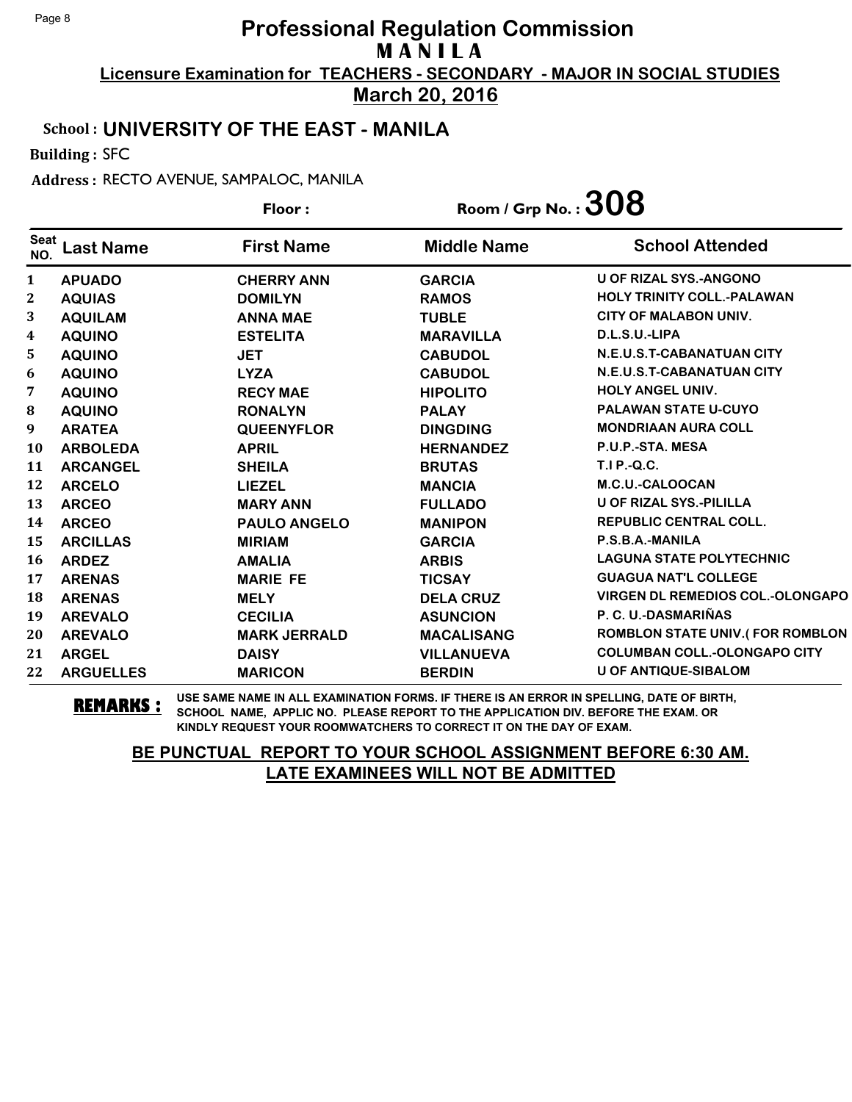**March 20, 2016**

### School : **UNIVERSITY OF THE EAST - MANILA**

Building : SFC

Address : RECTO AVENUE, SAMPALOC, MANILA

|                    |                  | Floor:              | Room / Grp No. : $308$ |                                         |
|--------------------|------------------|---------------------|------------------------|-----------------------------------------|
| <b>Seat</b><br>NO. | <b>Last Name</b> | <b>First Name</b>   | <b>Middle Name</b>     | <b>School Attended</b>                  |
| $\mathbf{1}$       | <b>APUADO</b>    | <b>CHERRY ANN</b>   | <b>GARCIA</b>          | <b>U OF RIZAL SYS.-ANGONO</b>           |
| $\boldsymbol{2}$   | <b>AQUIAS</b>    | <b>DOMILYN</b>      | <b>RAMOS</b>           | <b>HOLY TRINITY COLL.-PALAWAN</b>       |
| 3                  | <b>AQUILAM</b>   | <b>ANNA MAE</b>     | <b>TUBLE</b>           | <b>CITY OF MALABON UNIV.</b>            |
| $\boldsymbol{4}$   | <b>AQUINO</b>    | <b>ESTELITA</b>     | <b>MARAVILLA</b>       | D.L.S.U.-LIPA                           |
| 5.                 | <b>AQUINO</b>    | <b>JET</b>          | <b>CABUDOL</b>         | N.E.U.S.T-CABANATUAN CITY               |
| 6                  | <b>AQUINO</b>    | <b>LYZA</b>         | <b>CABUDOL</b>         | N.E.U.S.T-CABANATUAN CITY               |
| 7                  | <b>AQUINO</b>    | <b>RECY MAE</b>     | <b>HIPOLITO</b>        | HOLY ANGEL UNIV.                        |
| ${\bf 8}$          | <b>AQUINO</b>    | <b>RONALYN</b>      | <b>PALAY</b>           | <b>PALAWAN STATE U-CUYO</b>             |
| 9                  | <b>ARATEA</b>    | <b>QUEENYFLOR</b>   | <b>DINGDING</b>        | <b>MONDRIAAN AURA COLL</b>              |
| 10                 | <b>ARBOLEDA</b>  | <b>APRIL</b>        | <b>HERNANDEZ</b>       | P.U.P.-STA. MESA                        |
| 11                 | <b>ARCANGEL</b>  | <b>SHEILA</b>       | <b>BRUTAS</b>          | <b>T.I P.-Q.C.</b>                      |
| 12                 | <b>ARCELO</b>    | <b>LIEZEL</b>       | <b>MANCIA</b>          | M.C.U.-CALOOCAN                         |
| 13                 | <b>ARCEO</b>     | <b>MARY ANN</b>     | <b>FULLADO</b>         | <b>U OF RIZAL SYS.-PILILLA</b>          |
| 14                 | <b>ARCEO</b>     | <b>PAULO ANGELO</b> | <b>MANIPON</b>         | <b>REPUBLIC CENTRAL COLL.</b>           |
| 15                 | <b>ARCILLAS</b>  | <b>MIRIAM</b>       | <b>GARCIA</b>          | P.S.B.A.-MANILA                         |
| <b>16</b>          | <b>ARDEZ</b>     | <b>AMALIA</b>       | <b>ARBIS</b>           | <b>LAGUNA STATE POLYTECHNIC</b>         |
| 17                 | <b>ARENAS</b>    | <b>MARIE FE</b>     | <b>TICSAY</b>          | <b>GUAGUA NAT'L COLLEGE</b>             |
| 18                 | <b>ARENAS</b>    | <b>MELY</b>         | <b>DELA CRUZ</b>       | <b>VIRGEN DL REMEDIOS COL.-OLONGAPO</b> |
| 19                 | <b>AREVALO</b>   | <b>CECILIA</b>      | <b>ASUNCION</b>        | P. C. U.-DASMARIÑAS                     |
| 20                 | <b>AREVALO</b>   | <b>MARK JERRALD</b> | <b>MACALISANG</b>      | <b>ROMBLON STATE UNIV.(FOR ROMBLON</b>  |
| 21                 | <b>ARGEL</b>     | <b>DAISY</b>        | <b>VILLANUEVA</b>      | <b>COLUMBAN COLL.-OLONGAPO CITY</b>     |
| 22                 | <b>ARGUELLES</b> | <b>MARICON</b>      | <b>BERDIN</b>          | <b>U OF ANTIQUE-SIBALOM</b>             |

**REMARKS :** USE SAME NAME IN ALL EXAMINATION FORMS. IF THERE IS AN ERROR IN SPELLING, DATE OF BIRTH, SCHOOL NAME, APPLIC NO. PLEASE REPORT TO THE APPLICATION DIV. BEFORE THE EXAM. OR KINDLY REQUEST YOUR ROOMWATCHERS TO CORRECT IT ON THE DAY OF EXAM.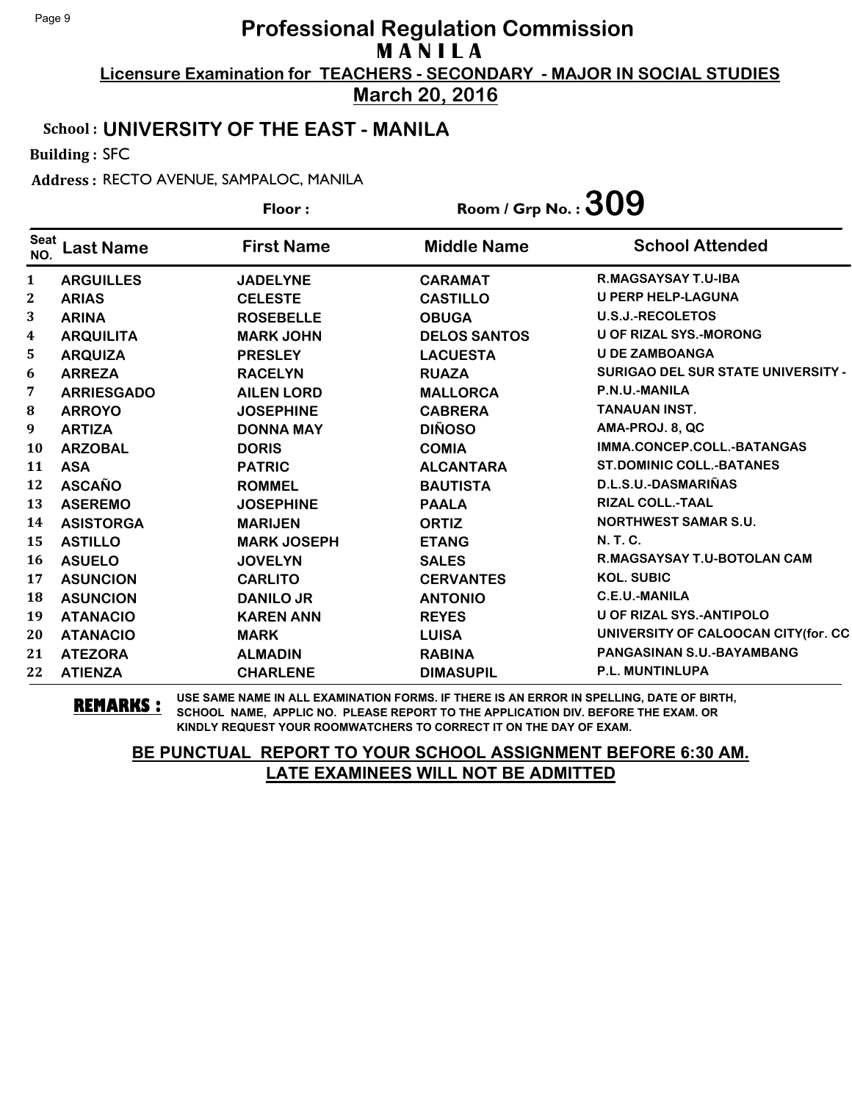**March 20, 2016**

### School : **UNIVERSITY OF THE EAST - MANILA**

Building : SFC

Address : RECTO AVENUE, SAMPALOC, MANILA

|                    |                   | Floor:             |                     | Room / Grp No. : $309$                    |
|--------------------|-------------------|--------------------|---------------------|-------------------------------------------|
| <b>Seat</b><br>NO. | <b>Last Name</b>  | <b>First Name</b>  | <b>Middle Name</b>  | <b>School Attended</b>                    |
| 1                  | <b>ARGUILLES</b>  | <b>JADELYNE</b>    | <b>CARAMAT</b>      | <b>R.MAGSAYSAY T.U-IBA</b>                |
| $\mathbf{2}$       | <b>ARIAS</b>      | <b>CELESTE</b>     | <b>CASTILLO</b>     | <b>U PERP HELP-LAGUNA</b>                 |
| 3                  | <b>ARINA</b>      | <b>ROSEBELLE</b>   | <b>OBUGA</b>        | <b>U.S.J.-RECOLETOS</b>                   |
| 4                  | <b>ARQUILITA</b>  | <b>MARK JOHN</b>   | <b>DELOS SANTOS</b> | <b>U OF RIZAL SYS.-MORONG</b>             |
| 5                  | <b>ARQUIZA</b>    | <b>PRESLEY</b>     | <b>LACUESTA</b>     | <b>U DE ZAMBOANGA</b>                     |
| 6                  | <b>ARREZA</b>     | <b>RACELYN</b>     | <b>RUAZA</b>        | <b>SURIGAO DEL SUR STATE UNIVERSITY -</b> |
| 7                  | <b>ARRIESGADO</b> | <b>AILEN LORD</b>  | <b>MALLORCA</b>     | P.N.U.-MANILA                             |
| 8                  | <b>ARROYO</b>     | <b>JOSEPHINE</b>   | <b>CABRERA</b>      | <b>TANAUAN INST.</b>                      |
| 9                  | <b>ARTIZA</b>     | <b>DONNA MAY</b>   | <b>DIÑOSO</b>       | AMA-PROJ. 8, QC                           |
| <b>10</b>          | <b>ARZOBAL</b>    | <b>DORIS</b>       | <b>COMIA</b>        | IMMA.CONCEP.COLL.-BATANGAS                |
| 11                 | <b>ASA</b>        | <b>PATRIC</b>      | <b>ALCANTARA</b>    | <b>ST.DOMINIC COLL.-BATANES</b>           |
| 12                 | <b>ASCAÑO</b>     | <b>ROMMEL</b>      | <b>BAUTISTA</b>     | D.L.S.U.-DASMARIÑAS                       |
| 13                 | <b>ASEREMO</b>    | <b>JOSEPHINE</b>   | <b>PAALA</b>        | <b>RIZAL COLL.-TAAL</b>                   |
| 14                 | <b>ASISTORGA</b>  | <b>MARIJEN</b>     | <b>ORTIZ</b>        | <b>NORTHWEST SAMAR S.U.</b>               |
| 15                 | <b>ASTILLO</b>    | <b>MARK JOSEPH</b> | <b>ETANG</b>        | <b>N.T.C.</b>                             |
| 16                 | <b>ASUELO</b>     | <b>JOVELYN</b>     | <b>SALES</b>        | <b>R.MAGSAYSAY T.U-BOTOLAN CAM</b>        |
| 17                 | <b>ASUNCION</b>   | <b>CARLITO</b>     | <b>CERVANTES</b>    | <b>KOL. SUBIC</b>                         |
| 18                 | <b>ASUNCION</b>   | <b>DANILO JR</b>   | <b>ANTONIO</b>      | <b>C.E.U.-MANILA</b>                      |
| 19                 | <b>ATANACIO</b>   | <b>KAREN ANN</b>   | <b>REYES</b>        | <b>U OF RIZAL SYS.-ANTIPOLO</b>           |
| 20                 | <b>ATANACIO</b>   | <b>MARK</b>        | <b>LUISA</b>        | UNIVERSITY OF CALOOCAN CITY(for. CC       |
| 21                 | <b>ATEZORA</b>    | <b>ALMADIN</b>     | <b>RABINA</b>       | PANGASINAN S.U.-BAYAMBANG                 |
| 22                 | <b>ATIENZA</b>    | <b>CHARLENE</b>    | <b>DIMASUPIL</b>    | P.L. MUNTINLUPA                           |

**REMARKS :** USE SAME NAME IN ALL EXAMINATION FORMS. IF THERE IS AN ERROR IN SPELLING, DATE OF BIRTH, SCHOOL NAME, APPLIC NO. PLEASE REPORT TO THE APPLICATION DIV. BEFORE THE EXAM. OR KINDLY REQUEST YOUR ROOMWATCHERS TO CORRECT IT ON THE DAY OF EXAM.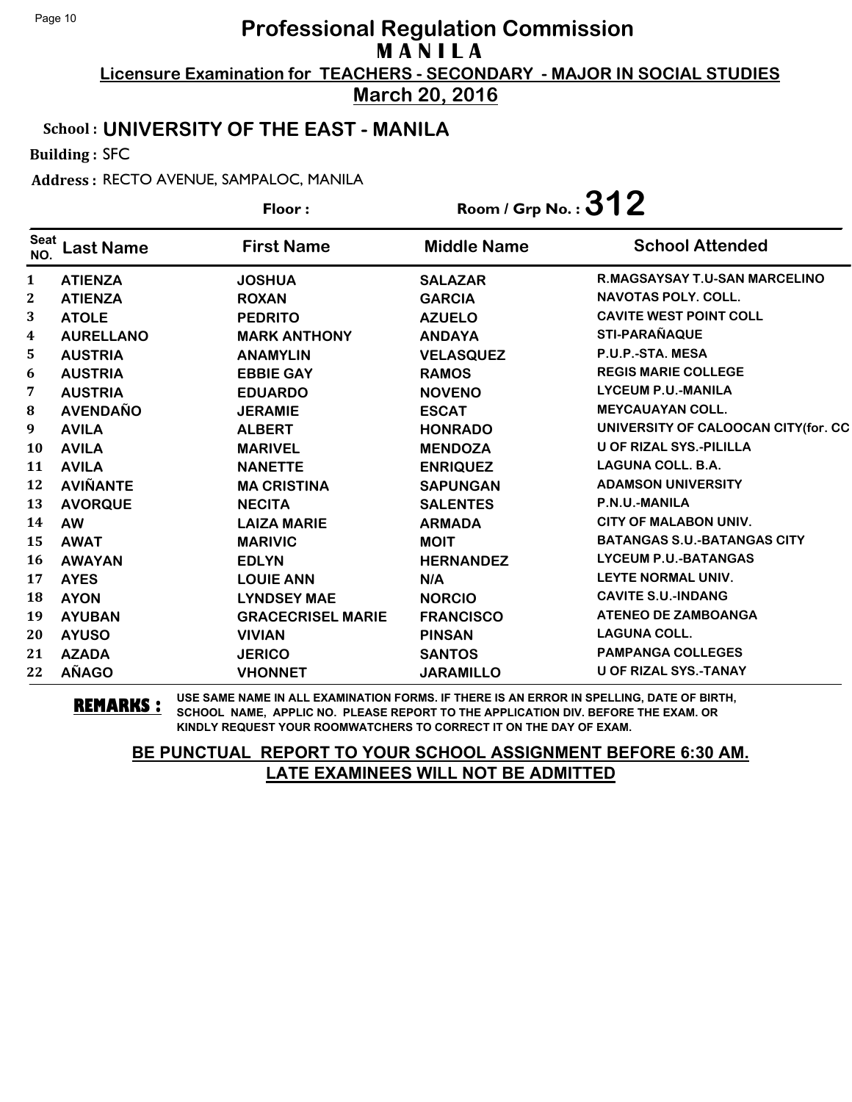**March 20, 2016**

#### School : **UNIVERSITY OF THE EAST - MANILA**

Building : SFC

Address : RECTO AVENUE, SAMPALOC, MANILA

|                    |                  | Floor:                   | Room / Grp No. : $312$ |                                     |
|--------------------|------------------|--------------------------|------------------------|-------------------------------------|
| <b>Seat</b><br>NO. | <b>Last Name</b> | <b>First Name</b>        | <b>Middle Name</b>     | <b>School Attended</b>              |
| $\mathbf{1}$       | <b>ATIENZA</b>   | <b>JOSHUA</b>            | <b>SALAZAR</b>         | R.MAGSAYSAY T.U-SAN MARCELINO       |
| $\mathbf{2}$       | <b>ATIENZA</b>   | <b>ROXAN</b>             | <b>GARCIA</b>          | <b>NAVOTAS POLY, COLL.</b>          |
| 3                  | <b>ATOLE</b>     | <b>PEDRITO</b>           | <b>AZUELO</b>          | <b>CAVITE WEST POINT COLL</b>       |
| 4                  | <b>AURELLANO</b> | <b>MARK ANTHONY</b>      | <b>ANDAYA</b>          | <b>STI-PARAÑAQUE</b>                |
| 5                  | <b>AUSTRIA</b>   | <b>ANAMYLIN</b>          | <b>VELASQUEZ</b>       | P.U.P.-STA. MESA                    |
| 6                  | <b>AUSTRIA</b>   | <b>EBBIE GAY</b>         | <b>RAMOS</b>           | <b>REGIS MARIE COLLEGE</b>          |
| 7                  | <b>AUSTRIA</b>   | <b>EDUARDO</b>           | <b>NOVENO</b>          | <b>LYCEUM P.U.-MANILA</b>           |
| ${\bf 8}$          | <b>AVENDAÑO</b>  | <b>JERAMIE</b>           | <b>ESCAT</b>           | <b>MEYCAUAYAN COLL.</b>             |
| 9                  | <b>AVILA</b>     | <b>ALBERT</b>            | <b>HONRADO</b>         | UNIVERSITY OF CALOOCAN CITY(for. CC |
| <b>10</b>          | <b>AVILA</b>     | <b>MARIVEL</b>           | <b>MENDOZA</b>         | U OF RIZAL SYS.-PILILLA             |
| 11                 | <b>AVILA</b>     | <b>NANETTE</b>           | <b>ENRIQUEZ</b>        | <b>LAGUNA COLL. B.A.</b>            |
| 12                 | <b>AVIÑANTE</b>  | <b>MA CRISTINA</b>       | <b>SAPUNGAN</b>        | <b>ADAMSON UNIVERSITY</b>           |
| 13                 | <b>AVORQUE</b>   | <b>NECITA</b>            | <b>SALENTES</b>        | P.N.U.-MANILA                       |
| 14                 | <b>AW</b>        | <b>LAIZA MARIE</b>       | <b>ARMADA</b>          | <b>CITY OF MALABON UNIV.</b>        |
| 15                 | <b>AWAT</b>      | <b>MARIVIC</b>           | <b>MOIT</b>            | <b>BATANGAS S.U.-BATANGAS CITY</b>  |
| <b>16</b>          | <b>AWAYAN</b>    | <b>EDLYN</b>             | <b>HERNANDEZ</b>       | <b>LYCEUM P.U.-BATANGAS</b>         |
| 17                 | <b>AYES</b>      | <b>LOUIE ANN</b>         | N/A                    | LEYTE NORMAL UNIV.                  |
| 18                 | <b>AYON</b>      | <b>LYNDSEY MAE</b>       | <b>NORCIO</b>          | <b>CAVITE S.U.-INDANG</b>           |
| 19                 | <b>AYUBAN</b>    | <b>GRACECRISEL MARIE</b> | <b>FRANCISCO</b>       | <b>ATENEO DE ZAMBOANGA</b>          |
| 20                 | <b>AYUSO</b>     | <b>VIVIAN</b>            | <b>PINSAN</b>          | <b>LAGUNA COLL.</b>                 |
| 21                 | <b>AZADA</b>     | <b>JERICO</b>            | <b>SANTOS</b>          | <b>PAMPANGA COLLEGES</b>            |
| 22                 | <b>AÑAGO</b>     | <b>VHONNET</b>           | <b>JARAMILLO</b>       | <b>U OF RIZAL SYS.-TANAY</b>        |

**REMARKS :** USE SAME NAME IN ALL EXAMINATION FORMS. IF THERE IS AN ERROR IN SPELLING, DATE OF BIRTH, SCHOOL NAME, APPLIC NO. PLEASE REPORT TO THE APPLICATION DIV. BEFORE THE EXAM. OR KINDLY REQUEST YOUR ROOMWATCHERS TO CORRECT IT ON THE DAY OF EXAM.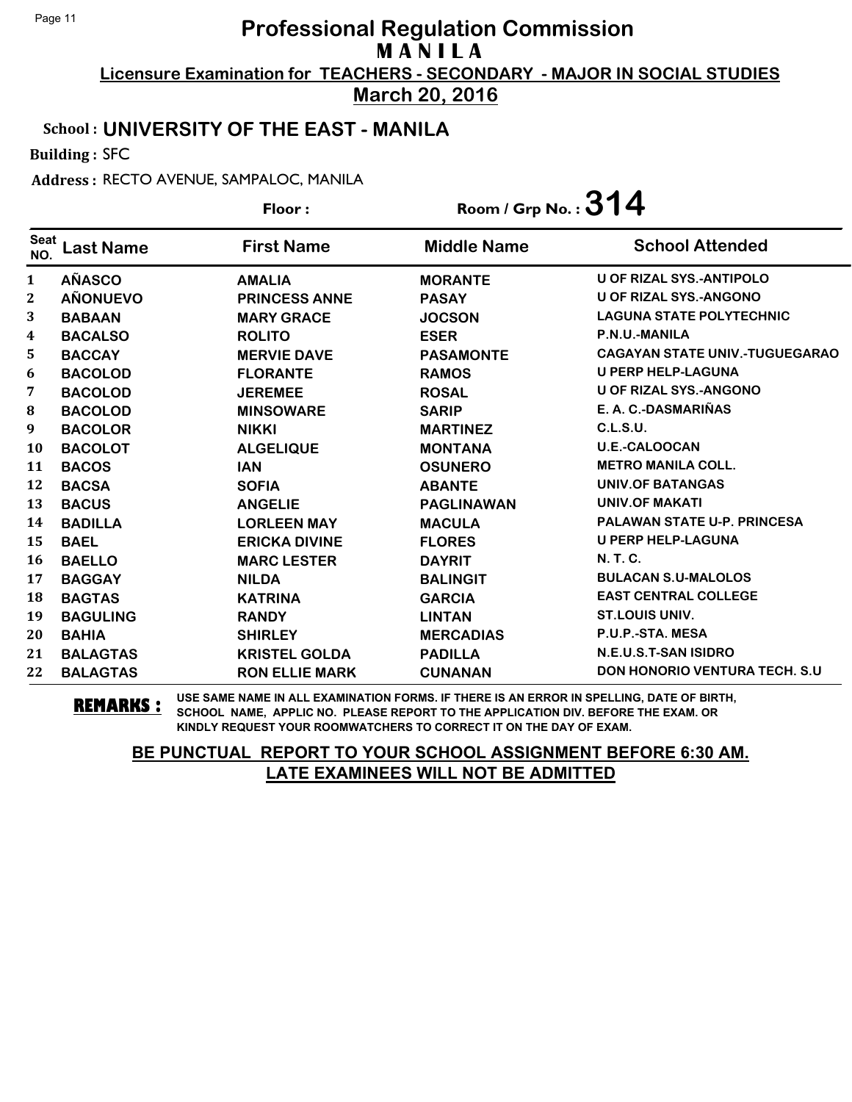**March 20, 2016**

#### School : **UNIVERSITY OF THE EAST - MANILA**

Building : SFC

Address : RECTO AVENUE, SAMPALOC, MANILA

|                    |                  | Floor:                | Room / Grp No. : $314$ |                                       |
|--------------------|------------------|-----------------------|------------------------|---------------------------------------|
| <b>Seat</b><br>NO. | <b>Last Name</b> | <b>First Name</b>     | <b>Middle Name</b>     | <b>School Attended</b>                |
| 1                  | <b>AÑASCO</b>    | <b>AMALIA</b>         | <b>MORANTE</b>         | <b>U OF RIZAL SYS.-ANTIPOLO</b>       |
| $\boldsymbol{2}$   | <b>AÑONUEVO</b>  | <b>PRINCESS ANNE</b>  | <b>PASAY</b>           | <b>U OF RIZAL SYS.-ANGONO</b>         |
| 3                  | <b>BABAAN</b>    | <b>MARY GRACE</b>     | <b>JOCSON</b>          | <b>LAGUNA STATE POLYTECHNIC</b>       |
| 4                  | <b>BACALSO</b>   | <b>ROLITO</b>         | <b>ESER</b>            | P.N.U.-MANILA                         |
| 5                  | <b>BACCAY</b>    | <b>MERVIE DAVE</b>    | <b>PASAMONTE</b>       | <b>CAGAYAN STATE UNIV.-TUGUEGARAO</b> |
| 6                  | <b>BACOLOD</b>   | <b>FLORANTE</b>       | <b>RAMOS</b>           | <b>U PERP HELP-LAGUNA</b>             |
| 7                  | <b>BACOLOD</b>   | <b>JEREMEE</b>        | <b>ROSAL</b>           | <b>U OF RIZAL SYS.-ANGONO</b>         |
| 8                  | <b>BACOLOD</b>   | <b>MINSOWARE</b>      | <b>SARIP</b>           | E. A. C.-DASMARIÑAS                   |
| 9                  | <b>BACOLOR</b>   | <b>NIKKI</b>          | <b>MARTINEZ</b>        | C.L.S.U.                              |
| 10                 | <b>BACOLOT</b>   | <b>ALGELIQUE</b>      | <b>MONTANA</b>         | <b>U.E.-CALOOCAN</b>                  |
| 11                 | <b>BACOS</b>     | <b>IAN</b>            | <b>OSUNERO</b>         | <b>METRO MANILA COLL.</b>             |
| 12                 | <b>BACSA</b>     | <b>SOFIA</b>          | <b>ABANTE</b>          | <b>UNIV.OF BATANGAS</b>               |
| 13                 | <b>BACUS</b>     | <b>ANGELIE</b>        | <b>PAGLINAWAN</b>      | <b>UNIV.OF MAKATI</b>                 |
| 14                 | <b>BADILLA</b>   | <b>LORLEEN MAY</b>    | <b>MACULA</b>          | <b>PALAWAN STATE U-P. PRINCESA</b>    |
| 15                 | <b>BAEL</b>      | <b>ERICKA DIVINE</b>  | <b>FLORES</b>          | <b>U PERP HELP-LAGUNA</b>             |
| 16                 | <b>BAELLO</b>    | <b>MARC LESTER</b>    | <b>DAYRIT</b>          | N. T. C.                              |
| 17                 | <b>BAGGAY</b>    | <b>NILDA</b>          | <b>BALINGIT</b>        | <b>BULACAN S.U-MALOLOS</b>            |
| 18                 | <b>BAGTAS</b>    | <b>KATRINA</b>        | <b>GARCIA</b>          | <b>EAST CENTRAL COLLEGE</b>           |
| 19                 | <b>BAGULING</b>  | <b>RANDY</b>          | <b>LINTAN</b>          | <b>ST.LOUIS UNIV.</b>                 |
| 20                 | <b>BAHIA</b>     | <b>SHIRLEY</b>        | <b>MERCADIAS</b>       | P.U.P.-STA. MESA                      |
| 21                 | <b>BALAGTAS</b>  | <b>KRISTEL GOLDA</b>  | <b>PADILLA</b>         | N.E.U.S.T-SAN ISIDRO                  |
| 22                 | <b>BALAGTAS</b>  | <b>RON ELLIE MARK</b> | <b>CUNANAN</b>         | <b>DON HONORIO VENTURA TECH. S.U.</b> |

**REMARKS :** USE SAME NAME IN ALL EXAMINATION FORMS. IF THERE IS AN ERROR IN SPELLING, DATE OF BIRTH, SCHOOL NAME, APPLIC NO. PLEASE REPORT TO THE APPLICATION DIV. BEFORE THE EXAM. OR KINDLY REQUEST YOUR ROOMWATCHERS TO CORRECT IT ON THE DAY OF EXAM.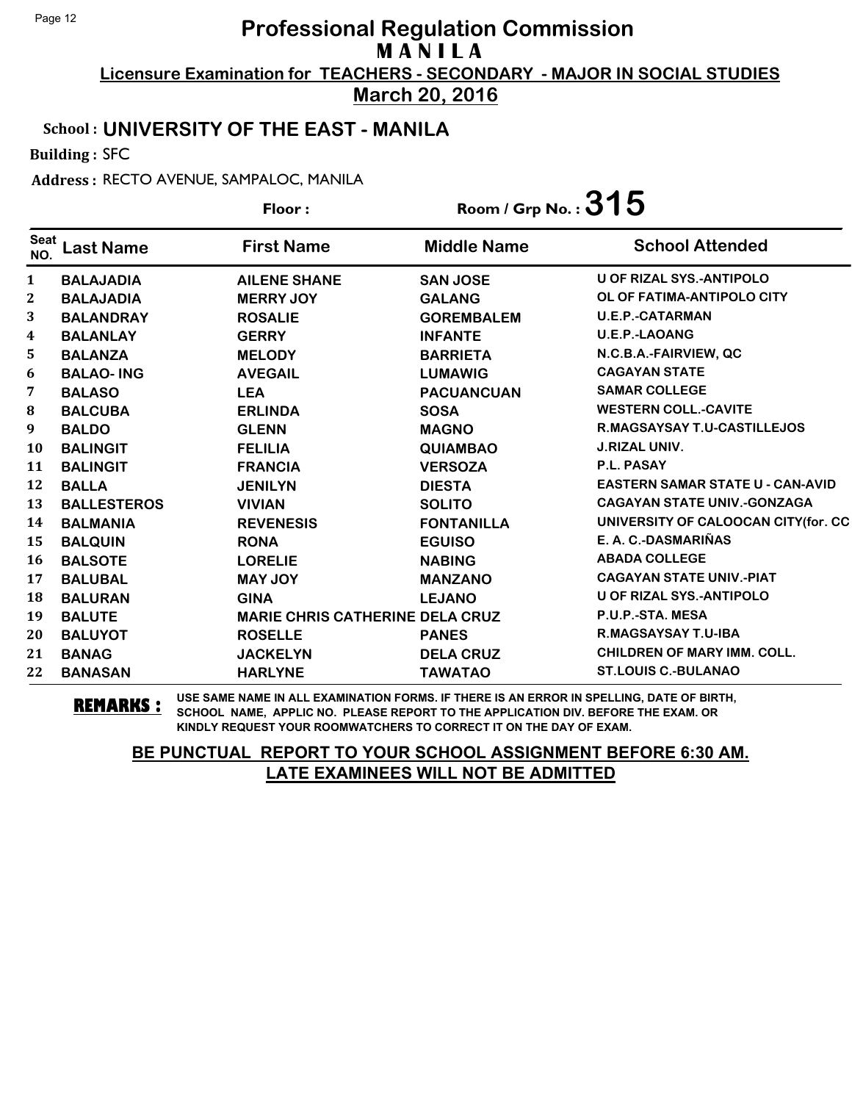**March 20, 2016**

#### School : **UNIVERSITY OF THE EAST - MANILA**

Building : SFC

Address : RECTO AVENUE, SAMPALOC, MANILA

|                    |                    | Floor:                                 | Room / Grp No. : $315$ |                                         |
|--------------------|--------------------|----------------------------------------|------------------------|-----------------------------------------|
| <b>Seat</b><br>NO. | <b>Last Name</b>   | <b>First Name</b>                      | <b>Middle Name</b>     | <b>School Attended</b>                  |
| 1                  | <b>BALAJADIA</b>   | <b>AILENE SHANE</b>                    | <b>SAN JOSE</b>        | <b>U OF RIZAL SYS.-ANTIPOLO</b>         |
| $\boldsymbol{2}$   | <b>BALAJADIA</b>   | <b>MERRY JOY</b>                       | <b>GALANG</b>          | OL OF FATIMA-ANTIPOLO CITY              |
| 3                  | <b>BALANDRAY</b>   | <b>ROSALIE</b>                         | <b>GOREMBALEM</b>      | <b>U.E.P.-CATARMAN</b>                  |
| 4                  | <b>BALANLAY</b>    | <b>GERRY</b>                           | <b>INFANTE</b>         | <b>U.E.P.-LAOANG</b>                    |
| 5                  | <b>BALANZA</b>     | <b>MELODY</b>                          | <b>BARRIETA</b>        | N.C.B.A.-FAIRVIEW, QC                   |
| 6                  | <b>BALAO-ING</b>   | <b>AVEGAIL</b>                         | <b>LUMAWIG</b>         | <b>CAGAYAN STATE</b>                    |
| 7                  | <b>BALASO</b>      | <b>LEA</b>                             | <b>PACUANCUAN</b>      | <b>SAMAR COLLEGE</b>                    |
| 8                  | <b>BALCUBA</b>     | <b>ERLINDA</b>                         | <b>SOSA</b>            | <b>WESTERN COLL.-CAVITE</b>             |
| 9                  | <b>BALDO</b>       | <b>GLENN</b>                           | <b>MAGNO</b>           | R.MAGSAYSAY T.U-CASTILLEJOS             |
| <b>10</b>          | <b>BALINGIT</b>    | <b>FELILIA</b>                         | <b>QUIAMBAO</b>        | <b>J.RIZAL UNIV.</b>                    |
| 11                 | <b>BALINGIT</b>    | <b>FRANCIA</b>                         | <b>VERSOZA</b>         | P.L. PASAY                              |
| 12                 | <b>BALLA</b>       | <b>JENILYN</b>                         | <b>DIESTA</b>          | <b>EASTERN SAMAR STATE U - CAN-AVID</b> |
| 13                 | <b>BALLESTEROS</b> | <b>VIVIAN</b>                          | <b>SOLITO</b>          | <b>CAGAYAN STATE UNIV.-GONZAGA</b>      |
| 14                 | <b>BALMANIA</b>    | <b>REVENESIS</b>                       | <b>FONTANILLA</b>      | UNIVERSITY OF CALOOCAN CITY(for. CC     |
| 15                 | <b>BALQUIN</b>     | <b>RONA</b>                            | <b>EGUISO</b>          | E. A. C.-DASMARIÑAS                     |
| 16                 | <b>BALSOTE</b>     | <b>LORELIE</b>                         | <b>NABING</b>          | <b>ABADA COLLEGE</b>                    |
| 17                 | <b>BALUBAL</b>     | <b>MAY JOY</b>                         | <b>MANZANO</b>         | <b>CAGAYAN STATE UNIV.-PIAT</b>         |
| 18                 | <b>BALURAN</b>     | <b>GINA</b>                            | <b>LEJANO</b>          | <b>U OF RIZAL SYS.-ANTIPOLO</b>         |
| 19                 | <b>BALUTE</b>      | <b>MARIE CHRIS CATHERINE DELA CRUZ</b> |                        | P.U.P.-STA. MESA                        |
| 20                 | <b>BALUYOT</b>     | <b>ROSELLE</b>                         | <b>PANES</b>           | <b>R.MAGSAYSAY T.U-IBA</b>              |
| 21                 | <b>BANAG</b>       | <b>JACKELYN</b>                        | <b>DELA CRUZ</b>       | <b>CHILDREN OF MARY IMM. COLL.</b>      |
| 22                 | <b>BANASAN</b>     | <b>HARLYNE</b>                         | <b>TAWATAO</b>         | <b>ST.LOUIS C.-BULANAO</b>              |

**REMARKS :** USE SAME NAME IN ALL EXAMINATION FORMS. IF THERE IS AN ERROR IN SPELLING, DATE OF BIRTH, SCHOOL NAME, APPLIC NO. PLEASE REPORT TO THE APPLICATION DIV. BEFORE THE EXAM. OR KINDLY REQUEST YOUR ROOMWATCHERS TO CORRECT IT ON THE DAY OF EXAM.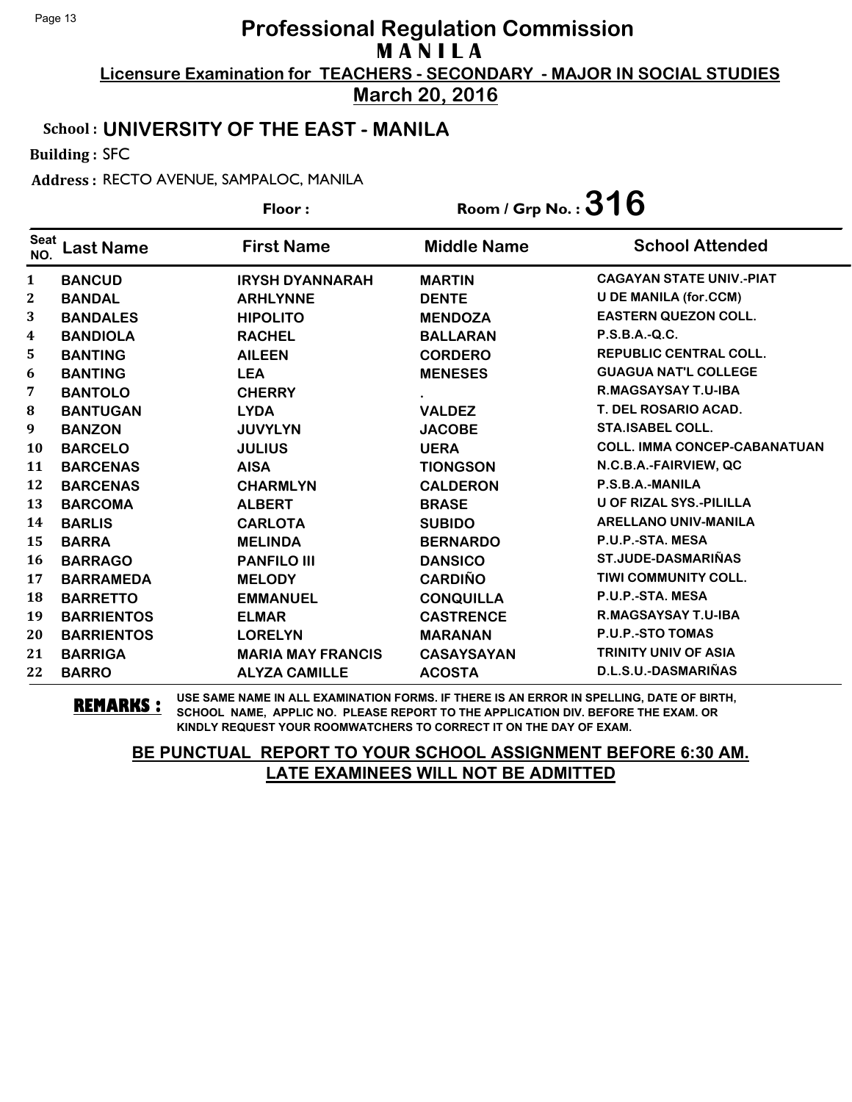**March 20, 2016**

#### School : **UNIVERSITY OF THE EAST - MANILA**

Building : SFC

Address : RECTO AVENUE, SAMPALOC, MANILA

**Last Name First Name Middle Name** Floor : Room / Grp No. :**316** Seat <sup>seat</sup> Last Name First Name Middle Name School Attended **BANCUD IRYSH DYANNARAH MARTIN CAGAYAN STATE UNIV.-PIAT BANDAL ARHLYNNE DENTE U DE MANILA (for.CCM) BANDALES HIPOLITO MENDOZA EASTERN QUEZON COLL. BANDIOLA RACHEL BALLARAN P.S.B.A.-Q.C. BANTING AILEEN CORDERO REPUBLIC CENTRAL COLL. BANTING LEA MENESES GUAGUA NAT'L COLLEGE BANTOLO CHERRY . R.MAGSAYSAY T.U-IBA BANTUGAN LYDA VALDEZ T. DEL ROSARIO ACAD. BANZON JUVYLYN JACOBE STA.ISABEL COLL. BARCELO JULIUS UERA COLL. IMMA CONCEP-CABANATUAN BARCENAS AISA TIONGSON N.C.B.A.-FAIRVIEW, QC BARCENAS CHARMLYN CALDERON P.S.B.A.-MANILA BARCOMA ALBERT BRASE U OF RIZAL SYS.-PILILLA BARLIS CARLOTA SUBIDO ARELLANO UNIV-MANILA BARRA MELINDA BERNARDO P.U.P.-STA. MESA BARRAGO PANFILO III DANSICO ST.JUDE-DASMARIÑAS BARRAMEDA MELODY CARDIÑO TIWI COMMUNITY COLL. BARRETTO EMMANUEL CONQUILLA P.U.P.-STA. MESA BARRIENTOS ELMAR CASTRENCE R.MAGSAYSAY T.U-IBA BARRIENTOS LORELYN MARANAN P.U.P.-STO TOMAS BARRIGA MARIA MAY FRANCIS CASAYSAYAN TRINITY UNIV OF ASIA BARRO ALYZA CAMILLE ACOSTA D.L.S.U.-DASMARIÑAS**

**REMARKS :** USE SAME NAME IN ALL EXAMINATION FORMS. IF THERE IS AN ERROR IN SPELLING, DATE OF BIRTH, SCHOOL NAME, APPLIC NO. PLEASE REPORT TO THE APPLICATION DIV. BEFORE THE EXAM. OR KINDLY REQUEST YOUR ROOMWATCHERS TO CORRECT IT ON THE DAY OF EXAM.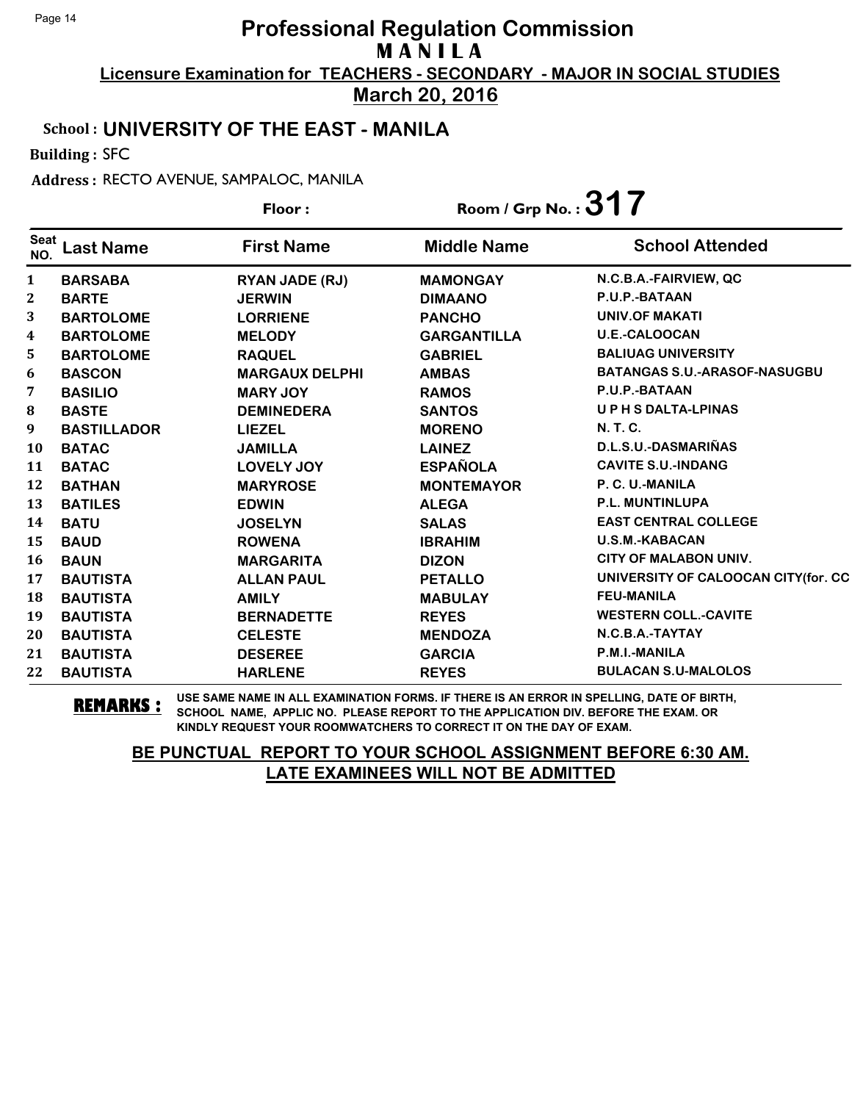**March 20, 2016**

#### School : **UNIVERSITY OF THE EAST - MANILA**

Building : SFC

Address : RECTO AVENUE, SAMPALOC, MANILA

|                    |                    | Floor:                | Room / Grp No.: $317$ |                                     |
|--------------------|--------------------|-----------------------|-----------------------|-------------------------------------|
| <b>Seat</b><br>NO. | <b>Last Name</b>   | <b>First Name</b>     | <b>Middle Name</b>    | <b>School Attended</b>              |
| $\mathbf{1}$       | <b>BARSABA</b>     | RYAN JADE (RJ)        | <b>MAMONGAY</b>       | N.C.B.A.-FAIRVIEW, QC               |
| $\mathbf{2}$       | <b>BARTE</b>       | <b>JERWIN</b>         | <b>DIMAANO</b>        | P.U.P.-BATAAN                       |
| 3                  | <b>BARTOLOME</b>   | <b>LORRIENE</b>       | <b>PANCHO</b>         | <b>UNIV.OF MAKATI</b>               |
| $\boldsymbol{4}$   | <b>BARTOLOME</b>   | <b>MELODY</b>         | <b>GARGANTILLA</b>    | U.E.-CALOOCAN                       |
| 5.                 | <b>BARTOLOME</b>   | <b>RAQUEL</b>         | <b>GABRIEL</b>        | <b>BALIUAG UNIVERSITY</b>           |
| 6                  | <b>BASCON</b>      | <b>MARGAUX DELPHI</b> | <b>AMBAS</b>          | <b>BATANGAS S.U.-ARASOF-NASUGBU</b> |
| 7                  | <b>BASILIO</b>     | <b>MARY JOY</b>       | <b>RAMOS</b>          | P.U.P.-BATAAN                       |
| 8                  | <b>BASTE</b>       | <b>DEMINEDERA</b>     | <b>SANTOS</b>         | <b>UPHSDALTA-LPINAS</b>             |
| 9                  | <b>BASTILLADOR</b> | <b>LIEZEL</b>         | <b>MORENO</b>         | <b>N.T.C.</b>                       |
| <b>10</b>          | <b>BATAC</b>       | <b>JAMILLA</b>        | <b>LAINEZ</b>         | D.L.S.U.-DASMARIÑAS                 |
| 11                 | <b>BATAC</b>       | LOVELY JOY            | <b>ESPAÑOLA</b>       | <b>CAVITE S.U.-INDANG</b>           |
| 12                 | <b>BATHAN</b>      | <b>MARYROSE</b>       | <b>MONTEMAYOR</b>     | P. C. U.-MANILA                     |
| 13                 | <b>BATILES</b>     | <b>EDWIN</b>          | <b>ALEGA</b>          | <b>P.L. MUNTINLUPA</b>              |
| 14                 | <b>BATU</b>        | <b>JOSELYN</b>        | <b>SALAS</b>          | <b>EAST CENTRAL COLLEGE</b>         |
| 15                 | <b>BAUD</b>        | <b>ROWENA</b>         | <b>IBRAHIM</b>        | <b>U.S.M.-KABACAN</b>               |
| 16                 | <b>BAUN</b>        | <b>MARGARITA</b>      | <b>DIZON</b>          | <b>CITY OF MALABON UNIV.</b>        |
| 17                 | <b>BAUTISTA</b>    | <b>ALLAN PAUL</b>     | <b>PETALLO</b>        | UNIVERSITY OF CALOOCAN CITY(for. CC |
| 18                 | <b>BAUTISTA</b>    | <b>AMILY</b>          | <b>MABULAY</b>        | <b>FEU-MANILA</b>                   |
| 19                 | <b>BAUTISTA</b>    | <b>BERNADETTE</b>     | <b>REYES</b>          | <b>WESTERN COLL.-CAVITE</b>         |
| 20                 | <b>BAUTISTA</b>    | <b>CELESTE</b>        | <b>MENDOZA</b>        | N.C.B.A.-TAYTAY                     |
| 21                 | <b>BAUTISTA</b>    | <b>DESEREE</b>        | <b>GARCIA</b>         | P.M.I.-MANILA                       |
| 22                 | <b>BAUTISTA</b>    | <b>HARLENE</b>        | <b>REYES</b>          | <b>BULACAN S.U-MALOLOS</b>          |

**REMARKS :** USE SAME NAME IN ALL EXAMINATION FORMS. IF THERE IS AN ERROR IN SPELLING, DATE OF BIRTH, SCHOOL NAME, APPLIC NO. PLEASE REPORT TO THE APPLICATION DIV. BEFORE THE EXAM. OR KINDLY REQUEST YOUR ROOMWATCHERS TO CORRECT IT ON THE DAY OF EXAM.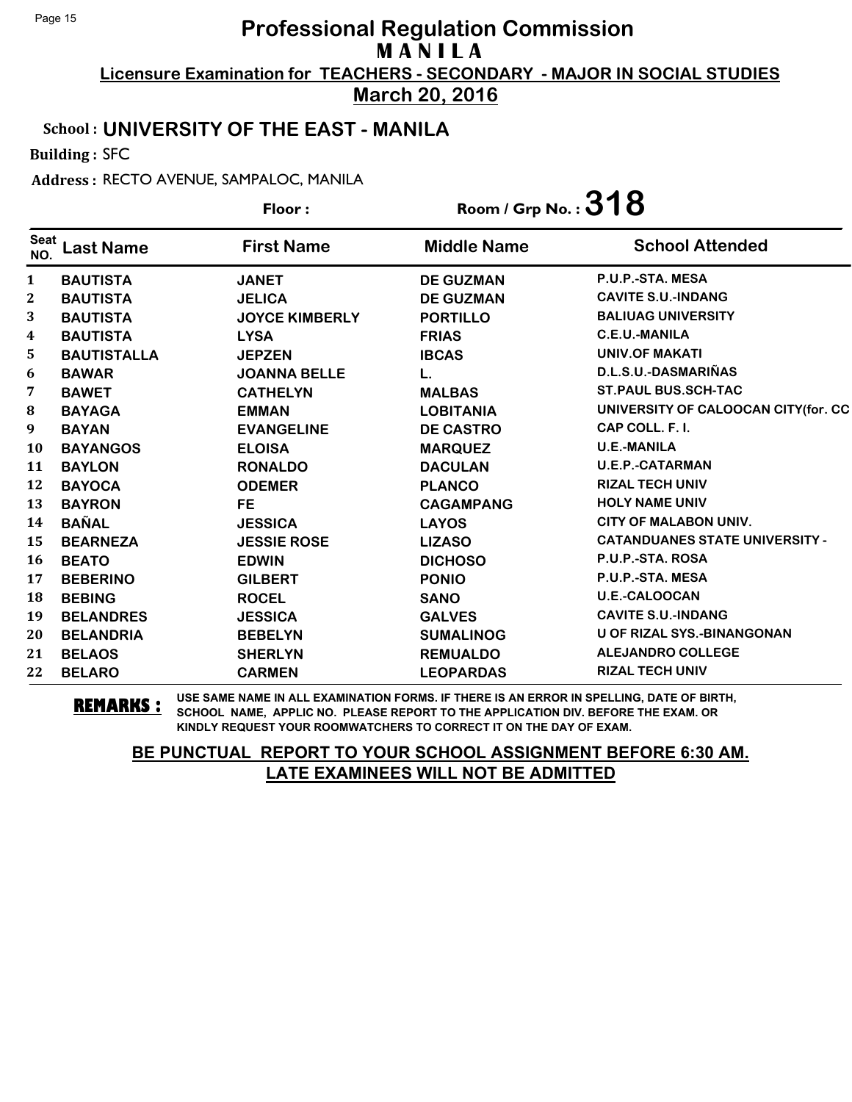**March 20, 2016**

#### School : **UNIVERSITY OF THE EAST - MANILA**

Building : SFC

Address : RECTO AVENUE, SAMPALOC, MANILA

|                    |                    | Floor:                | Room / Grp No.: $318$ |                                       |
|--------------------|--------------------|-----------------------|-----------------------|---------------------------------------|
| <b>Seat</b><br>NO. | <b>Last Name</b>   | <b>First Name</b>     | <b>Middle Name</b>    | <b>School Attended</b>                |
| 1                  | <b>BAUTISTA</b>    | <b>JANET</b>          | <b>DE GUZMAN</b>      | P.U.P.-STA. MESA                      |
| 2                  | <b>BAUTISTA</b>    | <b>JELICA</b>         | <b>DE GUZMAN</b>      | <b>CAVITE S.U.-INDANG</b>             |
| 3                  | <b>BAUTISTA</b>    | <b>JOYCE KIMBERLY</b> | <b>PORTILLO</b>       | <b>BALIUAG UNIVERSITY</b>             |
| 4                  | <b>BAUTISTA</b>    | <b>LYSA</b>           | <b>FRIAS</b>          | <b>C.E.U.-MANILA</b>                  |
| 5                  | <b>BAUTISTALLA</b> | <b>JEPZEN</b>         | <b>IBCAS</b>          | <b>UNIV.OF MAKATI</b>                 |
| 6                  | <b>BAWAR</b>       | <b>JOANNA BELLE</b>   | L.                    | D.L.S.U.-DASMARIÑAS                   |
| 7                  | <b>BAWET</b>       | <b>CATHELYN</b>       | <b>MALBAS</b>         | <b>ST.PAUL BUS.SCH-TAC</b>            |
| ${\bf 8}$          | <b>BAYAGA</b>      | <b>EMMAN</b>          | <b>LOBITANIA</b>      | UNIVERSITY OF CALOOCAN CITY(for. CC   |
| 9                  | <b>BAYAN</b>       | <b>EVANGELINE</b>     | <b>DE CASTRO</b>      | CAP COLL. F. I.                       |
| 10                 | <b>BAYANGOS</b>    | <b>ELOISA</b>         | <b>MARQUEZ</b>        | <b>U.E.-MANILA</b>                    |
| 11                 | <b>BAYLON</b>      | <b>RONALDO</b>        | <b>DACULAN</b>        | <b>U.E.P.-CATARMAN</b>                |
| 12                 | <b>BAYOCA</b>      | <b>ODEMER</b>         | <b>PLANCO</b>         | <b>RIZAL TECH UNIV</b>                |
| 13                 | <b>BAYRON</b>      | <b>FE</b>             | <b>CAGAMPANG</b>      | <b>HOLY NAME UNIV</b>                 |
| 14                 | <b>BAÑAL</b>       | <b>JESSICA</b>        | <b>LAYOS</b>          | <b>CITY OF MALABON UNIV.</b>          |
| 15                 | <b>BEARNEZA</b>    | <b>JESSIE ROSE</b>    | <b>LIZASO</b>         | <b>CATANDUANES STATE UNIVERSITY -</b> |
| <b>16</b>          | <b>BEATO</b>       | <b>EDWIN</b>          | <b>DICHOSO</b>        | P.U.P.-STA. ROSA                      |
| 17                 | <b>BEBERINO</b>    | <b>GILBERT</b>        | <b>PONIO</b>          | P.U.P.-STA. MESA                      |
| 18                 | <b>BEBING</b>      | <b>ROCEL</b>          | <b>SANO</b>           | <b>U.E.-CALOOCAN</b>                  |
| 19                 | <b>BELANDRES</b>   | <b>JESSICA</b>        | <b>GALVES</b>         | <b>CAVITE S.U.-INDANG</b>             |
| 20                 | <b>BELANDRIA</b>   | <b>BEBELYN</b>        | <b>SUMALINOG</b>      | U OF RIZAL SYS.-BINANGONAN            |
| 21                 | <b>BELAOS</b>      | <b>SHERLYN</b>        | <b>REMUALDO</b>       | <b>ALEJANDRO COLLEGE</b>              |
| 22                 | <b>BELARO</b>      | <b>CARMEN</b>         | <b>LEOPARDAS</b>      | <b>RIZAL TECH UNIV</b>                |

**REMARKS :** USE SAME NAME IN ALL EXAMINATION FORMS. IF THERE IS AN ERROR IN SPELLING, DATE OF BIRTH, SCHOOL NAME, APPLIC NO. PLEASE REPORT TO THE APPLICATION DIV. BEFORE THE EXAM. OR KINDLY REQUEST YOUR ROOMWATCHERS TO CORRECT IT ON THE DAY OF EXAM.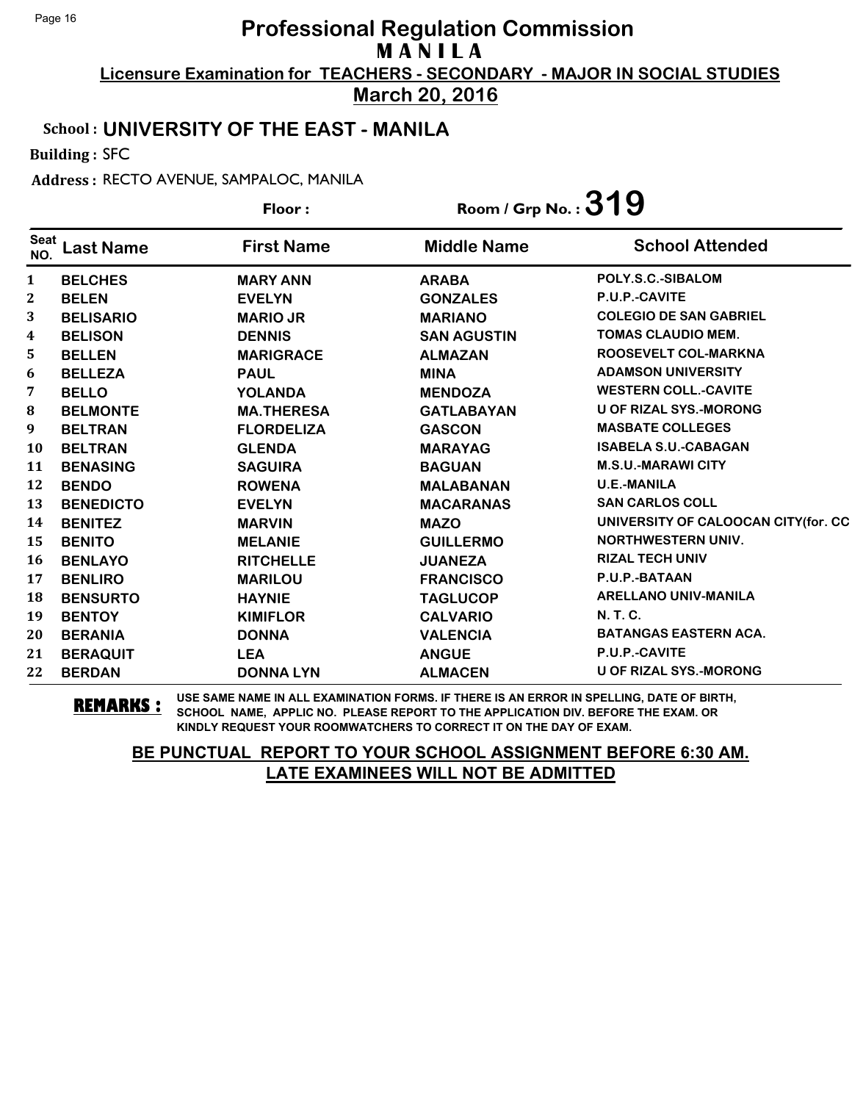**March 20, 2016**

#### School : **UNIVERSITY OF THE EAST - MANILA**

Building : SFC

Address : RECTO AVENUE, SAMPALOC, MANILA

|                    |                  | Floor:            | Room / Grp No. : $319$ |                                     |
|--------------------|------------------|-------------------|------------------------|-------------------------------------|
| <b>Seat</b><br>NO. | <b>Last Name</b> | <b>First Name</b> | <b>Middle Name</b>     | <b>School Attended</b>              |
| $\mathbf{1}$       | <b>BELCHES</b>   | <b>MARY ANN</b>   | <b>ARABA</b>           | POLY.S.C.-SIBALOM                   |
| 2                  | <b>BELEN</b>     | <b>EVELYN</b>     | <b>GONZALES</b>        | P.U.P.-CAVITE                       |
| 3                  | <b>BELISARIO</b> | <b>MARIO JR</b>   | <b>MARIANO</b>         | <b>COLEGIO DE SAN GABRIEL</b>       |
| 4                  | <b>BELISON</b>   | <b>DENNIS</b>     | <b>SAN AGUSTIN</b>     | <b>TOMAS CLAUDIO MEM.</b>           |
| 5.                 | <b>BELLEN</b>    | <b>MARIGRACE</b>  | <b>ALMAZAN</b>         | ROOSEVELT COL-MARKNA                |
| 6                  | <b>BELLEZA</b>   | <b>PAUL</b>       | <b>MINA</b>            | <b>ADAMSON UNIVERSITY</b>           |
| 7                  | <b>BELLO</b>     | <b>YOLANDA</b>    | <b>MENDOZA</b>         | <b>WESTERN COLL.-CAVITE</b>         |
| ${\bf 8}$          | <b>BELMONTE</b>  | <b>MA.THERESA</b> | <b>GATLABAYAN</b>      | <b>U OF RIZAL SYS.-MORONG</b>       |
| 9                  | <b>BELTRAN</b>   | <b>FLORDELIZA</b> | <b>GASCON</b>          | <b>MASBATE COLLEGES</b>             |
| 10                 | <b>BELTRAN</b>   | <b>GLENDA</b>     | <b>MARAYAG</b>         | <b>ISABELA S.U.-CABAGAN</b>         |
| 11                 | <b>BENASING</b>  | <b>SAGUIRA</b>    | <b>BAGUAN</b>          | <b>M.S.U.-MARAWI CITY</b>           |
| 12                 | <b>BENDO</b>     | <b>ROWENA</b>     | <b>MALABANAN</b>       | <b>U.E.-MANILA</b>                  |
| 13                 | <b>BENEDICTO</b> | <b>EVELYN</b>     | <b>MACARANAS</b>       | <b>SAN CARLOS COLL</b>              |
| 14                 | <b>BENITEZ</b>   | <b>MARVIN</b>     | <b>MAZO</b>            | UNIVERSITY OF CALOOCAN CITY(for. CC |
| 15                 | <b>BENITO</b>    | <b>MELANIE</b>    | <b>GUILLERMO</b>       | <b>NORTHWESTERN UNIV.</b>           |
| <b>16</b>          | <b>BENLAYO</b>   | <b>RITCHELLE</b>  | <b>JUANEZA</b>         | <b>RIZAL TECH UNIV</b>              |
| 17                 | <b>BENLIRO</b>   | <b>MARILOU</b>    | <b>FRANCISCO</b>       | P.U.P.-BATAAN                       |
| 18                 | <b>BENSURTO</b>  | <b>HAYNIE</b>     | <b>TAGLUCOP</b>        | <b>ARELLANO UNIV-MANILA</b>         |
| 19                 | <b>BENTOY</b>    | <b>KIMIFLOR</b>   | <b>CALVARIO</b>        | N. T. C.                            |
| 20                 | <b>BERANIA</b>   | <b>DONNA</b>      | <b>VALENCIA</b>        | <b>BATANGAS EASTERN ACA.</b>        |
| 21                 | <b>BERAQUIT</b>  | <b>LEA</b>        | <b>ANGUE</b>           | P.U.P.-CAVITE                       |
| 22                 | <b>BERDAN</b>    | <b>DONNA LYN</b>  | <b>ALMACEN</b>         | <b>U OF RIZAL SYS.-MORONG</b>       |

**REMARKS :** USE SAME NAME IN ALL EXAMINATION FORMS. IF THERE IS AN ERROR IN SPELLING, DATE OF BIRTH, SCHOOL NAME, APPLIC NO. PLEASE REPORT TO THE APPLICATION DIV. BEFORE THE EXAM. OR KINDLY REQUEST YOUR ROOMWATCHERS TO CORRECT IT ON THE DAY OF EXAM.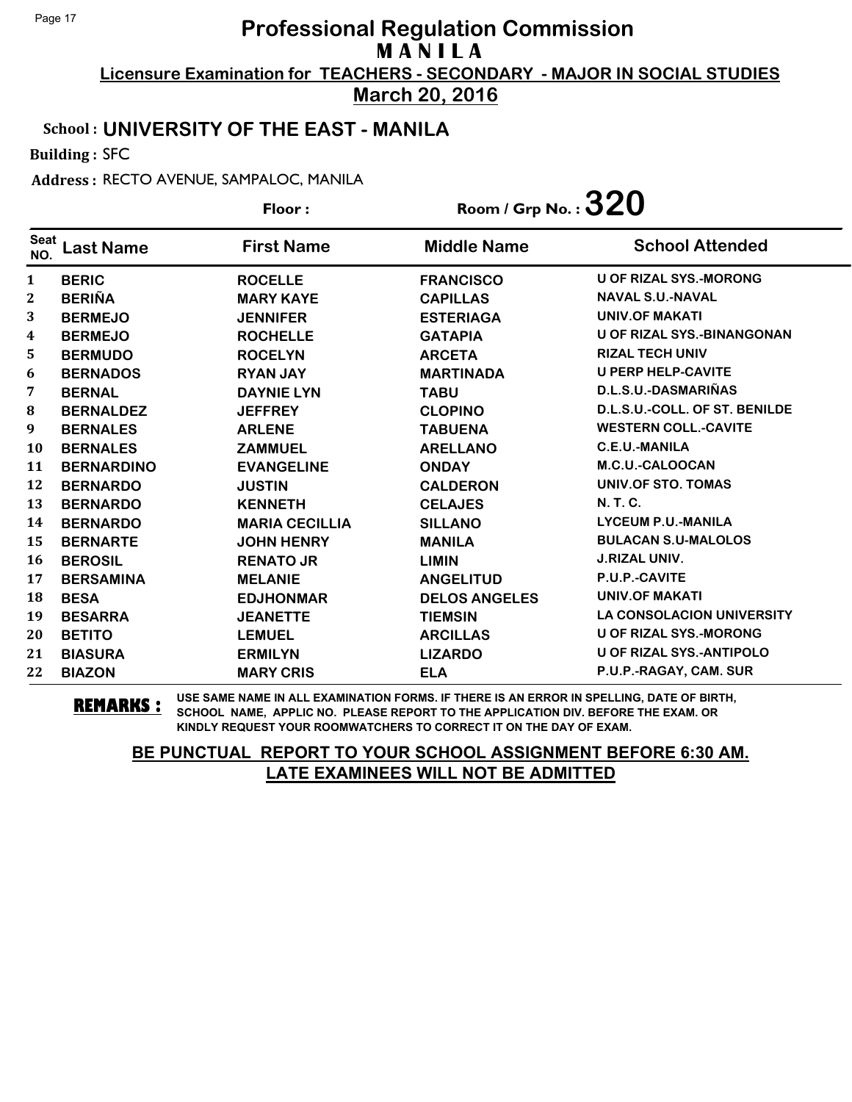**March 20, 2016**

#### School : **UNIVERSITY OF THE EAST - MANILA**

Building : SFC

Address : RECTO AVENUE, SAMPALOC, MANILA

|                    |                   | Floor:                | Room / Grp No. : $320$ |                                  |
|--------------------|-------------------|-----------------------|------------------------|----------------------------------|
| <b>Seat</b><br>NO. | <b>Last Name</b>  | <b>First Name</b>     | <b>Middle Name</b>     | <b>School Attended</b>           |
| $\mathbf{1}$       | <b>BERIC</b>      | <b>ROCELLE</b>        | <b>FRANCISCO</b>       | <b>U OF RIZAL SYS.-MORONG</b>    |
| 2                  | <b>BERIÑA</b>     | <b>MARY KAYE</b>      | <b>CAPILLAS</b>        | <b>NAVAL S.U.-NAVAL</b>          |
| 3                  | <b>BERMEJO</b>    | <b>JENNIFER</b>       | <b>ESTERIAGA</b>       | <b>UNIV.OF MAKATI</b>            |
| 4                  | <b>BERMEJO</b>    | <b>ROCHELLE</b>       | <b>GATAPIA</b>         | U OF RIZAL SYS.-BINANGONAN       |
| 5                  | <b>BERMUDO</b>    | <b>ROCELYN</b>        | <b>ARCETA</b>          | <b>RIZAL TECH UNIV</b>           |
| 6                  | <b>BERNADOS</b>   | <b>RYAN JAY</b>       | <b>MARTINADA</b>       | <b>U PERP HELP-CAVITE</b>        |
| 7                  | <b>BERNAL</b>     | <b>DAYNIE LYN</b>     | <b>TABU</b>            | D.L.S.U.-DASMARIÑAS              |
| 8                  | <b>BERNALDEZ</b>  | <b>JEFFREY</b>        | <b>CLOPINO</b>         | D.L.S.U.-COLL. OF ST. BENILDE    |
| 9                  | <b>BERNALES</b>   | <b>ARLENE</b>         | <b>TABUENA</b>         | <b>WESTERN COLL.-CAVITE</b>      |
| <b>10</b>          | <b>BERNALES</b>   | <b>ZAMMUEL</b>        | <b>ARELLANO</b>        | <b>C.E.U.-MANILA</b>             |
| 11                 | <b>BERNARDINO</b> | <b>EVANGELINE</b>     | <b>ONDAY</b>           | M.C.U.-CALOOCAN                  |
| 12                 | <b>BERNARDO</b>   | <b>JUSTIN</b>         | <b>CALDERON</b>        | <b>UNIV.OF STO. TOMAS</b>        |
| 13                 | <b>BERNARDO</b>   | <b>KENNETH</b>        | <b>CELAJES</b>         | N. T. C.                         |
| 14                 | <b>BERNARDO</b>   | <b>MARIA CECILLIA</b> | <b>SILLANO</b>         | <b>LYCEUM P.U.-MANILA</b>        |
| 15                 | <b>BERNARTE</b>   | <b>JOHN HENRY</b>     | <b>MANILA</b>          | <b>BULACAN S.U-MALOLOS</b>       |
| 16                 | <b>BEROSIL</b>    | <b>RENATO JR</b>      | <b>LIMIN</b>           | <b>J.RIZAL UNIV.</b>             |
| 17                 | <b>BERSAMINA</b>  | <b>MELANIE</b>        | <b>ANGELITUD</b>       | P.U.P.-CAVITE                    |
| 18                 | <b>BESA</b>       | <b>EDJHONMAR</b>      | <b>DELOS ANGELES</b>   | <b>UNIV.OF MAKATI</b>            |
| 19                 | <b>BESARRA</b>    | <b>JEANETTE</b>       | <b>TIEMSIN</b>         | <b>LA CONSOLACION UNIVERSITY</b> |
| 20                 | <b>BETITO</b>     | <b>LEMUEL</b>         | <b>ARCILLAS</b>        | <b>U OF RIZAL SYS.-MORONG</b>    |
| 21                 | <b>BIASURA</b>    | <b>ERMILYN</b>        | <b>LIZARDO</b>         | <b>U OF RIZAL SYS.-ANTIPOLO</b>  |
| 22                 | <b>BIAZON</b>     | <b>MARY CRIS</b>      | <b>ELA</b>             | P.U.P.-RAGAY, CAM. SUR           |

**REMARKS :** USE SAME NAME IN ALL EXAMINATION FORMS. IF THERE IS AN ERROR IN SPELLING, DATE OF BIRTH, SCHOOL NAME, APPLIC NO. PLEASE REPORT TO THE APPLICATION DIV. BEFORE THE EXAM. OR KINDLY REQUEST YOUR ROOMWATCHERS TO CORRECT IT ON THE DAY OF EXAM.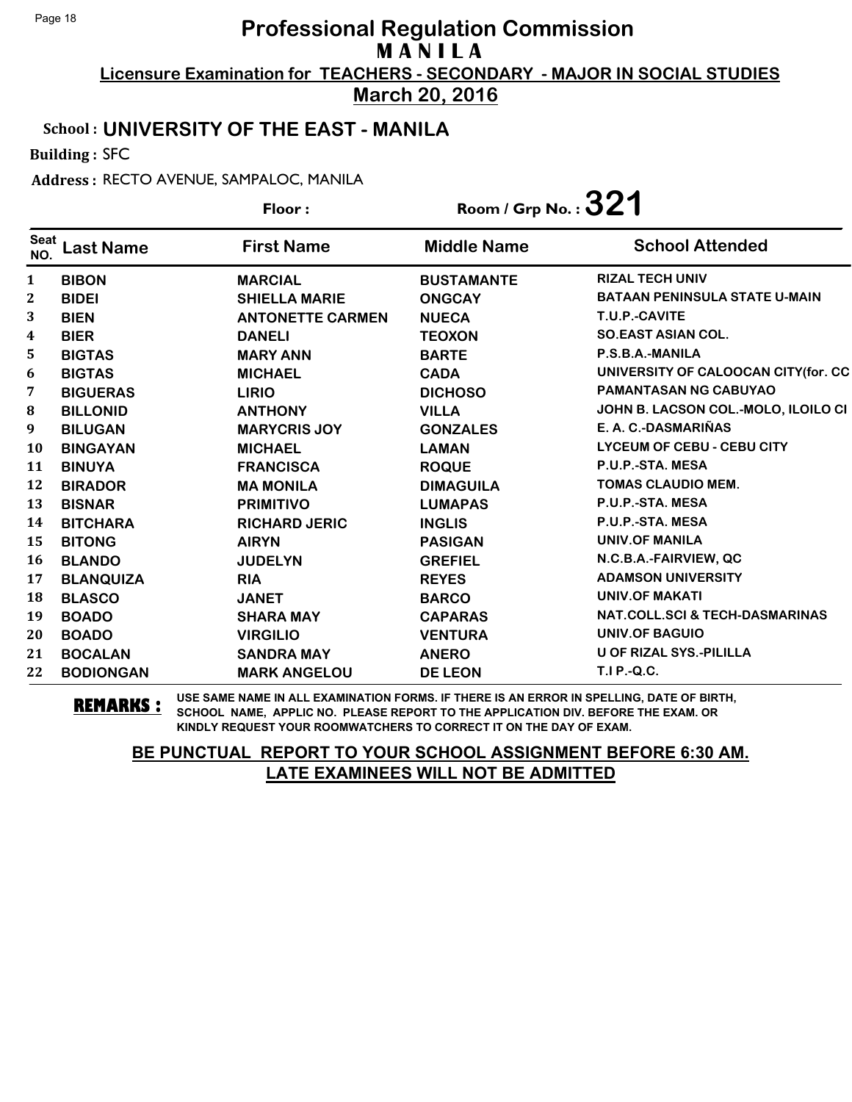**March 20, 2016**

#### School : **UNIVERSITY OF THE EAST - MANILA**

Building : SFC

Address : RECTO AVENUE, SAMPALOC, MANILA

|                    |                  | Floor:                  | Room / Grp No. : $321$ |                                           |
|--------------------|------------------|-------------------------|------------------------|-------------------------------------------|
| <b>Seat</b><br>NO. | <b>Last Name</b> | <b>First Name</b>       | <b>Middle Name</b>     | <b>School Attended</b>                    |
| $\mathbf{1}$       | <b>BIBON</b>     | <b>MARCIAL</b>          | <b>BUSTAMANTE</b>      | <b>RIZAL TECH UNIV</b>                    |
| 2                  | <b>BIDEI</b>     | <b>SHIELLA MARIE</b>    | <b>ONGCAY</b>          | <b>BATAAN PENINSULA STATE U-MAIN</b>      |
| 3                  | <b>BIEN</b>      | <b>ANTONETTE CARMEN</b> | <b>NUECA</b>           | T.U.P.-CAVITE                             |
| 4                  | <b>BIER</b>      | <b>DANELI</b>           | <b>TEOXON</b>          | <b>SO.EAST ASIAN COL.</b>                 |
| 5                  | <b>BIGTAS</b>    | <b>MARY ANN</b>         | <b>BARTE</b>           | P.S.B.A.-MANILA                           |
| 6                  | <b>BIGTAS</b>    | <b>MICHAEL</b>          | <b>CADA</b>            | UNIVERSITY OF CALOOCAN CITY(for. CC       |
| 7                  | <b>BIGUERAS</b>  | <b>LIRIO</b>            | <b>DICHOSO</b>         | PAMANTASAN NG CABUYAO                     |
| 8                  | <b>BILLONID</b>  | <b>ANTHONY</b>          | <b>VILLA</b>           | JOHN B. LACSON COL.-MOLO, ILOILO CI       |
| $\boldsymbol{9}$   | <b>BILUGAN</b>   | <b>MARYCRIS JOY</b>     | <b>GONZALES</b>        | E. A. C.-DASMARIÑAS                       |
| <b>10</b>          | <b>BINGAYAN</b>  | <b>MICHAEL</b>          | <b>LAMAN</b>           | <b>LYCEUM OF CEBU - CEBU CITY</b>         |
| 11                 | <b>BINUYA</b>    | <b>FRANCISCA</b>        | <b>ROQUE</b>           | P.U.P.-STA. MESA                          |
| 12                 | <b>BIRADOR</b>   | <b>MA MONILA</b>        | <b>DIMAGUILA</b>       | <b>TOMAS CLAUDIO MEM.</b>                 |
| 13                 | <b>BISNAR</b>    | <b>PRIMITIVO</b>        | <b>LUMAPAS</b>         | P.U.P.-STA. MESA                          |
| 14                 | <b>BITCHARA</b>  | <b>RICHARD JERIC</b>    | <b>INGLIS</b>          | P.U.P.-STA. MESA                          |
| 15                 | <b>BITONG</b>    | <b>AIRYN</b>            | <b>PASIGAN</b>         | <b>UNIV.OF MANILA</b>                     |
| <b>16</b>          | <b>BLANDO</b>    | <b>JUDELYN</b>          | <b>GREFIEL</b>         | N.C.B.A.-FAIRVIEW, QC                     |
| 17                 | <b>BLANQUIZA</b> | <b>RIA</b>              | <b>REYES</b>           | <b>ADAMSON UNIVERSITY</b>                 |
| 18                 | <b>BLASCO</b>    | <b>JANET</b>            | <b>BARCO</b>           | <b>UNIV.OF MAKATI</b>                     |
| 19                 | <b>BOADO</b>     | <b>SHARA MAY</b>        | <b>CAPARAS</b>         | <b>NAT.COLL.SCI &amp; TECH-DASMARINAS</b> |
| 20                 | <b>BOADO</b>     | <b>VIRGILIO</b>         | <b>VENTURA</b>         | UNIV.OF BAGUIO                            |
| 21                 | <b>BOCALAN</b>   | <b>SANDRA MAY</b>       | <b>ANERO</b>           | U OF RIZAL SYS.-PILILLA                   |
| 22                 | <b>BODIONGAN</b> | <b>MARK ANGELOU</b>     | <b>DE LEON</b>         | T.I P.-Q.C.                               |

**REMARKS :** USE SAME NAME IN ALL EXAMINATION FORMS. IF THERE IS AN ERROR IN SPELLING, DATE OF BIRTH, SCHOOL NAME, APPLIC NO. PLEASE REPORT TO THE APPLICATION DIV. BEFORE THE EXAM. OR KINDLY REQUEST YOUR ROOMWATCHERS TO CORRECT IT ON THE DAY OF EXAM.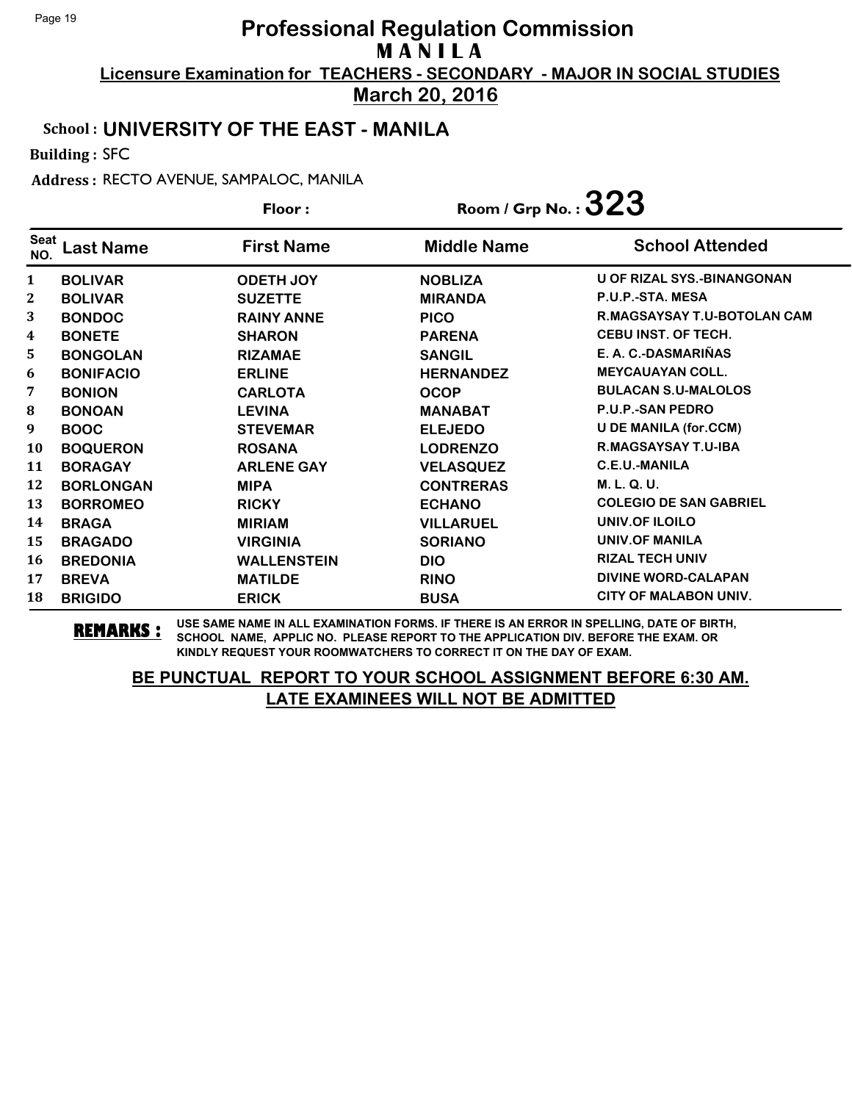**March 20, 2016**

#### School : **UNIVERSITY OF THE EAST - MANILA**

Building : SFC

Address : RECTO AVENUE, SAMPALOC, MANILA

|             | Floor:           |                    | Room / Grp No.: $323$ |                                    |
|-------------|------------------|--------------------|-----------------------|------------------------------------|
| Seat<br>NO. | Last Name        | <b>First Name</b>  | <b>Middle Name</b>    | <b>School Attended</b>             |
| 1           | <b>BOLIVAR</b>   | <b>ODETH JOY</b>   | <b>NOBLIZA</b>        | <b>U OF RIZAL SYS.-BINANGONAN</b>  |
| 2           | <b>BOLIVAR</b>   | <b>SUZETTE</b>     | <b>MIRANDA</b>        | P.U.P.-STA, MESA                   |
| 3           | <b>BONDOC</b>    | <b>RAINY ANNE</b>  | <b>PICO</b>           | <b>R.MAGSAYSAY T.U-BOTOLAN CAM</b> |
| 4           | <b>BONETE</b>    | <b>SHARON</b>      | <b>PARENA</b>         | <b>CEBU INST. OF TECH.</b>         |
| 5           | <b>BONGOLAN</b>  | <b>RIZAMAE</b>     | <b>SANGIL</b>         | E. A. C.-DASMARIÑAS                |
| 6           | <b>BONIFACIO</b> | <b>ERLINE</b>      | <b>HERNANDEZ</b>      | <b>MEYCAUAYAN COLL.</b>            |
| 7           | <b>BONION</b>    | <b>CARLOTA</b>     | <b>OCOP</b>           | <b>BULACAN S.U-MALOLOS</b>         |
| 8           | <b>BONOAN</b>    | <b>LEVINA</b>      | <b>MANABAT</b>        | <b>P.U.P.-SAN PEDRO</b>            |
| 9           | <b>BOOC</b>      | <b>STEVEMAR</b>    | <b>ELEJEDO</b>        | <b>U DE MANILA (for.CCM)</b>       |
| 10          | <b>BOQUERON</b>  | <b>ROSANA</b>      | <b>LODRENZO</b>       | <b>R.MAGSAYSAY T.U-IBA</b>         |
| 11          | <b>BORAGAY</b>   | <b>ARLENE GAY</b>  | <b>VELASQUEZ</b>      | C.E.U.-MANILA                      |
| 12          | <b>BORLONGAN</b> | <b>MIPA</b>        | <b>CONTRERAS</b>      | M. L. Q. U.                        |
| 13          | <b>BORROMEO</b>  | <b>RICKY</b>       | <b>ECHANO</b>         | <b>COLEGIO DE SAN GABRIEL</b>      |
| 14          | <b>BRAGA</b>     | <b>MIRIAM</b>      | <b>VILLARUEL</b>      | UNIV.OF ILOILO                     |
| 15          | <b>BRAGADO</b>   | <b>VIRGINIA</b>    | <b>SORIANO</b>        | <b>UNIV.OF MANILA</b>              |
| 16          | <b>BREDONIA</b>  | <b>WALLENSTEIN</b> | <b>DIO</b>            | <b>RIZAL TECH UNIV</b>             |
| 17          | <b>BREVA</b>     | <b>MATILDE</b>     | <b>RINO</b>           | <b>DIVINE WORD-CALAPAN</b>         |
| 18          | <b>BRIGIDO</b>   | <b>ERICK</b>       | <b>BUSA</b>           | CITY OF MALABON UNIV.              |

**REMARKS :** USE SAME NAME IN ALL EXAMINATION FORMS. IF THERE IS AN ERROR IN SPELLING, DATE OF BIRTH, SCHOOL NAME, APPLIC NO. PLEASE REPORT TO THE APPLICATION DIV. BEFORE THE EXAM. OR KINDLY REQUEST YOUR ROOMWATCHERS TO CORRECT IT ON THE DAY OF EXAM.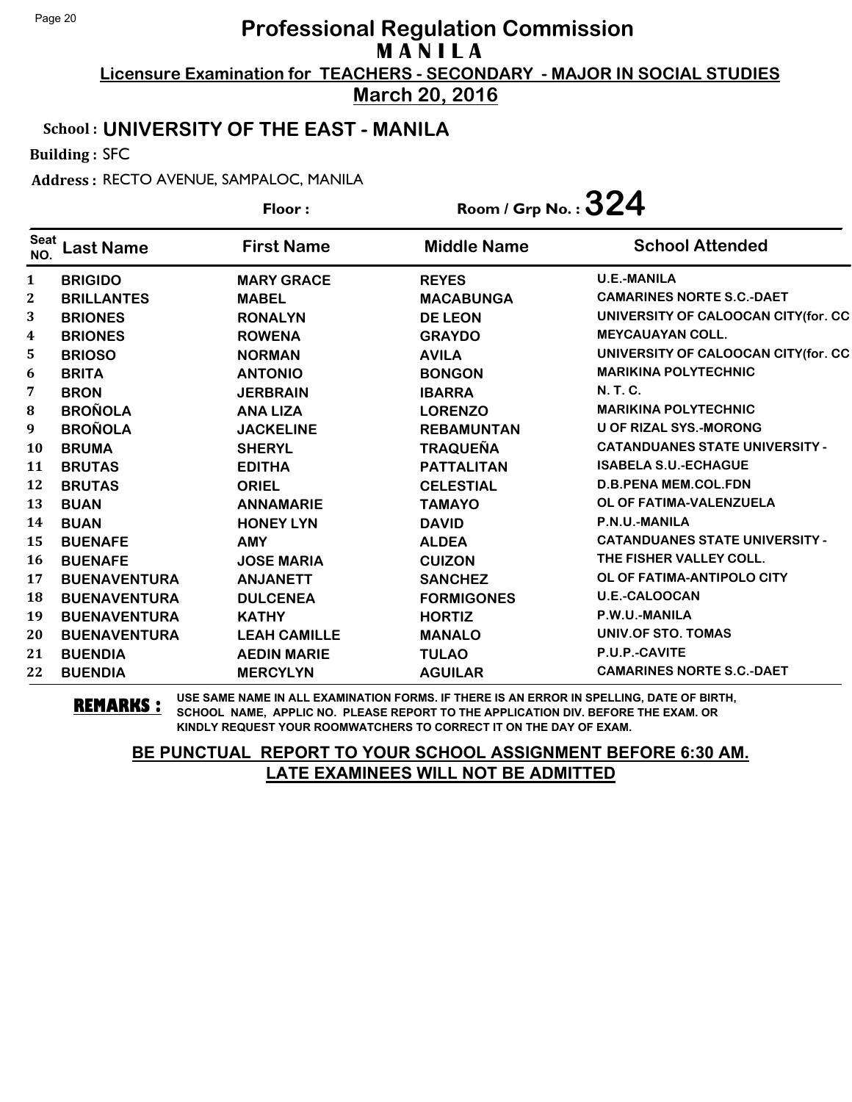**March 20, 2016**

#### School : **UNIVERSITY OF THE EAST - MANILA**

Building : SFC

Address : RECTO AVENUE, SAMPALOC, MANILA

|                    |                     | Floor:              | Room / Grp No. : $324$ |                                       |
|--------------------|---------------------|---------------------|------------------------|---------------------------------------|
| <b>Seat</b><br>NO. | <b>Last Name</b>    | <b>First Name</b>   | <b>Middle Name</b>     | <b>School Attended</b>                |
| $\mathbf{1}$       | <b>BRIGIDO</b>      | <b>MARY GRACE</b>   | <b>REYES</b>           | <b>U.E.-MANILA</b>                    |
| 2                  | <b>BRILLANTES</b>   | <b>MABEL</b>        | <b>MACABUNGA</b>       | <b>CAMARINES NORTE S.C.-DAET</b>      |
| 3                  | <b>BRIONES</b>      | <b>RONALYN</b>      | <b>DE LEON</b>         | UNIVERSITY OF CALOOCAN CITY(for. CC   |
| $\boldsymbol{4}$   | <b>BRIONES</b>      | <b>ROWENA</b>       | <b>GRAYDO</b>          | <b>MEYCAUAYAN COLL.</b>               |
| 5                  | <b>BRIOSO</b>       | <b>NORMAN</b>       | <b>AVILA</b>           | UNIVERSITY OF CALOOCAN CITY(for. CC   |
| 6                  | <b>BRITA</b>        | <b>ANTONIO</b>      | <b>BONGON</b>          | <b>MARIKINA POLYTECHNIC</b>           |
| 7                  | <b>BRON</b>         | <b>JERBRAIN</b>     | <b>IBARRA</b>          | N. T. C.                              |
| ${\bf 8}$          | <b>BROÑOLA</b>      | <b>ANA LIZA</b>     | <b>LORENZO</b>         | <b>MARIKINA POLYTECHNIC</b>           |
| 9                  | <b>BROÑOLA</b>      | <b>JACKELINE</b>    | <b>REBAMUNTAN</b>      | <b>U OF RIZAL SYS.-MORONG</b>         |
| 10                 | <b>BRUMA</b>        | <b>SHERYL</b>       | <b>TRAQUEÑA</b>        | <b>CATANDUANES STATE UNIVERSITY -</b> |
| 11                 | <b>BRUTAS</b>       | <b>EDITHA</b>       | <b>PATTALITAN</b>      | <b>ISABELA S.U.-ECHAGUE</b>           |
| 12                 | <b>BRUTAS</b>       | <b>ORIEL</b>        | <b>CELESTIAL</b>       | <b>D.B.PENA MEM.COL.FDN</b>           |
| 13                 | <b>BUAN</b>         | <b>ANNAMARIE</b>    | <b>TAMAYO</b>          | OL OF FATIMA-VALENZUELA               |
| 14                 | <b>BUAN</b>         | <b>HONEY LYN</b>    | <b>DAVID</b>           | P.N.U.-MANILA                         |
| 15                 | <b>BUENAFE</b>      | <b>AMY</b>          | <b>ALDEA</b>           | <b>CATANDUANES STATE UNIVERSITY -</b> |
| <b>16</b>          | <b>BUENAFE</b>      | <b>JOSE MARIA</b>   | <b>CUIZON</b>          | THE FISHER VALLEY COLL.               |
| 17                 | <b>BUENAVENTURA</b> | <b>ANJANETT</b>     | <b>SANCHEZ</b>         | OL OF FATIMA-ANTIPOLO CITY            |
| 18                 | <b>BUENAVENTURA</b> | <b>DULCENEA</b>     | <b>FORMIGONES</b>      | <b>U.E.-CALOOCAN</b>                  |
| 19                 | <b>BUENAVENTURA</b> | <b>KATHY</b>        | <b>HORTIZ</b>          | P.W.U.-MANILA                         |
| 20                 | <b>BUENAVENTURA</b> | <b>LEAH CAMILLE</b> | <b>MANALO</b>          | UNIV.OF STO. TOMAS                    |
| 21                 | <b>BUENDIA</b>      | <b>AEDIN MARIE</b>  | <b>TULAO</b>           | P.U.P.-CAVITE                         |
| 22                 | <b>BUENDIA</b>      | <b>MERCYLYN</b>     | <b>AGUILAR</b>         | <b>CAMARINES NORTE S.C.-DAET</b>      |

**REMARKS :** USE SAME NAME IN ALL EXAMINATION FORMS. IF THERE IS AN ERROR IN SPELLING, DATE OF BIRTH, SCHOOL NAME, APPLIC NO. PLEASE REPORT TO THE APPLICATION DIV. BEFORE THE EXAM. OR KINDLY REQUEST YOUR ROOMWATCHERS TO CORRECT IT ON THE DAY OF EXAM.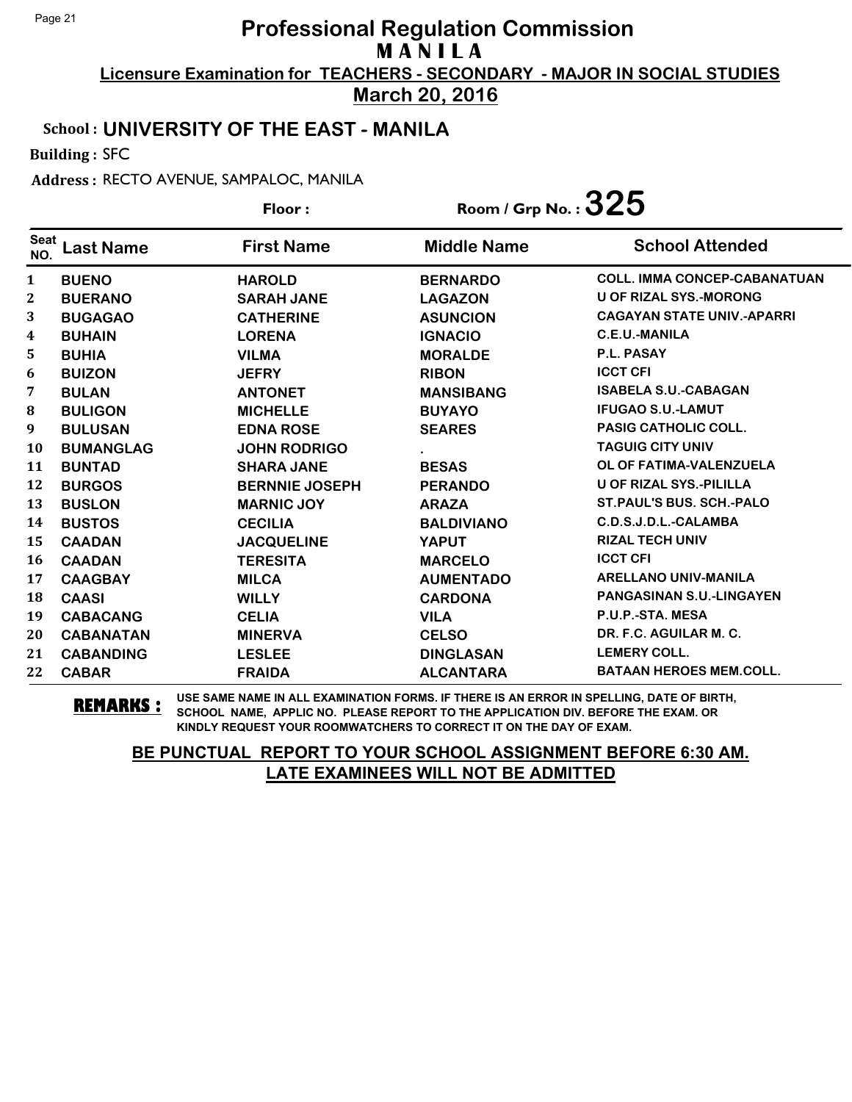**March 20, 2016**

#### School : **UNIVERSITY OF THE EAST - MANILA**

Building : SFC

Address : RECTO AVENUE, SAMPALOC, MANILA

|                    |                  | Floor:                | Room / Grp No. : $325$ |                                     |
|--------------------|------------------|-----------------------|------------------------|-------------------------------------|
| <b>Seat</b><br>NO. | <b>Last Name</b> | <b>First Name</b>     | <b>Middle Name</b>     | <b>School Attended</b>              |
| 1                  | <b>BUENO</b>     | <b>HAROLD</b>         | <b>BERNARDO</b>        | <b>COLL. IMMA CONCEP-CABANATUAN</b> |
| 2                  | <b>BUERANO</b>   | <b>SARAH JANE</b>     | <b>LAGAZON</b>         | <b>U OF RIZAL SYS.-MORONG</b>       |
| 3                  | <b>BUGAGAO</b>   | <b>CATHERINE</b>      | <b>ASUNCION</b>        | <b>CAGAYAN STATE UNIV.-APARRI</b>   |
| 4                  | <b>BUHAIN</b>    | <b>LORENA</b>         | <b>IGNACIO</b>         | <b>C.E.U.-MANILA</b>                |
| 5                  | <b>BUHIA</b>     | <b>VILMA</b>          | <b>MORALDE</b>         | P.L. PASAY                          |
| 6                  | <b>BUIZON</b>    | <b>JEFRY</b>          | <b>RIBON</b>           | <b>ICCT CFI</b>                     |
| 7                  | <b>BULAN</b>     | <b>ANTONET</b>        | <b>MANSIBANG</b>       | <b>ISABELA S.U.-CABAGAN</b>         |
| 8                  | <b>BULIGON</b>   | <b>MICHELLE</b>       | <b>BUYAYO</b>          | <b>IFUGAO S.U.-LAMUT</b>            |
| 9                  | <b>BULUSAN</b>   | <b>EDNA ROSE</b>      | <b>SEARES</b>          | <b>PASIG CATHOLIC COLL.</b>         |
| <b>10</b>          | <b>BUMANGLAG</b> | <b>JOHN RODRIGO</b>   |                        | <b>TAGUIG CITY UNIV</b>             |
| 11                 | <b>BUNTAD</b>    | <b>SHARA JANE</b>     | <b>BESAS</b>           | OL OF FATIMA-VALENZUELA             |
| 12                 | <b>BURGOS</b>    | <b>BERNNIE JOSEPH</b> | <b>PERANDO</b>         | <b>U OF RIZAL SYS.-PILILLA</b>      |
| 13                 | <b>BUSLON</b>    | <b>MARNIC JOY</b>     | <b>ARAZA</b>           | <b>ST. PAUL'S BUS. SCH.-PALO</b>    |
| 14                 | <b>BUSTOS</b>    | <b>CECILIA</b>        | <b>BALDIVIANO</b>      | C.D.S.J.D.L.-CALAMBA                |
| 15                 | <b>CAADAN</b>    | <b>JACQUELINE</b>     | <b>YAPUT</b>           | <b>RIZAL TECH UNIV</b>              |
| 16                 | <b>CAADAN</b>    | <b>TERESITA</b>       | <b>MARCELO</b>         | <b>ICCT CFI</b>                     |
| 17                 | <b>CAAGBAY</b>   | <b>MILCA</b>          | <b>AUMENTADO</b>       | <b>ARELLANO UNIV-MANILA</b>         |
| 18                 | <b>CAASI</b>     | <b>WILLY</b>          | <b>CARDONA</b>         | <b>PANGASINAN S.U.-LINGAYEN</b>     |
| 19                 | <b>CABACANG</b>  | <b>CELIA</b>          | <b>VILA</b>            | P.U.P.-STA. MESA                    |
| 20                 | <b>CABANATAN</b> | <b>MINERVA</b>        | <b>CELSO</b>           | DR. F.C. AGUILAR M. C.              |
| 21                 | <b>CABANDING</b> | <b>LESLEE</b>         | <b>DINGLASAN</b>       | <b>LEMERY COLL.</b>                 |
| 22                 | <b>CABAR</b>     | <b>FRAIDA</b>         | <b>ALCANTARA</b>       | <b>BATAAN HEROES MEM.COLL.</b>      |

**REMARKS :** USE SAME NAME IN ALL EXAMINATION FORMS. IF THERE IS AN ERROR IN SPELLING, DATE OF BIRTH, SCHOOL NAME, APPLIC NO. PLEASE REPORT TO THE APPLICATION DIV. BEFORE THE EXAM. OR KINDLY REQUEST YOUR ROOMWATCHERS TO CORRECT IT ON THE DAY OF EXAM.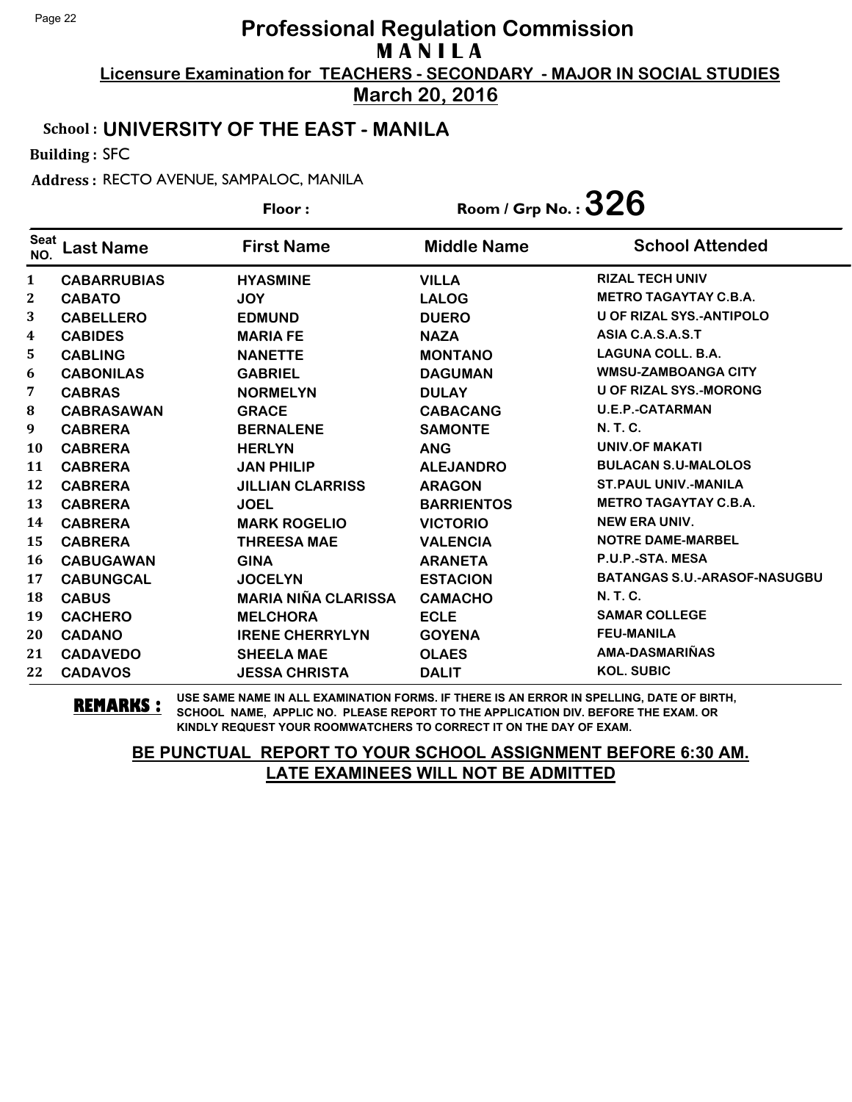**March 20, 2016**

#### School : **UNIVERSITY OF THE EAST - MANILA**

Building : SFC

Address : RECTO AVENUE, SAMPALOC, MANILA

|                    |                    | Floor:                     | Room / Grp No. : $326$ |                                     |
|--------------------|--------------------|----------------------------|------------------------|-------------------------------------|
| <b>Seat</b><br>NO. | <b>Last Name</b>   | <b>First Name</b>          | <b>Middle Name</b>     | <b>School Attended</b>              |
| $\mathbf{1}$       | <b>CABARRUBIAS</b> | <b>HYASMINE</b>            | <b>VILLA</b>           | <b>RIZAL TECH UNIV</b>              |
| 2                  | <b>CABATO</b>      | <b>JOY</b>                 | <b>LALOG</b>           | <b>METRO TAGAYTAY C.B.A.</b>        |
| 3                  | <b>CABELLERO</b>   | <b>EDMUND</b>              | <b>DUERO</b>           | <b>U OF RIZAL SYS.-ANTIPOLO</b>     |
| 4                  | <b>CABIDES</b>     | <b>MARIA FE</b>            | <b>NAZA</b>            | ASIA C.A.S.A.S.T                    |
| 5                  | <b>CABLING</b>     | <b>NANETTE</b>             | <b>MONTANO</b>         | <b>LAGUNA COLL. B.A.</b>            |
| 6                  | <b>CABONILAS</b>   | <b>GABRIEL</b>             | <b>DAGUMAN</b>         | <b>WMSU-ZAMBOANGA CITY</b>          |
| 7                  | <b>CABRAS</b>      | <b>NORMELYN</b>            | <b>DULAY</b>           | <b>U OF RIZAL SYS.-MORONG</b>       |
| 8                  | <b>CABRASAWAN</b>  | <b>GRACE</b>               | <b>CABACANG</b>        | <b>U.E.P.-CATARMAN</b>              |
| 9                  | <b>CABRERA</b>     | <b>BERNALENE</b>           | <b>SAMONTE</b>         | <b>N.T.C.</b>                       |
| 10                 | <b>CABRERA</b>     | <b>HERLYN</b>              | <b>ANG</b>             | <b>UNIV.OF MAKATI</b>               |
| 11                 | <b>CABRERA</b>     | <b>JAN PHILIP</b>          | <b>ALEJANDRO</b>       | <b>BULACAN S.U-MALOLOS</b>          |
| 12                 | <b>CABRERA</b>     | <b>JILLIAN CLARRISS</b>    | <b>ARAGON</b>          | <b>ST. PAUL UNIV.-MANILA</b>        |
| 13                 | <b>CABRERA</b>     | <b>JOEL</b>                | <b>BARRIENTOS</b>      | <b>METRO TAGAYTAY C.B.A.</b>        |
| 14                 | <b>CABRERA</b>     | <b>MARK ROGELIO</b>        | <b>VICTORIO</b>        | <b>NEW ERA UNIV.</b>                |
| 15                 | <b>CABRERA</b>     | <b>THREESA MAE</b>         | <b>VALENCIA</b>        | <b>NOTRE DAME-MARBEL</b>            |
| 16                 | <b>CABUGAWAN</b>   | <b>GINA</b>                | <b>ARANETA</b>         | P.U.P.-STA. MESA                    |
| 17                 | <b>CABUNGCAL</b>   | <b>JOCELYN</b>             | <b>ESTACION</b>        | <b>BATANGAS S.U.-ARASOF-NASUGBU</b> |
| 18                 | <b>CABUS</b>       | <b>MARIA NIÑA CLARISSA</b> | <b>CAMACHO</b>         | <b>N.T.C.</b>                       |
| 19                 | <b>CACHERO</b>     | <b>MELCHORA</b>            | <b>ECLE</b>            | <b>SAMAR COLLEGE</b>                |
| 20                 | <b>CADANO</b>      | <b>IRENE CHERRYLYN</b>     | <b>GOYENA</b>          | <b>FEU-MANILA</b>                   |
| 21                 | <b>CADAVEDO</b>    | <b>SHEELA MAE</b>          | <b>OLAES</b>           | AMA-DASMARIÑAS                      |
| 22                 | <b>CADAVOS</b>     | <b>JESSA CHRISTA</b>       | <b>DALIT</b>           | <b>KOL. SUBIC</b>                   |

**REMARKS :** USE SAME NAME IN ALL EXAMINATION FORMS. IF THERE IS AN ERROR IN SPELLING, DATE OF BIRTH, SCHOOL NAME, APPLIC NO. PLEASE REPORT TO THE APPLICATION DIV. BEFORE THE EXAM. OR KINDLY REQUEST YOUR ROOMWATCHERS TO CORRECT IT ON THE DAY OF EXAM.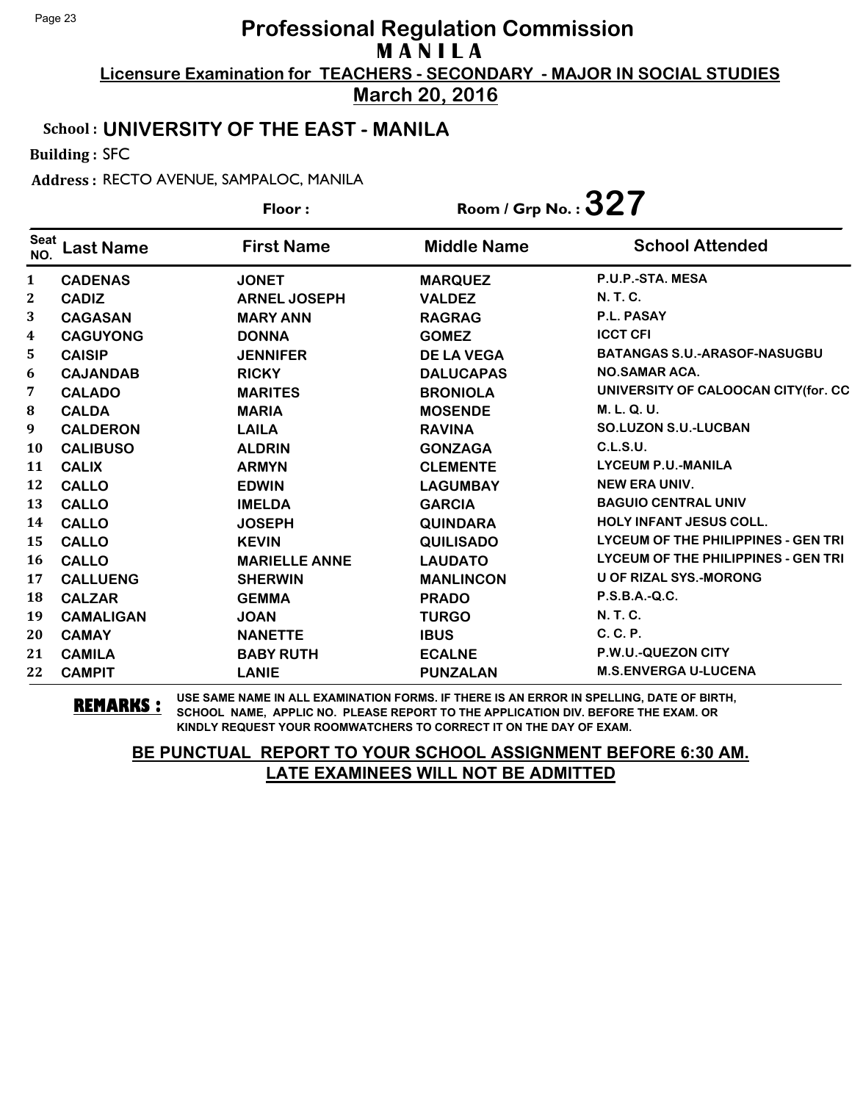**March 20, 2016**

#### School : **UNIVERSITY OF THE EAST - MANILA**

Building : SFC

Address : RECTO AVENUE, SAMPALOC, MANILA

|                    |                  | Floor:               | Room / Grp No. : $327$ |                                     |
|--------------------|------------------|----------------------|------------------------|-------------------------------------|
| <b>Seat</b><br>NO. | <b>Last Name</b> | <b>First Name</b>    | <b>Middle Name</b>     | <b>School Attended</b>              |
| $\mathbf{1}$       | <b>CADENAS</b>   | <b>JONET</b>         | <b>MARQUEZ</b>         | P.U.P.-STA. MESA                    |
| $\mathbf{2}$       | <b>CADIZ</b>     | <b>ARNEL JOSEPH</b>  | <b>VALDEZ</b>          | N. T. C.                            |
| 3                  | <b>CAGASAN</b>   | <b>MARY ANN</b>      | <b>RAGRAG</b>          | P.L. PASAY                          |
| $\boldsymbol{4}$   | <b>CAGUYONG</b>  | <b>DONNA</b>         | <b>GOMEZ</b>           | <b>ICCT CFI</b>                     |
| 5.                 | <b>CAISIP</b>    | <b>JENNIFER</b>      | <b>DE LA VEGA</b>      | <b>BATANGAS S.U.-ARASOF-NASUGBU</b> |
| 6                  | <b>CAJANDAB</b>  | <b>RICKY</b>         | <b>DALUCAPAS</b>       | <b>NO.SAMAR ACA.</b>                |
| 7                  | <b>CALADO</b>    | <b>MARITES</b>       | <b>BRONIOLA</b>        | UNIVERSITY OF CALOOCAN CITY(for. CC |
| ${\bf 8}$          | <b>CALDA</b>     | <b>MARIA</b>         | <b>MOSENDE</b>         | M. L. Q. U.                         |
| 9                  | <b>CALDERON</b>  | <b>LAILA</b>         | <b>RAVINA</b>          | <b>SO.LUZON S.U.-LUCBAN</b>         |
| <b>10</b>          | <b>CALIBUSO</b>  | <b>ALDRIN</b>        | <b>GONZAGA</b>         | C.L.S.U.                            |
| 11                 | <b>CALIX</b>     | <b>ARMYN</b>         | <b>CLEMENTE</b>        | <b>LYCEUM P.U.-MANILA</b>           |
| 12                 | <b>CALLO</b>     | <b>EDWIN</b>         | <b>LAGUMBAY</b>        | <b>NEW ERA UNIV.</b>                |
| 13                 | <b>CALLO</b>     | <b>IMELDA</b>        | <b>GARCIA</b>          | <b>BAGUIO CENTRAL UNIV</b>          |
| 14                 | <b>CALLO</b>     | <b>JOSEPH</b>        | <b>QUINDARA</b>        | <b>HOLY INFANT JESUS COLL.</b>      |
| 15                 | <b>CALLO</b>     | <b>KEVIN</b>         | <b>QUILISADO</b>       | LYCEUM OF THE PHILIPPINES - GEN TRI |
| <b>16</b>          | <b>CALLO</b>     | <b>MARIELLE ANNE</b> | <b>LAUDATO</b>         | LYCEUM OF THE PHILIPPINES - GEN TRI |
| 17                 | <b>CALLUENG</b>  | <b>SHERWIN</b>       | <b>MANLINCON</b>       | <b>U OF RIZAL SYS.-MORONG</b>       |
| 18                 | <b>CALZAR</b>    | <b>GEMMA</b>         | <b>PRADO</b>           | $P.S.B.A.-Q.C.$                     |
| 19                 | <b>CAMALIGAN</b> | <b>JOAN</b>          | <b>TURGO</b>           | N. T. C.                            |
| 20                 | <b>CAMAY</b>     | <b>NANETTE</b>       | <b>IBUS</b>            | C. C. P.                            |
| 21                 | <b>CAMILA</b>    | <b>BABY RUTH</b>     | <b>ECALNE</b>          | P.W.U.-QUEZON CITY                  |
| 22                 | <b>CAMPIT</b>    | <b>LANIE</b>         | <b>PUNZALAN</b>        | <b>M.S.ENVERGA U-LUCENA</b>         |

**REMARKS :** USE SAME NAME IN ALL EXAMINATION FORMS. IF THERE IS AN ERROR IN SPELLING, DATE OF BIRTH, SCHOOL NAME, APPLIC NO. PLEASE REPORT TO THE APPLICATION DIV. BEFORE THE EXAM. OR KINDLY REQUEST YOUR ROOMWATCHERS TO CORRECT IT ON THE DAY OF EXAM.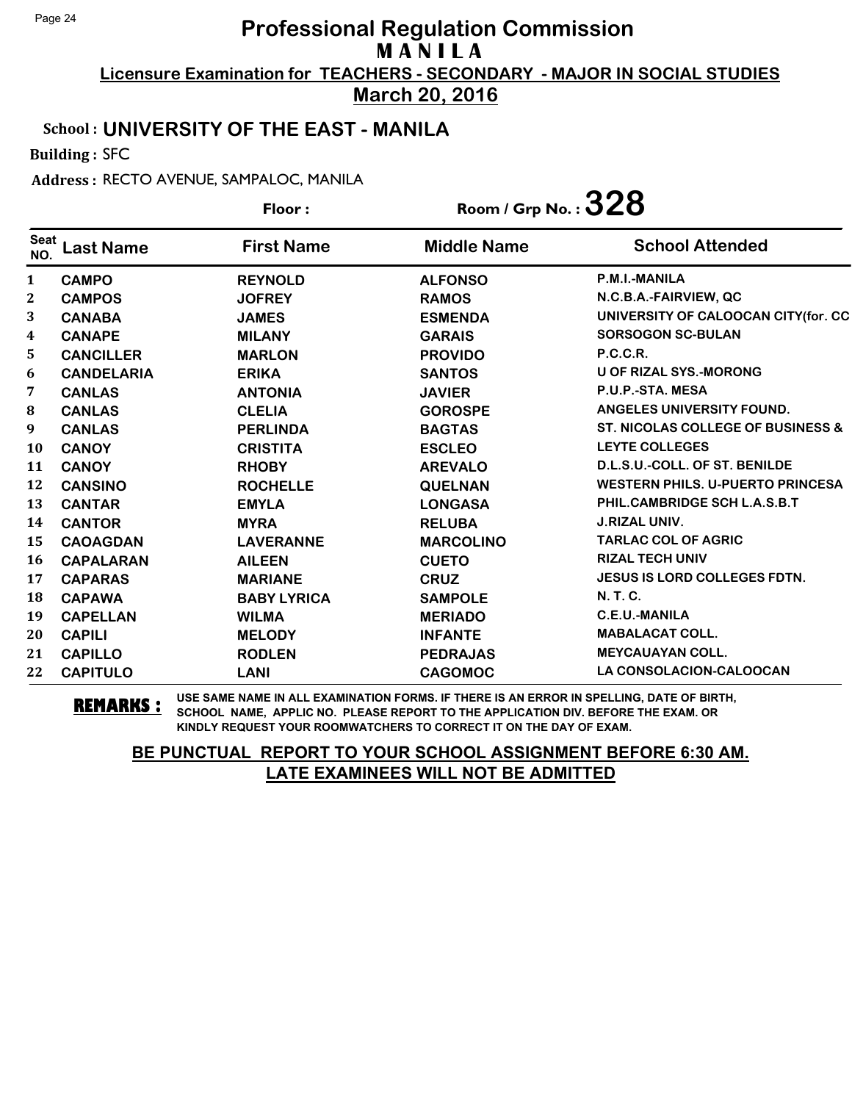**March 20, 2016**

#### School : **UNIVERSITY OF THE EAST - MANILA**

Building : SFC

Address : RECTO AVENUE, SAMPALOC, MANILA

|             |                   | Floor:             | Room / Grp No. : $328$ |                                              |
|-------------|-------------------|--------------------|------------------------|----------------------------------------------|
| Seat<br>NO. | <b>Last Name</b>  | <b>First Name</b>  | <b>Middle Name</b>     | <b>School Attended</b>                       |
| 1           | <b>CAMPO</b>      | <b>REYNOLD</b>     | <b>ALFONSO</b>         | P.M.I.-MANILA                                |
| 2           | <b>CAMPOS</b>     | <b>JOFREY</b>      | <b>RAMOS</b>           | N.C.B.A.-FAIRVIEW, QC                        |
| 3           | <b>CANABA</b>     | <b>JAMES</b>       | <b>ESMENDA</b>         | UNIVERSITY OF CALOOCAN CITY(for. CC          |
| 4           | <b>CANAPE</b>     | <b>MILANY</b>      | <b>GARAIS</b>          | <b>SORSOGON SC-BULAN</b>                     |
| 5           | <b>CANCILLER</b>  | <b>MARLON</b>      | <b>PROVIDO</b>         | <b>P.C.C.R.</b>                              |
| 6           | <b>CANDELARIA</b> | <b>ERIKA</b>       | <b>SANTOS</b>          | <b>U OF RIZAL SYS.-MORONG</b>                |
| 7           | <b>CANLAS</b>     | <b>ANTONIA</b>     | <b>JAVIER</b>          | P.U.P.-STA. MESA                             |
| 8           | <b>CANLAS</b>     | <b>CLELIA</b>      | <b>GOROSPE</b>         | ANGELES UNIVERSITY FOUND.                    |
| 9           | <b>CANLAS</b>     | <b>PERLINDA</b>    | <b>BAGTAS</b>          | <b>ST. NICOLAS COLLEGE OF BUSINESS &amp;</b> |
| <b>10</b>   | <b>CANOY</b>      | <b>CRISTITA</b>    | <b>ESCLEO</b>          | <b>LEYTE COLLEGES</b>                        |
| 11          | <b>CANOY</b>      | <b>RHOBY</b>       | <b>AREVALO</b>         | D.L.S.U.-COLL. OF ST. BENILDE                |
| 12          | <b>CANSINO</b>    | <b>ROCHELLE</b>    | <b>QUELNAN</b>         | <b>WESTERN PHILS, U-PUERTO PRINCESA</b>      |
| 13          | <b>CANTAR</b>     | <b>EMYLA</b>       | <b>LONGASA</b>         | PHIL.CAMBRIDGE SCH L.A.S.B.T                 |
| 14          | <b>CANTOR</b>     | <b>MYRA</b>        | <b>RELUBA</b>          | <b>J.RIZAL UNIV.</b>                         |
| 15          | <b>CAOAGDAN</b>   | <b>LAVERANNE</b>   | <b>MARCOLINO</b>       | <b>TARLAC COL OF AGRIC</b>                   |
| 16          | <b>CAPALARAN</b>  | <b>AILEEN</b>      | <b>CUETO</b>           | <b>RIZAL TECH UNIV</b>                       |
| 17          | <b>CAPARAS</b>    | <b>MARIANE</b>     | <b>CRUZ</b>            | <b>JESUS IS LORD COLLEGES FDTN.</b>          |
| 18          | <b>CAPAWA</b>     | <b>BABY LYRICA</b> | <b>SAMPOLE</b>         | N. T. C.                                     |
| 19          | <b>CAPELLAN</b>   | <b>WILMA</b>       | <b>MERIADO</b>         | C.E.U.-MANILA                                |
| 20          | <b>CAPILI</b>     | <b>MELODY</b>      | <b>INFANTE</b>         | <b>MABALACAT COLL.</b>                       |
| 21          | <b>CAPILLO</b>    | <b>RODLEN</b>      | <b>PEDRAJAS</b>        | <b>MEYCAUAYAN COLL.</b>                      |
| 22          | <b>CAPITULO</b>   | <b>LANI</b>        | <b>CAGOMOC</b>         | LA CONSOLACION-CALOOCAN                      |

**REMARKS :** USE SAME NAME IN ALL EXAMINATION FORMS. IF THERE IS AN ERROR IN SPELLING, DATE OF BIRTH, SCHOOL NAME, APPLIC NO. PLEASE REPORT TO THE APPLICATION DIV. BEFORE THE EXAM. OR KINDLY REQUEST YOUR ROOMWATCHERS TO CORRECT IT ON THE DAY OF EXAM.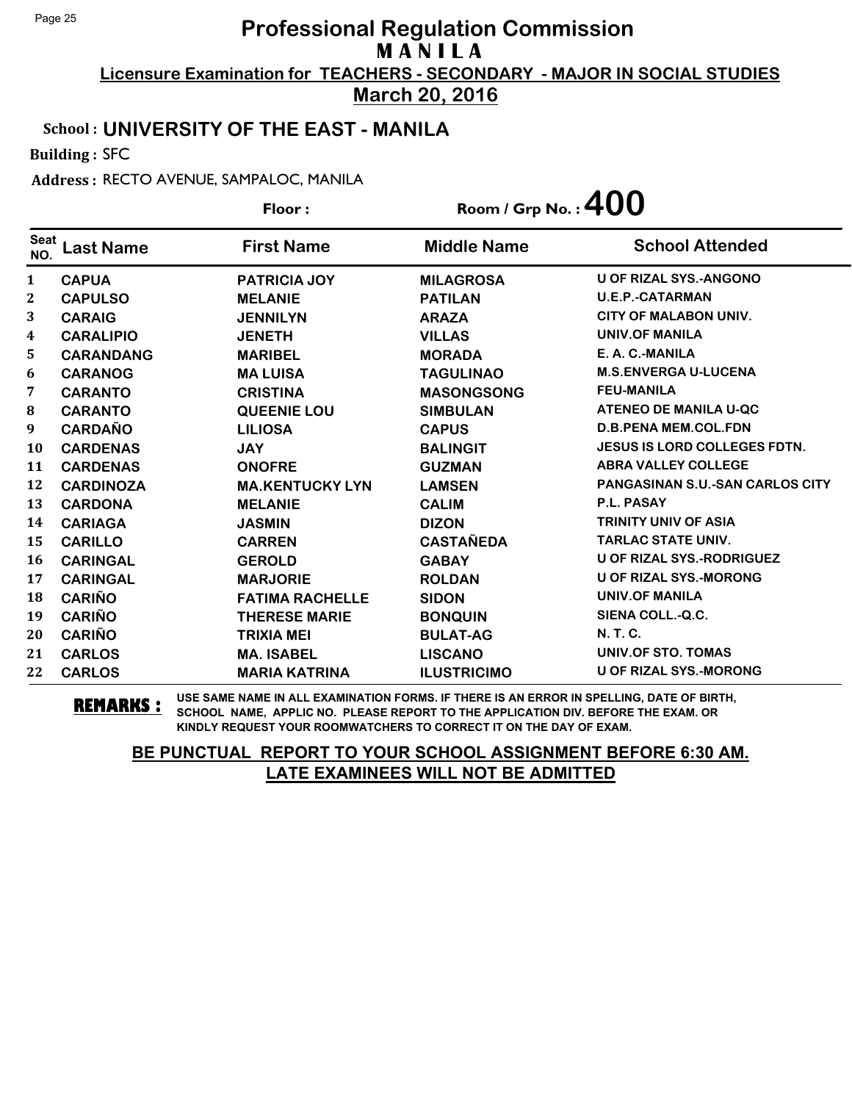**March 20, 2016**

#### School : **UNIVERSITY OF THE EAST - MANILA**

Building : SFC

Address : RECTO AVENUE, SAMPALOC, MANILA

|                    |                  | Floor:                 | Room / Grp No.: $400$ |                                     |
|--------------------|------------------|------------------------|-----------------------|-------------------------------------|
| <b>Seat</b><br>NO. | <b>Last Name</b> | <b>First Name</b>      | <b>Middle Name</b>    | <b>School Attended</b>              |
| 1                  | <b>CAPUA</b>     | <b>PATRICIA JOY</b>    | <b>MILAGROSA</b>      | <b>U OF RIZAL SYS.-ANGONO</b>       |
| $\mathbf 2$        | <b>CAPULSO</b>   | <b>MELANIE</b>         | <b>PATILAN</b>        | <b>U.E.P.-CATARMAN</b>              |
| 3                  | <b>CARAIG</b>    | <b>JENNILYN</b>        | <b>ARAZA</b>          | <b>CITY OF MALABON UNIV.</b>        |
| 4                  | <b>CARALIPIO</b> | <b>JENETH</b>          | <b>VILLAS</b>         | <b>UNIV.OF MANILA</b>               |
| 5                  | <b>CARANDANG</b> | <b>MARIBEL</b>         | <b>MORADA</b>         | E. A. C.-MANILA                     |
| 6                  | <b>CARANOG</b>   | <b>MALUISA</b>         | <b>TAGULINAO</b>      | <b>M.S.ENVERGA U-LUCENA</b>         |
| 7                  | <b>CARANTO</b>   | <b>CRISTINA</b>        | <b>MASONGSONG</b>     | <b>FEU-MANILA</b>                   |
| ${\bf 8}$          | <b>CARANTO</b>   | <b>QUEENIE LOU</b>     | <b>SIMBULAN</b>       | <b>ATENEO DE MANILA U-QC</b>        |
| 9                  | <b>CARDAÑO</b>   | <b>LILIOSA</b>         | <b>CAPUS</b>          | <b>D.B.PENA MEM.COL.FDN</b>         |
| <b>10</b>          | <b>CARDENAS</b>  | <b>JAY</b>             | <b>BALINGIT</b>       | <b>JESUS IS LORD COLLEGES FDTN.</b> |
| 11                 | <b>CARDENAS</b>  | <b>ONOFRE</b>          | <b>GUZMAN</b>         | <b>ABRA VALLEY COLLEGE</b>          |
| 12                 | <b>CARDINOZA</b> | <b>MA.KENTUCKY LYN</b> | <b>LAMSEN</b>         | PANGASINAN S.U.-SAN CARLOS CITY     |
| 13                 | <b>CARDONA</b>   | <b>MELANIE</b>         | <b>CALIM</b>          | <b>P.L. PASAY</b>                   |
| 14                 | <b>CARIAGA</b>   | <b>JASMIN</b>          | <b>DIZON</b>          | <b>TRINITY UNIV OF ASIA</b>         |
| 15                 | <b>CARILLO</b>   | <b>CARREN</b>          | <b>CASTAÑEDA</b>      | <b>TARLAC STATE UNIV.</b>           |
| 16                 | <b>CARINGAL</b>  | <b>GEROLD</b>          | <b>GABAY</b>          | <b>U OF RIZAL SYS.-RODRIGUEZ</b>    |
| 17                 | <b>CARINGAL</b>  | <b>MARJORIE</b>        | <b>ROLDAN</b>         | <b>U OF RIZAL SYS.-MORONG</b>       |
| 18                 | <b>CARIÑO</b>    | <b>FATIMA RACHELLE</b> | <b>SIDON</b>          | <b>UNIV.OF MANILA</b>               |
| 19                 | <b>CARIÑO</b>    | <b>THERESE MARIE</b>   | <b>BONQUIN</b>        | SIENA COLL.-Q.C.                    |
| 20                 | <b>CARIÑO</b>    | <b>TRIXIA MEI</b>      | <b>BULAT-AG</b>       | <b>N.T.C.</b>                       |
| 21                 | <b>CARLOS</b>    | <b>MA. ISABEL</b>      | <b>LISCANO</b>        | <b>UNIV.OF STO. TOMAS</b>           |
| 22                 | <b>CARLOS</b>    | <b>MARIA KATRINA</b>   | <b>ILUSTRICIMO</b>    | <b>U OF RIZAL SYS.-MORONG</b>       |

**REMARKS :** USE SAME NAME IN ALL EXAMINATION FORMS. IF THERE IS AN ERROR IN SPELLING, DATE OF BIRTH, SCHOOL NAME, APPLIC NO. PLEASE REPORT TO THE APPLICATION DIV. BEFORE THE EXAM. OR KINDLY REQUEST YOUR ROOMWATCHERS TO CORRECT IT ON THE DAY OF EXAM.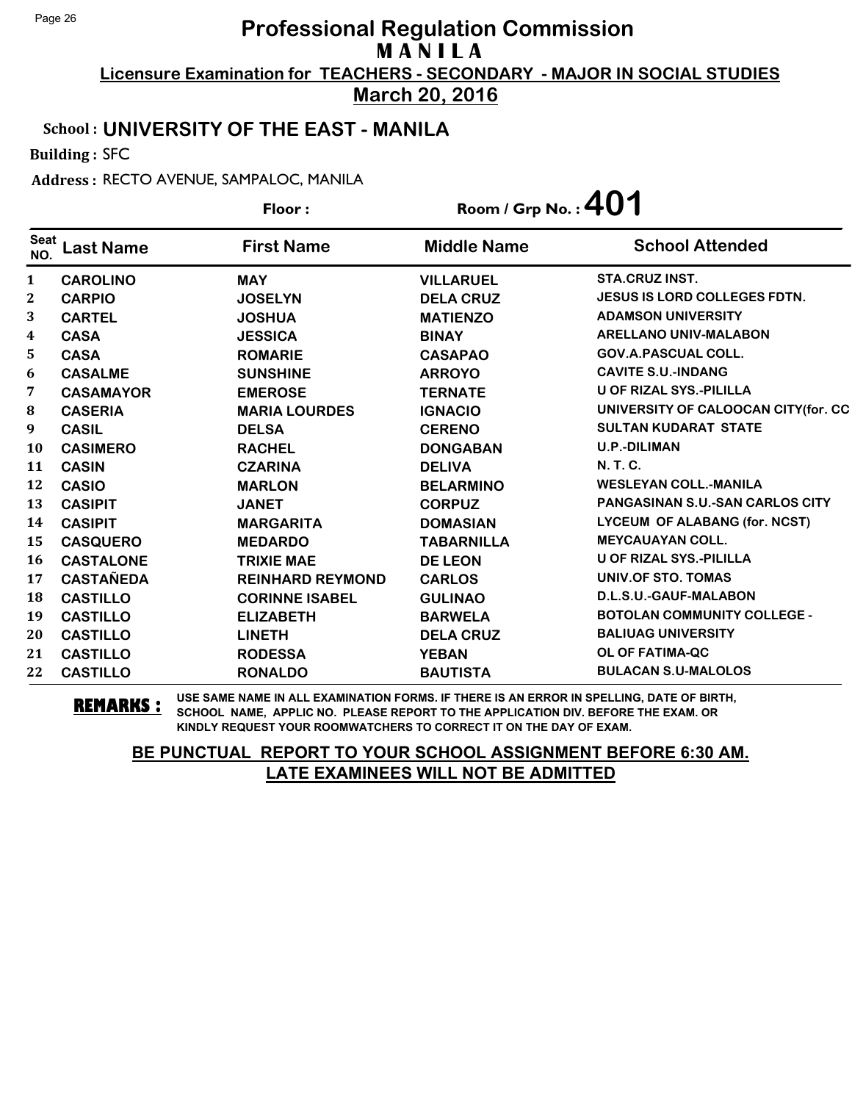**March 20, 2016**

#### School : **UNIVERSITY OF THE EAST - MANILA**

Building : SFC

Address : RECTO AVENUE, SAMPALOC, MANILA

|                    |                  | Floor:                  | Room / Grp No.: $401$ |                                        |
|--------------------|------------------|-------------------------|-----------------------|----------------------------------------|
| <b>Seat</b><br>NO. | <b>Last Name</b> | <b>First Name</b>       | <b>Middle Name</b>    | <b>School Attended</b>                 |
| $\mathbf{1}$       | <b>CAROLINO</b>  | <b>MAY</b>              | <b>VILLARUEL</b>      | <b>STA.CRUZ INST.</b>                  |
| 2                  | <b>CARPIO</b>    | <b>JOSELYN</b>          | <b>DELA CRUZ</b>      | <b>JESUS IS LORD COLLEGES FDTN.</b>    |
| 3                  | <b>CARTEL</b>    | <b>JOSHUA</b>           | <b>MATIENZO</b>       | <b>ADAMSON UNIVERSITY</b>              |
| 4                  | <b>CASA</b>      | <b>JESSICA</b>          | <b>BINAY</b>          | <b>ARELLANO UNIV-MALABON</b>           |
| 5                  | <b>CASA</b>      | <b>ROMARIE</b>          | <b>CASAPAO</b>        | <b>GOV.A.PASCUAL COLL.</b>             |
| 6                  | <b>CASALME</b>   | <b>SUNSHINE</b>         | <b>ARROYO</b>         | <b>CAVITE S.U.-INDANG</b>              |
| 7                  | <b>CASAMAYOR</b> | <b>EMEROSE</b>          | <b>TERNATE</b>        | U OF RIZAL SYS.-PILILLA                |
| $\bf{8}$           | <b>CASERIA</b>   | <b>MARIA LOURDES</b>    | <b>IGNACIO</b>        | UNIVERSITY OF CALOOCAN CITY (for. CC   |
| 9                  | <b>CASIL</b>     | <b>DELSA</b>            | <b>CERENO</b>         | <b>SULTAN KUDARAT STATE</b>            |
| <b>10</b>          | <b>CASIMERO</b>  | <b>RACHEL</b>           | <b>DONGABAN</b>       | <b>U.P.-DILIMAN</b>                    |
| 11                 | <b>CASIN</b>     | <b>CZARINA</b>          | <b>DELIVA</b>         | <b>N. T. C.</b>                        |
| 12                 | <b>CASIO</b>     | <b>MARLON</b>           | <b>BELARMINO</b>      | <b>WESLEYAN COLL.-MANILA</b>           |
| 13                 | <b>CASIPIT</b>   | <b>JANET</b>            | <b>CORPUZ</b>         | <b>PANGASINAN S.U.-SAN CARLOS CITY</b> |
| 14                 | <b>CASIPIT</b>   | <b>MARGARITA</b>        | <b>DOMASIAN</b>       | LYCEUM OF ALABANG (for. NCST)          |
| 15                 | <b>CASQUERO</b>  | <b>MEDARDO</b>          | <b>TABARNILLA</b>     | <b>MEYCAUAYAN COLL.</b>                |
| 16                 | <b>CASTALONE</b> | <b>TRIXIE MAE</b>       | <b>DE LEON</b>        | U OF RIZAL SYS.-PILILLA                |
| 17                 | <b>CASTAÑEDA</b> | <b>REINHARD REYMOND</b> | <b>CARLOS</b>         | <b>UNIV.OF STO. TOMAS</b>              |
| 18                 | <b>CASTILLO</b>  | <b>CORINNE ISABEL</b>   | <b>GULINAO</b>        | D.L.S.U.-GAUF-MALABON                  |
| 19                 | <b>CASTILLO</b>  | <b>ELIZABETH</b>        | <b>BARWELA</b>        | <b>BOTOLAN COMMUNITY COLLEGE -</b>     |
| 20                 | <b>CASTILLO</b>  | <b>LINETH</b>           | <b>DELA CRUZ</b>      | <b>BALIUAG UNIVERSITY</b>              |
| 21                 | <b>CASTILLO</b>  | <b>RODESSA</b>          | <b>YEBAN</b>          | <b>OL OF FATIMA-QC</b>                 |
| 22                 | <b>CASTILLO</b>  | <b>RONALDO</b>          | <b>BAUTISTA</b>       | <b>BULACAN S.U-MALOLOS</b>             |

**REMARKS :** USE SAME NAME IN ALL EXAMINATION FORMS. IF THERE IS AN ERROR IN SPELLING, DATE OF BIRTH, SCHOOL NAME, APPLIC NO. PLEASE REPORT TO THE APPLICATION DIV. BEFORE THE EXAM. OR KINDLY REQUEST YOUR ROOMWATCHERS TO CORRECT IT ON THE DAY OF EXAM.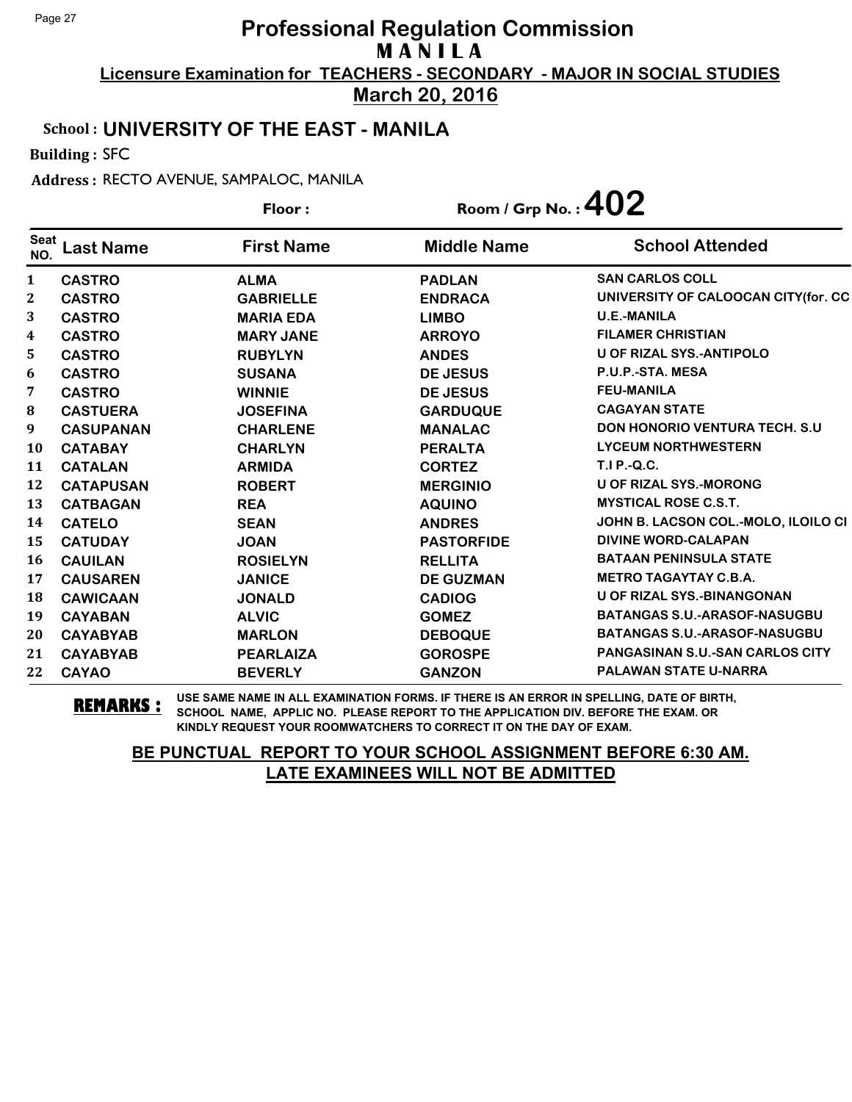**March 20, 2016**

### School : **UNIVERSITY OF THE EAST - MANILA**

Building : SFC

Address : RECTO AVENUE, SAMPALOC, MANILA

|                    |                  | Floor:            | Room / Grp No.: $402$ |                                        |
|--------------------|------------------|-------------------|-----------------------|----------------------------------------|
| <b>Seat</b><br>NO. | <b>Last Name</b> | <b>First Name</b> | <b>Middle Name</b>    | <b>School Attended</b>                 |
| 1                  | <b>CASTRO</b>    | <b>ALMA</b>       | <b>PADLAN</b>         | <b>SAN CARLOS COLL</b>                 |
| $\mathbf{2}$       | <b>CASTRO</b>    | <b>GABRIELLE</b>  | <b>ENDRACA</b>        | UNIVERSITY OF CALOOCAN CITY(for. CC    |
| 3                  | <b>CASTRO</b>    | <b>MARIA EDA</b>  | <b>LIMBO</b>          | <b>U.E.-MANILA</b>                     |
| 4                  | <b>CASTRO</b>    | <b>MARY JANE</b>  | <b>ARROYO</b>         | <b>FILAMER CHRISTIAN</b>               |
| 5                  | <b>CASTRO</b>    | <b>RUBYLYN</b>    | <b>ANDES</b>          | <b>U OF RIZAL SYS.-ANTIPOLO</b>        |
| 6                  | <b>CASTRO</b>    | <b>SUSANA</b>     | <b>DE JESUS</b>       | P.U.P.-STA. MESA                       |
| 7                  | <b>CASTRO</b>    | <b>WINNIE</b>     | <b>DE JESUS</b>       | <b>FEU-MANILA</b>                      |
| 8                  | <b>CASTUERA</b>  | <b>JOSEFINA</b>   | <b>GARDUQUE</b>       | <b>CAGAYAN STATE</b>                   |
| 9                  | <b>CASUPANAN</b> | <b>CHARLENE</b>   | <b>MANALAC</b>        | <b>DON HONORIO VENTURA TECH. S.U.</b>  |
| 10                 | <b>CATABAY</b>   | <b>CHARLYN</b>    | <b>PERALTA</b>        | <b>LYCEUM NORTHWESTERN</b>             |
| 11                 | <b>CATALAN</b>   | <b>ARMIDA</b>     | <b>CORTEZ</b>         | <b>T.I P.-Q.C.</b>                     |
| 12                 | <b>CATAPUSAN</b> | <b>ROBERT</b>     | <b>MERGINIO</b>       | <b>U OF RIZAL SYS.-MORONG</b>          |
| 13                 | <b>CATBAGAN</b>  | <b>REA</b>        | <b>AQUINO</b>         | <b>MYSTICAL ROSE C.S.T.</b>            |
| 14                 | <b>CATELO</b>    | <b>SEAN</b>       | <b>ANDRES</b>         | JOHN B. LACSON COL.-MOLO, ILOILO CI    |
| 15                 | <b>CATUDAY</b>   | <b>JOAN</b>       | <b>PASTORFIDE</b>     | <b>DIVINE WORD-CALAPAN</b>             |
| 16                 | <b>CAUILAN</b>   | <b>ROSIELYN</b>   | <b>RELLITA</b>        | <b>BATAAN PENINSULA STATE</b>          |
| 17                 | <b>CAUSAREN</b>  | <b>JANICE</b>     | <b>DE GUZMAN</b>      | <b>METRO TAGAYTAY C.B.A.</b>           |
| 18                 | <b>CAWICAAN</b>  | <b>JONALD</b>     | <b>CADIOG</b>         | <b>U OF RIZAL SYS.-BINANGONAN</b>      |
| 19                 | <b>CAYABAN</b>   | <b>ALVIC</b>      | <b>GOMEZ</b>          | <b>BATANGAS S.U.-ARASOF-NASUGBU</b>    |
| 20                 | <b>CAYABYAB</b>  | <b>MARLON</b>     | <b>DEBOQUE</b>        | <b>BATANGAS S.U.-ARASOF-NASUGBU</b>    |
| 21                 | <b>CAYABYAB</b>  | <b>PEARLAIZA</b>  | <b>GOROSPE</b>        | <b>PANGASINAN S.U.-SAN CARLOS CITY</b> |
| 22                 | <b>CAYAO</b>     | <b>BEVERLY</b>    | <b>GANZON</b>         | <b>PALAWAN STATE U-NARRA</b>           |

**REMARKS :** USE SAME NAME IN ALL EXAMINATION FORMS. IF THERE IS AN ERROR IN SPELLING, DATE OF BIRTH, SCHOOL NAME, APPLIC NO. PLEASE REPORT TO THE APPLICATION DIV. BEFORE THE EXAM. OR KINDLY REQUEST YOUR ROOMWATCHERS TO CORRECT IT ON THE DAY OF EXAM.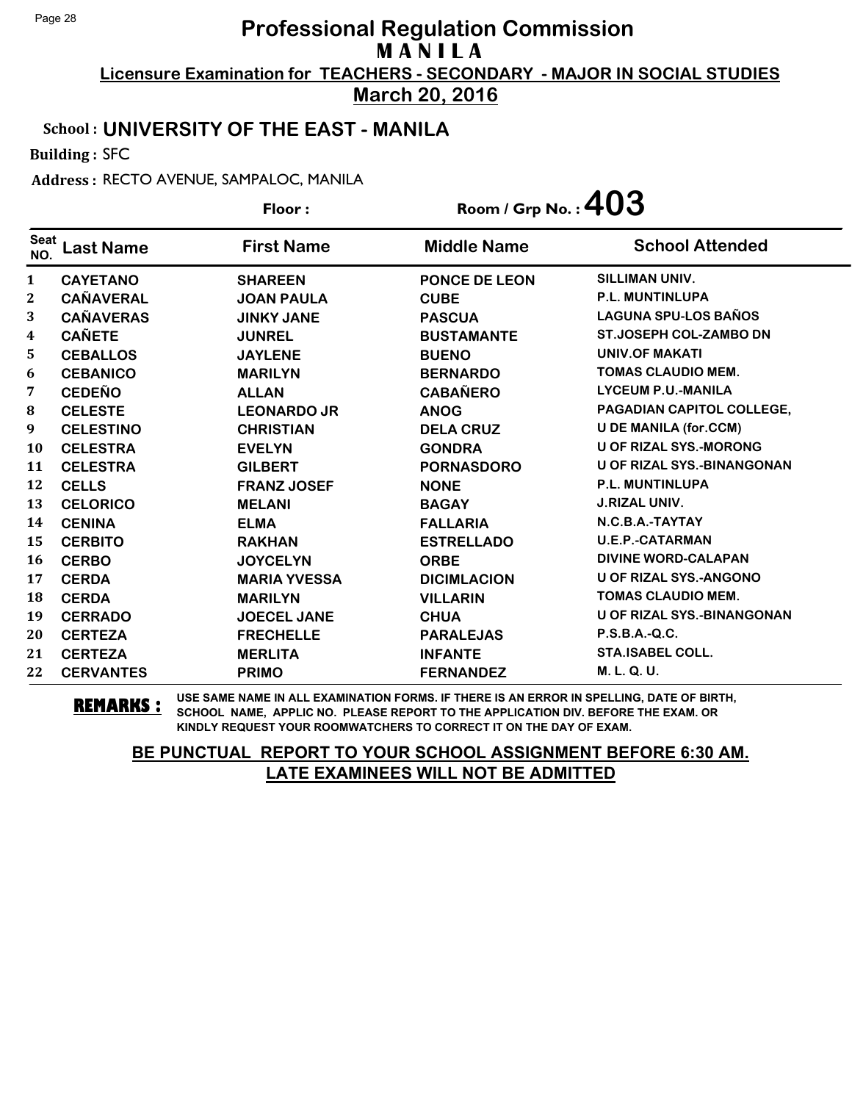**March 20, 2016**

### School : **UNIVERSITY OF THE EAST - MANILA**

Building : SFC

Address : RECTO AVENUE, SAMPALOC, MANILA

|                    |                  | Floor:              | Room / Grp No. : $403$ |                                   |
|--------------------|------------------|---------------------|------------------------|-----------------------------------|
| <b>Seat</b><br>NO. | <b>Last Name</b> | <b>First Name</b>   | <b>Middle Name</b>     | <b>School Attended</b>            |
| $\mathbf{1}$       | <b>CAYETANO</b>  | <b>SHAREEN</b>      | <b>PONCE DE LEON</b>   | SILLIMAN UNIV.                    |
| $\mathbf{2}$       | <b>CAÑAVERAL</b> | <b>JOAN PAULA</b>   | <b>CUBE</b>            | P.L. MUNTINLUPA                   |
| 3                  | <b>CAÑAVERAS</b> | <b>JINKY JANE</b>   | <b>PASCUA</b>          | <b>LAGUNA SPU-LOS BAÑOS</b>       |
| 4                  | <b>CAÑETE</b>    | <b>JUNREL</b>       | <b>BUSTAMANTE</b>      | ST.JOSEPH COL-ZAMBO DN            |
| 5                  | <b>CEBALLOS</b>  | <b>JAYLENE</b>      | <b>BUENO</b>           | <b>UNIV.OF MAKATI</b>             |
| 6                  | <b>CEBANICO</b>  | <b>MARILYN</b>      | <b>BERNARDO</b>        | <b>TOMAS CLAUDIO MEM.</b>         |
| 7                  | <b>CEDEÑO</b>    | <b>ALLAN</b>        | <b>CABAÑERO</b>        | <b>LYCEUM P.U.-MANILA</b>         |
| 8                  | <b>CELESTE</b>   | <b>LEONARDO JR</b>  | <b>ANOG</b>            | PAGADIAN CAPITOL COLLEGE,         |
| $\boldsymbol{9}$   | <b>CELESTINO</b> | <b>CHRISTIAN</b>    | <b>DELA CRUZ</b>       | <b>U DE MANILA (for.CCM)</b>      |
| <b>10</b>          | <b>CELESTRA</b>  | <b>EVELYN</b>       | <b>GONDRA</b>          | <b>U OF RIZAL SYS.-MORONG</b>     |
| 11                 | <b>CELESTRA</b>  | <b>GILBERT</b>      | <b>PORNASDORO</b>      | <b>U OF RIZAL SYS.-BINANGONAN</b> |
| 12                 | <b>CELLS</b>     | <b>FRANZ JOSEF</b>  | <b>NONE</b>            | <b>P.L. MUNTINLUPA</b>            |
| 13                 | <b>CELORICO</b>  | <b>MELANI</b>       | <b>BAGAY</b>           | <b>J.RIZAL UNIV.</b>              |
| 14                 | <b>CENINA</b>    | <b>ELMA</b>         | <b>FALLARIA</b>        | N.C.B.A.-TAYTAY                   |
| 15                 | <b>CERBITO</b>   | <b>RAKHAN</b>       | <b>ESTRELLADO</b>      | <b>U.E.P.-CATARMAN</b>            |
| 16                 | <b>CERBO</b>     | <b>JOYCELYN</b>     | <b>ORBE</b>            | <b>DIVINE WORD-CALAPAN</b>        |
| 17                 | <b>CERDA</b>     | <b>MARIA YVESSA</b> | <b>DICIMLACION</b>     | <b>U OF RIZAL SYS.-ANGONO</b>     |
| 18                 | <b>CERDA</b>     | <b>MARILYN</b>      | <b>VILLARIN</b>        | <b>TOMAS CLAUDIO MEM.</b>         |
| 19                 | <b>CERRADO</b>   | <b>JOECEL JANE</b>  | <b>CHUA</b>            | <b>U OF RIZAL SYS.-BINANGONAN</b> |
| 20                 | <b>CERTEZA</b>   | <b>FRECHELLE</b>    | <b>PARALEJAS</b>       | $P.S.B.A.-Q.C.$                   |
| 21                 | <b>CERTEZA</b>   | <b>MERLITA</b>      | <b>INFANTE</b>         | <b>STA.ISABEL COLL.</b>           |
| 22                 | <b>CERVANTES</b> | <b>PRIMO</b>        | <b>FERNANDEZ</b>       | M. L. Q. U.                       |

**REMARKS :** USE SAME NAME IN ALL EXAMINATION FORMS. IF THERE IS AN ERROR IN SPELLING, DATE OF BIRTH, SCHOOL NAME, APPLIC NO. PLEASE REPORT TO THE APPLICATION DIV. BEFORE THE EXAM. OR KINDLY REQUEST YOUR ROOMWATCHERS TO CORRECT IT ON THE DAY OF EXAM.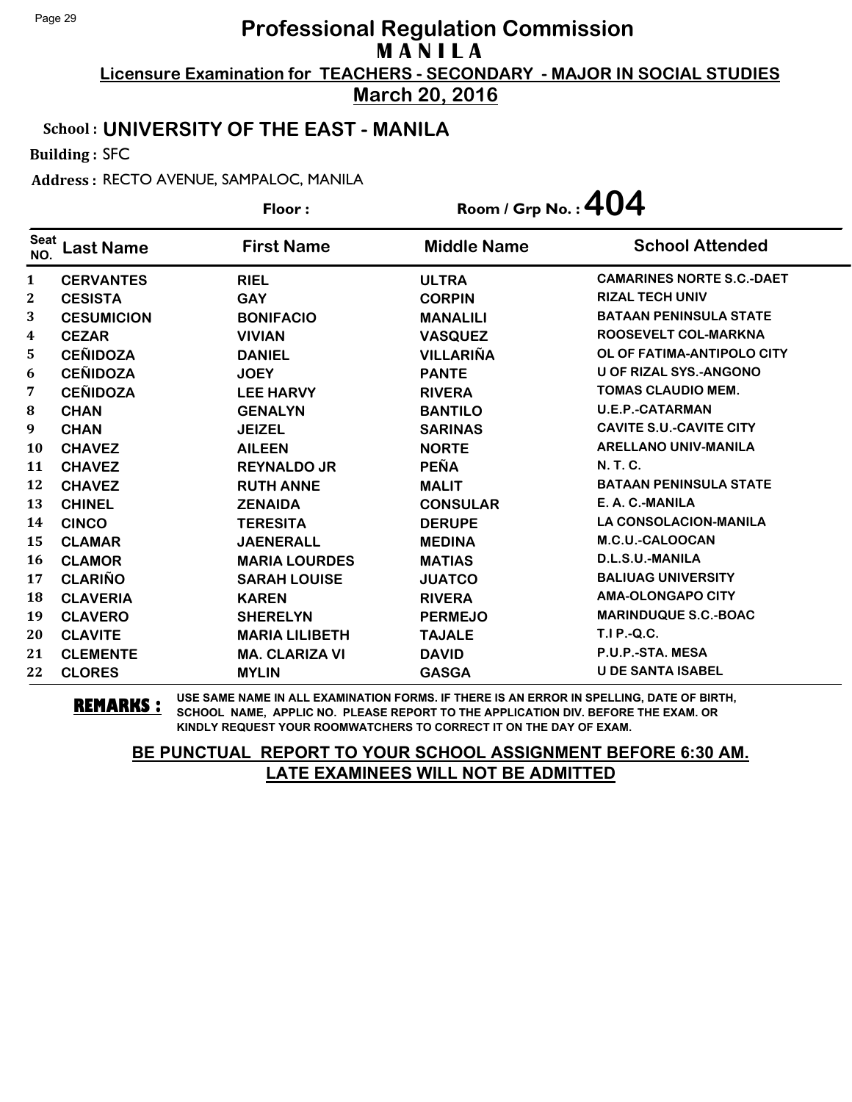**March 20, 2016**

#### School : **UNIVERSITY OF THE EAST - MANILA**

Building : SFC

Address : RECTO AVENUE, SAMPALOC, MANILA

|                    |                   | Floor:                | Room / Grp No.: $404$ |                                  |
|--------------------|-------------------|-----------------------|-----------------------|----------------------------------|
| <b>Seat</b><br>NO. | <b>Last Name</b>  | <b>First Name</b>     | <b>Middle Name</b>    | <b>School Attended</b>           |
| 1                  | <b>CERVANTES</b>  | <b>RIEL</b>           | <b>ULTRA</b>          | <b>CAMARINES NORTE S.C.-DAET</b> |
| 2                  | <b>CESISTA</b>    | <b>GAY</b>            | <b>CORPIN</b>         | <b>RIZAL TECH UNIV</b>           |
| 3                  | <b>CESUMICION</b> | <b>BONIFACIO</b>      | <b>MANALILI</b>       | <b>BATAAN PENINSULA STATE</b>    |
| 4                  | <b>CEZAR</b>      | <b>VIVIAN</b>         | <b>VASQUEZ</b>        | ROOSEVELT COL-MARKNA             |
| 5                  | <b>CEÑIDOZA</b>   | <b>DANIEL</b>         | <b>VILLARIÑA</b>      | OL OF FATIMA-ANTIPOLO CITY       |
| 6                  | <b>CEÑIDOZA</b>   | <b>JOEY</b>           | <b>PANTE</b>          | <b>U OF RIZAL SYS.-ANGONO</b>    |
| 7                  | <b>CEÑIDOZA</b>   | <b>LEE HARVY</b>      | <b>RIVERA</b>         | <b>TOMAS CLAUDIO MEM.</b>        |
| 8                  | <b>CHAN</b>       | <b>GENALYN</b>        | <b>BANTILO</b>        | <b>U.E.P.-CATARMAN</b>           |
| 9                  | <b>CHAN</b>       | <b>JEIZEL</b>         | <b>SARINAS</b>        | <b>CAVITE S.U.-CAVITE CITY</b>   |
| 10                 | <b>CHAVEZ</b>     | <b>AILEEN</b>         | <b>NORTE</b>          | <b>ARELLANO UNIV-MANILA</b>      |
| 11                 | <b>CHAVEZ</b>     | <b>REYNALDO JR</b>    | <b>PEÑA</b>           | N. T. C.                         |
| 12                 | <b>CHAVEZ</b>     | <b>RUTH ANNE</b>      | <b>MALIT</b>          | <b>BATAAN PENINSULA STATE</b>    |
| 13                 | <b>CHINEL</b>     | <b>ZENAIDA</b>        | <b>CONSULAR</b>       | E. A. C.-MANILA                  |
| 14                 | <b>CINCO</b>      | <b>TERESITA</b>       | <b>DERUPE</b>         | <b>LA CONSOLACION-MANILA</b>     |
| 15                 | <b>CLAMAR</b>     | <b>JAENERALL</b>      | <b>MEDINA</b>         | M.C.U.-CALOOCAN                  |
| 16                 | <b>CLAMOR</b>     | <b>MARIA LOURDES</b>  | <b>MATIAS</b>         | D.L.S.U.-MANILA                  |
| 17                 | <b>CLARIÑO</b>    | <b>SARAH LOUISE</b>   | <b>JUATCO</b>         | <b>BALIUAG UNIVERSITY</b>        |
| 18                 | <b>CLAVERIA</b>   | <b>KAREN</b>          | <b>RIVERA</b>         | <b>AMA-OLONGAPO CITY</b>         |
| 19                 | <b>CLAVERO</b>    | <b>SHERELYN</b>       | <b>PERMEJO</b>        | <b>MARINDUQUE S.C.-BOAC</b>      |
| 20                 | <b>CLAVITE</b>    | <b>MARIA LILIBETH</b> | <b>TAJALE</b>         | <b>T.I P.-Q.C.</b>               |
| 21                 | <b>CLEMENTE</b>   | <b>MA. CLARIZA VI</b> | <b>DAVID</b>          | P.U.P.-STA. MESA                 |
| 22                 | <b>CLORES</b>     | <b>MYLIN</b>          | <b>GASGA</b>          | <b>U DE SANTA ISABEL</b>         |

**REMARKS :** USE SAME NAME IN ALL EXAMINATION FORMS. IF THERE IS AN ERROR IN SPELLING, DATE OF BIRTH, SCHOOL NAME, APPLIC NO. PLEASE REPORT TO THE APPLICATION DIV. BEFORE THE EXAM. OR KINDLY REQUEST YOUR ROOMWATCHERS TO CORRECT IT ON THE DAY OF EXAM.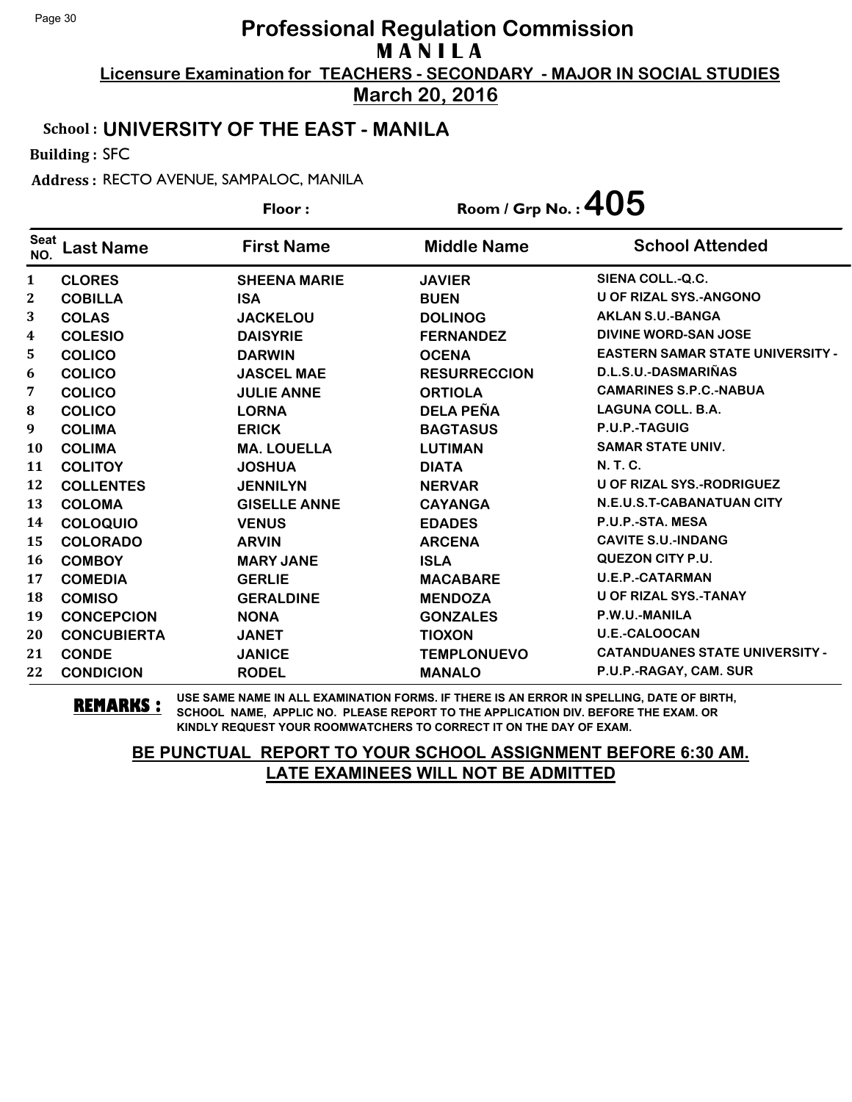**March 20, 2016**

#### School : **UNIVERSITY OF THE EAST - MANILA**

Building : SFC

Address : RECTO AVENUE, SAMPALOC, MANILA

|                    | Floor:             |                     | Room / Grp No. : $405$ |                                         |
|--------------------|--------------------|---------------------|------------------------|-----------------------------------------|
| <b>Seat</b><br>NO. | <b>Last Name</b>   | <b>First Name</b>   | <b>Middle Name</b>     | <b>School Attended</b>                  |
| $\mathbf{1}$       | <b>CLORES</b>      | <b>SHEENA MARIE</b> | <b>JAVIER</b>          | SIENA COLL.-Q.C.                        |
| $\mathbf{2}$       | <b>COBILLA</b>     | <b>ISA</b>          | <b>BUEN</b>            | <b>U OF RIZAL SYS.-ANGONO</b>           |
| 3                  | <b>COLAS</b>       | <b>JACKELOU</b>     | <b>DOLINOG</b>         | <b>AKLAN S.U.-BANGA</b>                 |
| 4                  | <b>COLESIO</b>     | <b>DAISYRIE</b>     | <b>FERNANDEZ</b>       | <b>DIVINE WORD-SAN JOSE</b>             |
| 5                  | <b>COLICO</b>      | <b>DARWIN</b>       | <b>OCENA</b>           | <b>EASTERN SAMAR STATE UNIVERSITY -</b> |
| 6                  | <b>COLICO</b>      | <b>JASCEL MAE</b>   | <b>RESURRECCION</b>    | D.L.S.U.-DASMARIÑAS                     |
| 7                  | <b>COLICO</b>      | <b>JULIE ANNE</b>   | <b>ORTIOLA</b>         | <b>CAMARINES S.P.C.-NABUA</b>           |
| 8                  | <b>COLICO</b>      | <b>LORNA</b>        | <b>DELA PEÑA</b>       | <b>LAGUNA COLL. B.A.</b>                |
| 9                  | <b>COLIMA</b>      | <b>ERICK</b>        | <b>BAGTASUS</b>        | P.U.P.-TAGUIG                           |
| <b>10</b>          | <b>COLIMA</b>      | <b>MA. LOUELLA</b>  | <b>LUTIMAN</b>         | <b>SAMAR STATE UNIV.</b>                |
| 11                 | <b>COLITOY</b>     | <b>JOSHUA</b>       | <b>DIATA</b>           | <b>N.T.C.</b>                           |
| 12                 | <b>COLLENTES</b>   | <b>JENNILYN</b>     | <b>NERVAR</b>          | <b>U OF RIZAL SYS.-RODRIGUEZ</b>        |
| 13                 | <b>COLOMA</b>      | <b>GISELLE ANNE</b> | <b>CAYANGA</b>         | N.E.U.S.T-CABANATUAN CITY               |
| 14                 | <b>COLOQUIO</b>    | <b>VENUS</b>        | <b>EDADES</b>          | P.U.P.-STA. MESA                        |
| 15                 | <b>COLORADO</b>    | <b>ARVIN</b>        | <b>ARCENA</b>          | <b>CAVITE S.U.-INDANG</b>               |
| 16                 | <b>COMBOY</b>      | <b>MARY JANE</b>    | <b>ISLA</b>            | <b>QUEZON CITY P.U.</b>                 |
| 17                 | <b>COMEDIA</b>     | <b>GERLIE</b>       | <b>MACABARE</b>        | <b>U.E.P.-CATARMAN</b>                  |
| 18                 | <b>COMISO</b>      | <b>GERALDINE</b>    | <b>MENDOZA</b>         | <b>U OF RIZAL SYS.-TANAY</b>            |
| 19                 | <b>CONCEPCION</b>  | <b>NONA</b>         | <b>GONZALES</b>        | P.W.U.-MANILA                           |
| 20                 | <b>CONCUBIERTA</b> | <b>JANET</b>        | <b>TIOXON</b>          | <b>U.E.-CALOOCAN</b>                    |
| 21                 | <b>CONDE</b>       | <b>JANICE</b>       | <b>TEMPLONUEVO</b>     | <b>CATANDUANES STATE UNIVERSITY -</b>   |
| 22                 | <b>CONDICION</b>   | <b>RODEL</b>        | <b>MANALO</b>          | P.U.P.-RAGAY, CAM. SUR                  |

**REMARKS :** USE SAME NAME IN ALL EXAMINATION FORMS. IF THERE IS AN ERROR IN SPELLING, DATE OF BIRTH, SCHOOL NAME, APPLIC NO. PLEASE REPORT TO THE APPLICATION DIV. BEFORE THE EXAM. OR KINDLY REQUEST YOUR ROOMWATCHERS TO CORRECT IT ON THE DAY OF EXAM.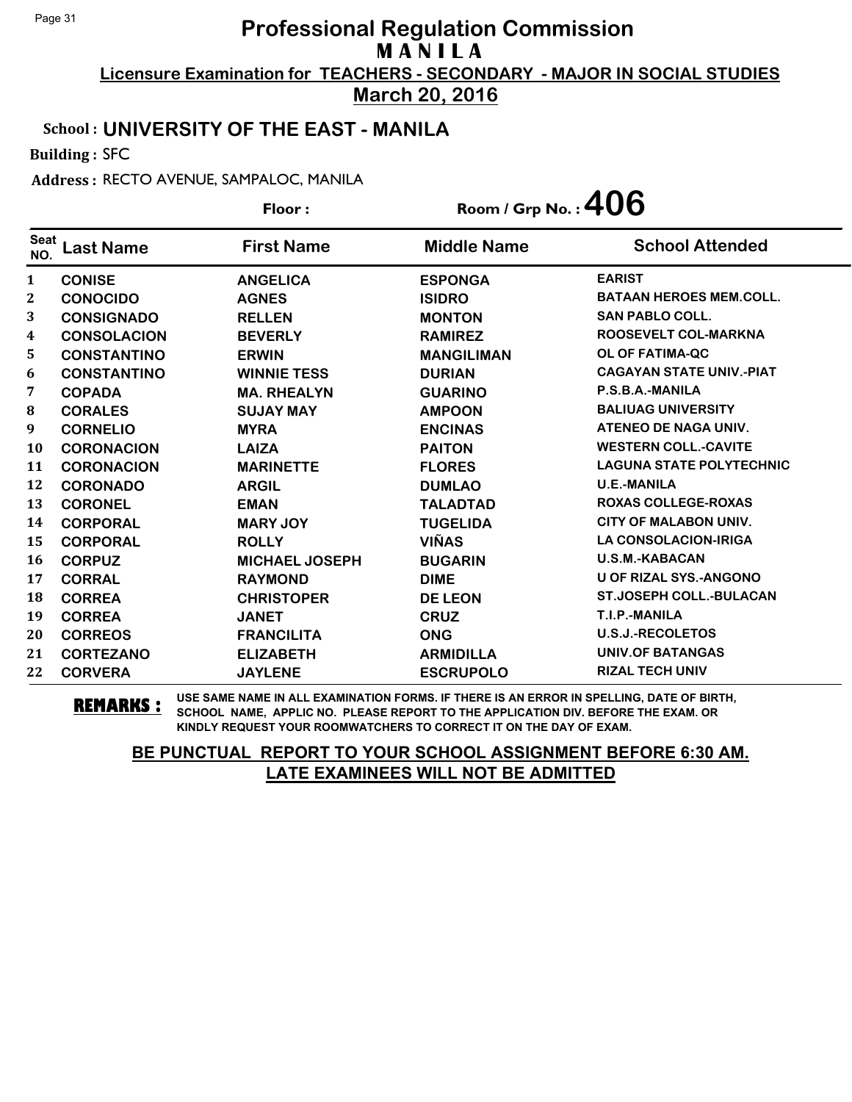**March 20, 2016**

### School : **UNIVERSITY OF THE EAST - MANILA**

Building : SFC

Address : RECTO AVENUE, SAMPALOC, MANILA

|                    |                    | Floor:                | Room / Grp No.: $406$ |                                 |
|--------------------|--------------------|-----------------------|-----------------------|---------------------------------|
| <b>Seat</b><br>NO. | <b>Last Name</b>   | <b>First Name</b>     | <b>Middle Name</b>    | <b>School Attended</b>          |
| 1                  | <b>CONISE</b>      | <b>ANGELICA</b>       | <b>ESPONGA</b>        | <b>EARIST</b>                   |
| $\boldsymbol{2}$   | <b>CONOCIDO</b>    | <b>AGNES</b>          | <b>ISIDRO</b>         | <b>BATAAN HEROES MEM.COLL.</b>  |
| 3                  | <b>CONSIGNADO</b>  | <b>RELLEN</b>         | <b>MONTON</b>         | <b>SAN PABLO COLL.</b>          |
| 4                  | <b>CONSOLACION</b> | <b>BEVERLY</b>        | <b>RAMIREZ</b>        | <b>ROOSEVELT COL-MARKNA</b>     |
| 5                  | <b>CONSTANTINO</b> | <b>ERWIN</b>          | <b>MANGILIMAN</b>     | <b>OL OF FATIMA-QC</b>          |
| 6                  | <b>CONSTANTINO</b> | <b>WINNIE TESS</b>    | <b>DURIAN</b>         | <b>CAGAYAN STATE UNIV.-PIAT</b> |
| 7                  | <b>COPADA</b>      | <b>MA. RHEALYN</b>    | <b>GUARINO</b>        | P.S.B.A.-MANILA                 |
| ${\bf 8}$          | <b>CORALES</b>     | <b>SUJAY MAY</b>      | <b>AMPOON</b>         | <b>BALIUAG UNIVERSITY</b>       |
| 9                  | <b>CORNELIO</b>    | <b>MYRA</b>           | <b>ENCINAS</b>        | ATENEO DE NAGA UNIV.            |
| <b>10</b>          | <b>CORONACION</b>  | <b>LAIZA</b>          | <b>PAITON</b>         | <b>WESTERN COLL.-CAVITE</b>     |
| 11                 | <b>CORONACION</b>  | <b>MARINETTE</b>      | <b>FLORES</b>         | <b>LAGUNA STATE POLYTECHNIC</b> |
| 12                 | <b>CORONADO</b>    | <b>ARGIL</b>          | <b>DUMLAO</b>         | <b>U.E.-MANILA</b>              |
| 13                 | <b>CORONEL</b>     | <b>EMAN</b>           | <b>TALADTAD</b>       | <b>ROXAS COLLEGE-ROXAS</b>      |
| 14                 | <b>CORPORAL</b>    | <b>MARY JOY</b>       | <b>TUGELIDA</b>       | <b>CITY OF MALABON UNIV.</b>    |
| 15                 | <b>CORPORAL</b>    | <b>ROLLY</b>          | <b>VIÑAS</b>          | <b>LA CONSOLACION-IRIGA</b>     |
| 16                 | <b>CORPUZ</b>      | <b>MICHAEL JOSEPH</b> | <b>BUGARIN</b>        | <b>U.S.M.-KABACAN</b>           |
| 17                 | <b>CORRAL</b>      | <b>RAYMOND</b>        | <b>DIME</b>           | <b>U OF RIZAL SYS.-ANGONO</b>   |
| 18                 | <b>CORREA</b>      | <b>CHRISTOPER</b>     | <b>DE LEON</b>        | <b>ST.JOSEPH COLL.-BULACAN</b>  |
| 19                 | <b>CORREA</b>      | <b>JANET</b>          | <b>CRUZ</b>           | T.I.P.-MANILA                   |
| 20                 | <b>CORREOS</b>     | <b>FRANCILITA</b>     | <b>ONG</b>            | <b>U.S.J.-RECOLETOS</b>         |
| 21                 | <b>CORTEZANO</b>   | <b>ELIZABETH</b>      | <b>ARMIDILLA</b>      | <b>UNIV.OF BATANGAS</b>         |
| 22                 | <b>CORVERA</b>     | <b>JAYLENE</b>        | <b>ESCRUPOLO</b>      | <b>RIZAL TECH UNIV</b>          |

**REMARKS :** USE SAME NAME IN ALL EXAMINATION FORMS. IF THERE IS AN ERROR IN SPELLING, DATE OF BIRTH, SCHOOL NAME, APPLIC NO. PLEASE REPORT TO THE APPLICATION DIV. BEFORE THE EXAM. OR KINDLY REQUEST YOUR ROOMWATCHERS TO CORRECT IT ON THE DAY OF EXAM.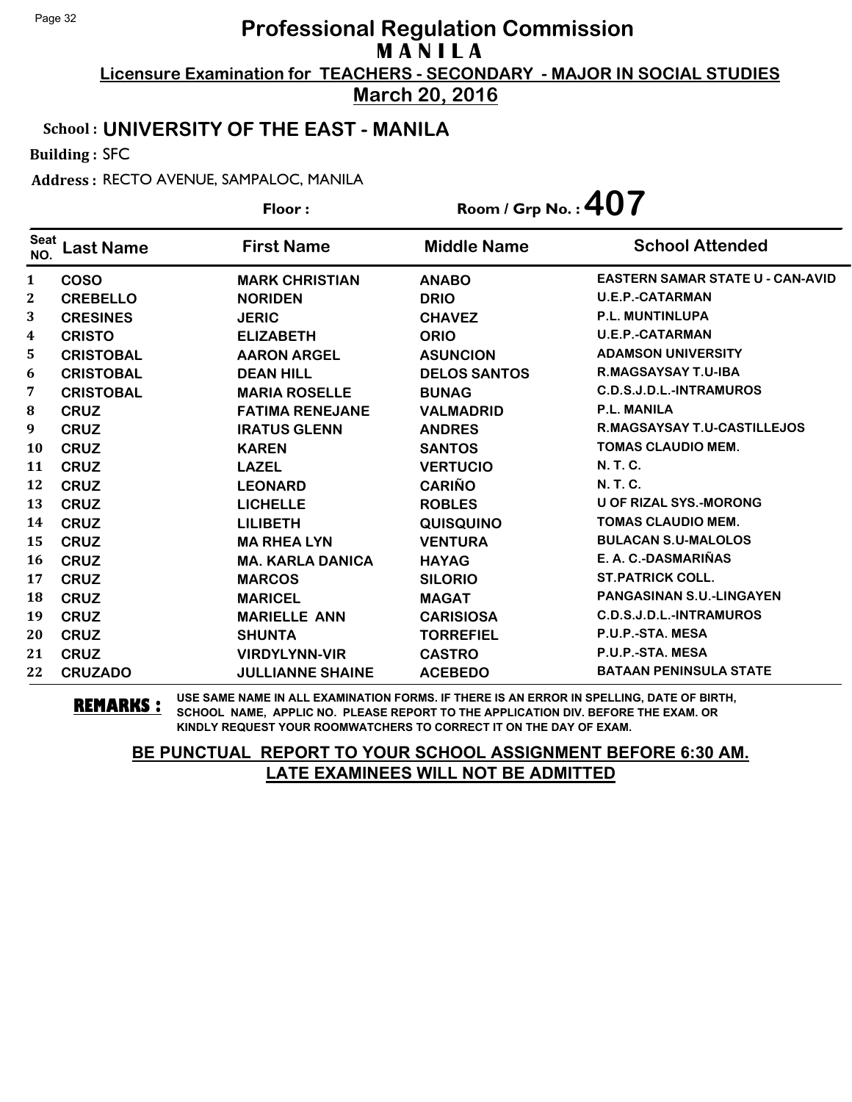**March 20, 2016**

#### School : **UNIVERSITY OF THE EAST - MANILA**

Building : SFC

Address : RECTO AVENUE, SAMPALOC, MANILA

|                    |                  | Floor:                  | Room / Grp No. : $407$ |                                         |
|--------------------|------------------|-------------------------|------------------------|-----------------------------------------|
| <b>Seat</b><br>NO. | <b>Last Name</b> | <b>First Name</b>       | <b>Middle Name</b>     | <b>School Attended</b>                  |
| $\mathbf{1}$       | <b>COSO</b>      | <b>MARK CHRISTIAN</b>   | <b>ANABO</b>           | <b>EASTERN SAMAR STATE U - CAN-AVID</b> |
| $\boldsymbol{2}$   | <b>CREBELLO</b>  | <b>NORIDEN</b>          | <b>DRIO</b>            | <b>U.E.P.-CATARMAN</b>                  |
| 3                  | <b>CRESINES</b>  | <b>JERIC</b>            | <b>CHAVEZ</b>          | <b>P.L. MUNTINLUPA</b>                  |
| 4                  | <b>CRISTO</b>    | <b>ELIZABETH</b>        | <b>ORIO</b>            | <b>U.E.P.-CATARMAN</b>                  |
| 5                  | <b>CRISTOBAL</b> | <b>AARON ARGEL</b>      | <b>ASUNCION</b>        | <b>ADAMSON UNIVERSITY</b>               |
| 6                  | <b>CRISTOBAL</b> | <b>DEAN HILL</b>        | <b>DELOS SANTOS</b>    | <b>R.MAGSAYSAY T.U-IBA</b>              |
| 7                  | <b>CRISTOBAL</b> | <b>MARIA ROSELLE</b>    | <b>BUNAG</b>           | C.D.S.J.D.L.-INTRAMUROS                 |
| ${\bf 8}$          | <b>CRUZ</b>      | <b>FATIMA RENEJANE</b>  | <b>VALMADRID</b>       | <b>P.L. MANILA</b>                      |
| 9                  | <b>CRUZ</b>      | <b>IRATUS GLENN</b>     | <b>ANDRES</b>          | R.MAGSAYSAY T.U-CASTILLEJOS             |
| <b>10</b>          | <b>CRUZ</b>      | <b>KAREN</b>            | <b>SANTOS</b>          | <b>TOMAS CLAUDIO MEM.</b>               |
| 11                 | <b>CRUZ</b>      | <b>LAZEL</b>            | <b>VERTUCIO</b>        | N. T. C.                                |
| 12                 | <b>CRUZ</b>      | <b>LEONARD</b>          | <b>CARIÑO</b>          | N. T. C.                                |
| 13                 | <b>CRUZ</b>      | <b>LICHELLE</b>         | <b>ROBLES</b>          | <b>U OF RIZAL SYS.-MORONG</b>           |
| 14                 | <b>CRUZ</b>      | <b>LILIBETH</b>         | <b>QUISQUINO</b>       | <b>TOMAS CLAUDIO MEM.</b>               |
| 15                 | <b>CRUZ</b>      | <b>MA RHEA LYN</b>      | <b>VENTURA</b>         | <b>BULACAN S.U-MALOLOS</b>              |
| 16                 | <b>CRUZ</b>      | <b>MA. KARLA DANICA</b> | <b>HAYAG</b>           | E. A. C.-DASMARIÑAS                     |
| 17                 | <b>CRUZ</b>      | <b>MARCOS</b>           | <b>SILORIO</b>         | <b>ST.PATRICK COLL.</b>                 |
| 18                 | <b>CRUZ</b>      | <b>MARICEL</b>          | <b>MAGAT</b>           | <b>PANGASINAN S.U.-LINGAYEN</b>         |
| 19                 | <b>CRUZ</b>      | <b>MARIELLE ANN</b>     | <b>CARISIOSA</b>       | C.D.S.J.D.L.-INTRAMUROS                 |
| 20                 | <b>CRUZ</b>      | <b>SHUNTA</b>           | <b>TORREFIEL</b>       | P.U.P.-STA. MESA                        |
| 21                 | <b>CRUZ</b>      | <b>VIRDYLYNN-VIR</b>    | <b>CASTRO</b>          | P.U.P.-STA. MESA                        |
| 22                 | <b>CRUZADO</b>   | <b>JULLIANNE SHAINE</b> | <b>ACEBEDO</b>         | <b>BATAAN PENINSULA STATE</b>           |

**REMARKS :** USE SAME NAME IN ALL EXAMINATION FORMS. IF THERE IS AN ERROR IN SPELLING, DATE OF BIRTH, SCHOOL NAME, APPLIC NO. PLEASE REPORT TO THE APPLICATION DIV. BEFORE THE EXAM. OR KINDLY REQUEST YOUR ROOMWATCHERS TO CORRECT IT ON THE DAY OF EXAM.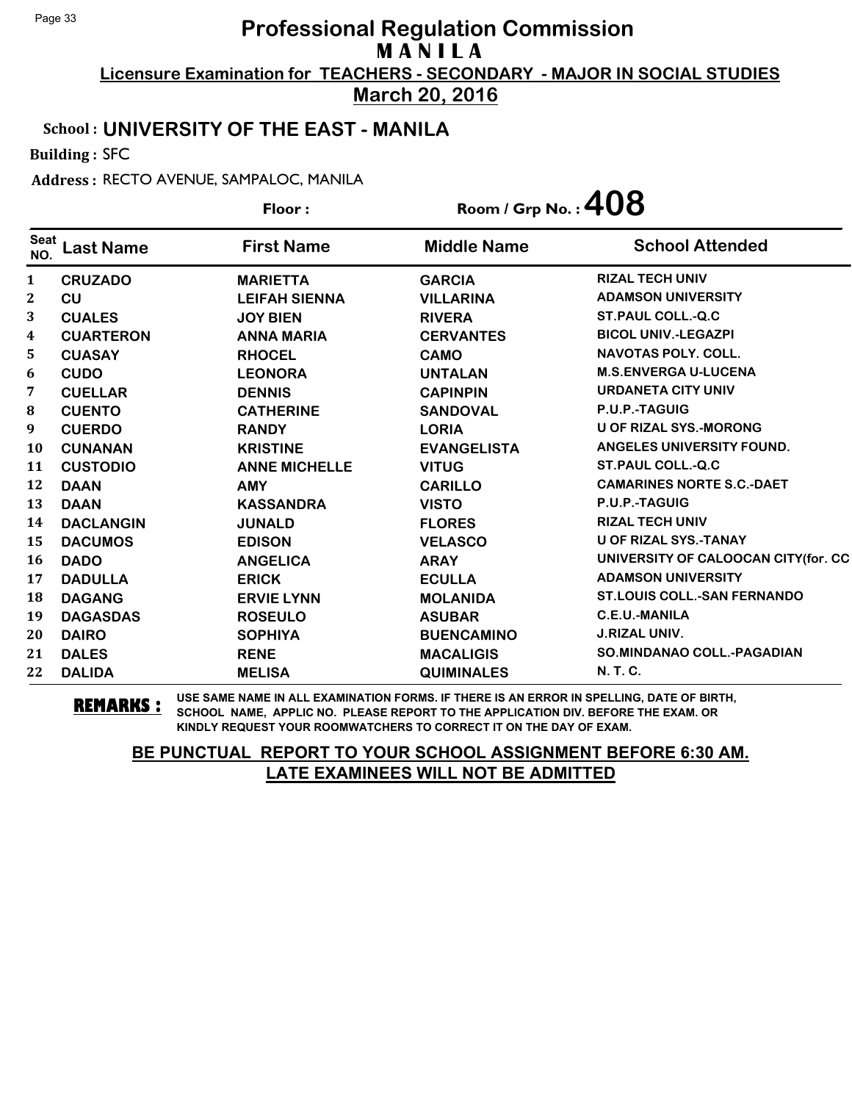**March 20, 2016**

#### School : **UNIVERSITY OF THE EAST - MANILA**

Building : SFC

Address : RECTO AVENUE, SAMPALOC, MANILA

| Floor:             |                  |                      | Room / Grp No.: $408$ |                                     |
|--------------------|------------------|----------------------|-----------------------|-------------------------------------|
| <b>Seat</b><br>NO. | <b>Last Name</b> | <b>First Name</b>    | <b>Middle Name</b>    | <b>School Attended</b>              |
| $\mathbf{1}$       | <b>CRUZADO</b>   | <b>MARIETTA</b>      | <b>GARCIA</b>         | <b>RIZAL TECH UNIV</b>              |
| 2                  | CU               | <b>LEIFAH SIENNA</b> | <b>VILLARINA</b>      | <b>ADAMSON UNIVERSITY</b>           |
| 3                  | <b>CUALES</b>    | <b>JOY BIEN</b>      | <b>RIVERA</b>         | <b>ST.PAUL COLL.-Q.C</b>            |
| 4                  | <b>CUARTERON</b> | <b>ANNA MARIA</b>    | <b>CERVANTES</b>      | <b>BICOL UNIV.-LEGAZPI</b>          |
| 5.                 | <b>CUASAY</b>    | <b>RHOCEL</b>        | <b>CAMO</b>           | <b>NAVOTAS POLY, COLL.</b>          |
| 6                  | <b>CUDO</b>      | <b>LEONORA</b>       | <b>UNTALAN</b>        | <b>M.S.ENVERGA U-LUCENA</b>         |
| 7                  | <b>CUELLAR</b>   | <b>DENNIS</b>        | <b>CAPINPIN</b>       | <b>URDANETA CITY UNIV</b>           |
| 8                  | <b>CUENTO</b>    | <b>CATHERINE</b>     | <b>SANDOVAL</b>       | P.U.P.-TAGUIG                       |
| 9                  | <b>CUERDO</b>    | <b>RANDY</b>         | <b>LORIA</b>          | <b>U OF RIZAL SYS.-MORONG</b>       |
| 10                 | <b>CUNANAN</b>   | <b>KRISTINE</b>      | <b>EVANGELISTA</b>    | ANGELES UNIVERSITY FOUND.           |
| 11                 | <b>CUSTODIO</b>  | <b>ANNE MICHELLE</b> | <b>VITUG</b>          | <b>ST.PAUL COLL.-Q.C</b>            |
| 12                 | <b>DAAN</b>      | <b>AMY</b>           | <b>CARILLO</b>        | <b>CAMARINES NORTE S.C.-DAET</b>    |
| 13                 | <b>DAAN</b>      | <b>KASSANDRA</b>     | <b>VISTO</b>          | P.U.P.-TAGUIG                       |
| 14                 | <b>DACLANGIN</b> | <b>JUNALD</b>        | <b>FLORES</b>         | <b>RIZAL TECH UNIV</b>              |
| 15                 | <b>DACUMOS</b>   | <b>EDISON</b>        | <b>VELASCO</b>        | <b>U OF RIZAL SYS.-TANAY</b>        |
| 16                 | <b>DADO</b>      | <b>ANGELICA</b>      | <b>ARAY</b>           | UNIVERSITY OF CALOOCAN CITY(for. CC |
| 17                 | <b>DADULLA</b>   | <b>ERICK</b>         | <b>ECULLA</b>         | <b>ADAMSON UNIVERSITY</b>           |
| 18                 | <b>DAGANG</b>    | <b>ERVIE LYNN</b>    | <b>MOLANIDA</b>       | <b>ST.LOUIS COLL.-SAN FERNANDO</b>  |
| 19                 | <b>DAGASDAS</b>  | <b>ROSEULO</b>       | <b>ASUBAR</b>         | <b>C.E.U.-MANILA</b>                |
| 20                 | <b>DAIRO</b>     | <b>SOPHIYA</b>       | <b>BUENCAMINO</b>     | <b>J.RIZAL UNIV.</b>                |
| 21                 | <b>DALES</b>     | <b>RENE</b>          | <b>MACALIGIS</b>      | <b>SO.MINDANAO COLL.-PAGADIAN</b>   |
| 22                 | <b>DALIDA</b>    | <b>MELISA</b>        | <b>QUIMINALES</b>     | N. T. C.                            |

**REMARKS :** USE SAME NAME IN ALL EXAMINATION FORMS. IF THERE IS AN ERROR IN SPELLING, DATE OF BIRTH, SCHOOL NAME, APPLIC NO. PLEASE REPORT TO THE APPLICATION DIV. BEFORE THE EXAM. OR KINDLY REQUEST YOUR ROOMWATCHERS TO CORRECT IT ON THE DAY OF EXAM.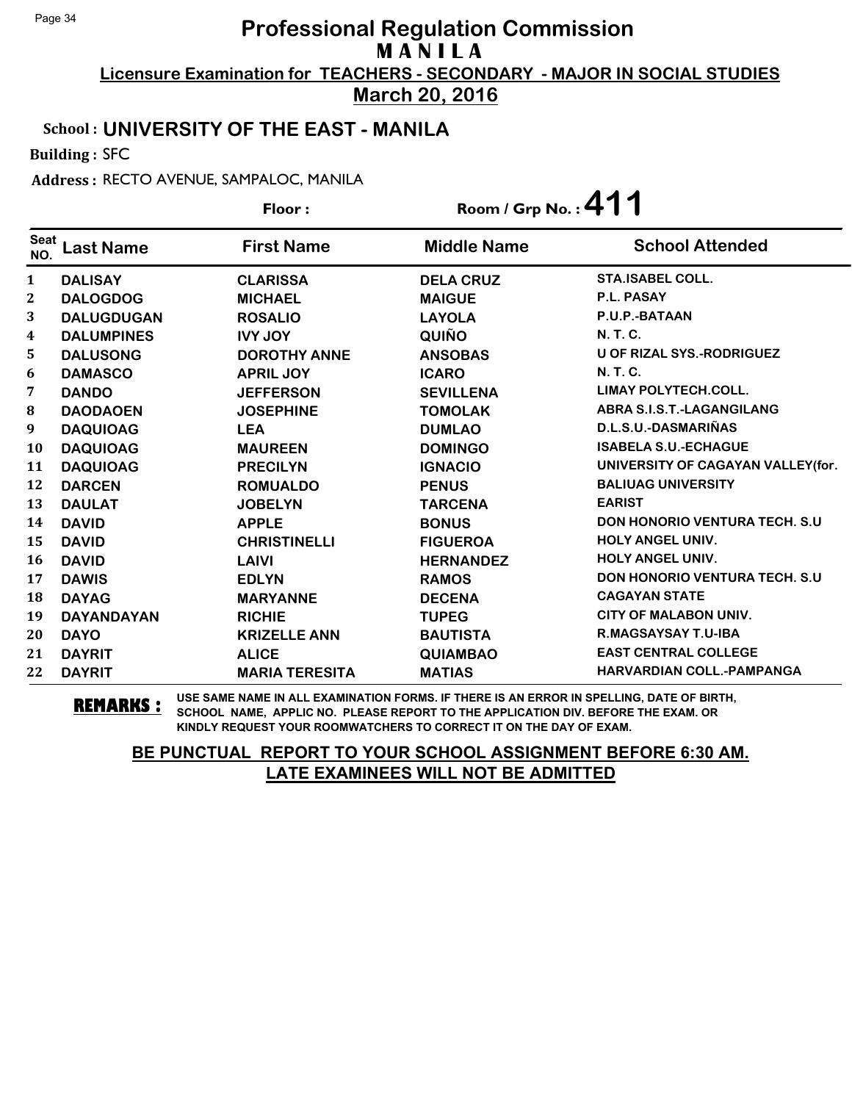**March 20, 2016**

#### School : **UNIVERSITY OF THE EAST - MANILA**

Building : SFC

Address : RECTO AVENUE, SAMPALOC, MANILA

|                    |                   | Floor:                | Room / Grp No.: $411$ |                                      |
|--------------------|-------------------|-----------------------|-----------------------|--------------------------------------|
| <b>Seat</b><br>NO. | <b>Last Name</b>  | <b>First Name</b>     | <b>Middle Name</b>    | <b>School Attended</b>               |
| $\mathbf{1}$       | <b>DALISAY</b>    | <b>CLARISSA</b>       | <b>DELA CRUZ</b>      | <b>STA.ISABEL COLL.</b>              |
| $\mathbf{2}$       | <b>DALOGDOG</b>   | <b>MICHAEL</b>        | <b>MAIGUE</b>         | P.L. PASAY                           |
| 3                  | <b>DALUGDUGAN</b> | <b>ROSALIO</b>        | <b>LAYOLA</b>         | P.U.P.-BATAAN                        |
| $\boldsymbol{4}$   | <b>DALUMPINES</b> | <b>IVY JOY</b>        | QUIÑO                 | <b>N.T.C.</b>                        |
| 5                  | <b>DALUSONG</b>   | <b>DOROTHY ANNE</b>   | <b>ANSOBAS</b>        | <b>U OF RIZAL SYS.-RODRIGUEZ</b>     |
| 6                  | <b>DAMASCO</b>    | <b>APRIL JOY</b>      | <b>ICARO</b>          | N. T. C.                             |
| 7                  | <b>DANDO</b>      | <b>JEFFERSON</b>      | <b>SEVILLENA</b>      | LIMAY POLYTECH.COLL.                 |
| ${\bf 8}$          | <b>DAODAOEN</b>   | <b>JOSEPHINE</b>      | <b>TOMOLAK</b>        | <b>ABRA S.I.S.T.-LAGANGILANG</b>     |
| 9                  | <b>DAQUIOAG</b>   | <b>LEA</b>            | <b>DUMLAO</b>         | D.L.S.U.-DASMARIÑAS                  |
| <b>10</b>          | <b>DAQUIOAG</b>   | <b>MAUREEN</b>        | <b>DOMINGO</b>        | <b>ISABELA S.U.-ECHAGUE</b>          |
| 11                 | <b>DAQUIOAG</b>   | <b>PRECILYN</b>       | <b>IGNACIO</b>        | UNIVERSITY OF CAGAYAN VALLEY(for.    |
| 12                 | <b>DARCEN</b>     | <b>ROMUALDO</b>       | <b>PENUS</b>          | <b>BALIUAG UNIVERSITY</b>            |
| 13                 | <b>DAULAT</b>     | <b>JOBELYN</b>        | <b>TARCENA</b>        | <b>EARIST</b>                        |
| 14                 | <b>DAVID</b>      | <b>APPLE</b>          | <b>BONUS</b>          | <b>DON HONORIO VENTURA TECH. S.U</b> |
| 15                 | <b>DAVID</b>      | <b>CHRISTINELLI</b>   | <b>FIGUEROA</b>       | <b>HOLY ANGEL UNIV.</b>              |
| 16                 | <b>DAVID</b>      | LAIVI                 | <b>HERNANDEZ</b>      | <b>HOLY ANGEL UNIV.</b>              |
| 17                 | <b>DAWIS</b>      | <b>EDLYN</b>          | <b>RAMOS</b>          | <b>DON HONORIO VENTURA TECH. S.U</b> |
| 18                 | <b>DAYAG</b>      | <b>MARYANNE</b>       | <b>DECENA</b>         | <b>CAGAYAN STATE</b>                 |
| 19                 | <b>DAYANDAYAN</b> | <b>RICHIE</b>         | <b>TUPEG</b>          | CITY OF MALABON UNIV.                |
| 20                 | <b>DAYO</b>       | <b>KRIZELLE ANN</b>   | <b>BAUTISTA</b>       | R.MAGSAYSAY T.U-IBA                  |
| 21                 | <b>DAYRIT</b>     | <b>ALICE</b>          | <b>QUIAMBAO</b>       | <b>EAST CENTRAL COLLEGE</b>          |
| 22                 | <b>DAYRIT</b>     | <b>MARIA TERESITA</b> | <b>MATIAS</b>         | HARVARDIAN COLL.-PAMPANGA            |

**REMARKS :** USE SAME NAME IN ALL EXAMINATION FORMS. IF THERE IS AN ERROR IN SPELLING, DATE OF BIRTH, SCHOOL NAME, APPLIC NO. PLEASE REPORT TO THE APPLICATION DIV. BEFORE THE EXAM. OR KINDLY REQUEST YOUR ROOMWATCHERS TO CORRECT IT ON THE DAY OF EXAM.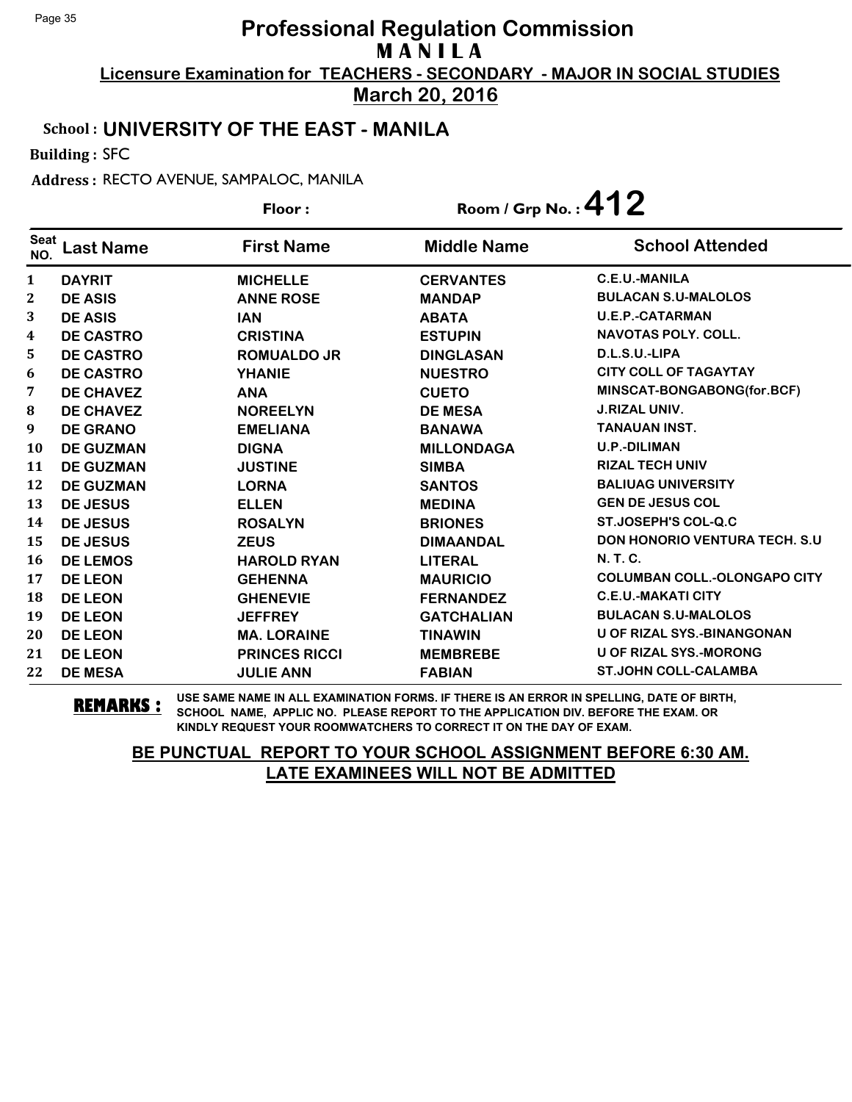**March 20, 2016**

#### School : **UNIVERSITY OF THE EAST - MANILA**

Building : SFC

Address : RECTO AVENUE, SAMPALOC, MANILA

|                    |                  | Floor:               | Room / Grp No.: $412$ |                                       |
|--------------------|------------------|----------------------|-----------------------|---------------------------------------|
| <b>Seat</b><br>NO. | <b>Last Name</b> | <b>First Name</b>    | <b>Middle Name</b>    | <b>School Attended</b>                |
| $\mathbf{1}$       | <b>DAYRIT</b>    | <b>MICHELLE</b>      | <b>CERVANTES</b>      | C.E.U.-MANILA                         |
| 2                  | <b>DE ASIS</b>   | <b>ANNE ROSE</b>     | <b>MANDAP</b>         | <b>BULACAN S.U-MALOLOS</b>            |
| 3                  | <b>DE ASIS</b>   | <b>IAN</b>           | <b>ABATA</b>          | <b>U.E.P.-CATARMAN</b>                |
| 4                  | <b>DE CASTRO</b> | <b>CRISTINA</b>      | <b>ESTUPIN</b>        | <b>NAVOTAS POLY. COLL.</b>            |
| 5                  | <b>DE CASTRO</b> | <b>ROMUALDO JR</b>   | <b>DINGLASAN</b>      | D.L.S.U.-LIPA                         |
| 6                  | <b>DE CASTRO</b> | <b>YHANIE</b>        | <b>NUESTRO</b>        | <b>CITY COLL OF TAGAYTAY</b>          |
| 7                  | <b>DE CHAVEZ</b> | <b>ANA</b>           | <b>CUETO</b>          | MINSCAT-BONGABONG(for.BCF)            |
| 8                  | <b>DE CHAVEZ</b> | <b>NOREELYN</b>      | <b>DE MESA</b>        | <b>J.RIZAL UNIV.</b>                  |
| 9                  | <b>DE GRANO</b>  | <b>EMELIANA</b>      | <b>BANAWA</b>         | <b>TANAUAN INST.</b>                  |
| <b>10</b>          | <b>DE GUZMAN</b> | <b>DIGNA</b>         | <b>MILLONDAGA</b>     | <b>U.P.-DILIMAN</b>                   |
| 11                 | <b>DE GUZMAN</b> | <b>JUSTINE</b>       | <b>SIMBA</b>          | <b>RIZAL TECH UNIV</b>                |
| 12                 | <b>DE GUZMAN</b> | <b>LORNA</b>         | <b>SANTOS</b>         | <b>BALIUAG UNIVERSITY</b>             |
| 13                 | <b>DE JESUS</b>  | <b>ELLEN</b>         | <b>MEDINA</b>         | <b>GEN DE JESUS COL</b>               |
| 14                 | <b>DE JESUS</b>  | <b>ROSALYN</b>       | <b>BRIONES</b>        | <b>ST.JOSEPH'S COL-Q.C</b>            |
| 15                 | DE JESUS         | <b>ZEUS</b>          | <b>DIMAANDAL</b>      | <b>DON HONORIO VENTURA TECH. S.U.</b> |
| 16                 | <b>DE LEMOS</b>  | <b>HAROLD RYAN</b>   | <b>LITERAL</b>        | <b>N.T.C.</b>                         |
| 17                 | <b>DE LEON</b>   | <b>GEHENNA</b>       | <b>MAURICIO</b>       | <b>COLUMBAN COLL.-OLONGAPO CITY</b>   |
| 18                 | <b>DE LEON</b>   | <b>GHENEVIE</b>      | <b>FERNANDEZ</b>      | <b>C.E.U.-MAKATI CITY</b>             |
| 19                 | <b>DE LEON</b>   | <b>JEFFREY</b>       | <b>GATCHALIAN</b>     | <b>BULACAN S.U-MALOLOS</b>            |
| 20                 | <b>DE LEON</b>   | <b>MA. LORAINE</b>   | <b>TINAWIN</b>        | <b>U OF RIZAL SYS.-BINANGONAN</b>     |
| 21                 | <b>DE LEON</b>   | <b>PRINCES RICCI</b> | <b>MEMBREBE</b>       | <b>U OF RIZAL SYS.-MORONG</b>         |
| 22                 | <b>DE MESA</b>   | <b>JULIE ANN</b>     | <b>FABIAN</b>         | <b>ST.JOHN COLL-CALAMBA</b>           |

**REMARKS :** USE SAME NAME IN ALL EXAMINATION FORMS. IF THERE IS AN ERROR IN SPELLING, DATE OF BIRTH, SCHOOL NAME, APPLIC NO. PLEASE REPORT TO THE APPLICATION DIV. BEFORE THE EXAM. OR KINDLY REQUEST YOUR ROOMWATCHERS TO CORRECT IT ON THE DAY OF EXAM.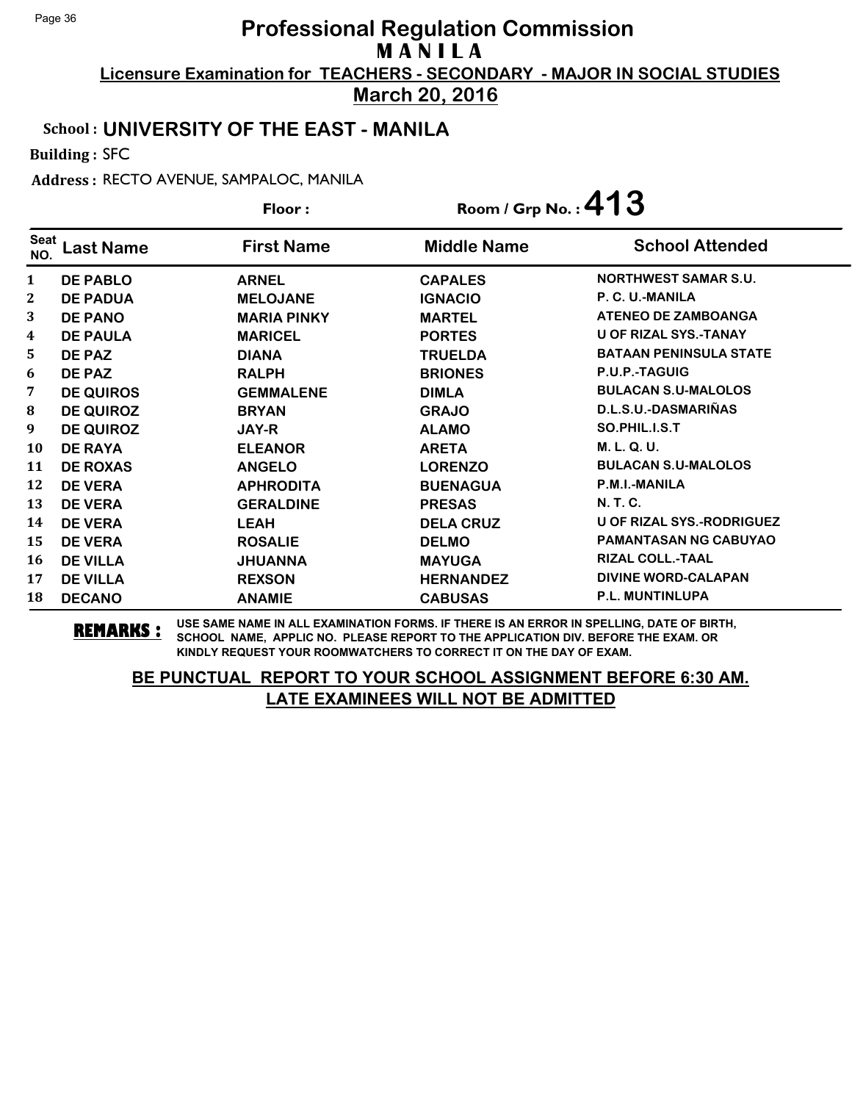**March 20, 2016**

#### School : **UNIVERSITY OF THE EAST - MANILA**

Building : SFC

Address : RECTO AVENUE, SAMPALOC, MANILA

|                    |                  | Floor:             | Room / Grp No.: $413$ |                               |
|--------------------|------------------|--------------------|-----------------------|-------------------------------|
| <b>Seat</b><br>NO. | ast Name.        | <b>First Name</b>  | <b>Middle Name</b>    | <b>School Attended</b>        |
| $\mathbf{1}$       | <b>DE PABLO</b>  | <b>ARNEL</b>       | <b>CAPALES</b>        | <b>NORTHWEST SAMAR S.U.</b>   |
| $\mathbf 2$        | <b>DE PADUA</b>  | <b>MELOJANE</b>    | <b>IGNACIO</b>        | P. C. U.-MANILA               |
| 3                  | <b>DE PANO</b>   | <b>MARIA PINKY</b> | <b>MARTEL</b>         | <b>ATENEO DE ZAMBOANGA</b>    |
| 4                  | <b>DE PAULA</b>  | <b>MARICEL</b>     | <b>PORTES</b>         | <b>U OF RIZAL SYS.-TANAY</b>  |
| 5                  | DE PAZ           | <b>DIANA</b>       | <b>TRUELDA</b>        | <b>BATAAN PENINSULA STATE</b> |
| 6                  | DE PAZ           | <b>RALPH</b>       | <b>BRIONES</b>        | P.U.P.-TAGUIG                 |
| 7                  | <b>DE QUIROS</b> | <b>GEMMALENE</b>   | <b>DIMLA</b>          | <b>BULACAN S.U-MALOLOS</b>    |
| 8                  | <b>DE QUIROZ</b> | <b>BRYAN</b>       | <b>GRAJO</b>          | D.L.S.U.-DASMARIÑAS           |
| 9                  | <b>DE QUIROZ</b> | <b>JAY-R</b>       | <b>ALAMO</b>          | SO.PHIL.I.S.T                 |
| 10                 | <b>DE RAYA</b>   | <b>ELEANOR</b>     | <b>ARETA</b>          | M. L. Q. U.                   |
| 11                 | <b>DE ROXAS</b>  | <b>ANGELO</b>      | <b>LORENZO</b>        | <b>BULACAN S.U-MALOLOS</b>    |
| 12                 | <b>DE VERA</b>   | <b>APHRODITA</b>   | <b>BUENAGUA</b>       | P.M.I.-MANILA                 |
| 13                 | <b>DE VERA</b>   | <b>GERALDINE</b>   | <b>PRESAS</b>         | <b>N. T. C.</b>               |
| 14                 | <b>DE VERA</b>   | <b>LEAH</b>        | <b>DELA CRUZ</b>      | U OF RIZAL SYS.-RODRIGUEZ     |
| 15                 | <b>DE VERA</b>   | <b>ROSALIE</b>     | <b>DELMO</b>          | <b>PAMANTASAN NG CABUYAO</b>  |
| 16                 | <b>DE VILLA</b>  | <b>JHUANNA</b>     | <b>MAYUGA</b>         | <b>RIZAL COLL.-TAAL</b>       |
| 17                 | <b>DE VILLA</b>  | <b>REXSON</b>      | <b>HERNANDEZ</b>      | <b>DIVINE WORD-CALAPAN</b>    |
| 18                 | <b>DECANO</b>    | <b>ANAMIE</b>      | <b>CABUSAS</b>        | <b>P.L. MUNTINLUPA</b>        |

**REMARKS :** USE SAME NAME IN ALL EXAMINATION FORMS. IF THERE IS AN ERROR IN SPELLING, DATE OF BIRTH, SCHOOL NAME, APPLIC NO. PLEASE REPORT TO THE APPLICATION DIV. BEFORE THE EXAM. OR KINDLY REQUEST YOUR ROOMWATCHERS TO CORRECT IT ON THE DAY OF EXAM.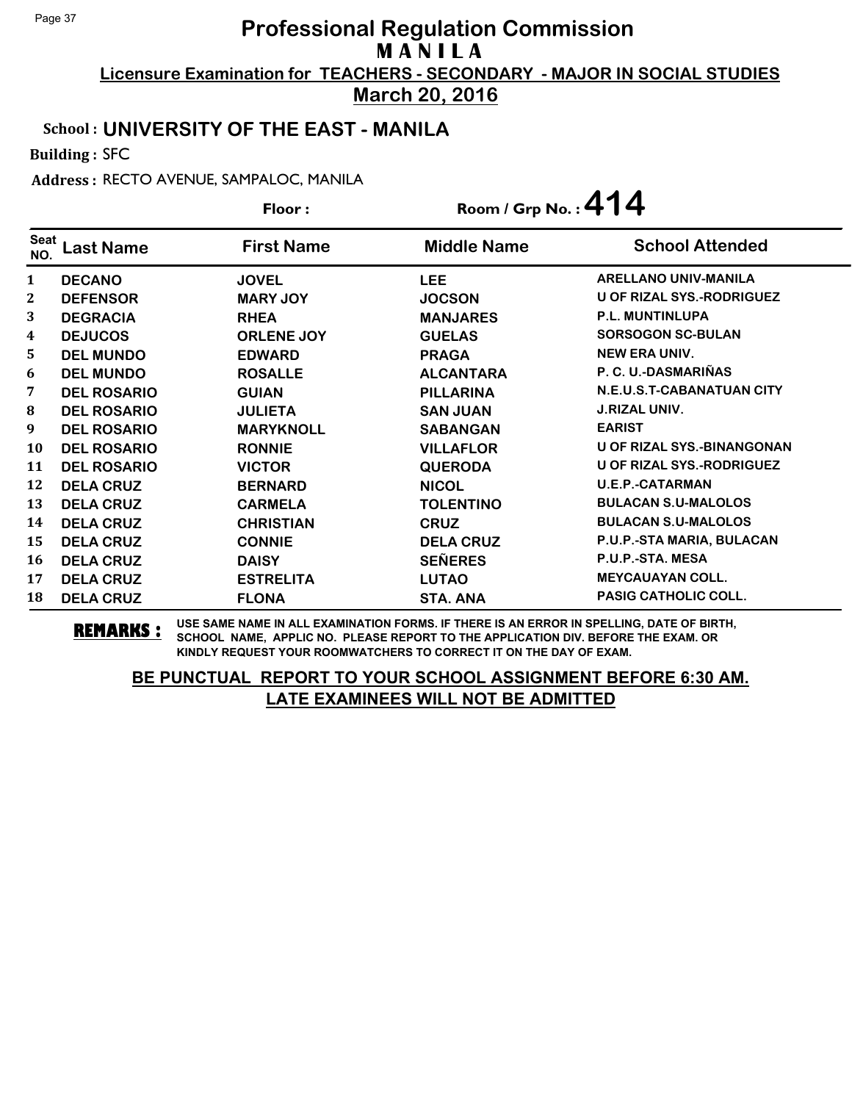**March 20, 2016**

#### School : **UNIVERSITY OF THE EAST - MANILA**

Building : SFC

Address : RECTO AVENUE, SAMPALOC, MANILA

|                         |                    | Floor:            | Room / Grp No.: $414$ |                                   |
|-------------------------|--------------------|-------------------|-----------------------|-----------------------------------|
| Seat<br>NO.             | ast Name           | <b>First Name</b> | <b>Middle Name</b>    | <b>School Attended</b>            |
| $\mathbf{1}$            | <b>DECANO</b>      | <b>JOVEL</b>      | <b>LEE</b>            | <b>ARELLANO UNIV-MANILA</b>       |
| 2                       | <b>DEFENSOR</b>    | <b>MARY JOY</b>   | <b>JOCSON</b>         | <b>U OF RIZAL SYS.-RODRIGUEZ</b>  |
| 3                       | <b>DEGRACIA</b>    | <b>RHEA</b>       | <b>MANJARES</b>       | <b>P.L. MUNTINLUPA</b>            |
| $\overline{\mathbf{4}}$ | <b>DEJUCOS</b>     | <b>ORLENE JOY</b> | <b>GUELAS</b>         | <b>SORSOGON SC-BULAN</b>          |
| 5                       | <b>DEL MUNDO</b>   | <b>EDWARD</b>     | <b>PRAGA</b>          | <b>NEW ERA UNIV.</b>              |
| 6                       | <b>DEL MUNDO</b>   | <b>ROSALLE</b>    | <b>ALCANTARA</b>      | P. C. U.-DASMARIÑAS               |
| 7                       | <b>DEL ROSARIO</b> | <b>GUIAN</b>      | <b>PILLARINA</b>      | <b>N.E.U.S.T-CABANATUAN CITY</b>  |
| 8                       | <b>DEL ROSARIO</b> | <b>JULIETA</b>    | <b>SAN JUAN</b>       | <b>J.RIZAL UNIV.</b>              |
| 9                       | <b>DEL ROSARIO</b> | <b>MARYKNOLL</b>  | <b>SABANGAN</b>       | <b>EARIST</b>                     |
| 10                      | <b>DEL ROSARIO</b> | <b>RONNIE</b>     | <b>VILLAFLOR</b>      | <b>U OF RIZAL SYS.-BINANGONAN</b> |
| 11                      | <b>DEL ROSARIO</b> | <b>VICTOR</b>     | <b>QUERODA</b>        | U OF RIZAL SYS.-RODRIGUEZ         |
| 12                      | <b>DELA CRUZ</b>   | <b>BERNARD</b>    | <b>NICOL</b>          | <b>U.E.P.-CATARMAN</b>            |
| 13                      | <b>DELA CRUZ</b>   | <b>CARMELA</b>    | <b>TOLENTINO</b>      | <b>BULACAN S.U-MALOLOS</b>        |
| 14                      | <b>DELA CRUZ</b>   | <b>CHRISTIAN</b>  | <b>CRUZ</b>           | <b>BULACAN S.U-MALOLOS</b>        |
| 15                      | <b>DELA CRUZ</b>   | <b>CONNIE</b>     | <b>DELA CRUZ</b>      | P.U.P.-STA MARIA, BULACAN         |
| 16                      | <b>DELA CRUZ</b>   | <b>DAISY</b>      | <b>SEÑERES</b>        | P.U.P.-STA. MESA                  |
| 17                      | <b>DELA CRUZ</b>   | <b>ESTRELITA</b>  | <b>LUTAO</b>          | <b>MEYCAUAYAN COLL.</b>           |
| 18                      | <b>DELA CRUZ</b>   | <b>FLONA</b>      | <b>STA. ANA</b>       | <b>PASIG CATHOLIC COLL.</b>       |

**REMARKS :** USE SAME NAME IN ALL EXAMINATION FORMS. IF THERE IS AN ERROR IN SPELLING, DATE OF BIRTH, SCHOOL NAME, APPLIC NO. PLEASE REPORT TO THE APPLICATION DIV. BEFORE THE EXAM. OR KINDLY REQUEST YOUR ROOMWATCHERS TO CORRECT IT ON THE DAY OF EXAM.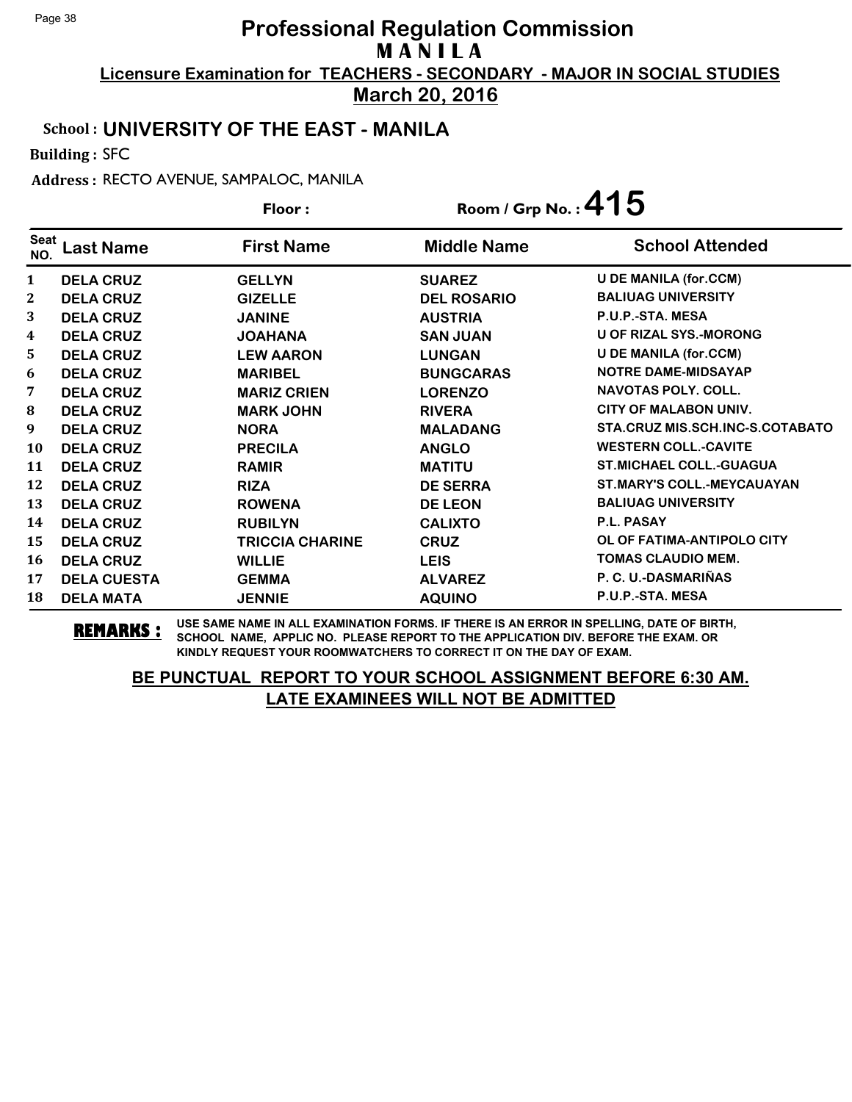**March 20, 2016**

#### School : **UNIVERSITY OF THE EAST - MANILA**

Building : SFC

Address : RECTO AVENUE, SAMPALOC, MANILA

|              |                    | Floor:                 | Room / Grp No.: $415$ |                                   |
|--------------|--------------------|------------------------|-----------------------|-----------------------------------|
| Seat<br>NO.  | Last Name          | <b>First Name</b>      | <b>Middle Name</b>    | <b>School Attended</b>            |
| $\mathbf{1}$ | <b>DELA CRUZ</b>   | <b>GELLYN</b>          | <b>SUAREZ</b>         | <b>U DE MANILA (for.CCM)</b>      |
| 2            | <b>DELA CRUZ</b>   | <b>GIZELLE</b>         | <b>DEL ROSARIO</b>    | <b>BALIUAG UNIVERSITY</b>         |
| 3            | <b>DELA CRUZ</b>   | <b>JANINE</b>          | <b>AUSTRIA</b>        | P.U.P.-STA. MESA                  |
| 4            | <b>DELA CRUZ</b>   | <b>JOAHANA</b>         | <b>SAN JUAN</b>       | <b>U OF RIZAL SYS.-MORONG</b>     |
| 5            | <b>DELA CRUZ</b>   | <b>LEW AARON</b>       | <b>LUNGAN</b>         | <b>U DE MANILA (for.CCM)</b>      |
| 6            | <b>DELA CRUZ</b>   | <b>MARIBEL</b>         | <b>BUNGCARAS</b>      | <b>NOTRE DAME-MIDSAYAP</b>        |
| 7            | <b>DELA CRUZ</b>   | <b>MARIZ CRIEN</b>     | <b>LORENZO</b>        | <b>NAVOTAS POLY, COLL.</b>        |
| 8            | <b>DELA CRUZ</b>   | <b>MARK JOHN</b>       | <b>RIVERA</b>         | <b>CITY OF MALABON UNIV.</b>      |
| 9            | <b>DELA CRUZ</b>   | <b>NORA</b>            | <b>MALADANG</b>       | STA.CRUZ MIS.SCH.INC-S.COTABATO   |
| 10           | <b>DELA CRUZ</b>   | <b>PRECILA</b>         | <b>ANGLO</b>          | <b>WESTERN COLL.-CAVITE</b>       |
| 11           | <b>DELA CRUZ</b>   | <b>RAMIR</b>           | <b>MATITU</b>         | <b>ST.MICHAEL COLL.-GUAGUA</b>    |
| 12           | <b>DELA CRUZ</b>   | <b>RIZA</b>            | <b>DE SERRA</b>       | <b>ST.MARY'S COLL.-MEYCAUAYAN</b> |
| 13           | <b>DELA CRUZ</b>   | <b>ROWENA</b>          | <b>DE LEON</b>        | <b>BALIUAG UNIVERSITY</b>         |
| 14           | <b>DELA CRUZ</b>   | <b>RUBILYN</b>         | <b>CALIXTO</b>        | P.L. PASAY                        |
| 15           | <b>DELA CRUZ</b>   | <b>TRICCIA CHARINE</b> | <b>CRUZ</b>           | OL OF FATIMA-ANTIPOLO CITY        |
| 16           | <b>DELA CRUZ</b>   | <b>WILLIE</b>          | <b>LEIS</b>           | <b>TOMAS CLAUDIO MEM.</b>         |
| 17           | <b>DELA CUESTA</b> | <b>GEMMA</b>           | <b>ALVAREZ</b>        | P. C. U.-DASMARIÑAS               |
| 18           | <b>DELA MATA</b>   | <b>JENNIE</b>          | <b>AQUINO</b>         | P.U.P.-STA. MESA                  |

**REMARKS :** USE SAME NAME IN ALL EXAMINATION FORMS. IF THERE IS AN ERROR IN SPELLING, DATE OF BIRTH, SCHOOL NAME, APPLIC NO. PLEASE REPORT TO THE APPLICATION DIV. BEFORE THE EXAM. OR KINDLY REQUEST YOUR ROOMWATCHERS TO CORRECT IT ON THE DAY OF EXAM.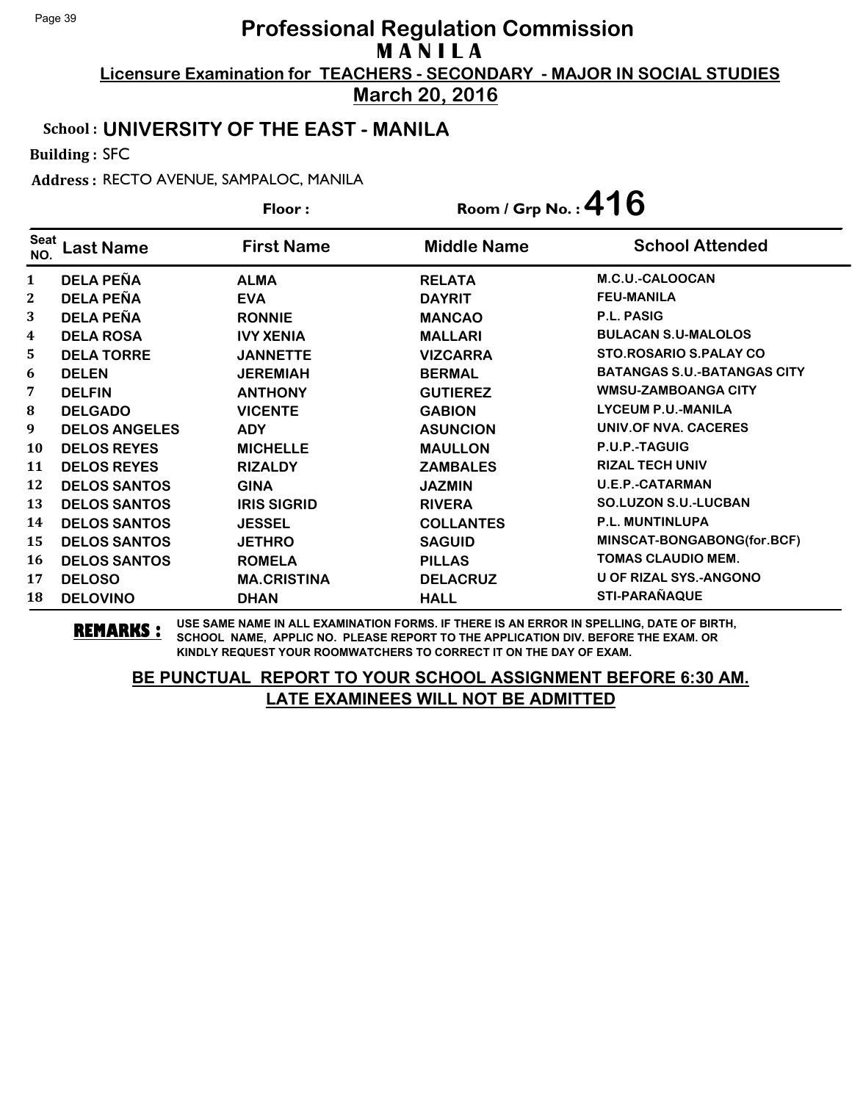**March 20, 2016**

#### School : **UNIVERSITY OF THE EAST - MANILA**

Building : SFC

Address : RECTO AVENUE, SAMPALOC, MANILA

|              |                      | Floor:             | Room / Grp No.: $416$ |                                    |
|--------------|----------------------|--------------------|-----------------------|------------------------------------|
| Seat<br>NO.  | Last Name            | <b>First Name</b>  | <b>Middle Name</b>    | <b>School Attended</b>             |
| $\mathbf{1}$ | <b>DELA PEÑA</b>     | <b>ALMA</b>        | <b>RELATA</b>         | M.C.U.-CALOOCAN                    |
| $\mathbf 2$  | <b>DELA PEÑA</b>     | <b>EVA</b>         | <b>DAYRIT</b>         | <b>FEU-MANILA</b>                  |
| 3            | <b>DELA PEÑA</b>     | <b>RONNIE</b>      | <b>MANCAO</b>         | <b>P.L. PASIG</b>                  |
| 4            | <b>DELA ROSA</b>     | <b>IVY XENIA</b>   | <b>MALLARI</b>        | <b>BULACAN S.U-MALOLOS</b>         |
| 5            | <b>DELA TORRE</b>    | <b>JANNETTE</b>    | <b>VIZCARRA</b>       | STO. ROSARIO S. PALAY CO           |
| 6            | <b>DELEN</b>         | <b>JEREMIAH</b>    | <b>BERMAL</b>         | <b>BATANGAS S.U.-BATANGAS CITY</b> |
| 7            | <b>DELFIN</b>        | <b>ANTHONY</b>     | <b>GUTIEREZ</b>       | <b>WMSU-ZAMBOANGA CITY</b>         |
| 8            | <b>DELGADO</b>       | <b>VICENTE</b>     | <b>GABION</b>         | <b>LYCEUM P.U.-MANILA</b>          |
| 9            | <b>DELOS ANGELES</b> | <b>ADY</b>         | <b>ASUNCION</b>       | <b>UNIV.OF NVA. CACERES</b>        |
| 10           | <b>DELOS REYES</b>   | <b>MICHELLE</b>    | <b>MAULLON</b>        | P.U.P.-TAGUIG                      |
| 11           | <b>DELOS REYES</b>   | <b>RIZALDY</b>     | <b>ZAMBALES</b>       | <b>RIZAL TECH UNIV</b>             |
| 12           | <b>DELOS SANTOS</b>  | <b>GINA</b>        | <b>JAZMIN</b>         | <b>U.E.P.-CATARMAN</b>             |
| 13           | <b>DELOS SANTOS</b>  | <b>IRIS SIGRID</b> | <b>RIVERA</b>         | <b>SO.LUZON S.U.-LUCBAN</b>        |
| 14           | <b>DELOS SANTOS</b>  | <b>JESSEL</b>      | <b>COLLANTES</b>      | P.L. MUNTINLUPA                    |
| 15           | <b>DELOS SANTOS</b>  | <b>JETHRO</b>      | <b>SAGUID</b>         | MINSCAT-BONGABONG(for.BCF)         |
| 16           | <b>DELOS SANTOS</b>  | <b>ROMELA</b>      | <b>PILLAS</b>         | <b>TOMAS CLAUDIO MEM.</b>          |
| 17           | <b>DELOSO</b>        | <b>MA.CRISTINA</b> | <b>DELACRUZ</b>       | <b>U OF RIZAL SYS.-ANGONO</b>      |
| 18           | <b>DELOVINO</b>      | <b>DHAN</b>        | <b>HALL</b>           | STI-PARAÑAQUE                      |

**REMARKS :** USE SAME NAME IN ALL EXAMINATION FORMS. IF THERE IS AN ERROR IN SPELLING, DATE OF BIRTH, SCHOOL NAME, APPLIC NO. PLEASE REPORT TO THE APPLICATION DIV. BEFORE THE EXAM. OR KINDLY REQUEST YOUR ROOMWATCHERS TO CORRECT IT ON THE DAY OF EXAM.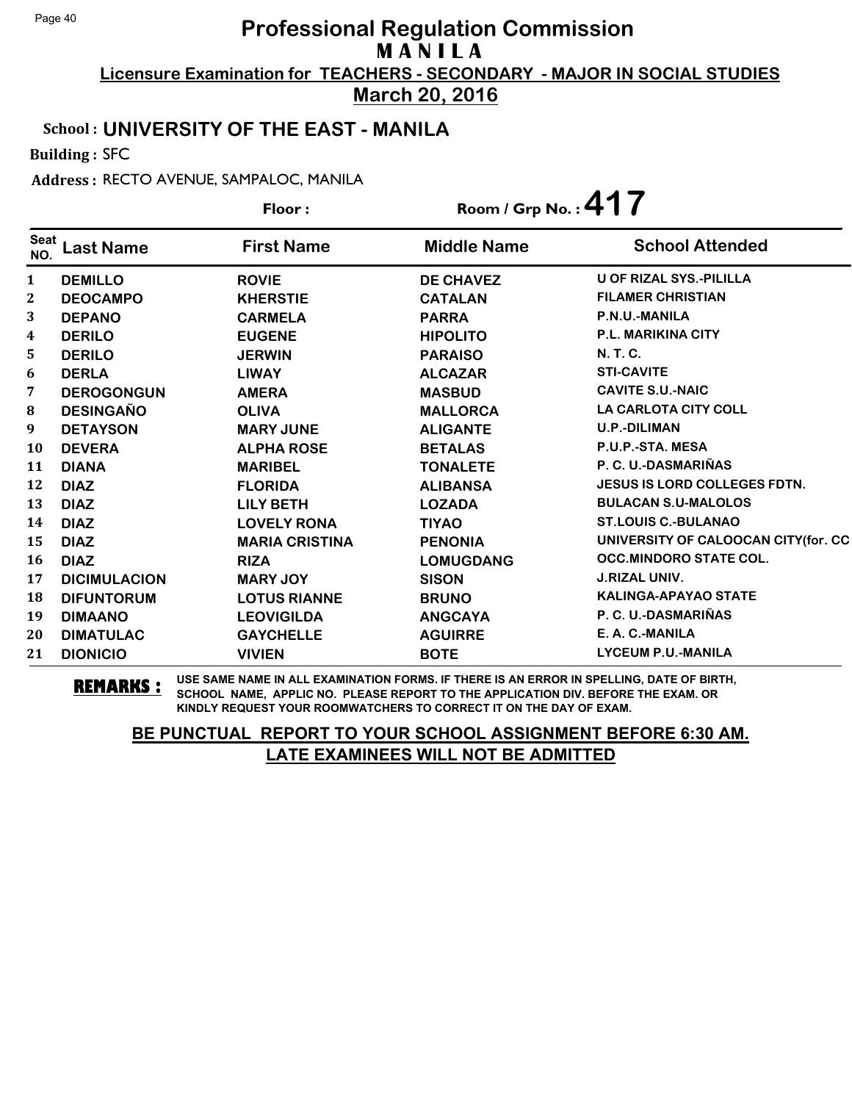**March 20, 2016**

#### School : **UNIVERSITY OF THE EAST - MANILA**

Building : SFC

Address : RECTO AVENUE, SAMPALOC, MANILA

|                         |                     | Floor:                | Room / Grp No.: $417$ |                                     |
|-------------------------|---------------------|-----------------------|-----------------------|-------------------------------------|
| <b>Seat</b><br>NO.      | <b>Last Name</b>    | <b>First Name</b>     | <b>Middle Name</b>    | <b>School Attended</b>              |
| 1                       | <b>DEMILLO</b>      | <b>ROVIE</b>          | <b>DE CHAVEZ</b>      | U OF RIZAL SYS.-PILILLA             |
| $\mathbf{2}$            | <b>DEOCAMPO</b>     | <b>KHERSTIE</b>       | <b>CATALAN</b>        | <b>FILAMER CHRISTIAN</b>            |
| 3                       | <b>DEPANO</b>       | <b>CARMELA</b>        | <b>PARRA</b>          | P.N.U.-MANILA                       |
| $\overline{\mathbf{4}}$ | <b>DERILO</b>       | <b>EUGENE</b>         | <b>HIPOLITO</b>       | <b>P.L. MARIKINA CITY</b>           |
| 5                       | <b>DERILO</b>       | <b>JERWIN</b>         | <b>PARAISO</b>        | N. T. C.                            |
| 6                       | <b>DERLA</b>        | <b>LIWAY</b>          | <b>ALCAZAR</b>        | <b>STI-CAVITE</b>                   |
| 7                       | <b>DEROGONGUN</b>   | <b>AMERA</b>          | <b>MASBUD</b>         | <b>CAVITE S.U.-NAIC</b>             |
| 8                       | <b>DESINGAÑO</b>    | <b>OLIVA</b>          | <b>MALLORCA</b>       | <b>LA CARLOTA CITY COLL</b>         |
| 9                       | <b>DETAYSON</b>     | <b>MARY JUNE</b>      | <b>ALIGANTE</b>       | <b>U.P.-DILIMAN</b>                 |
| 10                      | <b>DEVERA</b>       | <b>ALPHA ROSE</b>     | <b>BETALAS</b>        | P.U.P.-STA. MESA                    |
| 11                      | <b>DIANA</b>        | <b>MARIBEL</b>        | <b>TONALETE</b>       | P. C. U.-DASMARIÑAS                 |
| 12                      | <b>DIAZ</b>         | <b>FLORIDA</b>        | <b>ALIBANSA</b>       | <b>JESUS IS LORD COLLEGES FDTN.</b> |
| 13                      | <b>DIAZ</b>         | <b>LILY BETH</b>      | <b>LOZADA</b>         | <b>BULACAN S.U-MALOLOS</b>          |
| 14                      | <b>DIAZ</b>         | <b>LOVELY RONA</b>    | <b>TIYAO</b>          | <b>ST.LOUIS C.-BULANAO</b>          |
| 15                      | <b>DIAZ</b>         | <b>MARIA CRISTINA</b> | <b>PENONIA</b>        | UNIVERSITY OF CALOOCAN CITY(for. CC |
| 16                      | <b>DIAZ</b>         | <b>RIZA</b>           | <b>LOMUGDANG</b>      | <b>OCC.MINDORO STATE COL.</b>       |
| 17                      | <b>DICIMULACION</b> | <b>MARY JOY</b>       | <b>SISON</b>          | <b>J.RIZAL UNIV.</b>                |
| 18                      | <b>DIFUNTORUM</b>   | <b>LOTUS RIANNE</b>   | <b>BRUNO</b>          | <b>KALINGA-APAYAO STATE</b>         |
| 19                      | <b>DIMAANO</b>      | <b>LEOVIGILDA</b>     | <b>ANGCAYA</b>        | P. C. U.-DASMARIÑAS                 |
| 20                      | <b>DIMATULAC</b>    | <b>GAYCHELLE</b>      | <b>AGUIRRE</b>        | E. A. C.-MANILA                     |
| 21                      | <b>DIONICIO</b>     | <b>VIVIEN</b>         | <b>BOTE</b>           | <b>LYCEUM P.U.-MANILA</b>           |

**REMARKS :** USE SAME NAME IN ALL EXAMINATION FORMS. IF THERE IS AN ERROR IN SPELLING, DATE OF BIRTH, SCHOOL NAME, APPLIC NO. PLEASE REPORT TO THE APPLICATION DIV. BEFORE THE EXAM. OR KINDLY REQUEST YOUR ROOMWATCHERS TO CORRECT IT ON THE DAY OF EXAM.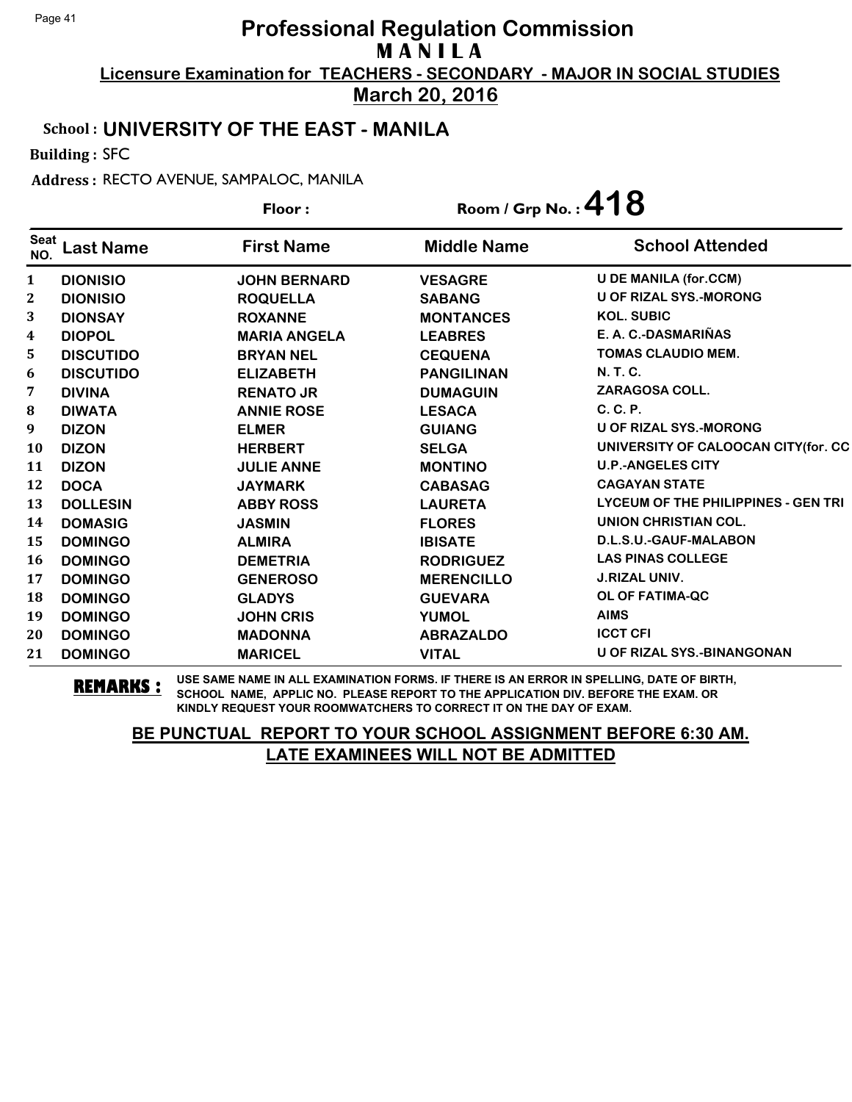**March 20, 2016**

#### School : **UNIVERSITY OF THE EAST - MANILA**

Building : SFC

Address : RECTO AVENUE, SAMPALOC, MANILA

|                    |                  | Floor:              | Room / Grp No.: 418 |                                     |
|--------------------|------------------|---------------------|---------------------|-------------------------------------|
| <b>Seat</b><br>NO. | <b>Last Name</b> | <b>First Name</b>   | <b>Middle Name</b>  | <b>School Attended</b>              |
| $\mathbf{1}$       | <b>DIONISIO</b>  | <b>JOHN BERNARD</b> | <b>VESAGRE</b>      | <b>U DE MANILA (for.CCM)</b>        |
| 2                  | <b>DIONISIO</b>  | <b>ROQUELLA</b>     | <b>SABANG</b>       | <b>U OF RIZAL SYS.-MORONG</b>       |
| 3                  | <b>DIONSAY</b>   | <b>ROXANNE</b>      | <b>MONTANCES</b>    | <b>KOL. SUBIC</b>                   |
| 4                  | <b>DIOPOL</b>    | <b>MARIA ANGELA</b> | <b>LEABRES</b>      | E. A. C.-DASMARIÑAS                 |
| 5                  | <b>DISCUTIDO</b> | <b>BRYAN NEL</b>    | <b>CEQUENA</b>      | <b>TOMAS CLAUDIO MEM.</b>           |
| 6                  | <b>DISCUTIDO</b> | <b>ELIZABETH</b>    | <b>PANGILINAN</b>   | <b>N. T. C.</b>                     |
| 7                  | <b>DIVINA</b>    | <b>RENATO JR</b>    | <b>DUMAGUIN</b>     | <b>ZARAGOSA COLL.</b>               |
| $\bf{8}$           | <b>DIWATA</b>    | <b>ANNIE ROSE</b>   | <b>LESACA</b>       | C. C. P.                            |
| 9                  | <b>DIZON</b>     | <b>ELMER</b>        | <b>GUIANG</b>       | <b>U OF RIZAL SYS.-MORONG</b>       |
| 10                 | <b>DIZON</b>     | <b>HERBERT</b>      | <b>SELGA</b>        | UNIVERSITY OF CALOOCAN CITY(for. CC |
| 11                 | <b>DIZON</b>     | <b>JULIE ANNE</b>   | <b>MONTINO</b>      | <b>U.P.-ANGELES CITY</b>            |
| 12                 | <b>DOCA</b>      | <b>JAYMARK</b>      | <b>CABASAG</b>      | <b>CAGAYAN STATE</b>                |
| 13                 | <b>DOLLESIN</b>  | <b>ABBY ROSS</b>    | <b>LAURETA</b>      | LYCEUM OF THE PHILIPPINES - GEN TRI |
| 14                 | <b>DOMASIG</b>   | <b>JASMIN</b>       | <b>FLORES</b>       | UNION CHRISTIAN COL.                |
| 15                 | <b>DOMINGO</b>   | <b>ALMIRA</b>       | <b>IBISATE</b>      | D.L.S.U.-GAUF-MALABON               |
| 16                 | <b>DOMINGO</b>   | <b>DEMETRIA</b>     | <b>RODRIGUEZ</b>    | <b>LAS PINAS COLLEGE</b>            |
| 17                 | <b>DOMINGO</b>   | <b>GENEROSO</b>     | <b>MERENCILLO</b>   | <b>J.RIZAL UNIV.</b>                |
| 18                 | <b>DOMINGO</b>   | <b>GLADYS</b>       | <b>GUEVARA</b>      | <b>OL OF FATIMA-QC</b>              |
| 19                 | <b>DOMINGO</b>   | <b>JOHN CRIS</b>    | <b>YUMOL</b>        | <b>AIMS</b>                         |
| 20                 | <b>DOMINGO</b>   | <b>MADONNA</b>      | <b>ABRAZALDO</b>    | <b>ICCT CFI</b>                     |
| 21                 | <b>DOMINGO</b>   | <b>MARICEL</b>      | <b>VITAL</b>        | <b>U OF RIZAL SYS.-BINANGONAN</b>   |

**REMARKS :** USE SAME NAME IN ALL EXAMINATION FORMS. IF THERE IS AN ERROR IN SPELLING, DATE OF BIRTH, SCHOOL NAME, APPLIC NO. PLEASE REPORT TO THE APPLICATION DIV. BEFORE THE EXAM. OR KINDLY REQUEST YOUR ROOMWATCHERS TO CORRECT IT ON THE DAY OF EXAM.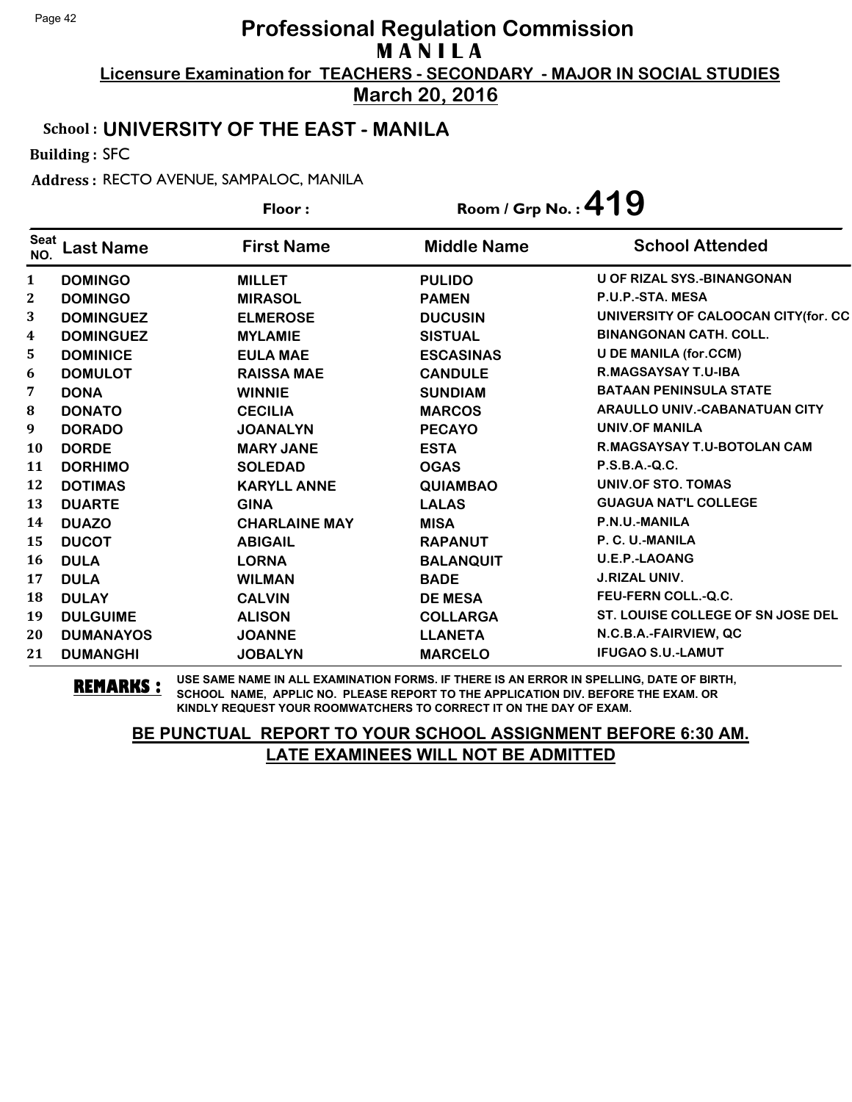**March 20, 2016**

#### School : **UNIVERSITY OF THE EAST - MANILA**

Building : SFC

Address : RECTO AVENUE, SAMPALOC, MANILA

| Floor:             |                  | Room / Grp No.: 419  |                    |                                      |
|--------------------|------------------|----------------------|--------------------|--------------------------------------|
| <b>Seat</b><br>NO. | <b>Last Name</b> | <b>First Name</b>    | <b>Middle Name</b> | <b>School Attended</b>               |
| $\mathbf{1}$       | <b>DOMINGO</b>   | <b>MILLET</b>        | <b>PULIDO</b>      | <b>U OF RIZAL SYS.-BINANGONAN</b>    |
| $\mathbf{2}$       | <b>DOMINGO</b>   | <b>MIRASOL</b>       | <b>PAMEN</b>       | P.U.P.-STA. MESA                     |
| 3                  | <b>DOMINGUEZ</b> | <b>ELMEROSE</b>      | <b>DUCUSIN</b>     | UNIVERSITY OF CALOOCAN CITY (for. CC |
| 4                  | <b>DOMINGUEZ</b> | <b>MYLAMIE</b>       | <b>SISTUAL</b>     | <b>BINANGONAN CATH, COLL.</b>        |
| 5                  | <b>DOMINICE</b>  | <b>EULA MAE</b>      | <b>ESCASINAS</b>   | <b>U DE MANILA (for.CCM)</b>         |
| 6                  | <b>DOMULOT</b>   | <b>RAISSA MAE</b>    | <b>CANDULE</b>     | <b>R.MAGSAYSAY T.U-IBA</b>           |
| 7                  | <b>DONA</b>      | <b>WINNIE</b>        | <b>SUNDIAM</b>     | <b>BATAAN PENINSULA STATE</b>        |
| 8                  | <b>DONATO</b>    | <b>CECILIA</b>       | <b>MARCOS</b>      | <b>ARAULLO UNIV.-CABANATUAN CITY</b> |
| 9                  | <b>DORADO</b>    | <b>JOANALYN</b>      | <b>PECAYO</b>      | <b>UNIV.OF MANILA</b>                |
| <b>10</b>          | <b>DORDE</b>     | <b>MARY JANE</b>     | <b>ESTA</b>        | <b>R.MAGSAYSAY T.U-BOTOLAN CAM</b>   |
| 11                 | <b>DORHIMO</b>   | <b>SOLEDAD</b>       | <b>OGAS</b>        | P.S.B.A.-Q.C.                        |
| 12                 | <b>DOTIMAS</b>   | <b>KARYLL ANNE</b>   | <b>QUIAMBAO</b>    | UNIV.OF STO. TOMAS                   |
| 13                 | <b>DUARTE</b>    | <b>GINA</b>          | <b>LALAS</b>       | <b>GUAGUA NAT'L COLLEGE</b>          |
| 14                 | <b>DUAZO</b>     | <b>CHARLAINE MAY</b> | <b>MISA</b>        | P.N.U.-MANILA                        |
| 15                 | <b>DUCOT</b>     | <b>ABIGAIL</b>       | <b>RAPANUT</b>     | P. C. U.-MANILA                      |
| 16                 | <b>DULA</b>      | <b>LORNA</b>         | <b>BALANQUIT</b>   | <b>U.E.P.-LAOANG</b>                 |
| 17                 | <b>DULA</b>      | <b>WILMAN</b>        | <b>BADE</b>        | <b>J.RIZAL UNIV.</b>                 |
| 18                 | <b>DULAY</b>     | <b>CALVIN</b>        | <b>DE MESA</b>     | <b>FEU-FERN COLL.-Q.C.</b>           |
| 19                 | <b>DULGUIME</b>  | <b>ALISON</b>        | <b>COLLARGA</b>    | ST. LOUISE COLLEGE OF SN JOSE DEL    |
| 20                 | <b>DUMANAYOS</b> | <b>JOANNE</b>        | <b>LLANETA</b>     | N.C.B.A.-FAIRVIEW, QC                |
| 21                 | <b>DUMANGHI</b>  | <b>JOBALYN</b>       | <b>MARCELO</b>     | <b>IFUGAO S.U.-LAMUT</b>             |

**REMARKS :** USE SAME NAME IN ALL EXAMINATION FORMS. IF THERE IS AN ERROR IN SPELLING, DATE OF BIRTH, SCHOOL NAME, APPLIC NO. PLEASE REPORT TO THE APPLICATION DIV. BEFORE THE EXAM. OR KINDLY REQUEST YOUR ROOMWATCHERS TO CORRECT IT ON THE DAY OF EXAM.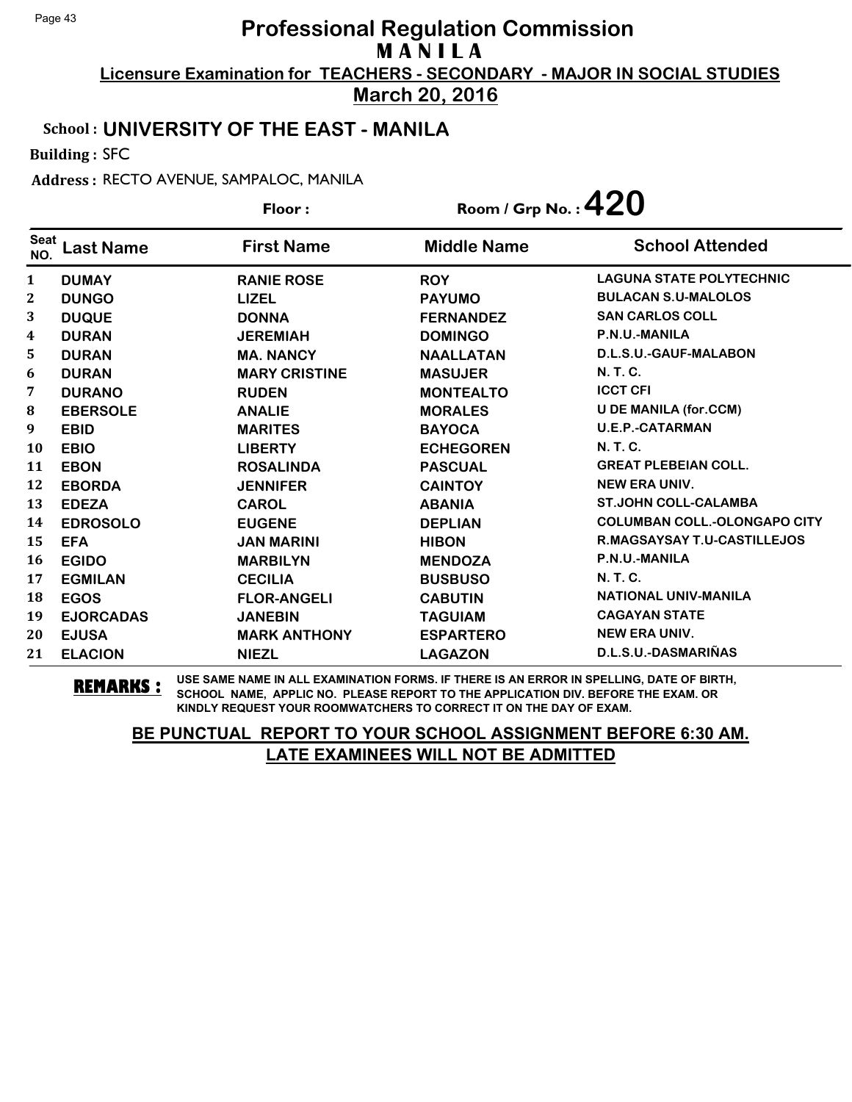**March 20, 2016**

#### School : **UNIVERSITY OF THE EAST - MANILA**

Building : SFC

Address : RECTO AVENUE, SAMPALOC, MANILA

| Floor:             |                  | Room / Grp No.: $420$ |                    |                                     |
|--------------------|------------------|-----------------------|--------------------|-------------------------------------|
| <b>Seat</b><br>NO. | Last Name        | <b>First Name</b>     | <b>Middle Name</b> | <b>School Attended</b>              |
| 1                  | <b>DUMAY</b>     | <b>RANIE ROSE</b>     | <b>ROY</b>         | <b>LAGUNA STATE POLYTECHNIC</b>     |
| 2                  | <b>DUNGO</b>     | <b>LIZEL</b>          | <b>PAYUMO</b>      | <b>BULACAN S.U-MALOLOS</b>          |
| 3                  | <b>DUQUE</b>     | <b>DONNA</b>          | <b>FERNANDEZ</b>   | <b>SAN CARLOS COLL</b>              |
| 4                  | <b>DURAN</b>     | <b>JEREMIAH</b>       | <b>DOMINGO</b>     | P.N.U.-MANILA                       |
| 5                  | <b>DURAN</b>     | <b>MA. NANCY</b>      | <b>NAALLATAN</b>   | D.L.S.U.-GAUF-MALABON               |
| 6                  | <b>DURAN</b>     | <b>MARY CRISTINE</b>  | <b>MASUJER</b>     | <b>N.T.C.</b>                       |
| 7                  | <b>DURANO</b>    | <b>RUDEN</b>          | <b>MONTEALTO</b>   | <b>ICCT CFI</b>                     |
| 8                  | <b>EBERSOLE</b>  | <b>ANALIE</b>         | <b>MORALES</b>     | <b>U DE MANILA (for.CCM)</b>        |
| 9                  | <b>EBID</b>      | <b>MARITES</b>        | <b>BAYOCA</b>      | <b>U.E.P.-CATARMAN</b>              |
| 10                 | <b>EBIO</b>      | <b>LIBERTY</b>        | <b>ECHEGOREN</b>   | <b>N.T.C.</b>                       |
| 11                 | <b>EBON</b>      | <b>ROSALINDA</b>      | <b>PASCUAL</b>     | <b>GREAT PLEBEIAN COLL.</b>         |
| 12                 | <b>EBORDA</b>    | <b>JENNIFER</b>       | <b>CAINTOY</b>     | <b>NEW ERA UNIV.</b>                |
| 13                 | <b>EDEZA</b>     | <b>CAROL</b>          | <b>ABANIA</b>      | <b>ST.JOHN COLL-CALAMBA</b>         |
| 14                 | <b>EDROSOLO</b>  | <b>EUGENE</b>         | <b>DEPLIAN</b>     | <b>COLUMBAN COLL.-OLONGAPO CITY</b> |
| 15                 | <b>EFA</b>       | <b>JAN MARINI</b>     | <b>HIBON</b>       | <b>R.MAGSAYSAY T.U-CASTILLEJOS</b>  |
| 16                 | <b>EGIDO</b>     | <b>MARBILYN</b>       | <b>MENDOZA</b>     | P.N.U.-MANILA                       |
| 17                 | <b>EGMILAN</b>   | <b>CECILIA</b>        | <b>BUSBUSO</b>     | <b>N.T.C.</b>                       |
| 18                 | <b>EGOS</b>      | <b>FLOR-ANGELI</b>    | <b>CABUTIN</b>     | <b>NATIONAL UNIV-MANILA</b>         |
| 19                 | <b>EJORCADAS</b> | <b>JANEBIN</b>        | <b>TAGUIAM</b>     | <b>CAGAYAN STATE</b>                |
| 20                 | <b>EJUSA</b>     | <b>MARK ANTHONY</b>   | <b>ESPARTERO</b>   | <b>NEW ERA UNIV.</b>                |
| 21                 | <b>ELACION</b>   | <b>NIEZL</b>          | <b>LAGAZON</b>     | D.L.S.U.-DASMARIÑAS                 |

**REMARKS :** USE SAME NAME IN ALL EXAMINATION FORMS. IF THERE IS AN ERROR IN SPELLING, DATE OF BIRTH, SCHOOL NAME, APPLIC NO. PLEASE REPORT TO THE APPLICATION DIV. BEFORE THE EXAM. OR KINDLY REQUEST YOUR ROOMWATCHERS TO CORRECT IT ON THE DAY OF EXAM.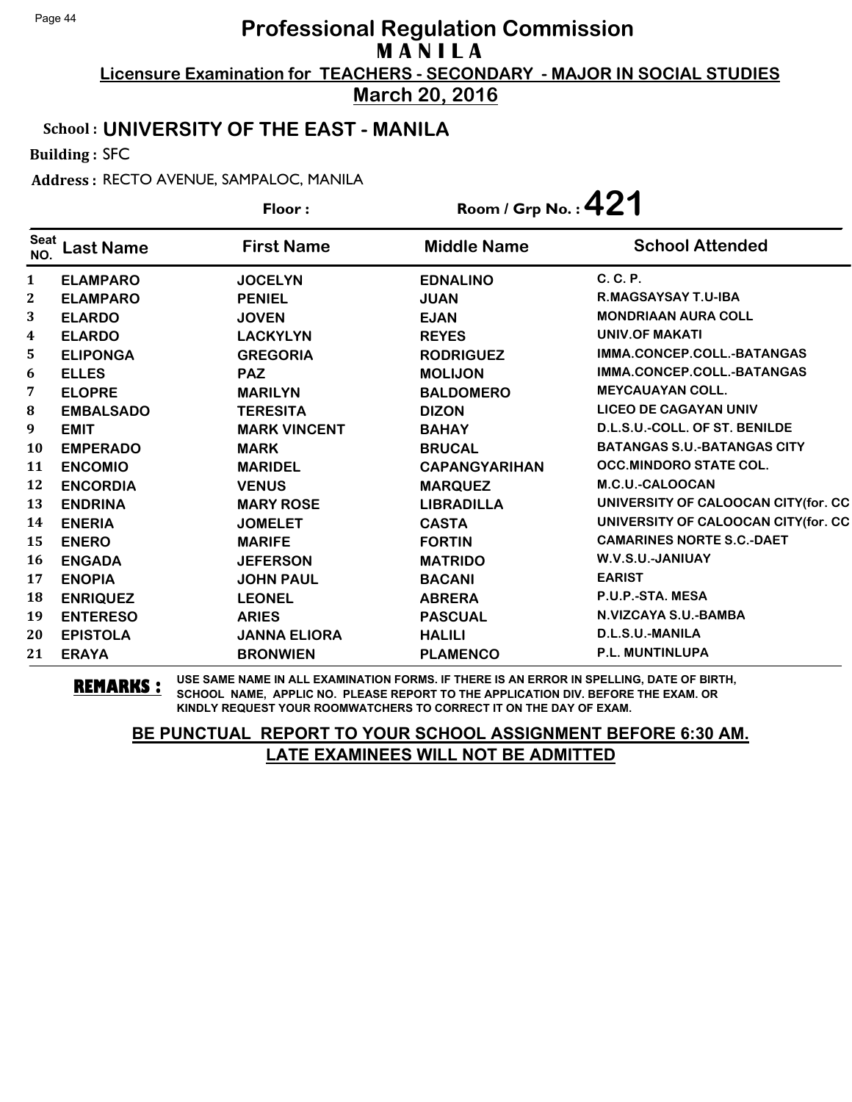**March 20, 2016**

#### School : **UNIVERSITY OF THE EAST - MANILA**

Building : SFC

Address : RECTO AVENUE, SAMPALOC, MANILA

|                         |                  | Floor:              | Room / Grp No.: $421$ |                                     |
|-------------------------|------------------|---------------------|-----------------------|-------------------------------------|
| <b>Seat</b><br>NO.      | <b>Last Name</b> | <b>First Name</b>   | <b>Middle Name</b>    | <b>School Attended</b>              |
| 1                       | <b>ELAMPARO</b>  | <b>JOCELYN</b>      | <b>EDNALINO</b>       | C. C. P.                            |
| $\mathbf{2}$            | <b>ELAMPARO</b>  | <b>PENIEL</b>       | <b>JUAN</b>           | R.MAGSAYSAY T.U-IBA                 |
| 3                       | <b>ELARDO</b>    | <b>JOVEN</b>        | <b>EJAN</b>           | <b>MONDRIAAN AURA COLL</b>          |
| $\overline{\mathbf{4}}$ | <b>ELARDO</b>    | <b>LACKYLYN</b>     | <b>REYES</b>          | UNIV.OF MAKATI                      |
| 5                       | <b>ELIPONGA</b>  | <b>GREGORIA</b>     | <b>RODRIGUEZ</b>      | IMMA.CONCEP.COLL.-BATANGAS          |
| 6                       | <b>ELLES</b>     | <b>PAZ</b>          | <b>MOLIJON</b>        | IMMA.CONCEP.COLL.-BATANGAS          |
| 7                       | <b>ELOPRE</b>    | <b>MARILYN</b>      | <b>BALDOMERO</b>      | <b>MEYCAUAYAN COLL.</b>             |
| 8                       | <b>EMBALSADO</b> | <b>TERESITA</b>     | <b>DIZON</b>          | <b>LICEO DE CAGAYAN UNIV</b>        |
| 9                       | <b>EMIT</b>      | <b>MARK VINCENT</b> | <b>BAHAY</b>          | D.L.S.U.-COLL. OF ST. BENILDE       |
| 10                      | <b>EMPERADO</b>  | <b>MARK</b>         | <b>BRUCAL</b>         | <b>BATANGAS S.U.-BATANGAS CITY</b>  |
| 11                      | <b>ENCOMIO</b>   | <b>MARIDEL</b>      | <b>CAPANGYARIHAN</b>  | <b>OCC.MINDORO STATE COL.</b>       |
| 12                      | <b>ENCORDIA</b>  | <b>VENUS</b>        | <b>MARQUEZ</b>        | M.C.U.-CALOOCAN                     |
| 13                      | <b>ENDRINA</b>   | <b>MARY ROSE</b>    | <b>LIBRADILLA</b>     | UNIVERSITY OF CALOOCAN CITY(for. CC |
| 14                      | <b>ENERIA</b>    | <b>JOMELET</b>      | <b>CASTA</b>          | UNIVERSITY OF CALOOCAN CITY(for. CC |
| 15                      | <b>ENERO</b>     | <b>MARIFE</b>       | <b>FORTIN</b>         | <b>CAMARINES NORTE S.C.-DAET</b>    |
| 16                      | <b>ENGADA</b>    | <b>JEFERSON</b>     | <b>MATRIDO</b>        | W.V.S.U.-JANIUAY                    |
| 17                      | <b>ENOPIA</b>    | <b>JOHN PAUL</b>    | <b>BACANI</b>         | <b>EARIST</b>                       |
| 18                      | <b>ENRIQUEZ</b>  | <b>LEONEL</b>       | <b>ABRERA</b>         | P.U.P.-STA. MESA                    |
| 19                      | <b>ENTERESO</b>  | <b>ARIES</b>        | <b>PASCUAL</b>        | N.VIZCAYA S.U.-BAMBA                |
| 20                      | <b>EPISTOLA</b>  | <b>JANNA ELIORA</b> | <b>HALILI</b>         | D.L.S.U.-MANILA                     |
| 21                      | <b>ERAYA</b>     | <b>BRONWIEN</b>     | <b>PLAMENCO</b>       | <b>P.L. MUNTINLUPA</b>              |

**REMARKS :** USE SAME NAME IN ALL EXAMINATION FORMS. IF THERE IS AN ERROR IN SPELLING, DATE OF BIRTH, SCHOOL NAME, APPLIC NO. PLEASE REPORT TO THE APPLICATION DIV. BEFORE THE EXAM. OR KINDLY REQUEST YOUR ROOMWATCHERS TO CORRECT IT ON THE DAY OF EXAM.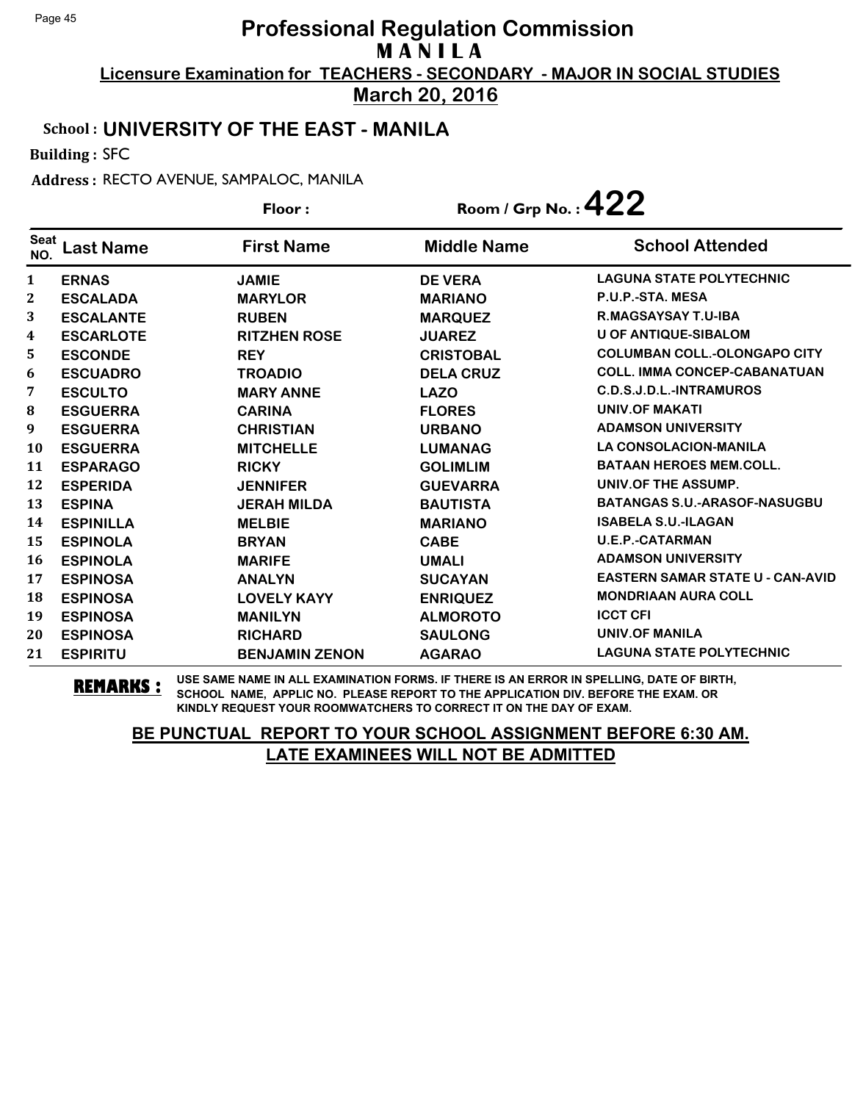**March 20, 2016**

#### School : **UNIVERSITY OF THE EAST - MANILA**

Building : SFC

Address : RECTO AVENUE, SAMPALOC, MANILA

|                    |                  | Floor:                | Room / Grp No.: $422$ |                                         |
|--------------------|------------------|-----------------------|-----------------------|-----------------------------------------|
| <b>Seat</b><br>NO. | <b>Last Name</b> | <b>First Name</b>     | <b>Middle Name</b>    | <b>School Attended</b>                  |
| 1                  | <b>ERNAS</b>     | <b>JAMIE</b>          | <b>DE VERA</b>        | <b>LAGUNA STATE POLYTECHNIC</b>         |
| 2                  | <b>ESCALADA</b>  | <b>MARYLOR</b>        | <b>MARIANO</b>        | P.U.P.-STA. MESA                        |
| 3                  | <b>ESCALANTE</b> | <b>RUBEN</b>          | <b>MARQUEZ</b>        | R.MAGSAYSAY T.U-IBA                     |
| 4                  | <b>ESCARLOTE</b> | <b>RITZHEN ROSE</b>   | <b>JUAREZ</b>         | <b>U OF ANTIQUE-SIBALOM</b>             |
| 5                  | <b>ESCONDE</b>   | <b>REY</b>            | <b>CRISTOBAL</b>      | <b>COLUMBAN COLL.-OLONGAPO CITY</b>     |
| 6                  | <b>ESCUADRO</b>  | <b>TROADIO</b>        | <b>DELA CRUZ</b>      | <b>COLL. IMMA CONCEP-CABANATUAN</b>     |
| 7                  | <b>ESCULTO</b>   | <b>MARY ANNE</b>      | <b>LAZO</b>           | C.D.S.J.D.L.-INTRAMUROS                 |
| 8                  | <b>ESGUERRA</b>  | <b>CARINA</b>         | <b>FLORES</b>         | <b>UNIV.OF MAKATI</b>                   |
| 9                  | <b>ESGUERRA</b>  | <b>CHRISTIAN</b>      | <b>URBANO</b>         | <b>ADAMSON UNIVERSITY</b>               |
| <b>10</b>          | <b>ESGUERRA</b>  | <b>MITCHELLE</b>      | <b>LUMANAG</b>        | LA CONSOLACION-MANILA                   |
| 11                 | <b>ESPARAGO</b>  | <b>RICKY</b>          | <b>GOLIMLIM</b>       | <b>BATAAN HEROES MEM.COLL.</b>          |
| 12                 | <b>ESPERIDA</b>  | <b>JENNIFER</b>       | <b>GUEVARRA</b>       | UNIV.OF THE ASSUMP.                     |
| 13                 | <b>ESPINA</b>    | <b>JERAH MILDA</b>    | <b>BAUTISTA</b>       | <b>BATANGAS S.U.-ARASOF-NASUGBU</b>     |
| 14                 | <b>ESPINILLA</b> | <b>MELBIE</b>         | <b>MARIANO</b>        | <b>ISABELA S.U.-ILAGAN</b>              |
| 15                 | <b>ESPINOLA</b>  | <b>BRYAN</b>          | <b>CABE</b>           | <b>U.E.P.-CATARMAN</b>                  |
| 16                 | <b>ESPINOLA</b>  | <b>MARIFE</b>         | <b>UMALI</b>          | <b>ADAMSON UNIVERSITY</b>               |
| 17                 | <b>ESPINOSA</b>  | <b>ANALYN</b>         | <b>SUCAYAN</b>        | <b>EASTERN SAMAR STATE U - CAN-AVID</b> |
| 18                 | <b>ESPINOSA</b>  | <b>LOVELY KAYY</b>    | <b>ENRIQUEZ</b>       | <b>MONDRIAAN AURA COLL</b>              |
| 19                 | <b>ESPINOSA</b>  | <b>MANILYN</b>        | <b>ALMOROTO</b>       | <b>ICCT CFI</b>                         |
| 20                 | <b>ESPINOSA</b>  | <b>RICHARD</b>        | <b>SAULONG</b>        | <b>UNIV.OF MANILA</b>                   |
| 21                 | <b>ESPIRITU</b>  | <b>BENJAMIN ZENON</b> | <b>AGARAO</b>         | <b>LAGUNA STATE POLYTECHNIC</b>         |

**REMARKS :** USE SAME NAME IN ALL EXAMINATION FORMS. IF THERE IS AN ERROR IN SPELLING, DATE OF BIRTH, SCHOOL NAME, APPLIC NO. PLEASE REPORT TO THE APPLICATION DIV. BEFORE THE EXAM. OR KINDLY REQUEST YOUR ROOMWATCHERS TO CORRECT IT ON THE DAY OF EXAM.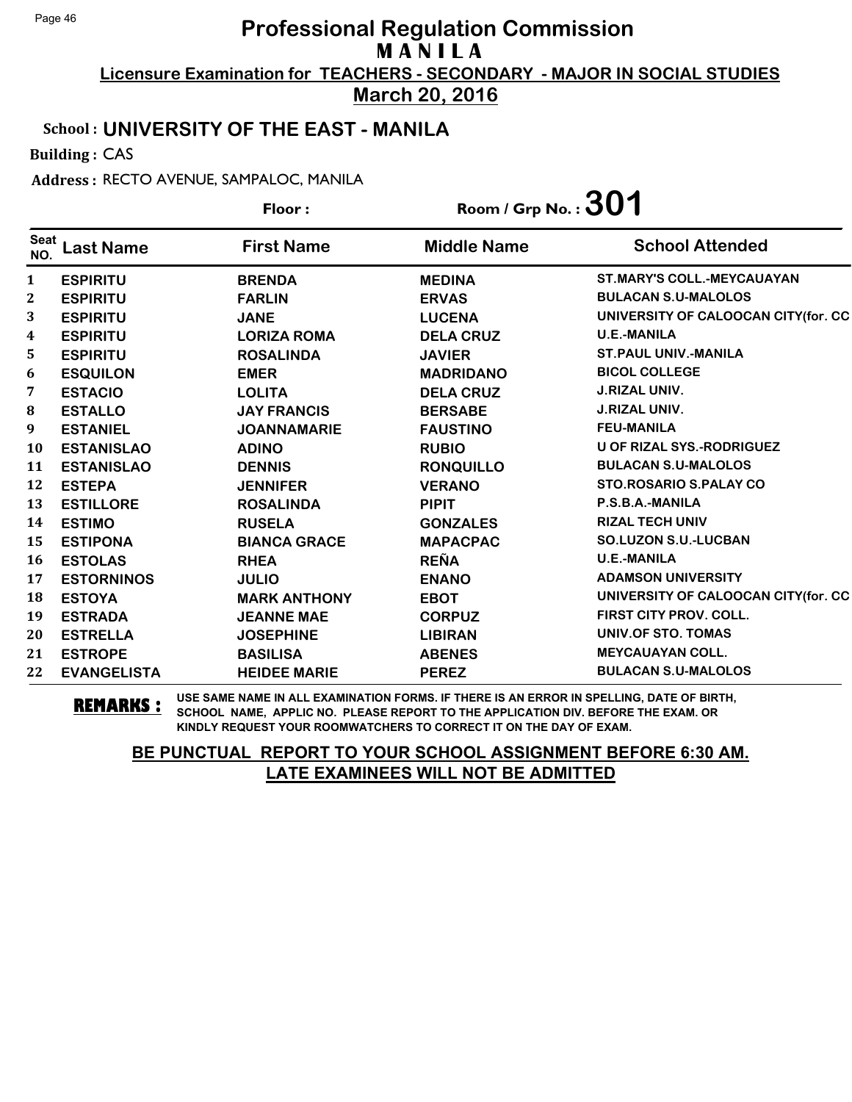**March 20, 2016**

#### School : **UNIVERSITY OF THE EAST - MANILA**

Building : CAS

Address : RECTO AVENUE, SAMPALOC, MANILA

|                    |                    | Floor:              | Room / Grp No. : $301$ |                                      |
|--------------------|--------------------|---------------------|------------------------|--------------------------------------|
| <b>Seat</b><br>NO. | <b>Last Name</b>   | <b>First Name</b>   | <b>Middle Name</b>     | <b>School Attended</b>               |
| $\mathbf{1}$       | <b>ESPIRITU</b>    | <b>BRENDA</b>       | <b>MEDINA</b>          | <b>ST.MARY'S COLL.-MEYCAUAYAN</b>    |
| $\boldsymbol{2}$   | <b>ESPIRITU</b>    | <b>FARLIN</b>       | <b>ERVAS</b>           | <b>BULACAN S.U-MALOLOS</b>           |
| 3                  | <b>ESPIRITU</b>    | <b>JANE</b>         | <b>LUCENA</b>          | UNIVERSITY OF CALOOCAN CITY (for. CC |
| 4                  | <b>ESPIRITU</b>    | <b>LORIZA ROMA</b>  | <b>DELA CRUZ</b>       | <b>U.E.-MANILA</b>                   |
| 5                  | <b>ESPIRITU</b>    | <b>ROSALINDA</b>    | <b>JAVIER</b>          | <b>ST.PAUL UNIV.-MANILA</b>          |
| 6                  | <b>ESQUILON</b>    | <b>EMER</b>         | <b>MADRIDANO</b>       | <b>BICOL COLLEGE</b>                 |
| 7                  | <b>ESTACIO</b>     | <b>LOLITA</b>       | <b>DELA CRUZ</b>       | <b>J.RIZAL UNIV.</b>                 |
| ${\bf 8}$          | <b>ESTALLO</b>     | <b>JAY FRANCIS</b>  | <b>BERSABE</b>         | <b>J.RIZAL UNIV.</b>                 |
| 9                  | <b>ESTANIEL</b>    | <b>JOANNAMARIE</b>  | <b>FAUSTINO</b>        | <b>FEU-MANILA</b>                    |
| 10                 | <b>ESTANISLAO</b>  | <b>ADINO</b>        | <b>RUBIO</b>           | U OF RIZAL SYS.-RODRIGUEZ            |
| 11                 | <b>ESTANISLAO</b>  | <b>DENNIS</b>       | <b>RONQUILLO</b>       | <b>BULACAN S.U-MALOLOS</b>           |
| 12                 | <b>ESTEPA</b>      | <b>JENNIFER</b>     | <b>VERANO</b>          | <b>STO.ROSARIO S.PALAY CO</b>        |
| 13                 | <b>ESTILLORE</b>   | <b>ROSALINDA</b>    | <b>PIPIT</b>           | P.S.B.A.-MANILA                      |
| 14                 | <b>ESTIMO</b>      | <b>RUSELA</b>       | <b>GONZALES</b>        | <b>RIZAL TECH UNIV</b>               |
| 15                 | <b>ESTIPONA</b>    | <b>BIANCA GRACE</b> | <b>MAPACPAC</b>        | <b>SO.LUZON S.U.-LUCBAN</b>          |
| 16                 | <b>ESTOLAS</b>     | <b>RHEA</b>         | <b>REÑA</b>            | <b>U.E.-MANILA</b>                   |
| 17                 | <b>ESTORNINOS</b>  | <b>JULIO</b>        | <b>ENANO</b>           | <b>ADAMSON UNIVERSITY</b>            |
| 18                 | <b>ESTOYA</b>      | <b>MARK ANTHONY</b> | <b>EBOT</b>            | UNIVERSITY OF CALOOCAN CITY (for. CC |
| 19                 | <b>ESTRADA</b>     | <b>JEANNE MAE</b>   | <b>CORPUZ</b>          | FIRST CITY PROV. COLL.               |
| 20                 | <b>ESTRELLA</b>    | <b>JOSEPHINE</b>    | <b>LIBIRAN</b>         | UNIV.OF STO. TOMAS                   |
| 21                 | <b>ESTROPE</b>     | <b>BASILISA</b>     | <b>ABENES</b>          | <b>MEYCAUAYAN COLL.</b>              |
| 22                 | <b>EVANGELISTA</b> | <b>HEIDEE MARIE</b> | <b>PEREZ</b>           | <b>BULACAN S.U-MALOLOS</b>           |

**REMARKS :** USE SAME NAME IN ALL EXAMINATION FORMS. IF THERE IS AN ERROR IN SPELLING, DATE OF BIRTH, SCHOOL NAME, APPLIC NO. PLEASE REPORT TO THE APPLICATION DIV. BEFORE THE EXAM. OR KINDLY REQUEST YOUR ROOMWATCHERS TO CORRECT IT ON THE DAY OF EXAM.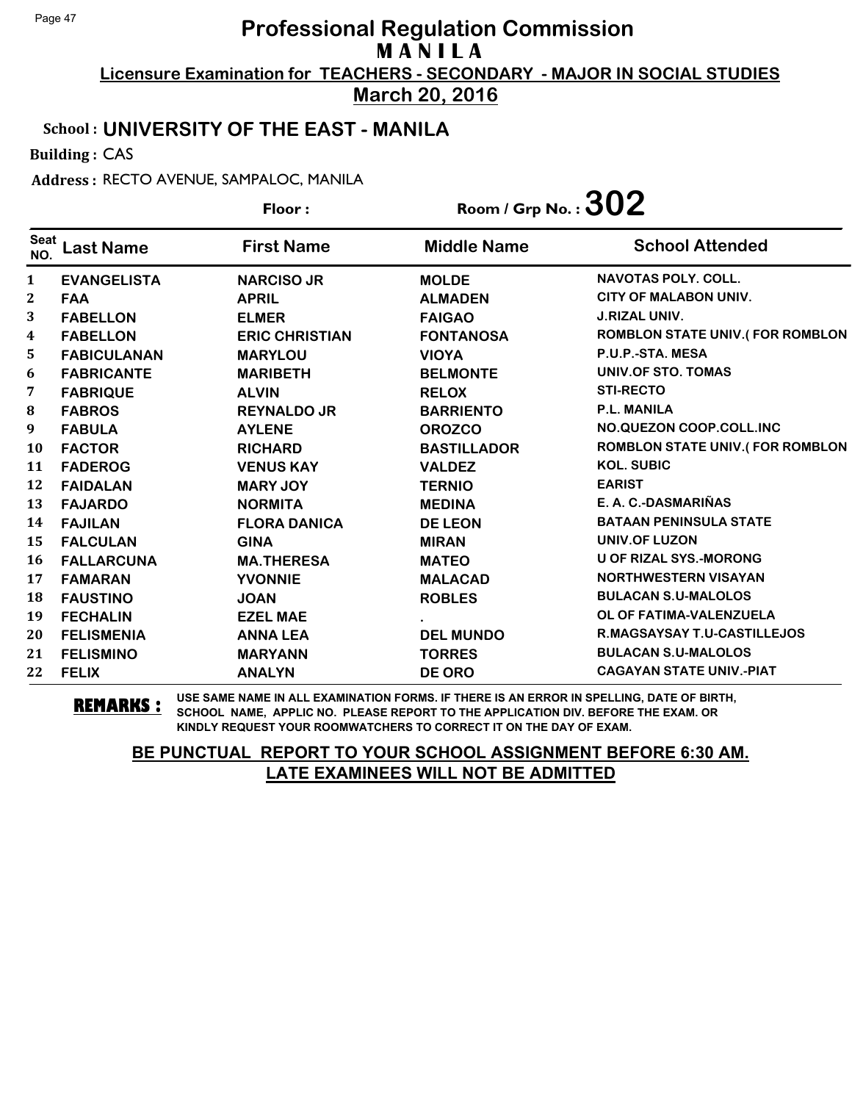**March 20, 2016**

#### School : **UNIVERSITY OF THE EAST - MANILA**

Building : CAS

Address : RECTO AVENUE, SAMPALOC, MANILA

|                    |                    | Floor:                | Room / Grp No. : $302$ |                                        |
|--------------------|--------------------|-----------------------|------------------------|----------------------------------------|
| <b>Seat</b><br>NO. | <b>Last Name</b>   | <b>First Name</b>     | <b>Middle Name</b>     | <b>School Attended</b>                 |
| 1                  | <b>EVANGELISTA</b> | <b>NARCISO JR</b>     | <b>MOLDE</b>           | <b>NAVOTAS POLY, COLL.</b>             |
| 2                  | <b>FAA</b>         | <b>APRIL</b>          | <b>ALMADEN</b>         | <b>CITY OF MALABON UNIV.</b>           |
| 3                  | <b>FABELLON</b>    | <b>ELMER</b>          | <b>FAIGAO</b>          | <b>J.RIZAL UNIV.</b>                   |
| 4                  | <b>FABELLON</b>    | <b>ERIC CHRISTIAN</b> | <b>FONTANOSA</b>       | <b>ROMBLON STATE UNIV.(FOR ROMBLON</b> |
| 5                  | <b>FABICULANAN</b> | <b>MARYLOU</b>        | <b>VIOYA</b>           | P.U.P.-STA. MESA                       |
| 6                  | <b>FABRICANTE</b>  | <b>MARIBETH</b>       | <b>BELMONTE</b>        | UNIV.OF STO. TOMAS                     |
| 7                  | <b>FABRIQUE</b>    | <b>ALVIN</b>          | <b>RELOX</b>           | <b>STI-RECTO</b>                       |
| ${\bf 8}$          | <b>FABROS</b>      | <b>REYNALDO JR</b>    | <b>BARRIENTO</b>       | P.L. MANILA                            |
| 9                  | <b>FABULA</b>      | <b>AYLENE</b>         | <b>OROZCO</b>          | NO.QUEZON COOP.COLL.INC                |
| <b>10</b>          | <b>FACTOR</b>      | <b>RICHARD</b>        | <b>BASTILLADOR</b>     | <b>ROMBLON STATE UNIV.(FOR ROMBLON</b> |
| 11                 | <b>FADEROG</b>     | <b>VENUS KAY</b>      | <b>VALDEZ</b>          | <b>KOL. SUBIC</b>                      |
| 12                 | <b>FAIDALAN</b>    | <b>MARY JOY</b>       | <b>TERNIO</b>          | <b>EARIST</b>                          |
| 13                 | <b>FAJARDO</b>     | <b>NORMITA</b>        | <b>MEDINA</b>          | E. A. C.-DASMARIÑAS                    |
| 14                 | <b>FAJILAN</b>     | <b>FLORA DANICA</b>   | <b>DE LEON</b>         | <b>BATAAN PENINSULA STATE</b>          |
| 15                 | <b>FALCULAN</b>    | <b>GINA</b>           | <b>MIRAN</b>           | <b>UNIV.OF LUZON</b>                   |
| <b>16</b>          | <b>FALLARCUNA</b>  | <b>MA.THERESA</b>     | <b>MATEO</b>           | <b>U OF RIZAL SYS.-MORONG</b>          |
| 17                 | <b>FAMARAN</b>     | <b>YVONNIE</b>        | <b>MALACAD</b>         | <b>NORTHWESTERN VISAYAN</b>            |
| 18                 | <b>FAUSTINO</b>    | <b>JOAN</b>           | <b>ROBLES</b>          | <b>BULACAN S.U-MALOLOS</b>             |
| 19                 | <b>FECHALIN</b>    | <b>EZEL MAE</b>       |                        | OL OF FATIMA-VALENZUELA                |
| 20                 | <b>FELISMENIA</b>  | <b>ANNA LEA</b>       | <b>DEL MUNDO</b>       | R.MAGSAYSAY T.U-CASTILLEJOS            |
| 21                 | <b>FELISMINO</b>   | <b>MARYANN</b>        | <b>TORRES</b>          | <b>BULACAN S.U-MALOLOS</b>             |
| 22                 | <b>FELIX</b>       | <b>ANALYN</b>         | <b>DE ORO</b>          | <b>CAGAYAN STATE UNIV.-PIAT</b>        |

**REMARKS :** USE SAME NAME IN ALL EXAMINATION FORMS. IF THERE IS AN ERROR IN SPELLING, DATE OF BIRTH, SCHOOL NAME, APPLIC NO. PLEASE REPORT TO THE APPLICATION DIV. BEFORE THE EXAM. OR KINDLY REQUEST YOUR ROOMWATCHERS TO CORRECT IT ON THE DAY OF EXAM.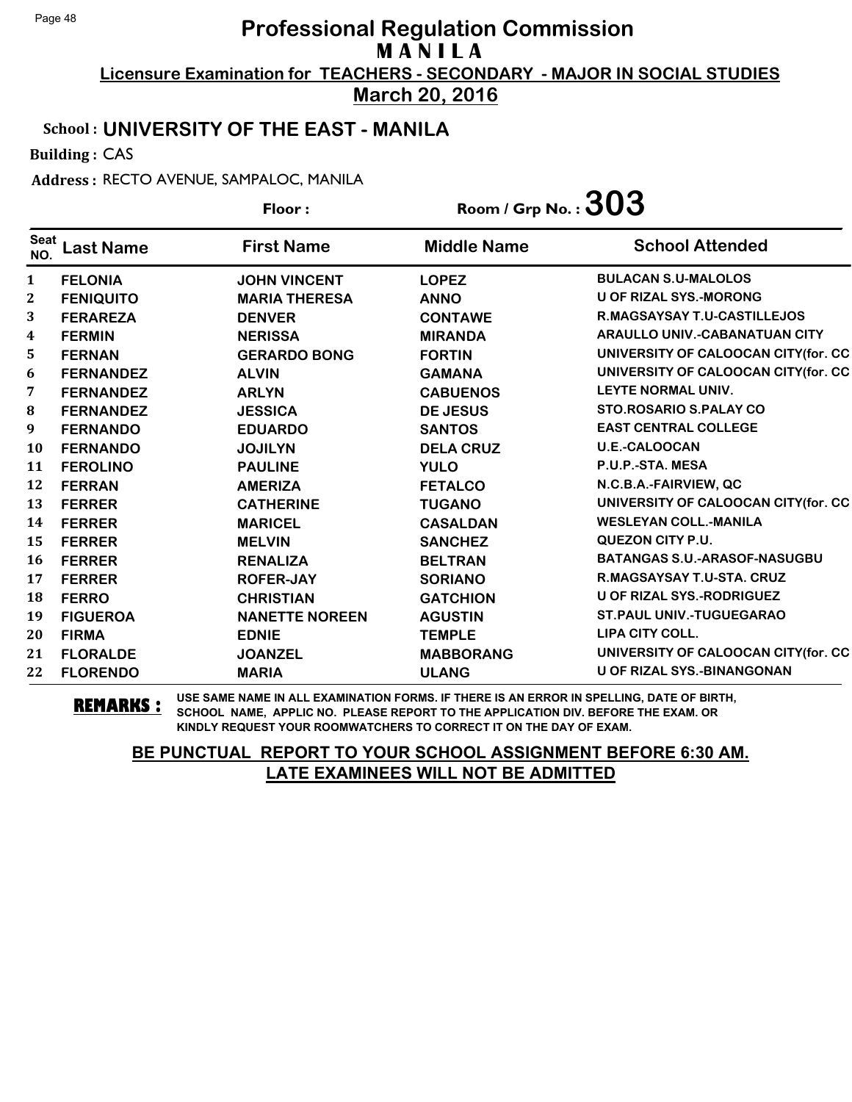**March 20, 2016**

#### School : **UNIVERSITY OF THE EAST - MANILA**

Building : CAS

Address : RECTO AVENUE, SAMPALOC, MANILA

| Floor:             |                  |                       | Room / Grp No. : $303$ |                                      |
|--------------------|------------------|-----------------------|------------------------|--------------------------------------|
| <b>Seat</b><br>NO. | <b>Last Name</b> | <b>First Name</b>     | <b>Middle Name</b>     | <b>School Attended</b>               |
| 1                  | <b>FELONIA</b>   | <b>JOHN VINCENT</b>   | <b>LOPEZ</b>           | <b>BULACAN S.U-MALOLOS</b>           |
| 2                  | <b>FENIQUITO</b> | <b>MARIA THERESA</b>  | <b>ANNO</b>            | <b>U OF RIZAL SYS.-MORONG</b>        |
| 3                  | <b>FERAREZA</b>  | <b>DENVER</b>         | <b>CONTAWE</b>         | R.MAGSAYSAY T.U-CASTILLEJOS          |
| $\boldsymbol{4}$   | <b>FERMIN</b>    | <b>NERISSA</b>        | <b>MIRANDA</b>         | <b>ARAULLO UNIV.-CABANATUAN CITY</b> |
| 5                  | <b>FERNAN</b>    | <b>GERARDO BONG</b>   | <b>FORTIN</b>          | UNIVERSITY OF CALOOCAN CITY(for. CC  |
| 6                  | <b>FERNANDEZ</b> | <b>ALVIN</b>          | <b>GAMANA</b>          | UNIVERSITY OF CALOOCAN CITY(for. CC  |
| 7                  | <b>FERNANDEZ</b> | <b>ARLYN</b>          | <b>CABUENOS</b>        | LEYTE NORMAL UNIV.                   |
| 8                  | <b>FERNANDEZ</b> | <b>JESSICA</b>        | <b>DE JESUS</b>        | STO.ROSARIO S.PALAY CO               |
| 9                  | <b>FERNANDO</b>  | <b>EDUARDO</b>        | <b>SANTOS</b>          | <b>EAST CENTRAL COLLEGE</b>          |
| <b>10</b>          | <b>FERNANDO</b>  | <b>JOJILYN</b>        | <b>DELA CRUZ</b>       | <b>U.E.-CALOOCAN</b>                 |
| 11                 | <b>FEROLINO</b>  | <b>PAULINE</b>        | <b>YULO</b>            | P.U.P.-STA. MESA                     |
| 12                 | <b>FERRAN</b>    | <b>AMERIZA</b>        | <b>FETALCO</b>         | N.C.B.A.-FAIRVIEW, QC                |
| 13                 | <b>FERRER</b>    | <b>CATHERINE</b>      | <b>TUGANO</b>          | UNIVERSITY OF CALOOCAN CITY(for. CC  |
| 14                 | <b>FERRER</b>    | <b>MARICEL</b>        | <b>CASALDAN</b>        | <b>WESLEYAN COLL.-MANILA</b>         |
| 15                 | <b>FERRER</b>    | <b>MELVIN</b>         | <b>SANCHEZ</b>         | QUEZON CITY P.U.                     |
| 16                 | <b>FERRER</b>    | <b>RENALIZA</b>       | <b>BELTRAN</b>         | BATANGAS S.U.-ARASOF-NASUGBU         |
| 17                 | <b>FERRER</b>    | <b>ROFER-JAY</b>      | <b>SORIANO</b>         | R.MAGSAYSAY T.U-STA. CRUZ            |
| 18                 | <b>FERRO</b>     | <b>CHRISTIAN</b>      | <b>GATCHION</b>        | <b>U OF RIZAL SYS.-RODRIGUEZ</b>     |
| 19                 | <b>FIGUEROA</b>  | <b>NANETTE NOREEN</b> | <b>AGUSTIN</b>         | <b>ST.PAUL UNIV.-TUGUEGARAO</b>      |
| 20                 | <b>FIRMA</b>     | <b>EDNIE</b>          | <b>TEMPLE</b>          | LIPA CITY COLL.                      |
| 21                 | <b>FLORALDE</b>  | <b>JOANZEL</b>        | <b>MABBORANG</b>       | UNIVERSITY OF CALOOCAN CITY(for. CC  |
| 22                 | <b>FLORENDO</b>  | <b>MARIA</b>          | <b>ULANG</b>           | <b>U OF RIZAL SYS.-BINANGONAN</b>    |

**REMARKS :** USE SAME NAME IN ALL EXAMINATION FORMS. IF THERE IS AN ERROR IN SPELLING, DATE OF BIRTH, SCHOOL NAME, APPLIC NO. PLEASE REPORT TO THE APPLICATION DIV. BEFORE THE EXAM. OR KINDLY REQUEST YOUR ROOMWATCHERS TO CORRECT IT ON THE DAY OF EXAM.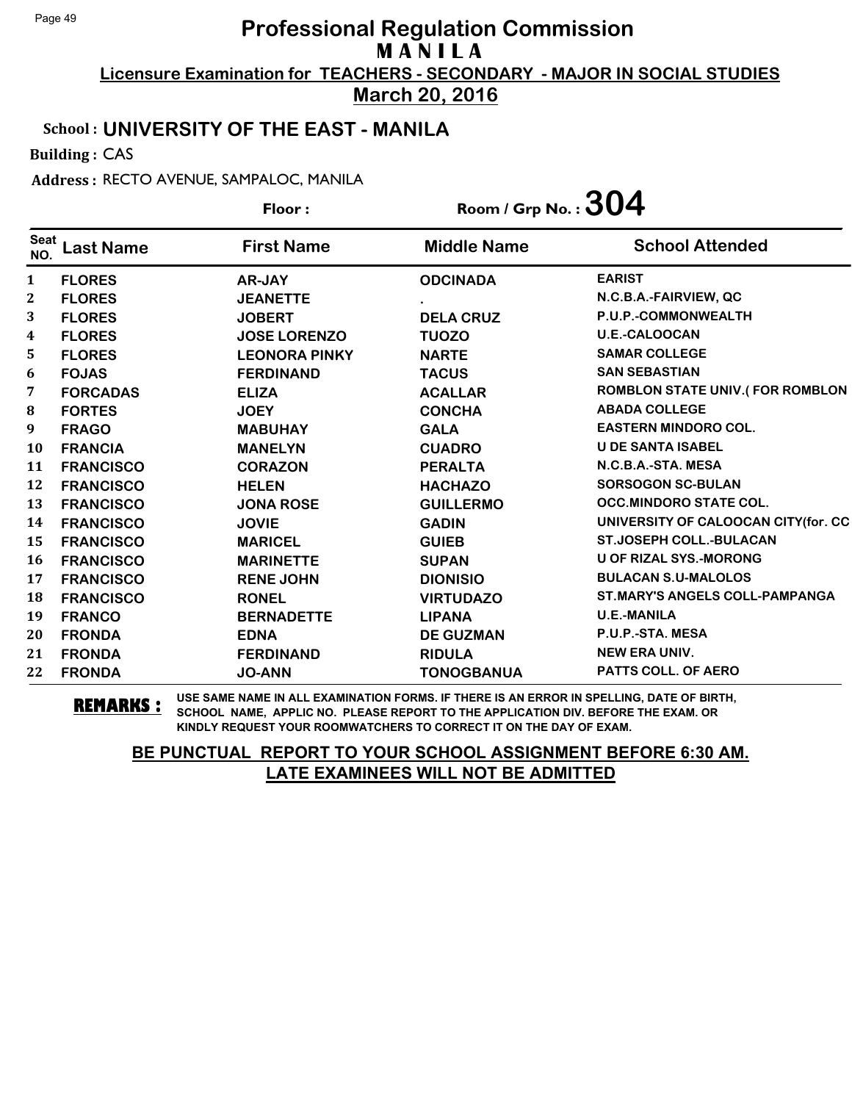**March 20, 2016**

#### School : **UNIVERSITY OF THE EAST - MANILA**

Building : CAS

Address : RECTO AVENUE, SAMPALOC, MANILA

|                    |                  | Floor:               | Room / Grp No. : $304$ |                                        |
|--------------------|------------------|----------------------|------------------------|----------------------------------------|
| <b>Seat</b><br>NO. | <b>Last Name</b> | <b>First Name</b>    | <b>Middle Name</b>     | <b>School Attended</b>                 |
| 1                  | <b>FLORES</b>    | <b>AR-JAY</b>        | <b>ODCINADA</b>        | <b>EARIST</b>                          |
| 2                  | <b>FLORES</b>    | <b>JEANETTE</b>      |                        | N.C.B.A.-FAIRVIEW, QC                  |
| 3                  | <b>FLORES</b>    | <b>JOBERT</b>        | <b>DELA CRUZ</b>       | P.U.P.-COMMONWEALTH                    |
| $\boldsymbol{4}$   | <b>FLORES</b>    | <b>JOSE LORENZO</b>  | <b>TUOZO</b>           | <b>U.E.-CALOOCAN</b>                   |
| 5                  | <b>FLORES</b>    | <b>LEONORA PINKY</b> | <b>NARTE</b>           | <b>SAMAR COLLEGE</b>                   |
| 6                  | <b>FOJAS</b>     | <b>FERDINAND</b>     | <b>TACUS</b>           | <b>SAN SEBASTIAN</b>                   |
| 7                  | <b>FORCADAS</b>  | <b>ELIZA</b>         | <b>ACALLAR</b>         | <b>ROMBLON STATE UNIV.(FOR ROMBLON</b> |
| 8                  | <b>FORTES</b>    | <b>JOEY</b>          | <b>CONCHA</b>          | <b>ABADA COLLEGE</b>                   |
| 9                  | <b>FRAGO</b>     | <b>MABUHAY</b>       | <b>GALA</b>            | <b>EASTERN MINDORO COL.</b>            |
| 10                 | <b>FRANCIA</b>   | <b>MANELYN</b>       | <b>CUADRO</b>          | <b>U DE SANTA ISABEL</b>               |
| 11                 | <b>FRANCISCO</b> | <b>CORAZON</b>       | <b>PERALTA</b>         | N.C.B.A.-STA. MESA                     |
| 12                 | <b>FRANCISCO</b> | <b>HELEN</b>         | <b>HACHAZO</b>         | <b>SORSOGON SC-BULAN</b>               |
| 13                 | <b>FRANCISCO</b> | <b>JONA ROSE</b>     | <b>GUILLERMO</b>       | <b>OCC.MINDORO STATE COL.</b>          |
| 14                 | <b>FRANCISCO</b> | <b>JOVIE</b>         | <b>GADIN</b>           | UNIVERSITY OF CALOOCAN CITY(for. CC    |
| 15                 | <b>FRANCISCO</b> | <b>MARICEL</b>       | <b>GUIEB</b>           | <b>ST.JOSEPH COLL.-BULACAN</b>         |
| 16                 | <b>FRANCISCO</b> | <b>MARINETTE</b>     | <b>SUPAN</b>           | <b>U OF RIZAL SYS.-MORONG</b>          |
| 17                 | <b>FRANCISCO</b> | <b>RENE JOHN</b>     | <b>DIONISIO</b>        | <b>BULACAN S.U-MALOLOS</b>             |
| 18                 | <b>FRANCISCO</b> | <b>RONEL</b>         | <b>VIRTUDAZO</b>       | <b>ST.MARY'S ANGELS COLL-PAMPANGA</b>  |
| 19                 | <b>FRANCO</b>    | <b>BERNADETTE</b>    | <b>LIPANA</b>          | <b>U.E.-MANILA</b>                     |
| 20                 | <b>FRONDA</b>    | <b>EDNA</b>          | <b>DE GUZMAN</b>       | P.U.P.-STA. MESA                       |
| 21                 | <b>FRONDA</b>    | <b>FERDINAND</b>     | <b>RIDULA</b>          | <b>NEW ERA UNIV.</b>                   |
| 22                 | <b>FRONDA</b>    | <b>JO-ANN</b>        | <b>TONOGBANUA</b>      | <b>PATTS COLL. OF AERO</b>             |

**REMARKS :** USE SAME NAME IN ALL EXAMINATION FORMS. IF THERE IS AN ERROR IN SPELLING, DATE OF BIRTH, SCHOOL NAME, APPLIC NO. PLEASE REPORT TO THE APPLICATION DIV. BEFORE THE EXAM. OR KINDLY REQUEST YOUR ROOMWATCHERS TO CORRECT IT ON THE DAY OF EXAM.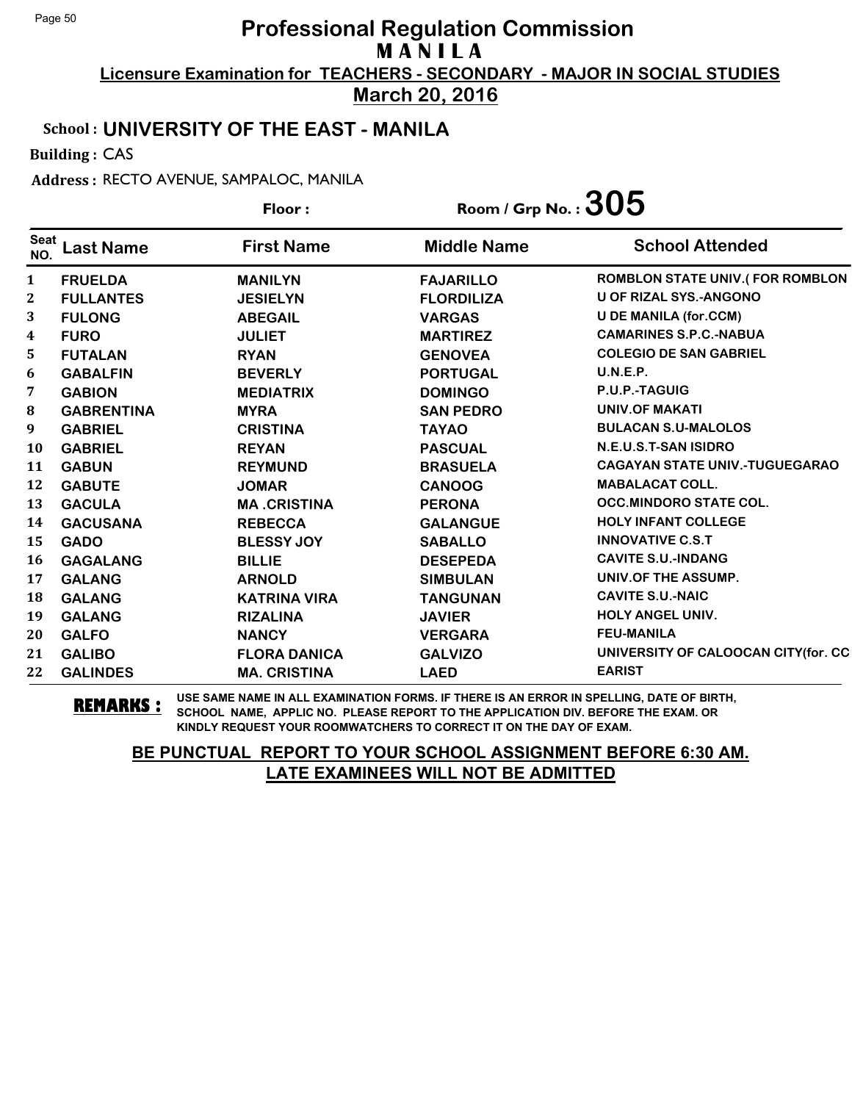**March 20, 2016**

#### School : **UNIVERSITY OF THE EAST - MANILA**

Building : CAS

Address : RECTO AVENUE, SAMPALOC, MANILA

**Last Name First Name Middle Name** Floor : Room / Grp No. :  $305$ Seat <sup>Seat</sup> Last Name First Name Middle Name School Attended **FRUELDA MANILYN FAJARILLO ROMBLON STATE UNIV.( FOR ROMBLON FULLANTES JESIELYN FLORDILIZA U OF RIZAL SYS.-ANGONO FULONG ABEGAIL VARGAS U DE MANILA (for.CCM) FURO JULIET MARTIREZ CAMARINES S.P.C.-NABUA FUTALAN RYAN GENOVEA COLEGIO DE SAN GABRIEL GABALFIN BEVERLY PORTUGAL U.N.E.P. GABION MEDIATRIX DOMINGO P.U.P.-TAGUIG GABRENTINA MYRA SAN PEDRO UNIV.OF MAKATI GABRIEL CRISTINA TAYAO BULACAN S.U-MALOLOS GABRIEL REYAN PASCUAL N.E.U.S.T-SAN ISIDRO GABUN REYMUND BRASUELA CAGAYAN STATE UNIV.-TUGUEGARAO GABUTE JOMAR CANOOG MABALACAT COLL. GACULA MA .CRISTINA PERONA OCC.MINDORO STATE COL. GACUSANA REBECCA GALANGUE HOLY INFANT COLLEGE GADO BLESSY JOY SABALLO INNOVATIVE C.S.T GAGALANG BILLIE DESEPEDA CAVITE S.U.-INDANG GALANG ARNOLD SIMBULAN UNIV.OF THE ASSUMP. GALANG KATRINA VIRA TANGUNAN CAVITE S.U.-NAIC GALANG RIZALINA JAVIER HOLY ANGEL UNIV. GALFO NANCY VERGARA FEU-MANILA GALIBO FLORA DANICA GALVIZO UNIVERSITY OF CALOOCAN CITY(for. CC GALINDES MA. CRISTINA LAED EARIST**

**REMARKS :** USE SAME NAME IN ALL EXAMINATION FORMS. IF THERE IS AN ERROR IN SPELLING, DATE OF BIRTH, SCHOOL NAME, APPLIC NO. PLEASE REPORT TO THE APPLICATION DIV. BEFORE THE EXAM. OR KINDLY REQUEST YOUR ROOMWATCHERS TO CORRECT IT ON THE DAY OF EXAM.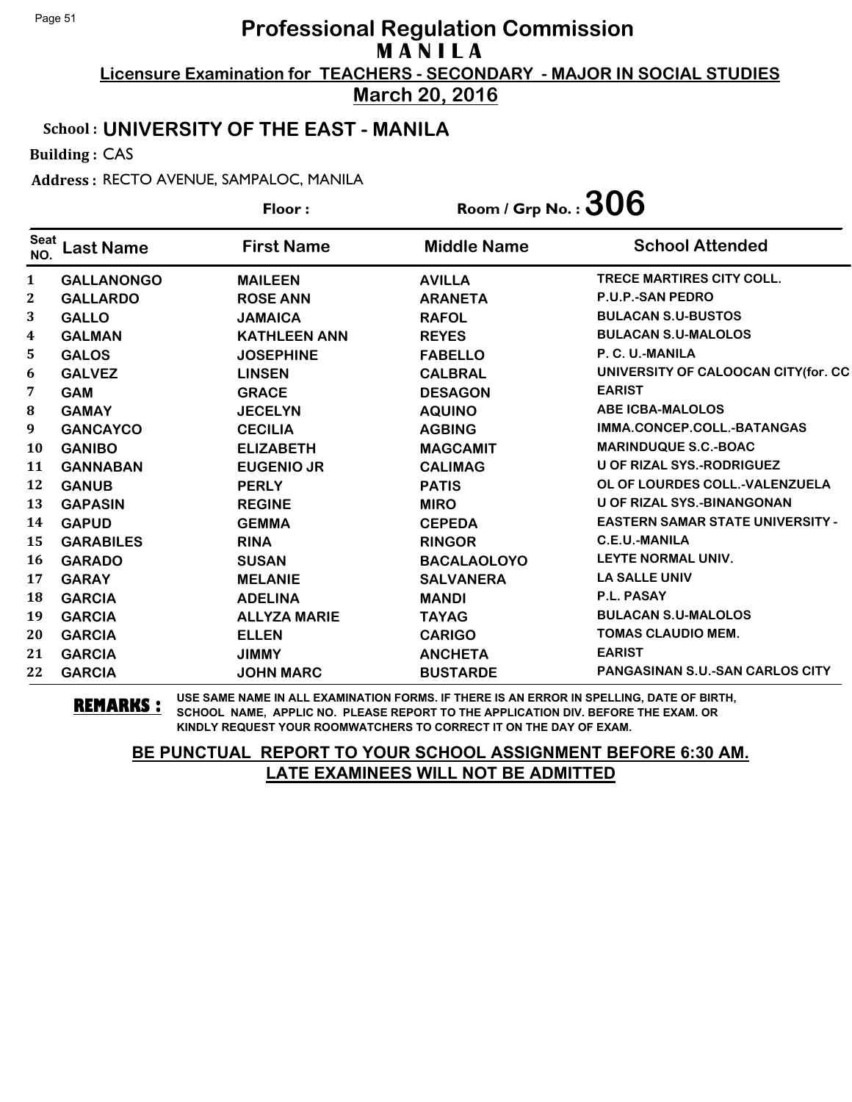**March 20, 2016**

#### School : **UNIVERSITY OF THE EAST - MANILA**

Building : CAS

Address : RECTO AVENUE, SAMPALOC, MANILA

|                    |                   | Floor:              | Room / Grp No. : $306$ |                                         |
|--------------------|-------------------|---------------------|------------------------|-----------------------------------------|
| <b>Seat</b><br>NO. | <b>Last Name</b>  | <b>First Name</b>   | <b>Middle Name</b>     | <b>School Attended</b>                  |
| 1                  | <b>GALLANONGO</b> | <b>MAILEEN</b>      | <b>AVILLA</b>          | <b>TRECE MARTIRES CITY COLL.</b>        |
| 2                  | <b>GALLARDO</b>   | <b>ROSE ANN</b>     | <b>ARANETA</b>         | <b>P.U.P.-SAN PEDRO</b>                 |
| 3                  | <b>GALLO</b>      | <b>JAMAICA</b>      | <b>RAFOL</b>           | <b>BULACAN S.U-BUSTOS</b>               |
| 4                  | <b>GALMAN</b>     | <b>KATHLEEN ANN</b> | <b>REYES</b>           | <b>BULACAN S.U-MALOLOS</b>              |
| 5.                 | <b>GALOS</b>      | <b>JOSEPHINE</b>    | <b>FABELLO</b>         | P. C. U.-MANILA                         |
| 6                  | <b>GALVEZ</b>     | <b>LINSEN</b>       | <b>CALBRAL</b>         | UNIVERSITY OF CALOOCAN CITY(for. CC     |
| 7                  | <b>GAM</b>        | <b>GRACE</b>        | <b>DESAGON</b>         | <b>EARIST</b>                           |
| ${\bf 8}$          | <b>GAMAY</b>      | <b>JECELYN</b>      | <b>AQUINO</b>          | <b>ABE ICBA-MALOLOS</b>                 |
| 9                  | <b>GANCAYCO</b>   | <b>CECILIA</b>      | <b>AGBING</b>          | IMMA.CONCEP.COLL.-BATANGAS              |
| 10                 | <b>GANIBO</b>     | <b>ELIZABETH</b>    | <b>MAGCAMIT</b>        | <b>MARINDUQUE S.C.-BOAC</b>             |
| 11                 | <b>GANNABAN</b>   | <b>EUGENIO JR</b>   | <b>CALIMAG</b>         | U OF RIZAL SYS.-RODRIGUEZ               |
| 12                 | <b>GANUB</b>      | <b>PERLY</b>        | <b>PATIS</b>           | OL OF LOURDES COLL.-VALENZUELA          |
| 13                 | <b>GAPASIN</b>    | <b>REGINE</b>       | <b>MIRO</b>            | <b>U OF RIZAL SYS.-BINANGONAN</b>       |
| 14                 | <b>GAPUD</b>      | <b>GEMMA</b>        | <b>CEPEDA</b>          | <b>EASTERN SAMAR STATE UNIVERSITY -</b> |
| 15                 | <b>GARABILES</b>  | <b>RINA</b>         | <b>RINGOR</b>          | <b>C.E.U.-MANILA</b>                    |
| 16                 | <b>GARADO</b>     | <b>SUSAN</b>        | <b>BACALAOLOYO</b>     | LEYTE NORMAL UNIV.                      |
| 17                 | <b>GARAY</b>      | <b>MELANIE</b>      | <b>SALVANERA</b>       | <b>LA SALLE UNIV</b>                    |
| 18                 | <b>GARCIA</b>     | <b>ADELINA</b>      | <b>MANDI</b>           | P.L. PASAY                              |
| 19                 | <b>GARCIA</b>     | <b>ALLYZA MARIE</b> | <b>TAYAG</b>           | <b>BULACAN S.U-MALOLOS</b>              |
| 20                 | <b>GARCIA</b>     | <b>ELLEN</b>        | <b>CARIGO</b>          | <b>TOMAS CLAUDIO MEM.</b>               |
| 21                 | <b>GARCIA</b>     | <b>JIMMY</b>        | <b>ANCHETA</b>         | <b>EARIST</b>                           |
| 22                 | <b>GARCIA</b>     | <b>JOHN MARC</b>    | <b>BUSTARDE</b>        | <b>PANGASINAN S.U.-SAN CARLOS CITY</b>  |

**REMARKS :** USE SAME NAME IN ALL EXAMINATION FORMS. IF THERE IS AN ERROR IN SPELLING, DATE OF BIRTH, SCHOOL NAME, APPLIC NO. PLEASE REPORT TO THE APPLICATION DIV. BEFORE THE EXAM. OR KINDLY REQUEST YOUR ROOMWATCHERS TO CORRECT IT ON THE DAY OF EXAM.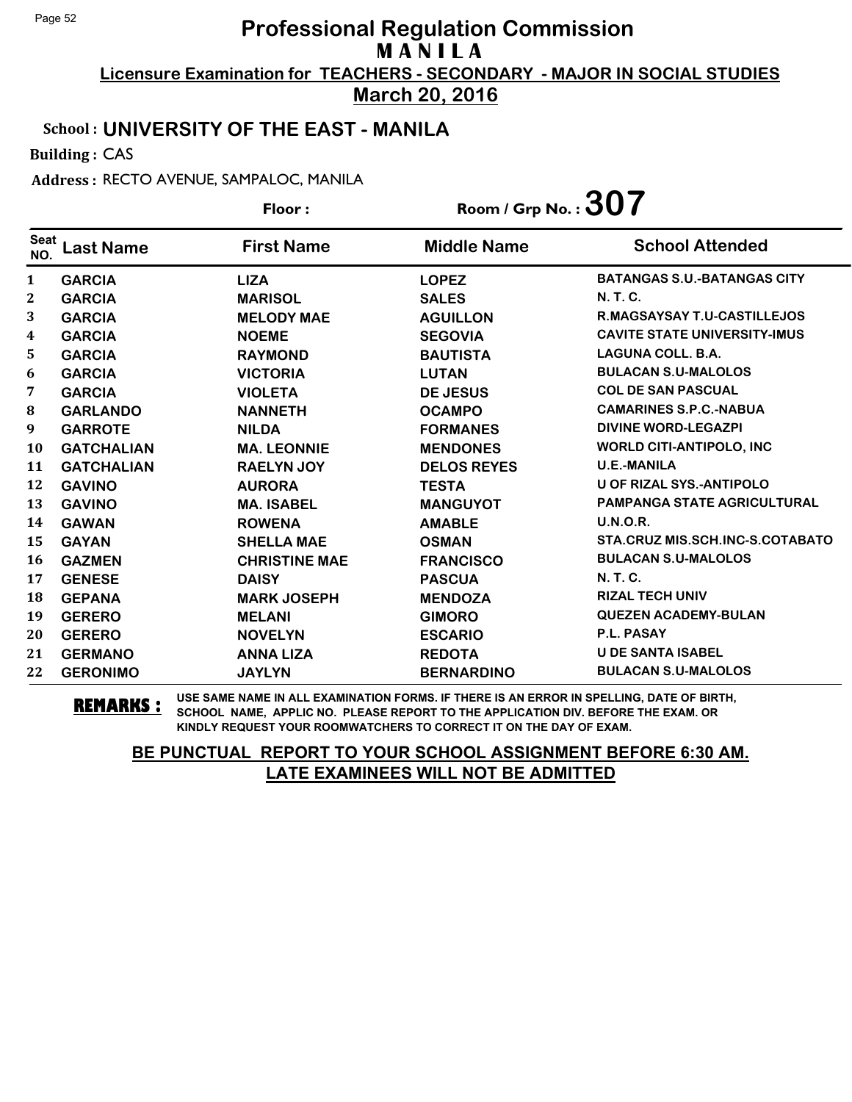**March 20, 2016**

#### School : **UNIVERSITY OF THE EAST - MANILA**

Building : CAS

Address : RECTO AVENUE, SAMPALOC, MANILA

|                    |                   | Floor:               | Room / Grp No.: $307$ |                                     |
|--------------------|-------------------|----------------------|-----------------------|-------------------------------------|
| <b>Seat</b><br>NO. | <b>Last Name</b>  | <b>First Name</b>    | <b>Middle Name</b>    | <b>School Attended</b>              |
| 1                  | <b>GARCIA</b>     | <b>LIZA</b>          | <b>LOPEZ</b>          | <b>BATANGAS S.U.-BATANGAS CITY</b>  |
| 2                  | <b>GARCIA</b>     | <b>MARISOL</b>       | <b>SALES</b>          | N. T. C.                            |
| 3                  | <b>GARCIA</b>     | <b>MELODY MAE</b>    | <b>AGUILLON</b>       | R.MAGSAYSAY T.U-CASTILLEJOS         |
| 4                  | <b>GARCIA</b>     | <b>NOEME</b>         | <b>SEGOVIA</b>        | <b>CAVITE STATE UNIVERSITY-IMUS</b> |
| 5.                 | <b>GARCIA</b>     | <b>RAYMOND</b>       | <b>BAUTISTA</b>       | <b>LAGUNA COLL. B.A.</b>            |
| 6                  | <b>GARCIA</b>     | <b>VICTORIA</b>      | <b>LUTAN</b>          | <b>BULACAN S.U-MALOLOS</b>          |
| 7                  | <b>GARCIA</b>     | <b>VIOLETA</b>       | <b>DE JESUS</b>       | <b>COL DE SAN PASCUAL</b>           |
| 8                  | <b>GARLANDO</b>   | <b>NANNETH</b>       | <b>OCAMPO</b>         | <b>CAMARINES S.P.C.-NABUA</b>       |
| 9                  | <b>GARROTE</b>    | <b>NILDA</b>         | <b>FORMANES</b>       | <b>DIVINE WORD-LEGAZPI</b>          |
| <b>10</b>          | <b>GATCHALIAN</b> | <b>MA. LEONNIE</b>   | <b>MENDONES</b>       | <b>WORLD CITI-ANTIPOLO, INC</b>     |
| 11                 | <b>GATCHALIAN</b> | <b>RAELYN JOY</b>    | <b>DELOS REYES</b>    | <b>U.E.-MANILA</b>                  |
| 12                 | <b>GAVINO</b>     | <b>AURORA</b>        | <b>TESTA</b>          | <b>U OF RIZAL SYS.-ANTIPOLO</b>     |
| 13                 | <b>GAVINO</b>     | <b>MA. ISABEL</b>    | <b>MANGUYOT</b>       | <b>PAMPANGA STATE AGRICULTURAL</b>  |
| 14                 | <b>GAWAN</b>      | <b>ROWENA</b>        | <b>AMABLE</b>         | <b>U.N.O.R.</b>                     |
| 15                 | <b>GAYAN</b>      | <b>SHELLA MAE</b>    | <b>OSMAN</b>          | STA.CRUZ MIS.SCH.INC-S.COTABATO     |
| 16                 | <b>GAZMEN</b>     | <b>CHRISTINE MAE</b> | <b>FRANCISCO</b>      | <b>BULACAN S.U-MALOLOS</b>          |
| 17                 | <b>GENESE</b>     | <b>DAISY</b>         | <b>PASCUA</b>         | <b>N. T. C.</b>                     |
| 18                 | <b>GEPANA</b>     | <b>MARK JOSEPH</b>   | <b>MENDOZA</b>        | <b>RIZAL TECH UNIV</b>              |
| 19                 | <b>GERERO</b>     | <b>MELANI</b>        | <b>GIMORO</b>         | <b>QUEZEN ACADEMY-BULAN</b>         |
| 20                 | <b>GERERO</b>     | <b>NOVELYN</b>       | <b>ESCARIO</b>        | P.L. PASAY                          |
| 21                 | <b>GERMANO</b>    | <b>ANNA LIZA</b>     | <b>REDOTA</b>         | <b>U DE SANTA ISABEL</b>            |
| 22                 | <b>GERONIMO</b>   | <b>JAYLYN</b>        | <b>BERNARDINO</b>     | <b>BULACAN S.U-MALOLOS</b>          |

**REMARKS :** USE SAME NAME IN ALL EXAMINATION FORMS. IF THERE IS AN ERROR IN SPELLING, DATE OF BIRTH, SCHOOL NAME, APPLIC NO. PLEASE REPORT TO THE APPLICATION DIV. BEFORE THE EXAM. OR KINDLY REQUEST YOUR ROOMWATCHERS TO CORRECT IT ON THE DAY OF EXAM.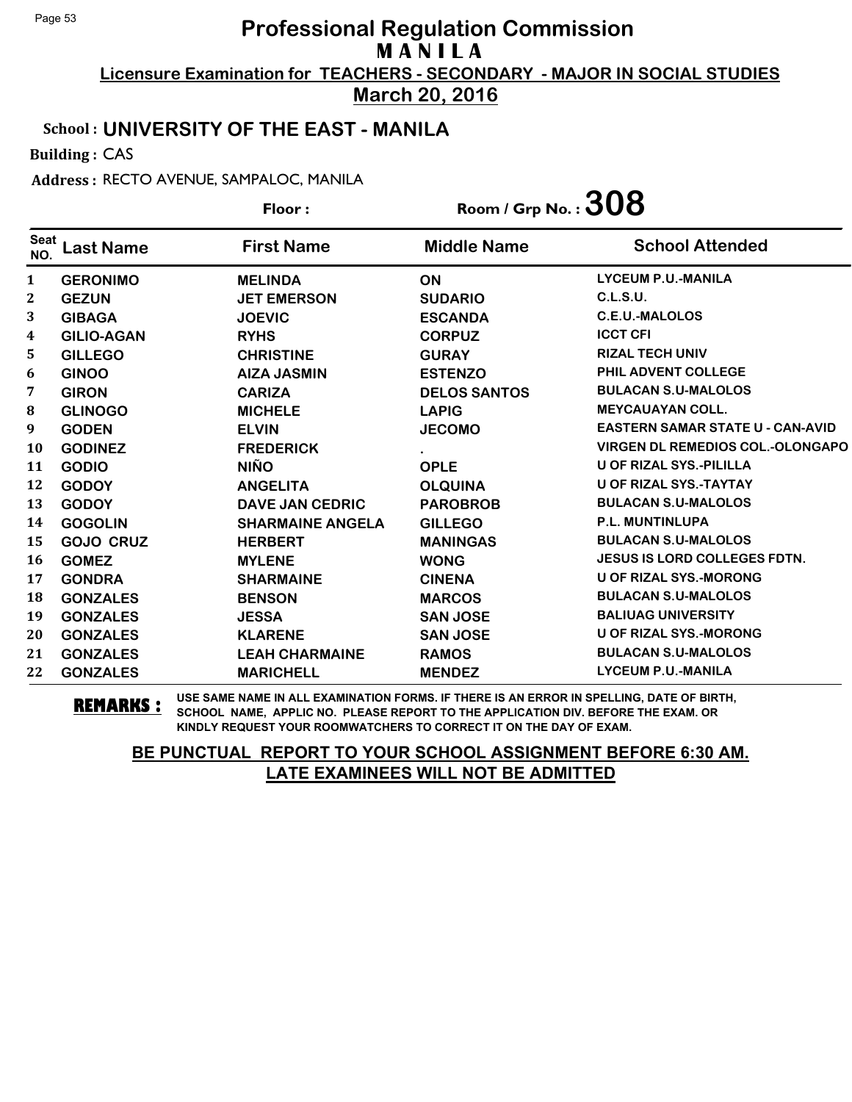**March 20, 2016**

#### School : **UNIVERSITY OF THE EAST - MANILA**

Building : CAS

Address : RECTO AVENUE, SAMPALOC, MANILA

|                    |                   | Room / Grp No. : $308$<br>Floor: |                     |                                         |
|--------------------|-------------------|----------------------------------|---------------------|-----------------------------------------|
| <b>Seat</b><br>NO. | <b>Last Name</b>  | <b>First Name</b>                | <b>Middle Name</b>  | <b>School Attended</b>                  |
| $\mathbf{1}$       | <b>GERONIMO</b>   | <b>MELINDA</b>                   | <b>ON</b>           | <b>LYCEUM P.U.-MANILA</b>               |
| 2                  | <b>GEZUN</b>      | <b>JET EMERSON</b>               | <b>SUDARIO</b>      | C.L.S.U.                                |
| 3                  | <b>GIBAGA</b>     | <b>JOEVIC</b>                    | <b>ESCANDA</b>      | <b>C.E.U.-MALOLOS</b>                   |
| 4                  | <b>GILIO-AGAN</b> | <b>RYHS</b>                      | <b>CORPUZ</b>       | <b>ICCT CFI</b>                         |
| 5.                 | <b>GILLEGO</b>    | <b>CHRISTINE</b>                 | <b>GURAY</b>        | <b>RIZAL TECH UNIV</b>                  |
| 6                  | <b>GINOO</b>      | <b>AIZA JASMIN</b>               | <b>ESTENZO</b>      | PHIL ADVENT COLLEGE                     |
| 7                  | <b>GIRON</b>      | <b>CARIZA</b>                    | <b>DELOS SANTOS</b> | <b>BULACAN S.U-MALOLOS</b>              |
| 8                  | <b>GLINOGO</b>    | <b>MICHELE</b>                   | <b>LAPIG</b>        | <b>MEYCAUAYAN COLL.</b>                 |
| 9                  | <b>GODEN</b>      | <b>ELVIN</b>                     | <b>JECOMO</b>       | <b>EASTERN SAMAR STATE U - CAN-AVID</b> |
| <b>10</b>          | <b>GODINEZ</b>    | <b>FREDERICK</b>                 |                     | <b>VIRGEN DL REMEDIOS COL.-OLONGAPO</b> |
| 11                 | <b>GODIO</b>      | <b>NIÑO</b>                      | <b>OPLE</b>         | <b>U OF RIZAL SYS.-PILILLA</b>          |
| 12                 | <b>GODOY</b>      | <b>ANGELITA</b>                  | <b>OLQUINA</b>      | <b>U OF RIZAL SYS.-TAYTAY</b>           |
| 13                 | <b>GODOY</b>      | <b>DAVE JAN CEDRIC</b>           | <b>PAROBROB</b>     | <b>BULACAN S.U-MALOLOS</b>              |
| 14                 | <b>GOGOLIN</b>    | <b>SHARMAINE ANGELA</b>          | <b>GILLEGO</b>      | <b>P.L. MUNTINLUPA</b>                  |
| 15                 | <b>GOJO CRUZ</b>  | <b>HERBERT</b>                   | <b>MANINGAS</b>     | <b>BULACAN S.U-MALOLOS</b>              |
| <b>16</b>          | <b>GOMEZ</b>      | <b>MYLENE</b>                    | <b>WONG</b>         | <b>JESUS IS LORD COLLEGES FDTN.</b>     |
| 17                 | <b>GONDRA</b>     | <b>SHARMAINE</b>                 | <b>CINENA</b>       | <b>U OF RIZAL SYS.-MORONG</b>           |
| 18                 | <b>GONZALES</b>   | <b>BENSON</b>                    | <b>MARCOS</b>       | <b>BULACAN S.U-MALOLOS</b>              |
| 19                 | <b>GONZALES</b>   | <b>JESSA</b>                     | <b>SAN JOSE</b>     | <b>BALIUAG UNIVERSITY</b>               |
| 20                 | <b>GONZALES</b>   | <b>KLARENE</b>                   | <b>SAN JOSE</b>     | <b>U OF RIZAL SYS.-MORONG</b>           |
| 21                 | <b>GONZALES</b>   | <b>LEAH CHARMAINE</b>            | <b>RAMOS</b>        | <b>BULACAN S.U-MALOLOS</b>              |
| 22                 | <b>GONZALES</b>   | <b>MARICHELL</b>                 | <b>MENDEZ</b>       | <b>LYCEUM P.U.-MANILA</b>               |

**REMARKS :** USE SAME NAME IN ALL EXAMINATION FORMS. IF THERE IS AN ERROR IN SPELLING, DATE OF BIRTH, SCHOOL NAME, APPLIC NO. PLEASE REPORT TO THE APPLICATION DIV. BEFORE THE EXAM. OR KINDLY REQUEST YOUR ROOMWATCHERS TO CORRECT IT ON THE DAY OF EXAM.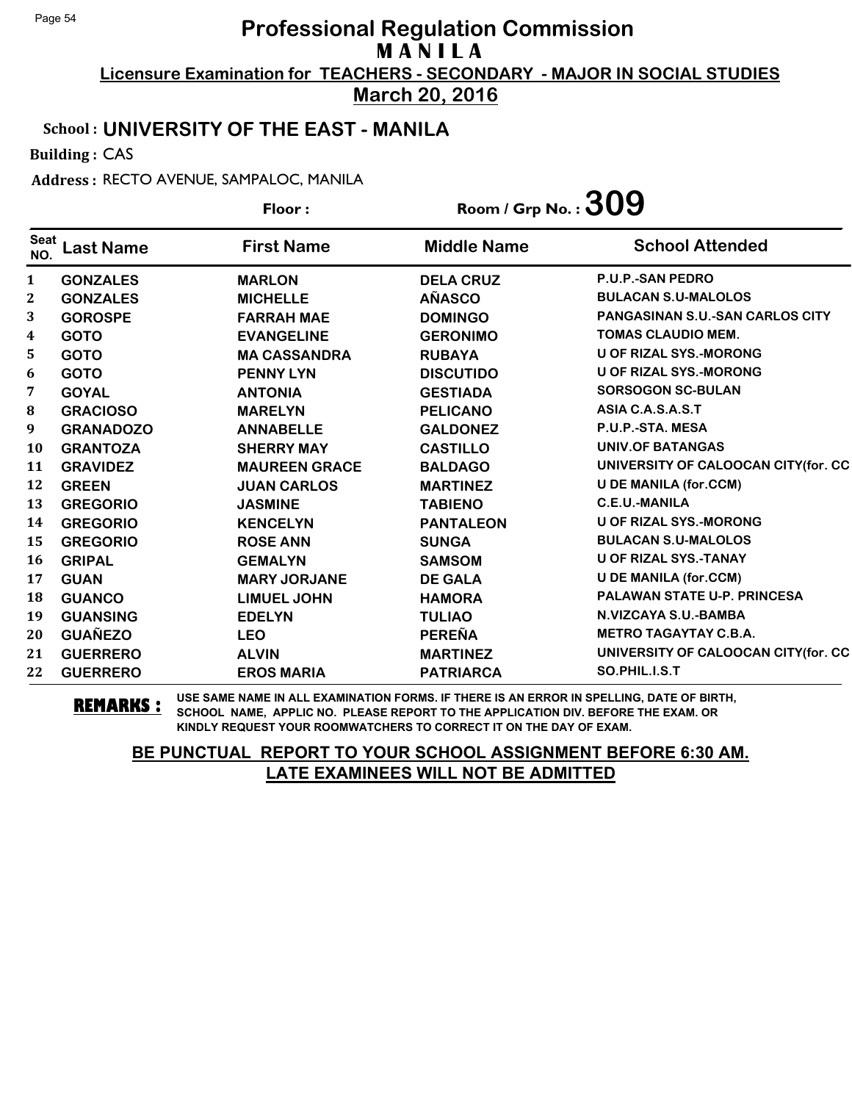**March 20, 2016**

#### School : **UNIVERSITY OF THE EAST - MANILA**

Building : CAS

Address : RECTO AVENUE, SAMPALOC, MANILA

|                    |                  | Floor:               | Room / Grp No. : $309$ |                                        |
|--------------------|------------------|----------------------|------------------------|----------------------------------------|
| <b>Seat</b><br>NO. | <b>Last Name</b> | <b>First Name</b>    | <b>Middle Name</b>     | <b>School Attended</b>                 |
| 1                  | <b>GONZALES</b>  | <b>MARLON</b>        | <b>DELA CRUZ</b>       | <b>P.U.P.-SAN PEDRO</b>                |
| $\boldsymbol{2}$   | <b>GONZALES</b>  | <b>MICHELLE</b>      | <b>AÑASCO</b>          | <b>BULACAN S.U-MALOLOS</b>             |
| 3                  | <b>GOROSPE</b>   | <b>FARRAH MAE</b>    | <b>DOMINGO</b>         | <b>PANGASINAN S.U.-SAN CARLOS CITY</b> |
| 4                  | <b>GOTO</b>      | <b>EVANGELINE</b>    | <b>GERONIMO</b>        | <b>TOMAS CLAUDIO MEM.</b>              |
| 5                  | <b>GOTO</b>      | <b>MA CASSANDRA</b>  | <b>RUBAYA</b>          | <b>U OF RIZAL SYS.-MORONG</b>          |
| 6                  | <b>GOTO</b>      | <b>PENNY LYN</b>     | <b>DISCUTIDO</b>       | <b>U OF RIZAL SYS.-MORONG</b>          |
| 7                  | <b>GOYAL</b>     | <b>ANTONIA</b>       | <b>GESTIADA</b>        | <b>SORSOGON SC-BULAN</b>               |
| 8                  | <b>GRACIOSO</b>  | <b>MARELYN</b>       | <b>PELICANO</b>        | ASIA C.A.S.A.S.T                       |
| 9                  | <b>GRANADOZO</b> | <b>ANNABELLE</b>     | <b>GALDONEZ</b>        | P.U.P.-STA. MESA                       |
| <b>10</b>          | <b>GRANTOZA</b>  | <b>SHERRY MAY</b>    | <b>CASTILLO</b>        | <b>UNIV.OF BATANGAS</b>                |
| 11                 | <b>GRAVIDEZ</b>  | <b>MAUREEN GRACE</b> | <b>BALDAGO</b>         | UNIVERSITY OF CALOOCAN CITY(for. CC    |
| 12                 | <b>GREEN</b>     | <b>JUAN CARLOS</b>   | <b>MARTINEZ</b>        | <b>U DE MANILA (for.CCM)</b>           |
| 13                 | <b>GREGORIO</b>  | <b>JASMINE</b>       | <b>TABIENO</b>         | <b>C.E.U.-MANILA</b>                   |
| 14                 | <b>GREGORIO</b>  | <b>KENCELYN</b>      | <b>PANTALEON</b>       | <b>U OF RIZAL SYS.-MORONG</b>          |
| 15                 | <b>GREGORIO</b>  | <b>ROSE ANN</b>      | <b>SUNGA</b>           | <b>BULACAN S.U-MALOLOS</b>             |
| 16                 | <b>GRIPAL</b>    | <b>GEMALYN</b>       | <b>SAMSOM</b>          | U OF RIZAL SYS.-TANAY                  |
| 17                 | <b>GUAN</b>      | <b>MARY JORJANE</b>  | <b>DE GALA</b>         | <b>U DE MANILA (for.CCM)</b>           |
| 18                 | <b>GUANCO</b>    | <b>LIMUEL JOHN</b>   | <b>HAMORA</b>          | <b>PALAWAN STATE U-P. PRINCESA</b>     |
| 19                 | <b>GUANSING</b>  | <b>EDELYN</b>        | <b>TULIAO</b>          | N.VIZCAYA S.U.-BAMBA                   |
| 20                 | <b>GUAÑEZO</b>   | <b>LEO</b>           | <b>PEREÑA</b>          | <b>METRO TAGAYTAY C.B.A.</b>           |
| 21                 | <b>GUERRERO</b>  | <b>ALVIN</b>         | <b>MARTINEZ</b>        | UNIVERSITY OF CALOOCAN CITY (for. CC   |
| 22                 | <b>GUERRERO</b>  | <b>EROS MARIA</b>    | <b>PATRIARCA</b>       | SO.PHIL.I.S.T                          |

**REMARKS :** USE SAME NAME IN ALL EXAMINATION FORMS. IF THERE IS AN ERROR IN SPELLING, DATE OF BIRTH, SCHOOL NAME, APPLIC NO. PLEASE REPORT TO THE APPLICATION DIV. BEFORE THE EXAM. OR KINDLY REQUEST YOUR ROOMWATCHERS TO CORRECT IT ON THE DAY OF EXAM.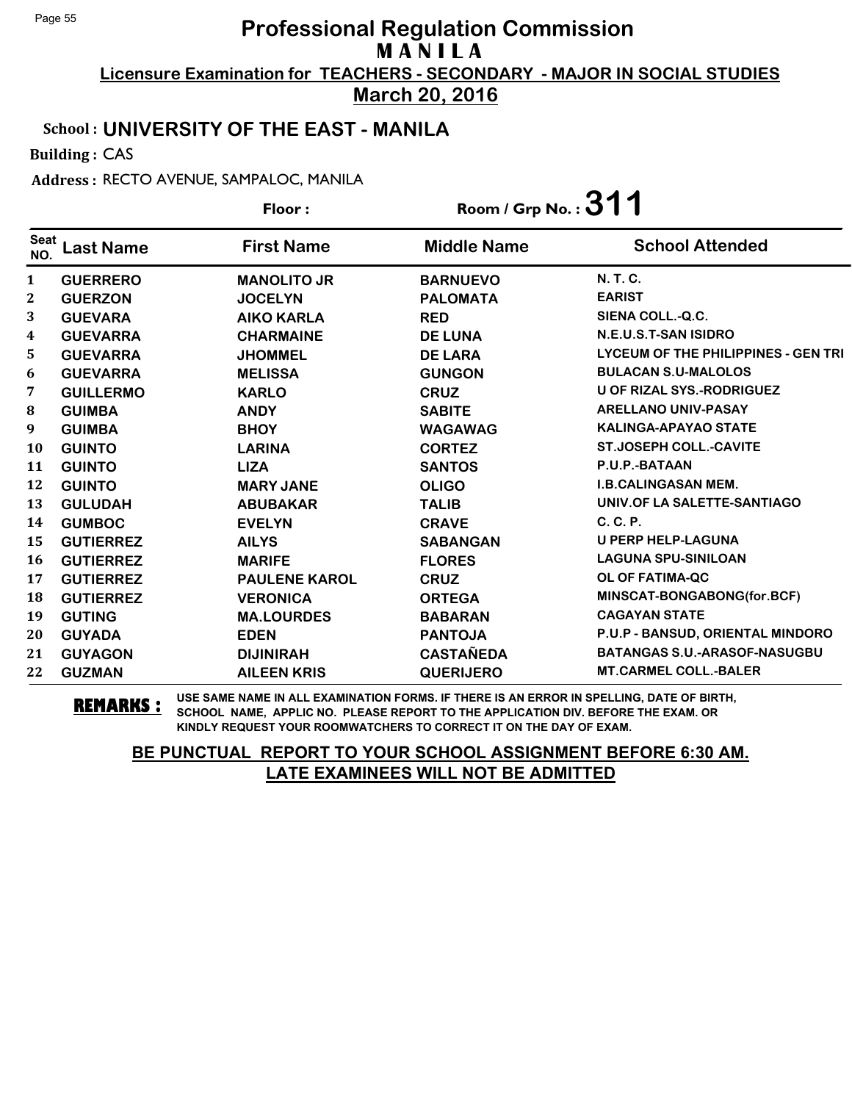**March 20, 2016**

#### School : **UNIVERSITY OF THE EAST - MANILA**

Building : CAS

Address : RECTO AVENUE, SAMPALOC, MANILA

|                    |                  | Floor:               | Room / Grp No.: $311$ |                                            |
|--------------------|------------------|----------------------|-----------------------|--------------------------------------------|
| <b>Seat</b><br>NO. | Last Name        | <b>First Name</b>    | <b>Middle Name</b>    | <b>School Attended</b>                     |
| 1                  | <b>GUERRERO</b>  | <b>MANOLITO JR</b>   | <b>BARNUEVO</b>       | N. T. C.                                   |
| $\boldsymbol{2}$   | <b>GUERZON</b>   | <b>JOCELYN</b>       | <b>PALOMATA</b>       | <b>EARIST</b>                              |
| 3                  | <b>GUEVARA</b>   | <b>AIKO KARLA</b>    | <b>RED</b>            | SIENA COLL.-Q.C.                           |
| $\boldsymbol{4}$   | <b>GUEVARRA</b>  | <b>CHARMAINE</b>     | <b>DE LUNA</b>        | N.E.U.S.T-SAN ISIDRO                       |
| 5                  | <b>GUEVARRA</b>  | <b>JHOMMEL</b>       | <b>DE LARA</b>        | <b>LYCEUM OF THE PHILIPPINES - GEN TRI</b> |
| 6                  | <b>GUEVARRA</b>  | <b>MELISSA</b>       | <b>GUNGON</b>         | <b>BULACAN S.U-MALOLOS</b>                 |
| 7                  | <b>GUILLERMO</b> | <b>KARLO</b>         | <b>CRUZ</b>           | <b>U OF RIZAL SYS.-RODRIGUEZ</b>           |
| 8                  | <b>GUIMBA</b>    | <b>ANDY</b>          | <b>SABITE</b>         | <b>ARELLANO UNIV-PASAY</b>                 |
| 9                  | <b>GUIMBA</b>    | <b>BHOY</b>          | <b>WAGAWAG</b>        | <b>KALINGA-APAYAO STATE</b>                |
| 10                 | <b>GUINTO</b>    | <b>LARINA</b>        | <b>CORTEZ</b>         | <b>ST.JOSEPH COLL.-CAVITE</b>              |
| 11                 | <b>GUINTO</b>    | <b>LIZA</b>          | <b>SANTOS</b>         | P.U.P.-BATAAN                              |
| 12                 | <b>GUINTO</b>    | <b>MARY JANE</b>     | <b>OLIGO</b>          | <b>I.B.CALINGASAN MEM.</b>                 |
| 13                 | <b>GULUDAH</b>   | <b>ABUBAKAR</b>      | <b>TALIB</b>          | UNIV.OF LA SALETTE-SANTIAGO                |
| 14                 | <b>GUMBOC</b>    | <b>EVELYN</b>        | <b>CRAVE</b>          | C. C. P.                                   |
| 15                 | <b>GUTIERREZ</b> | <b>AILYS</b>         | <b>SABANGAN</b>       | <b>U PERP HELP-LAGUNA</b>                  |
| 16                 | <b>GUTIERREZ</b> | <b>MARIFE</b>        | <b>FLORES</b>         | <b>LAGUNA SPU-SINILOAN</b>                 |
| 17                 | <b>GUTIERREZ</b> | <b>PAULENE KAROL</b> | <b>CRUZ</b>           | OL OF FATIMA-QC                            |
| 18                 | <b>GUTIERREZ</b> | <b>VERONICA</b>      | <b>ORTEGA</b>         | MINSCAT-BONGABONG(for.BCF)                 |
| 19                 | <b>GUTING</b>    | <b>MA.LOURDES</b>    | <b>BABARAN</b>        | <b>CAGAYAN STATE</b>                       |
| 20                 | <b>GUYADA</b>    | <b>EDEN</b>          | <b>PANTOJA</b>        | P.U.P - BANSUD, ORIENTAL MINDORO           |
| 21                 | <b>GUYAGON</b>   | <b>DIJINIRAH</b>     | <b>CASTAÑEDA</b>      | <b>BATANGAS S.U.-ARASOF-NASUGBU</b>        |
| 22                 | <b>GUZMAN</b>    | <b>AILEEN KRIS</b>   | <b>QUERIJERO</b>      | <b>MT.CARMEL COLL.-BALER</b>               |

**REMARKS :** USE SAME NAME IN ALL EXAMINATION FORMS. IF THERE IS AN ERROR IN SPELLING, DATE OF BIRTH, SCHOOL NAME, APPLIC NO. PLEASE REPORT TO THE APPLICATION DIV. BEFORE THE EXAM. OR KINDLY REQUEST YOUR ROOMWATCHERS TO CORRECT IT ON THE DAY OF EXAM.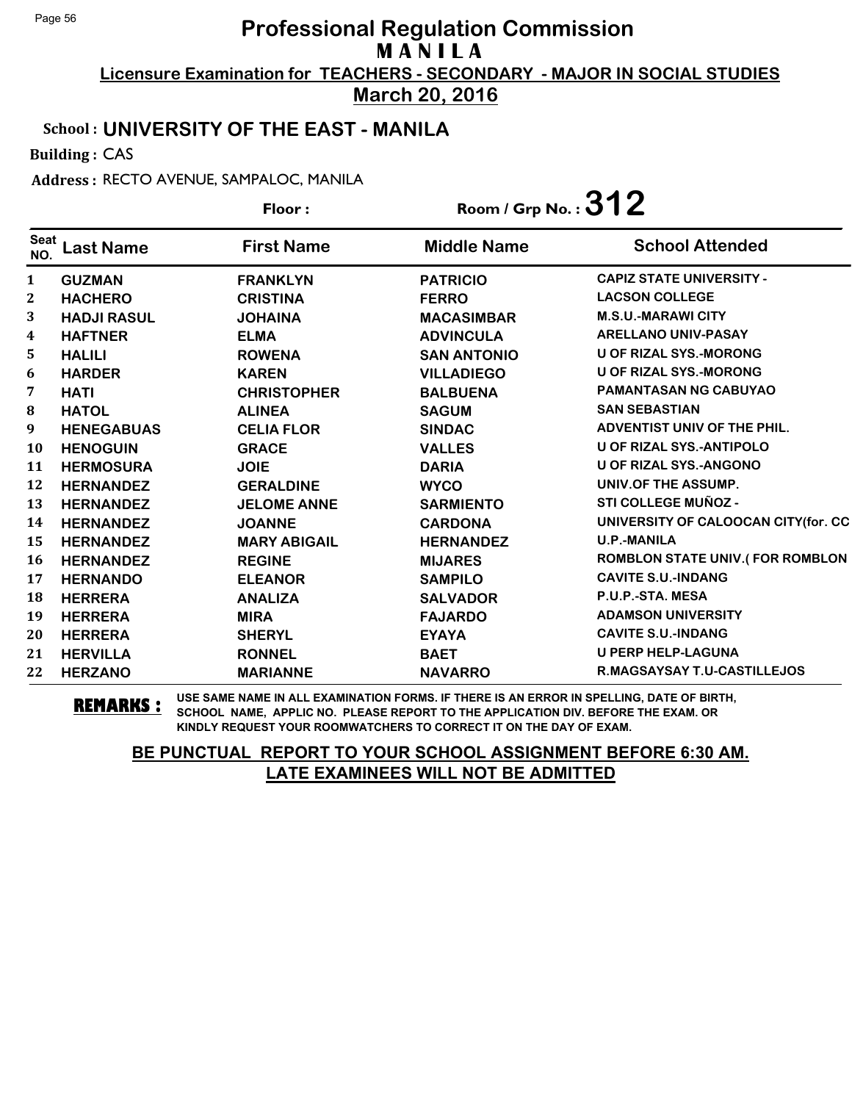**March 20, 2016**

#### School : **UNIVERSITY OF THE EAST - MANILA**

Building : CAS

Address : RECTO AVENUE, SAMPALOC, MANILA

|                         |                    | Floor:              | Room / Grp No.: $312$ |                                        |
|-------------------------|--------------------|---------------------|-----------------------|----------------------------------------|
| <b>Seat</b><br>NO.      | <b>Last Name</b>   | <b>First Name</b>   | <b>Middle Name</b>    | <b>School Attended</b>                 |
| 1                       | <b>GUZMAN</b>      | <b>FRANKLYN</b>     | <b>PATRICIO</b>       | <b>CAPIZ STATE UNIVERSITY -</b>        |
| $\boldsymbol{2}$        | <b>HACHERO</b>     | <b>CRISTINA</b>     | <b>FERRO</b>          | <b>LACSON COLLEGE</b>                  |
| 3                       | <b>HADJI RASUL</b> | <b>JOHAINA</b>      | <b>MACASIMBAR</b>     | <b>M.S.U.-MARAWI CITY</b>              |
| $\overline{\mathbf{4}}$ | <b>HAFTNER</b>     | <b>ELMA</b>         | <b>ADVINCULA</b>      | <b>ARELLANO UNIV-PASAY</b>             |
| 5.                      | <b>HALILI</b>      | <b>ROWENA</b>       | <b>SAN ANTONIO</b>    | U OF RIZAL SYS.-MORONG                 |
| 6                       | <b>HARDER</b>      | <b>KAREN</b>        | <b>VILLADIEGO</b>     | U OF RIZAL SYS.-MORONG                 |
| 7                       | <b>HATI</b>        | <b>CHRISTOPHER</b>  | <b>BALBUENA</b>       | <b>PAMANTASAN NG CABUYAO</b>           |
| ${\bf 8}$               | <b>HATOL</b>       | <b>ALINEA</b>       | <b>SAGUM</b>          | <b>SAN SEBASTIAN</b>                   |
| 9                       | <b>HENEGABUAS</b>  | <b>CELIA FLOR</b>   | <b>SINDAC</b>         | ADVENTIST UNIV OF THE PHIL.            |
| <b>10</b>               | <b>HENOGUIN</b>    | <b>GRACE</b>        | <b>VALLES</b>         | U OF RIZAL SYS.-ANTIPOLO               |
| 11                      | <b>HERMOSURA</b>   | <b>JOIE</b>         | <b>DARIA</b>          | <b>U OF RIZAL SYS.-ANGONO</b>          |
| 12                      | <b>HERNANDEZ</b>   | <b>GERALDINE</b>    | <b>WYCO</b>           | UNIV.OF THE ASSUMP.                    |
| 13                      | <b>HERNANDEZ</b>   | <b>JELOME ANNE</b>  | <b>SARMIENTO</b>      | STI COLLEGE MUÑOZ -                    |
| 14                      | <b>HERNANDEZ</b>   | <b>JOANNE</b>       | <b>CARDONA</b>        | UNIVERSITY OF CALOOCAN CITY(for. CC    |
| 15                      | <b>HERNANDEZ</b>   | <b>MARY ABIGAIL</b> | <b>HERNANDEZ</b>      | <b>U.P.-MANILA</b>                     |
| <b>16</b>               | <b>HERNANDEZ</b>   | <b>REGINE</b>       | <b>MIJARES</b>        | <b>ROMBLON STATE UNIV.(FOR ROMBLON</b> |
| 17                      | <b>HERNANDO</b>    | <b>ELEANOR</b>      | <b>SAMPILO</b>        | <b>CAVITE S.U.-INDANG</b>              |
| 18                      | <b>HERRERA</b>     | <b>ANALIZA</b>      | <b>SALVADOR</b>       | P.U.P.-STA. MESA                       |
| 19                      | <b>HERRERA</b>     | <b>MIRA</b>         | <b>FAJARDO</b>        | <b>ADAMSON UNIVERSITY</b>              |
| 20                      | <b>HERRERA</b>     | <b>SHERYL</b>       | <b>EYAYA</b>          | <b>CAVITE S.U.-INDANG</b>              |
| 21                      | <b>HERVILLA</b>    | <b>RONNEL</b>       | <b>BAET</b>           | <b>U PERP HELP-LAGUNA</b>              |
| 22                      | <b>HERZANO</b>     | <b>MARIANNE</b>     | <b>NAVARRO</b>        | R.MAGSAYSAY T.U-CASTILLEJOS            |

**REMARKS :** USE SAME NAME IN ALL EXAMINATION FORMS. IF THERE IS AN ERROR IN SPELLING, DATE OF BIRTH, SCHOOL NAME, APPLIC NO. PLEASE REPORT TO THE APPLICATION DIV. BEFORE THE EXAM. OR KINDLY REQUEST YOUR ROOMWATCHERS TO CORRECT IT ON THE DAY OF EXAM.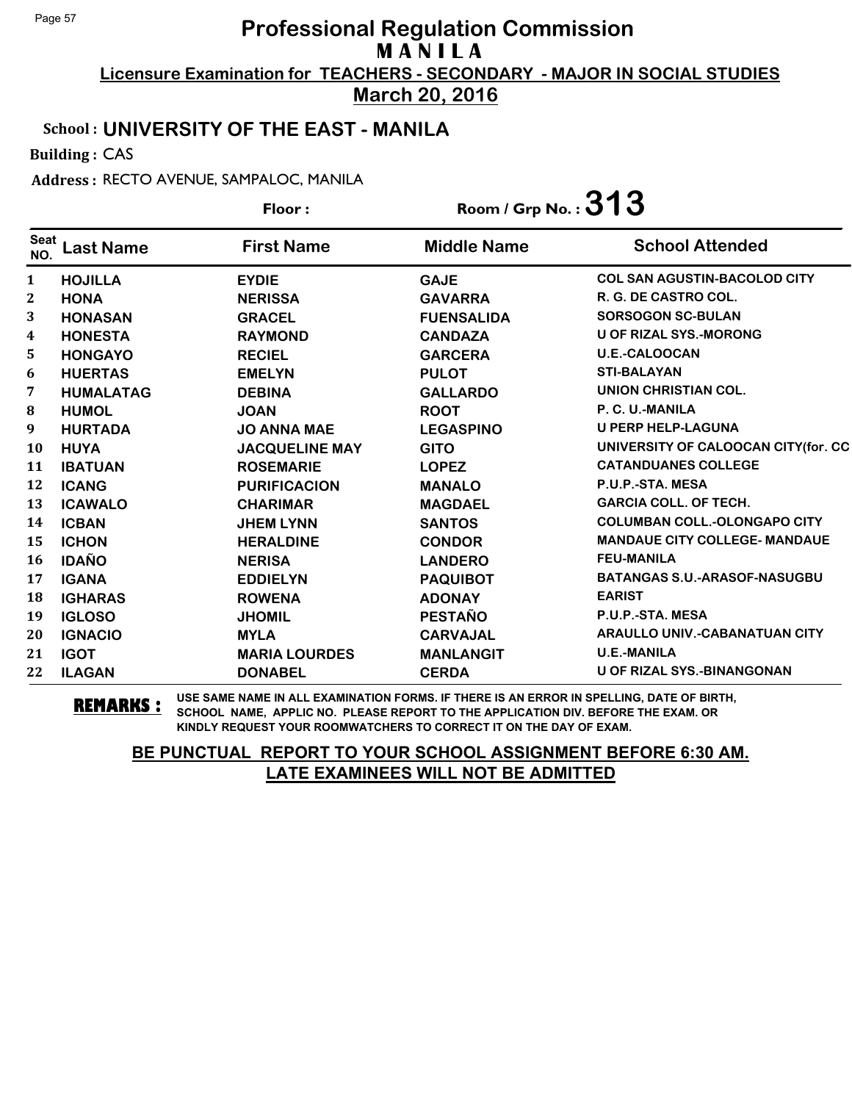**March 20, 2016**

#### School : **UNIVERSITY OF THE EAST - MANILA**

Building : CAS

Address : RECTO AVENUE, SAMPALOC, MANILA

|                    |                  | Floor:                | Room / Grp No. : $313$ |                                      |
|--------------------|------------------|-----------------------|------------------------|--------------------------------------|
| <b>Seat</b><br>NO. | <b>Last Name</b> | <b>First Name</b>     | <b>Middle Name</b>     | <b>School Attended</b>               |
| $\mathbf{1}$       | <b>HOJILLA</b>   | <b>EYDIE</b>          | <b>GAJE</b>            | <b>COL SAN AGUSTIN-BACOLOD CITY</b>  |
| $\boldsymbol{2}$   | <b>HONA</b>      | <b>NERISSA</b>        | <b>GAVARRA</b>         | R. G. DE CASTRO COL.                 |
| 3                  | <b>HONASAN</b>   | <b>GRACEL</b>         | <b>FUENSALIDA</b>      | <b>SORSOGON SC-BULAN</b>             |
| 4                  | <b>HONESTA</b>   | <b>RAYMOND</b>        | <b>CANDAZA</b>         | <b>U OF RIZAL SYS.-MORONG</b>        |
| 5                  | <b>HONGAYO</b>   | <b>RECIEL</b>         | <b>GARCERA</b>         | <b>U.E.-CALOOCAN</b>                 |
| 6                  | <b>HUERTAS</b>   | <b>EMELYN</b>         | <b>PULOT</b>           | <b>STI-BALAYAN</b>                   |
| 7                  | <b>HUMALATAG</b> | <b>DEBINA</b>         | <b>GALLARDO</b>        | UNION CHRISTIAN COL.                 |
| 8                  | <b>HUMOL</b>     | <b>JOAN</b>           | <b>ROOT</b>            | P. C. U.-MANILA                      |
| 9                  | <b>HURTADA</b>   | <b>JO ANNA MAE</b>    | <b>LEGASPINO</b>       | <b>U PERP HELP-LAGUNA</b>            |
| <b>10</b>          | <b>HUYA</b>      | <b>JACQUELINE MAY</b> | <b>GITO</b>            | UNIVERSITY OF CALOOCAN CITY (for. CC |
| 11                 | <b>IBATUAN</b>   | <b>ROSEMARIE</b>      | <b>LOPEZ</b>           | <b>CATANDUANES COLLEGE</b>           |
| 12                 | <b>ICANG</b>     | <b>PURIFICACION</b>   | <b>MANALO</b>          | P.U.P.-STA. MESA                     |
| 13                 | <b>ICAWALO</b>   | <b>CHARIMAR</b>       | <b>MAGDAEL</b>         | <b>GARCIA COLL. OF TECH.</b>         |
| 14                 | <b>ICBAN</b>     | <b>JHEM LYNN</b>      | <b>SANTOS</b>          | <b>COLUMBAN COLL.-OLONGAPO CITY</b>  |
| 15                 | <b>ICHON</b>     | <b>HERALDINE</b>      | <b>CONDOR</b>          | <b>MANDAUE CITY COLLEGE- MANDAUE</b> |
| 16                 | <b>IDAÑO</b>     | <b>NERISA</b>         | <b>LANDERO</b>         | <b>FEU-MANILA</b>                    |
| 17                 | <b>IGANA</b>     | <b>EDDIELYN</b>       | <b>PAQUIBOT</b>        | <b>BATANGAS S.U.-ARASOF-NASUGBU</b>  |
| 18                 | <b>IGHARAS</b>   | <b>ROWENA</b>         | <b>ADONAY</b>          | <b>EARIST</b>                        |
| 19                 | <b>IGLOSO</b>    | <b>JHOMIL</b>         | <b>PESTAÑO</b>         | P.U.P.-STA. MESA                     |
| 20                 | <b>IGNACIO</b>   | <b>MYLA</b>           | <b>CARVAJAL</b>        | <b>ARAULLO UNIV.-CABANATUAN CITY</b> |
| 21                 | <b>IGOT</b>      | <b>MARIA LOURDES</b>  | <b>MANLANGIT</b>       | <b>U.E.-MANILA</b>                   |
| 22                 | <b>ILAGAN</b>    | <b>DONABEL</b>        | <b>CERDA</b>           | <b>U OF RIZAL SYS.-BINANGONAN</b>    |

**REMARKS :** USE SAME NAME IN ALL EXAMINATION FORMS. IF THERE IS AN ERROR IN SPELLING, DATE OF BIRTH, SCHOOL NAME, APPLIC NO. PLEASE REPORT TO THE APPLICATION DIV. BEFORE THE EXAM. OR KINDLY REQUEST YOUR ROOMWATCHERS TO CORRECT IT ON THE DAY OF EXAM.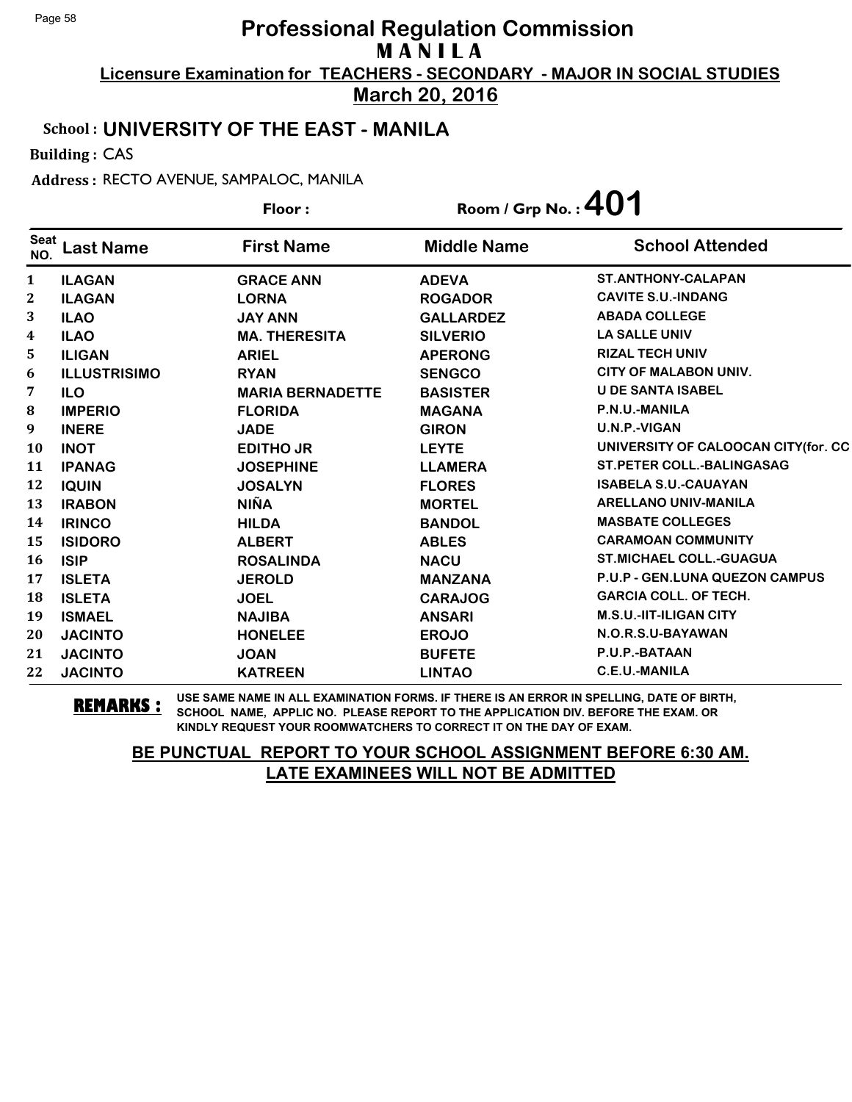**March 20, 2016**

#### School : **UNIVERSITY OF THE EAST - MANILA**

Building : CAS

Address : RECTO AVENUE, SAMPALOC, MANILA

|                    |                     | Floor:                  | Room / Grp No. : $401$ |                                     |
|--------------------|---------------------|-------------------------|------------------------|-------------------------------------|
| <b>Seat</b><br>NO. | <b>Last Name</b>    | <b>First Name</b>       | <b>Middle Name</b>     | <b>School Attended</b>              |
| $\mathbf{1}$       | <b>ILAGAN</b>       | <b>GRACE ANN</b>        | <b>ADEVA</b>           | <b>ST.ANTHONY-CALAPAN</b>           |
| $\mathbf{2}$       | <b>ILAGAN</b>       | <b>LORNA</b>            | <b>ROGADOR</b>         | <b>CAVITE S.U.-INDANG</b>           |
| 3                  | <b>ILAO</b>         | <b>JAY ANN</b>          | <b>GALLARDEZ</b>       | <b>ABADA COLLEGE</b>                |
| 4                  | <b>ILAO</b>         | <b>MA. THERESITA</b>    | <b>SILVERIO</b>        | <b>LA SALLE UNIV</b>                |
| 5.                 | <b>ILIGAN</b>       | <b>ARIEL</b>            | <b>APERONG</b>         | <b>RIZAL TECH UNIV</b>              |
| 6                  | <b>ILLUSTRISIMO</b> | <b>RYAN</b>             | <b>SENGCO</b>          | <b>CITY OF MALABON UNIV.</b>        |
| 7                  | <b>ILO</b>          | <b>MARIA BERNADETTE</b> | <b>BASISTER</b>        | <b>U DE SANTA ISABEL</b>            |
| ${\bf 8}$          | <b>IMPERIO</b>      | <b>FLORIDA</b>          | <b>MAGANA</b>          | P.N.U.-MANILA                       |
| 9                  | <b>INERE</b>        | <b>JADE</b>             | <b>GIRON</b>           | U.N.P.-VIGAN                        |
| 10                 | <b>INOT</b>         | <b>EDITHO JR</b>        | <b>LEYTE</b>           | UNIVERSITY OF CALOOCAN CITY(for. CC |
| 11                 | <b>IPANAG</b>       | <b>JOSEPHINE</b>        | <b>LLAMERA</b>         | <b>ST.PETER COLL.-BALINGASAG</b>    |
| 12                 | <b>IQUIN</b>        | <b>JOSALYN</b>          | <b>FLORES</b>          | <b>ISABELA S.U.-CAUAYAN</b>         |
| 13                 | <b>IRABON</b>       | <b>NIÑA</b>             | <b>MORTEL</b>          | <b>ARELLANO UNIV-MANILA</b>         |
| 14                 | <b>IRINCO</b>       | <b>HILDA</b>            | <b>BANDOL</b>          | <b>MASBATE COLLEGES</b>             |
| 15                 | <b>ISIDORO</b>      | <b>ALBERT</b>           | <b>ABLES</b>           | <b>CARAMOAN COMMUNITY</b>           |
| <b>16</b>          | <b>ISIP</b>         | <b>ROSALINDA</b>        | <b>NACU</b>            | <b>ST.MICHAEL COLL.-GUAGUA</b>      |
| 17                 | <b>ISLETA</b>       | <b>JEROLD</b>           | <b>MANZANA</b>         | P.U.P - GEN.LUNA QUEZON CAMPUS      |
| 18                 | <b>ISLETA</b>       | <b>JOEL</b>             | <b>CARAJOG</b>         | <b>GARCIA COLL. OF TECH.</b>        |
| 19                 | <b>ISMAEL</b>       | <b>NAJIBA</b>           | <b>ANSARI</b>          | M.S.U.-IIT-ILIGAN CITY              |
| 20                 | <b>JACINTO</b>      | <b>HONELEE</b>          | <b>EROJO</b>           | N.O.R.S.U-BAYAWAN                   |
| 21                 | <b>JACINTO</b>      | <b>JOAN</b>             | <b>BUFETE</b>          | P.U.P.-BATAAN                       |
| 22                 | <b>JACINTO</b>      | <b>KATREEN</b>          | <b>LINTAO</b>          | C.E.U.-MANILA                       |

**REMARKS :** USE SAME NAME IN ALL EXAMINATION FORMS. IF THERE IS AN ERROR IN SPELLING, DATE OF BIRTH, SCHOOL NAME, APPLIC NO. PLEASE REPORT TO THE APPLICATION DIV. BEFORE THE EXAM. OR KINDLY REQUEST YOUR ROOMWATCHERS TO CORRECT IT ON THE DAY OF EXAM.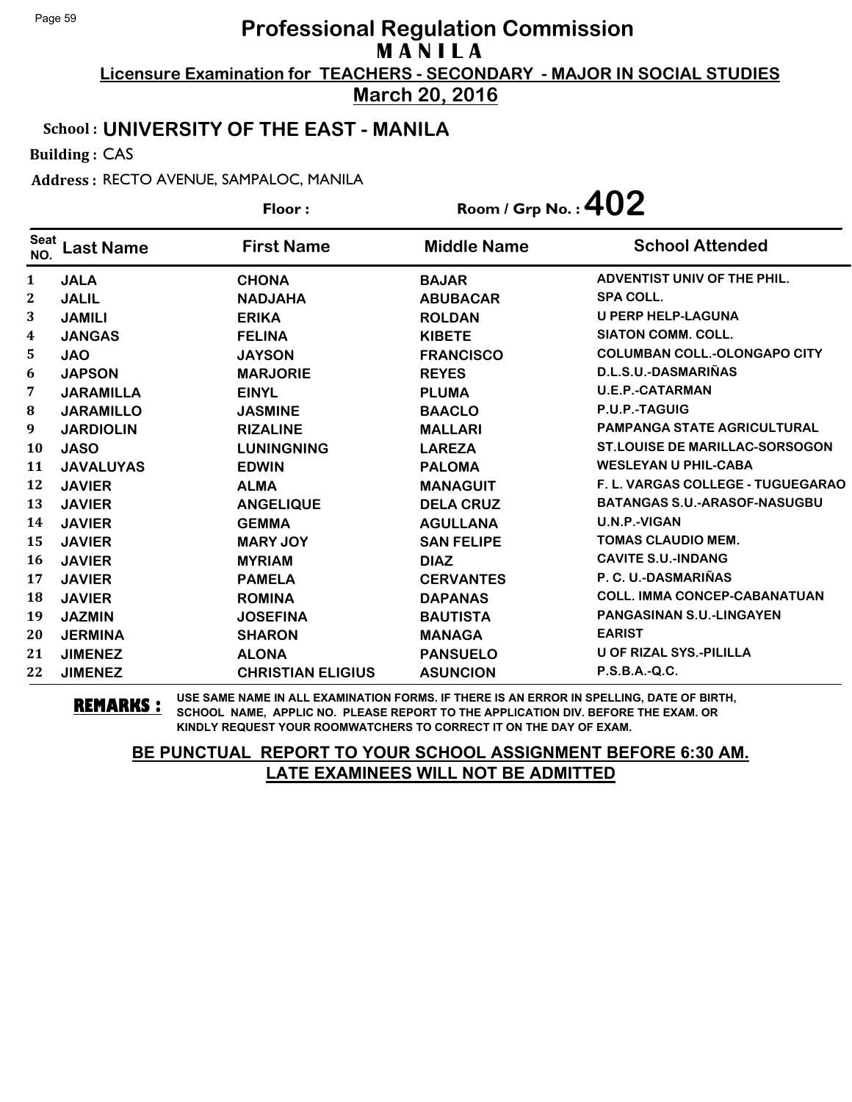**March 20, 2016**

#### School : **UNIVERSITY OF THE EAST - MANILA**

Building : CAS

Address : RECTO AVENUE, SAMPALOC, MANILA

|                         |                  | Floor:                   | Room / Grp No. : $402$ |                                       |
|-------------------------|------------------|--------------------------|------------------------|---------------------------------------|
| <b>Seat</b><br>NO.      | <b>Last Name</b> | <b>First Name</b>        | <b>Middle Name</b>     | <b>School Attended</b>                |
| 1                       | <b>JALA</b>      | <b>CHONA</b>             | <b>BAJAR</b>           | ADVENTIST UNIV OF THE PHIL.           |
| $\mathbf{2}$            | <b>JALIL</b>     | <b>NADJAHA</b>           | <b>ABUBACAR</b>        | <b>SPA COLL.</b>                      |
| 3                       | <b>JAMILI</b>    | <b>ERIKA</b>             | <b>ROLDAN</b>          | <b>U PERP HELP-LAGUNA</b>             |
| $\overline{\mathbf{4}}$ | <b>JANGAS</b>    | <b>FELINA</b>            | <b>KIBETE</b>          | <b>SIATON COMM. COLL.</b>             |
| 5.                      | <b>JAO</b>       | <b>JAYSON</b>            | <b>FRANCISCO</b>       | <b>COLUMBAN COLL.-OLONGAPO CITY</b>   |
| 6                       | <b>JAPSON</b>    | <b>MARJORIE</b>          | <b>REYES</b>           | D.L.S.U.-DASMARIÑAS                   |
| 7                       | <b>JARAMILLA</b> | <b>EINYL</b>             | <b>PLUMA</b>           | <b>U.E.P.-CATARMAN</b>                |
| ${\bf 8}$               | <b>JARAMILLO</b> | <b>JASMINE</b>           | <b>BAACLO</b>          | P.U.P.-TAGUIG                         |
| 9                       | <b>JARDIOLIN</b> | <b>RIZALINE</b>          | <b>MALLARI</b>         | <b>PAMPANGA STATE AGRICULTURAL</b>    |
| <b>10</b>               | <b>JASO</b>      | <b>LUNINGNING</b>        | <b>LAREZA</b>          | <b>ST.LOUISE DE MARILLAC-SORSOGON</b> |
| 11                      | <b>JAVALUYAS</b> | <b>EDWIN</b>             | <b>PALOMA</b>          | <b>WESLEYAN U PHIL-CABA</b>           |
| 12                      | <b>JAVIER</b>    | <b>ALMA</b>              | <b>MANAGUIT</b>        | F. L. VARGAS COLLEGE - TUGUEGARAO     |
| 13                      | <b>JAVIER</b>    | <b>ANGELIQUE</b>         | <b>DELA CRUZ</b>       | <b>BATANGAS S.U.-ARASOF-NASUGBU</b>   |
| 14                      | <b>JAVIER</b>    | <b>GEMMA</b>             | <b>AGULLANA</b>        | U.N.P.-VIGAN                          |
| 15                      | <b>JAVIER</b>    | <b>MARY JOY</b>          | <b>SAN FELIPE</b>      | <b>TOMAS CLAUDIO MEM.</b>             |
| 16                      | <b>JAVIER</b>    | <b>MYRIAM</b>            | <b>DIAZ</b>            | <b>CAVITE S.U.-INDANG</b>             |
| 17                      | <b>JAVIER</b>    | <b>PAMELA</b>            | <b>CERVANTES</b>       | P. C. U.-DASMARIÑAS                   |
| 18                      | <b>JAVIER</b>    | <b>ROMINA</b>            | <b>DAPANAS</b>         | <b>COLL. IMMA CONCEP-CABANATUAN</b>   |
| 19                      | <b>JAZMIN</b>    | <b>JOSEFINA</b>          | <b>BAUTISTA</b>        | <b>PANGASINAN S.U.-LINGAYEN</b>       |
| 20                      | <b>JERMINA</b>   | <b>SHARON</b>            | <b>MANAGA</b>          | <b>EARIST</b>                         |
| 21                      | <b>JIMENEZ</b>   | <b>ALONA</b>             | <b>PANSUELO</b>        | <b>U OF RIZAL SYS.-PILILLA</b>        |
| 22                      | <b>JIMENEZ</b>   | <b>CHRISTIAN ELIGIUS</b> | <b>ASUNCION</b>        | P.S.B.A.-Q.C.                         |

**REMARKS :** USE SAME NAME IN ALL EXAMINATION FORMS. IF THERE IS AN ERROR IN SPELLING, DATE OF BIRTH, SCHOOL NAME, APPLIC NO. PLEASE REPORT TO THE APPLICATION DIV. BEFORE THE EXAM. OR KINDLY REQUEST YOUR ROOMWATCHERS TO CORRECT IT ON THE DAY OF EXAM.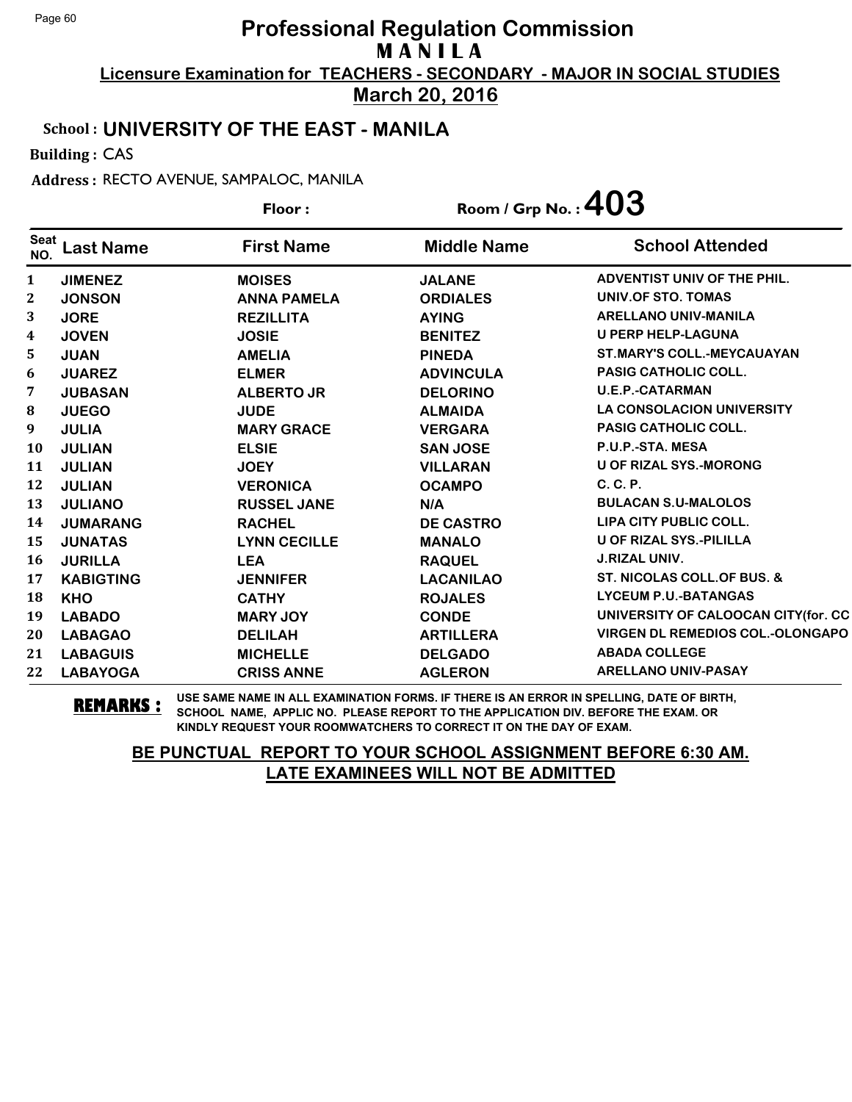**March 20, 2016**

#### School : **UNIVERSITY OF THE EAST - MANILA**

Building : CAS

Address : RECTO AVENUE, SAMPALOC, MANILA

|                    |                  | Floor:              | Room / Grp No.: $403$ |                                         |
|--------------------|------------------|---------------------|-----------------------|-----------------------------------------|
| <b>Seat</b><br>NO. | <b>Last Name</b> | <b>First Name</b>   | <b>Middle Name</b>    | <b>School Attended</b>                  |
| 1                  | <b>JIMENEZ</b>   | <b>MOISES</b>       | <b>JALANE</b>         | ADVENTIST UNIV OF THE PHIL.             |
| $\boldsymbol{2}$   | <b>JONSON</b>    | <b>ANNA PAMELA</b>  | <b>ORDIALES</b>       | UNIV.OF STO. TOMAS                      |
| 3                  | <b>JORE</b>      | <b>REZILLITA</b>    | <b>AYING</b>          | <b>ARELLANO UNIV-MANILA</b>             |
| $\boldsymbol{4}$   | <b>JOVEN</b>     | <b>JOSIE</b>        | <b>BENITEZ</b>        | <b>U PERP HELP-LAGUNA</b>               |
| 5                  | <b>JUAN</b>      | <b>AMELIA</b>       | <b>PINEDA</b>         | <b>ST.MARY'S COLL.-MEYCAUAYAN</b>       |
| 6                  | <b>JUAREZ</b>    | <b>ELMER</b>        | <b>ADVINCULA</b>      | <b>PASIG CATHOLIC COLL.</b>             |
| 7                  | <b>JUBASAN</b>   | <b>ALBERTO JR</b>   | <b>DELORINO</b>       | <b>U.E.P.-CATARMAN</b>                  |
| 8                  | <b>JUEGO</b>     | <b>JUDE</b>         | <b>ALMAIDA</b>        | <b>LA CONSOLACION UNIVERSITY</b>        |
| 9                  | <b>JULIA</b>     | <b>MARY GRACE</b>   | <b>VERGARA</b>        | <b>PASIG CATHOLIC COLL.</b>             |
| 10                 | <b>JULIAN</b>    | <b>ELSIE</b>        | <b>SAN JOSE</b>       | P.U.P.-STA. MESA                        |
| 11                 | <b>JULIAN</b>    | <b>JOEY</b>         | <b>VILLARAN</b>       | <b>U OF RIZAL SYS.-MORONG</b>           |
| 12                 | <b>JULIAN</b>    | <b>VERONICA</b>     | <b>OCAMPO</b>         | C. C. P.                                |
| 13                 | <b>JULIANO</b>   | <b>RUSSEL JANE</b>  | N/A                   | <b>BULACAN S.U-MALOLOS</b>              |
| 14                 | <b>JUMARANG</b>  | <b>RACHEL</b>       | <b>DE CASTRO</b>      | LIPA CITY PUBLIC COLL.                  |
| 15                 | <b>JUNATAS</b>   | <b>LYNN CECILLE</b> | <b>MANALO</b>         | <b>U OF RIZAL SYS.-PILILLA</b>          |
| 16                 | <b>JURILLA</b>   | <b>LEA</b>          | <b>RAQUEL</b>         | <b>J.RIZAL UNIV.</b>                    |
| 17                 | <b>KABIGTING</b> | <b>JENNIFER</b>     | <b>LACANILAO</b>      | ST. NICOLAS COLL. OF BUS. &             |
| 18                 | <b>KHO</b>       | <b>CATHY</b>        | <b>ROJALES</b>        | <b>LYCEUM P.U.-BATANGAS</b>             |
| 19                 | <b>LABADO</b>    | <b>MARY JOY</b>     | <b>CONDE</b>          | UNIVERSITY OF CALOOCAN CITY(for. CC     |
| 20                 | <b>LABAGAO</b>   | <b>DELILAH</b>      | <b>ARTILLERA</b>      | <b>VIRGEN DL REMEDIOS COL.-OLONGAPO</b> |
| 21                 | <b>LABAGUIS</b>  | <b>MICHELLE</b>     | <b>DELGADO</b>        | <b>ABADA COLLEGE</b>                    |
| 22                 | <b>LABAYOGA</b>  | <b>CRISS ANNE</b>   | <b>AGLERON</b>        | <b>ARELLANO UNIV-PASAY</b>              |

**REMARKS :** USE SAME NAME IN ALL EXAMINATION FORMS. IF THERE IS AN ERROR IN SPELLING, DATE OF BIRTH, SCHOOL NAME, APPLIC NO. PLEASE REPORT TO THE APPLICATION DIV. BEFORE THE EXAM. OR KINDLY REQUEST YOUR ROOMWATCHERS TO CORRECT IT ON THE DAY OF EXAM.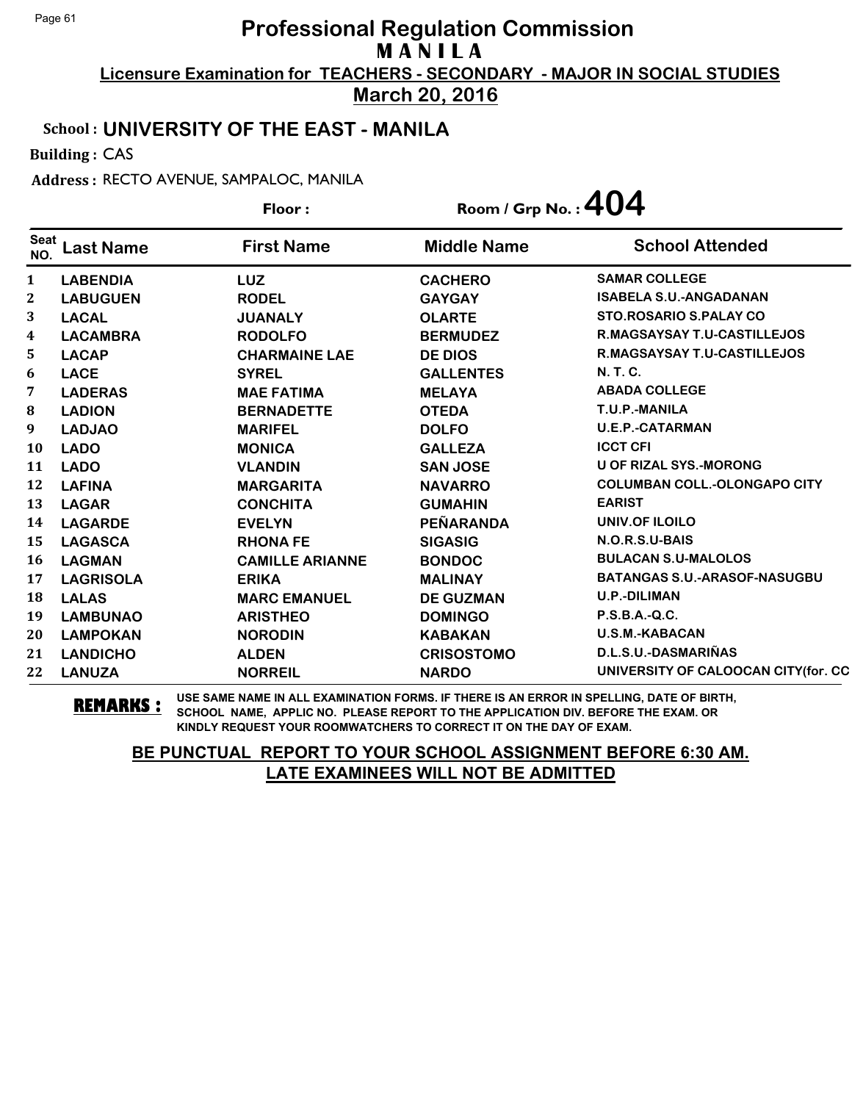**March 20, 2016**

#### School : **UNIVERSITY OF THE EAST - MANILA**

Building : CAS

Address : RECTO AVENUE, SAMPALOC, MANILA

**Last Name First Name Middle Name** Floor : Room / Grp No. :**404** Seat <sup>seat</sup> Last Name First Name Middle Name School Attended **LABENDIA LUZ CACHERO SAMAR COLLEGE LABUGUEN RODEL GAYGAY ISABELA S.U.-ANGADANAN LACAL JUANALY OLARTE STO.ROSARIO S.PALAY CO LACAMBRA RODOLFO BERMUDEZ R.MAGSAYSAY T.U-CASTILLEJOS LACAP CHARMAINE LAE DE DIOS R.MAGSAYSAY T.U-CASTILLEJOS LACE SYREL GALLENTES N. T. C. LADERAS MAE FATIMA MELAYA ABADA COLLEGE LADION BERNADETTE OTEDA T.U.P.-MANILA LADJAO MARIFEL DOLFO U.E.P.-CATARMAN LADO MONICA GALLEZA ICCT CFI LADO VLANDIN SAN JOSE U OF RIZAL SYS.-MORONG LAFINA MARGARITA NAVARRO COLUMBAN COLL.-OLONGAPO CITY LAGAR CONCHITA GUMAHIN EARIST LAGARDE EVELYN PEÑARANDA UNIV.OF ILOILO LAGASCA RHONA FE SIGASIG N.O.R.S.U-BAIS LAGMAN CAMILLE ARIANNE BONDOC BULACAN S.U-MALOLOS LAGRISOLA ERIKA MALINAY BATANGAS S.U.-ARASOF-NASUGBU LALAS MARC EMANUEL DE GUZMAN U.P.-DILIMAN LAMBUNAO ARISTHEO DOMINGO P.S.B.A.-Q.C. LAMPOKAN NORODIN KABAKAN U.S.M.-KABACAN LANDICHO ALDEN CRISOSTOMO D.L.S.U.-DASMARIÑAS LANUZA NORREIL NARDO UNIVERSITY OF CALOOCAN CITY(for. CC**

**REMARKS :** USE SAME NAME IN ALL EXAMINATION FORMS. IF THERE IS AN ERROR IN SPELLING, DATE OF BIRTH, SCHOOL NAME, APPLIC NO. PLEASE REPORT TO THE APPLICATION DIV. BEFORE THE EXAM. OR KINDLY REQUEST YOUR ROOMWATCHERS TO CORRECT IT ON THE DAY OF EXAM.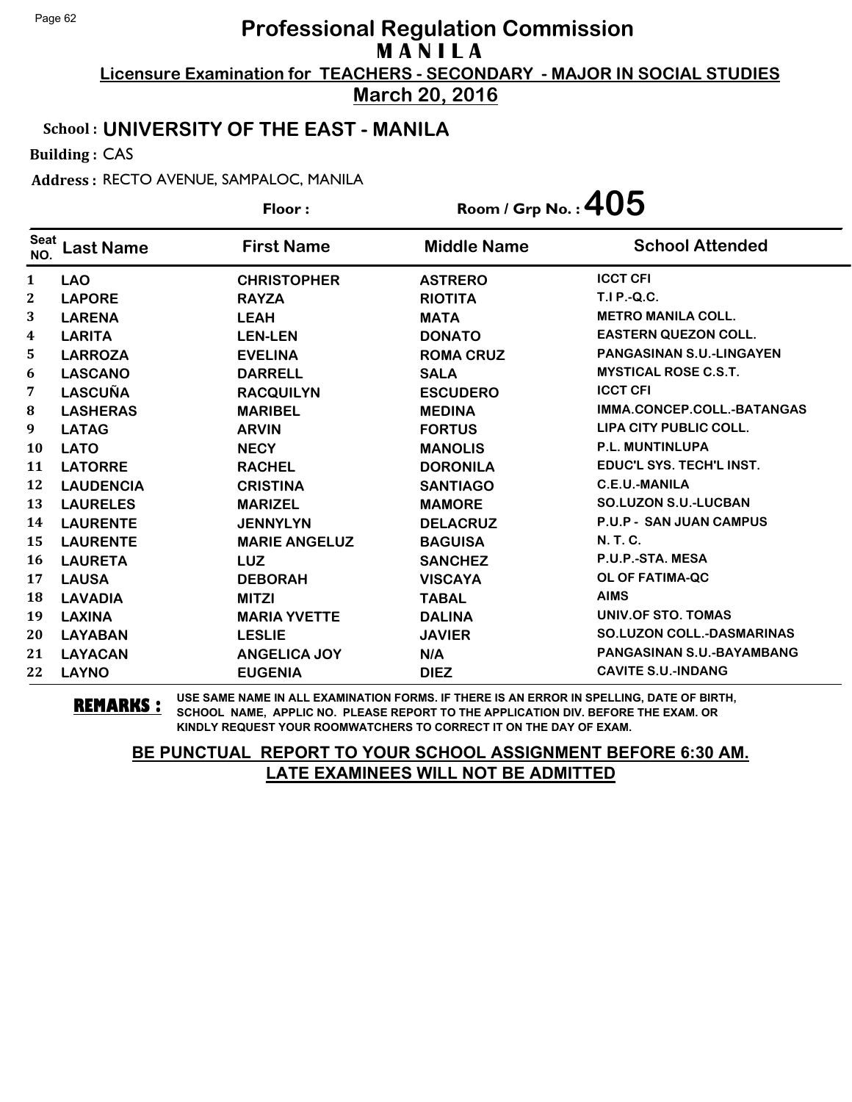**March 20, 2016**

#### School : **UNIVERSITY OF THE EAST - MANILA**

Building : CAS

Address : RECTO AVENUE, SAMPALOC, MANILA

|                    |                  | Floor:               | Room / Grp No. : $405$ |                                  |
|--------------------|------------------|----------------------|------------------------|----------------------------------|
| <b>Seat</b><br>NO. | <b>Last Name</b> | <b>First Name</b>    | <b>Middle Name</b>     | <b>School Attended</b>           |
| 1                  | <b>LAO</b>       | <b>CHRISTOPHER</b>   | <b>ASTRERO</b>         | <b>ICCT CFI</b>                  |
| 2                  | <b>LAPORE</b>    | <b>RAYZA</b>         | <b>RIOTITA</b>         | <b>T.I P.-Q.C.</b>               |
| 3                  | <b>LARENA</b>    | <b>LEAH</b>          | <b>MATA</b>            | <b>METRO MANILA COLL.</b>        |
| 4                  | <b>LARITA</b>    | <b>LEN-LEN</b>       | <b>DONATO</b>          | <b>EASTERN QUEZON COLL.</b>      |
| 5.                 | <b>LARROZA</b>   | <b>EVELINA</b>       | <b>ROMA CRUZ</b>       | <b>PANGASINAN S.U.-LINGAYEN</b>  |
| 6                  | <b>LASCANO</b>   | <b>DARRELL</b>       | <b>SALA</b>            | <b>MYSTICAL ROSE C.S.T.</b>      |
| 7                  | <b>LASCUÑA</b>   | <b>RACQUILYN</b>     | <b>ESCUDERO</b>        | <b>ICCT CFI</b>                  |
| 8                  | <b>LASHERAS</b>  | <b>MARIBEL</b>       | <b>MEDINA</b>          | IMMA.CONCEP.COLL.-BATANGAS       |
| 9                  | <b>LATAG</b>     | <b>ARVIN</b>         | <b>FORTUS</b>          | LIPA CITY PUBLIC COLL.           |
| <b>10</b>          | <b>LATO</b>      | <b>NECY</b>          | <b>MANOLIS</b>         | P.L. MUNTINLUPA                  |
| 11                 | <b>LATORRE</b>   | <b>RACHEL</b>        | <b>DORONILA</b>        | EDUC'L SYS. TECH'L INST.         |
| 12                 | <b>LAUDENCIA</b> | <b>CRISTINA</b>      | <b>SANTIAGO</b>        | C.E.U.-MANILA                    |
| 13                 | <b>LAURELES</b>  | <b>MARIZEL</b>       | <b>MAMORE</b>          | <b>SO.LUZON S.U.-LUCBAN</b>      |
| 14                 | <b>LAURENTE</b>  | <b>JENNYLYN</b>      | <b>DELACRUZ</b>        | <b>P.U.P - SAN JUAN CAMPUS</b>   |
| 15                 | <b>LAURENTE</b>  | <b>MARIE ANGELUZ</b> | <b>BAGUISA</b>         | <b>N. T. C.</b>                  |
| 16                 | <b>LAURETA</b>   | <b>LUZ</b>           | <b>SANCHEZ</b>         | P.U.P.-STA. MESA                 |
| 17                 | <b>LAUSA</b>     | <b>DEBORAH</b>       | <b>VISCAYA</b>         | <b>OL OF FATIMA-QC</b>           |
| 18                 | <b>LAVADIA</b>   | <b>MITZI</b>         | <b>TABAL</b>           | <b>AIMS</b>                      |
| 19                 | <b>LAXINA</b>    | <b>MARIA YVETTE</b>  | <b>DALINA</b>          | <b>UNIV.OF STO. TOMAS</b>        |
| 20                 | <b>LAYABAN</b>   | <b>LESLIE</b>        | <b>JAVIER</b>          | <b>SO.LUZON COLL.-DASMARINAS</b> |
| 21                 | <b>LAYACAN</b>   | <b>ANGELICA JOY</b>  | N/A                    | <b>PANGASINAN S.U.-BAYAMBANG</b> |
| 22                 | <b>LAYNO</b>     | <b>EUGENIA</b>       | <b>DIEZ</b>            | <b>CAVITE S.U.-INDANG</b>        |

**REMARKS :** USE SAME NAME IN ALL EXAMINATION FORMS. IF THERE IS AN ERROR IN SPELLING, DATE OF BIRTH, SCHOOL NAME, APPLIC NO. PLEASE REPORT TO THE APPLICATION DIV. BEFORE THE EXAM. OR KINDLY REQUEST YOUR ROOMWATCHERS TO CORRECT IT ON THE DAY OF EXAM.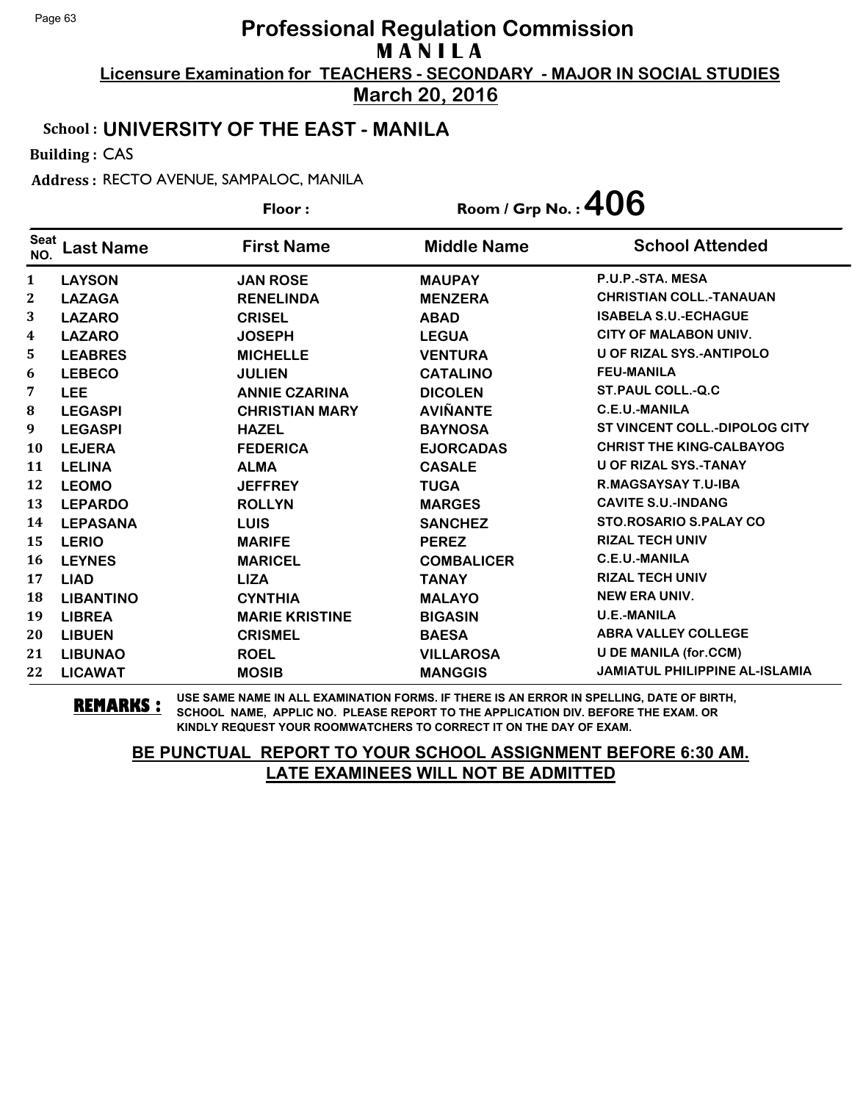**March 20, 2016**

#### School : **UNIVERSITY OF THE EAST - MANILA**

Building : CAS

Address : RECTO AVENUE, SAMPALOC, MANILA

|                    |                  | Floor:                | Room / Grp No.: $406$ |                                       |
|--------------------|------------------|-----------------------|-----------------------|---------------------------------------|
| <b>Seat</b><br>NO. | <b>Last Name</b> | <b>First Name</b>     | <b>Middle Name</b>    | <b>School Attended</b>                |
| $\mathbf{1}$       | <b>LAYSON</b>    | <b>JAN ROSE</b>       | <b>MAUPAY</b>         | P.U.P.-STA. MESA                      |
| $\boldsymbol{2}$   | <b>LAZAGA</b>    | <b>RENELINDA</b>      | <b>MENZERA</b>        | <b>CHRISTIAN COLL.-TANAUAN</b>        |
| 3                  | <b>LAZARO</b>    | <b>CRISEL</b>         | <b>ABAD</b>           | <b>ISABELA S.U.-ECHAGUE</b>           |
| 4                  | <b>LAZARO</b>    | <b>JOSEPH</b>         | <b>LEGUA</b>          | <b>CITY OF MALABON UNIV.</b>          |
| 5.                 | <b>LEABRES</b>   | <b>MICHELLE</b>       | <b>VENTURA</b>        | <b>U OF RIZAL SYS.-ANTIPOLO</b>       |
| 6                  | <b>LEBECO</b>    | <b>JULIEN</b>         | <b>CATALINO</b>       | <b>FEU-MANILA</b>                     |
| 7                  | <b>LEE</b>       | <b>ANNIE CZARINA</b>  | <b>DICOLEN</b>        | <b>ST.PAUL COLL.-Q.C</b>              |
| 8                  | <b>LEGASPI</b>   | <b>CHRISTIAN MARY</b> | <b>AVIÑANTE</b>       | <b>C.E.U.-MANILA</b>                  |
| 9                  | <b>LEGASPI</b>   | <b>HAZEL</b>          | <b>BAYNOSA</b>        | ST VINCENT COLL.-DIPOLOG CITY         |
| <b>10</b>          | <b>LEJERA</b>    | <b>FEDERICA</b>       | <b>EJORCADAS</b>      | <b>CHRIST THE KING-CALBAYOG</b>       |
| 11                 | <b>LELINA</b>    | <b>ALMA</b>           | <b>CASALE</b>         | <b>U OF RIZAL SYS.-TANAY</b>          |
| 12                 | <b>LEOMO</b>     | <b>JEFFREY</b>        | <b>TUGA</b>           | R.MAGSAYSAY T.U-IBA                   |
| 13                 | <b>LEPARDO</b>   | <b>ROLLYN</b>         | <b>MARGES</b>         | <b>CAVITE S.U.-INDANG</b>             |
| 14                 | <b>LEPASANA</b>  | <b>LUIS</b>           | <b>SANCHEZ</b>        | <b>STO.ROSARIO S.PALAY CO</b>         |
| 15                 | <b>LERIO</b>     | <b>MARIFE</b>         | <b>PEREZ</b>          | <b>RIZAL TECH UNIV</b>                |
| 16                 | <b>LEYNES</b>    | <b>MARICEL</b>        | <b>COMBALICER</b>     | <b>C.E.U.-MANILA</b>                  |
| 17                 | <b>LIAD</b>      | <b>LIZA</b>           | <b>TANAY</b>          | <b>RIZAL TECH UNIV</b>                |
| 18                 | <b>LIBANTINO</b> | <b>CYNTHIA</b>        | <b>MALAYO</b>         | <b>NEW ERA UNIV.</b>                  |
| 19                 | <b>LIBREA</b>    | <b>MARIE KRISTINE</b> | <b>BIGASIN</b>        | <b>U.E.-MANILA</b>                    |
| 20                 | <b>LIBUEN</b>    | <b>CRISMEL</b>        | <b>BAESA</b>          | <b>ABRA VALLEY COLLEGE</b>            |
| 21                 | <b>LIBUNAO</b>   | <b>ROEL</b>           | <b>VILLAROSA</b>      | <b>U DE MANILA (for.CCM)</b>          |
| 22                 | <b>LICAWAT</b>   | <b>MOSIB</b>          | <b>MANGGIS</b>        | <b>JAMIATUL PHILIPPINE AL-ISLAMIA</b> |

**REMARKS :** USE SAME NAME IN ALL EXAMINATION FORMS. IF THERE IS AN ERROR IN SPELLING, DATE OF BIRTH, SCHOOL NAME, APPLIC NO. PLEASE REPORT TO THE APPLICATION DIV. BEFORE THE EXAM. OR KINDLY REQUEST YOUR ROOMWATCHERS TO CORRECT IT ON THE DAY OF EXAM.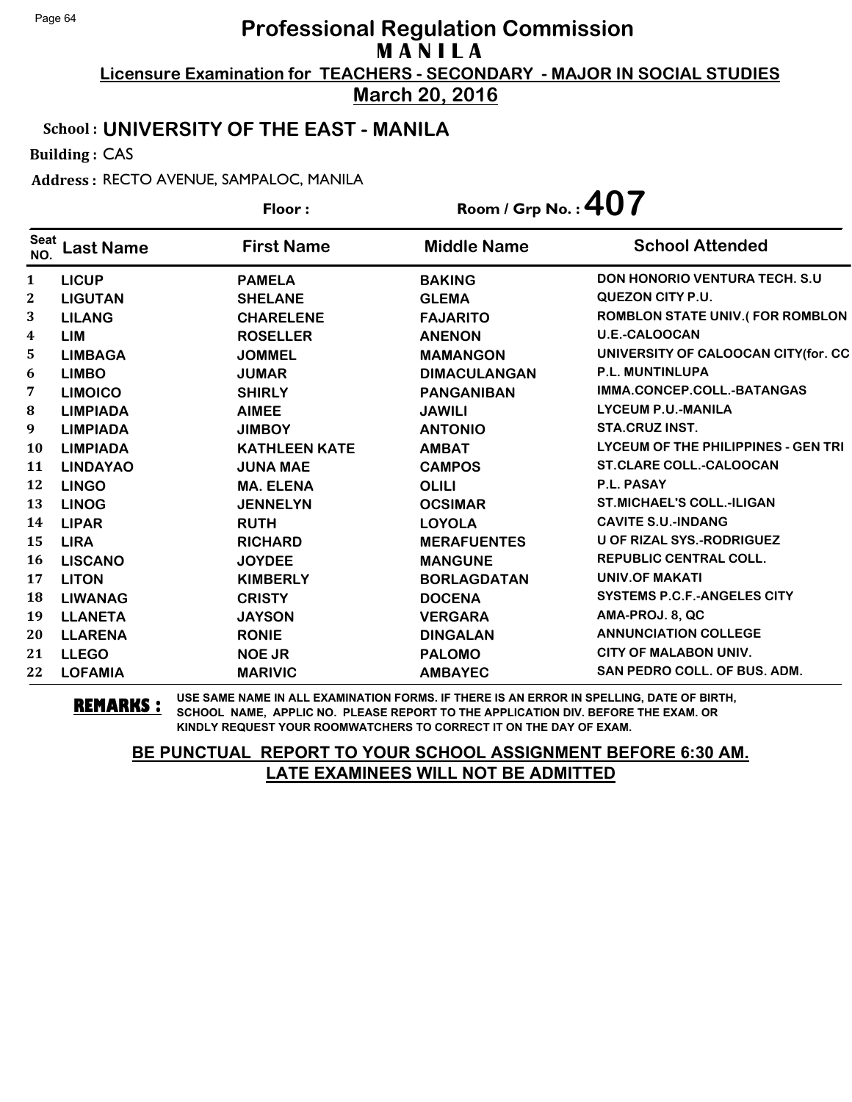**March 20, 2016**

#### School : **UNIVERSITY OF THE EAST - MANILA**

Building : CAS

Address : RECTO AVENUE, SAMPALOC, MANILA

|                    |                  | Floor:               | Room / Grp No.: $407$ |                                        |
|--------------------|------------------|----------------------|-----------------------|----------------------------------------|
| <b>Seat</b><br>NO. | <b>Last Name</b> | <b>First Name</b>    | <b>Middle Name</b>    | <b>School Attended</b>                 |
| 1                  | <b>LICUP</b>     | <b>PAMELA</b>        | <b>BAKING</b>         | <b>DON HONORIO VENTURA TECH. S.U.</b>  |
| $\mathbf{2}$       | <b>LIGUTAN</b>   | <b>SHELANE</b>       | <b>GLEMA</b>          | QUEZON CITY P.U.                       |
| 3                  | <b>LILANG</b>    | <b>CHARELENE</b>     | <b>FAJARITO</b>       | <b>ROMBLON STATE UNIV.(FOR ROMBLON</b> |
| 4                  | <b>LIM</b>       | <b>ROSELLER</b>      | <b>ANENON</b>         | <b>U.E.-CALOOCAN</b>                   |
| 5                  | <b>LIMBAGA</b>   | <b>JOMMEL</b>        | <b>MAMANGON</b>       | UNIVERSITY OF CALOOCAN CITY(for. CC    |
| 6                  | <b>LIMBO</b>     | <b>JUMAR</b>         | <b>DIMACULANGAN</b>   | <b>P.L. MUNTINLUPA</b>                 |
| 7                  | <b>LIMOICO</b>   | <b>SHIRLY</b>        | <b>PANGANIBAN</b>     | IMMA.CONCEP.COLL.-BATANGAS             |
| ${\bf 8}$          | <b>LIMPIADA</b>  | <b>AIMEE</b>         | <b>JAWILI</b>         | <b>LYCEUM P.U.-MANILA</b>              |
| 9                  | <b>LIMPIADA</b>  | <b>JIMBOY</b>        | <b>ANTONIO</b>        | <b>STA.CRUZ INST.</b>                  |
| <b>10</b>          | <b>LIMPIADA</b>  | <b>KATHLEEN KATE</b> | <b>AMBAT</b>          | LYCEUM OF THE PHILIPPINES - GEN TRI    |
| 11                 | <b>LINDAYAO</b>  | <b>JUNA MAE</b>      | <b>CAMPOS</b>         | <b>ST.CLARE COLL.-CALOOCAN</b>         |
| 12                 | <b>LINGO</b>     | <b>MA. ELENA</b>     | <b>OLILI</b>          | P.L. PASAY                             |
| 13                 | <b>LINOG</b>     | <b>JENNELYN</b>      | <b>OCSIMAR</b>        | <b>ST.MICHAEL'S COLL.-ILIGAN</b>       |
| 14                 | <b>LIPAR</b>     | <b>RUTH</b>          | <b>LOYOLA</b>         | <b>CAVITE S.U.-INDANG</b>              |
| 15                 | <b>LIRA</b>      | <b>RICHARD</b>       | <b>MERAFUENTES</b>    | <b>U OF RIZAL SYS.-RODRIGUEZ</b>       |
| 16                 | <b>LISCANO</b>   | <b>JOYDEE</b>        | <b>MANGUNE</b>        | <b>REPUBLIC CENTRAL COLL.</b>          |
| 17                 | <b>LITON</b>     | <b>KIMBERLY</b>      | <b>BORLAGDATAN</b>    | <b>UNIV.OF MAKATI</b>                  |
| 18                 | <b>LIWANAG</b>   | <b>CRISTY</b>        | <b>DOCENA</b>         | <b>SYSTEMS P.C.F.-ANGELES CITY</b>     |
| 19                 | <b>LLANETA</b>   | <b>JAYSON</b>        | <b>VERGARA</b>        | AMA-PROJ. 8, QC                        |
| 20                 | <b>LLARENA</b>   | <b>RONIE</b>         | <b>DINGALAN</b>       | <b>ANNUNCIATION COLLEGE</b>            |
| 21                 | <b>LLEGO</b>     | <b>NOE JR</b>        | <b>PALOMO</b>         | <b>CITY OF MALABON UNIV.</b>           |
| 22                 | <b>LOFAMIA</b>   | <b>MARIVIC</b>       | <b>AMBAYEC</b>        | <b>SAN PEDRO COLL. OF BUS. ADM.</b>    |

**REMARKS :** USE SAME NAME IN ALL EXAMINATION FORMS. IF THERE IS AN ERROR IN SPELLING, DATE OF BIRTH, SCHOOL NAME, APPLIC NO. PLEASE REPORT TO THE APPLICATION DIV. BEFORE THE EXAM. OR KINDLY REQUEST YOUR ROOMWATCHERS TO CORRECT IT ON THE DAY OF EXAM.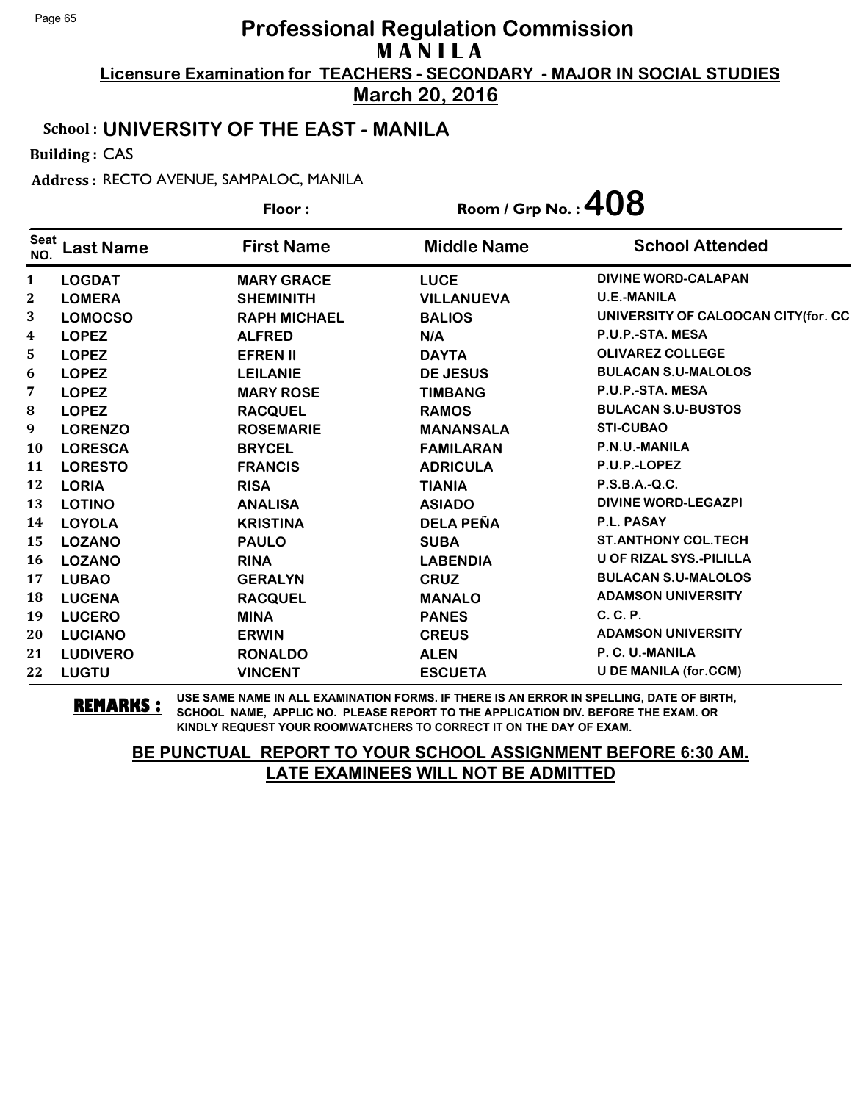**March 20, 2016**

#### School : **UNIVERSITY OF THE EAST - MANILA**

Building : CAS

Address : RECTO AVENUE, SAMPALOC, MANILA

|                    |                  | Floor:              |                    | Room / Grp No.: $408$               |  |
|--------------------|------------------|---------------------|--------------------|-------------------------------------|--|
| <b>Seat</b><br>NO. | <b>Last Name</b> | <b>First Name</b>   | <b>Middle Name</b> | <b>School Attended</b>              |  |
| $\mathbf{1}$       | <b>LOGDAT</b>    | <b>MARY GRACE</b>   | <b>LUCE</b>        | <b>DIVINE WORD-CALAPAN</b>          |  |
| $\boldsymbol{2}$   | <b>LOMERA</b>    | <b>SHEMINITH</b>    | <b>VILLANUEVA</b>  | <b>U.E.-MANILA</b>                  |  |
| 3                  | <b>LOMOCSO</b>   | <b>RAPH MICHAEL</b> | <b>BALIOS</b>      | UNIVERSITY OF CALOOCAN CITY(for. CC |  |
| $\boldsymbol{4}$   | <b>LOPEZ</b>     | <b>ALFRED</b>       | N/A                | P.U.P.-STA. MESA                    |  |
| 5                  | <b>LOPEZ</b>     | <b>EFREN II</b>     | <b>DAYTA</b>       | <b>OLIVAREZ COLLEGE</b>             |  |
| 6                  | <b>LOPEZ</b>     | <b>LEILANIE</b>     | <b>DE JESUS</b>    | <b>BULACAN S.U-MALOLOS</b>          |  |
| 7                  | <b>LOPEZ</b>     | <b>MARY ROSE</b>    | <b>TIMBANG</b>     | P.U.P.-STA. MESA                    |  |
| ${\bf 8}$          | <b>LOPEZ</b>     | <b>RACQUEL</b>      | <b>RAMOS</b>       | <b>BULACAN S.U-BUSTOS</b>           |  |
| $\boldsymbol{9}$   | <b>LORENZO</b>   | <b>ROSEMARIE</b>    | <b>MANANSALA</b>   | <b>STI-CUBAO</b>                    |  |
| <b>10</b>          | <b>LORESCA</b>   | <b>BRYCEL</b>       | <b>FAMILARAN</b>   | P.N.U.-MANILA                       |  |
| 11                 | <b>LORESTO</b>   | <b>FRANCIS</b>      | <b>ADRICULA</b>    | P.U.P.-LOPEZ                        |  |
| 12                 | <b>LORIA</b>     | <b>RISA</b>         | <b>TIANIA</b>      | P.S.B.A.-Q.C.                       |  |
| 13                 | <b>LOTINO</b>    | <b>ANALISA</b>      | <b>ASIADO</b>      | <b>DIVINE WORD-LEGAZPI</b>          |  |
| 14                 | <b>LOYOLA</b>    | <b>KRISTINA</b>     | <b>DELA PEÑA</b>   | P.L. PASAY                          |  |
| 15                 | <b>LOZANO</b>    | <b>PAULO</b>        | <b>SUBA</b>        | <b>ST.ANTHONY COL.TECH</b>          |  |
| <b>16</b>          | <b>LOZANO</b>    | <b>RINA</b>         | <b>LABENDIA</b>    | <b>U OF RIZAL SYS.-PILILLA</b>      |  |
| 17                 | <b>LUBAO</b>     | <b>GERALYN</b>      | <b>CRUZ</b>        | <b>BULACAN S.U-MALOLOS</b>          |  |
| 18                 | <b>LUCENA</b>    | <b>RACQUEL</b>      | <b>MANALO</b>      | <b>ADAMSON UNIVERSITY</b>           |  |
| 19                 | <b>LUCERO</b>    | <b>MINA</b>         | <b>PANES</b>       | C. C. P.                            |  |
| 20                 | <b>LUCIANO</b>   | <b>ERWIN</b>        | <b>CREUS</b>       | <b>ADAMSON UNIVERSITY</b>           |  |
| 21                 | <b>LUDIVERO</b>  | <b>RONALDO</b>      | <b>ALEN</b>        | P. C. U.-MANILA                     |  |
| 22                 | <b>LUGTU</b>     | <b>VINCENT</b>      | <b>ESCUETA</b>     | <b>U DE MANILA (for.CCM)</b>        |  |

**REMARKS :** USE SAME NAME IN ALL EXAMINATION FORMS. IF THERE IS AN ERROR IN SPELLING, DATE OF BIRTH, SCHOOL NAME, APPLIC NO. PLEASE REPORT TO THE APPLICATION DIV. BEFORE THE EXAM. OR KINDLY REQUEST YOUR ROOMWATCHERS TO CORRECT IT ON THE DAY OF EXAM.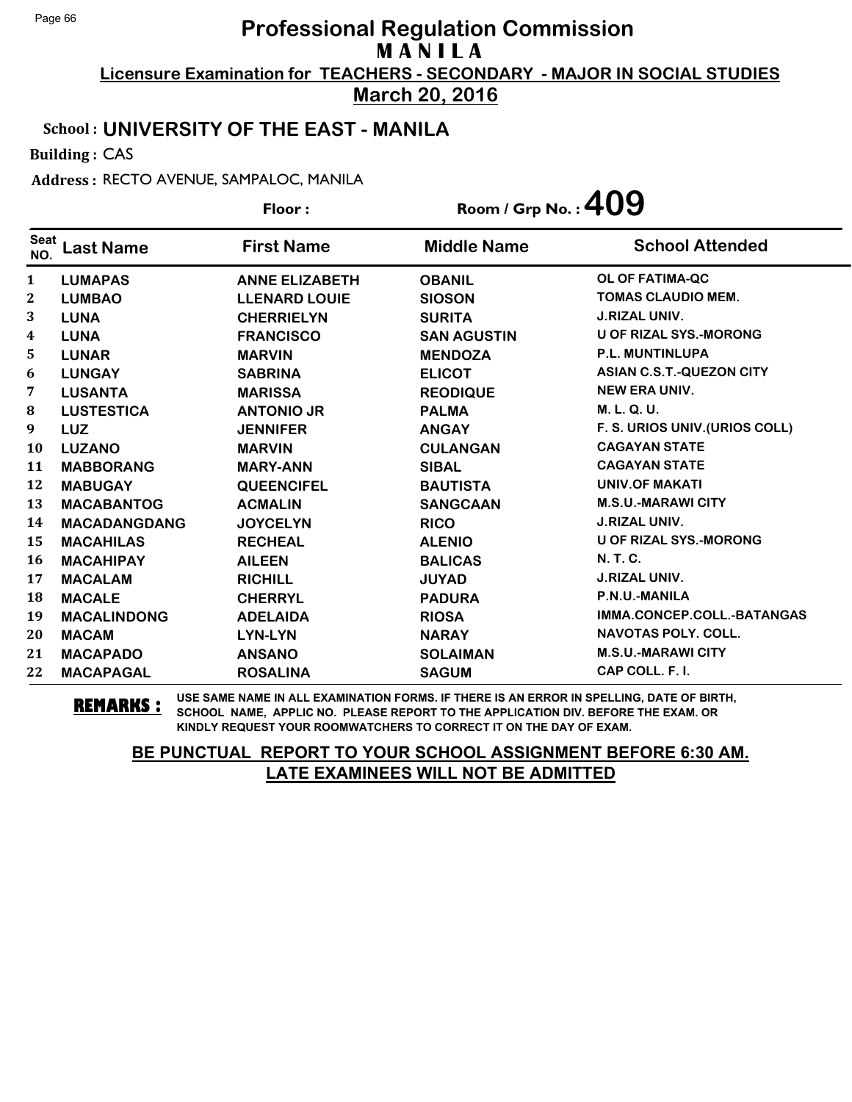**March 20, 2016**

#### School : **UNIVERSITY OF THE EAST - MANILA**

Building : CAS

Address : RECTO AVENUE, SAMPALOC, MANILA

|                    |                     | Floor:                | Room / Grp No.: $409$ |                                 |
|--------------------|---------------------|-----------------------|-----------------------|---------------------------------|
| <b>Seat</b><br>NO. | <b>Last Name</b>    | <b>First Name</b>     | <b>Middle Name</b>    | <b>School Attended</b>          |
| $\mathbf{1}$       | <b>LUMAPAS</b>      | <b>ANNE ELIZABETH</b> | <b>OBANIL</b>         | OL OF FATIMA-QC                 |
| $\boldsymbol{2}$   | <b>LUMBAO</b>       | <b>LLENARD LOUIE</b>  | <b>SIOSON</b>         | <b>TOMAS CLAUDIO MEM.</b>       |
| 3                  | <b>LUNA</b>         | <b>CHERRIELYN</b>     | <b>SURITA</b>         | <b>J.RIZAL UNIV.</b>            |
| 4                  | <b>LUNA</b>         | <b>FRANCISCO</b>      | <b>SAN AGUSTIN</b>    | <b>U OF RIZAL SYS.-MORONG</b>   |
| 5                  | <b>LUNAR</b>        | <b>MARVIN</b>         | <b>MENDOZA</b>        | <b>P.L. MUNTINLUPA</b>          |
| 6                  | <b>LUNGAY</b>       | <b>SABRINA</b>        | <b>ELICOT</b>         | <b>ASIAN C.S.T.-QUEZON CITY</b> |
| 7                  | <b>LUSANTA</b>      | <b>MARISSA</b>        | <b>REODIQUE</b>       | <b>NEW ERA UNIV.</b>            |
| $\bf{8}$           | <b>LUSTESTICA</b>   | <b>ANTONIO JR</b>     | <b>PALMA</b>          | M. L. Q. U.                     |
| 9                  | <b>LUZ</b>          | <b>JENNIFER</b>       | <b>ANGAY</b>          | F. S. URIOS UNIV. (URIOS COLL)  |
| 10                 | <b>LUZANO</b>       | <b>MARVIN</b>         | <b>CULANGAN</b>       | <b>CAGAYAN STATE</b>            |
| 11                 | <b>MABBORANG</b>    | <b>MARY-ANN</b>       | <b>SIBAL</b>          | <b>CAGAYAN STATE</b>            |
| 12                 | <b>MABUGAY</b>      | <b>QUEENCIFEL</b>     | <b>BAUTISTA</b>       | <b>UNIV.OF MAKATI</b>           |
| 13                 | <b>MACABANTOG</b>   | <b>ACMALIN</b>        | <b>SANGCAAN</b>       | <b>M.S.U.-MARAWI CITY</b>       |
| 14                 | <b>MACADANGDANG</b> | <b>JOYCELYN</b>       | <b>RICO</b>           | <b>J.RIZAL UNIV.</b>            |
| 15                 | <b>MACAHILAS</b>    | <b>RECHEAL</b>        | <b>ALENIO</b>         | <b>U OF RIZAL SYS.-MORONG</b>   |
| 16                 | <b>MACAHIPAY</b>    | <b>AILEEN</b>         | <b>BALICAS</b>        | <b>N.T.C.</b>                   |
| 17                 | <b>MACALAM</b>      | <b>RICHILL</b>        | <b>JUYAD</b>          | <b>J.RIZAL UNIV.</b>            |
| 18                 | <b>MACALE</b>       | <b>CHERRYL</b>        | <b>PADURA</b>         | P.N.U.-MANILA                   |
| 19                 | <b>MACALINDONG</b>  | <b>ADELAIDA</b>       | <b>RIOSA</b>          | IMMA.CONCEP.COLL.-BATANGAS      |
| 20                 | <b>MACAM</b>        | LYN-LYN               | <b>NARAY</b>          | <b>NAVOTAS POLY, COLL.</b>      |
| 21                 | <b>MACAPADO</b>     | <b>ANSANO</b>         | <b>SOLAIMAN</b>       | <b>M.S.U.-MARAWI CITY</b>       |
| 22                 | <b>MACAPAGAL</b>    | <b>ROSALINA</b>       | <b>SAGUM</b>          | CAP COLL. F. I.                 |

**REMARKS :** USE SAME NAME IN ALL EXAMINATION FORMS. IF THERE IS AN ERROR IN SPELLING, DATE OF BIRTH, SCHOOL NAME, APPLIC NO. PLEASE REPORT TO THE APPLICATION DIV. BEFORE THE EXAM. OR KINDLY REQUEST YOUR ROOMWATCHERS TO CORRECT IT ON THE DAY OF EXAM.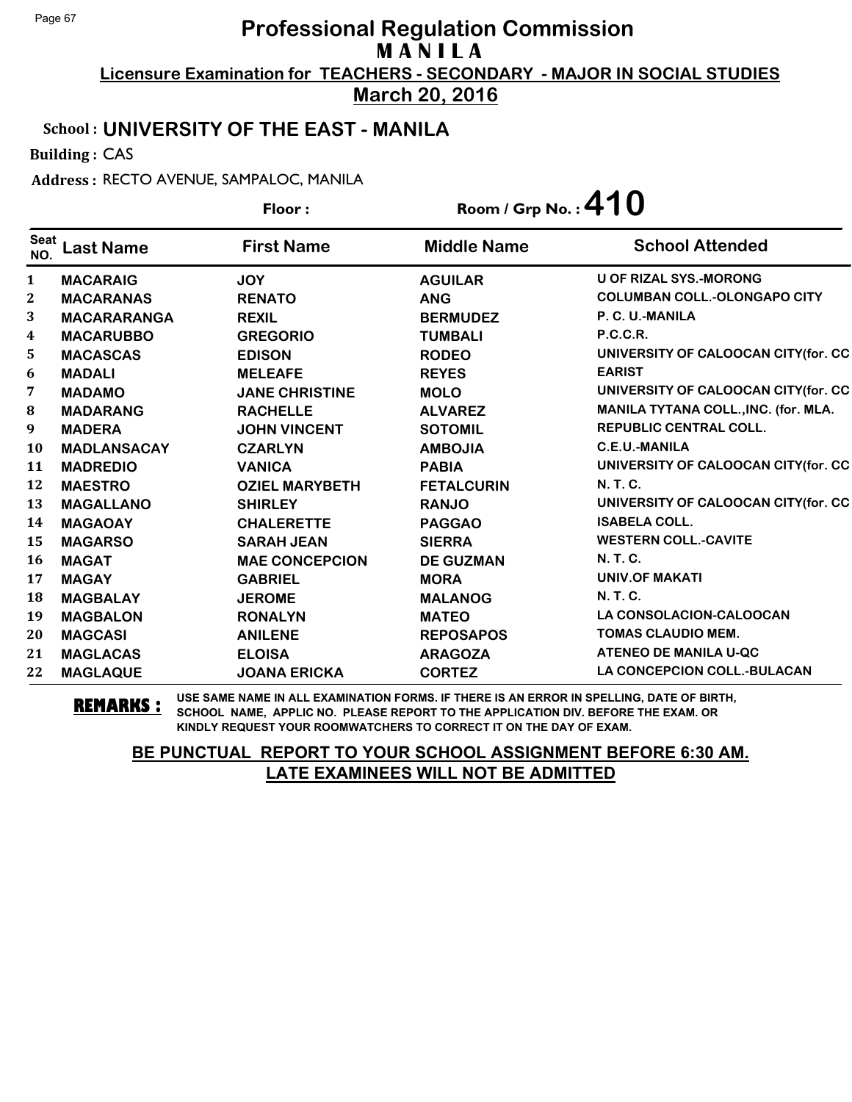**March 20, 2016**

#### School : **UNIVERSITY OF THE EAST - MANILA**

Building : CAS

Address : RECTO AVENUE, SAMPALOC, MANILA

|              |                    | Floor:                | Room / Grp No.: $410$ |                                      |
|--------------|--------------------|-----------------------|-----------------------|--------------------------------------|
| Seat<br>NO.  | <b>Last Name</b>   | <b>First Name</b>     | <b>Middle Name</b>    | <b>School Attended</b>               |
| $\mathbf{1}$ | <b>MACARAIG</b>    | <b>JOY</b>            | <b>AGUILAR</b>        | <b>U OF RIZAL SYS.-MORONG</b>        |
| $\mathbf{2}$ | <b>MACARANAS</b>   | <b>RENATO</b>         | <b>ANG</b>            | <b>COLUMBAN COLL.-OLONGAPO CITY</b>  |
| 3            | <b>MACARARANGA</b> | <b>REXIL</b>          | <b>BERMUDEZ</b>       | P. C. U.-MANILA                      |
| 4            | <b>MACARUBBO</b>   | <b>GREGORIO</b>       | <b>TUMBALI</b>        | <b>P.C.C.R.</b>                      |
| 5            | <b>MACASCAS</b>    | <b>EDISON</b>         | <b>RODEO</b>          | UNIVERSITY OF CALOOCAN CITY(for. CC  |
| 6            | <b>MADALI</b>      | <b>MELEAFE</b>        | <b>REYES</b>          | <b>EARIST</b>                        |
| 7            | <b>MADAMO</b>      | <b>JANE CHRISTINE</b> | <b>MOLO</b>           | UNIVERSITY OF CALOOCAN CITY(for. CC  |
| ${\bf 8}$    | <b>MADARANG</b>    | <b>RACHELLE</b>       | <b>ALVAREZ</b>        | MANILA TYTANA COLL., INC. (for. MLA. |
| 9            | <b>MADERA</b>      | <b>JOHN VINCENT</b>   | <b>SOTOMIL</b>        | <b>REPUBLIC CENTRAL COLL.</b>        |
| <b>10</b>    | <b>MADLANSACAY</b> | <b>CZARLYN</b>        | <b>AMBOJIA</b>        | <b>C.E.U.-MANILA</b>                 |
| 11           | <b>MADREDIO</b>    | <b>VANICA</b>         | <b>PABIA</b>          | UNIVERSITY OF CALOOCAN CITY(for. CC  |
| 12           | <b>MAESTRO</b>     | <b>OZIEL MARYBETH</b> | <b>FETALCURIN</b>     | <b>N.T.C.</b>                        |
| 13           | <b>MAGALLANO</b>   | <b>SHIRLEY</b>        | <b>RANJO</b>          | UNIVERSITY OF CALOOCAN CITY(for. CC  |
| 14           | <b>MAGAOAY</b>     | <b>CHALERETTE</b>     | <b>PAGGAO</b>         | <b>ISABELA COLL.</b>                 |
| 15           | <b>MAGARSO</b>     | <b>SARAH JEAN</b>     | <b>SIERRA</b>         | <b>WESTERN COLL.-CAVITE</b>          |
| 16           | <b>MAGAT</b>       | <b>MAE CONCEPCION</b> | <b>DE GUZMAN</b>      | N. T. C.                             |
| 17           | <b>MAGAY</b>       | <b>GABRIEL</b>        | <b>MORA</b>           | <b>UNIV.OF MAKATI</b>                |
| 18           | <b>MAGBALAY</b>    | <b>JEROME</b>         | <b>MALANOG</b>        | <b>N. T. C.</b>                      |
| 19           | <b>MAGBALON</b>    | <b>RONALYN</b>        | <b>MATEO</b>          | LA CONSOLACION-CALOOCAN              |
| 20           | <b>MAGCASI</b>     | <b>ANILENE</b>        | <b>REPOSAPOS</b>      | <b>TOMAS CLAUDIO MEM.</b>            |
| 21           | <b>MAGLACAS</b>    | <b>ELOISA</b>         | <b>ARAGOZA</b>        | ATENEO DE MANILA U-QC                |
| 22           | <b>MAGLAQUE</b>    | <b>JOANA ERICKA</b>   | <b>CORTEZ</b>         | <b>LA CONCEPCION COLL.-BULACAN</b>   |

**REMARKS :** USE SAME NAME IN ALL EXAMINATION FORMS. IF THERE IS AN ERROR IN SPELLING, DATE OF BIRTH, SCHOOL NAME, APPLIC NO. PLEASE REPORT TO THE APPLICATION DIV. BEFORE THE EXAM. OR KINDLY REQUEST YOUR ROOMWATCHERS TO CORRECT IT ON THE DAY OF EXAM.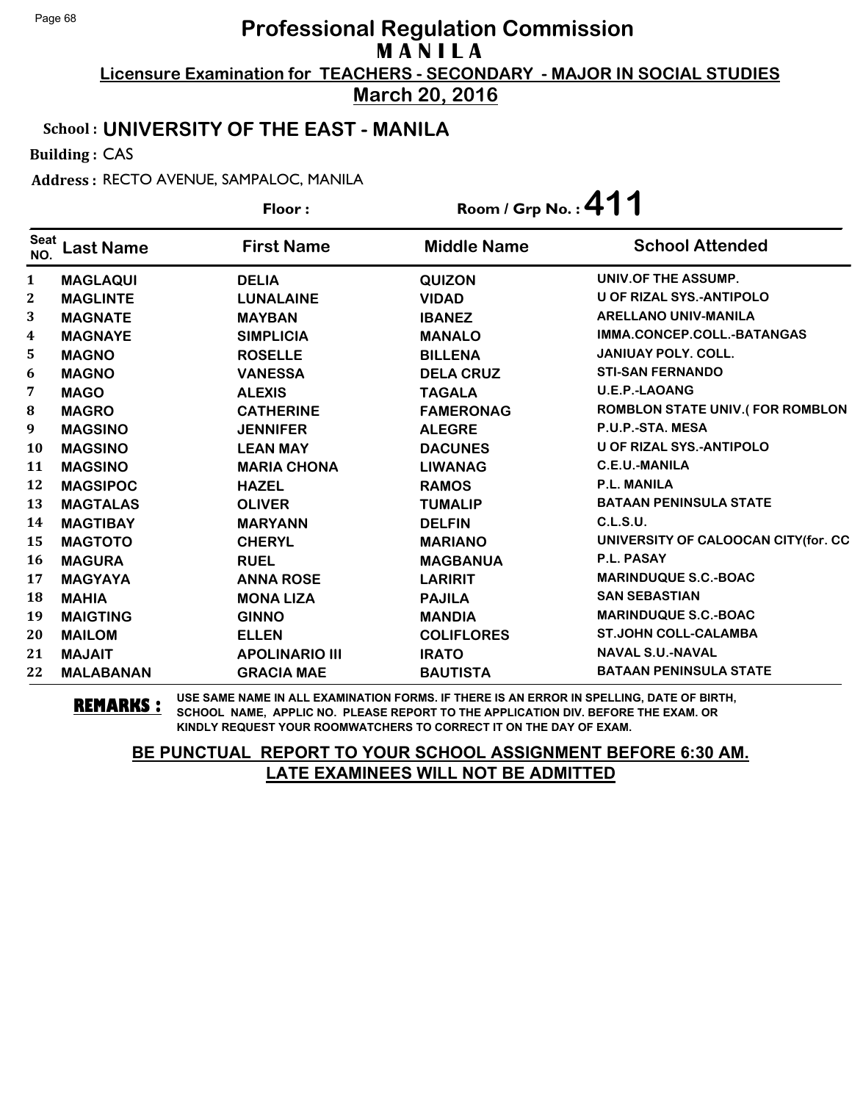**March 20, 2016**

#### School : **UNIVERSITY OF THE EAST - MANILA**

Building : CAS

Address : RECTO AVENUE, SAMPALOC, MANILA

|                    |                  | Floor:                |                    | Room / Grp No.: 411                    |
|--------------------|------------------|-----------------------|--------------------|----------------------------------------|
| <b>Seat</b><br>NO. | <b>Last Name</b> | <b>First Name</b>     | <b>Middle Name</b> | <b>School Attended</b>                 |
| 1                  | <b>MAGLAQUI</b>  | <b>DELIA</b>          | <b>QUIZON</b>      | UNIV.OF THE ASSUMP.                    |
| $\boldsymbol{2}$   | <b>MAGLINTE</b>  | <b>LUNALAINE</b>      | <b>VIDAD</b>       | <b>U OF RIZAL SYS.-ANTIPOLO</b>        |
| 3                  | <b>MAGNATE</b>   | <b>MAYBAN</b>         | <b>IBANEZ</b>      | <b>ARELLANO UNIV-MANILA</b>            |
| 4                  | <b>MAGNAYE</b>   | <b>SIMPLICIA</b>      | <b>MANALO</b>      | IMMA.CONCEP.COLL.-BATANGAS             |
| 5                  | <b>MAGNO</b>     | <b>ROSELLE</b>        | <b>BILLENA</b>     | <b>JANIUAY POLY. COLL.</b>             |
| 6                  | <b>MAGNO</b>     | <b>VANESSA</b>        | <b>DELA CRUZ</b>   | <b>STI-SAN FERNANDO</b>                |
| 7                  | <b>MAGO</b>      | <b>ALEXIS</b>         | <b>TAGALA</b>      | <b>U.E.P.-LAOANG</b>                   |
| 8                  | <b>MAGRO</b>     | <b>CATHERINE</b>      | <b>FAMERONAG</b>   | <b>ROMBLON STATE UNIV.(FOR ROMBLON</b> |
| 9                  | <b>MAGSINO</b>   | <b>JENNIFER</b>       | <b>ALEGRE</b>      | P.U.P.-STA. MESA                       |
| <b>10</b>          | <b>MAGSINO</b>   | <b>LEAN MAY</b>       | <b>DACUNES</b>     | <b>U OF RIZAL SYS.-ANTIPOLO</b>        |
| 11                 | <b>MAGSINO</b>   | <b>MARIA CHONA</b>    | <b>LIWANAG</b>     | C.E.U.-MANILA                          |
| 12                 | <b>MAGSIPOC</b>  | <b>HAZEL</b>          | <b>RAMOS</b>       | P.L. MANILA                            |
| 13                 | <b>MAGTALAS</b>  | <b>OLIVER</b>         | <b>TUMALIP</b>     | <b>BATAAN PENINSULA STATE</b>          |
| 14                 | <b>MAGTIBAY</b>  | <b>MARYANN</b>        | <b>DELFIN</b>      | C.L.S.U.                               |
| 15                 | <b>MAGTOTO</b>   | <b>CHERYL</b>         | <b>MARIANO</b>     | UNIVERSITY OF CALOOCAN CITY(for. CC    |
| 16                 | <b>MAGURA</b>    | <b>RUEL</b>           | <b>MAGBANUA</b>    | P.L. PASAY                             |
| 17                 | <b>MAGYAYA</b>   | <b>ANNA ROSE</b>      | <b>LARIRIT</b>     | <b>MARINDUQUE S.C.-BOAC</b>            |
| 18                 | <b>MAHIA</b>     | <b>MONA LIZA</b>      | <b>PAJILA</b>      | <b>SAN SEBASTIAN</b>                   |
| 19                 | <b>MAIGTING</b>  | <b>GINNO</b>          | <b>MANDIA</b>      | <b>MARINDUQUE S.C.-BOAC</b>            |
| 20                 | <b>MAILOM</b>    | <b>ELLEN</b>          | <b>COLIFLORES</b>  | <b>ST.JOHN COLL-CALAMBA</b>            |
| 21                 | <b>MAJAIT</b>    | <b>APOLINARIO III</b> | <b>IRATO</b>       | <b>NAVAL S.U.-NAVAL</b>                |
| 22                 | <b>MALABANAN</b> | <b>GRACIA MAE</b>     | <b>BAUTISTA</b>    | <b>BATAAN PENINSULA STATE</b>          |

**REMARKS :** USE SAME NAME IN ALL EXAMINATION FORMS. IF THERE IS AN ERROR IN SPELLING, DATE OF BIRTH, SCHOOL NAME, APPLIC NO. PLEASE REPORT TO THE APPLICATION DIV. BEFORE THE EXAM. OR KINDLY REQUEST YOUR ROOMWATCHERS TO CORRECT IT ON THE DAY OF EXAM.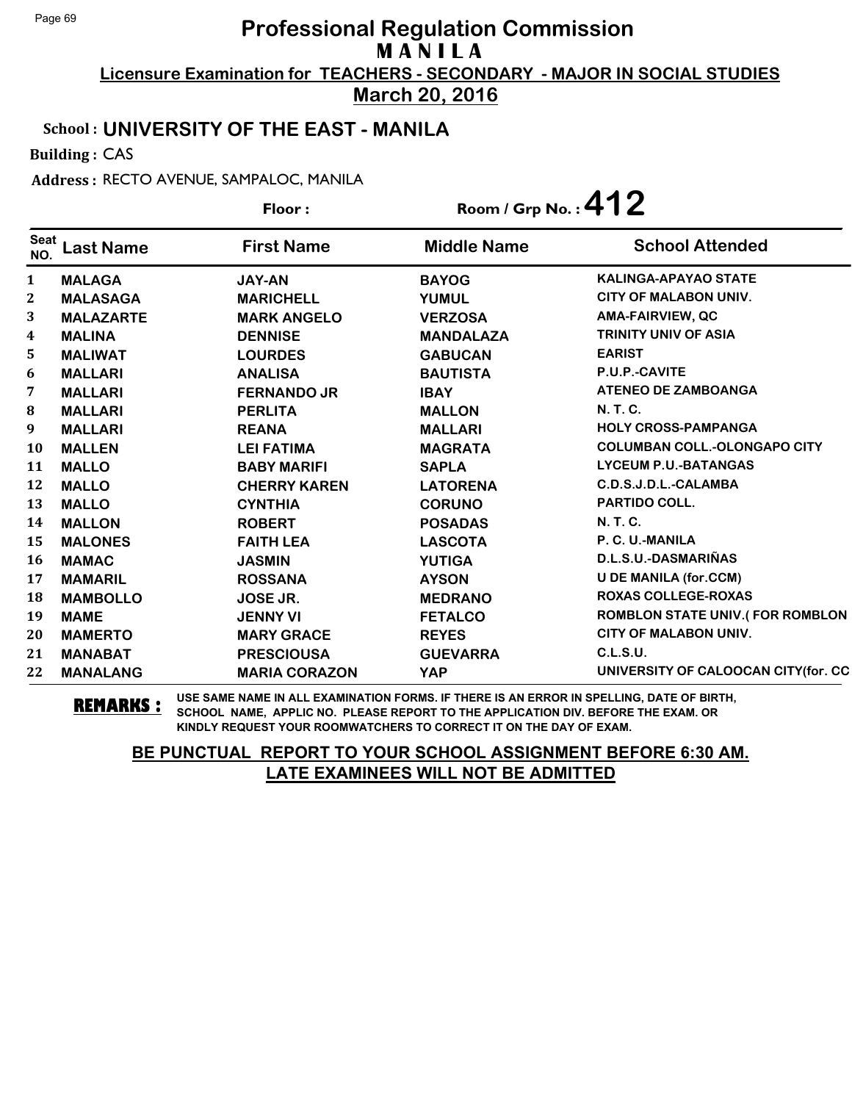**March 20, 2016**

#### School : **UNIVERSITY OF THE EAST - MANILA**

Building : CAS

Address : RECTO AVENUE, SAMPALOC, MANILA

|                    |                  | Floor:               | Room / Grp No.: $412$ |                                        |
|--------------------|------------------|----------------------|-----------------------|----------------------------------------|
| <b>Seat</b><br>NO. | <b>Last Name</b> | <b>First Name</b>    | <b>Middle Name</b>    | <b>School Attended</b>                 |
| 1                  | <b>MALAGA</b>    | <b>JAY-AN</b>        | <b>BAYOG</b>          | <b>KALINGA-APAYAO STATE</b>            |
| $\boldsymbol{2}$   | <b>MALASAGA</b>  | <b>MARICHELL</b>     | <b>YUMUL</b>          | <b>CITY OF MALABON UNIV.</b>           |
| 3                  | <b>MALAZARTE</b> | <b>MARK ANGELO</b>   | <b>VERZOSA</b>        | <b>AMA-FAIRVIEW, QC</b>                |
| 4                  | <b>MALINA</b>    | <b>DENNISE</b>       | <b>MANDALAZA</b>      | <b>TRINITY UNIV OF ASIA</b>            |
| 5                  | <b>MALIWAT</b>   | <b>LOURDES</b>       | <b>GABUCAN</b>        | <b>EARIST</b>                          |
| 6                  | <b>MALLARI</b>   | <b>ANALISA</b>       | <b>BAUTISTA</b>       | P.U.P.-CAVITE                          |
| 7                  | <b>MALLARI</b>   | <b>FERNANDO JR</b>   | <b>IBAY</b>           | <b>ATENEO DE ZAMBOANGA</b>             |
| 8                  | <b>MALLARI</b>   | <b>PERLITA</b>       | <b>MALLON</b>         | <b>N. T. C.</b>                        |
| 9                  | <b>MALLARI</b>   | <b>REANA</b>         | <b>MALLARI</b>        | <b>HOLY CROSS-PAMPANGA</b>             |
| 10                 | <b>MALLEN</b>    | <b>LEI FATIMA</b>    | <b>MAGRATA</b>        | <b>COLUMBAN COLL.-OLONGAPO CITY</b>    |
| 11                 | <b>MALLO</b>     | <b>BABY MARIFI</b>   | <b>SAPLA</b>          | <b>LYCEUM P.U.-BATANGAS</b>            |
| 12                 | <b>MALLO</b>     | <b>CHERRY KAREN</b>  | <b>LATORENA</b>       | C.D.S.J.D.L.-CALAMBA                   |
| 13                 | <b>MALLO</b>     | <b>CYNTHIA</b>       | <b>CORUNO</b>         | <b>PARTIDO COLL.</b>                   |
| 14                 | <b>MALLON</b>    | <b>ROBERT</b>        | <b>POSADAS</b>        | <b>N.T.C.</b>                          |
| 15                 | <b>MALONES</b>   | <b>FAITH LEA</b>     | <b>LASCOTA</b>        | P. C. U.-MANILA                        |
| 16                 | <b>MAMAC</b>     | <b>JASMIN</b>        | <b>YUTIGA</b>         | D.L.S.U.-DASMARIÑAS                    |
| 17                 | <b>MAMARIL</b>   | <b>ROSSANA</b>       | <b>AYSON</b>          | <b>U DE MANILA (for.CCM)</b>           |
| 18                 | <b>MAMBOLLO</b>  | JOSE JR.             | <b>MEDRANO</b>        | <b>ROXAS COLLEGE-ROXAS</b>             |
| 19                 | <b>MAME</b>      | <b>JENNY VI</b>      | <b>FETALCO</b>        | <b>ROMBLON STATE UNIV.(FOR ROMBLON</b> |
| 20                 | <b>MAMERTO</b>   | <b>MARY GRACE</b>    | <b>REYES</b>          | <b>CITY OF MALABON UNIV.</b>           |
| 21                 | <b>MANABAT</b>   | <b>PRESCIOUSA</b>    | <b>GUEVARRA</b>       | C.L.S.U.                               |
| 22                 | <b>MANALANG</b>  | <b>MARIA CORAZON</b> | <b>YAP</b>            | UNIVERSITY OF CALOOCAN CITY (for. CC   |

**REMARKS :** USE SAME NAME IN ALL EXAMINATION FORMS. IF THERE IS AN ERROR IN SPELLING, DATE OF BIRTH, SCHOOL NAME, APPLIC NO. PLEASE REPORT TO THE APPLICATION DIV. BEFORE THE EXAM. OR KINDLY REQUEST YOUR ROOMWATCHERS TO CORRECT IT ON THE DAY OF EXAM.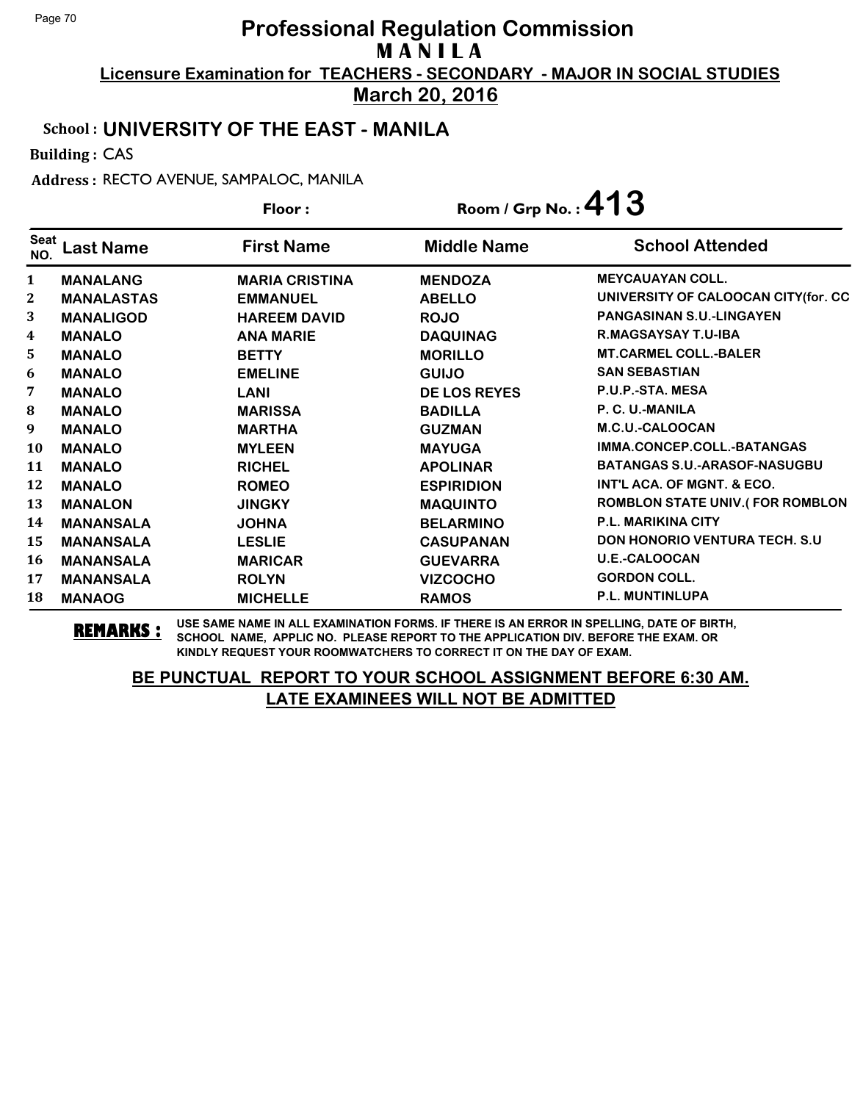**March 20, 2016**

#### School : **UNIVERSITY OF THE EAST - MANILA**

Building : CAS

Address : RECTO AVENUE, SAMPALOC, MANILA

|                    |                   | Floor:                | Room / Grp No.: $413$ |                                        |  |
|--------------------|-------------------|-----------------------|-----------------------|----------------------------------------|--|
| <b>Seat</b><br>NO. | ast Name          | <b>First Name</b>     | <b>Middle Name</b>    | <b>School Attended</b>                 |  |
| $\mathbf{1}$       | <b>MANALANG</b>   | <b>MARIA CRISTINA</b> | <b>MENDOZA</b>        | <b>MEYCAUAYAN COLL.</b>                |  |
| 2                  | <b>MANALASTAS</b> | <b>EMMANUEL</b>       | <b>ABELLO</b>         | UNIVERSITY OF CALOOCAN CITY(for. CC    |  |
| 3                  | <b>MANALIGOD</b>  | <b>HAREEM DAVID</b>   | <b>ROJO</b>           | <b>PANGASINAN S.U.-LINGAYEN</b>        |  |
| 4                  | <b>MANALO</b>     | <b>ANA MARIE</b>      | <b>DAQUINAG</b>       | <b>R.MAGSAYSAY T.U-IBA</b>             |  |
| 5                  | <b>MANALO</b>     | <b>BETTY</b>          | <b>MORILLO</b>        | <b>MT.CARMEL COLL.-BALER</b>           |  |
| 6                  | <b>MANALO</b>     | <b>EMELINE</b>        | <b>GUIJO</b>          | <b>SAN SEBASTIAN</b>                   |  |
| 7                  | <b>MANALO</b>     | <b>LANI</b>           | <b>DE LOS REYES</b>   | P.U.P.-STA. MESA                       |  |
| $\bf{8}$           | <b>MANALO</b>     | <b>MARISSA</b>        | <b>BADILLA</b>        | P. C. U.-MANILA                        |  |
| 9                  | <b>MANALO</b>     | <b>MARTHA</b>         | <b>GUZMAN</b>         | M.C.U.-CALOOCAN                        |  |
| 10                 | <b>MANALO</b>     | <b>MYLEEN</b>         | <b>MAYUGA</b>         | IMMA.CONCEP.COLL.-BATANGAS             |  |
| 11                 | <b>MANALO</b>     | <b>RICHEL</b>         | <b>APOLINAR</b>       | <b>BATANGAS S.U.-ARASOF-NASUGBU</b>    |  |
| 12                 | <b>MANALO</b>     | <b>ROMEO</b>          | <b>ESPIRIDION</b>     | INT'L ACA. OF MGNT. & ECO.             |  |
| 13                 | <b>MANALON</b>    | <b>JINGKY</b>         | <b>MAQUINTO</b>       | <b>ROMBLON STATE UNIV.(FOR ROMBLON</b> |  |
| 14                 | <b>MANANSALA</b>  | <b>JOHNA</b>          | <b>BELARMINO</b>      | <b>P.L. MARIKINA CITY</b>              |  |
| 15                 | <b>MANANSALA</b>  | <b>LESLIE</b>         | <b>CASUPANAN</b>      | <b>DON HONORIO VENTURA TECH. S.U.</b>  |  |
| 16                 | <b>MANANSALA</b>  | <b>MARICAR</b>        | <b>GUEVARRA</b>       | U.E.-CALOOCAN                          |  |
| 17                 | <b>MANANSALA</b>  | <b>ROLYN</b>          | <b>VIZCOCHO</b>       | <b>GORDON COLL.</b>                    |  |
| 18                 | <b>MANAOG</b>     | <b>MICHELLE</b>       | <b>RAMOS</b>          | <b>P.L. MUNTINLUPA</b>                 |  |

**REMARKS :** USE SAME NAME IN ALL EXAMINATION FORMS. IF THERE IS AN ERROR IN SPELLING, DATE OF BIRTH, SCHOOL NAME, APPLIC NO. PLEASE REPORT TO THE APPLICATION DIV. BEFORE THE EXAM. OR KINDLY REQUEST YOUR ROOMWATCHERS TO CORRECT IT ON THE DAY OF EXAM.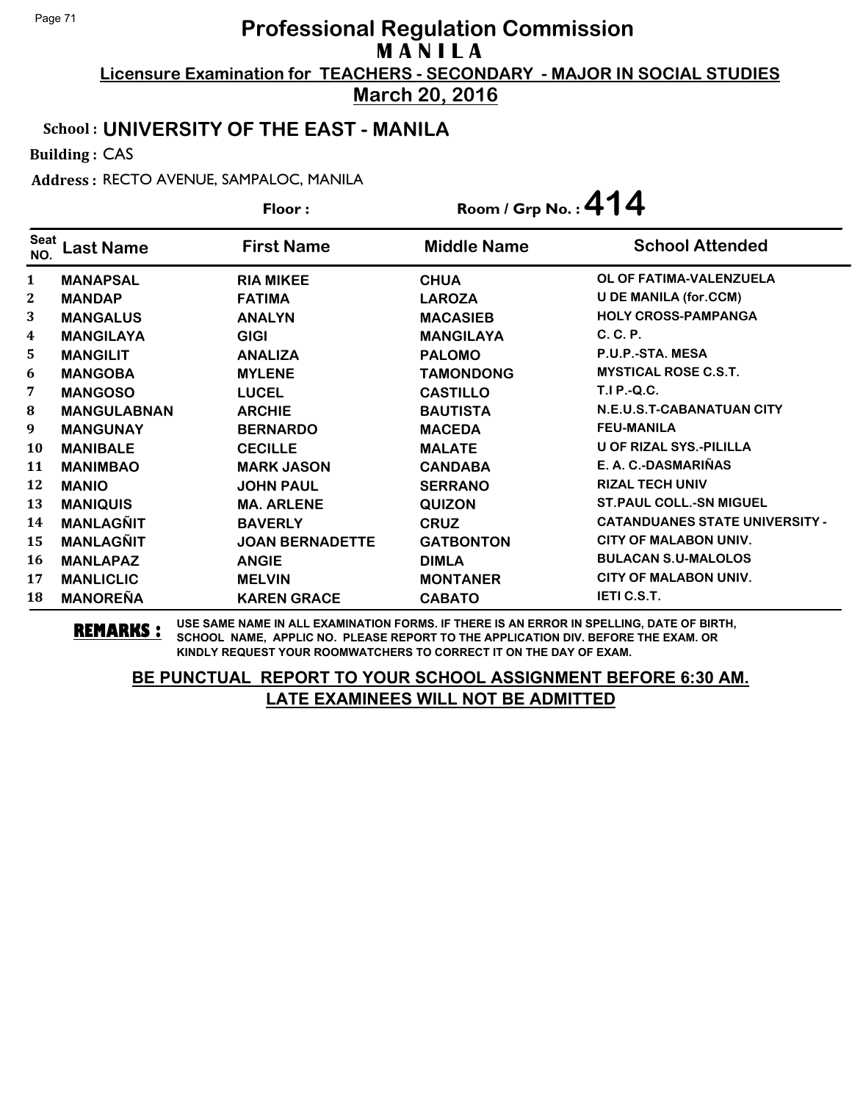**March 20, 2016**

#### School : **UNIVERSITY OF THE EAST - MANILA**

Building : CAS

Address : RECTO AVENUE, SAMPALOC, MANILA

|              |                    | Floor:                 | Room / Grp No.: $414$ |                                       |
|--------------|--------------------|------------------------|-----------------------|---------------------------------------|
| Seat<br>NO.  | ast Name           | <b>First Name</b>      | <b>Middle Name</b>    | <b>School Attended</b>                |
| $\mathbf{1}$ | <b>MANAPSAL</b>    | <b>RIA MIKEE</b>       | <b>CHUA</b>           | OL OF FATIMA-VALENZUELA               |
| $\mathbf{2}$ | <b>MANDAP</b>      | <b>FATIMA</b>          | <b>LAROZA</b>         | <b>U DE MANILA (for.CCM)</b>          |
| 3            | <b>MANGALUS</b>    | <b>ANALYN</b>          | <b>MACASIEB</b>       | <b>HOLY CROSS-PAMPANGA</b>            |
| 4            | <b>MANGILAYA</b>   | <b>GIGI</b>            | <b>MANGILAYA</b>      | C. C. P.                              |
| 5            | <b>MANGILIT</b>    | <b>ANALIZA</b>         | <b>PALOMO</b>         | P.U.P.-STA, MESA                      |
| 6            | <b>MANGOBA</b>     | <b>MYLENE</b>          | <b>TAMONDONG</b>      | <b>MYSTICAL ROSE C.S.T.</b>           |
| 7            | <b>MANGOSO</b>     | <b>LUCEL</b>           | <b>CASTILLO</b>       | <b>T.I P.-Q.C.</b>                    |
| 8            | <b>MANGULABNAN</b> | <b>ARCHIE</b>          | <b>BAUTISTA</b>       | N.E.U.S.T-CABANATUAN CITY             |
| 9            | <b>MANGUNAY</b>    | <b>BERNARDO</b>        | <b>MACEDA</b>         | <b>FEU-MANILA</b>                     |
| 10           | <b>MANIBALE</b>    | <b>CECILLE</b>         | <b>MALATE</b>         | U OF RIZAL SYS.-PILILLA               |
| 11           | <b>MANIMBAO</b>    | <b>MARK JASON</b>      | <b>CANDABA</b>        | E. A. C.-DASMARIÑAS                   |
| 12           | <b>MANIO</b>       | <b>JOHN PAUL</b>       | <b>SERRANO</b>        | <b>RIZAL TECH UNIV</b>                |
| 13           | <b>MANIQUIS</b>    | <b>MA. ARLENE</b>      | <b>QUIZON</b>         | <b>ST. PAUL COLL.-SN MIGUEL</b>       |
| 14           | <b>MANLAGÑIT</b>   | <b>BAVERLY</b>         | <b>CRUZ</b>           | <b>CATANDUANES STATE UNIVERSITY -</b> |
| 15           | <b>MANLAGÑIT</b>   | <b>JOAN BERNADETTE</b> | <b>GATBONTON</b>      | CITY OF MALABON UNIV.                 |
| 16           | <b>MANLAPAZ</b>    | <b>ANGIE</b>           | <b>DIMLA</b>          | <b>BULACAN S.U-MALOLOS</b>            |
| 17           | <b>MANLICLIC</b>   | <b>MELVIN</b>          | <b>MONTANER</b>       | <b>CITY OF MALABON UNIV.</b>          |
| 18           | <b>MANOREÑA</b>    | <b>KAREN GRACE</b>     | <b>CABATO</b>         | <b>IETI C.S.T.</b>                    |

**REMARKS :** USE SAME NAME IN ALL EXAMINATION FORMS. IF THERE IS AN ERROR IN SPELLING, DATE OF BIRTH, SCHOOL NAME, APPLIC NO. PLEASE REPORT TO THE APPLICATION DIV. BEFORE THE EXAM. OR KINDLY REQUEST YOUR ROOMWATCHERS TO CORRECT IT ON THE DAY OF EXAM.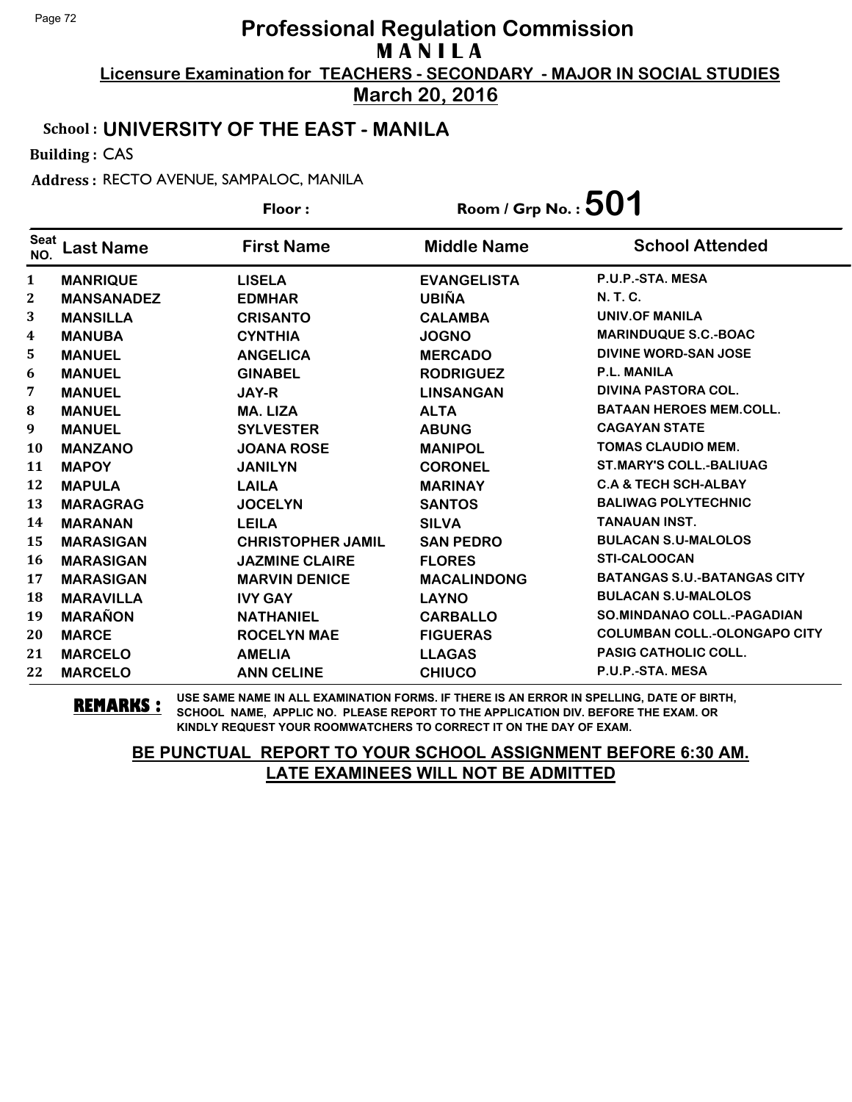**March 20, 2016**

#### School : **UNIVERSITY OF THE EAST - MANILA**

Building : CAS

Address : RECTO AVENUE, SAMPALOC, MANILA

|                    |                   | Floor:                   | Room / Grp No. : $501$ |                                     |
|--------------------|-------------------|--------------------------|------------------------|-------------------------------------|
| <b>Seat</b><br>NO. | <b>Last Name</b>  | <b>First Name</b>        | <b>Middle Name</b>     | <b>School Attended</b>              |
| $\mathbf{1}$       | <b>MANRIQUE</b>   | <b>LISELA</b>            | <b>EVANGELISTA</b>     | P.U.P.-STA. MESA                    |
| $\mathbf{2}$       | <b>MANSANADEZ</b> | <b>EDMHAR</b>            | <b>UBIÑA</b>           | <b>N.T.C.</b>                       |
| 3                  | <b>MANSILLA</b>   | <b>CRISANTO</b>          | <b>CALAMBA</b>         | <b>UNIV.OF MANILA</b>               |
| 4                  | <b>MANUBA</b>     | <b>CYNTHIA</b>           | <b>JOGNO</b>           | <b>MARINDUQUE S.C.-BOAC</b>         |
| 5                  | <b>MANUEL</b>     | <b>ANGELICA</b>          | <b>MERCADO</b>         | DIVINE WORD-SAN JOSE                |
| 6                  | <b>MANUEL</b>     | <b>GINABEL</b>           | <b>RODRIGUEZ</b>       | P.L. MANILA                         |
| 7                  | <b>MANUEL</b>     | <b>JAY-R</b>             | <b>LINSANGAN</b>       | DIVINA PASTORA COL.                 |
| 8                  | <b>MANUEL</b>     | <b>MA. LIZA</b>          | <b>ALTA</b>            | <b>BATAAN HEROES MEM.COLL.</b>      |
| 9                  | <b>MANUEL</b>     | <b>SYLVESTER</b>         | <b>ABUNG</b>           | <b>CAGAYAN STATE</b>                |
| <b>10</b>          | <b>MANZANO</b>    | <b>JOANA ROSE</b>        | <b>MANIPOL</b>         | <b>TOMAS CLAUDIO MEM.</b>           |
| 11                 | <b>MAPOY</b>      | <b>JANILYN</b>           | <b>CORONEL</b>         | <b>ST.MARY'S COLL.-BALIUAG</b>      |
| 12                 | <b>MAPULA</b>     | <b>LAILA</b>             | <b>MARINAY</b>         | <b>C.A &amp; TECH SCH-ALBAY</b>     |
| 13                 | <b>MARAGRAG</b>   | <b>JOCELYN</b>           | <b>SANTOS</b>          | <b>BALIWAG POLYTECHNIC</b>          |
| 14                 | <b>MARANAN</b>    | <b>LEILA</b>             | <b>SILVA</b>           | <b>TANAUAN INST.</b>                |
| 15                 | <b>MARASIGAN</b>  | <b>CHRISTOPHER JAMIL</b> | <b>SAN PEDRO</b>       | <b>BULACAN S.U-MALOLOS</b>          |
| 16                 | <b>MARASIGAN</b>  | <b>JAZMINE CLAIRE</b>    | <b>FLORES</b>          | <b>STI-CALOOCAN</b>                 |
| 17                 | <b>MARASIGAN</b>  | <b>MARVIN DENICE</b>     | <b>MACALINDONG</b>     | <b>BATANGAS S.U.-BATANGAS CITY</b>  |
| 18                 | <b>MARAVILLA</b>  | <b>IVY GAY</b>           | <b>LAYNO</b>           | <b>BULACAN S.U-MALOLOS</b>          |
| 19                 | <b>MARAÑON</b>    | <b>NATHANIEL</b>         | <b>CARBALLO</b>        | <b>SO.MINDANAO COLL.-PAGADIAN</b>   |
| 20                 | <b>MARCE</b>      | <b>ROCELYN MAE</b>       | <b>FIGUERAS</b>        | <b>COLUMBAN COLL.-OLONGAPO CITY</b> |
| 21                 | <b>MARCELO</b>    | <b>AMELIA</b>            | <b>LLAGAS</b>          | <b>PASIG CATHOLIC COLL.</b>         |
| 22                 | <b>MARCELO</b>    | <b>ANN CELINE</b>        | <b>CHIUCO</b>          | P.U.P.-STA, MESA                    |

**REMARKS :** USE SAME NAME IN ALL EXAMINATION FORMS. IF THERE IS AN ERROR IN SPELLING, DATE OF BIRTH, SCHOOL NAME, APPLIC NO. PLEASE REPORT TO THE APPLICATION DIV. BEFORE THE EXAM. OR KINDLY REQUEST YOUR ROOMWATCHERS TO CORRECT IT ON THE DAY OF EXAM.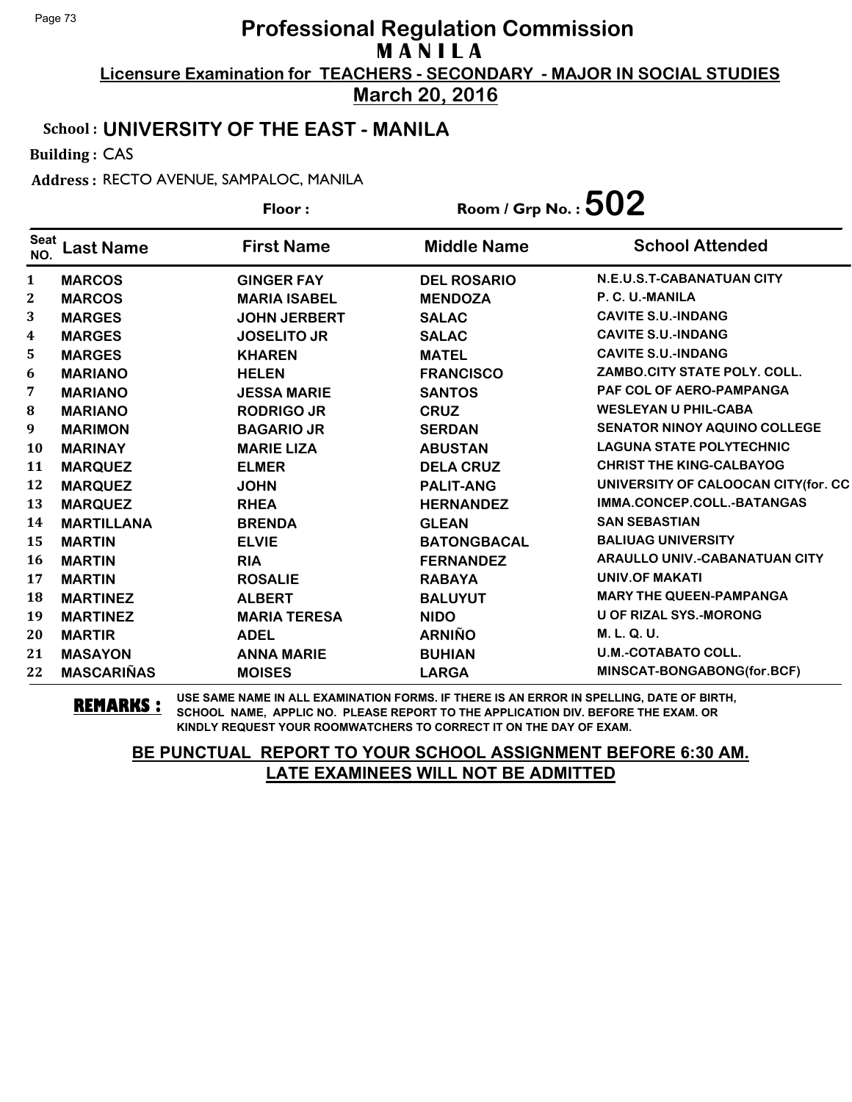**March 20, 2016**

## School : **UNIVERSITY OF THE EAST - MANILA**

Building : CAS

Address : RECTO AVENUE, SAMPALOC, MANILA

|                    |                   | Floor:              | Room / Grp No. : $502$ |                                      |
|--------------------|-------------------|---------------------|------------------------|--------------------------------------|
| <b>Seat</b><br>NO. | <b>Last Name</b>  | <b>First Name</b>   | <b>Middle Name</b>     | <b>School Attended</b>               |
| $\mathbf{1}$       | <b>MARCOS</b>     | <b>GINGER FAY</b>   | <b>DEL ROSARIO</b>     | N.E.U.S.T-CABANATUAN CITY            |
| $\boldsymbol{2}$   | <b>MARCOS</b>     | <b>MARIA ISABEL</b> | <b>MENDOZA</b>         | P. C. U.-MANILA                      |
| 3                  | <b>MARGES</b>     | <b>JOHN JERBERT</b> | <b>SALAC</b>           | <b>CAVITE S.U.-INDANG</b>            |
| $\boldsymbol{4}$   | <b>MARGES</b>     | <b>JOSELITO JR</b>  | <b>SALAC</b>           | <b>CAVITE S.U.-INDANG</b>            |
| 5                  | <b>MARGES</b>     | <b>KHAREN</b>       | <b>MATEL</b>           | <b>CAVITE S.U.-INDANG</b>            |
| 6                  | <b>MARIANO</b>    | <b>HELEN</b>        | <b>FRANCISCO</b>       | ZAMBO.CITY STATE POLY. COLL.         |
| 7                  | <b>MARIANO</b>    | <b>JESSA MARIE</b>  | <b>SANTOS</b>          | PAF COL OF AERO-PAMPANGA             |
| ${\bf 8}$          | <b>MARIANO</b>    | <b>RODRIGO JR</b>   | <b>CRUZ</b>            | <b>WESLEYAN U PHIL-CABA</b>          |
| 9                  | <b>MARIMON</b>    | <b>BAGARIO JR</b>   | <b>SERDAN</b>          | <b>SENATOR NINOY AQUINO COLLEGE</b>  |
| 10                 | <b>MARINAY</b>    | <b>MARIE LIZA</b>   | <b>ABUSTAN</b>         | <b>LAGUNA STATE POLYTECHNIC</b>      |
| 11                 | <b>MARQUEZ</b>    | <b>ELMER</b>        | <b>DELA CRUZ</b>       | <b>CHRIST THE KING-CALBAYOG</b>      |
| 12                 | <b>MARQUEZ</b>    | <b>JOHN</b>         | <b>PALIT-ANG</b>       | UNIVERSITY OF CALOOCAN CITY(for. CC  |
| 13                 | <b>MARQUEZ</b>    | <b>RHEA</b>         | <b>HERNANDEZ</b>       | IMMA.CONCEP.COLL.-BATANGAS           |
| 14                 | <b>MARTILLANA</b> | <b>BRENDA</b>       | <b>GLEAN</b>           | <b>SAN SEBASTIAN</b>                 |
| 15                 | <b>MARTIN</b>     | <b>ELVIE</b>        | <b>BATONGBACAL</b>     | <b>BALIUAG UNIVERSITY</b>            |
| 16                 | <b>MARTIN</b>     | <b>RIA</b>          | <b>FERNANDEZ</b>       | <b>ARAULLO UNIV.-CABANATUAN CITY</b> |
| 17                 | <b>MARTIN</b>     | <b>ROSALIE</b>      | <b>RABAYA</b>          | <b>UNIV.OF MAKATI</b>                |
| 18                 | <b>MARTINEZ</b>   | <b>ALBERT</b>       | <b>BALUYUT</b>         | <b>MARY THE QUEEN-PAMPANGA</b>       |
| 19                 | <b>MARTINEZ</b>   | <b>MARIA TERESA</b> | <b>NIDO</b>            | <b>U OF RIZAL SYS.-MORONG</b>        |
| 20                 | <b>MARTIR</b>     | <b>ADEL</b>         | <b>ARNIÑO</b>          | M. L. Q. U.                          |
| 21                 | <b>MASAYON</b>    | <b>ANNA MARIE</b>   | <b>BUHIAN</b>          | <b>U.M.-COTABATO COLL.</b>           |
| 22                 | <b>MASCARIÑAS</b> | <b>MOISES</b>       | <b>LARGA</b>           | MINSCAT-BONGABONG(for.BCF)           |

**REMARKS :** USE SAME NAME IN ALL EXAMINATION FORMS. IF THERE IS AN ERROR IN SPELLING, DATE OF BIRTH, SCHOOL NAME, APPLIC NO. PLEASE REPORT TO THE APPLICATION DIV. BEFORE THE EXAM. OR KINDLY REQUEST YOUR ROOMWATCHERS TO CORRECT IT ON THE DAY OF EXAM.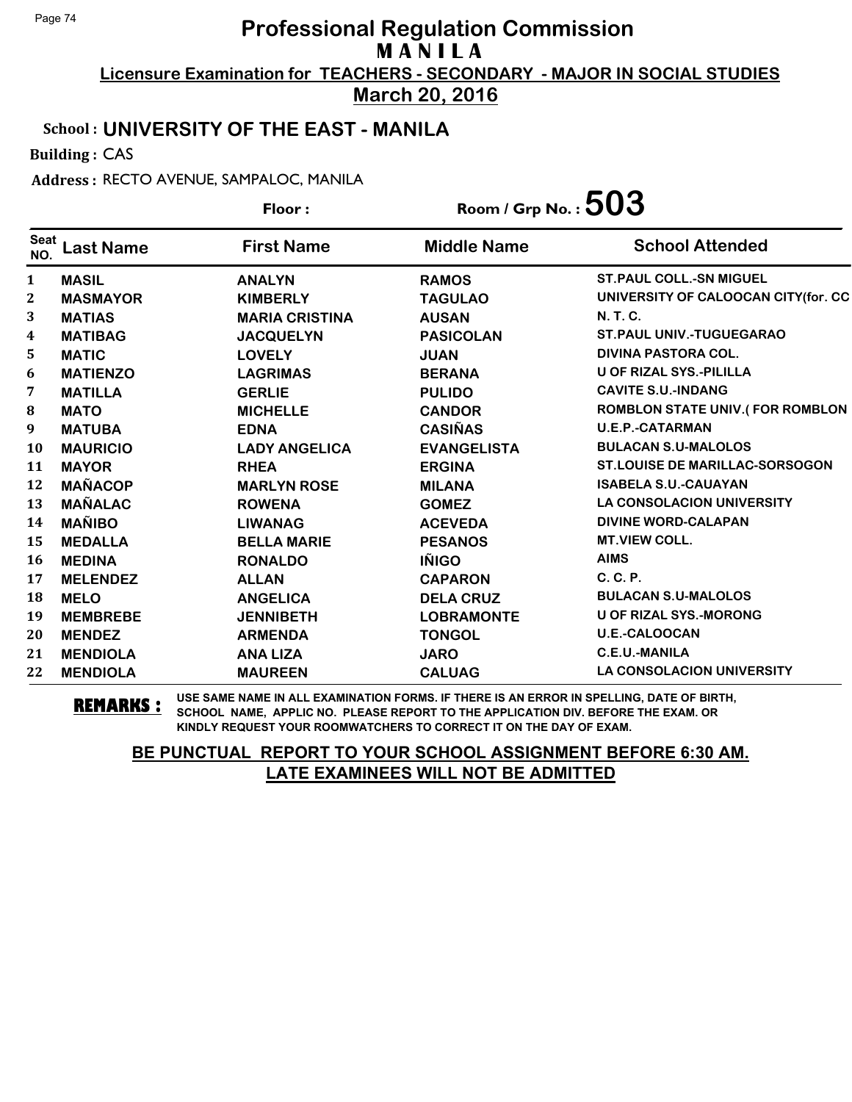**March 20, 2016**

## School : **UNIVERSITY OF THE EAST - MANILA**

Building : CAS

Address : RECTO AVENUE, SAMPALOC, MANILA

|                    |                  | Floor:                | Room / Grp No. : $503$ |                                        |
|--------------------|------------------|-----------------------|------------------------|----------------------------------------|
| <b>Seat</b><br>NO. | <b>Last Name</b> | <b>First Name</b>     | <b>Middle Name</b>     | <b>School Attended</b>                 |
| 1                  | <b>MASIL</b>     | <b>ANALYN</b>         | <b>RAMOS</b>           | <b>ST. PAUL COLL.-SN MIGUEL</b>        |
| $\mathbf{2}$       | <b>MASMAYOR</b>  | <b>KIMBERLY</b>       | <b>TAGULAO</b>         | UNIVERSITY OF CALOOCAN CITY(for. CC    |
| 3                  | <b>MATIAS</b>    | <b>MARIA CRISTINA</b> | <b>AUSAN</b>           | <b>N.T.C.</b>                          |
| 4                  | <b>MATIBAG</b>   | <b>JACQUELYN</b>      | <b>PASICOLAN</b>       | <b>ST.PAUL UNIV.-TUGUEGARAO</b>        |
| 5                  | <b>MATIC</b>     | <b>LOVELY</b>         | <b>JUAN</b>            | <b>DIVINA PASTORA COL.</b>             |
| 6                  | <b>MATIENZO</b>  | <b>LAGRIMAS</b>       | <b>BERANA</b>          | U OF RIZAL SYS.-PILILLA                |
| 7                  | <b>MATILLA</b>   | <b>GERLIE</b>         | <b>PULIDO</b>          | <b>CAVITE S.U.-INDANG</b>              |
| 8                  | <b>MATO</b>      | <b>MICHELLE</b>       | <b>CANDOR</b>          | <b>ROMBLON STATE UNIV.(FOR ROMBLON</b> |
| 9                  | <b>MATUBA</b>    | <b>EDNA</b>           | <b>CASIÑAS</b>         | <b>U.E.P.-CATARMAN</b>                 |
| 10                 | <b>MAURICIO</b>  | <b>LADY ANGELICA</b>  | <b>EVANGELISTA</b>     | <b>BULACAN S.U-MALOLOS</b>             |
| 11                 | <b>MAYOR</b>     | <b>RHEA</b>           | <b>ERGINA</b>          | <b>ST.LOUISE DE MARILLAC-SORSOGON</b>  |
| 12                 | <b>MAÑACOP</b>   | <b>MARLYN ROSE</b>    | <b>MILANA</b>          | <b>ISABELA S.U.-CAUAYAN</b>            |
| 13                 | <b>MAÑALAC</b>   | <b>ROWENA</b>         | <b>GOMEZ</b>           | <b>LA CONSOLACION UNIVERSITY</b>       |
| 14                 | <b>MAÑIBO</b>    | <b>LIWANAG</b>        | <b>ACEVEDA</b>         | <b>DIVINE WORD-CALAPAN</b>             |
| 15                 | <b>MEDALLA</b>   | <b>BELLA MARIE</b>    | <b>PESANOS</b>         | <b>MT.VIEW COLL.</b>                   |
| 16                 | <b>MEDINA</b>    | <b>RONALDO</b>        | <b>IÑIGO</b>           | <b>AIMS</b>                            |
| 17                 | <b>MELENDEZ</b>  | <b>ALLAN</b>          | <b>CAPARON</b>         | $C, C, P$ .                            |
| 18                 | <b>MELO</b>      | <b>ANGELICA</b>       | <b>DELA CRUZ</b>       | <b>BULACAN S.U-MALOLOS</b>             |
| 19                 | <b>MEMBREBE</b>  | <b>JENNIBETH</b>      | <b>LOBRAMONTE</b>      | <b>U OF RIZAL SYS.-MORONG</b>          |
| 20                 | <b>MENDEZ</b>    | <b>ARMENDA</b>        | <b>TONGOL</b>          | <b>U.E.-CALOOCAN</b>                   |
| 21                 | <b>MENDIOLA</b>  | <b>ANA LIZA</b>       | <b>JARO</b>            | C.E.U.-MANILA                          |
| 22                 | <b>MENDIOLA</b>  | <b>MAUREEN</b>        | <b>CALUAG</b>          | LA CONSOLACION UNIVERSITY              |

**REMARKS :** USE SAME NAME IN ALL EXAMINATION FORMS. IF THERE IS AN ERROR IN SPELLING, DATE OF BIRTH, SCHOOL NAME, APPLIC NO. PLEASE REPORT TO THE APPLICATION DIV. BEFORE THE EXAM. OR KINDLY REQUEST YOUR ROOMWATCHERS TO CORRECT IT ON THE DAY OF EXAM.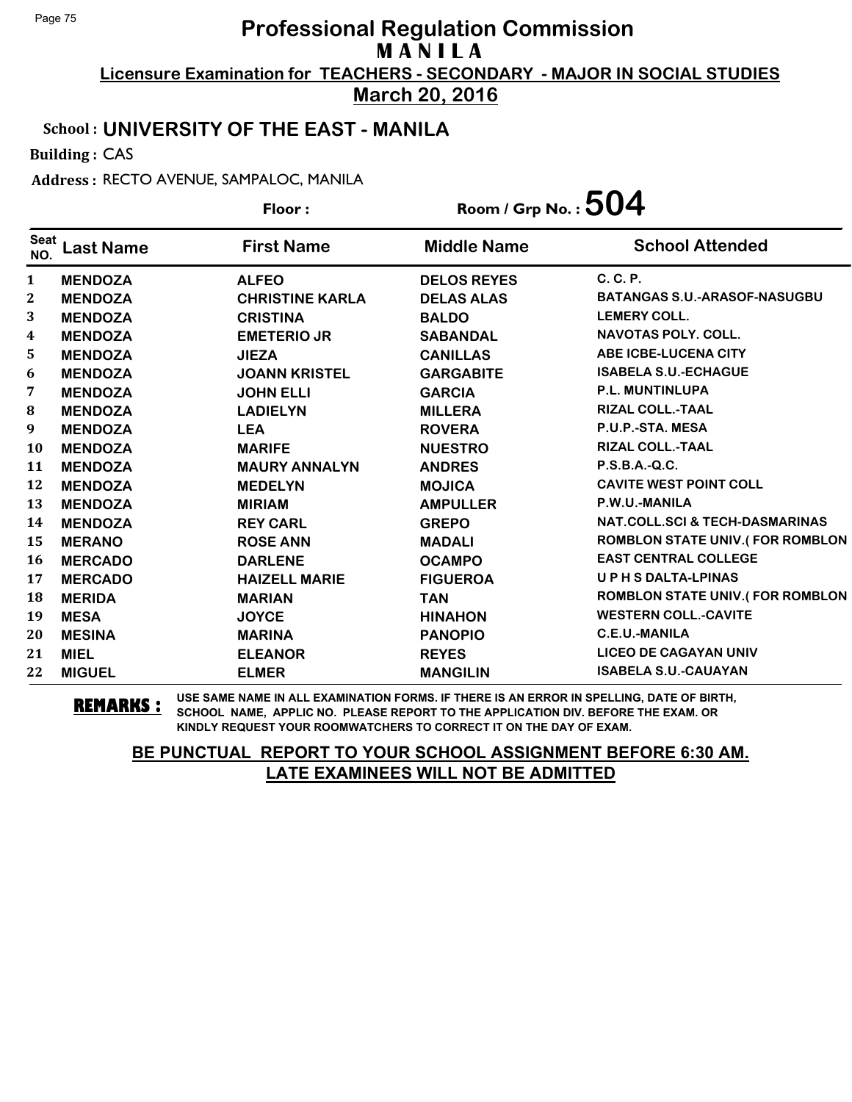**March 20, 2016**

## School : **UNIVERSITY OF THE EAST - MANILA**

Building : CAS

Address : RECTO AVENUE, SAMPALOC, MANILA

|                    |                  | Floor:                 | Room / Grp No. : $504$ |                                           |
|--------------------|------------------|------------------------|------------------------|-------------------------------------------|
| <b>Seat</b><br>NO. | <b>Last Name</b> | <b>First Name</b>      | <b>Middle Name</b>     | <b>School Attended</b>                    |
| 1                  | <b>MENDOZA</b>   | <b>ALFEO</b>           | <b>DELOS REYES</b>     | $C, C, P$ .                               |
| 2                  | <b>MENDOZA</b>   | <b>CHRISTINE KARLA</b> | <b>DELAS ALAS</b>      | <b>BATANGAS S.U.-ARASOF-NASUGBU</b>       |
| 3                  | <b>MENDOZA</b>   | <b>CRISTINA</b>        | <b>BALDO</b>           | <b>LEMERY COLL.</b>                       |
| $\boldsymbol{4}$   | <b>MENDOZA</b>   | <b>EMETERIO JR</b>     | <b>SABANDAL</b>        | <b>NAVOTAS POLY, COLL.</b>                |
| 5                  | <b>MENDOZA</b>   | <b>JIEZA</b>           | <b>CANILLAS</b>        | <b>ABE ICBE-LUCENA CITY</b>               |
| 6                  | <b>MENDOZA</b>   | <b>JOANN KRISTEL</b>   | <b>GARGABITE</b>       | <b>ISABELA S.U.-ECHAGUE</b>               |
| 7                  | <b>MENDOZA</b>   | <b>JOHN ELLI</b>       | <b>GARCIA</b>          | <b>P.L. MUNTINLUPA</b>                    |
| 8                  | <b>MENDOZA</b>   | <b>LADIELYN</b>        | <b>MILLERA</b>         | <b>RIZAL COLL.-TAAL</b>                   |
| 9                  | <b>MENDOZA</b>   | <b>LEA</b>             | <b>ROVERA</b>          | P.U.P.-STA. MESA                          |
| <b>10</b>          | <b>MENDOZA</b>   | <b>MARIFE</b>          | <b>NUESTRO</b>         | <b>RIZAL COLL.-TAAL</b>                   |
| 11                 | <b>MENDOZA</b>   | <b>MAURY ANNALYN</b>   | <b>ANDRES</b>          | P.S.B.A.-Q.C.                             |
| 12                 | <b>MENDOZA</b>   | <b>MEDELYN</b>         | <b>MOJICA</b>          | <b>CAVITE WEST POINT COLL</b>             |
| 13                 | <b>MENDOZA</b>   | <b>MIRIAM</b>          | <b>AMPULLER</b>        | P.W.U.-MANILA                             |
| 14                 | <b>MENDOZA</b>   | <b>REY CARL</b>        | <b>GREPO</b>           | <b>NAT.COLL.SCI &amp; TECH-DASMARINAS</b> |
| 15                 | <b>MERANO</b>    | <b>ROSE ANN</b>        | <b>MADALI</b>          | <b>ROMBLON STATE UNIV.(FOR ROMBLON</b>    |
| 16                 | <b>MERCADO</b>   | <b>DARLENE</b>         | <b>OCAMPO</b>          | <b>EAST CENTRAL COLLEGE</b>               |
| 17                 | <b>MERCADO</b>   | <b>HAIZELL MARIE</b>   | <b>FIGUEROA</b>        | <b>UPHSDALTA-LPINAS</b>                   |
| 18                 | <b>MERIDA</b>    | <b>MARIAN</b>          | <b>TAN</b>             | <b>ROMBLON STATE UNIV.(FOR ROMBLON</b>    |
| 19                 | <b>MESA</b>      | <b>JOYCE</b>           | <b>HINAHON</b>         | <b>WESTERN COLL.-CAVITE</b>               |
| 20                 | <b>MESINA</b>    | <b>MARINA</b>          | <b>PANOPIO</b>         | C.E.U.-MANILA                             |
| 21                 | <b>MIEL</b>      | <b>ELEANOR</b>         | <b>REYES</b>           | <b>LICEO DE CAGAYAN UNIV</b>              |
| 22                 | <b>MIGUEL</b>    | <b>ELMER</b>           | <b>MANGILIN</b>        | <b>ISABELA S.U.-CAUAYAN</b>               |

**REMARKS :** USE SAME NAME IN ALL EXAMINATION FORMS. IF THERE IS AN ERROR IN SPELLING, DATE OF BIRTH, SCHOOL NAME, APPLIC NO. PLEASE REPORT TO THE APPLICATION DIV. BEFORE THE EXAM. OR KINDLY REQUEST YOUR ROOMWATCHERS TO CORRECT IT ON THE DAY OF EXAM.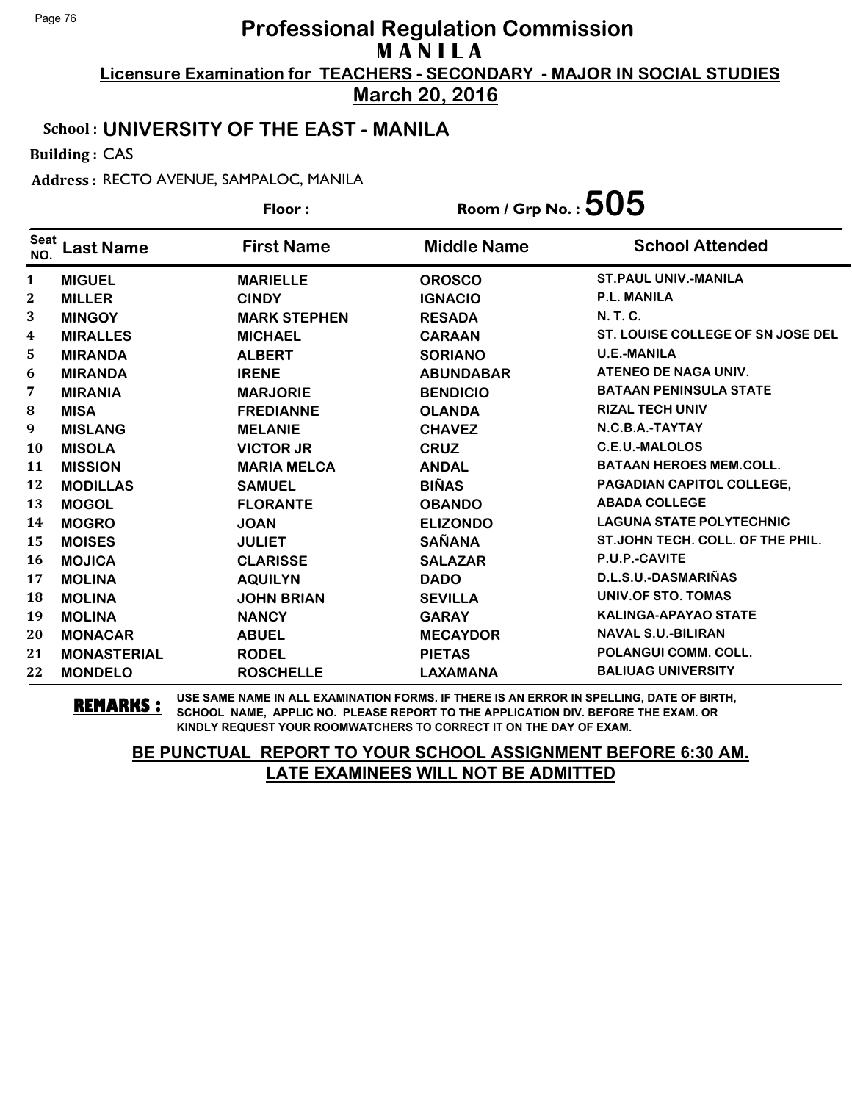**March 20, 2016**

## School : **UNIVERSITY OF THE EAST - MANILA**

Building : CAS

Address : RECTO AVENUE, SAMPALOC, MANILA

|                    |                    | Floor:              | Room / Grp No. : $505$ |                                   |
|--------------------|--------------------|---------------------|------------------------|-----------------------------------|
| <b>Seat</b><br>NO. | <b>Last Name</b>   | <b>First Name</b>   | <b>Middle Name</b>     | <b>School Attended</b>            |
| 1                  | <b>MIGUEL</b>      | <b>MARIELLE</b>     | <b>OROSCO</b>          | <b>ST. PAUL UNIV.-MANILA</b>      |
| $\mathbf{2}$       | <b>MILLER</b>      | <b>CINDY</b>        | <b>IGNACIO</b>         | <b>P.L. MANILA</b>                |
| 3                  | <b>MINGOY</b>      | <b>MARK STEPHEN</b> | <b>RESADA</b>          | <b>N.T.C.</b>                     |
| 4                  | <b>MIRALLES</b>    | <b>MICHAEL</b>      | <b>CARAAN</b>          | ST. LOUISE COLLEGE OF SN JOSE DEL |
| 5                  | <b>MIRANDA</b>     | <b>ALBERT</b>       | <b>SORIANO</b>         | <b>U.E.-MANILA</b>                |
| 6                  | <b>MIRANDA</b>     | <b>IRENE</b>        | <b>ABUNDABAR</b>       | ATENEO DE NAGA UNIV.              |
| 7                  | <b>MIRANIA</b>     | <b>MARJORIE</b>     | <b>BENDICIO</b>        | <b>BATAAN PENINSULA STATE</b>     |
| 8                  | <b>MISA</b>        | <b>FREDIANNE</b>    | <b>OLANDA</b>          | <b>RIZAL TECH UNIV</b>            |
| 9                  | <b>MISLANG</b>     | <b>MELANIE</b>      | <b>CHAVEZ</b>          | N.C.B.A.-TAYTAY                   |
| <b>10</b>          | <b>MISOLA</b>      | <b>VICTOR JR</b>    | <b>CRUZ</b>            | <b>C.E.U.-MALOLOS</b>             |
| 11                 | <b>MISSION</b>     | <b>MARIA MELCA</b>  | <b>ANDAL</b>           | <b>BATAAN HEROES MEM.COLL.</b>    |
| 12                 | <b>MODILLAS</b>    | <b>SAMUEL</b>       | <b>BIÑAS</b>           | PAGADIAN CAPITOL COLLEGE,         |
| 13                 | <b>MOGOL</b>       | <b>FLORANTE</b>     | <b>OBANDO</b>          | <b>ABADA COLLEGE</b>              |
| 14                 | <b>MOGRO</b>       | <b>JOAN</b>         | <b>ELIZONDO</b>        | <b>LAGUNA STATE POLYTECHNIC</b>   |
| 15                 | <b>MOISES</b>      | <b>JULIET</b>       | <b>SAÑANA</b>          | ST.JOHN TECH. COLL. OF THE PHIL.  |
| <b>16</b>          | <b>MOJICA</b>      | <b>CLARISSE</b>     | <b>SALAZAR</b>         | P.U.P.-CAVITE                     |
| 17                 | <b>MOLINA</b>      | <b>AQUILYN</b>      | <b>DADO</b>            | D.L.S.U.-DASMARIÑAS               |
| 18                 | <b>MOLINA</b>      | <b>JOHN BRIAN</b>   | <b>SEVILLA</b>         | <b>UNIV.OF STO. TOMAS</b>         |
| 19                 | <b>MOLINA</b>      | <b>NANCY</b>        | <b>GARAY</b>           | <b>KALINGA-APAYAO STATE</b>       |
| 20                 | <b>MONACAR</b>     | <b>ABUEL</b>        | <b>MECAYDOR</b>        | <b>NAVAL S.U.-BILIRAN</b>         |
| 21                 | <b>MONASTERIAL</b> | <b>RODEL</b>        | <b>PIETAS</b>          | <b>POLANGUI COMM. COLL.</b>       |
| 22                 | <b>MONDELO</b>     | <b>ROSCHELLE</b>    | <b>LAXAMANA</b>        | <b>BALIUAG UNIVERSITY</b>         |

**REMARKS :** USE SAME NAME IN ALL EXAMINATION FORMS. IF THERE IS AN ERROR IN SPELLING, DATE OF BIRTH, SCHOOL NAME, APPLIC NO. PLEASE REPORT TO THE APPLICATION DIV. BEFORE THE EXAM. OR KINDLY REQUEST YOUR ROOMWATCHERS TO CORRECT IT ON THE DAY OF EXAM.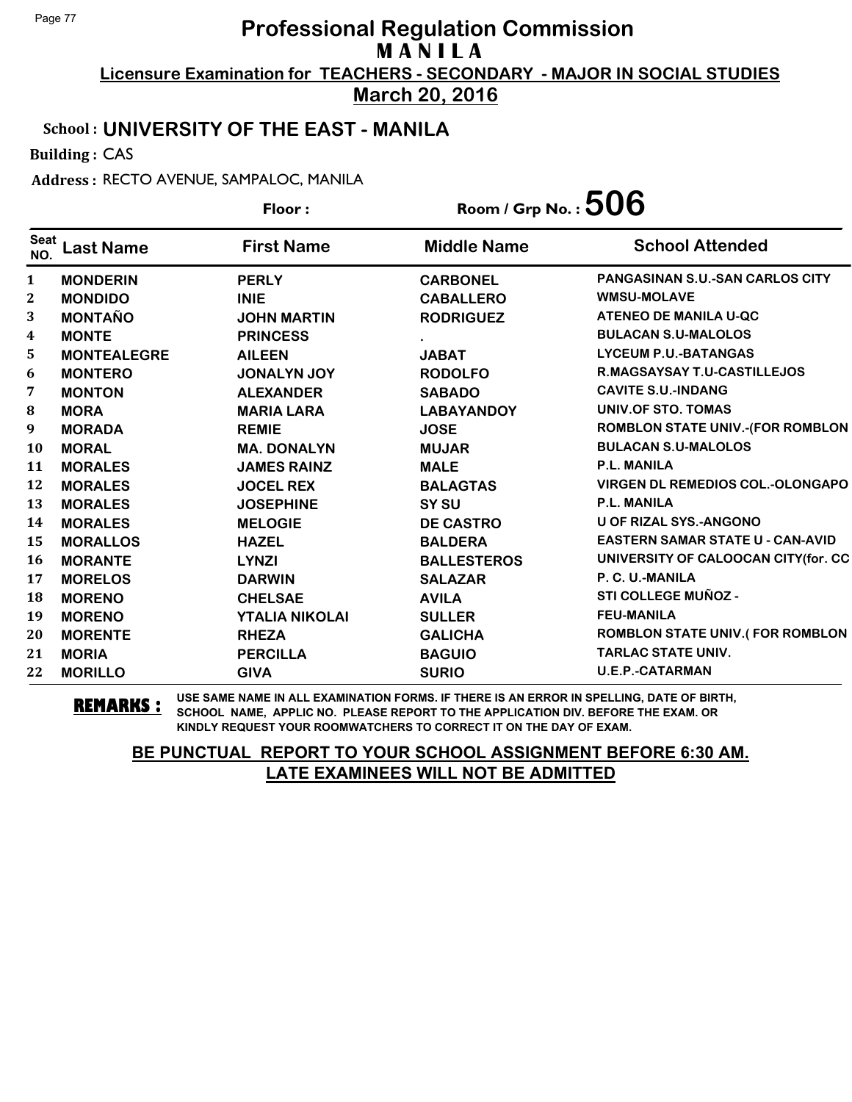**March 20, 2016**

## School : **UNIVERSITY OF THE EAST - MANILA**

Building : CAS

Address : RECTO AVENUE, SAMPALOC, MANILA

|                    |                    | Room / Grp No. : $506$<br>Floor: |                    |                                         |
|--------------------|--------------------|----------------------------------|--------------------|-----------------------------------------|
| <b>Seat</b><br>NO. | <b>Last Name</b>   | <b>First Name</b>                | <b>Middle Name</b> | <b>School Attended</b>                  |
| $\mathbf{1}$       | <b>MONDERIN</b>    | <b>PERLY</b>                     | <b>CARBONEL</b>    | PANGASINAN S.U.-SAN CARLOS CITY         |
| 2                  | <b>MONDIDO</b>     | <b>INIE</b>                      | <b>CABALLERO</b>   | <b>WMSU-MOLAVE</b>                      |
| 3                  | <b>MONTAÑO</b>     | <b>JOHN MARTIN</b>               | <b>RODRIGUEZ</b>   | ATENEO DE MANILA U-QC                   |
| $\boldsymbol{4}$   | <b>MONTE</b>       | <b>PRINCESS</b>                  |                    | <b>BULACAN S.U-MALOLOS</b>              |
| 5                  | <b>MONTEALEGRE</b> | <b>AILEEN</b>                    | <b>JABAT</b>       | <b>LYCEUM P.U.-BATANGAS</b>             |
| 6                  | <b>MONTERO</b>     | <b>JONALYN JOY</b>               | <b>RODOLFO</b>     | <b>R.MAGSAYSAY T.U-CASTILLEJOS</b>      |
| 7                  | <b>MONTON</b>      | <b>ALEXANDER</b>                 | <b>SABADO</b>      | <b>CAVITE S.U.-INDANG</b>               |
| 8                  | <b>MORA</b>        | <b>MARIA LARA</b>                | <b>LABAYANDOY</b>  | <b>UNIV.OF STO. TOMAS</b>               |
| $\boldsymbol{9}$   | <b>MORADA</b>      | <b>REMIE</b>                     | <b>JOSE</b>        | <b>ROMBLON STATE UNIV.-(FOR ROMBLON</b> |
| <b>10</b>          | <b>MORAL</b>       | <b>MA. DONALYN</b>               | <b>MUJAR</b>       | <b>BULACAN S.U-MALOLOS</b>              |
| 11                 | <b>MORALES</b>     | <b>JAMES RAINZ</b>               | <b>MALE</b>        | <b>P.L. MANILA</b>                      |
| 12                 | <b>MORALES</b>     | <b>JOCEL REX</b>                 | <b>BALAGTAS</b>    | <b>VIRGEN DL REMEDIOS COL.-OLONGAPO</b> |
| 13                 | <b>MORALES</b>     | <b>JOSEPHINE</b>                 | SY SU              | <b>P.L. MANILA</b>                      |
| 14                 | <b>MORALES</b>     | <b>MELOGIE</b>                   | <b>DE CASTRO</b>   | <b>U OF RIZAL SYS.-ANGONO</b>           |
| 15                 | <b>MORALLOS</b>    | <b>HAZEL</b>                     | <b>BALDERA</b>     | <b>EASTERN SAMAR STATE U - CAN-AVID</b> |
| 16                 | <b>MORANTE</b>     | <b>LYNZI</b>                     | <b>BALLESTEROS</b> | UNIVERSITY OF CALOOCAN CITY(for. CC     |
| 17                 | <b>MORELOS</b>     | <b>DARWIN</b>                    | <b>SALAZAR</b>     | P. C. U.-MANILA                         |
| 18                 | <b>MORENO</b>      | <b>CHELSAE</b>                   | <b>AVILA</b>       | STI COLLEGE MUÑOZ -                     |
| 19                 | <b>MORENO</b>      | <b>YTALIA NIKOLAI</b>            | <b>SULLER</b>      | <b>FEU-MANILA</b>                       |
| 20                 | <b>MORENTE</b>     | <b>RHEZA</b>                     | <b>GALICHA</b>     | <b>ROMBLON STATE UNIV.(FOR ROMBLON</b>  |
| 21                 | <b>MORIA</b>       | <b>PERCILLA</b>                  | <b>BAGUIO</b>      | <b>TARLAC STATE UNIV.</b>               |
| 22                 | <b>MORILLO</b>     | <b>GIVA</b>                      | <b>SURIO</b>       | <b>U.E.P.-CATARMAN</b>                  |

**REMARKS :** USE SAME NAME IN ALL EXAMINATION FORMS. IF THERE IS AN ERROR IN SPELLING, DATE OF BIRTH, SCHOOL NAME, APPLIC NO. PLEASE REPORT TO THE APPLICATION DIV. BEFORE THE EXAM. OR KINDLY REQUEST YOUR ROOMWATCHERS TO CORRECT IT ON THE DAY OF EXAM.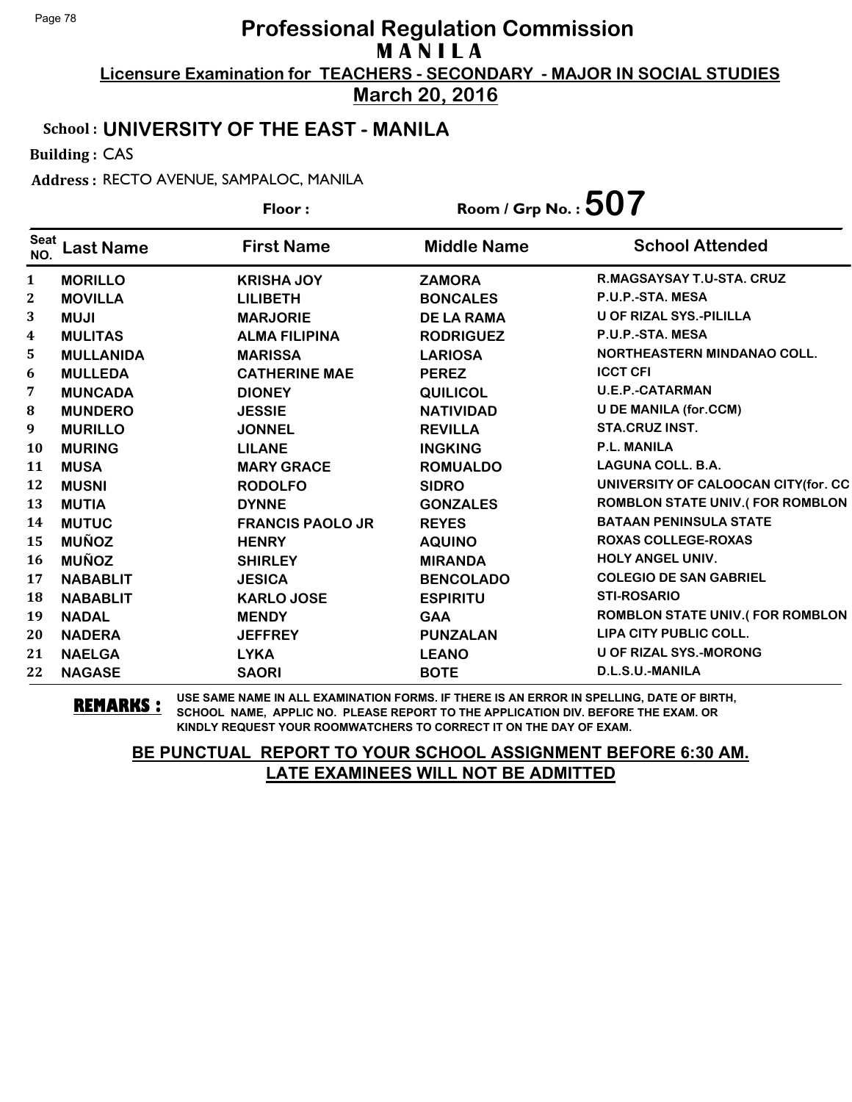**March 20, 2016**

## School : **UNIVERSITY OF THE EAST - MANILA**

Building : CAS

Address : RECTO AVENUE, SAMPALOC, MANILA

|                    |                  | Floor:                  | Room / Grp No. : $507$ |                                        |
|--------------------|------------------|-------------------------|------------------------|----------------------------------------|
| <b>Seat</b><br>NO. | <b>Last Name</b> | <b>First Name</b>       | <b>Middle Name</b>     | <b>School Attended</b>                 |
| $\mathbf{1}$       | <b>MORILLO</b>   | <b>KRISHA JOY</b>       | <b>ZAMORA</b>          | <b>R.MAGSAYSAY T.U-STA. CRUZ</b>       |
| 2                  | <b>MOVILLA</b>   | <b>LILIBETH</b>         | <b>BONCALES</b>        | P.U.P.-STA. MESA                       |
| 3                  | <b>NUJI</b>      | <b>MARJORIE</b>         | <b>DE LA RAMA</b>      | U OF RIZAL SYS.-PILILLA                |
| 4                  | <b>MULITAS</b>   | <b>ALMA FILIPINA</b>    | <b>RODRIGUEZ</b>       | P.U.P.-STA. MESA                       |
| 5.                 | <b>MULLANIDA</b> | <b>MARISSA</b>          | <b>LARIOSA</b>         | NORTHEASTERN MINDANAO COLL.            |
| 6                  | <b>MULLEDA</b>   | <b>CATHERINE MAE</b>    | <b>PEREZ</b>           | <b>ICCT CFI</b>                        |
| 7                  | <b>MUNCADA</b>   | <b>DIONEY</b>           | <b>QUILICOL</b>        | <b>U.E.P.-CATARMAN</b>                 |
| ${\bf 8}$          | <b>MUNDERO</b>   | <b>JESSIE</b>           | <b>NATIVIDAD</b>       | <b>U DE MANILA (for.CCM)</b>           |
| 9                  | <b>MURILLO</b>   | <b>JONNEL</b>           | <b>REVILLA</b>         | <b>STA.CRUZ INST.</b>                  |
| 10                 | <b>MURING</b>    | <b>LILANE</b>           | <b>INGKING</b>         | <b>P.L. MANILA</b>                     |
| 11                 | <b>MUSA</b>      | <b>MARY GRACE</b>       | <b>ROMUALDO</b>        | <b>LAGUNA COLL. B.A.</b>               |
| 12                 | <b>MUSNI</b>     | <b>RODOLFO</b>          | <b>SIDRO</b>           | UNIVERSITY OF CALOOCAN CITY(for. CC    |
| 13                 | <b>MUTIA</b>     | <b>DYNNE</b>            | <b>GONZALES</b>        | <b>ROMBLON STATE UNIV.(FOR ROMBLON</b> |
| 14                 | <b>MUTUC</b>     | <b>FRANCIS PAOLO JR</b> | <b>REYES</b>           | <b>BATAAN PENINSULA STATE</b>          |
| 15                 | <b>MUÑOZ</b>     | <b>HENRY</b>            | <b>AQUINO</b>          | <b>ROXAS COLLEGE-ROXAS</b>             |
| <b>16</b>          | <b>MUÑOZ</b>     | <b>SHIRLEY</b>          | <b>MIRANDA</b>         | <b>HOLY ANGEL UNIV.</b>                |
| 17                 | <b>NABABLIT</b>  | <b>JESICA</b>           | <b>BENCOLADO</b>       | <b>COLEGIO DE SAN GABRIEL</b>          |
| 18                 | <b>NABABLIT</b>  | <b>KARLO JOSE</b>       | <b>ESPIRITU</b>        | <b>STI-ROSARIO</b>                     |
| 19                 | <b>NADAL</b>     | <b>MENDY</b>            | <b>GAA</b>             | <b>ROMBLON STATE UNIV.(FOR ROMBLON</b> |
| 20                 | <b>NADERA</b>    | <b>JEFFREY</b>          | <b>PUNZALAN</b>        | LIPA CITY PUBLIC COLL.                 |
| 21                 | <b>NAELGA</b>    | <b>LYKA</b>             | <b>LEANO</b>           | U OF RIZAL SYS.-MORONG                 |
| 22                 | <b>NAGASE</b>    | <b>SAORI</b>            | <b>BOTE</b>            | D.L.S.U.-MANILA                        |

**REMARKS :** USE SAME NAME IN ALL EXAMINATION FORMS. IF THERE IS AN ERROR IN SPELLING, DATE OF BIRTH, SCHOOL NAME, APPLIC NO. PLEASE REPORT TO THE APPLICATION DIV. BEFORE THE EXAM. OR KINDLY REQUEST YOUR ROOMWATCHERS TO CORRECT IT ON THE DAY OF EXAM.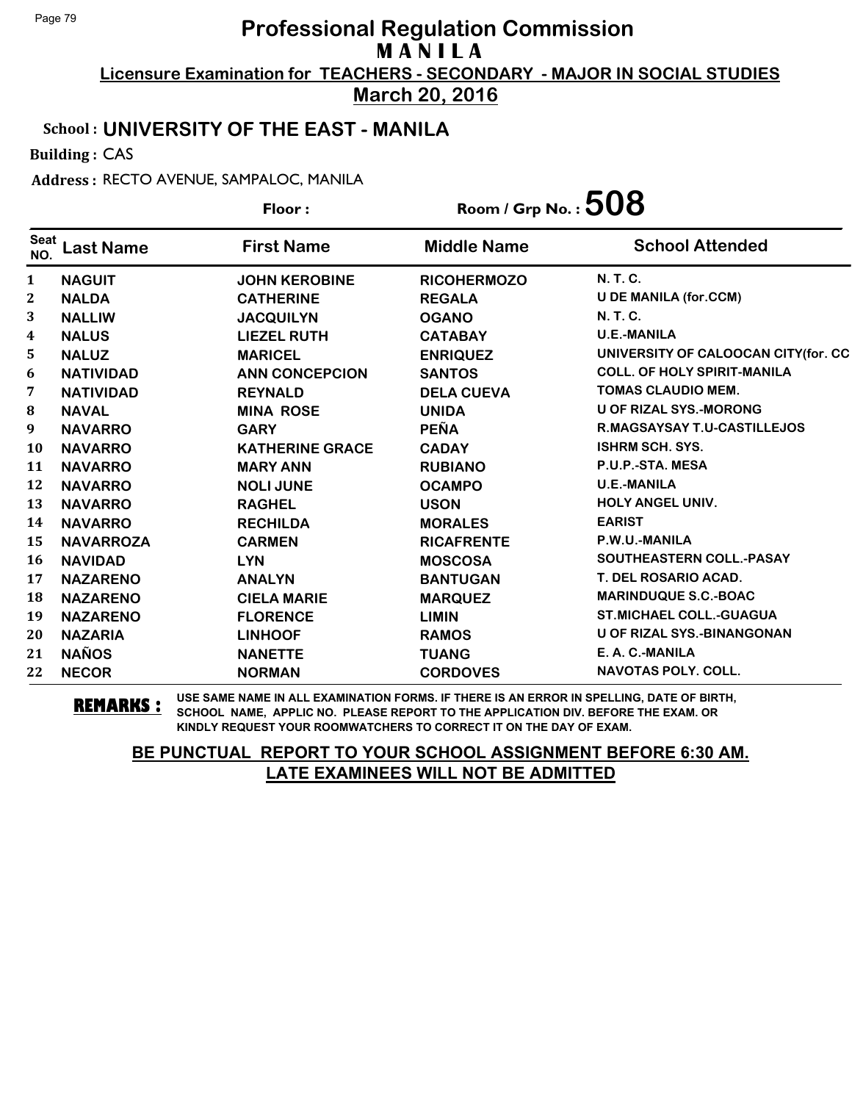**March 20, 2016**

## School : **UNIVERSITY OF THE EAST - MANILA**

Building : CAS

Address : RECTO AVENUE, SAMPALOC, MANILA

|                    |                  | Floor:                 | Room / Grp No. : $508$ |                                     |
|--------------------|------------------|------------------------|------------------------|-------------------------------------|
| <b>Seat</b><br>NO. | <b>Last Name</b> | <b>First Name</b>      | <b>Middle Name</b>     | <b>School Attended</b>              |
| $\mathbf{1}$       | <b>NAGUIT</b>    | <b>JOHN KEROBINE</b>   | <b>RICOHERMOZO</b>     | N. T. C.                            |
| $\boldsymbol{2}$   | <b>NALDA</b>     | <b>CATHERINE</b>       | <b>REGALA</b>          | <b>U DE MANILA (for.CCM)</b>        |
| 3                  | <b>NALLIW</b>    | <b>JACQUILYN</b>       | <b>OGANO</b>           | <b>N. T. C.</b>                     |
| 4                  | <b>NALUS</b>     | <b>LIEZEL RUTH</b>     | <b>CATABAY</b>         | <b>U.E.-MANILA</b>                  |
| 5                  | <b>NALUZ</b>     | <b>MARICEL</b>         | <b>ENRIQUEZ</b>        | UNIVERSITY OF CALOOCAN CITY(for. CC |
| 6                  | <b>NATIVIDAD</b> | <b>ANN CONCEPCION</b>  | <b>SANTOS</b>          | <b>COLL. OF HOLY SPIRIT-MANILA</b>  |
| 7                  | <b>NATIVIDAD</b> | <b>REYNALD</b>         | <b>DELA CUEVA</b>      | TOMAS CLAUDIO MEM.                  |
| $\bf{8}$           | <b>NAVAL</b>     | <b>MINA ROSE</b>       | <b>UNIDA</b>           | <b>U OF RIZAL SYS.-MORONG</b>       |
| 9                  | <b>NAVARRO</b>   | <b>GARY</b>            | <b>PEÑA</b>            | R.MAGSAYSAY T.U-CASTILLEJOS         |
| <b>10</b>          | <b>NAVARRO</b>   | <b>KATHERINE GRACE</b> | <b>CADAY</b>           | <b>ISHRM SCH. SYS.</b>              |
| 11                 | <b>NAVARRO</b>   | <b>MARY ANN</b>        | <b>RUBIANO</b>         | P.U.P.-STA. MESA                    |
| 12                 | <b>NAVARRO</b>   | <b>NOLI JUNE</b>       | <b>OCAMPO</b>          | <b>U.E.-MANILA</b>                  |
| 13                 | <b>NAVARRO</b>   | <b>RAGHEL</b>          | <b>USON</b>            | <b>HOLY ANGEL UNIV.</b>             |
| 14                 | <b>NAVARRO</b>   | <b>RECHILDA</b>        | <b>MORALES</b>         | <b>EARIST</b>                       |
| 15                 | <b>NAVARROZA</b> | <b>CARMEN</b>          | <b>RICAFRENTE</b>      | P.W.U.-MANILA                       |
| 16                 | <b>NAVIDAD</b>   | <b>LYN</b>             | <b>MOSCOSA</b>         | SOUTHEASTERN COLL.-PASAY            |
| 17                 | <b>NAZARENO</b>  | <b>ANALYN</b>          | <b>BANTUGAN</b>        | <b>T. DEL ROSARIO ACAD.</b>         |
| 18                 | <b>NAZARENO</b>  | <b>CIELA MARIE</b>     | <b>MARQUEZ</b>         | <b>MARINDUQUE S.C.-BOAC</b>         |
| 19                 | <b>NAZARENO</b>  | <b>FLORENCE</b>        | <b>LIMIN</b>           | <b>ST.MICHAEL COLL.-GUAGUA</b>      |
| 20                 | <b>NAZARIA</b>   | <b>LINHOOF</b>         | <b>RAMOS</b>           | <b>U OF RIZAL SYS.-BINANGONAN</b>   |
| 21                 | <b>NAÑOS</b>     | <b>NANETTE</b>         | <b>TUANG</b>           | E. A. C.-MANILA                     |
| 22                 | <b>NECOR</b>     | <b>NORMAN</b>          | <b>CORDOVES</b>        | <b>NAVOTAS POLY, COLL.</b>          |

**REMARKS :** USE SAME NAME IN ALL EXAMINATION FORMS. IF THERE IS AN ERROR IN SPELLING, DATE OF BIRTH, SCHOOL NAME, APPLIC NO. PLEASE REPORT TO THE APPLICATION DIV. BEFORE THE EXAM. OR KINDLY REQUEST YOUR ROOMWATCHERS TO CORRECT IT ON THE DAY OF EXAM.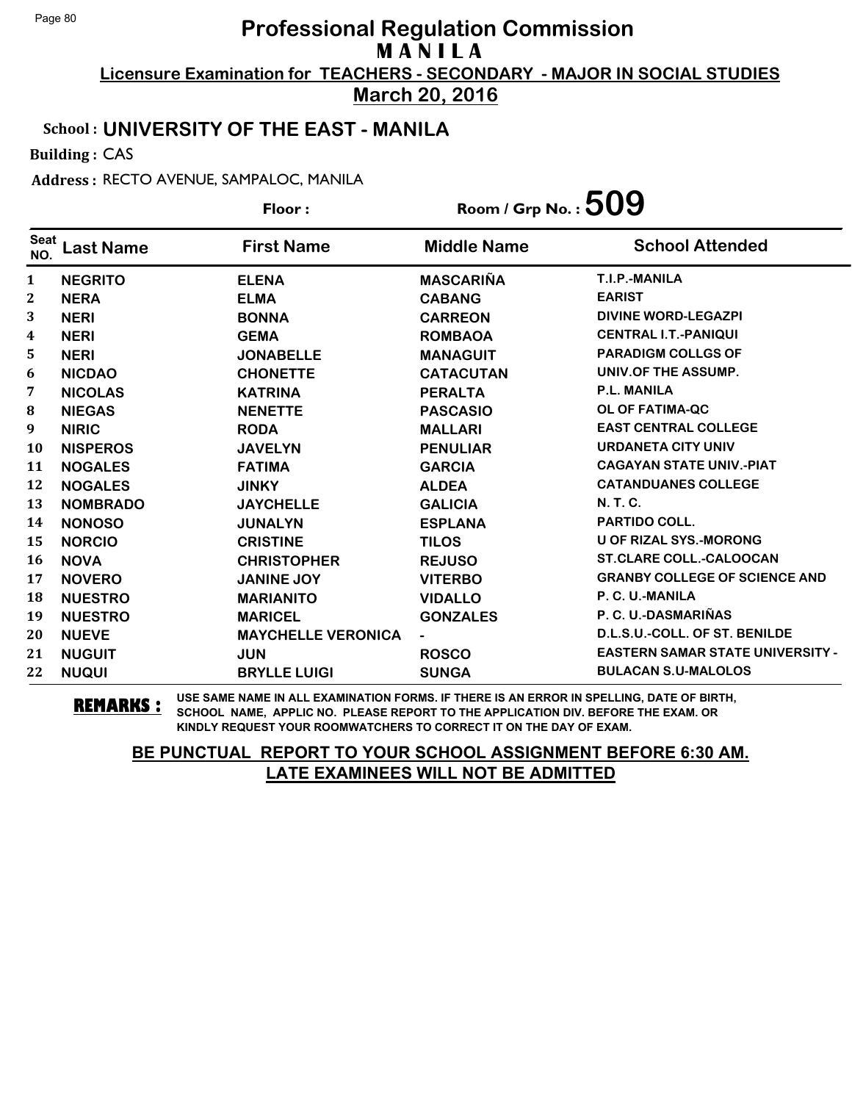**March 20, 2016**

## School : **UNIVERSITY OF THE EAST - MANILA**

Building : CAS

Address : RECTO AVENUE, SAMPALOC, MANILA

|                    |                  | Floor:                    | Room / Grp No. : $509$ |                                         |
|--------------------|------------------|---------------------------|------------------------|-----------------------------------------|
| <b>Seat</b><br>NO. | <b>Last Name</b> | <b>First Name</b>         | <b>Middle Name</b>     | <b>School Attended</b>                  |
| 1                  | <b>NEGRITO</b>   | <b>ELENA</b>              | <b>MASCARIÑA</b>       | T.I.P.-MANILA                           |
| 2                  | <b>NERA</b>      | <b>ELMA</b>               | <b>CABANG</b>          | <b>EARIST</b>                           |
| 3                  | <b>NERI</b>      | <b>BONNA</b>              | <b>CARREON</b>         | <b>DIVINE WORD-LEGAZPI</b>              |
| 4                  | <b>NERI</b>      | <b>GEMA</b>               | <b>ROMBAOA</b>         | <b>CENTRAL I.T.-PANIQUI</b>             |
| 5                  | <b>NERI</b>      | <b>JONABELLE</b>          | <b>MANAGUIT</b>        | <b>PARADIGM COLLGS OF</b>               |
| 6                  | <b>NICDAO</b>    | <b>CHONETTE</b>           | <b>CATACUTAN</b>       | UNIV.OF THE ASSUMP.                     |
| 7                  | <b>NICOLAS</b>   | <b>KATRINA</b>            | <b>PERALTA</b>         | P.L. MANILA                             |
| 8                  | <b>NIEGAS</b>    | <b>NENETTE</b>            | <b>PASCASIO</b>        | OL OF FATIMA-QC                         |
| 9                  | <b>NIRIC</b>     | <b>RODA</b>               | <b>MALLARI</b>         | <b>EAST CENTRAL COLLEGE</b>             |
| 10                 | <b>NISPEROS</b>  | <b>JAVELYN</b>            | <b>PENULIAR</b>        | <b>URDANETA CITY UNIV</b>               |
| 11                 | <b>NOGALES</b>   | <b>FATIMA</b>             | <b>GARCIA</b>          | <b>CAGAYAN STATE UNIV.-PIAT</b>         |
| 12                 | <b>NOGALES</b>   | <b>JINKY</b>              | <b>ALDEA</b>           | <b>CATANDUANES COLLEGE</b>              |
| 13                 | <b>NOMBRADO</b>  | <b>JAYCHELLE</b>          | <b>GALICIA</b>         | <b>N.T.C.</b>                           |
| 14                 | <b>NONOSO</b>    | <b>JUNALYN</b>            | <b>ESPLANA</b>         | <b>PARTIDO COLL.</b>                    |
| 15                 | <b>NORCIO</b>    | <b>CRISTINE</b>           | <b>TILOS</b>           | <b>U OF RIZAL SYS.-MORONG</b>           |
| 16                 | <b>NOVA</b>      | <b>CHRISTOPHER</b>        | <b>REJUSO</b>          | <b>ST.CLARE COLL.-CALOOCAN</b>          |
| 17                 | <b>NOVERO</b>    | <b>JANINE JOY</b>         | <b>VITERBO</b>         | <b>GRANBY COLLEGE OF SCIENCE AND</b>    |
| 18                 | <b>NUESTRO</b>   | <b>MARIANITO</b>          | <b>VIDALLO</b>         | P. C. U.-MANILA                         |
| 19                 | <b>NUESTRO</b>   | <b>MARICEL</b>            | <b>GONZALES</b>        | P. C. U.-DASMARIÑAS                     |
| 20                 | <b>NUEVE</b>     | <b>MAYCHELLE VERONICA</b> |                        | D.L.S.U.-COLL. OF ST. BENILDE           |
| 21                 | <b>NUGUIT</b>    | <b>JUN</b>                | <b>ROSCO</b>           | <b>EASTERN SAMAR STATE UNIVERSITY -</b> |
| 22                 | <b>NUQUI</b>     | <b>BRYLLE LUIGI</b>       | <b>SUNGA</b>           | <b>BULACAN S.U-MALOLOS</b>              |

**REMARKS :** USE SAME NAME IN ALL EXAMINATION FORMS. IF THERE IS AN ERROR IN SPELLING, DATE OF BIRTH, SCHOOL NAME, APPLIC NO. PLEASE REPORT TO THE APPLICATION DIV. BEFORE THE EXAM. OR KINDLY REQUEST YOUR ROOMWATCHERS TO CORRECT IT ON THE DAY OF EXAM.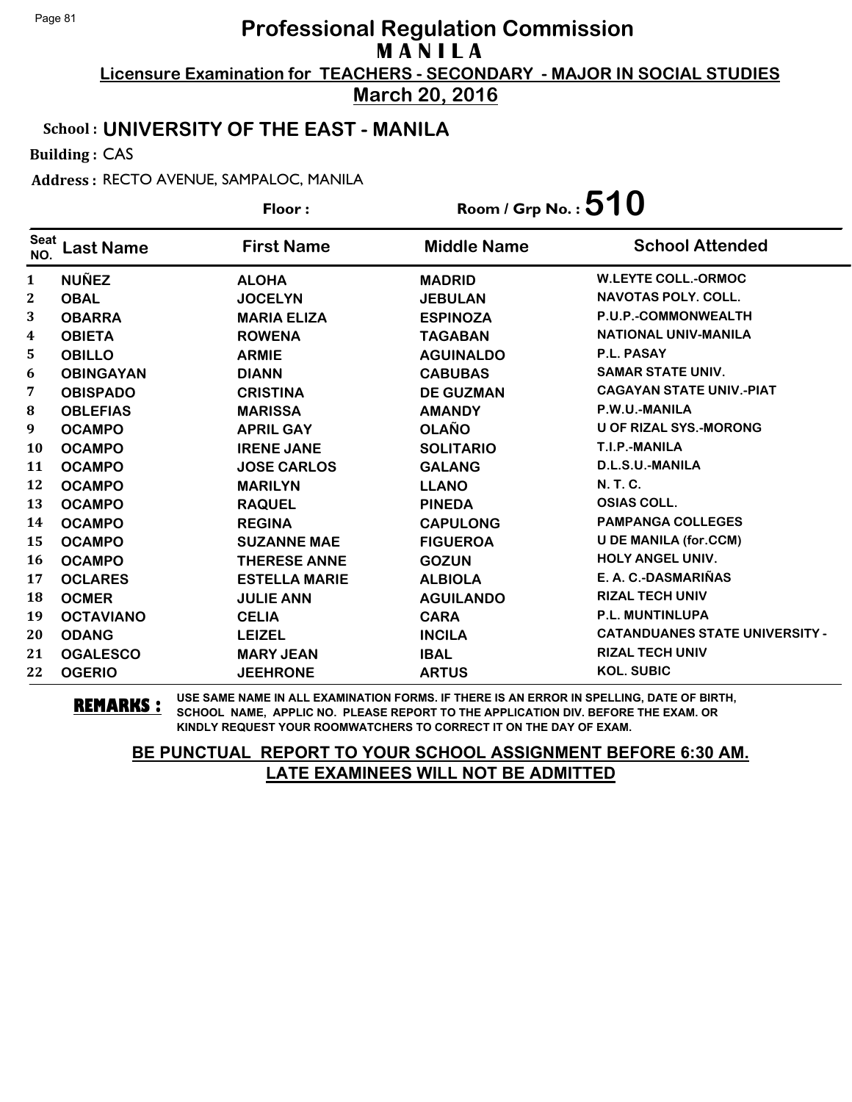**March 20, 2016**

#### School : **UNIVERSITY OF THE EAST - MANILA**

Building : CAS

Address : RECTO AVENUE, SAMPALOC, MANILA

**Last Name First Name Middle Name** Floor : Room / Grp No. :**510** Seat <sup>seat</sup> Last Name First Name Middle Name School Attended **NUÑEZ ALOHA MADRID W.LEYTE COLL.-ORMOC OBAL JOCELYN JEBULAN NAVOTAS POLY. COLL. OBARRA MARIA ELIZA ESPINOZA P.U.P.-COMMONWEALTH OBIETA ROWENA TAGABAN NATIONAL UNIV-MANILA OBILLO ARMIE AGUINALDO P.L. PASAY OBINGAYAN DIANN CABUBAS SAMAR STATE UNIV. OBISPADO CRISTINA DE GUZMAN CAGAYAN STATE UNIV.-PIAT** 8 OBLEFIAS MARISSA AMANDY P.W.U.-MANILA **OCAMPO APRIL GAY OLAÑO U OF RIZAL SYS.-MORONG OCAMPO IRENE JANE SOLITARIO T.I.P.-MANILA OCAMPO JOSE CARLOS GALANG D.L.S.U.-MANILA OCAMPO MARILYN LLANO N. T. C. OCAMPO RAQUEL PINEDA OSIAS COLL. OCAMPO REGINA CAPULONG PAMPANGA COLLEGES OCAMPO SUZANNE MAE FIGUEROA U DE MANILA (for.CCM) OCAMPO THERESE ANNE GOZUN HOLY ANGEL UNIV. OCLARES ESTELLA MARIE ALBIOLA E. A. C.-DASMARIÑAS OCMER JULIE ANN AGUILANDO RIZAL TECH UNIV OCTAVIANO CELIA CARA P.L. MUNTINLUPA ODANG LEIZEL INCILA CATANDUANES STATE UNIVERSITY - OGALESCO MARY JEAN IBAL RIZAL TECH UNIV OGERIO JEEHRONE ARTUS KOL. SUBIC**

**REMARKS :** USE SAME NAME IN ALL EXAMINATION FORMS. IF THERE IS AN ERROR IN SPELLING, DATE OF BIRTH, SCHOOL NAME, APPLIC NO. PLEASE REPORT TO THE APPLICATION DIV. BEFORE THE EXAM. OR KINDLY REQUEST YOUR ROOMWATCHERS TO CORRECT IT ON THE DAY OF EXAM.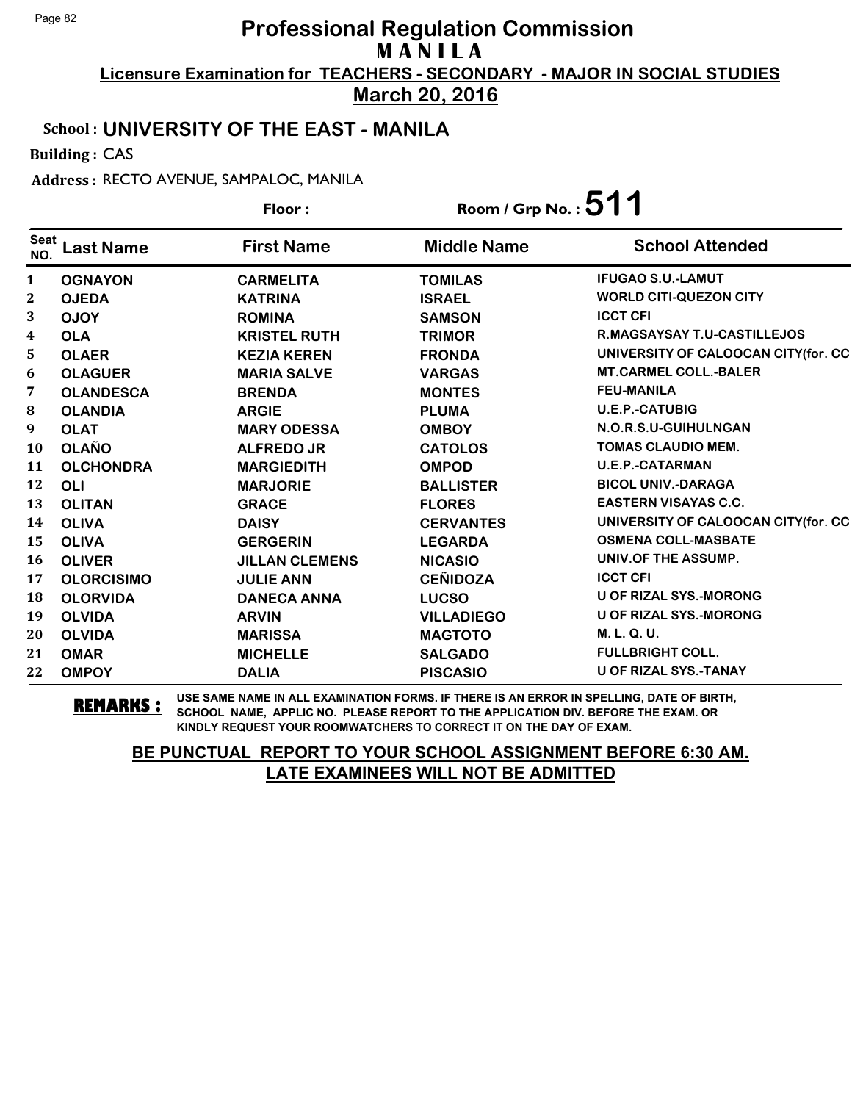**March 20, 2016**

## School : **UNIVERSITY OF THE EAST - MANILA**

Building : CAS

Address : RECTO AVENUE, SAMPALOC, MANILA

|                    |                   | Floor:                | Room / Grp No. : $511$ |                                     |
|--------------------|-------------------|-----------------------|------------------------|-------------------------------------|
| <b>Seat</b><br>NO. | <b>Last Name</b>  | <b>First Name</b>     | <b>Middle Name</b>     | <b>School Attended</b>              |
| $\mathbf{1}$       | <b>OGNAYON</b>    | <b>CARMELITA</b>      | <b>TOMILAS</b>         | <b>IFUGAO S.U.-LAMUT</b>            |
| $\mathbf{2}$       | <b>OJEDA</b>      | <b>KATRINA</b>        | <b>ISRAEL</b>          | <b>WORLD CITI-QUEZON CITY</b>       |
| 3                  | <b>OJOY</b>       | <b>ROMINA</b>         | <b>SAMSON</b>          | <b>ICCT CFI</b>                     |
| $\boldsymbol{4}$   | <b>OLA</b>        | <b>KRISTEL RUTH</b>   | <b>TRIMOR</b>          | <b>R.MAGSAYSAY T.U-CASTILLEJOS</b>  |
| 5                  | <b>OLAER</b>      | <b>KEZIA KEREN</b>    | <b>FRONDA</b>          | UNIVERSITY OF CALOOCAN CITY(for. CC |
| 6                  | <b>OLAGUER</b>    | <b>MARIA SALVE</b>    | <b>VARGAS</b>          | <b>MT.CARMEL COLL.-BALER</b>        |
| 7                  | <b>OLANDESCA</b>  | <b>BRENDA</b>         | <b>MONTES</b>          | <b>FEU-MANILA</b>                   |
| ${\bf 8}$          | <b>OLANDIA</b>    | <b>ARGIE</b>          | <b>PLUMA</b>           | <b>U.E.P.-CATUBIG</b>               |
| 9                  | <b>OLAT</b>       | <b>MARY ODESSA</b>    | <b>OMBOY</b>           | N.O.R.S.U-GUIHULNGAN                |
| 10                 | <b>OLAÑO</b>      | <b>ALFREDO JR</b>     | <b>CATOLOS</b>         | <b>TOMAS CLAUDIO MEM.</b>           |
| 11                 | <b>OLCHONDRA</b>  | <b>MARGIEDITH</b>     | <b>OMPOD</b>           | <b>U.E.P.-CATARMAN</b>              |
| 12                 | <b>OLI</b>        | <b>MARJORIE</b>       | <b>BALLISTER</b>       | <b>BICOL UNIV.-DARAGA</b>           |
| 13                 | <b>OLITAN</b>     | <b>GRACE</b>          | <b>FLORES</b>          | <b>EASTERN VISAYAS C.C.</b>         |
| 14                 | <b>OLIVA</b>      | <b>DAISY</b>          | <b>CERVANTES</b>       | UNIVERSITY OF CALOOCAN CITY(for. CC |
| 15                 | <b>OLIVA</b>      | <b>GERGERIN</b>       | <b>LEGARDA</b>         | <b>OSMENA COLL-MASBATE</b>          |
| <b>16</b>          | <b>OLIVER</b>     | <b>JILLAN CLEMENS</b> | <b>NICASIO</b>         | UNIV.OF THE ASSUMP.                 |
| 17                 | <b>OLORCISIMO</b> | <b>JULIE ANN</b>      | <b>CEÑIDOZA</b>        | <b>ICCT CFI</b>                     |
| 18                 | <b>OLORVIDA</b>   | <b>DANECA ANNA</b>    | <b>LUCSO</b>           | <b>U OF RIZAL SYS.-MORONG</b>       |
| 19                 | <b>OLVIDA</b>     | <b>ARVIN</b>          | <b>VILLADIEGO</b>      | <b>U OF RIZAL SYS.-MORONG</b>       |
| 20                 | <b>OLVIDA</b>     | <b>MARISSA</b>        | <b>MAGTOTO</b>         | M. L. Q. U.                         |
| 21                 | <b>OMAR</b>       | <b>MICHELLE</b>       | <b>SALGADO</b>         | <b>FULLBRIGHT COLL.</b>             |
| 22                 | <b>OMPOY</b>      | <b>DALIA</b>          | <b>PISCASIO</b>        | U OF RIZAL SYS.-TANAY               |

**REMARKS :** USE SAME NAME IN ALL EXAMINATION FORMS. IF THERE IS AN ERROR IN SPELLING, DATE OF BIRTH, SCHOOL NAME, APPLIC NO. PLEASE REPORT TO THE APPLICATION DIV. BEFORE THE EXAM. OR KINDLY REQUEST YOUR ROOMWATCHERS TO CORRECT IT ON THE DAY OF EXAM.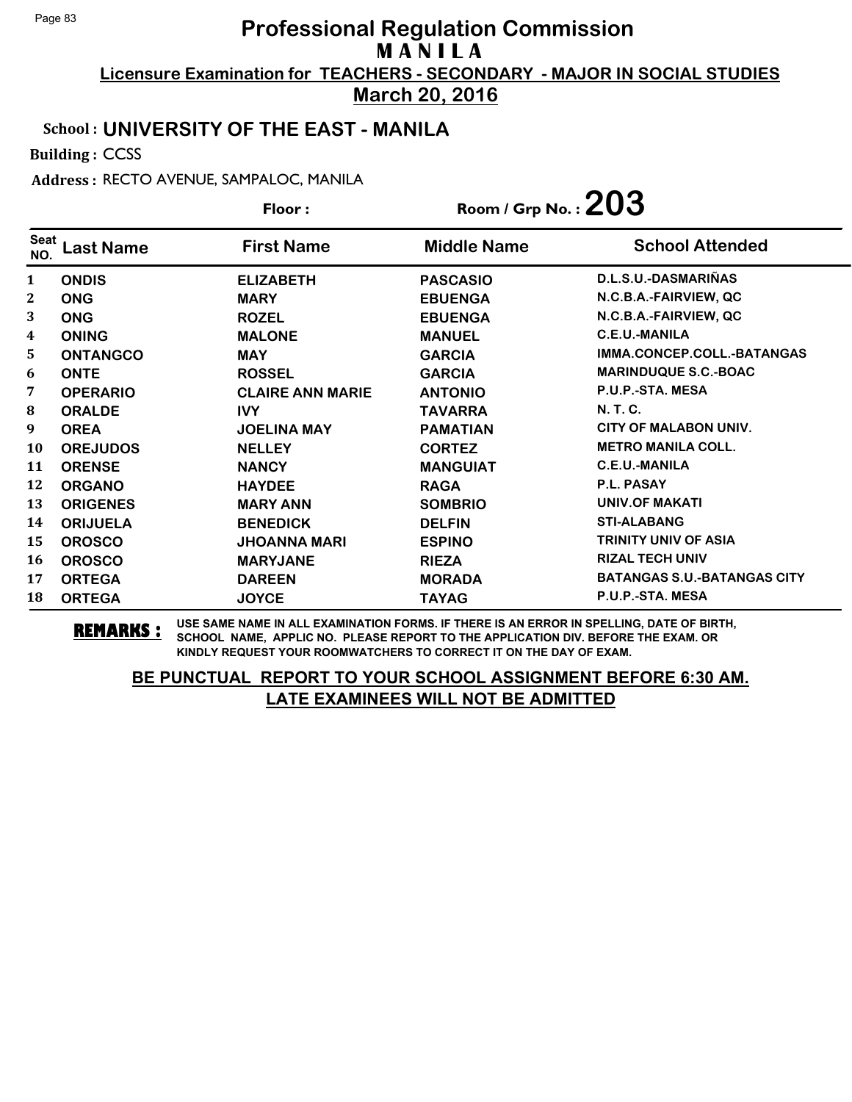**March 20, 2016**

## School : **UNIVERSITY OF THE EAST - MANILA**

Building : CCSS

Address : RECTO AVENUE, SAMPALOC, MANILA

|                    |                 | Floor:                  | Room / Grp No. : $203$ |                                    |
|--------------------|-----------------|-------------------------|------------------------|------------------------------------|
| <b>Seat</b><br>NO. | ast Name        | <b>First Name</b>       | <b>Middle Name</b>     | <b>School Attended</b>             |
| 1                  | <b>ONDIS</b>    | <b>ELIZABETH</b>        | <b>PASCASIO</b>        | D.L.S.U.-DASMARIÑAS                |
| 2                  | <b>ONG</b>      | <b>MARY</b>             | <b>EBUENGA</b>         | N.C.B.A.-FAIRVIEW, QC              |
| 3                  | <b>ONG</b>      | <b>ROZEL</b>            | <b>EBUENGA</b>         | N.C.B.A.-FAIRVIEW, QC              |
| 4                  | <b>ONING</b>    | <b>MALONE</b>           | <b>MANUEL</b>          | C.E.U.-MANILA                      |
| 5                  | <b>ONTANGCO</b> | <b>MAY</b>              | <b>GARCIA</b>          | IMMA.CONCEP.COLL.-BATANGAS         |
| 6                  | <b>ONTE</b>     | <b>ROSSEL</b>           | <b>GARCIA</b>          | <b>MARINDUQUE S.C.-BOAC</b>        |
| 7                  | <b>OPERARIO</b> | <b>CLAIRE ANN MARIE</b> | <b>ANTONIO</b>         | P.U.P.-STA. MESA                   |
| 8                  | <b>ORALDE</b>   | <b>IVY</b>              | <b>TAVARRA</b>         | N. T. C.                           |
| 9                  | <b>OREA</b>     | <b>JOELINA MAY</b>      | <b>PAMATIAN</b>        | CITY OF MALABON UNIV.              |
| 10                 | <b>OREJUDOS</b> | <b>NELLEY</b>           | <b>CORTEZ</b>          | <b>METRO MANILA COLL.</b>          |
| 11                 | <b>ORENSE</b>   | <b>NANCY</b>            | <b>MANGUIAT</b>        | C.E.U.-MANILA                      |
| 12                 | <b>ORGANO</b>   | <b>HAYDEE</b>           | <b>RAGA</b>            | P.L. PASAY                         |
| 13                 | <b>ORIGENES</b> | <b>MARY ANN</b>         | <b>SOMBRIO</b>         | <b>UNIV.OF MAKATI</b>              |
| 14                 | <b>ORIJUELA</b> | <b>BENEDICK</b>         | <b>DELFIN</b>          | <b>STI-ALABANG</b>                 |
| 15                 | <b>OROSCO</b>   | <b>JHOANNA MARI</b>     | <b>ESPINO</b>          | <b>TRINITY UNIV OF ASIA</b>        |
| 16                 | <b>OROSCO</b>   | <b>MARYJANE</b>         | <b>RIEZA</b>           | <b>RIZAL TECH UNIV</b>             |
| 17                 | <b>ORTEGA</b>   | <b>DAREEN</b>           | <b>MORADA</b>          | <b>BATANGAS S.U.-BATANGAS CITY</b> |
| 18                 | <b>ORTEGA</b>   | <b>JOYCE</b>            | <b>TAYAG</b>           | P.U.P.-STA. MESA                   |

**REMARKS :** USE SAME NAME IN ALL EXAMINATION FORMS. IF THERE IS AN ERROR IN SPELLING, DATE OF BIRTH, SCHOOL NAME, APPLIC NO. PLEASE REPORT TO THE APPLICATION DIV. BEFORE THE EXAM. OR KINDLY REQUEST YOUR ROOMWATCHERS TO CORRECT IT ON THE DAY OF EXAM.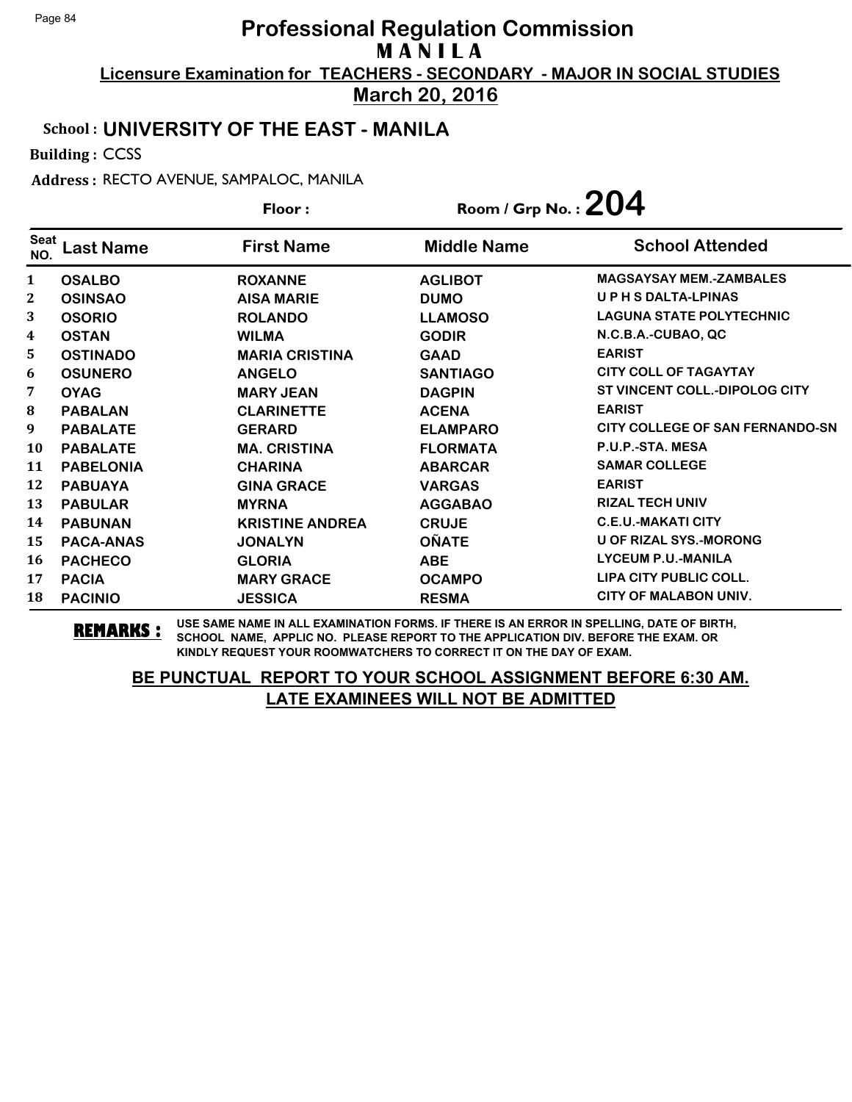**March 20, 2016**

## School : **UNIVERSITY OF THE EAST - MANILA**

Building : CCSS

Address : RECTO AVENUE, SAMPALOC, MANILA

|                    | Floor:           |                        | Room / Grp No. : $204$ |                                        |
|--------------------|------------------|------------------------|------------------------|----------------------------------------|
| <b>Seat</b><br>NO. | ast Name         | <b>First Name</b>      | <b>Middle Name</b>     | <b>School Attended</b>                 |
| $\mathbf{1}$       | <b>OSALBO</b>    | <b>ROXANNE</b>         | <b>AGLIBOT</b>         | <b>MAGSAYSAY MEM.-ZAMBALES</b>         |
| 2                  | <b>OSINSAO</b>   | <b>AISA MARIE</b>      | <b>DUMO</b>            | UPHSDALTA-LPINAS                       |
| 3                  | <b>OSORIO</b>    | <b>ROLANDO</b>         | <b>LLAMOSO</b>         | <b>LAGUNA STATE POLYTECHNIC</b>        |
| $\boldsymbol{4}$   | <b>OSTAN</b>     | <b>WILMA</b>           | <b>GODIR</b>           | N.C.B.A.-CUBAO, QC                     |
| 5                  | <b>OSTINADO</b>  | <b>MARIA CRISTINA</b>  | <b>GAAD</b>            | <b>EARIST</b>                          |
| 6                  | <b>OSUNERO</b>   | <b>ANGELO</b>          | <b>SANTIAGO</b>        | <b>CITY COLL OF TAGAYTAY</b>           |
| 7                  | <b>OYAG</b>      | <b>MARY JEAN</b>       | <b>DAGPIN</b>          | ST VINCENT COLL.-DIPOLOG CITY          |
| 8                  | <b>PABALAN</b>   | <b>CLARINETTE</b>      | <b>ACENA</b>           | <b>EARIST</b>                          |
| 9                  | <b>PABALATE</b>  | <b>GERARD</b>          | <b>ELAMPARO</b>        | <b>CITY COLLEGE OF SAN FERNANDO-SN</b> |
| 10                 | <b>PABALATE</b>  | <b>MA. CRISTINA</b>    | <b>FLORMATA</b>        | P.U.P.-STA, MESA                       |
| 11                 | <b>PABELONIA</b> | <b>CHARINA</b>         | <b>ABARCAR</b>         | <b>SAMAR COLLEGE</b>                   |
| 12                 | <b>PABUAYA</b>   | <b>GINA GRACE</b>      | <b>VARGAS</b>          | <b>EARIST</b>                          |
| 13                 | <b>PABULAR</b>   | <b>MYRNA</b>           | <b>AGGABAO</b>         | <b>RIZAL TECH UNIV</b>                 |
| 14                 | <b>PABUNAN</b>   | <b>KRISTINE ANDREA</b> | <b>CRUJE</b>           | <b>C.E.U.-MAKATI CITY</b>              |
| 15                 | <b>PACA-ANAS</b> | <b>JONALYN</b>         | <b>OÑATE</b>           | <b>U OF RIZAL SYS.-MORONG</b>          |
| 16                 | <b>PACHECO</b>   | <b>GLORIA</b>          | <b>ABE</b>             | <b>LYCEUM P.U.-MANILA</b>              |
| 17                 | <b>PACIA</b>     | <b>MARY GRACE</b>      | <b>OCAMPO</b>          | <b>LIPA CITY PUBLIC COLL.</b>          |
| 18                 | <b>PACINIO</b>   | <b>JESSICA</b>         | <b>RESMA</b>           | <b>CITY OF MALABON UNIV.</b>           |

**REMARKS :** USE SAME NAME IN ALL EXAMINATION FORMS. IF THERE IS AN ERROR IN SPELLING, DATE OF BIRTH, SCHOOL NAME, APPLIC NO. PLEASE REPORT TO THE APPLICATION DIV. BEFORE THE EXAM. OR KINDLY REQUEST YOUR ROOMWATCHERS TO CORRECT IT ON THE DAY OF EXAM.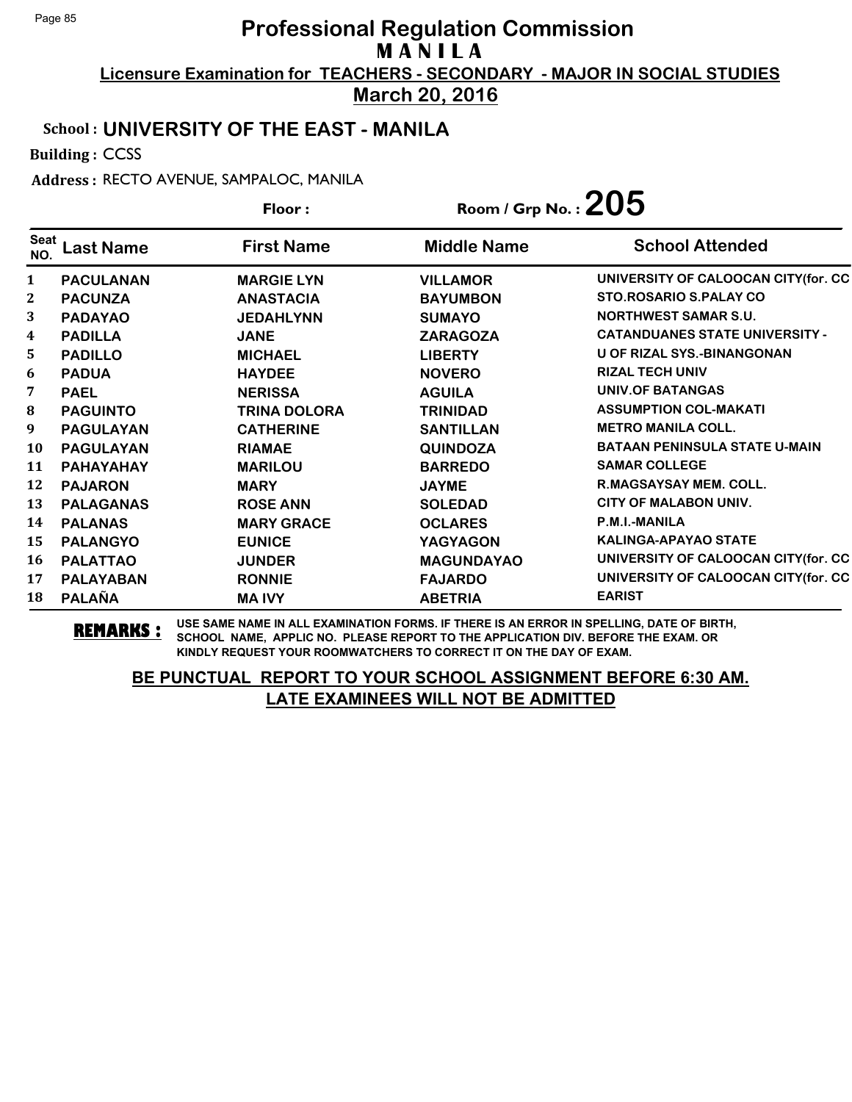**March 20, 2016**

## School : **UNIVERSITY OF THE EAST - MANILA**

Building : CCSS

Address : RECTO AVENUE, SAMPALOC, MANILA

|                  |                  | Floor:              | Room / Grp No.: $205$ |                                       |
|------------------|------------------|---------------------|-----------------------|---------------------------------------|
| Seat<br>NO.      | ast Name.        | <b>First Name</b>   | <b>Middle Name</b>    | <b>School Attended</b>                |
| $\mathbf{1}$     | <b>PACULANAN</b> | <b>MARGIE LYN</b>   | <b>VILLAMOR</b>       | UNIVERSITY OF CALOOCAN CITY(for. CC   |
| $\boldsymbol{2}$ | <b>PACUNZA</b>   | <b>ANASTACIA</b>    | <b>BAYUMBON</b>       | <b>STO.ROSARIO S.PALAY CO</b>         |
| 3                | <b>PADAYAO</b>   | <b>JEDAHLYNN</b>    | <b>SUMAYO</b>         | <b>NORTHWEST SAMAR S.U.</b>           |
| 4                | <b>PADILLA</b>   | <b>JANE</b>         | <b>ZARAGOZA</b>       | <b>CATANDUANES STATE UNIVERSITY -</b> |
| 5                | <b>PADILLO</b>   | <b>MICHAEL</b>      | <b>LIBERTY</b>        | <b>U OF RIZAL SYS.-BINANGONAN</b>     |
| 6                | <b>PADUA</b>     | <b>HAYDEE</b>       | <b>NOVERO</b>         | <b>RIZAL TECH UNIV</b>                |
| 7                | <b>PAEL</b>      | <b>NERISSA</b>      | <b>AGUILA</b>         | <b>UNIV.OF BATANGAS</b>               |
| 8                | <b>PAGUINTO</b>  | <b>TRINA DOLORA</b> | <b>TRINIDAD</b>       | <b>ASSUMPTION COL-MAKATI</b>          |
| 9                | <b>PAGULAYAN</b> | <b>CATHERINE</b>    | <b>SANTILLAN</b>      | <b>METRO MANILA COLL.</b>             |
| 10               | <b>PAGULAYAN</b> | <b>RIAMAE</b>       | <b>QUINDOZA</b>       | <b>BATAAN PENINSULA STATE U-MAIN</b>  |
| 11               | PAHAYAHAY        | <b>MARILOU</b>      | <b>BARREDO</b>        | <b>SAMAR COLLEGE</b>                  |
| 12               | <b>PAJARON</b>   | <b>MARY</b>         | <b>JAYME</b>          | R.MAGSAYSAY MEM. COLL.                |
| 13               | <b>PALAGANAS</b> | <b>ROSE ANN</b>     | <b>SOLEDAD</b>        | <b>CITY OF MALABON UNIV.</b>          |
| 14               | <b>PALANAS</b>   | <b>MARY GRACE</b>   | <b>OCLARES</b>        | P.M.I.-MANILA                         |
| 15               | <b>PALANGYO</b>  | <b>EUNICE</b>       | <b>YAGYAGON</b>       | <b>KALINGA-APAYAO STATE</b>           |
| 16               | <b>PALATTAO</b>  | <b>JUNDER</b>       | <b>MAGUNDAYAO</b>     | UNIVERSITY OF CALOOCAN CITY(for. CC   |
| 17               | <b>PALAYABAN</b> | <b>RONNIE</b>       | <b>FAJARDO</b>        | UNIVERSITY OF CALOOCAN CITY(for. CC   |
| 18               | <b>PALAÑA</b>    | <b>MAIVY</b>        | <b>ABETRIA</b>        | <b>EARIST</b>                         |

**REMARKS :** USE SAME NAME IN ALL EXAMINATION FORMS. IF THERE IS AN ERROR IN SPELLING, DATE OF BIRTH, SCHOOL NAME, APPLIC NO. PLEASE REPORT TO THE APPLICATION DIV. BEFORE THE EXAM. OR KINDLY REQUEST YOUR ROOMWATCHERS TO CORRECT IT ON THE DAY OF EXAM.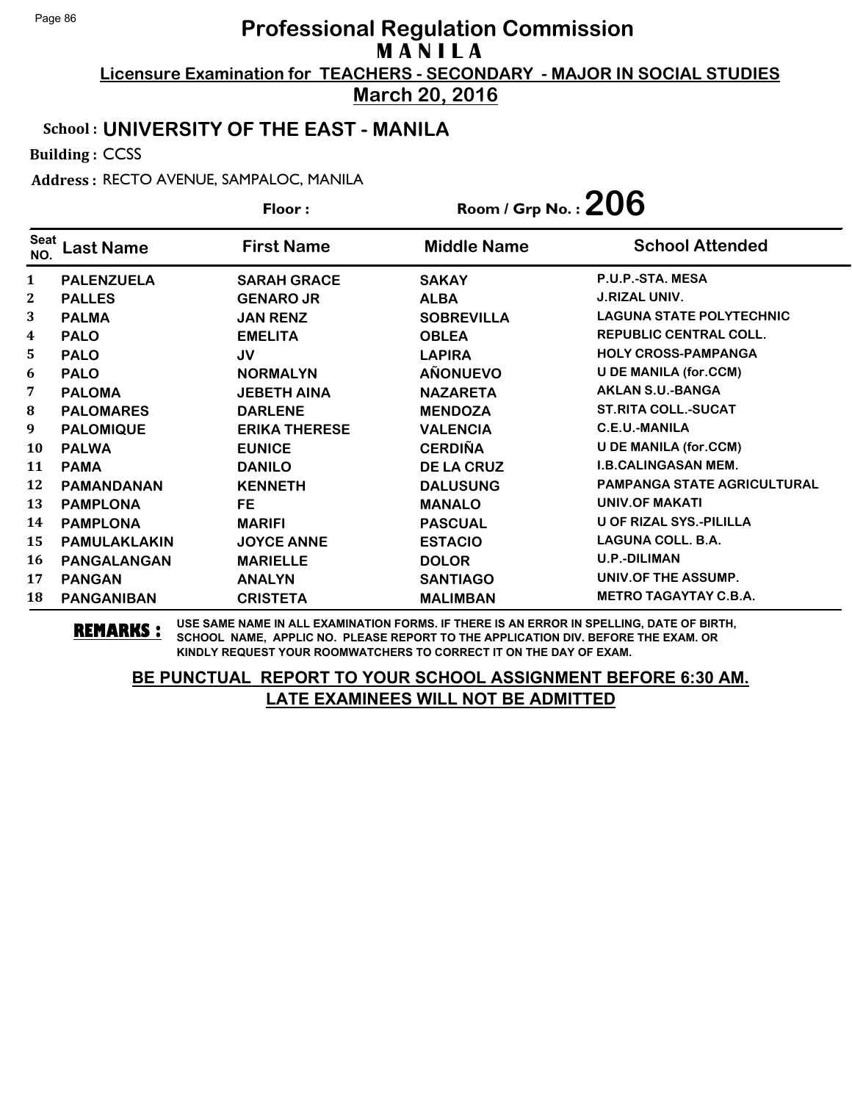**March 20, 2016**

## School : **UNIVERSITY OF THE EAST - MANILA**

Building : CCSS

Address : RECTO AVENUE, SAMPALOC, MANILA

| Floor:             |                     |                      | Room / Grp No.: $206$ |                                    |
|--------------------|---------------------|----------------------|-----------------------|------------------------------------|
| <b>Seat</b><br>NO. | .ast Name           | <b>First Name</b>    | <b>Middle Name</b>    | <b>School Attended</b>             |
| 1                  | <b>PALENZUELA</b>   | <b>SARAH GRACE</b>   | <b>SAKAY</b>          | P.U.P.-STA. MESA                   |
| $\mathbf{2}$       | <b>PALLES</b>       | <b>GENARO JR</b>     | <b>ALBA</b>           | <b>J.RIZAL UNIV.</b>               |
| 3                  | <b>PALMA</b>        | <b>JAN RENZ</b>      | <b>SOBREVILLA</b>     | <b>LAGUNA STATE POLYTECHNIC</b>    |
| 4                  | <b>PALO</b>         | <b>EMELITA</b>       | <b>OBLEA</b>          | <b>REPUBLIC CENTRAL COLL.</b>      |
| 5                  | <b>PALO</b>         | JV                   | <b>LAPIRA</b>         | <b>HOLY CROSS-PAMPANGA</b>         |
| 6                  | <b>PALO</b>         | <b>NORMALYN</b>      | <b>AÑONUEVO</b>       | <b>U DE MANILA (for.CCM)</b>       |
| 7                  | <b>PALOMA</b>       | <b>JEBETH AINA</b>   | <b>NAZARETA</b>       | <b>AKLAN S.U.-BANGA</b>            |
| 8                  | <b>PALOMARES</b>    | <b>DARLENE</b>       | <b>MENDOZA</b>        | <b>ST.RITA COLL.-SUCAT</b>         |
| 9                  | <b>PALOMIQUE</b>    | <b>ERIKA THERESE</b> | <b>VALENCIA</b>       | <b>C.E.U.-MANILA</b>               |
| 10                 | <b>PALWA</b>        | <b>EUNICE</b>        | <b>CERDIÑA</b>        | <b>U DE MANILA (for.CCM)</b>       |
| 11                 | <b>PAMA</b>         | <b>DANILO</b>        | <b>DE LA CRUZ</b>     | <b>I.B.CALINGASAN MEM.</b>         |
| 12                 | <b>PAMANDANAN</b>   | <b>KENNETH</b>       | <b>DALUSUNG</b>       | <b>PAMPANGA STATE AGRICULTURAL</b> |
| 13                 | <b>PAMPLONA</b>     | <b>FE</b>            | <b>MANALO</b>         | <b>UNIV.OF MAKATI</b>              |
| 14                 | <b>PAMPLONA</b>     | <b>MARIFI</b>        | <b>PASCUAL</b>        | <b>U OF RIZAL SYS.-PILILLA</b>     |
| 15                 | <b>PAMULAKLAKIN</b> | <b>JOYCE ANNE</b>    | <b>ESTACIO</b>        | <b>LAGUNA COLL. B.A.</b>           |
| 16                 | <b>PANGALANGAN</b>  | <b>MARIELLE</b>      | <b>DOLOR</b>          | <b>U.P.-DILIMAN</b>                |
| 17                 | <b>PANGAN</b>       | <b>ANALYN</b>        | <b>SANTIAGO</b>       | UNIV.OF THE ASSUMP.                |
| 18                 | <b>PANGANIBAN</b>   | <b>CRISTETA</b>      | <b>MALIMBAN</b>       | <b>METRO TAGAYTAY C.B.A.</b>       |

**REMARKS :** USE SAME NAME IN ALL EXAMINATION FORMS. IF THERE IS AN ERROR IN SPELLING, DATE OF BIRTH, SCHOOL NAME, APPLIC NO. PLEASE REPORT TO THE APPLICATION DIV. BEFORE THE EXAM. OR KINDLY REQUEST YOUR ROOMWATCHERS TO CORRECT IT ON THE DAY OF EXAM.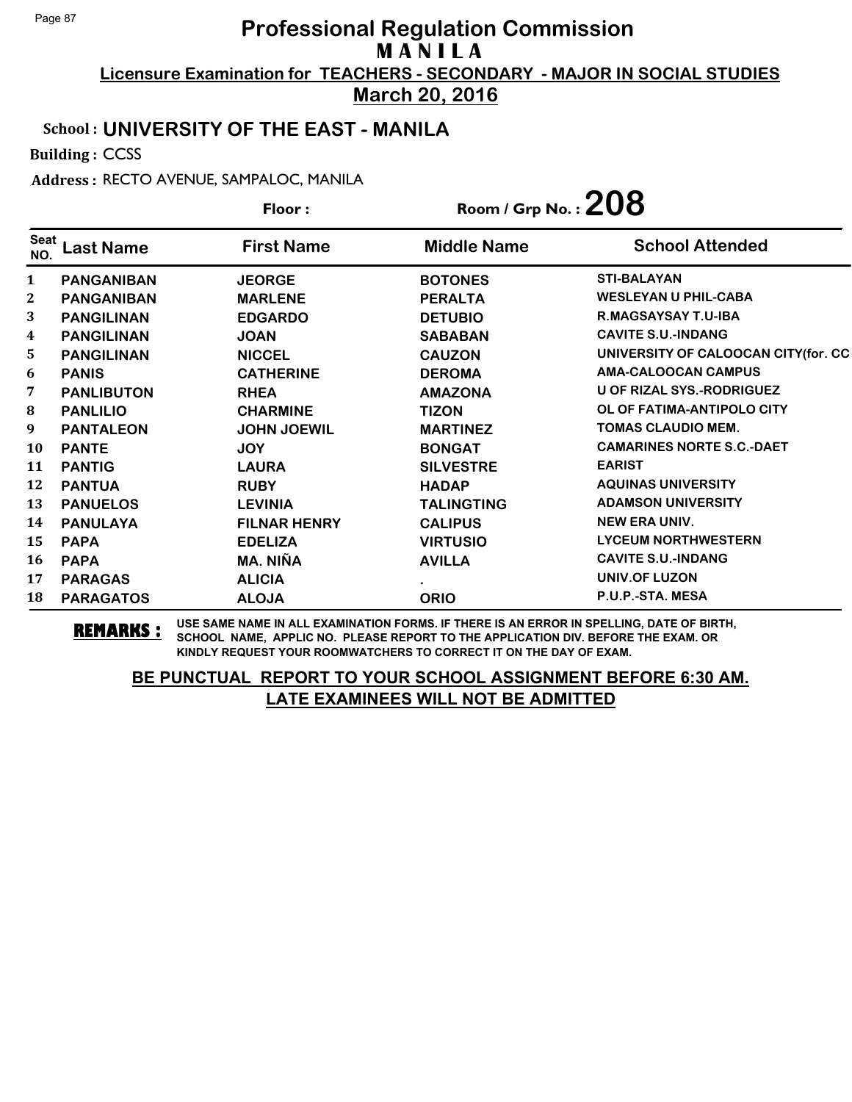**March 20, 2016**

#### School : **UNIVERSITY OF THE EAST - MANILA**

Building : CCSS

Address : RECTO AVENUE, SAMPALOC, MANILA

|                  |                   | Floor:              | Room / Grp No.: $208$ |                                     |
|------------------|-------------------|---------------------|-----------------------|-------------------------------------|
| Seat<br>NO.      | ast Name          | <b>First Name</b>   | <b>Middle Name</b>    | <b>School Attended</b>              |
| $\mathbf{1}$     | <b>PANGANIBAN</b> | <b>JEORGE</b>       | <b>BOTONES</b>        | <b>STI-BALAYAN</b>                  |
| 2                | <b>PANGANIBAN</b> | <b>MARLENE</b>      | <b>PERALTA</b>        | <b>WESLEYAN U PHIL-CABA</b>         |
| 3                | <b>PANGILINAN</b> | <b>EDGARDO</b>      | <b>DETUBIO</b>        | R.MAGSAYSAY T.U-IBA                 |
| $\boldsymbol{4}$ | <b>PANGILINAN</b> | <b>JOAN</b>         | <b>SABABAN</b>        | <b>CAVITE S.U.-INDANG</b>           |
| 5.               | <b>PANGILINAN</b> | <b>NICCEL</b>       | <b>CAUZON</b>         | UNIVERSITY OF CALOOCAN CITY(for. CC |
| 6                | <b>PANIS</b>      | <b>CATHERINE</b>    | <b>DEROMA</b>         | <b>AMA-CALOOCAN CAMPUS</b>          |
| 7                | <b>PANLIBUTON</b> | <b>RHEA</b>         | <b>AMAZONA</b>        | U OF RIZAL SYS.-RODRIGUEZ           |
| 8                | <b>PANLILIO</b>   | <b>CHARMINE</b>     | <b>TIZON</b>          | OL OF FATIMA-ANTIPOLO CITY          |
| 9                | <b>PANTALEON</b>  | <b>JOHN JOEWIL</b>  | <b>MARTINEZ</b>       | <b>TOMAS CLAUDIO MEM.</b>           |
| 10               | <b>PANTE</b>      | <b>JOY</b>          | <b>BONGAT</b>         | <b>CAMARINES NORTE S.C.-DAET</b>    |
| 11               | <b>PANTIG</b>     | <b>LAURA</b>        | <b>SILVESTRE</b>      | <b>EARIST</b>                       |
| 12               | <b>PANTUA</b>     | <b>RUBY</b>         | <b>HADAP</b>          | <b>AQUINAS UNIVERSITY</b>           |
| 13               | <b>PANUELOS</b>   | <b>LEVINIA</b>      | <b>TALINGTING</b>     | <b>ADAMSON UNIVERSITY</b>           |
| 14               | <b>PANULAYA</b>   | <b>FILNAR HENRY</b> | <b>CALIPUS</b>        | <b>NEW ERA UNIV.</b>                |
| 15               | <b>PAPA</b>       | <b>EDELIZA</b>      | <b>VIRTUSIO</b>       | <b>LYCEUM NORTHWESTERN</b>          |
| 16               | <b>PAPA</b>       | MA. NIÑA            | <b>AVILLA</b>         | <b>CAVITE S.U.-INDANG</b>           |
| 17               | <b>PARAGAS</b>    | <b>ALICIA</b>       |                       | UNIV.OF LUZON                       |
| 18               | <b>PARAGATOS</b>  | <b>ALOJA</b>        | <b>ORIO</b>           | P.U.P.-STA. MESA                    |

**REMARKS :** USE SAME NAME IN ALL EXAMINATION FORMS. IF THERE IS AN ERROR IN SPELLING, DATE OF BIRTH, SCHOOL NAME, APPLIC NO. PLEASE REPORT TO THE APPLICATION DIV. BEFORE THE EXAM. OR KINDLY REQUEST YOUR ROOMWATCHERS TO CORRECT IT ON THE DAY OF EXAM.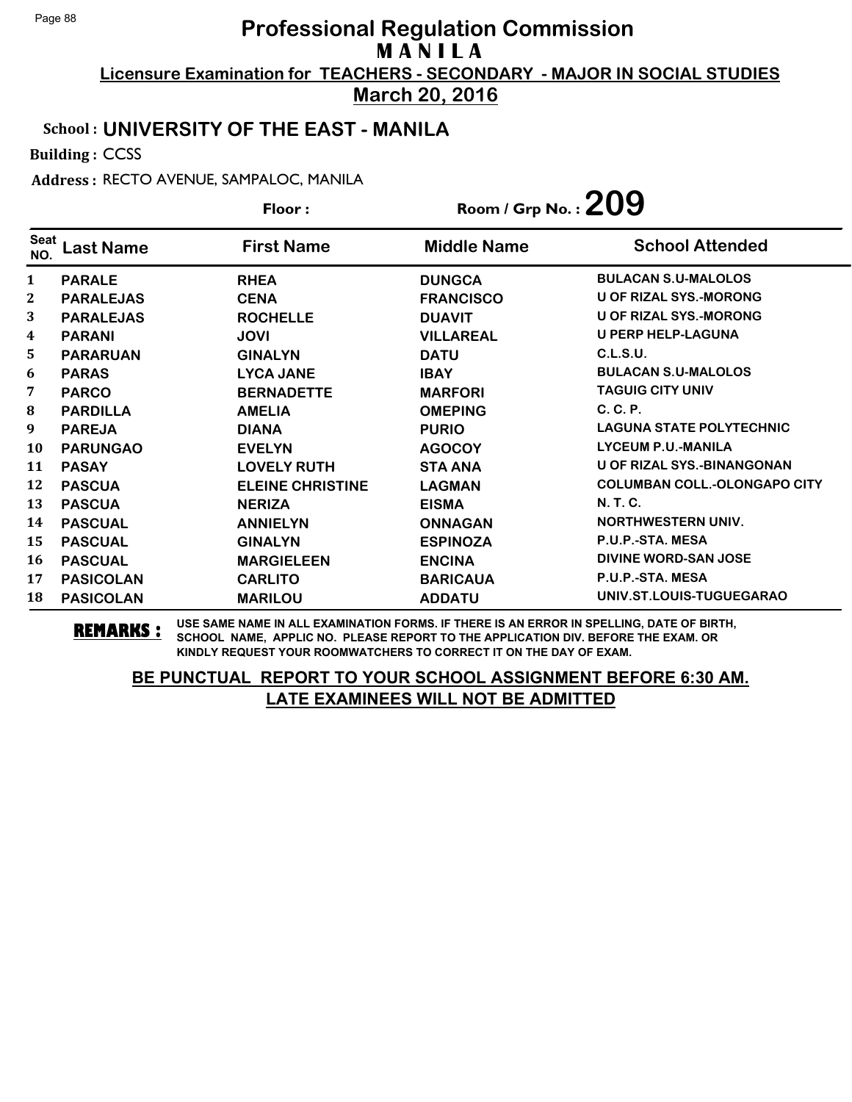**March 20, 2016**

## School : **UNIVERSITY OF THE EAST - MANILA**

Building : CCSS

Address : RECTO AVENUE, SAMPALOC, MANILA

|              |                  | Floor:                  | Room / Grp No. : $209$ |                                     |
|--------------|------------------|-------------------------|------------------------|-------------------------------------|
| Seat<br>NO.  | ast Name.        | <b>First Name</b>       | <b>Middle Name</b>     | <b>School Attended</b>              |
| 1            | <b>PARALE</b>    | <b>RHEA</b>             | <b>DUNGCA</b>          | <b>BULACAN S.U-MALOLOS</b>          |
| $\mathbf{2}$ | <b>PARALEJAS</b> | <b>CENA</b>             | <b>FRANCISCO</b>       | <b>U OF RIZAL SYS.-MORONG</b>       |
| 3            | <b>PARALEJAS</b> | <b>ROCHELLE</b>         | <b>DUAVIT</b>          | <b>U OF RIZAL SYS.-MORONG</b>       |
| 4            | <b>PARANI</b>    | <b>JOVI</b>             | <b>VILLAREAL</b>       | <b>U PERP HELP-LAGUNA</b>           |
| 5            | <b>PARARUAN</b>  | <b>GINALYN</b>          | <b>DATU</b>            | C.L.S.U.                            |
| 6            | <b>PARAS</b>     | <b>LYCA JANE</b>        | <b>IBAY</b>            | <b>BULACAN S.U-MALOLOS</b>          |
| 7            | <b>PARCO</b>     | <b>BERNADETTE</b>       | <b>MARFORI</b>         | <b>TAGUIG CITY UNIV</b>             |
| 8            | <b>PARDILLA</b>  | <b>AMELIA</b>           | <b>OMEPING</b>         | C. C. P.                            |
| 9            | <b>PAREJA</b>    | <b>DIANA</b>            | <b>PURIO</b>           | <b>LAGUNA STATE POLYTECHNIC</b>     |
| 10           | <b>PARUNGAO</b>  | <b>EVELYN</b>           | <b>AGOCOY</b>          | <b>LYCEUM P.U.-MANILA</b>           |
| 11           | <b>PASAY</b>     | <b>LOVELY RUTH</b>      | <b>STA ANA</b>         | <b>U OF RIZAL SYS.-BINANGONAN</b>   |
| 12           | <b>PASCUA</b>    | <b>ELEINE CHRISTINE</b> | <b>LAGMAN</b>          | <b>COLUMBAN COLL.-OLONGAPO CITY</b> |
| 13           | <b>PASCUA</b>    | <b>NERIZA</b>           | <b>EISMA</b>           | <b>N.T.C.</b>                       |
| 14           | <b>PASCUAL</b>   | <b>ANNIELYN</b>         | <b>ONNAGAN</b>         | <b>NORTHWESTERN UNIV.</b>           |
| 15           | <b>PASCUAL</b>   | <b>GINALYN</b>          | <b>ESPINOZA</b>        | P.U.P.-STA. MESA                    |
| 16           | <b>PASCUAL</b>   | <b>MARGIELEEN</b>       | <b>ENCINA</b>          | <b>DIVINE WORD-SAN JOSE</b>         |
| 17           | <b>PASICOLAN</b> | <b>CARLITO</b>          | <b>BARICAUA</b>        | P.U.P.-STA. MESA                    |
| 18           | <b>PASICOLAN</b> | <b>MARILOU</b>          | <b>ADDATU</b>          | UNIV.ST.LOUIS-TUGUEGARAO            |

**REMARKS :** USE SAME NAME IN ALL EXAMINATION FORMS. IF THERE IS AN ERROR IN SPELLING, DATE OF BIRTH, SCHOOL NAME, APPLIC NO. PLEASE REPORT TO THE APPLICATION DIV. BEFORE THE EXAM. OR KINDLY REQUEST YOUR ROOMWATCHERS TO CORRECT IT ON THE DAY OF EXAM.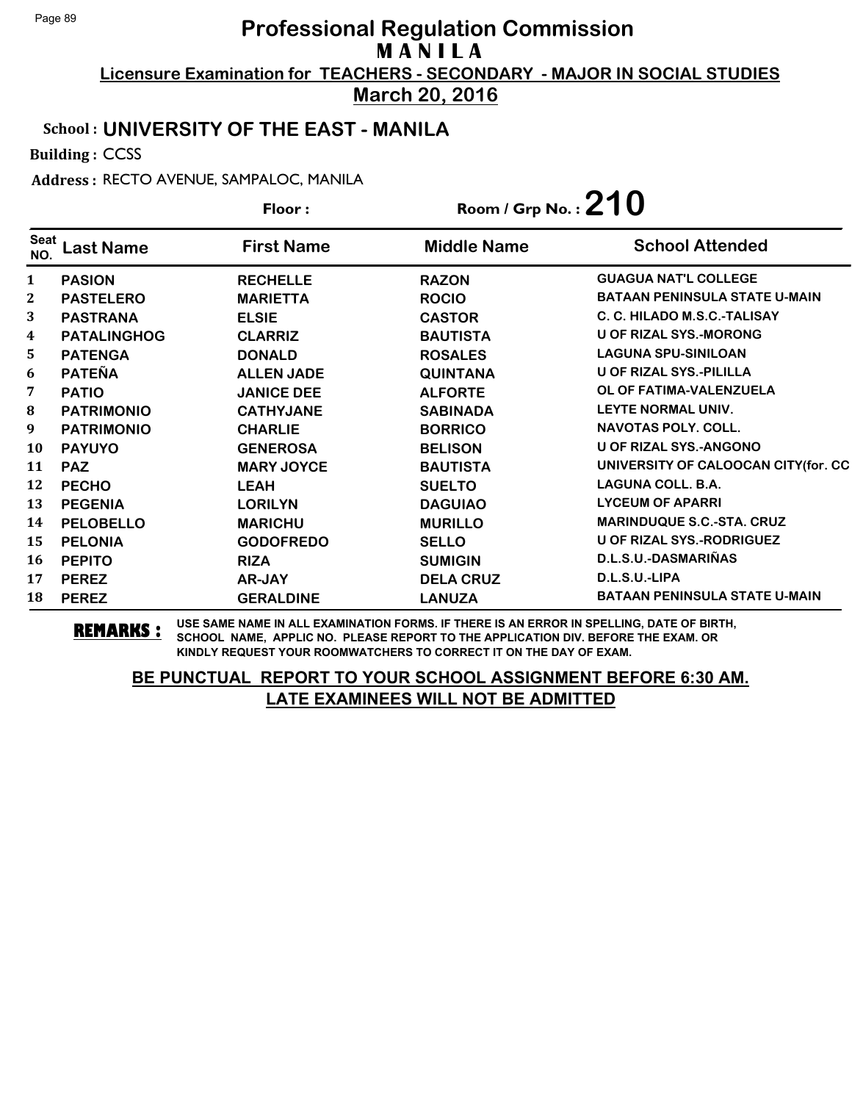**March 20, 2016**

## School : **UNIVERSITY OF THE EAST - MANILA**

Building : CCSS

Address : RECTO AVENUE, SAMPALOC, MANILA

|                    | Floor:             |                   | Room / Grp No.: $210$ |                                      |
|--------------------|--------------------|-------------------|-----------------------|--------------------------------------|
| <b>Seat</b><br>NO. | ast Name.          | <b>First Name</b> | <b>Middle Name</b>    | <b>School Attended</b>               |
| $\mathbf{1}$       | <b>PASION</b>      | <b>RECHELLE</b>   | <b>RAZON</b>          | <b>GUAGUA NAT'L COLLEGE</b>          |
| $\mathbf{2}$       | <b>PASTELERO</b>   | <b>MARIETTA</b>   | <b>ROCIO</b>          | <b>BATAAN PENINSULA STATE U-MAIN</b> |
| 3                  | <b>PASTRANA</b>    | <b>ELSIE</b>      | <b>CASTOR</b>         | C. C. HILADO M.S.C.-TALISAY          |
| 4                  | <b>PATALINGHOG</b> | <b>CLARRIZ</b>    | <b>BAUTISTA</b>       | <b>U OF RIZAL SYS.-MORONG</b>        |
| 5                  | <b>PATENGA</b>     | <b>DONALD</b>     | <b>ROSALES</b>        | <b>LAGUNA SPU-SINILOAN</b>           |
| 6                  | <b>PATEÑA</b>      | <b>ALLEN JADE</b> | <b>QUINTANA</b>       | <b>U OF RIZAL SYS.-PILILLA</b>       |
| 7                  | <b>PATIO</b>       | <b>JANICE DEE</b> | <b>ALFORTE</b>        | OL OF FATIMA-VALENZUELA              |
| $\bf{8}$           | <b>PATRIMONIO</b>  | <b>CATHYJANE</b>  | <b>SABINADA</b>       | LEYTE NORMAL UNIV.                   |
| 9                  | <b>PATRIMONIO</b>  | <b>CHARLIE</b>    | <b>BORRICO</b>        | <b>NAVOTAS POLY, COLL.</b>           |
| 10                 | <b>PAYUYO</b>      | <b>GENEROSA</b>   | <b>BELISON</b>        | <b>U OF RIZAL SYS.-ANGONO</b>        |
| 11                 | <b>PAZ</b>         | <b>MARY JOYCE</b> | <b>BAUTISTA</b>       | UNIVERSITY OF CALOOCAN CITY(for. CC  |
| 12                 | <b>PECHO</b>       | <b>LEAH</b>       | <b>SUELTO</b>         | <b>LAGUNA COLL. B.A.</b>             |
| 13                 | <b>PEGENIA</b>     | <b>LORILYN</b>    | <b>DAGUIAO</b>        | <b>LYCEUM OF APARRI</b>              |
| 14                 | <b>PELOBELLO</b>   | <b>MARICHU</b>    | <b>MURILLO</b>        | <b>MARINDUQUE S.C.-STA. CRUZ</b>     |
| 15                 | <b>PELONIA</b>     | <b>GODOFREDO</b>  | <b>SELLO</b>          | U OF RIZAL SYS.-RODRIGUEZ            |
| 16                 | <b>PEPITO</b>      | <b>RIZA</b>       | <b>SUMIGIN</b>        | D.L.S.U.-DASMARIÑAS                  |
| 17                 | <b>PEREZ</b>       | AR-JAY            | <b>DELA CRUZ</b>      | D.L.S.U.-LIPA                        |
| 18                 | <b>PEREZ</b>       | <b>GERALDINE</b>  | <b>LANUZA</b>         | <b>BATAAN PENINSULA STATE U-MAIN</b> |

**REMARKS :** USE SAME NAME IN ALL EXAMINATION FORMS. IF THERE IS AN ERROR IN SPELLING, DATE OF BIRTH, SCHOOL NAME, APPLIC NO. PLEASE REPORT TO THE APPLICATION DIV. BEFORE THE EXAM. OR KINDLY REQUEST YOUR ROOMWATCHERS TO CORRECT IT ON THE DAY OF EXAM.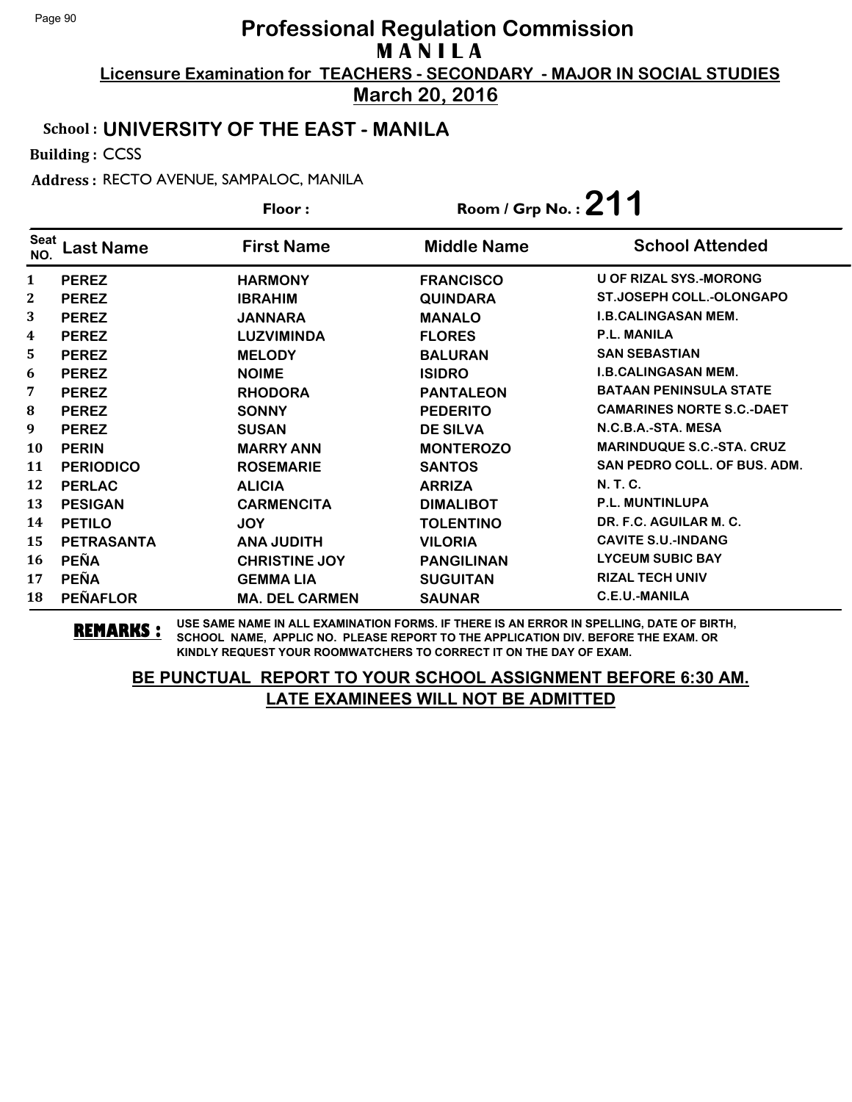**March 20, 2016**

## School : **UNIVERSITY OF THE EAST - MANILA**

Building : CCSS

Address : RECTO AVENUE, SAMPALOC, MANILA

|              |                   | Floor:                | Room / Grp No.: $211$ |                                     |
|--------------|-------------------|-----------------------|-----------------------|-------------------------------------|
| Seat<br>NO.  | ast Name.         | <b>First Name</b>     | <b>Middle Name</b>    | <b>School Attended</b>              |
| $\mathbf{1}$ | <b>PEREZ</b>      | <b>HARMONY</b>        | <b>FRANCISCO</b>      | <b>U OF RIZAL SYS.-MORONG</b>       |
| $\mathbf{2}$ | <b>PEREZ</b>      | <b>IBRAHIM</b>        | <b>QUINDARA</b>       | <b>ST.JOSEPH COLL.-OLONGAPO</b>     |
| 3            | <b>PEREZ</b>      | <b>JANNARA</b>        | <b>MANALO</b>         | <b>I.B.CALINGASAN MEM.</b>          |
| 4            | <b>PEREZ</b>      | <b>LUZVIMINDA</b>     | <b>FLORES</b>         | <b>P.L. MANILA</b>                  |
| 5            | <b>PEREZ</b>      | <b>MELODY</b>         | <b>BALURAN</b>        | <b>SAN SEBASTIAN</b>                |
| 6            | <b>PEREZ</b>      | <b>NOIME</b>          | <b>ISIDRO</b>         | <b>I.B.CALINGASAN MEM.</b>          |
| 7            | <b>PEREZ</b>      | <b>RHODORA</b>        | <b>PANTALEON</b>      | <b>BATAAN PENINSULA STATE</b>       |
| $\bf{8}$     | <b>PEREZ</b>      | <b>SONNY</b>          | <b>PEDERITO</b>       | <b>CAMARINES NORTE S.C.-DAET</b>    |
| 9            | <b>PEREZ</b>      | <b>SUSAN</b>          | <b>DE SILVA</b>       | N.C.B.A.-STA. MESA                  |
| 10           | <b>PERIN</b>      | <b>MARRY ANN</b>      | <b>MONTEROZO</b>      | <b>MARINDUQUE S.C.-STA. CRUZ</b>    |
| 11           | <b>PERIODICO</b>  | <b>ROSEMARIE</b>      | <b>SANTOS</b>         | <b>SAN PEDRO COLL. OF BUS. ADM.</b> |
| 12           | <b>PERLAC</b>     | <b>ALICIA</b>         | <b>ARRIZA</b>         | N. T. C.                            |
| 13           | <b>PESIGAN</b>    | <b>CARMENCITA</b>     | <b>DIMALIBOT</b>      | <b>P.L. MUNTINLUPA</b>              |
| 14           | <b>PETILO</b>     | <b>JOY</b>            | <b>TOLENTINO</b>      | DR. F.C. AGUILAR M. C.              |
| 15           | <b>PETRASANTA</b> | <b>ANA JUDITH</b>     | <b>VILORIA</b>        | <b>CAVITE S.U.-INDANG</b>           |
| 16           | <b>PEÑA</b>       | <b>CHRISTINE JOY</b>  | <b>PANGILINAN</b>     | <b>LYCEUM SUBIC BAY</b>             |
| 17           | <b>PEÑA</b>       | <b>GEMMALIA</b>       | <b>SUGUITAN</b>       | <b>RIZAL TECH UNIV</b>              |
| 18           | <b>PEÑAFLOR</b>   | <b>MA. DEL CARMEN</b> | <b>SAUNAR</b>         | C.E.U.-MANILA                       |

**REMARKS :** USE SAME NAME IN ALL EXAMINATION FORMS. IF THERE IS AN ERROR IN SPELLING, DATE OF BIRTH, SCHOOL NAME, APPLIC NO. PLEASE REPORT TO THE APPLICATION DIV. BEFORE THE EXAM. OR KINDLY REQUEST YOUR ROOMWATCHERS TO CORRECT IT ON THE DAY OF EXAM.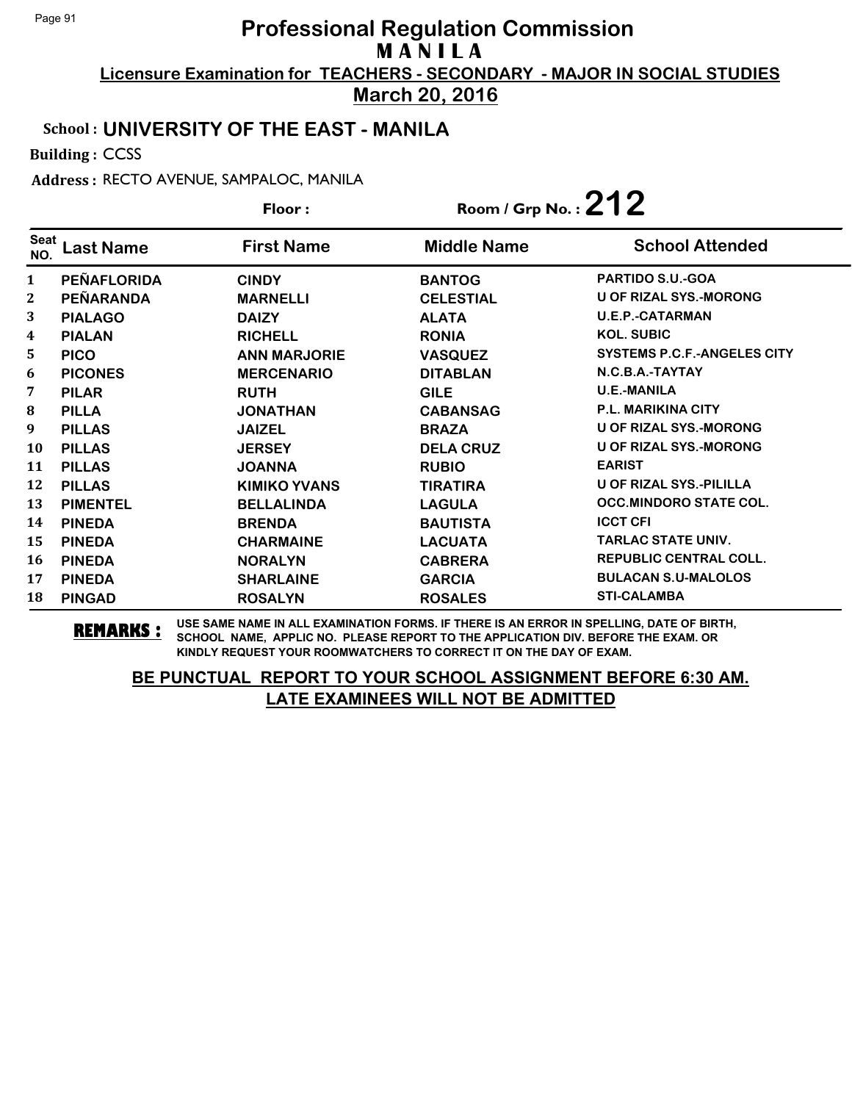**March 20, 2016**

## School : **UNIVERSITY OF THE EAST - MANILA**

Building : CCSS

Address : RECTO AVENUE, SAMPALOC, MANILA

|                    |                    | Floor:              | Room / Grp No.: $212$ |                                    |  |
|--------------------|--------------------|---------------------|-----------------------|------------------------------------|--|
| <b>Seat</b><br>NO. | ast Name.          | <b>First Name</b>   | <b>Middle Name</b>    | <b>School Attended</b>             |  |
| $\mathbf{1}$       | <b>PEÑAFLORIDA</b> | <b>CINDY</b>        | <b>BANTOG</b>         | <b>PARTIDO S.U.-GOA</b>            |  |
| $\mathbf 2$        | <b>PEÑARANDA</b>   | <b>MARNELLI</b>     | <b>CELESTIAL</b>      | <b>U OF RIZAL SYS.-MORONG</b>      |  |
| 3                  | <b>PIALAGO</b>     | <b>DAIZY</b>        | <b>ALATA</b>          | <b>U.E.P.-CATARMAN</b>             |  |
| 4                  | <b>PIALAN</b>      | <b>RICHELL</b>      | <b>RONIA</b>          | <b>KOL. SUBIC</b>                  |  |
| 5                  | <b>PICO</b>        | <b>ANN MARJORIE</b> | <b>VASQUEZ</b>        | <b>SYSTEMS P.C.F.-ANGELES CITY</b> |  |
| 6                  | <b>PICONES</b>     | <b>MERCENARIO</b>   | <b>DITABLAN</b>       | N.C.B.A.-TAYTAY                    |  |
| 7                  | <b>PILAR</b>       | <b>RUTH</b>         | <b>GILE</b>           | <b>U.E.-MANILA</b>                 |  |
| 8                  | <b>PILLA</b>       | <b>JONATHAN</b>     | <b>CABANSAG</b>       | <b>P.L. MARIKINA CITY</b>          |  |
| 9                  | <b>PILLAS</b>      | <b>JAIZEL</b>       | <b>BRAZA</b>          | <b>U OF RIZAL SYS.-MORONG</b>      |  |
| 10                 | <b>PILLAS</b>      | <b>JERSEY</b>       | <b>DELA CRUZ</b>      | U OF RIZAL SYS.-MORONG             |  |
| 11                 | <b>PILLAS</b>      | <b>JOANNA</b>       | <b>RUBIO</b>          | <b>EARIST</b>                      |  |
| 12                 | <b>PILLAS</b>      | <b>KIMIKO YVANS</b> | <b>TIRATIRA</b>       | <b>U OF RIZAL SYS.-PILILLA</b>     |  |
| 13                 | <b>PIMENTEL</b>    | <b>BELLALINDA</b>   | <b>LAGULA</b>         | <b>OCC.MINDORO STATE COL.</b>      |  |
| 14                 | <b>PINEDA</b>      | <b>BRENDA</b>       | <b>BAUTISTA</b>       | <b>ICCT CFI</b>                    |  |
| 15                 | <b>PINEDA</b>      | <b>CHARMAINE</b>    | <b>LACUATA</b>        | <b>TARLAC STATE UNIV.</b>          |  |
| 16                 | <b>PINEDA</b>      | <b>NORALYN</b>      | <b>CABRERA</b>        | <b>REPUBLIC CENTRAL COLL.</b>      |  |
| 17                 | <b>PINEDA</b>      | <b>SHARLAINE</b>    | <b>GARCIA</b>         | <b>BULACAN S.U-MALOLOS</b>         |  |
| 18                 | <b>PINGAD</b>      | <b>ROSALYN</b>      | <b>ROSALES</b>        | <b>STI-CALAMBA</b>                 |  |

**REMARKS :** USE SAME NAME IN ALL EXAMINATION FORMS. IF THERE IS AN ERROR IN SPELLING, DATE OF BIRTH, SCHOOL NAME, APPLIC NO. PLEASE REPORT TO THE APPLICATION DIV. BEFORE THE EXAM. OR KINDLY REQUEST YOUR ROOMWATCHERS TO CORRECT IT ON THE DAY OF EXAM.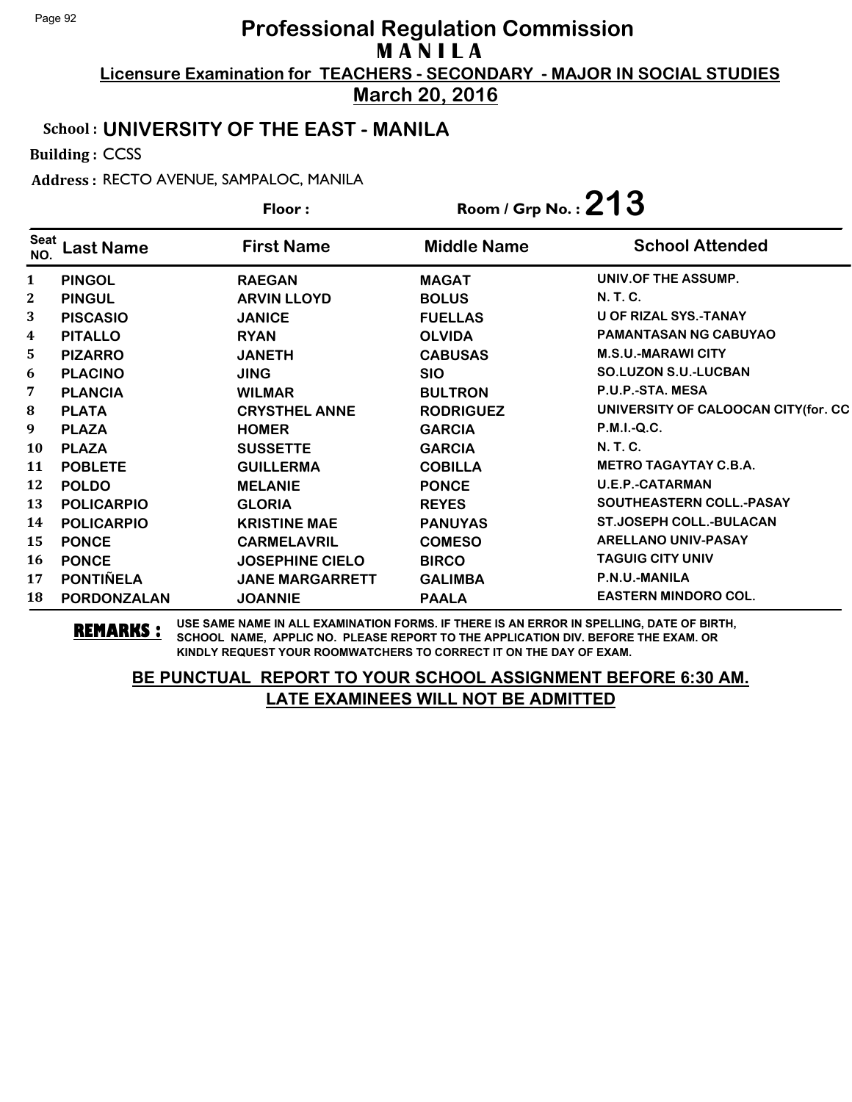**March 20, 2016**

## School : **UNIVERSITY OF THE EAST - MANILA**

Building : CCSS

Address : RECTO AVENUE, SAMPALOC, MANILA

|                    |                    | Room / Grp No.: $213$<br>Floor: |                    |                                     |
|--------------------|--------------------|---------------------------------|--------------------|-------------------------------------|
| <b>Seat</b><br>NO. | ast Name           | <b>First Name</b>               | <b>Middle Name</b> | <b>School Attended</b>              |
| $\mathbf{1}$       | <b>PINGOL</b>      | <b>RAEGAN</b>                   | <b>MAGAT</b>       | UNIV.OF THE ASSUMP.                 |
| $\mathbf{2}$       | <b>PINGUL</b>      | <b>ARVIN LLOYD</b>              | <b>BOLUS</b>       | N. T. C.                            |
| 3                  | <b>PISCASIO</b>    | <b>JANICE</b>                   | <b>FUELLAS</b>     | <b>U OF RIZAL SYS.-TANAY</b>        |
| 4                  | <b>PITALLO</b>     | <b>RYAN</b>                     | <b>OLVIDA</b>      | <b>PAMANTASAN NG CABUYAO</b>        |
| 5                  | <b>PIZARRO</b>     | <b>JANETH</b>                   | <b>CABUSAS</b>     | <b>M.S.U.-MARAWI CITY</b>           |
| 6                  | <b>PLACINO</b>     | <b>JING</b>                     | <b>SIO</b>         | <b>SO.LUZON S.U.-LUCBAN</b>         |
| 7                  | <b>PLANCIA</b>     | <b>WILMAR</b>                   | <b>BULTRON</b>     | P.U.P.-STA. MESA                    |
| ${\bf 8}$          | <b>PLATA</b>       | <b>CRYSTHEL ANNE</b>            | <b>RODRIGUEZ</b>   | UNIVERSITY OF CALOOCAN CITY(for. CC |
| 9                  | <b>PLAZA</b>       | <b>HOMER</b>                    | <b>GARCIA</b>      | P.M.I.-Q.C.                         |
| 10                 | <b>PLAZA</b>       | <b>SUSSETTE</b>                 | <b>GARCIA</b>      | N. T. C.                            |
| 11                 | <b>POBLETE</b>     | <b>GUILLERMA</b>                | <b>COBILLA</b>     | <b>METRO TAGAYTAY C.B.A.</b>        |
| 12                 | <b>POLDO</b>       | <b>MELANIE</b>                  | <b>PONCE</b>       | <b>U.E.P.-CATARMAN</b>              |
| 13                 | <b>POLICARPIO</b>  | <b>GLORIA</b>                   | <b>REYES</b>       | <b>SOUTHEASTERN COLL.-PASAY</b>     |
| 14                 | <b>POLICARPIO</b>  | <b>KRISTINE MAE</b>             | <b>PANUYAS</b>     | <b>ST.JOSEPH COLL.-BULACAN</b>      |
| 15                 | <b>PONCE</b>       | <b>CARMELAVRIL</b>              | <b>COMESO</b>      | <b>ARELLANO UNIV-PASAY</b>          |
| 16                 | <b>PONCE</b>       | <b>JOSEPHINE CIELO</b>          | <b>BIRCO</b>       | <b>TAGUIG CITY UNIV</b>             |
| 17                 | <b>PONTIÑELA</b>   | <b>JANE MARGARRETT</b>          | <b>GALIMBA</b>     | P.N.U.-MANILA                       |
| 18                 | <b>PORDONZALAN</b> | <b>JOANNIE</b>                  | <b>PAALA</b>       | <b>EASTERN MINDORO COL.</b>         |

**REMARKS :** USE SAME NAME IN ALL EXAMINATION FORMS. IF THERE IS AN ERROR IN SPELLING, DATE OF BIRTH, SCHOOL NAME, APPLIC NO. PLEASE REPORT TO THE APPLICATION DIV. BEFORE THE EXAM. OR KINDLY REQUEST YOUR ROOMWATCHERS TO CORRECT IT ON THE DAY OF EXAM.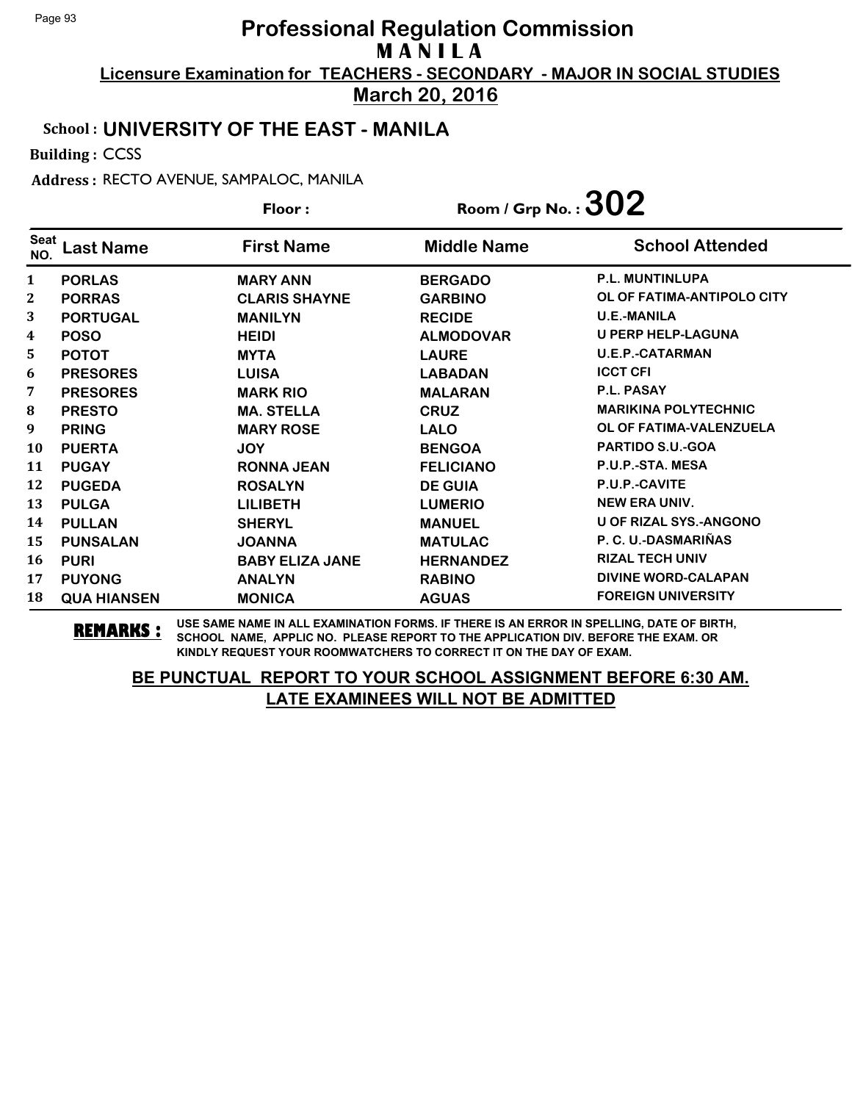**March 20, 2016**

## School : **UNIVERSITY OF THE EAST - MANILA**

Building : CCSS

Address : RECTO AVENUE, SAMPALOC, MANILA

|             |                    | Floor:                 | Room / Grp No.: $302$ |                               |
|-------------|--------------------|------------------------|-----------------------|-------------------------------|
| Seat<br>NO. | ast Name           | <b>First Name</b>      | <b>Middle Name</b>    | <b>School Attended</b>        |
| 1           | <b>PORLAS</b>      | <b>MARY ANN</b>        | <b>BERGADO</b>        | <b>P.L. MUNTINLUPA</b>        |
| 2           | <b>PORRAS</b>      | <b>CLARIS SHAYNE</b>   | <b>GARBINO</b>        | OL OF FATIMA-ANTIPOLO CITY    |
| 3           | <b>PORTUGAL</b>    | <b>MANILYN</b>         | <b>RECIDE</b>         | <b>U.E.-MANILA</b>            |
| 4           | <b>POSO</b>        | <b>HEIDI</b>           | <b>ALMODOVAR</b>      | <b>U PERP HELP-LAGUNA</b>     |
| 5           | <b>POTOT</b>       | <b>MYTA</b>            | <b>LAURE</b>          | <b>U.E.P.-CATARMAN</b>        |
| 6           | <b>PRESORES</b>    | <b>LUISA</b>           | <b>LABADAN</b>        | <b>ICCT CFI</b>               |
| 7           | <b>PRESORES</b>    | <b>MARK RIO</b>        | <b>MALARAN</b>        | <b>P.L. PASAY</b>             |
| 8           | <b>PRESTO</b>      | <b>MA. STELLA</b>      | <b>CRUZ</b>           | <b>MARIKINA POLYTECHNIC</b>   |
| 9           | <b>PRING</b>       | <b>MARY ROSE</b>       | <b>LALO</b>           | OL OF FATIMA-VALENZUELA       |
| 10          | <b>PUERTA</b>      | <b>JOY</b>             | <b>BENGOA</b>         | PARTIDO S.U.-GOA              |
| 11          | <b>PUGAY</b>       | <b>RONNA JEAN</b>      | <b>FELICIANO</b>      | P.U.P.-STA. MESA              |
| 12          | <b>PUGEDA</b>      | <b>ROSALYN</b>         | <b>DE GUIA</b>        | P.U.P.-CAVITE                 |
| 13          | <b>PULGA</b>       | <b>LILIBETH</b>        | <b>LUMERIO</b>        | <b>NEW ERA UNIV.</b>          |
| 14          | <b>PULLAN</b>      | <b>SHERYL</b>          | <b>MANUEL</b>         | <b>U OF RIZAL SYS.-ANGONO</b> |
| 15          | <b>PUNSALAN</b>    | <b>JOANNA</b>          | <b>MATULAC</b>        | P. C. U.-DASMARIÑAS           |
| 16          | <b>PURI</b>        | <b>BABY ELIZA JANE</b> | <b>HERNANDEZ</b>      | <b>RIZAL TECH UNIV</b>        |
| 17          | <b>PUYONG</b>      | <b>ANALYN</b>          | <b>RABINO</b>         | <b>DIVINE WORD-CALAPAN</b>    |
| 18          | <b>QUA HIANSEN</b> | <b>MONICA</b>          | <b>AGUAS</b>          | <b>FOREIGN UNIVERSITY</b>     |

**REMARKS :** USE SAME NAME IN ALL EXAMINATION FORMS. IF THERE IS AN ERROR IN SPELLING, DATE OF BIRTH, SCHOOL NAME, APPLIC NO. PLEASE REPORT TO THE APPLICATION DIV. BEFORE THE EXAM. OR KINDLY REQUEST YOUR ROOMWATCHERS TO CORRECT IT ON THE DAY OF EXAM.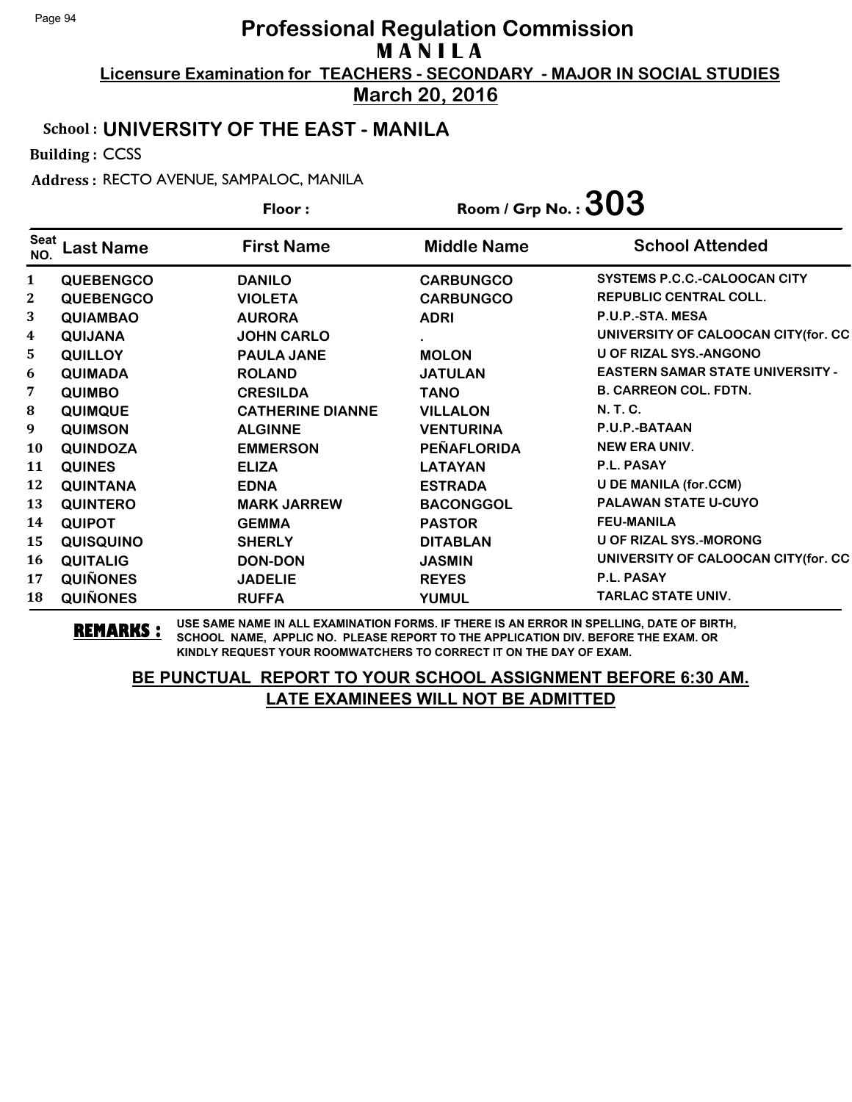**March 20, 2016**

## School : **UNIVERSITY OF THE EAST - MANILA**

Building : CCSS

Address : RECTO AVENUE, SAMPALOC, MANILA

|                         | Floor:           |                         | Room / Grp No.: $303$ |                                         |
|-------------------------|------------------|-------------------------|-----------------------|-----------------------------------------|
| <b>Seat</b><br>NO.      | Last Name        | <b>First Name</b>       | <b>Middle Name</b>    | <b>School Attended</b>                  |
| 1                       | <b>QUEBENGCO</b> | <b>DANILO</b>           | <b>CARBUNGCO</b>      | SYSTEMS P.C.C.-CALOOCAN CITY            |
| $\mathbf{2}$            | <b>QUEBENGCO</b> | <b>VIOLETA</b>          | <b>CARBUNGCO</b>      | <b>REPUBLIC CENTRAL COLL.</b>           |
| 3                       | <b>QUIAMBAO</b>  | <b>AURORA</b>           | <b>ADRI</b>           | P.U.P.-STA. MESA                        |
| $\overline{\mathbf{4}}$ | <b>QUIJANA</b>   | <b>JOHN CARLO</b>       |                       | UNIVERSITY OF CALOOCAN CITY(for. CC     |
| 5                       | <b>QUILLOY</b>   | <b>PAULA JANE</b>       | <b>MOLON</b>          | <b>U OF RIZAL SYS.-ANGONO</b>           |
| 6                       | <b>QUIMADA</b>   | <b>ROLAND</b>           | <b>JATULAN</b>        | <b>EASTERN SAMAR STATE UNIVERSITY -</b> |
| 7                       | <b>QUIMBO</b>    | <b>CRESILDA</b>         | <b>TANO</b>           | <b>B. CARREON COL. FDTN.</b>            |
| 8                       | <b>QUIMQUE</b>   | <b>CATHERINE DIANNE</b> | <b>VILLALON</b>       | N. T. C.                                |
| 9                       | <b>QUIMSON</b>   | <b>ALGINNE</b>          | <b>VENTURINA</b>      | P.U.P.-BATAAN                           |
| 10                      | <b>QUINDOZA</b>  | <b>EMMERSON</b>         | <b>PEÑAFLORIDA</b>    | <b>NEW ERA UNIV.</b>                    |
| 11                      | <b>QUINES</b>    | <b>ELIZA</b>            | <b>LATAYAN</b>        | <b>P.L. PASAY</b>                       |
| 12                      | <b>QUINTANA</b>  | <b>EDNA</b>             | <b>ESTRADA</b>        | <b>U DE MANILA (for.CCM)</b>            |
| 13                      | <b>QUINTERO</b>  | <b>MARK JARREW</b>      | <b>BACONGGOL</b>      | <b>PALAWAN STATE U-CUYO</b>             |
| 14                      | <b>QUIPOT</b>    | <b>GEMMA</b>            | <b>PASTOR</b>         | <b>FEU-MANILA</b>                       |
| 15                      | <b>QUISQUINO</b> | <b>SHERLY</b>           | <b>DITABLAN</b>       | U OF RIZAL SYS.-MORONG                  |
| 16                      | <b>QUITALIG</b>  | <b>DON-DON</b>          | <b>JASMIN</b>         | UNIVERSITY OF CALOOCAN CITY(for. CC     |
| 17                      | <b>QUIÑONES</b>  | <b>JADELIE</b>          | <b>REYES</b>          | P.L. PASAY                              |
| 18                      | <b>QUIÑONES</b>  | <b>RUFFA</b>            | <b>YUMUL</b>          | <b>TARLAC STATE UNIV.</b>               |

**REMARKS :** USE SAME NAME IN ALL EXAMINATION FORMS. IF THERE IS AN ERROR IN SPELLING, DATE OF BIRTH, SCHOOL NAME, APPLIC NO. PLEASE REPORT TO THE APPLICATION DIV. BEFORE THE EXAM. OR KINDLY REQUEST YOUR ROOMWATCHERS TO CORRECT IT ON THE DAY OF EXAM.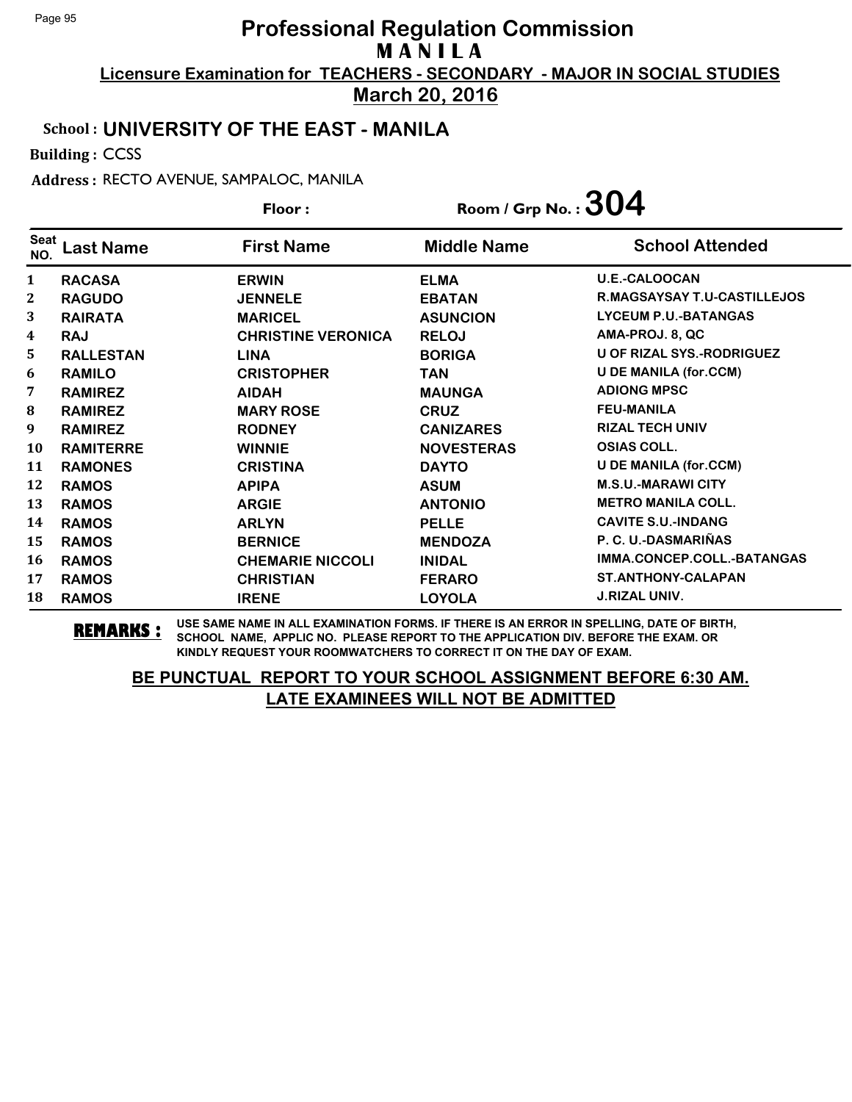**March 20, 2016**

#### School : **UNIVERSITY OF THE EAST - MANILA**

Building : CCSS

Address : RECTO AVENUE, SAMPALOC, MANILA

|              |                  | Floor:                    | Room / Grp No.: $304$ |                              |
|--------------|------------------|---------------------------|-----------------------|------------------------------|
| Seat<br>NO.  | ast Name.        | <b>First Name</b>         | <b>Middle Name</b>    | <b>School Attended</b>       |
| $\mathbf{1}$ | <b>RACASA</b>    | <b>ERWIN</b>              | <b>ELMA</b>           | <b>U.E.-CALOOCAN</b>         |
| $\mathbf 2$  | <b>RAGUDO</b>    | <b>JENNELE</b>            | <b>EBATAN</b>         | R.MAGSAYSAY T.U-CASTILLEJOS  |
| 3            | <b>RAIRATA</b>   | <b>MARICEL</b>            | <b>ASUNCION</b>       | <b>LYCEUM P.U.-BATANGAS</b>  |
| 4            | <b>RAJ</b>       | <b>CHRISTINE VERONICA</b> | <b>RELOJ</b>          | AMA-PROJ. 8, QC              |
| 5            | <b>RALLESTAN</b> | <b>LINA</b>               | <b>BORIGA</b>         | U OF RIZAL SYS.-RODRIGUEZ    |
| 6            | <b>RAMILO</b>    | <b>CRISTOPHER</b>         | TAN                   | <b>U DE MANILA (for.CCM)</b> |
| 7            | <b>RAMIREZ</b>   | <b>AIDAH</b>              | <b>MAUNGA</b>         | <b>ADIONG MPSC</b>           |
| 8            | <b>RAMIREZ</b>   | <b>MARY ROSE</b>          | <b>CRUZ</b>           | <b>FEU-MANILA</b>            |
| 9            | <b>RAMIREZ</b>   | <b>RODNEY</b>             | <b>CANIZARES</b>      | <b>RIZAL TECH UNIV</b>       |
| 10           | <b>RAMITERRE</b> | <b>WINNIE</b>             | <b>NOVESTERAS</b>     | <b>OSIAS COLL.</b>           |
| 11           | <b>RAMONES</b>   | <b>CRISTINA</b>           | <b>DAYTO</b>          | <b>U DE MANILA (for.CCM)</b> |
| 12           | <b>RAMOS</b>     | <b>APIPA</b>              | <b>ASUM</b>           | <b>M.S.U.-MARAWI CITY</b>    |
| 13           | <b>RAMOS</b>     | <b>ARGIE</b>              | <b>ANTONIO</b>        | <b>METRO MANILA COLL.</b>    |
| 14           | <b>RAMOS</b>     | <b>ARLYN</b>              | <b>PELLE</b>          | <b>CAVITE S.U.-INDANG</b>    |
| 15           | <b>RAMOS</b>     | <b>BERNICE</b>            | <b>MENDOZA</b>        | P. C. U.-DASMARIÑAS          |
| 16           | <b>RAMOS</b>     | <b>CHEMARIE NICCOLI</b>   | <b>INIDAL</b>         | IMMA.CONCEP.COLL.-BATANGAS   |
| 17           | <b>RAMOS</b>     | <b>CHRISTIAN</b>          | <b>FERARO</b>         | <b>ST.ANTHONY-CALAPAN</b>    |
| 18           | <b>RAMOS</b>     | <b>IRENE</b>              | <b>LOYOLA</b>         | <b>J.RIZAL UNIV.</b>         |

**REMARKS :** USE SAME NAME IN ALL EXAMINATION FORMS. IF THERE IS AN ERROR IN SPELLING, DATE OF BIRTH, SCHOOL NAME, APPLIC NO. PLEASE REPORT TO THE APPLICATION DIV. BEFORE THE EXAM. OR KINDLY REQUEST YOUR ROOMWATCHERS TO CORRECT IT ON THE DAY OF EXAM.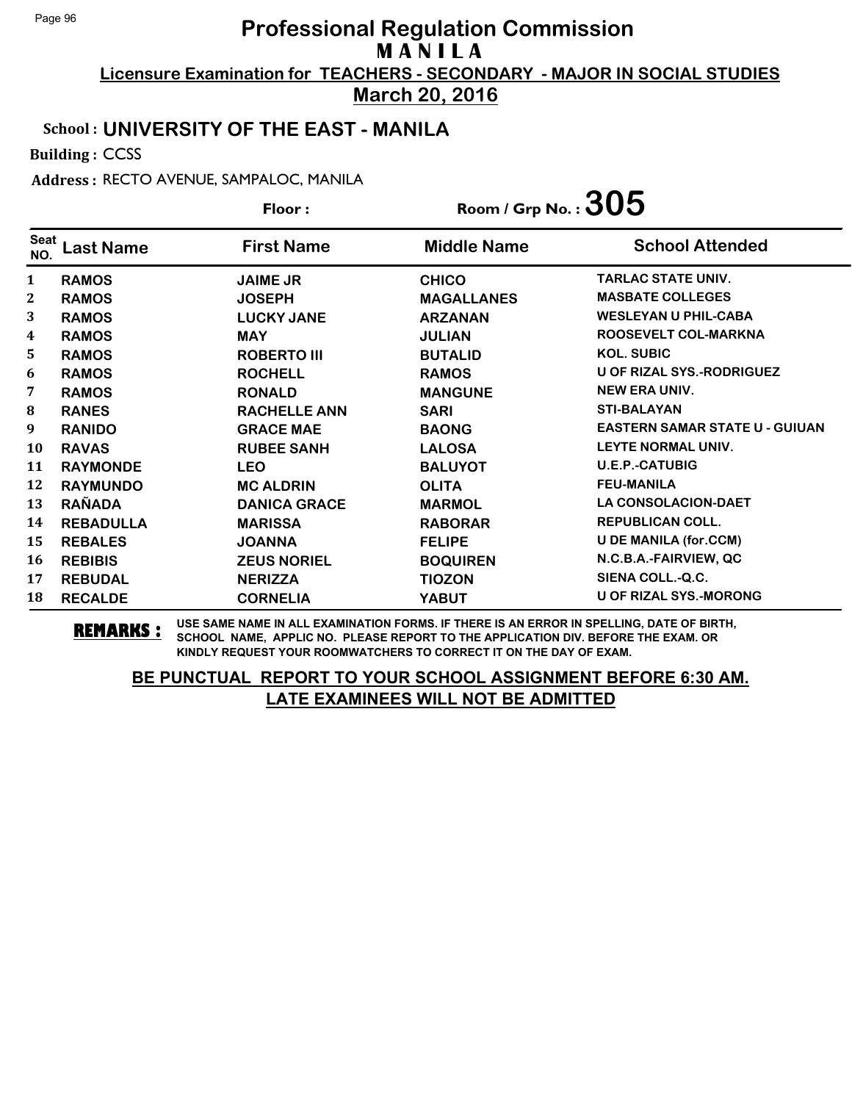**March 20, 2016**

## School : **UNIVERSITY OF THE EAST - MANILA**

Building : CCSS

Address : RECTO AVENUE, SAMPALOC, MANILA

| Floor:             |                  | Room / Grp No.: $305$ |                    |                                       |
|--------------------|------------------|-----------------------|--------------------|---------------------------------------|
| <b>Seat</b><br>NO. | ast Name.        | <b>First Name</b>     | <b>Middle Name</b> | <b>School Attended</b>                |
| $\mathbf{1}$       | <b>RAMOS</b>     | <b>JAIME JR</b>       | <b>CHICO</b>       | <b>TARLAC STATE UNIV.</b>             |
| 2                  | <b>RAMOS</b>     | <b>JOSEPH</b>         | <b>MAGALLANES</b>  | <b>MASBATE COLLEGES</b>               |
| 3                  | <b>RAMOS</b>     | <b>LUCKY JANE</b>     | <b>ARZANAN</b>     | <b>WESLEYAN U PHIL-CABA</b>           |
| 4                  | <b>RAMOS</b>     | <b>MAY</b>            | <b>JULIAN</b>      | ROOSEVELT COL-MARKNA                  |
| 5                  | <b>RAMOS</b>     | <b>ROBERTO III</b>    | <b>BUTALID</b>     | <b>KOL. SUBIC</b>                     |
| 6                  | <b>RAMOS</b>     | <b>ROCHELL</b>        | <b>RAMOS</b>       | <b>U OF RIZAL SYS.-RODRIGUEZ</b>      |
| 7                  | <b>RAMOS</b>     | <b>RONALD</b>         | <b>MANGUNE</b>     | <b>NEW ERA UNIV.</b>                  |
| 8                  | <b>RANES</b>     | <b>RACHELLE ANN</b>   | <b>SARI</b>        | <b>STI-BALAYAN</b>                    |
| 9                  | <b>RANIDO</b>    | <b>GRACE MAE</b>      | <b>BAONG</b>       | <b>EASTERN SAMAR STATE U - GUIUAN</b> |
| 10                 | <b>RAVAS</b>     | <b>RUBEE SANH</b>     | <b>LALOSA</b>      | LEYTE NORMAL UNIV.                    |
| 11                 | <b>RAYMONDE</b>  | <b>LEO</b>            | <b>BALUYOT</b>     | <b>U.E.P.-CATUBIG</b>                 |
| 12                 | <b>RAYMUNDO</b>  | <b>MC ALDRIN</b>      | <b>OLITA</b>       | <b>FEU-MANILA</b>                     |
| 13                 | <b>RAÑADA</b>    | <b>DANICA GRACE</b>   | <b>MARMOL</b>      | <b>LA CONSOLACION-DAET</b>            |
| 14                 | <b>REBADULLA</b> | <b>MARISSA</b>        | <b>RABORAR</b>     | <b>REPUBLICAN COLL.</b>               |
| 15                 | <b>REBALES</b>   | <b>JOANNA</b>         | <b>FELIPE</b>      | <b>U DE MANILA (for.CCM)</b>          |
| 16                 | <b>REBIBIS</b>   | <b>ZEUS NORIEL</b>    | <b>BOQUIREN</b>    | N.C.B.A.-FAIRVIEW, QC                 |
| 17                 | <b>REBUDAL</b>   | <b>NERIZZA</b>        | <b>TIOZON</b>      | SIENA COLL.-Q.C.                      |
| 18                 | <b>RECALDE</b>   | <b>CORNELIA</b>       | YABUT              | <b>U OF RIZAL SYS.-MORONG</b>         |

**REMARKS :** USE SAME NAME IN ALL EXAMINATION FORMS. IF THERE IS AN ERROR IN SPELLING, DATE OF BIRTH, SCHOOL NAME, APPLIC NO. PLEASE REPORT TO THE APPLICATION DIV. BEFORE THE EXAM. OR KINDLY REQUEST YOUR ROOMWATCHERS TO CORRECT IT ON THE DAY OF EXAM.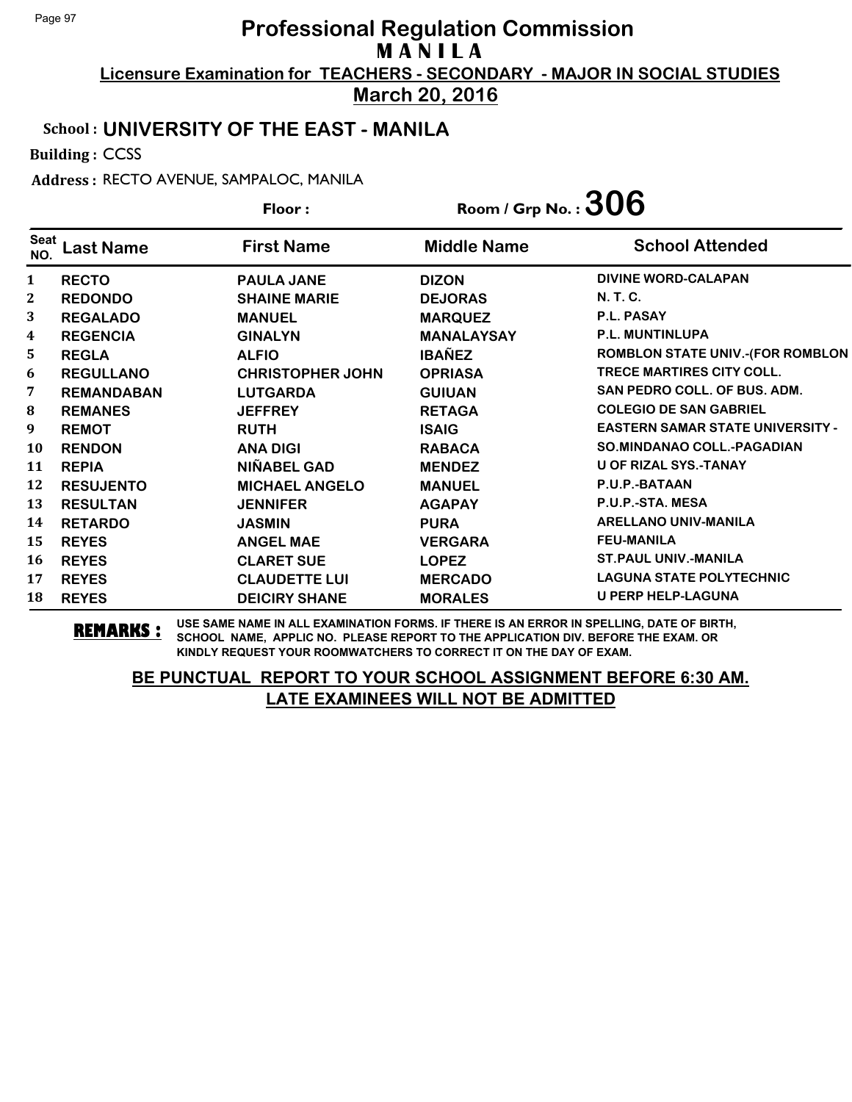**March 20, 2016**

## School : **UNIVERSITY OF THE EAST - MANILA**

Building : CCSS

Address : RECTO AVENUE, SAMPALOC, MANILA

|              | Floor:            |                         | Room / Grp No.: $306$ |                                         |
|--------------|-------------------|-------------------------|-----------------------|-----------------------------------------|
| Seat<br>NO.  | ast Name          | <b>First Name</b>       | <b>Middle Name</b>    | <b>School Attended</b>                  |
| $\mathbf{1}$ | <b>RECTO</b>      | <b>PAULA JANE</b>       | <b>DIZON</b>          | <b>DIVINE WORD-CALAPAN</b>              |
| 2            | <b>REDONDO</b>    | <b>SHAINE MARIE</b>     | <b>DEJORAS</b>        | N. T. C.                                |
| 3            | <b>REGALADO</b>   | <b>MANUEL</b>           | <b>MARQUEZ</b>        | <b>P.L. PASAY</b>                       |
| 4            | <b>REGENCIA</b>   | <b>GINALYN</b>          | <b>MANALAYSAY</b>     | P.L. MUNTINLUPA                         |
| 5            | <b>REGLA</b>      | <b>ALFIO</b>            | <b>IBAÑEZ</b>         | ROMBLON STATE UNIV.-(FOR ROMBLON        |
| 6            | <b>REGULLANO</b>  | <b>CHRISTOPHER JOHN</b> | <b>OPRIASA</b>        | <b>TRECE MARTIRES CITY COLL.</b>        |
| 7            | <b>REMANDABAN</b> | <b>LUTGARDA</b>         | <b>GUIUAN</b>         | <b>SAN PEDRO COLL, OF BUS, ADM.</b>     |
| ${\bf 8}$    | <b>REMANES</b>    | <b>JEFFREY</b>          | <b>RETAGA</b>         | <b>COLEGIO DE SAN GABRIEL</b>           |
| 9            | <b>REMOT</b>      | <b>RUTH</b>             | <b>ISAIG</b>          | <b>EASTERN SAMAR STATE UNIVERSITY -</b> |
| 10           | <b>RENDON</b>     | <b>ANA DIGI</b>         | <b>RABACA</b>         | <b>SO.MINDANAO COLL.-PAGADIAN</b>       |
| 11           | <b>REPIA</b>      | NIÑABEL GAD             | <b>MENDEZ</b>         | U OF RIZAL SYS.-TANAY                   |
| 12           | <b>RESUJENTO</b>  | <b>MICHAEL ANGELO</b>   | <b>MANUEL</b>         | P.U.P.-BATAAN                           |
| 13           | <b>RESULTAN</b>   | <b>JENNIFER</b>         | <b>AGAPAY</b>         | P.U.P.-STA. MESA                        |
| 14           | <b>RETARDO</b>    | <b>JASMIN</b>           | <b>PURA</b>           | <b>ARELLANO UNIV-MANILA</b>             |
| 15           | <b>REYES</b>      | <b>ANGEL MAE</b>        | <b>VERGARA</b>        | <b>FEU-MANILA</b>                       |
| 16           | <b>REYES</b>      | <b>CLARET SUE</b>       | <b>LOPEZ</b>          | <b>ST.PAUL UNIV.-MANILA</b>             |
| 17           | <b>REYES</b>      | <b>CLAUDETTE LUI</b>    | <b>MERCADO</b>        | <b>LAGUNA STATE POLYTECHNIC</b>         |
| 18           | <b>REYES</b>      | <b>DEICIRY SHANE</b>    | <b>MORALES</b>        | <b>U PERP HELP-LAGUNA</b>               |

**REMARKS :** USE SAME NAME IN ALL EXAMINATION FORMS. IF THERE IS AN ERROR IN SPELLING, DATE OF BIRTH, SCHOOL NAME, APPLIC NO. PLEASE REPORT TO THE APPLICATION DIV. BEFORE THE EXAM. OR KINDLY REQUEST YOUR ROOMWATCHERS TO CORRECT IT ON THE DAY OF EXAM.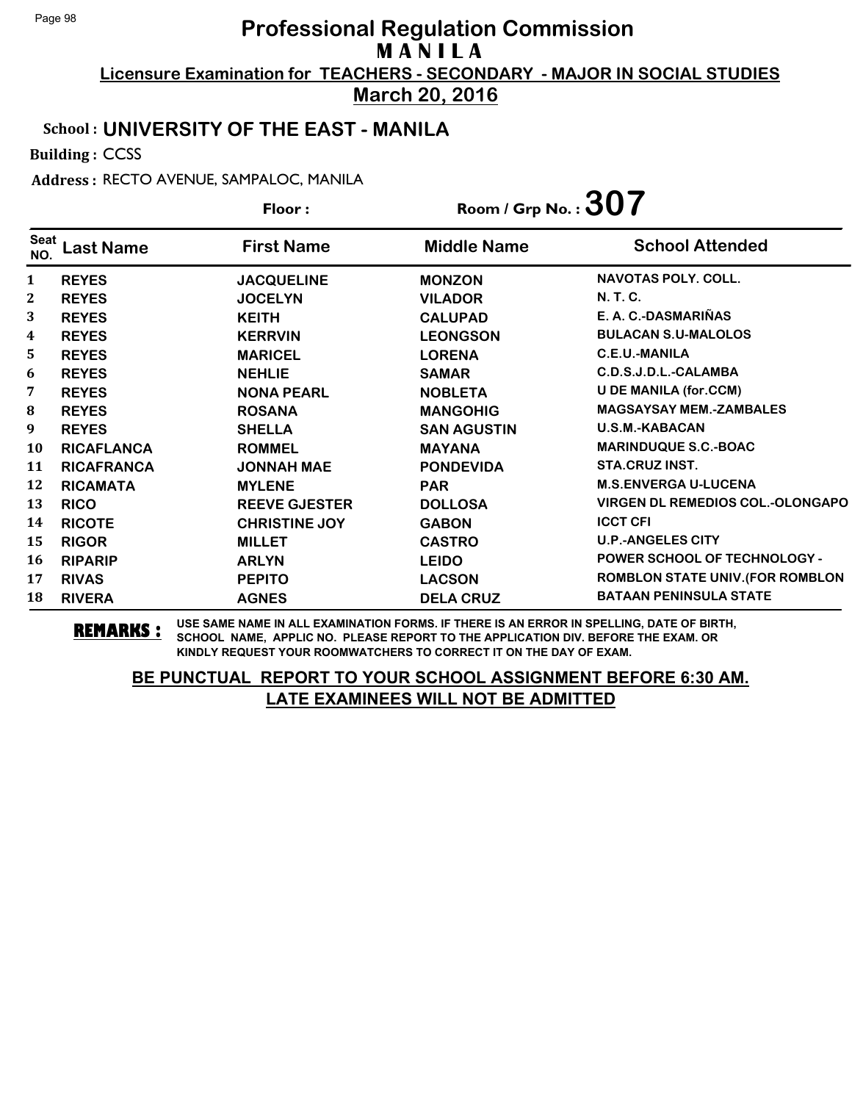**March 20, 2016**

#### School : **UNIVERSITY OF THE EAST - MANILA**

Building : CCSS

Address : RECTO AVENUE, SAMPALOC, MANILA

|              |                   | Floor:               | Room / Grp No.: $307$ |                                         |
|--------------|-------------------|----------------------|-----------------------|-----------------------------------------|
| Seat<br>NO.  | ast Name          | <b>First Name</b>    | <b>Middle Name</b>    | <b>School Attended</b>                  |
| $\mathbf{1}$ | <b>REYES</b>      | <b>JACQUELINE</b>    | <b>MONZON</b>         | <b>NAVOTAS POLY, COLL.</b>              |
| $\mathbf{2}$ | <b>REYES</b>      | <b>JOCELYN</b>       | <b>VILADOR</b>        | N. T. C.                                |
| 3            | <b>REYES</b>      | <b>KEITH</b>         | <b>CALUPAD</b>        | E. A. C.-DASMARIÑAS                     |
| 4            | <b>REYES</b>      | <b>KERRVIN</b>       | <b>LEONGSON</b>       | <b>BULACAN S.U-MALOLOS</b>              |
| 5            | <b>REYES</b>      | <b>MARICEL</b>       | <b>LORENA</b>         | C.E.U.-MANILA                           |
| 6            | <b>REYES</b>      | <b>NEHLIE</b>        | <b>SAMAR</b>          | C.D.S.J.D.L.-CALAMBA                    |
| 7            | <b>REYES</b>      | <b>NONA PEARL</b>    | <b>NOBLETA</b>        | <b>U DE MANILA (for.CCM)</b>            |
| 8            | <b>REYES</b>      | <b>ROSANA</b>        | <b>MANGOHIG</b>       | <b>MAGSAYSAY MEM.-ZAMBALES</b>          |
| 9            | <b>REYES</b>      | <b>SHELLA</b>        | <b>SAN AGUSTIN</b>    | U.S.M.-KABACAN                          |
| 10           | <b>RICAFLANCA</b> | <b>ROMMEL</b>        | <b>MAYANA</b>         | <b>MARINDUQUE S.C.-BOAC</b>             |
| 11           | <b>RICAFRANCA</b> | <b>JONNAH MAE</b>    | <b>PONDEVIDA</b>      | <b>STA.CRUZ INST.</b>                   |
| 12           | <b>RICAMATA</b>   | <b>MYLENE</b>        | <b>PAR</b>            | <b>M.S.ENVERGA U-LUCENA</b>             |
| 13           | <b>RICO</b>       | <b>REEVE GJESTER</b> | <b>DOLLOSA</b>        | <b>VIRGEN DL REMEDIOS COL.-OLONGAPO</b> |
| 14           | <b>RICOTE</b>     | <b>CHRISTINE JOY</b> | <b>GABON</b>          | <b>ICCT CFI</b>                         |
| 15           | <b>RIGOR</b>      | <b>MILLET</b>        | <b>CASTRO</b>         | <b>U.P.-ANGELES CITY</b>                |
| 16           | <b>RIPARIP</b>    | <b>ARLYN</b>         | <b>LEIDO</b>          | <b>POWER SCHOOL OF TECHNOLOGY -</b>     |
| 17           | <b>RIVAS</b>      | <b>PEPITO</b>        | <b>LACSON</b>         | <b>ROMBLON STATE UNIV. (FOR ROMBLON</b> |
| 18           | <b>RIVERA</b>     | <b>AGNES</b>         | <b>DELA CRUZ</b>      | <b>BATAAN PENINSULA STATE</b>           |

**REMARKS :** USE SAME NAME IN ALL EXAMINATION FORMS. IF THERE IS AN ERROR IN SPELLING, DATE OF BIRTH, SCHOOL NAME, APPLIC NO. PLEASE REPORT TO THE APPLICATION DIV. BEFORE THE EXAM. OR KINDLY REQUEST YOUR ROOMWATCHERS TO CORRECT IT ON THE DAY OF EXAM.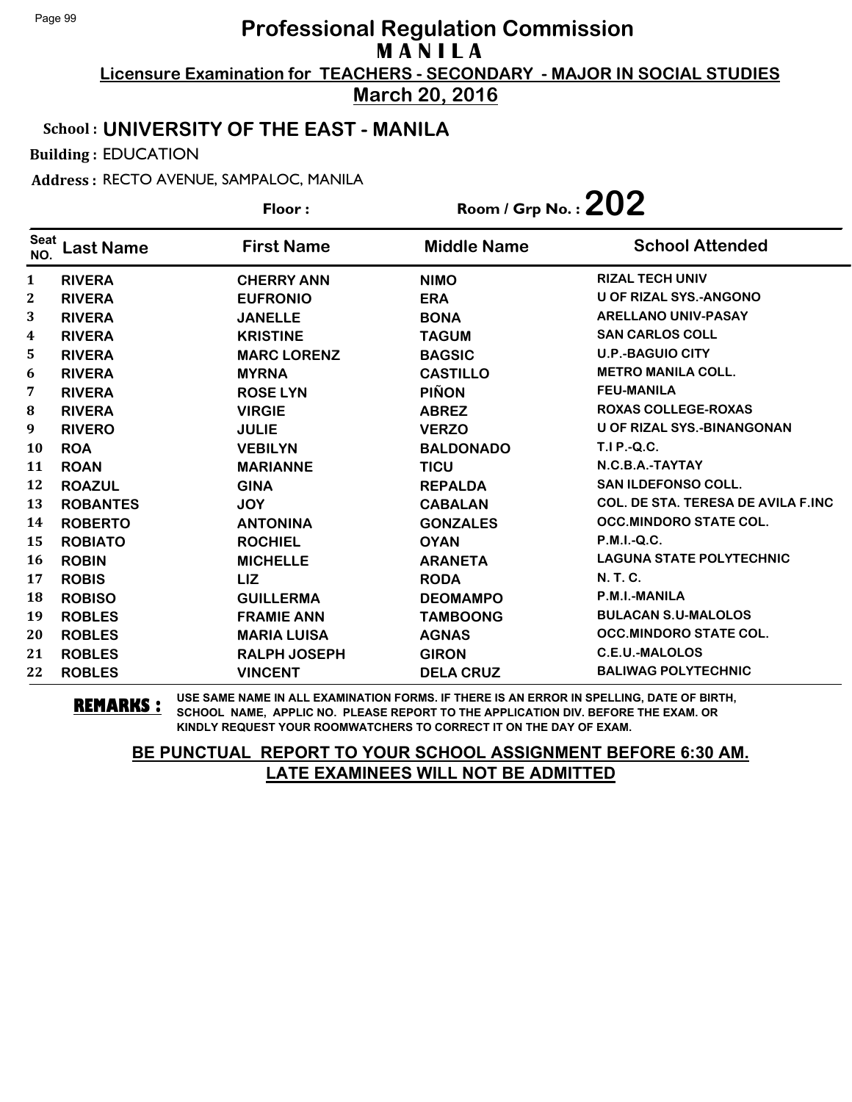**Licensure Examination for TEACHERS - SECONDARY - MAJOR IN SOCIAL STUDIES March 20, 2016**

## School : **UNIVERSITY OF THE EAST - MANILA**

Building : EDUCATION

Address : RECTO AVENUE, SAMPALOC, MANILA

**Last Name First Name Middle Name** Floor : Room / Grp No. : 202 Seat <sup>seat</sup> Last Name First Name Middle Name School Attended **RIVERA CHERRY ANN NIMO RIZAL TECH UNIV RIVERA EUFRONIO ERA U OF RIZAL SYS.-ANGONO RIVERA JANELLE BONA ARELLANO UNIV-PASAY RIVERA KRISTINE TAGUM SAN CARLOS COLL RIVERA MARC LORENZ BAGSIC U.P.-BAGUIO CITY RIVERA MYRNA CASTILLO METRO MANILA COLL. RIVERA ROSE LYN PIÑON FEU-MANILA RIVERA VIRGIE ABREZ ROXAS COLLEGE-ROXAS RIVERO JULIE VERZO U OF RIZAL SYS.-BINANGONAN ROA VEBILYN BALDONADO T.I P.-Q.C. ROAN MARIANNE TICU N.C.B.A.-TAYTAY ROAZUL GINA REPALDA SAN ILDEFONSO COLL. ROBANTES JOY CABALAN COL. DE STA. TERESA DE AVILA F.INC ROBERTO ANTONINA GONZALES OCC.MINDORO STATE COL. ROBIATO ROCHIEL OYAN P.M.I.-Q.C. ROBIN MICHELLE ARANETA LAGUNA STATE POLYTECHNIC ROBIS LIZ RODA N. T. C. ROBISO GUILLERMA DEOMAMPO P.M.I.-MANILA ROBLES FRAMIE ANN TAMBOONG BULACAN S.U-MALOLOS ROBLES MARIA LUISA AGNAS OCC.MINDORO STATE COL. ROBLES RALPH JOSEPH GIRON C.E.U.-MALOLOS ROBLES VINCENT DELA CRUZ BALIWAG POLYTECHNIC**

**REMARKS :** USE SAME NAME IN ALL EXAMINATION FORMS. IF THERE IS AN ERROR IN SPELLING, DATE OF BIRTH, SCHOOL NAME, APPLIC NO. PLEASE REPORT TO THE APPLICATION DIV. BEFORE THE EXAM. OR KINDLY REQUEST YOUR ROOMWATCHERS TO CORRECT IT ON THE DAY OF EXAM.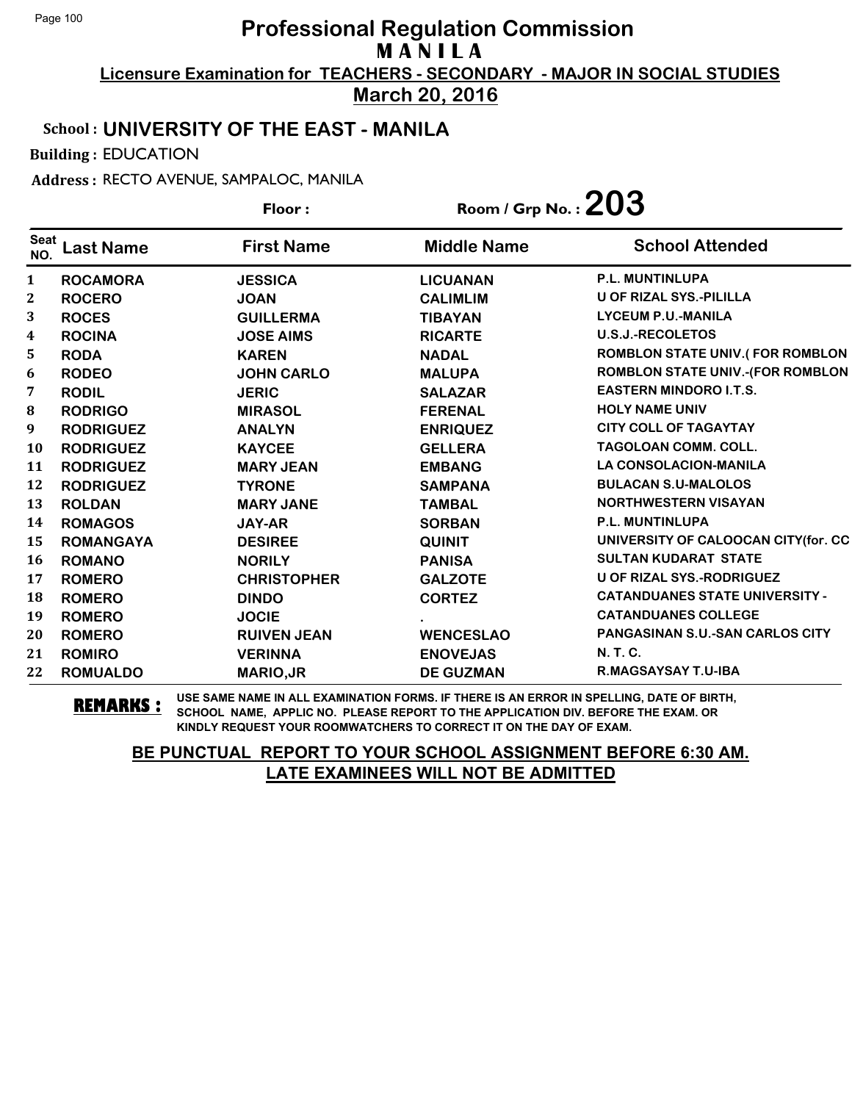**Licensure Examination for TEACHERS - SECONDARY - MAJOR IN SOCIAL STUDIES March 20, 2016**

#### School : **UNIVERSITY OF THE EAST - MANILA**

Building : EDUCATION

Address : RECTO AVENUE, SAMPALOC, MANILA

|                    |                  | Floor:             | Room / Grp No. : $203$ |                                         |
|--------------------|------------------|--------------------|------------------------|-----------------------------------------|
| <b>Seat</b><br>NO. | <b>Last Name</b> | <b>First Name</b>  | <b>Middle Name</b>     | <b>School Attended</b>                  |
| 1                  | <b>ROCAMORA</b>  | <b>JESSICA</b>     | <b>LICUANAN</b>        | P.L. MUNTINLUPA                         |
| 2                  | <b>ROCERO</b>    | <b>JOAN</b>        | <b>CALIMLIM</b>        | U OF RIZAL SYS.-PILILLA                 |
| 3                  | <b>ROCES</b>     | <b>GUILLERMA</b>   | <b>TIBAYAN</b>         | <b>LYCEUM P.U.-MANILA</b>               |
| 4                  | <b>ROCINA</b>    | <b>JOSE AIMS</b>   | <b>RICARTE</b>         | <b>U.S.J.-RECOLETOS</b>                 |
| 5                  | <b>RODA</b>      | <b>KAREN</b>       | <b>NADAL</b>           | <b>ROMBLON STATE UNIV.(FOR ROMBLON</b>  |
| 6                  | <b>RODEO</b>     | <b>JOHN CARLO</b>  | <b>MALUPA</b>          | <b>ROMBLON STATE UNIV.-(FOR ROMBLON</b> |
| 7                  | <b>RODIL</b>     | <b>JERIC</b>       | <b>SALAZAR</b>         | <b>EASTERN MINDORO I.T.S.</b>           |
| ${\bf 8}$          | <b>RODRIGO</b>   | <b>MIRASOL</b>     | <b>FERENAL</b>         | <b>HOLY NAME UNIV</b>                   |
| 9                  | <b>RODRIGUEZ</b> | <b>ANALYN</b>      | <b>ENRIQUEZ</b>        | <b>CITY COLL OF TAGAYTAY</b>            |
| <b>10</b>          | <b>RODRIGUEZ</b> | <b>KAYCEE</b>      | <b>GELLERA</b>         | <b>TAGOLOAN COMM. COLL.</b>             |
| 11                 | <b>RODRIGUEZ</b> | <b>MARY JEAN</b>   | <b>EMBANG</b>          | <b>LA CONSOLACION-MANILA</b>            |
| 12                 | <b>RODRIGUEZ</b> | <b>TYRONE</b>      | <b>SAMPANA</b>         | <b>BULACAN S.U-MALOLOS</b>              |
| 13                 | <b>ROLDAN</b>    | <b>MARY JANE</b>   | <b>TAMBAL</b>          | <b>NORTHWESTERN VISAYAN</b>             |
| 14                 | <b>ROMAGOS</b>   | <b>JAY-AR</b>      | <b>SORBAN</b>          | <b>P.L. MUNTINLUPA</b>                  |
| 15                 | <b>ROMANGAYA</b> | <b>DESIREE</b>     | <b>QUINIT</b>          | UNIVERSITY OF CALOOCAN CITY(for. CC     |
| 16                 | <b>ROMANO</b>    | <b>NORILY</b>      | <b>PANISA</b>          | <b>SULTAN KUDARAT STATE</b>             |
| 17                 | <b>ROMERO</b>    | <b>CHRISTOPHER</b> | <b>GALZOTE</b>         | <b>U OF RIZAL SYS.-RODRIGUEZ</b>        |
| 18                 | <b>ROMERO</b>    | <b>DINDO</b>       | <b>CORTEZ</b>          | <b>CATANDUANES STATE UNIVERSITY -</b>   |
| 19                 | <b>ROMERO</b>    | <b>JOCIE</b>       |                        | <b>CATANDUANES COLLEGE</b>              |
| 20                 | <b>ROMERO</b>    | <b>RUIVEN JEAN</b> | <b>WENCESLAO</b>       | <b>PANGASINAN S.U.-SAN CARLOS CITY</b>  |
| 21                 | <b>ROMIRO</b>    | <b>VERINNA</b>     | <b>ENOVEJAS</b>        | N. T. C.                                |
| 22                 | <b>ROMUALDO</b>  | <b>MARIO, JR</b>   | <b>DE GUZMAN</b>       | <b>R.MAGSAYSAY T.U-IBA</b>              |

**REMARKS :** USE SAME NAME IN ALL EXAMINATION FORMS. IF THERE IS AN ERROR IN SPELLING, DATE OF BIRTH, SCHOOL NAME, APPLIC NO. PLEASE REPORT TO THE APPLICATION DIV. BEFORE THE EXAM. OR KINDLY REQUEST YOUR ROOMWATCHERS TO CORRECT IT ON THE DAY OF EXAM.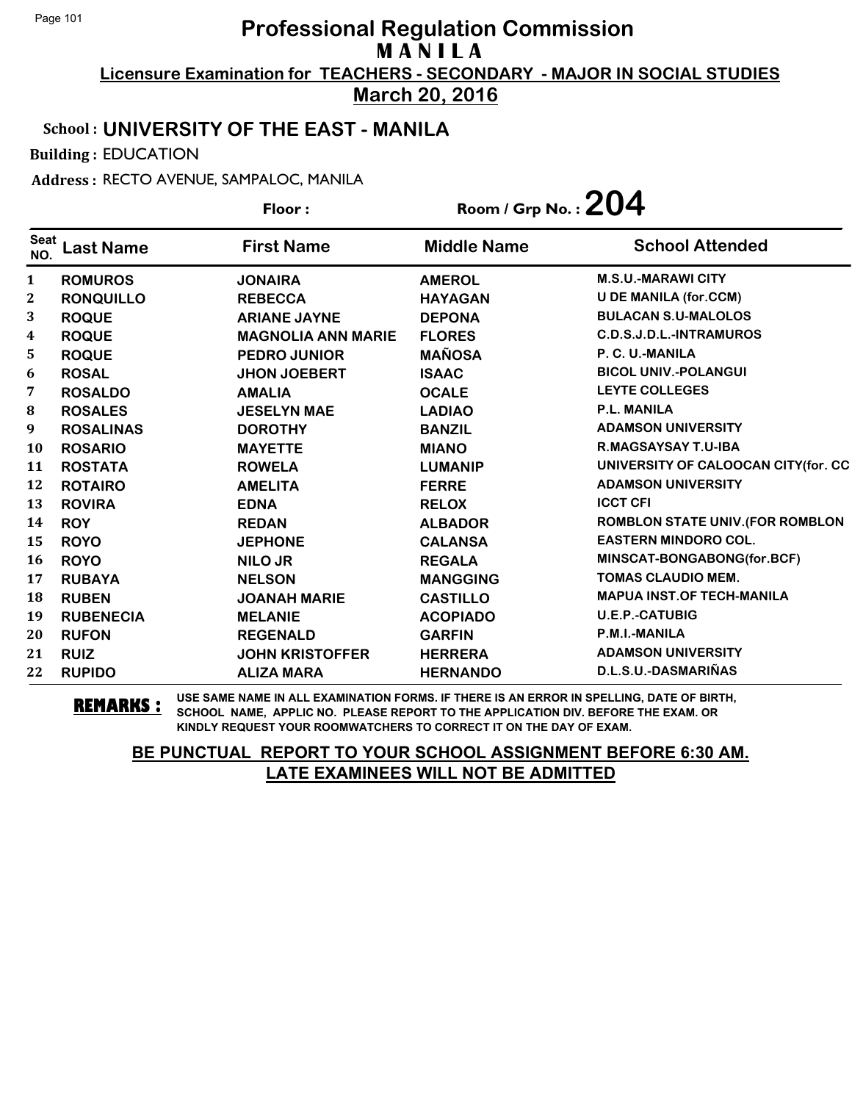**Licensure Examination for TEACHERS - SECONDARY - MAJOR IN SOCIAL STUDIES March 20, 2016**

#### School : **UNIVERSITY OF THE EAST - MANILA**

Building : EDUCATION

Address : RECTO AVENUE, SAMPALOC, MANILA

|                    |                  | Floor:                    | Room / Grp No. : $204$ |                                         |  |
|--------------------|------------------|---------------------------|------------------------|-----------------------------------------|--|
| <b>Seat</b><br>NO. | <b>Last Name</b> | <b>First Name</b>         | <b>Middle Name</b>     | <b>School Attended</b>                  |  |
| $\mathbf{1}$       | <b>ROMUROS</b>   | <b>JONAIRA</b>            | <b>AMEROL</b>          | <b>M.S.U.-MARAWI CITY</b>               |  |
| $\mathbf{2}$       | <b>RONQUILLO</b> | <b>REBECCA</b>            | <b>HAYAGAN</b>         | <b>U DE MANILA (for.CCM)</b>            |  |
| 3                  | <b>ROQUE</b>     | <b>ARIANE JAYNE</b>       | <b>DEPONA</b>          | <b>BULACAN S.U-MALOLOS</b>              |  |
| 4                  | <b>ROQUE</b>     | <b>MAGNOLIA ANN MARIE</b> | <b>FLORES</b>          | C.D.S.J.D.L.-INTRAMUROS                 |  |
| 5                  | <b>ROQUE</b>     | <b>PEDRO JUNIOR</b>       | <b>MAÑOSA</b>          | P. C. U.-MANILA                         |  |
| 6                  | <b>ROSAL</b>     | <b>JHON JOEBERT</b>       | <b>ISAAC</b>           | <b>BICOL UNIV.-POLANGUI</b>             |  |
| 7                  | <b>ROSALDO</b>   | <b>AMALIA</b>             | <b>OCALE</b>           | <b>LEYTE COLLEGES</b>                   |  |
| 8                  | <b>ROSALES</b>   | <b>JESELYN MAE</b>        | <b>LADIAO</b>          | <b>P.L. MANILA</b>                      |  |
| 9                  | <b>ROSALINAS</b> | <b>DOROTHY</b>            | <b>BANZIL</b>          | <b>ADAMSON UNIVERSITY</b>               |  |
| 10                 | <b>ROSARIO</b>   | <b>MAYETTE</b>            | <b>MIANO</b>           | <b>R.MAGSAYSAY T.U-IBA</b>              |  |
| 11                 | <b>ROSTATA</b>   | <b>ROWELA</b>             | <b>LUMANIP</b>         | UNIVERSITY OF CALOOCAN CITY(for. CC     |  |
| 12                 | <b>ROTAIRO</b>   | <b>AMELITA</b>            | <b>FERRE</b>           | <b>ADAMSON UNIVERSITY</b>               |  |
| 13                 | <b>ROVIRA</b>    | <b>EDNA</b>               | <b>RELOX</b>           | <b>ICCT CFI</b>                         |  |
| 14                 | <b>ROY</b>       | <b>REDAN</b>              | <b>ALBADOR</b>         | <b>ROMBLON STATE UNIV. (FOR ROMBLON</b> |  |
| 15                 | <b>ROYO</b>      | <b>JEPHONE</b>            | <b>CALANSA</b>         | <b>EASTERN MINDORO COL.</b>             |  |
| 16                 | <b>ROYO</b>      | <b>NILO JR</b>            | <b>REGALA</b>          | MINSCAT-BONGABONG(for.BCF)              |  |
| 17                 | <b>RUBAYA</b>    | <b>NELSON</b>             | <b>MANGGING</b>        | <b>TOMAS CLAUDIO MEM.</b>               |  |
| 18                 | <b>RUBEN</b>     | <b>JOANAH MARIE</b>       | <b>CASTILLO</b>        | <b>MAPUA INST.OF TECH-MANILA</b>        |  |
| 19                 | <b>RUBENECIA</b> | <b>MELANIE</b>            | <b>ACOPIADO</b>        | <b>U.E.P.-CATUBIG</b>                   |  |
| 20                 | <b>RUFON</b>     | <b>REGENALD</b>           | <b>GARFIN</b>          | P.M.I.-MANILA                           |  |
| 21                 | <b>RUIZ</b>      | <b>JOHN KRISTOFFER</b>    | <b>HERRERA</b>         | <b>ADAMSON UNIVERSITY</b>               |  |
| 22                 | <b>RUPIDO</b>    | <b>ALIZA MARA</b>         | <b>HERNANDO</b>        | D.L.S.U.-DASMARIÑAS                     |  |

**REMARKS :** USE SAME NAME IN ALL EXAMINATION FORMS. IF THERE IS AN ERROR IN SPELLING, DATE OF BIRTH, SCHOOL NAME, APPLIC NO. PLEASE REPORT TO THE APPLICATION DIV. BEFORE THE EXAM. OR KINDLY REQUEST YOUR ROOMWATCHERS TO CORRECT IT ON THE DAY OF EXAM.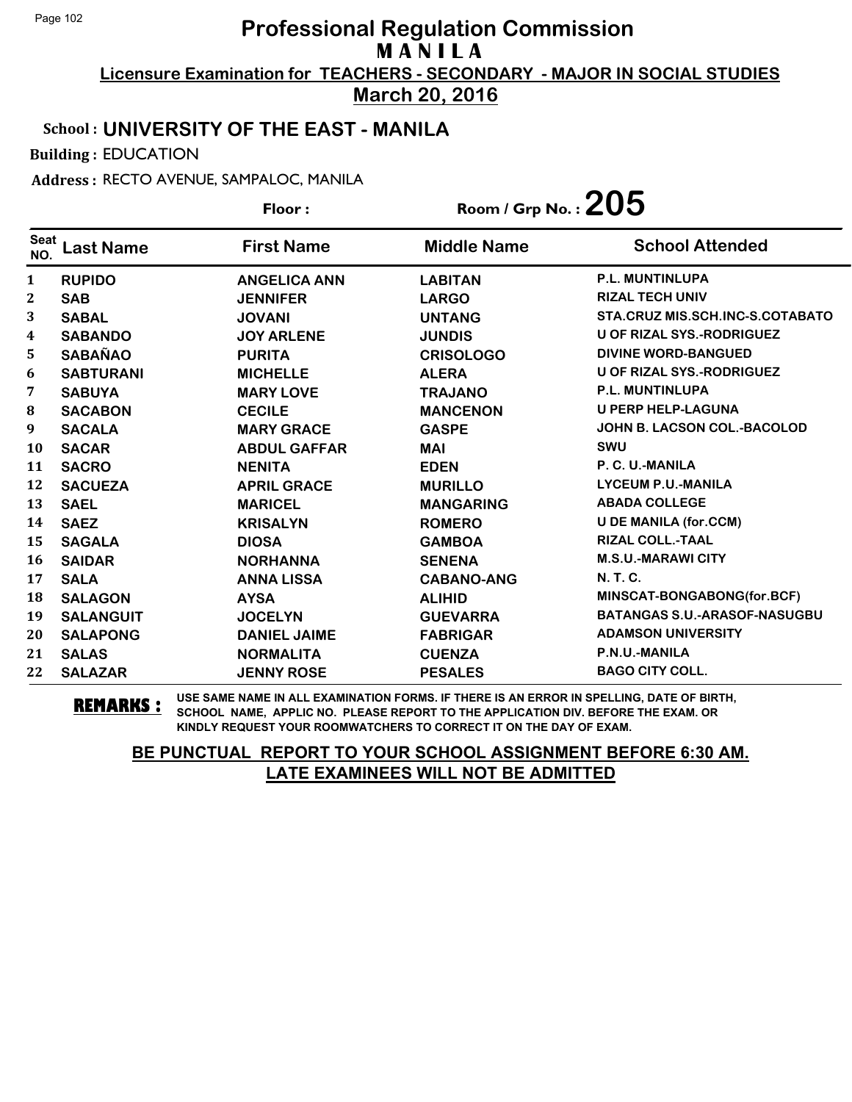**Licensure Examination for TEACHERS - SECONDARY - MAJOR IN SOCIAL STUDIES March 20, 2016**

#### School : **UNIVERSITY OF THE EAST - MANILA**

Building : EDUCATION

Address : RECTO AVENUE, SAMPALOC, MANILA

**Last Name First Name Middle Name** Floor : Room / Grp No. : 205 Seat <sup>seat</sup> Last Name First Name Middle Name School Attended **RUPIDO ANGELICA ANN LABITAN P.L. MUNTINLUPA SAB JENNIFER LARGO RIZAL TECH UNIV SABAL JOVANI UNTANG STA.CRUZ MIS.SCH.INC-S.COTABATO SABANDO JOY ARLENE JUNDIS U OF RIZAL SYS.-RODRIGUEZ SABAÑAO PURITA CRISOLOGO DIVINE WORD-BANGUED SABTURANI MICHELLE ALERA U OF RIZAL SYS.-RODRIGUEZ SABUYA MARY LOVE TRAJANO P.L. MUNTINLUPA SACABON CECILE MANCENON U PERP HELP-LAGUNA SACALA MARY GRACE GASPE JOHN B. LACSON COL.-BACOLOD SACAR ABDUL GAFFAR MAI SWU SACRO NENITA EDEN P. C. U.-MANILA SACUEZA APRIL GRACE MURILLO LYCEUM P.U.-MANILA SAEL MARICEL MANGARING ABADA COLLEGE SAEZ KRISALYN ROMERO U DE MANILA (for.CCM) SAGALA DIOSA GAMBOA RIZAL COLL.-TAAL SAIDAR NORHANNA SENENA M.S.U.-MARAWI CITY SALA ANNA LISSA CABANO-ANG N. T. C. SALAGON AYSA ALIHID MINSCAT-BONGABONG(for.BCF) SALANGUIT JOCELYN GUEVARRA BATANGAS S.U.-ARASOF-NASUGBU SALAPONG DANIEL JAIME FABRIGAR ADAMSON UNIVERSITY SALAS NORMALITA CUENZA P.N.U.-MANILA SALAZAR JENNY ROSE PESALES BAGO CITY COLL.**

**REMARKS :** USE SAME NAME IN ALL EXAMINATION FORMS. IF THERE IS AN ERROR IN SPELLING, DATE OF BIRTH, SCHOOL NAME, APPLIC NO. PLEASE REPORT TO THE APPLICATION DIV. BEFORE THE EXAM. OR KINDLY REQUEST YOUR ROOMWATCHERS TO CORRECT IT ON THE DAY OF EXAM.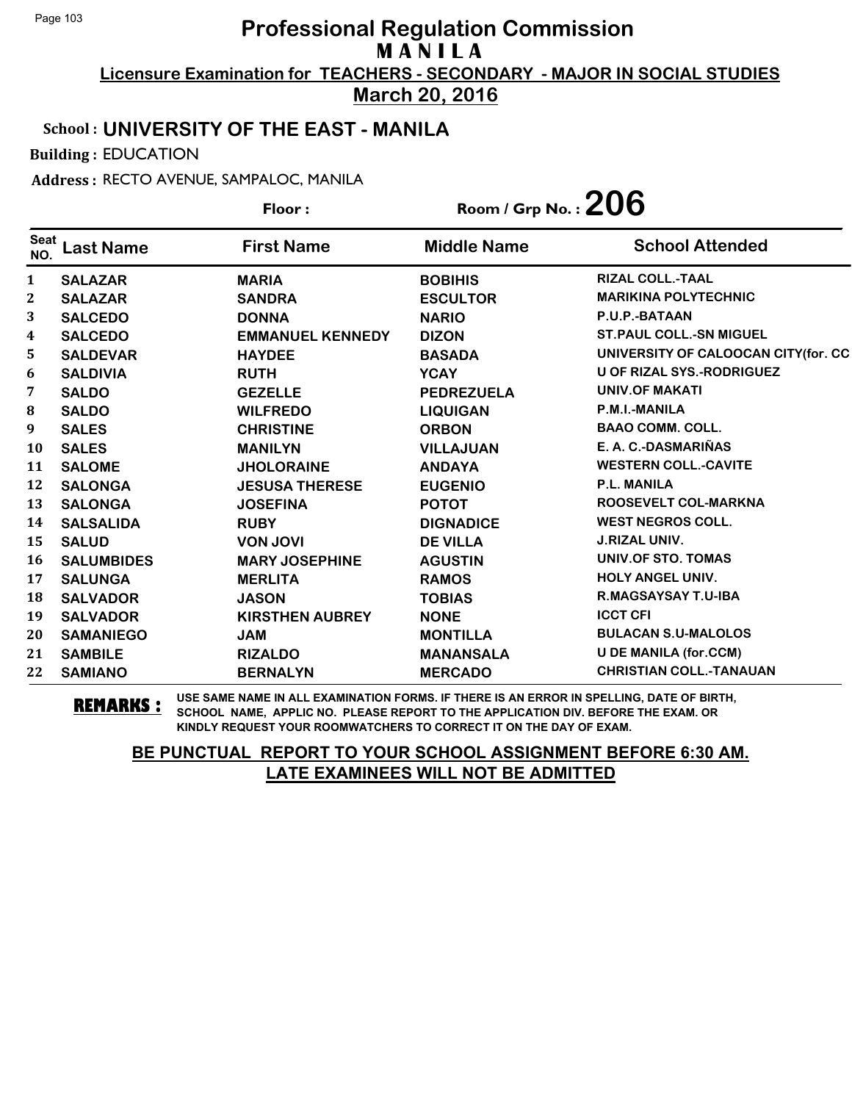**Licensure Examination for TEACHERS - SECONDARY - MAJOR IN SOCIAL STUDIES**

**March 20, 2016**

# School : **UNIVERSITY OF THE EAST - MANILA**

Building : EDUCATION

Address : RECTO AVENUE, SAMPALOC, MANILA

**Last Name First Name Middle Name** Floor : Room / Grp No. : 206 Seat <sup>seat</sup> Last Name First Name Middle Name School Attended **SALAZAR MARIA BOBIHIS RIZAL COLL.-TAAL SALAZAR SANDRA ESCULTOR MARIKINA POLYTECHNIC SALCEDO DONNA NARIO P.U.P.-BATAAN SALCEDO EMMANUEL KENNEDY DIZON ST.PAUL COLL.-SN MIGUEL SALDEVAR HAYDEE BASADA UNIVERSITY OF CALOOCAN CITY(for. CC SALDIVIA RUTH YCAY U OF RIZAL SYS.-RODRIGUEZ SALDO GEZELLE PEDREZUELA UNIV.OF MAKATI SALDO WILFREDO LIQUIGAN P.M.I.-MANILA SALES CHRISTINE ORBON BAAO COMM. COLL. SALES MANILYN VILLAJUAN E. A. C.-DASMARIÑAS SALOME JHOLORAINE ANDAYA WESTERN COLL.-CAVITE SALONGA JESUSA THERESE EUGENIO P.L. MANILA SALONGA JOSEFINA POTOT ROOSEVELT COL-MARKNA SALSALIDA RUBY DIGNADICE WEST NEGROS COLL. SALUD VON JOVI DE VILLA J.RIZAL UNIV. SALUMBIDES MARY JOSEPHINE AGUSTIN UNIV.OF STO. TOMAS SALUNGA MERLITA RAMOS HOLY ANGEL UNIV. SALVADOR JASON TOBIAS R.MAGSAYSAY T.U-IBA SALVADOR KIRSTHEN AUBREY NONE ICCT CFI SAMANIEGO JAM MONTILLA BULACAN S.U-MALOLOS SAMBILE RIZALDO MANANSALA U DE MANILA (for.CCM) SAMIANO BERNALYN MERCADO CHRISTIAN COLL.-TANAUAN**

**REMARKS :** USE SAME NAME IN ALL EXAMINATION FORMS. IF THERE IS AN ERROR IN SPELLING, DATE OF BIRTH, SCHOOL NAME, APPLIC NO. PLEASE REPORT TO THE APPLICATION DIV. BEFORE THE EXAM. OR KINDLY REQUEST YOUR ROOMWATCHERS TO CORRECT IT ON THE DAY OF EXAM.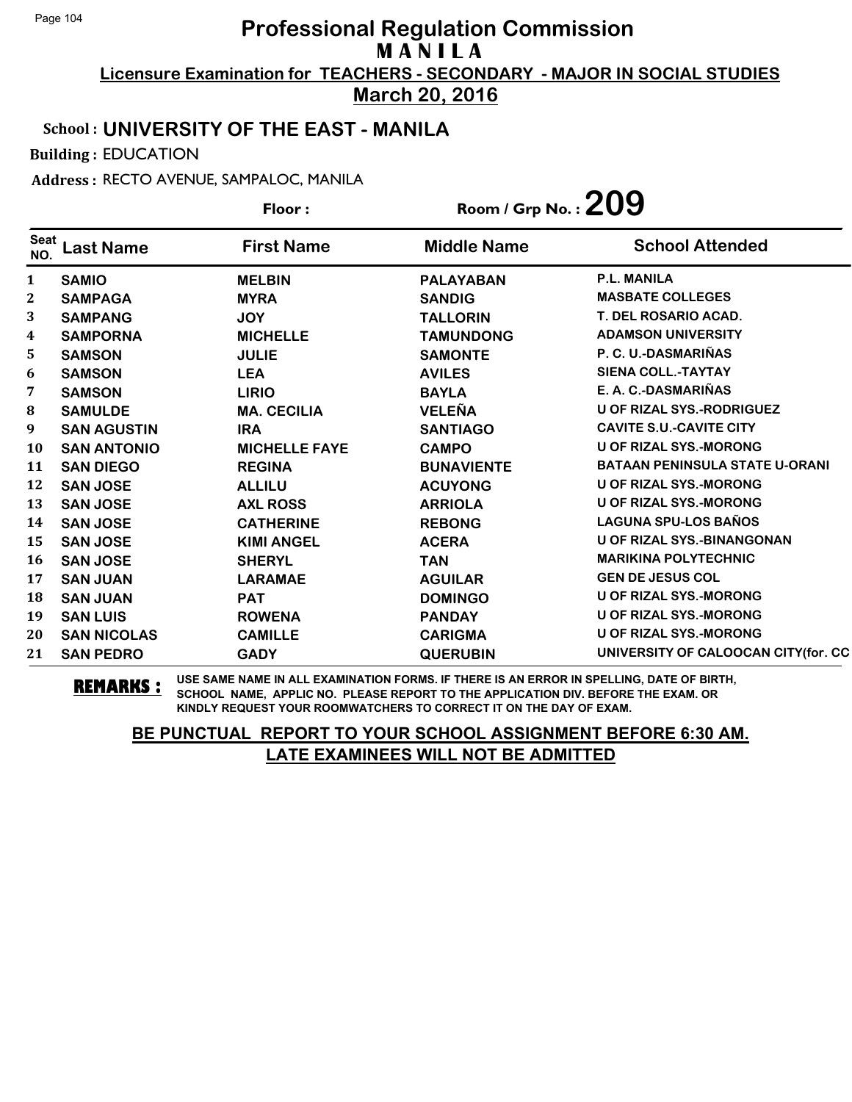**Licensure Examination for TEACHERS - SECONDARY - MAJOR IN SOCIAL STUDIES March 20, 2016**

#### School : **UNIVERSITY OF THE EAST - MANILA**

Building : EDUCATION

Address : RECTO AVENUE, SAMPALOC, MANILA

|                    |                    | Room / Grp No. : $209$<br>Floor: |                    |                                       |
|--------------------|--------------------|----------------------------------|--------------------|---------------------------------------|
| <b>Seat</b><br>NO. | <b>Last Name</b>   | <b>First Name</b>                | <b>Middle Name</b> | <b>School Attended</b>                |
| 1                  | <b>SAMIO</b>       | <b>MELBIN</b>                    | <b>PALAYABAN</b>   | <b>P.L. MANILA</b>                    |
| $\boldsymbol{2}$   | <b>SAMPAGA</b>     | <b>MYRA</b>                      | <b>SANDIG</b>      | <b>MASBATE COLLEGES</b>               |
| 3                  | <b>SAMPANG</b>     | <b>JOY</b>                       | <b>TALLORIN</b>    | T. DEL ROSARIO ACAD.                  |
| 4                  | <b>SAMPORNA</b>    | <b>MICHELLE</b>                  | <b>TAMUNDONG</b>   | <b>ADAMSON UNIVERSITY</b>             |
| 5                  | <b>SAMSON</b>      | <b>JULIE</b>                     | <b>SAMONTE</b>     | P. C. U.-DASMARIÑAS                   |
| 6                  | <b>SAMSON</b>      | <b>LEA</b>                       | <b>AVILES</b>      | <b>SIENA COLL.-TAYTAY</b>             |
| 7                  | <b>SAMSON</b>      | <b>LIRIO</b>                     | <b>BAYLA</b>       | E. A. C.-DASMARIÑAS                   |
| 8                  | <b>SAMULDE</b>     | <b>MA. CECILIA</b>               | <b>VELEÑA</b>      | <b>U OF RIZAL SYS.-RODRIGUEZ</b>      |
| 9                  | <b>SAN AGUSTIN</b> | <b>IRA</b>                       | <b>SANTIAGO</b>    | <b>CAVITE S.U.-CAVITE CITY</b>        |
| 10                 | <b>SAN ANTONIO</b> | <b>MICHELLE FAYE</b>             | <b>CAMPO</b>       | <b>U OF RIZAL SYS.-MORONG</b>         |
| 11                 | <b>SAN DIEGO</b>   | <b>REGINA</b>                    | <b>BUNAVIENTE</b>  | <b>BATAAN PENINSULA STATE U-ORANI</b> |
| 12                 | <b>SAN JOSE</b>    | <b>ALLILU</b>                    | <b>ACUYONG</b>     | <b>U OF RIZAL SYS.-MORONG</b>         |
| 13                 | <b>SAN JOSE</b>    | <b>AXL ROSS</b>                  | <b>ARRIOLA</b>     | <b>U OF RIZAL SYS.-MORONG</b>         |
| 14                 | <b>SAN JOSE</b>    | <b>CATHERINE</b>                 | <b>REBONG</b>      | <b>LAGUNA SPU-LOS BAÑOS</b>           |
| 15                 | <b>SAN JOSE</b>    | <b>KIMI ANGEL</b>                | <b>ACERA</b>       | <b>U OF RIZAL SYS.-BINANGONAN</b>     |
| 16                 | <b>SAN JOSE</b>    | <b>SHERYL</b>                    | <b>TAN</b>         | <b>MARIKINA POLYTECHNIC</b>           |
| 17                 | <b>SAN JUAN</b>    | <b>LARAMAE</b>                   | <b>AGUILAR</b>     | <b>GEN DE JESUS COL</b>               |
| 18                 | <b>SAN JUAN</b>    | <b>PAT</b>                       | <b>DOMINGO</b>     | <b>U OF RIZAL SYS.-MORONG</b>         |
| 19                 | <b>SAN LUIS</b>    | <b>ROWENA</b>                    | <b>PANDAY</b>      | <b>U OF RIZAL SYS.-MORONG</b>         |
| 20                 | <b>SAN NICOLAS</b> | <b>CAMILLE</b>                   | <b>CARIGMA</b>     | <b>U OF RIZAL SYS.-MORONG</b>         |
| 21                 | <b>SAN PEDRO</b>   | <b>GADY</b>                      | <b>QUERUBIN</b>    | UNIVERSITY OF CALOOCAN CITY(for. CC   |

**REMARKS :** USE SAME NAME IN ALL EXAMINATION FORMS. IF THERE IS AN ERROR IN SPELLING, DATE OF BIRTH, SCHOOL NAME, APPLIC NO. PLEASE REPORT TO THE APPLICATION DIV. BEFORE THE EXAM. OR KINDLY REQUEST YOUR ROOMWATCHERS TO CORRECT IT ON THE DAY OF EXAM.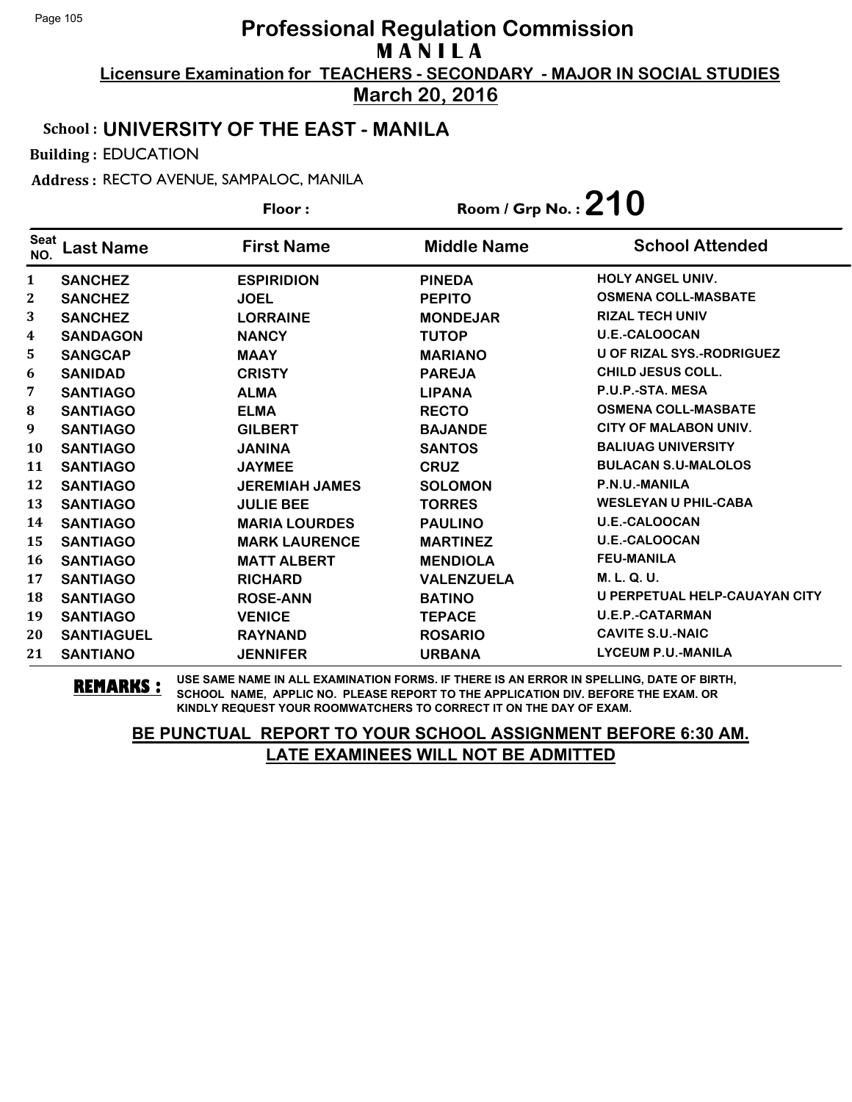**Licensure Examination for TEACHERS - SECONDARY - MAJOR IN SOCIAL STUDIES March 20, 2016**

#### School : **UNIVERSITY OF THE EAST - MANILA**

Building : EDUCATION

Address : RECTO AVENUE, SAMPALOC, MANILA

**Last Name First Name Middle Name** Floor : Room / Grp No. :**210** Seat <sup>seat</sup> Last Name First Name Middle Name School Attended **SANCHEZ ESPIRIDION PINEDA HOLY ANGEL UNIV. SANCHEZ JOEL PEPITO OSMENA COLL-MASBATE SANCHEZ LORRAINE MONDEJAR RIZAL TECH UNIV SANDAGON NANCY TUTOP U.E.-CALOOCAN SANGCAP MAAY MARIANO U OF RIZAL SYS.-RODRIGUEZ SANIDAD CRISTY PAREJA CHILD JESUS COLL. SANTIAGO ALMA LIPANA P.U.P.-STA. MESA SANTIAGO ELMA RECTO OSMENA COLL-MASBATE SANTIAGO GILBERT BAJANDE CITY OF MALABON UNIV. SANTIAGO JANINA SANTOS BALIUAG UNIVERSITY SANTIAGO JAYMEE CRUZ BULACAN S.U-MALOLOS SANTIAGO JEREMIAH JAMES SOLOMON P.N.U.-MANILA SANTIAGO JULIE BEE TORRES WESLEYAN U PHIL-CABA SANTIAGO MARIA LOURDES PAULINO U.E.-CALOOCAN SANTIAGO MARK LAURENCE MARTINEZ U.E.-CALOOCAN SANTIAGO MATT ALBERT MENDIOLA FEU-MANILA SANTIAGO RICHARD VALENZUELA M. L. Q. U. SANTIAGO ROSE-ANN BATINO U PERPETUAL HELP-CAUAYAN CITY SANTIAGO VENICE TEPACE U.E.P.-CATARMAN SANTIAGUEL RAYNAND ROSARIO CAVITE S.U.-NAIC SANTIANO JENNIFER URBANA LYCEUM P.U.-MANILA**

**REMARKS :** USE SAME NAME IN ALL EXAMINATION FORMS. IF THERE IS AN ERROR IN SPELLING, DATE OF BIRTH, SCHOOL NAME, APPLIC NO. PLEASE REPORT TO THE APPLICATION DIV. BEFORE THE EXAM. OR KINDLY REQUEST YOUR ROOMWATCHERS TO CORRECT IT ON THE DAY OF EXAM.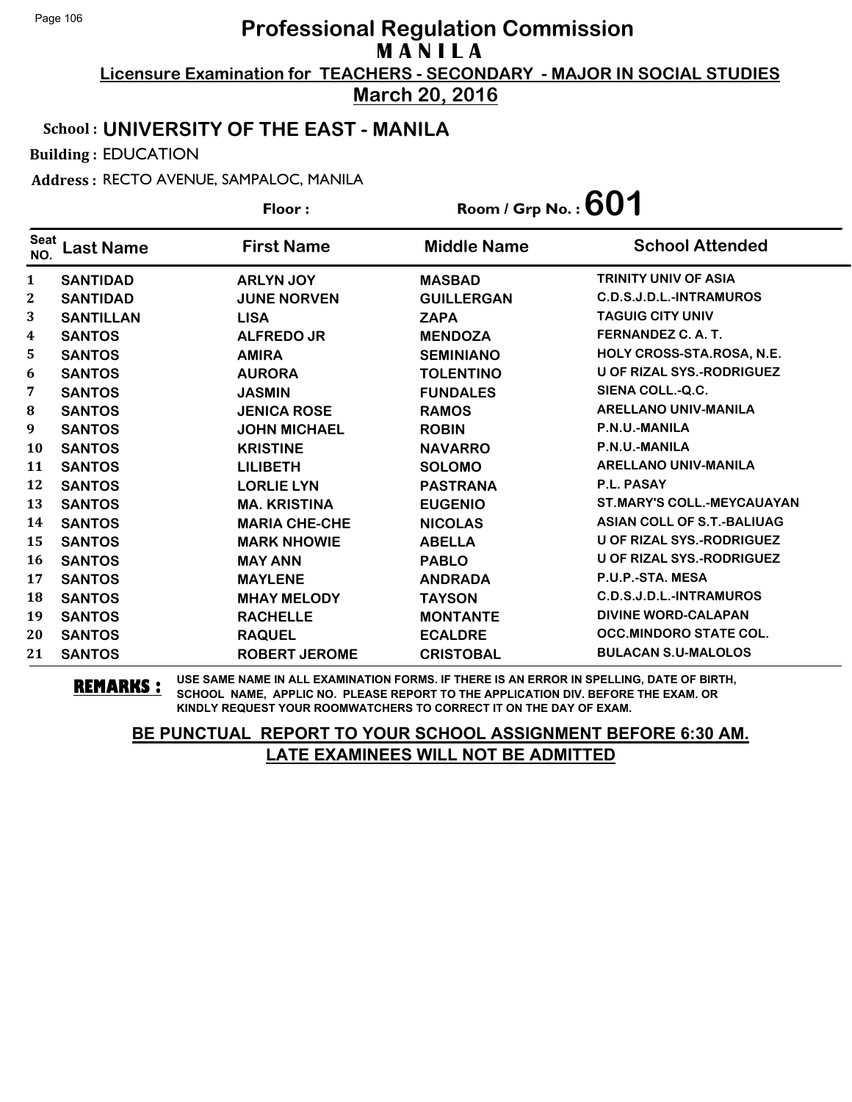**Licensure Examination for TEACHERS - SECONDARY - MAJOR IN SOCIAL STUDIES March 20, 2016**

#### School : **UNIVERSITY OF THE EAST - MANILA**

Building : EDUCATION

Address : RECTO AVENUE, SAMPALOC, MANILA

| Floor:             |                  |                      | Room / Grp No. : $601$ |                                   |
|--------------------|------------------|----------------------|------------------------|-----------------------------------|
| <b>Seat</b><br>NO. | <b>Last Name</b> | <b>First Name</b>    | <b>Middle Name</b>     | <b>School Attended</b>            |
| 1                  | <b>SANTIDAD</b>  | <b>ARLYN JOY</b>     | <b>MASBAD</b>          | <b>TRINITY UNIV OF ASIA</b>       |
| $\boldsymbol{2}$   | <b>SANTIDAD</b>  | <b>JUNE NORVEN</b>   | <b>GUILLERGAN</b>      | C.D.S.J.D.L.-INTRAMUROS           |
| 3                  | <b>SANTILLAN</b> | <b>LISA</b>          | <b>ZAPA</b>            | <b>TAGUIG CITY UNIV</b>           |
| 4                  | <b>SANTOS</b>    | <b>ALFREDO JR</b>    | <b>MENDOZA</b>         | FERNANDEZ C.A.T.                  |
| 5                  | <b>SANTOS</b>    | <b>AMIRA</b>         | <b>SEMINIANO</b>       | HOLY CROSS-STA.ROSA, N.E.         |
| 6                  | <b>SANTOS</b>    | <b>AURORA</b>        | <b>TOLENTINO</b>       | <b>U OF RIZAL SYS.-RODRIGUEZ</b>  |
| 7                  | <b>SANTOS</b>    | <b>JASMIN</b>        | <b>FUNDALES</b>        | SIENA COLL.-Q.C.                  |
| ${\bf 8}$          | <b>SANTOS</b>    | <b>JENICA ROSE</b>   | <b>RAMOS</b>           | <b>ARELLANO UNIV-MANILA</b>       |
| 9                  | <b>SANTOS</b>    | <b>JOHN MICHAEL</b>  | <b>ROBIN</b>           | P.N.U.-MANILA                     |
| 10                 | <b>SANTOS</b>    | <b>KRISTINE</b>      | <b>NAVARRO</b>         | P.N.U.-MANILA                     |
| 11                 | <b>SANTOS</b>    | <b>LILIBETH</b>      | <b>SOLOMO</b>          | <b>ARELLANO UNIV-MANILA</b>       |
| 12                 | <b>SANTOS</b>    | <b>LORLIE LYN</b>    | <b>PASTRANA</b>        | <b>P.L. PASAY</b>                 |
| 13                 | <b>SANTOS</b>    | <b>MA. KRISTINA</b>  | <b>EUGENIO</b>         | <b>ST.MARY'S COLL.-MEYCAUAYAN</b> |
| 14                 | <b>SANTOS</b>    | <b>MARIA CHE-CHE</b> | <b>NICOLAS</b>         | <b>ASIAN COLL OF S.T.-BALIUAG</b> |
| 15                 | <b>SANTOS</b>    | <b>MARK NHOWIE</b>   | <b>ABELLA</b>          | <b>U OF RIZAL SYS.-RODRIGUEZ</b>  |
| 16                 | <b>SANTOS</b>    | <b>MAY ANN</b>       | <b>PABLO</b>           | <b>U OF RIZAL SYS.-RODRIGUEZ</b>  |
| 17                 | <b>SANTOS</b>    | <b>MAYLENE</b>       | <b>ANDRADA</b>         | P.U.P.-STA. MESA                  |
| 18                 | <b>SANTOS</b>    | <b>MHAY MELODY</b>   | <b>TAYSON</b>          | C.D.S.J.D.L.-INTRAMUROS           |
| 19                 | <b>SANTOS</b>    | <b>RACHELLE</b>      | <b>MONTANTE</b>        | <b>DIVINE WORD-CALAPAN</b>        |
| 20                 | <b>SANTOS</b>    | <b>RAQUEL</b>        | <b>ECALDRE</b>         | <b>OCC.MINDORO STATE COL.</b>     |
| 21                 | <b>SANTOS</b>    | <b>ROBERT JEROME</b> | <b>CRISTOBAL</b>       | <b>BULACAN S.U-MALOLOS</b>        |

**REMARKS :** USE SAME NAME IN ALL EXAMINATION FORMS. IF THERE IS AN ERROR IN SPELLING, DATE OF BIRTH, SCHOOL NAME, APPLIC NO. PLEASE REPORT TO THE APPLICATION DIV. BEFORE THE EXAM. OR KINDLY REQUEST YOUR ROOMWATCHERS TO CORRECT IT ON THE DAY OF EXAM.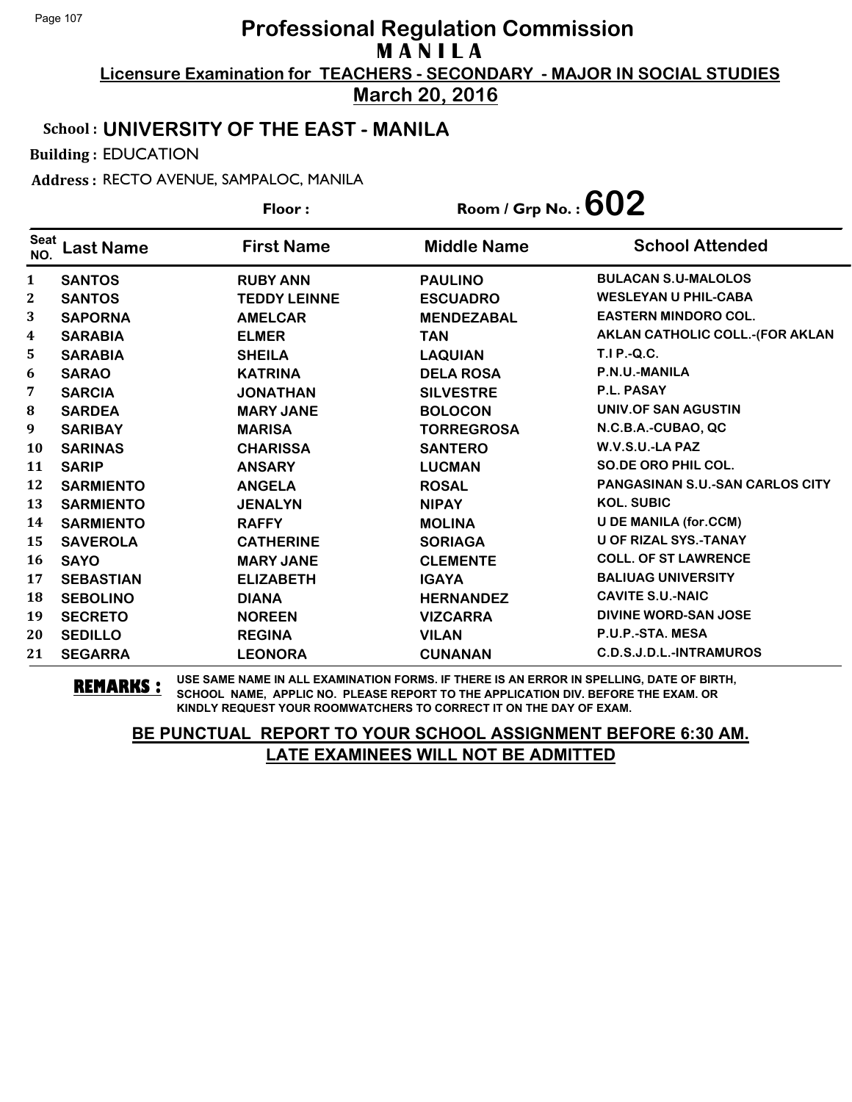**Licensure Examination for TEACHERS - SECONDARY - MAJOR IN SOCIAL STUDIES March 20, 2016**

# School : **UNIVERSITY OF THE EAST - MANILA**

Building : EDUCATION

Address : RECTO AVENUE, SAMPALOC, MANILA

|                    |                  | Floor:              |                    | Room / Grp No. : $602$                 |  |
|--------------------|------------------|---------------------|--------------------|----------------------------------------|--|
| <b>Seat</b><br>NO. | <b>Last Name</b> | <b>First Name</b>   | <b>Middle Name</b> | <b>School Attended</b>                 |  |
| 1                  | <b>SANTOS</b>    | <b>RUBY ANN</b>     | <b>PAULINO</b>     | <b>BULACAN S.U-MALOLOS</b>             |  |
| 2                  | <b>SANTOS</b>    | <b>TEDDY LEINNE</b> | <b>ESCUADRO</b>    | <b>WESLEYAN U PHIL-CABA</b>            |  |
| 3                  | <b>SAPORNA</b>   | <b>AMELCAR</b>      | <b>MENDEZABAL</b>  | <b>EASTERN MINDORO COL.</b>            |  |
| 4                  | <b>SARABIA</b>   | <b>ELMER</b>        | <b>TAN</b>         | <b>AKLAN CATHOLIC COLL.-(FOR AKLAN</b> |  |
| 5                  | <b>SARABIA</b>   | <b>SHEILA</b>       | <b>LAQUIAN</b>     | <b>T.I P.-Q.C.</b>                     |  |
| 6                  | <b>SARAO</b>     | <b>KATRINA</b>      | <b>DELA ROSA</b>   | P.N.U.-MANILA                          |  |
| 7                  | <b>SARCIA</b>    | <b>JONATHAN</b>     | <b>SILVESTRE</b>   | P.L. PASAY                             |  |
| 8                  | <b>SARDEA</b>    | <b>MARY JANE</b>    | <b>BOLOCON</b>     | UNIV.OF SAN AGUSTIN                    |  |
| 9                  | <b>SARIBAY</b>   | <b>MARISA</b>       | <b>TORREGROSA</b>  | N.C.B.A.-CUBAO, QC                     |  |
| 10                 | <b>SARINAS</b>   | <b>CHARISSA</b>     | <b>SANTERO</b>     | W.V.S.U.-LA PAZ                        |  |
| 11                 | <b>SARIP</b>     | <b>ANSARY</b>       | <b>LUCMAN</b>      | SO.DE ORO PHIL COL.                    |  |
| 12                 | <b>SARMIENTO</b> | <b>ANGELA</b>       | <b>ROSAL</b>       | <b>PANGASINAN S.U.-SAN CARLOS CITY</b> |  |
| 13                 | <b>SARMIENTO</b> | <b>JENALYN</b>      | <b>NIPAY</b>       | <b>KOL. SUBIC</b>                      |  |
| 14                 | <b>SARMIENTO</b> | <b>RAFFY</b>        | <b>MOLINA</b>      | <b>U DE MANILA (for.CCM)</b>           |  |
| 15                 | <b>SAVEROLA</b>  | <b>CATHERINE</b>    | <b>SORIAGA</b>     | <b>U OF RIZAL SYS.-TANAY</b>           |  |
| 16                 | <b>SAYO</b>      | <b>MARY JANE</b>    | <b>CLEMENTE</b>    | <b>COLL. OF ST LAWRENCE</b>            |  |
| 17                 | <b>SEBASTIAN</b> | <b>ELIZABETH</b>    | <b>IGAYA</b>       | <b>BALIUAG UNIVERSITY</b>              |  |
| 18                 | <b>SEBOLINO</b>  | <b>DIANA</b>        | <b>HERNANDEZ</b>   | <b>CAVITE S.U.-NAIC</b>                |  |
| 19                 | <b>SECRETO</b>   | <b>NOREEN</b>       | <b>VIZCARRA</b>    | DIVINE WORD-SAN JOSE                   |  |
| 20                 | <b>SEDILLO</b>   | <b>REGINA</b>       | <b>VILAN</b>       | P.U.P.-STA. MESA                       |  |
| 21                 | <b>SEGARRA</b>   | <b>LEONORA</b>      | <b>CUNANAN</b>     | C.D.S.J.D.L.-INTRAMUROS                |  |

**REMARKS :** USE SAME NAME IN ALL EXAMINATION FORMS. IF THERE IS AN ERROR IN SPELLING, DATE OF BIRTH, SCHOOL NAME, APPLIC NO. PLEASE REPORT TO THE APPLICATION DIV. BEFORE THE EXAM. OR KINDLY REQUEST YOUR ROOMWATCHERS TO CORRECT IT ON THE DAY OF EXAM.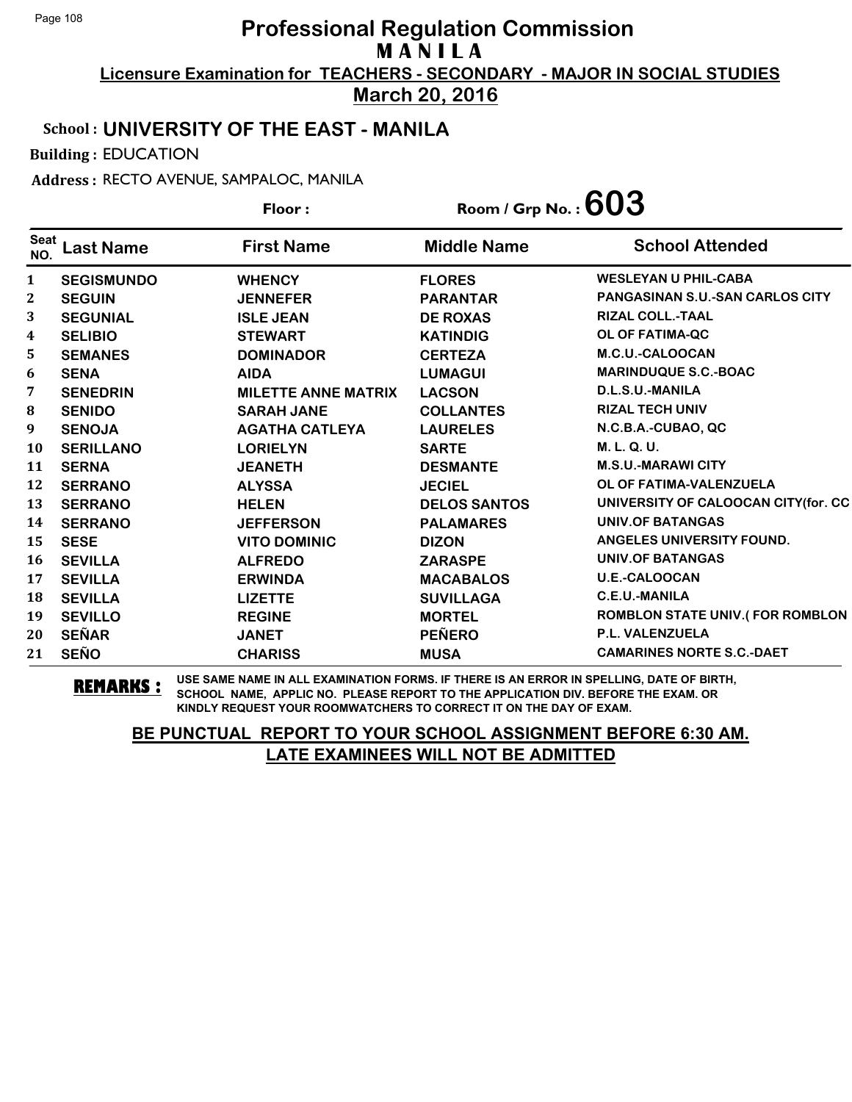**Licensure Examination for TEACHERS - SECONDARY - MAJOR IN SOCIAL STUDIES March 20, 2016**

#### School : **UNIVERSITY OF THE EAST - MANILA**

Building : EDUCATION

Address : RECTO AVENUE, SAMPALOC, MANILA

|                         |                   | Floor:                     | Room / Grp No. : $603$ |                                         |
|-------------------------|-------------------|----------------------------|------------------------|-----------------------------------------|
| <b>Seat</b><br>NO.      | <b>Last Name</b>  | <b>First Name</b>          | <b>Middle Name</b>     | <b>School Attended</b>                  |
| $\mathbf{1}$            | <b>SEGISMUNDO</b> | <b>WHENCY</b>              | <b>FLORES</b>          | <b>WESLEYAN U PHIL-CABA</b>             |
| $\mathbf{2}$            | <b>SEGUIN</b>     | <b>JENNEFER</b>            | <b>PARANTAR</b>        | <b>PANGASINAN S.U.-SAN CARLOS CITY</b>  |
| 3                       | <b>SEGUNIAL</b>   | <b>ISLE JEAN</b>           | <b>DE ROXAS</b>        | <b>RIZAL COLL.-TAAL</b>                 |
| $\overline{\mathbf{4}}$ | <b>SELIBIO</b>    | <b>STEWART</b>             | <b>KATINDIG</b>        | OL OF FATIMA-QC                         |
| 5                       | <b>SEMANES</b>    | <b>DOMINADOR</b>           | <b>CERTEZA</b>         | M.C.U.-CALOOCAN                         |
| 6                       | <b>SENA</b>       | <b>AIDA</b>                | <b>LUMAGUI</b>         | <b>MARINDUQUE S.C.-BOAC</b>             |
| 7                       | <b>SENEDRIN</b>   | <b>MILETTE ANNE MATRIX</b> | <b>LACSON</b>          | D.L.S.U.-MANILA                         |
| 8                       | <b>SENIDO</b>     | <b>SARAH JANE</b>          | <b>COLLANTES</b>       | <b>RIZAL TECH UNIV</b>                  |
| 9                       | <b>SENOJA</b>     | <b>AGATHA CATLEYA</b>      | <b>LAURELES</b>        | N.C.B.A.-CUBAO, QC                      |
| 10                      | <b>SERILLANO</b>  | <b>LORIELYN</b>            | <b>SARTE</b>           | M. L. Q. U.                             |
| 11                      | <b>SERNA</b>      | <b>JEANETH</b>             | <b>DESMANTE</b>        | <b>M.S.U.-MARAWI CITY</b>               |
| 12                      | <b>SERRANO</b>    | <b>ALYSSA</b>              | <b>JECIEL</b>          | OL OF FATIMA-VALENZUELA                 |
| 13                      | <b>SERRANO</b>    | <b>HELEN</b>               | <b>DELOS SANTOS</b>    | UNIVERSITY OF CALOOCAN CITY(for. CC     |
| 14                      | <b>SERRANO</b>    | <b>JEFFERSON</b>           | <b>PALAMARES</b>       | <b>UNIV.OF BATANGAS</b>                 |
| 15                      | <b>SESE</b>       | <b>VITO DOMINIC</b>        | <b>DIZON</b>           | ANGELES UNIVERSITY FOUND.               |
| 16                      | <b>SEVILLA</b>    | <b>ALFREDO</b>             | <b>ZARASPE</b>         | UNIV.OF BATANGAS                        |
| 17                      | <b>SEVILLA</b>    | <b>ERWINDA</b>             | <b>MACABALOS</b>       | <b>U.E.-CALOOCAN</b>                    |
| 18                      | <b>SEVILLA</b>    | <b>LIZETTE</b>             | <b>SUVILLAGA</b>       | <b>C.E.U.-MANILA</b>                    |
| 19                      | <b>SEVILLO</b>    | <b>REGINE</b>              | <b>MORTEL</b>          | <b>ROMBLON STATE UNIV. (FOR ROMBLON</b> |
| 20                      | <b>SEÑAR</b>      | <b>JANET</b>               | <b>PEÑERO</b>          | <b>P.L. VALENZUELA</b>                  |
| 21                      | <b>SEÑO</b>       | <b>CHARISS</b>             | <b>MUSA</b>            | <b>CAMARINES NORTE S.C.-DAET</b>        |

**REMARKS :** USE SAME NAME IN ALL EXAMINATION FORMS. IF THERE IS AN ERROR IN SPELLING, DATE OF BIRTH, SCHOOL NAME, APPLIC NO. PLEASE REPORT TO THE APPLICATION DIV. BEFORE THE EXAM. OR KINDLY REQUEST YOUR ROOMWATCHERS TO CORRECT IT ON THE DAY OF EXAM.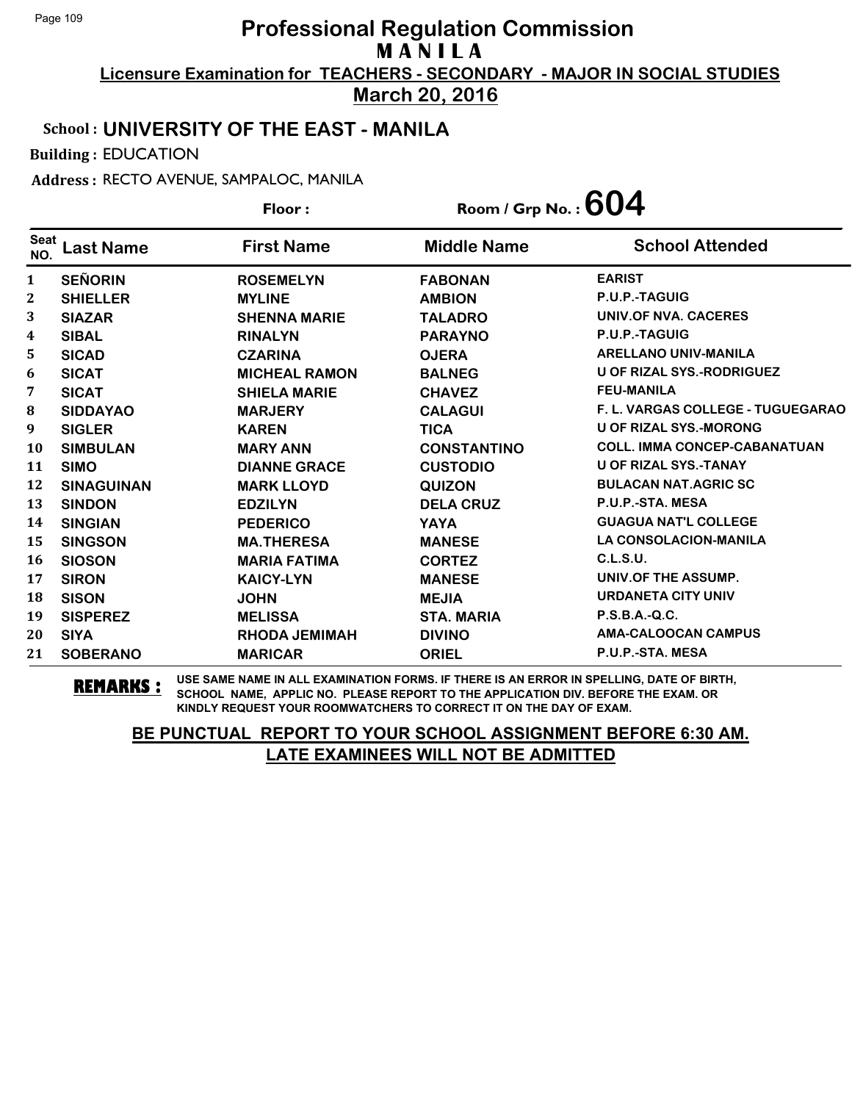**Licensure Examination for TEACHERS - SECONDARY - MAJOR IN SOCIAL STUDIES March 20, 2016**

### School : **UNIVERSITY OF THE EAST - MANILA**

Building : EDUCATION

Address : RECTO AVENUE, SAMPALOC, MANILA

|                    |                   | Floor:               | Room / Grp No. : $604$ |                                     |
|--------------------|-------------------|----------------------|------------------------|-------------------------------------|
| <b>Seat</b><br>NO. | <b>Last Name</b>  | <b>First Name</b>    | <b>Middle Name</b>     | <b>School Attended</b>              |
| $\mathbf{1}$       | <b>SEÑORIN</b>    | <b>ROSEMELYN</b>     | <b>FABONAN</b>         | <b>EARIST</b>                       |
| 2                  | <b>SHIELLER</b>   | <b>MYLINE</b>        | <b>AMBION</b>          | P.U.P.-TAGUIG                       |
| 3                  | <b>SIAZAR</b>     | <b>SHENNA MARIE</b>  | <b>TALADRO</b>         | UNIV.OF NVA. CACERES                |
| 4                  | <b>SIBAL</b>      | <b>RINALYN</b>       | <b>PARAYNO</b>         | P.U.P.-TAGUIG                       |
| 5                  | <b>SICAD</b>      | <b>CZARINA</b>       | <b>OJERA</b>           | <b>ARELLANO UNIV-MANILA</b>         |
| 6                  | <b>SICAT</b>      | <b>MICHEAL RAMON</b> | <b>BALNEG</b>          | <b>U OF RIZAL SYS.-RODRIGUEZ</b>    |
| 7                  | <b>SICAT</b>      | <b>SHIELA MARIE</b>  | <b>CHAVEZ</b>          | <b>FEU-MANILA</b>                   |
| 8                  | <b>SIDDAYAO</b>   | <b>MARJERY</b>       | <b>CALAGUI</b>         | F. L. VARGAS COLLEGE - TUGUEGARAO   |
| 9                  | <b>SIGLER</b>     | <b>KAREN</b>         | <b>TICA</b>            | <b>U OF RIZAL SYS.-MORONG</b>       |
| 10                 | <b>SIMBULAN</b>   | <b>MARY ANN</b>      | <b>CONSTANTINO</b>     | <b>COLL. IMMA CONCEP-CABANATUAN</b> |
| 11                 | <b>SIMO</b>       | <b>DIANNE GRACE</b>  | <b>CUSTODIO</b>        | <b>U OF RIZAL SYS.-TANAY</b>        |
| 12                 | <b>SINAGUINAN</b> | <b>MARK LLOYD</b>    | <b>QUIZON</b>          | <b>BULACAN NAT.AGRIC SC</b>         |
| 13                 | <b>SINDON</b>     | <b>EDZILYN</b>       | <b>DELA CRUZ</b>       | P.U.P.-STA. MESA                    |
| 14                 | <b>SINGIAN</b>    | <b>PEDERICO</b>      | <b>YAYA</b>            | <b>GUAGUA NAT'L COLLEGE</b>         |
| 15                 | <b>SINGSON</b>    | <b>MA.THERESA</b>    | <b>MANESE</b>          | <b>LA CONSOLACION-MANILA</b>        |
| 16                 | <b>SIOSON</b>     | <b>MARIA FATIMA</b>  | <b>CORTEZ</b>          | C.L.S.U.                            |
| 17                 | <b>SIRON</b>      | <b>KAICY-LYN</b>     | <b>MANESE</b>          | UNIV.OF THE ASSUMP.                 |
| 18                 | <b>SISON</b>      | <b>JOHN</b>          | <b>MEJIA</b>           | <b>URDANETA CITY UNIV</b>           |
| 19                 | <b>SISPEREZ</b>   | <b>MELISSA</b>       | <b>STA. MARIA</b>      | P.S.B.A.-Q.C.                       |
| 20                 | <b>SIYA</b>       | <b>RHODA JEMIMAH</b> | <b>DIVINO</b>          | <b>AMA-CALOOCAN CAMPUS</b>          |
| 21                 | <b>SOBERANO</b>   | <b>MARICAR</b>       | <b>ORIEL</b>           | P.U.P.-STA. MESA                    |

**REMARKS :** USE SAME NAME IN ALL EXAMINATION FORMS. IF THERE IS AN ERROR IN SPELLING, DATE OF BIRTH, SCHOOL NAME, APPLIC NO. PLEASE REPORT TO THE APPLICATION DIV. BEFORE THE EXAM. OR KINDLY REQUEST YOUR ROOMWATCHERS TO CORRECT IT ON THE DAY OF EXAM.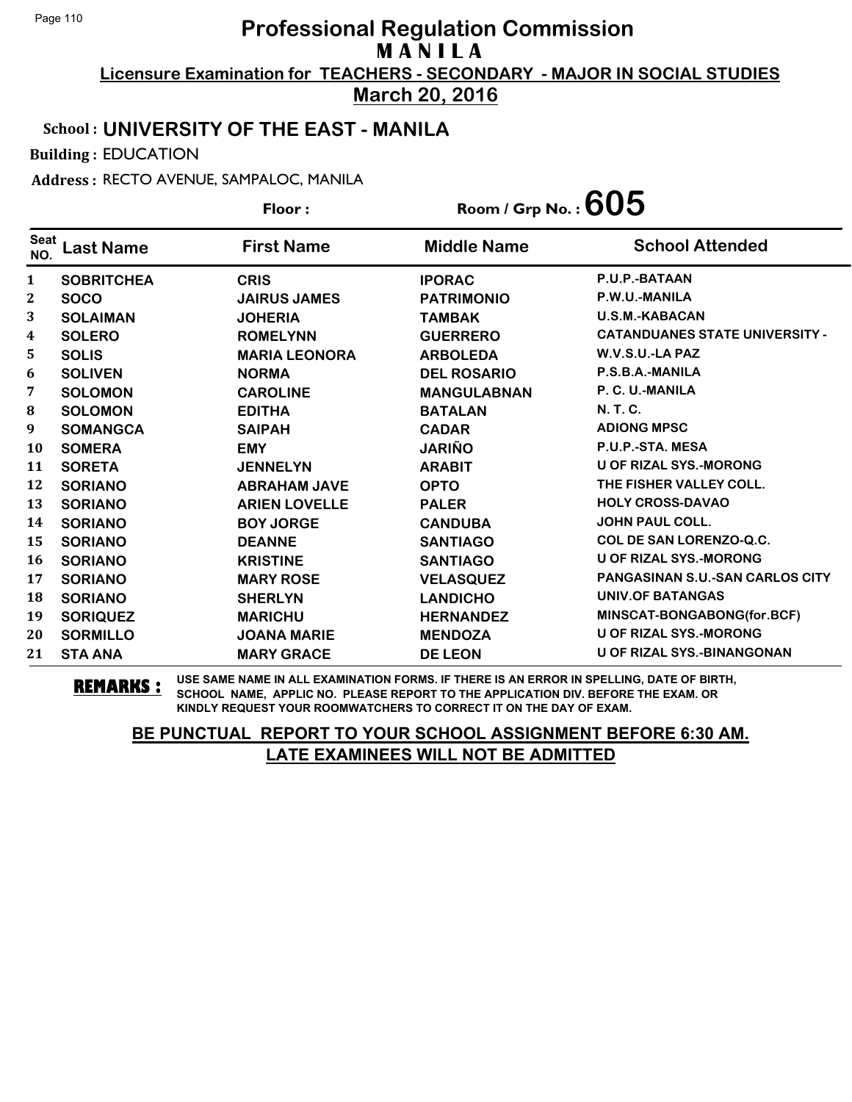**Licensure Examination for TEACHERS - SECONDARY - MAJOR IN SOCIAL STUDIES March 20, 2016**

### School : **UNIVERSITY OF THE EAST - MANILA**

Building : EDUCATION

Address : RECTO AVENUE, SAMPALOC, MANILA

|                    |                   | Floor:               | Room / Grp No. : $605$ |                                        |
|--------------------|-------------------|----------------------|------------------------|----------------------------------------|
| <b>Seat</b><br>NO. | <b>Last Name</b>  | <b>First Name</b>    | <b>Middle Name</b>     | <b>School Attended</b>                 |
| $\mathbf{1}$       | <b>SOBRITCHEA</b> | <b>CRIS</b>          | <b>IPORAC</b>          | P.U.P.-BATAAN                          |
| 2                  | <b>SOCO</b>       | <b>JAIRUS JAMES</b>  | <b>PATRIMONIO</b>      | P.W.U.-MANILA                          |
| 3                  | <b>SOLAIMAN</b>   | <b>JOHERIA</b>       | <b>TAMBAK</b>          | <b>U.S.M.-KABACAN</b>                  |
| 4                  | <b>SOLERO</b>     | <b>ROMELYNN</b>      | <b>GUERRERO</b>        | <b>CATANDUANES STATE UNIVERSITY -</b>  |
| 5                  | <b>SOLIS</b>      | <b>MARIA LEONORA</b> | <b>ARBOLEDA</b>        | W.V.S.U.-LA PAZ                        |
| 6                  | <b>SOLIVEN</b>    | <b>NORMA</b>         | <b>DEL ROSARIO</b>     | P.S.B.A.-MANILA                        |
| 7                  | <b>SOLOMON</b>    | <b>CAROLINE</b>      | <b>MANGULABNAN</b>     | P. C. U.-MANILA                        |
| 8                  | <b>SOLOMON</b>    | <b>EDITHA</b>        | <b>BATALAN</b>         | N. T. C.                               |
| 9                  | <b>SOMANGCA</b>   | <b>SAIPAH</b>        | <b>CADAR</b>           | <b>ADIONG MPSC</b>                     |
| 10                 | <b>SOMERA</b>     | <b>EMY</b>           | <b>JARIÑO</b>          | P.U.P.-STA. MESA                       |
| 11                 | <b>SORETA</b>     | <b>JENNELYN</b>      | <b>ARABIT</b>          | <b>U OF RIZAL SYS.-MORONG</b>          |
| 12                 | <b>SORIANO</b>    | <b>ABRAHAM JAVE</b>  | <b>OPTO</b>            | THE FISHER VALLEY COLL.                |
| 13                 | <b>SORIANO</b>    | <b>ARIEN LOVELLE</b> | <b>PALER</b>           | <b>HOLY CROSS-DAVAO</b>                |
| 14                 | <b>SORIANO</b>    | <b>BOY JORGE</b>     | <b>CANDUBA</b>         | <b>JOHN PAUL COLL.</b>                 |
| 15                 | <b>SORIANO</b>    | <b>DEANNE</b>        | <b>SANTIAGO</b>        | <b>COL DE SAN LORENZO-Q.C.</b>         |
| 16                 | <b>SORIANO</b>    | <b>KRISTINE</b>      | <b>SANTIAGO</b>        | <b>U OF RIZAL SYS.-MORONG</b>          |
| 17                 | <b>SORIANO</b>    | <b>MARY ROSE</b>     | <b>VELASQUEZ</b>       | <b>PANGASINAN S.U.-SAN CARLOS CITY</b> |
| 18                 | <b>SORIANO</b>    | <b>SHERLYN</b>       | <b>LANDICHO</b>        | <b>UNIV.OF BATANGAS</b>                |
| 19                 | <b>SORIQUEZ</b>   | <b>MARICHU</b>       | <b>HERNANDEZ</b>       | MINSCAT-BONGABONG(for.BCF)             |
| 20                 | <b>SORMILLO</b>   | <b>JOANA MARIE</b>   | <b>MENDOZA</b>         | <b>U OF RIZAL SYS.-MORONG</b>          |
| 21                 | <b>STA ANA</b>    | <b>MARY GRACE</b>    | <b>DE LEON</b>         | <b>U OF RIZAL SYS.-BINANGONAN</b>      |

**REMARKS :** USE SAME NAME IN ALL EXAMINATION FORMS. IF THERE IS AN ERROR IN SPELLING, DATE OF BIRTH, SCHOOL NAME, APPLIC NO. PLEASE REPORT TO THE APPLICATION DIV. BEFORE THE EXAM. OR KINDLY REQUEST YOUR ROOMWATCHERS TO CORRECT IT ON THE DAY OF EXAM.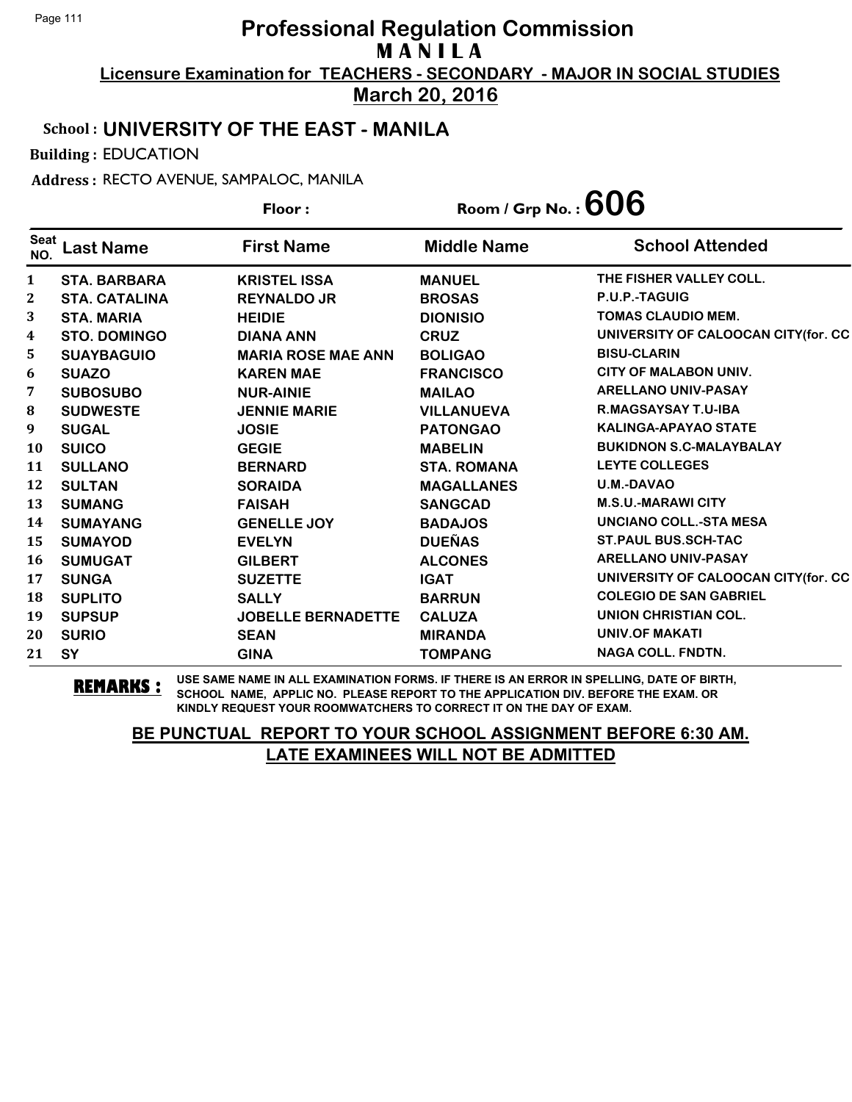**March 20, 2016**

### School : **UNIVERSITY OF THE EAST - MANILA**

Building : EDUCATION

Address : RECTO AVENUE, SAMPALOC, MANILA

|                    |                      | Floor:                    | Room / Grp No. : $606$ |                                      |
|--------------------|----------------------|---------------------------|------------------------|--------------------------------------|
| <b>Seat</b><br>NO. | <b>Last Name</b>     | <b>First Name</b>         | <b>Middle Name</b>     | <b>School Attended</b>               |
| 1                  | <b>STA. BARBARA</b>  | <b>KRISTEL ISSA</b>       | <b>MANUEL</b>          | THE FISHER VALLEY COLL.              |
| $\mathbf{2}$       | <b>STA. CATALINA</b> | <b>REYNALDO JR</b>        | <b>BROSAS</b>          | P.U.P.-TAGUIG                        |
| 3                  | <b>STA. MARIA</b>    | <b>HEIDIE</b>             | <b>DIONISIO</b>        | <b>TOMAS CLAUDIO MEM.</b>            |
| 4                  | <b>STO. DOMINGO</b>  | <b>DIANA ANN</b>          | <b>CRUZ</b>            | UNIVERSITY OF CALOOCAN CITY (for. CC |
| 5                  | <b>SUAYBAGUIO</b>    | <b>MARIA ROSE MAE ANN</b> | <b>BOLIGAO</b>         | <b>BISU-CLARIN</b>                   |
| 6                  | <b>SUAZO</b>         | <b>KAREN MAE</b>          | <b>FRANCISCO</b>       | <b>CITY OF MALABON UNIV.</b>         |
| 7                  | <b>SUBOSUBO</b>      | <b>NUR-AINIE</b>          | <b>MAILAO</b>          | <b>ARELLANO UNIV-PASAY</b>           |
| 8                  | <b>SUDWESTE</b>      | <b>JENNIE MARIE</b>       | <b>VILLANUEVA</b>      | <b>R.MAGSAYSAY T.U-IBA</b>           |
| 9                  | <b>SUGAL</b>         | <b>JOSIE</b>              | <b>PATONGAO</b>        | <b>KALINGA-APAYAO STATE</b>          |
| 10                 | <b>SUICO</b>         | <b>GEGIE</b>              | <b>MABELIN</b>         | <b>BUKIDNON S.C-MALAYBALAY</b>       |
| 11                 | <b>SULLANO</b>       | <b>BERNARD</b>            | <b>STA. ROMANA</b>     | <b>LEYTE COLLEGES</b>                |
| 12                 | <b>SULTAN</b>        | <b>SORAIDA</b>            | <b>MAGALLANES</b>      | U.M.-DAVAO                           |
| 13                 | <b>SUMANG</b>        | <b>FAISAH</b>             | <b>SANGCAD</b>         | <b>M.S.U.-MARAWI CITY</b>            |
| 14                 | <b>SUMAYANG</b>      | <b>GENELLE JOY</b>        | <b>BADAJOS</b>         | <b>UNCIANO COLL.-STA MESA</b>        |
| 15                 | <b>SUMAYOD</b>       | <b>EVELYN</b>             | <b>DUEÑAS</b>          | <b>ST.PAUL BUS.SCH-TAC</b>           |
| 16                 | <b>SUMUGAT</b>       | <b>GILBERT</b>            | <b>ALCONES</b>         | <b>ARELLANO UNIV-PASAY</b>           |
| 17                 | <b>SUNGA</b>         | <b>SUZETTE</b>            | <b>IGAT</b>            | UNIVERSITY OF CALOOCAN CITY (for. CC |
| 18                 | <b>SUPLITO</b>       | <b>SALLY</b>              | <b>BARRUN</b>          | <b>COLEGIO DE SAN GABRIEL</b>        |
| 19                 | <b>SUPSUP</b>        | <b>JOBELLE BERNADETTE</b> | <b>CALUZA</b>          | UNION CHRISTIAN COL.                 |
| 20                 | <b>SURIO</b>         | <b>SEAN</b>               | <b>MIRANDA</b>         | <b>UNIV.OF MAKATI</b>                |
| 21                 | <b>SY</b>            | <b>GINA</b>               | <b>TOMPANG</b>         | <b>NAGA COLL. FNDTN.</b>             |

**REMARKS :** USE SAME NAME IN ALL EXAMINATION FORMS. IF THERE IS AN ERROR IN SPELLING, DATE OF BIRTH, SCHOOL NAME, APPLIC NO. PLEASE REPORT TO THE APPLICATION DIV. BEFORE THE EXAM. OR KINDLY REQUEST YOUR ROOMWATCHERS TO CORRECT IT ON THE DAY OF EXAM.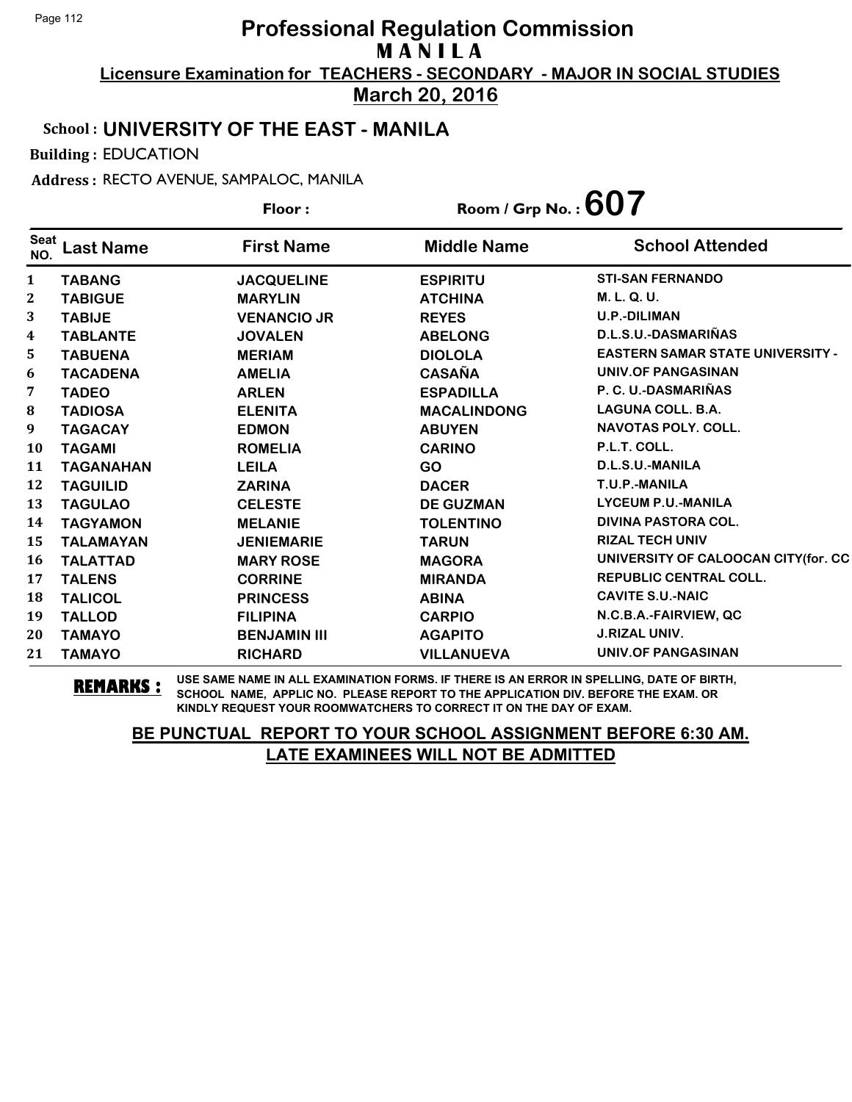**Licensure Examination for TEACHERS - SECONDARY - MAJOR IN SOCIAL STUDIES March 20, 2016**

#### School : **UNIVERSITY OF THE EAST - MANILA**

Building : EDUCATION

Address : RECTO AVENUE, SAMPALOC, MANILA

**Last Name First Name Middle Name** Floor : Room / Grp No. :**607** Seat <sup>Seat</sup> Last Name First Name Middle Name School Attended **TABANG JACQUELINE ESPIRITU STI-SAN FERNANDO TABIGUE MARYLIN ATCHINA M. L. Q. U. TABIJE VENANCIO JR REYES U.P.-DILIMAN TABLANTE JOVALEN ABELONG D.L.S.U.-DASMARIÑAS TABUENA MERIAM DIOLOLA EASTERN SAMAR STATE UNIVERSITY - TACADENA AMELIA CASAÑA UNIV.OF PANGASINAN TADEO ARLEN ESPADILLA P. C. U.-DASMARIÑAS TADIOSA ELENITA MACALINDONG LAGUNA COLL. B.A. TAGACAY EDMON ABUYEN NAVOTAS POLY. COLL. TAGAMI ROMELIA CARINO P.L.T. COLL. TAGANAHAN LEILA GO D.L.S.U.-MANILA TAGUILID ZARINA DACER T.U.P.-MANILA TAGULAO CELESTE DE GUZMAN LYCEUM P.U.-MANILA TAGYAMON MELANIE TOLENTINO DIVINA PASTORA COL. TALAMAYAN JENIEMARIE TARUN RIZAL TECH UNIV TALATTAD MARY ROSE MAGORA UNIVERSITY OF CALOOCAN CITY(for. CC TALENS CORRINE MIRANDA REPUBLIC CENTRAL COLL. TALICOL PRINCESS ABINA** CAVITE S.U.-NAIC **TALLOD FILIPINA CARPIO N.C.B.A.-FAIRVIEW, QC TAMAYO BENJAMIN III AGAPITO J.RIZAL UNIV. TAMAYO RICHARD VILLANUEVA UNIV.OF PANGASINAN**

**REMARKS :** USE SAME NAME IN ALL EXAMINATION FORMS. IF THERE IS AN ERROR IN SPELLING, DATE OF BIRTH, SCHOOL NAME, APPLIC NO. PLEASE REPORT TO THE APPLICATION DIV. BEFORE THE EXAM. OR KINDLY REQUEST YOUR ROOMWATCHERS TO CORRECT IT ON THE DAY OF EXAM.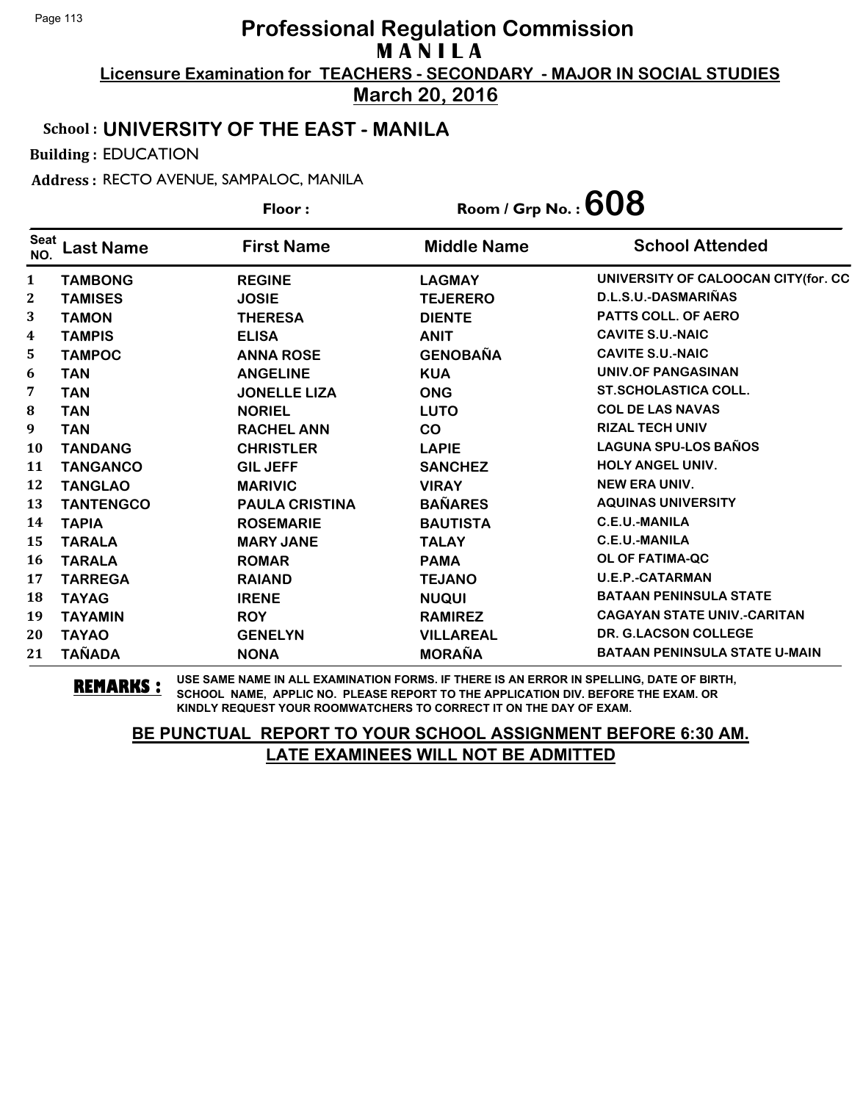**March 20, 2016**

### School : **UNIVERSITY OF THE EAST - MANILA**

Building : EDUCATION

Address : RECTO AVENUE, SAMPALOC, MANILA

|                    |                  | Floor:                | Room / Grp No. : $608$ |                                      |
|--------------------|------------------|-----------------------|------------------------|--------------------------------------|
| <b>Seat</b><br>NO. | <b>Last Name</b> | <b>First Name</b>     | <b>Middle Name</b>     | <b>School Attended</b>               |
| 1                  | <b>TAMBONG</b>   | <b>REGINE</b>         | <b>LAGMAY</b>          | UNIVERSITY OF CALOOCAN CITY(for. CC  |
| $\boldsymbol{2}$   | <b>TAMISES</b>   | <b>JOSIE</b>          | <b>TEJERERO</b>        | D.L.S.U.-DASMARIÑAS                  |
| 3                  | <b>TAMON</b>     | <b>THERESA</b>        | <b>DIENTE</b>          | PATTS COLL. OF AERO                  |
| 4                  | <b>TAMPIS</b>    | <b>ELISA</b>          | <b>ANIT</b>            | <b>CAVITE S.U.-NAIC</b>              |
| 5                  | <b>TAMPOC</b>    | <b>ANNA ROSE</b>      | <b>GENOBAÑA</b>        | <b>CAVITE S.U.-NAIC</b>              |
| 6                  | <b>TAN</b>       | <b>ANGELINE</b>       | <b>KUA</b>             | UNIV.OF PANGASINAN                   |
| 7                  | <b>TAN</b>       | <b>JONELLE LIZA</b>   | <b>ONG</b>             | <b>ST.SCHOLASTICA COLL.</b>          |
| 8                  | <b>TAN</b>       | <b>NORIEL</b>         | <b>LUTO</b>            | <b>COL DE LAS NAVAS</b>              |
| 9                  | <b>TAN</b>       | <b>RACHEL ANN</b>     | <b>CO</b>              | <b>RIZAL TECH UNIV</b>               |
| 10                 | <b>TANDANG</b>   | <b>CHRISTLER</b>      | <b>LAPIE</b>           | <b>LAGUNA SPU-LOS BAÑOS</b>          |
| 11                 | <b>TANGANCO</b>  | <b>GIL JEFF</b>       | <b>SANCHEZ</b>         | HOLY ANGEL UNIV.                     |
| 12                 | <b>TANGLAO</b>   | <b>MARIVIC</b>        | <b>VIRAY</b>           | <b>NEW ERA UNIV.</b>                 |
| 13                 | <b>TANTENGCO</b> | <b>PAULA CRISTINA</b> | <b>BAÑARES</b>         | <b>AQUINAS UNIVERSITY</b>            |
| 14                 | <b>TAPIA</b>     | <b>ROSEMARIE</b>      | <b>BAUTISTA</b>        | <b>C.E.U.-MANILA</b>                 |
| 15                 | <b>TARALA</b>    | <b>MARY JANE</b>      | <b>TALAY</b>           | C.E.U.-MANILA                        |
| 16                 | <b>TARALA</b>    | <b>ROMAR</b>          | <b>PAMA</b>            | OL OF FATIMA-QC                      |
| 17                 | <b>TARREGA</b>   | <b>RAIAND</b>         | <b>TEJANO</b>          | <b>U.E.P.-CATARMAN</b>               |
| 18                 | <b>TAYAG</b>     | <b>IRENE</b>          | <b>NUQUI</b>           | <b>BATAAN PENINSULA STATE</b>        |
| 19                 | <b>TAYAMIN</b>   | <b>ROY</b>            | <b>RAMIREZ</b>         | <b>CAGAYAN STATE UNIV.-CARITAN</b>   |
| 20                 | <b>TAYAO</b>     | <b>GENELYN</b>        | <b>VILLAREAL</b>       | <b>DR. G.LACSON COLLEGE</b>          |
| 21                 | <b>TAÑADA</b>    | <b>NONA</b>           | <b>MORAÑA</b>          | <b>BATAAN PENINSULA STATE U-MAIN</b> |

**REMARKS :** USE SAME NAME IN ALL EXAMINATION FORMS. IF THERE IS AN ERROR IN SPELLING, DATE OF BIRTH, SCHOOL NAME, APPLIC NO. PLEASE REPORT TO THE APPLICATION DIV. BEFORE THE EXAM. OR KINDLY REQUEST YOUR ROOMWATCHERS TO CORRECT IT ON THE DAY OF EXAM.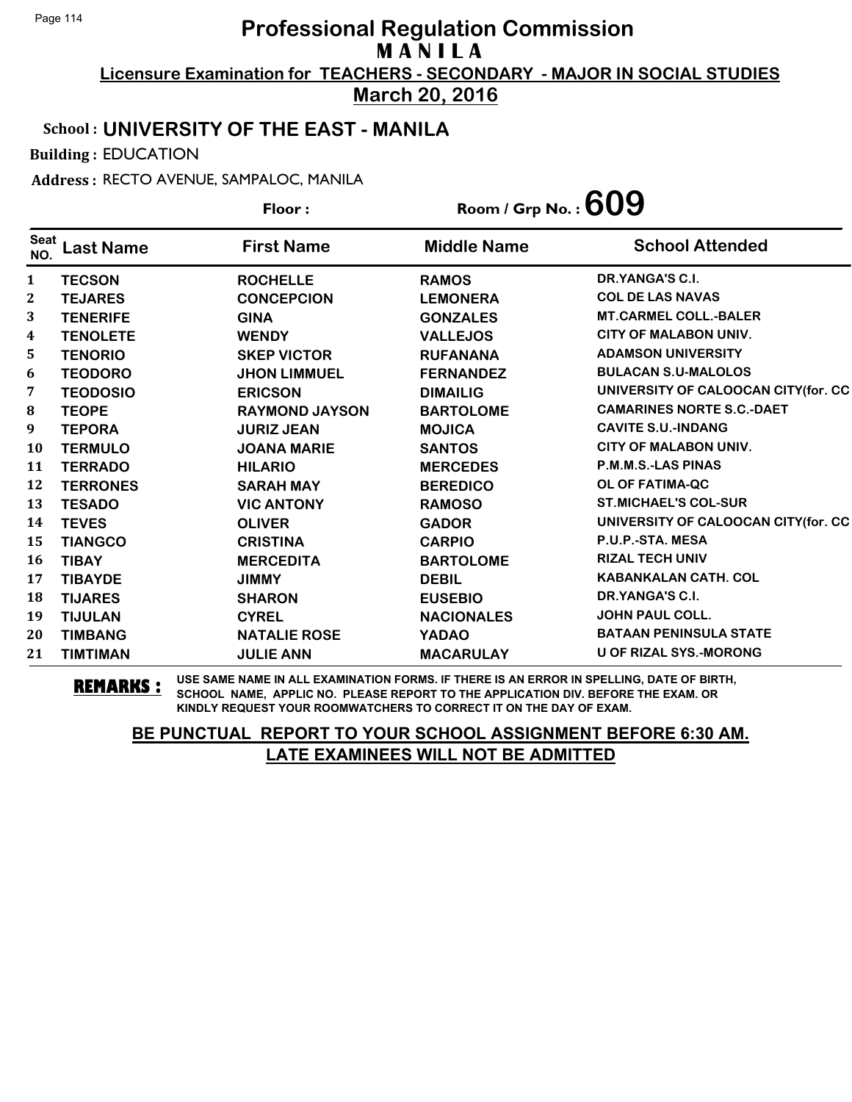**March 20, 2016**

### School : **UNIVERSITY OF THE EAST - MANILA**

Building : EDUCATION

Address : RECTO AVENUE, SAMPALOC, MANILA

|              |                  | Floor:                | Room / Grp No. : $609$ |                                      |
|--------------|------------------|-----------------------|------------------------|--------------------------------------|
| Seat<br>NO.  | <b>Last Name</b> | <b>First Name</b>     | <b>Middle Name</b>     | <b>School Attended</b>               |
| $\mathbf{1}$ | <b>TECSON</b>    | <b>ROCHELLE</b>       | <b>RAMOS</b>           | DR.YANGA'S C.I.                      |
| 2            | <b>TEJARES</b>   | <b>CONCEPCION</b>     | <b>LEMONERA</b>        | <b>COL DE LAS NAVAS</b>              |
| 3            | <b>TENERIFE</b>  | <b>GINA</b>           | <b>GONZALES</b>        | <b>MT.CARMEL COLL.-BALER</b>         |
| 4            | <b>TENOLETE</b>  | <b>WENDY</b>          | <b>VALLEJOS</b>        | <b>CITY OF MALABON UNIV.</b>         |
| 5            | <b>TENORIO</b>   | <b>SKEP VICTOR</b>    | <b>RUFANANA</b>        | <b>ADAMSON UNIVERSITY</b>            |
| 6            | <b>TEODORO</b>   | <b>JHON LIMMUEL</b>   | <b>FERNANDEZ</b>       | <b>BULACAN S.U-MALOLOS</b>           |
| 7            | <b>TEODOSIO</b>  | <b>ERICSON</b>        | <b>DIMAILIG</b>        | UNIVERSITY OF CALOOCAN CITY(for. CC  |
| 8            | <b>TEOPE</b>     | <b>RAYMOND JAYSON</b> | <b>BARTOLOME</b>       | <b>CAMARINES NORTE S.C.-DAET</b>     |
| 9            | <b>TEPORA</b>    | <b>JURIZ JEAN</b>     | <b>MOJICA</b>          | <b>CAVITE S.U.-INDANG</b>            |
| <b>10</b>    | <b>TERMULO</b>   | <b>JOANA MARIE</b>    | <b>SANTOS</b>          | <b>CITY OF MALABON UNIV.</b>         |
| 11           | <b>TERRADO</b>   | <b>HILARIO</b>        | <b>MERCEDES</b>        | <b>P.M.M.S.-LAS PINAS</b>            |
| 12           | <b>TERRONES</b>  | <b>SARAH MAY</b>      | <b>BEREDICO</b>        | OL OF FATIMA-QC                      |
| 13           | <b>TESADO</b>    | <b>VIC ANTONY</b>     | <b>RAMOSO</b>          | <b>ST.MICHAEL'S COL-SUR</b>          |
| 14           | <b>TEVES</b>     | <b>OLIVER</b>         | <b>GADOR</b>           | UNIVERSITY OF CALOOCAN CITY (for. CC |
| 15           | <b>TIANGCO</b>   | <b>CRISTINA</b>       | <b>CARPIO</b>          | P.U.P.-STA. MESA                     |
| 16           | <b>TIBAY</b>     | <b>MERCEDITA</b>      | <b>BARTOLOME</b>       | <b>RIZAL TECH UNIV</b>               |
| 17           | <b>TIBAYDE</b>   | <b>JIMMY</b>          | <b>DEBIL</b>           | <b>KABANKALAN CATH. COL</b>          |
| 18           | <b>TIJARES</b>   | <b>SHARON</b>         | <b>EUSEBIO</b>         | DR.YANGA'S C.I.                      |
| 19           | <b>TIJULAN</b>   | <b>CYREL</b>          | <b>NACIONALES</b>      | <b>JOHN PAUL COLL.</b>               |
| 20           | <b>TIMBANG</b>   | <b>NATALIE ROSE</b>   | <b>YADAO</b>           | <b>BATAAN PENINSULA STATE</b>        |
| 21           | <b>TIMTIMAN</b>  | <b>JULIE ANN</b>      | <b>MACARULAY</b>       | <b>U OF RIZAL SYS.-MORONG</b>        |

**REMARKS :** USE SAME NAME IN ALL EXAMINATION FORMS. IF THERE IS AN ERROR IN SPELLING, DATE OF BIRTH, SCHOOL NAME, APPLIC NO. PLEASE REPORT TO THE APPLICATION DIV. BEFORE THE EXAM. OR KINDLY REQUEST YOUR ROOMWATCHERS TO CORRECT IT ON THE DAY OF EXAM.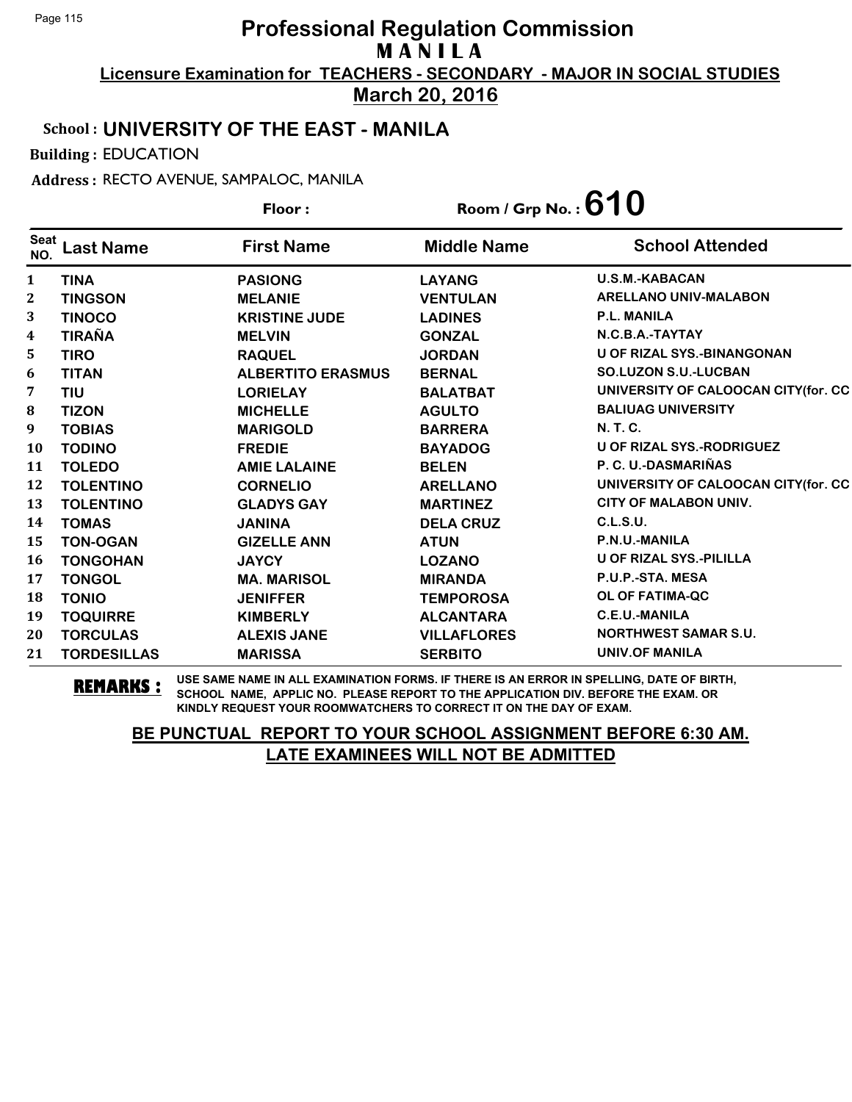**Licensure Examination for TEACHERS - SECONDARY - MAJOR IN SOCIAL STUDIES March 20, 2016**

School : **UNIVERSITY OF THE EAST - MANILA**

Building : EDUCATION

Address : RECTO AVENUE, SAMPALOC, MANILA

|                    |                    | Floor:                   | Room / Grp No.: $610$ |                                     |
|--------------------|--------------------|--------------------------|-----------------------|-------------------------------------|
| <b>Seat</b><br>NO. | <b>Last Name</b>   | <b>First Name</b>        | <b>Middle Name</b>    | <b>School Attended</b>              |
| $\mathbf{1}$       | <b>TINA</b>        | <b>PASIONG</b>           | <b>LAYANG</b>         | <b>U.S.M.-KABACAN</b>               |
| $\boldsymbol{2}$   | <b>TINGSON</b>     | <b>MELANIE</b>           | <b>VENTULAN</b>       | <b>ARELLANO UNIV-MALABON</b>        |
| 3                  | <b>TINOCO</b>      | <b>KRISTINE JUDE</b>     | <b>LADINES</b>        | P.L. MANILA                         |
| 4                  | <b>TIRAÑA</b>      | <b>MELVIN</b>            | <b>GONZAL</b>         | N.C.B.A.-TAYTAY                     |
| 5                  | <b>TIRO</b>        | <b>RAQUEL</b>            | <b>JORDAN</b>         | <b>U OF RIZAL SYS.-BINANGONAN</b>   |
| 6                  | <b>TITAN</b>       | <b>ALBERTITO ERASMUS</b> | <b>BERNAL</b>         | <b>SO.LUZON S.U.-LUCBAN</b>         |
| 7                  | <b>TIU</b>         | <b>LORIELAY</b>          | <b>BALATBAT</b>       | UNIVERSITY OF CALOOCAN CITY(for. CC |
| 8                  | <b>TIZON</b>       | <b>MICHELLE</b>          | <b>AGULTO</b>         | <b>BALIUAG UNIVERSITY</b>           |
| 9                  | <b>TOBIAS</b>      | <b>MARIGOLD</b>          | <b>BARRERA</b>        | N. T. C.                            |
| 10                 | <b>TODINO</b>      | <b>FREDIE</b>            | <b>BAYADOG</b>        | <b>U OF RIZAL SYS.-RODRIGUEZ</b>    |
| 11                 | <b>TOLEDO</b>      | <b>AMIE LALAINE</b>      | <b>BELEN</b>          | P. C. U.-DASMARIÑAS                 |
| 12                 | <b>TOLENTINO</b>   | <b>CORNELIO</b>          | <b>ARELLANO</b>       | UNIVERSITY OF CALOOCAN CITY(for. CC |
| 13                 | <b>TOLENTINO</b>   | <b>GLADYS GAY</b>        | <b>MARTINEZ</b>       | <b>CITY OF MALABON UNIV.</b>        |
| 14                 | <b>TOMAS</b>       | <b>JANINA</b>            | <b>DELA CRUZ</b>      | C.L.S.U.                            |
| 15                 | <b>TON-OGAN</b>    | <b>GIZELLE ANN</b>       | <b>ATUN</b>           | P.N.U.-MANILA                       |
| 16                 | <b>TONGOHAN</b>    | <b>JAYCY</b>             | <b>LOZANO</b>         | <b>U OF RIZAL SYS.-PILILLA</b>      |
| 17                 | <b>TONGOL</b>      | <b>MA. MARISOL</b>       | <b>MIRANDA</b>        | P.U.P.-STA. MESA                    |
| 18                 | <b>TONIO</b>       | <b>JENIFFER</b>          | <b>TEMPOROSA</b>      | <b>OL OF FATIMA-QC</b>              |
| 19                 | <b>TOQUIRRE</b>    | <b>KIMBERLY</b>          | <b>ALCANTARA</b>      | <b>C.E.U.-MANILA</b>                |
| 20                 | <b>TORCULAS</b>    | <b>ALEXIS JANE</b>       | <b>VILLAFLORES</b>    | <b>NORTHWEST SAMAR S.U.</b>         |
| 21                 | <b>TORDESILLAS</b> | <b>MARISSA</b>           | <b>SERBITO</b>        | <b>UNIV.OF MANILA</b>               |

**REMARKS :** USE SAME NAME IN ALL EXAMINATION FORMS. IF THERE IS AN ERROR IN SPELLING, DATE OF BIRTH, SCHOOL NAME, APPLIC NO. PLEASE REPORT TO THE APPLICATION DIV. BEFORE THE EXAM. OR KINDLY REQUEST YOUR ROOMWATCHERS TO CORRECT IT ON THE DAY OF EXAM.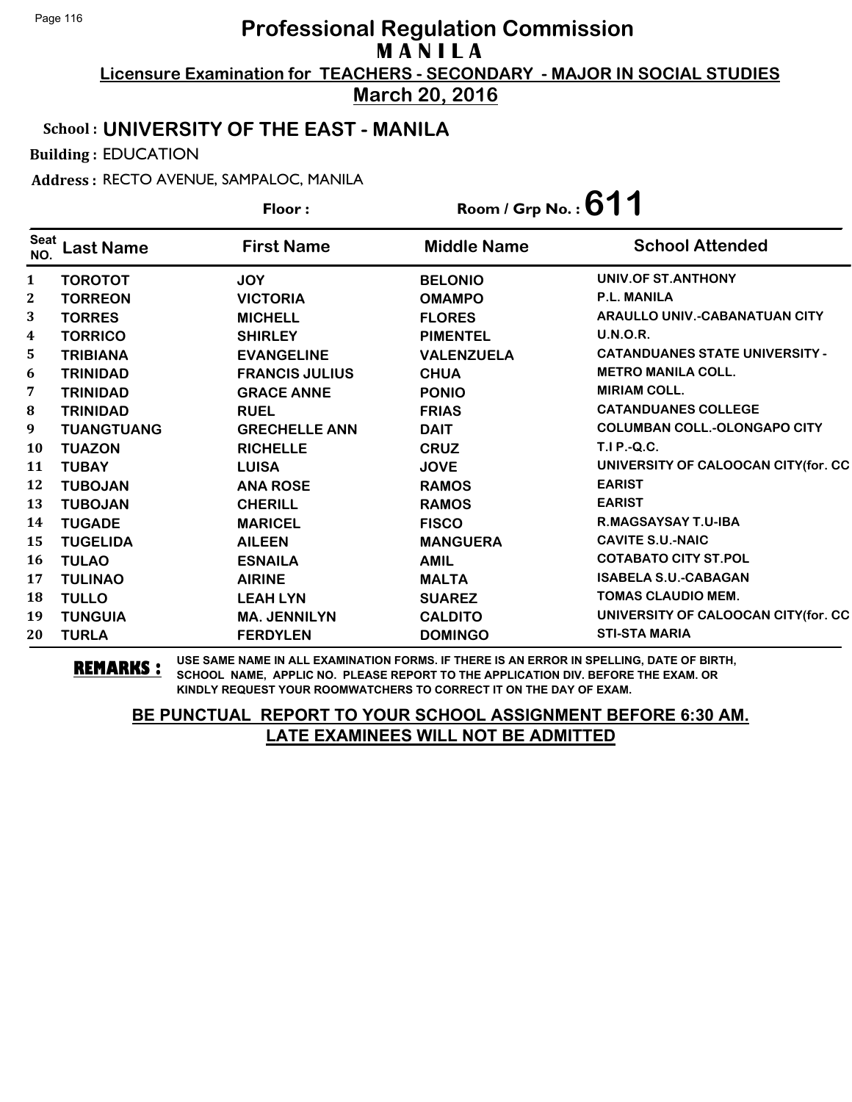**Licensure Examination for TEACHERS - SECONDARY - MAJOR IN SOCIAL STUDIES March 20, 2016**

#### School : **UNIVERSITY OF THE EAST - MANILA**

Building : EDUCATION

Address : RECTO AVENUE, SAMPALOC, MANILA

|                         |                   | Floor:                | Room / Grp No.: $611$ |                                       |
|-------------------------|-------------------|-----------------------|-----------------------|---------------------------------------|
| <b>Seat</b><br>NO.      | Last Name         | <b>First Name</b>     | <b>Middle Name</b>    | <b>School Attended</b>                |
| 1                       | <b>TOROTOT</b>    | <b>JOY</b>            | <b>BELONIO</b>        | UNIV.OF ST.ANTHONY                    |
| $\mathbf{2}$            | <b>TORREON</b>    | <b>VICTORIA</b>       | <b>OMAMPO</b>         | <b>P.L. MANILA</b>                    |
| 3                       | <b>TORRES</b>     | <b>MICHELL</b>        | <b>FLORES</b>         | ARAULLO UNIV.-CABANATUAN CITY         |
| $\overline{\mathbf{4}}$ | <b>TORRICO</b>    | <b>SHIRLEY</b>        | <b>PIMENTEL</b>       | <b>U.N.O.R.</b>                       |
| 5                       | <b>TRIBIANA</b>   | <b>EVANGELINE</b>     | <b>VALENZUELA</b>     | <b>CATANDUANES STATE UNIVERSITY -</b> |
| 6                       | <b>TRINIDAD</b>   | <b>FRANCIS JULIUS</b> | <b>CHUA</b>           | <b>METRO MANILA COLL.</b>             |
| 7                       | <b>TRINIDAD</b>   | <b>GRACE ANNE</b>     | <b>PONIO</b>          | <b>MIRIAM COLL.</b>                   |
| 8                       | <b>TRINIDAD</b>   | <b>RUEL</b>           | <b>FRIAS</b>          | <b>CATANDUANES COLLEGE</b>            |
| 9                       | <b>TUANGTUANG</b> | <b>GRECHELLE ANN</b>  | <b>DAIT</b>           | <b>COLUMBAN COLL.-OLONGAPO CITY</b>   |
| <b>10</b>               | <b>TUAZON</b>     | <b>RICHELLE</b>       | <b>CRUZ</b>           | $T.I.P.-Q.C.$                         |
| 11                      | <b>TUBAY</b>      | <b>LUISA</b>          | <b>JOVE</b>           | UNIVERSITY OF CALOOCAN CITY(for. CC   |
| 12                      | <b>TUBOJAN</b>    | <b>ANA ROSE</b>       | <b>RAMOS</b>          | <b>EARIST</b>                         |
| 13                      | <b>TUBOJAN</b>    | <b>CHERILL</b>        | <b>RAMOS</b>          | <b>EARIST</b>                         |
| 14                      | <b>TUGADE</b>     | <b>MARICEL</b>        | <b>FISCO</b>          | R.MAGSAYSAY T.U-IBA                   |
| 15                      | <b>TUGELIDA</b>   | <b>AILEEN</b>         | <b>MANGUERA</b>       | <b>CAVITE S.U.-NAIC</b>               |
| <b>16</b>               | <b>TULAO</b>      | <b>ESNAILA</b>        | <b>AMIL</b>           | <b>COTABATO CITY ST.POL</b>           |
| 17                      | <b>TULINAO</b>    | <b>AIRINE</b>         | <b>MALTA</b>          | <b>ISABELA S.U.-CABAGAN</b>           |
| 18                      | <b>TULLO</b>      | <b>LEAH LYN</b>       | <b>SUAREZ</b>         | <b>TOMAS CLAUDIO MEM.</b>             |
| 19                      | <b>TUNGUIA</b>    | <b>MA. JENNILYN</b>   | <b>CALDITO</b>        | UNIVERSITY OF CALOOCAN CITY (for. CC  |
| 20                      | <b>TURLA</b>      | <b>FERDYLEN</b>       | <b>DOMINGO</b>        | <b>STI-STA MARIA</b>                  |

**REMARKS :** USE SAME NAME IN ALL EXAMINATION FORMS. IF THERE IS AN ERROR IN SPELLING, DATE OF BIRTH, SCHOOL NAME, APPLIC NO. PLEASE REPORT TO THE APPLICATION DIV. BEFORE THE EXAM. OR KINDLY REQUEST YOUR ROOMWATCHERS TO CORRECT IT ON THE DAY OF EXAM.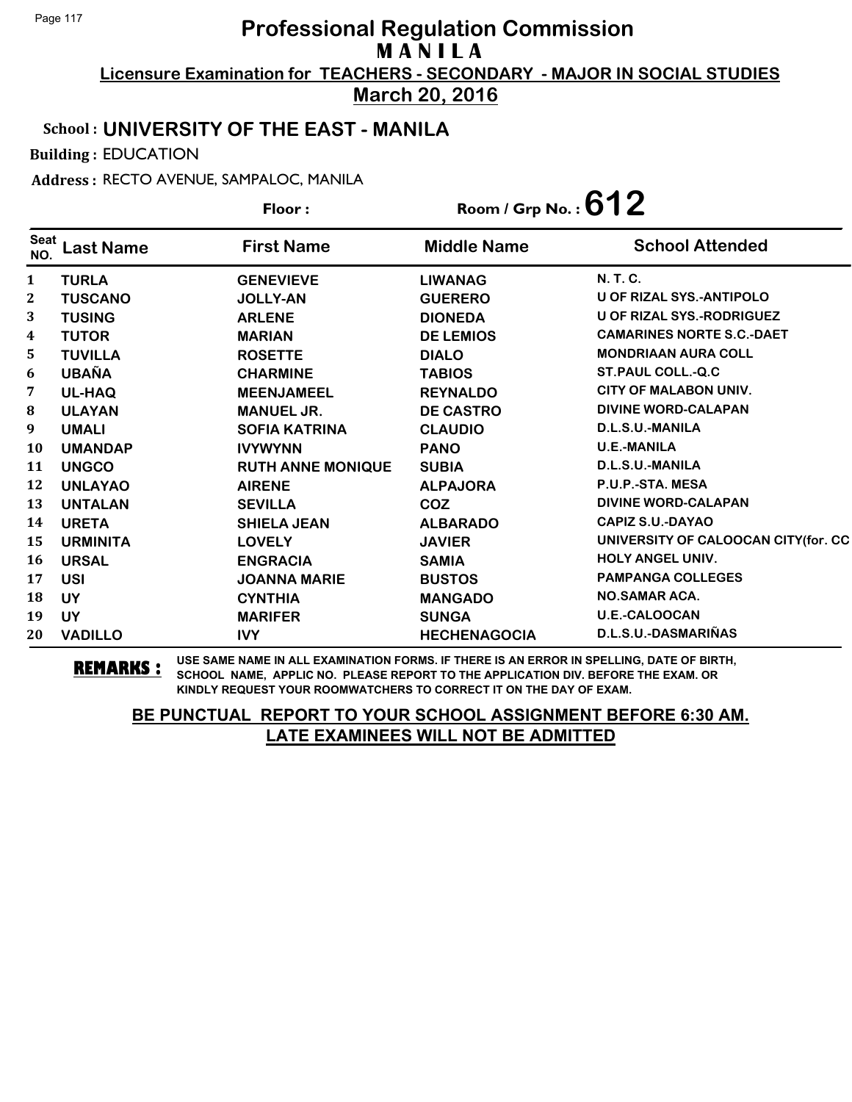**Licensure Examination for TEACHERS - SECONDARY - MAJOR IN SOCIAL STUDIES March 20, 2016**

#### School : **UNIVERSITY OF THE EAST - MANILA**

Building : EDUCATION

Address : RECTO AVENUE, SAMPALOC, MANILA

|                    |                  | Floor:                   | Room / Grp No.: $612$ |                                     |
|--------------------|------------------|--------------------------|-----------------------|-------------------------------------|
| <b>Seat</b><br>NO. | <b>Last Name</b> | <b>First Name</b>        | <b>Middle Name</b>    | <b>School Attended</b>              |
| $\mathbf{1}$       | <b>TURLA</b>     | <b>GENEVIEVE</b>         | <b>LIWANAG</b>        | <b>N.T.C.</b>                       |
| 2                  | <b>TUSCANO</b>   | <b>JOLLY-AN</b>          | <b>GUERERO</b>        | U OF RIZAL SYS.-ANTIPOLO            |
| 3                  | <b>TUSING</b>    | <b>ARLENE</b>            | <b>DIONEDA</b>        | U OF RIZAL SYS.-RODRIGUEZ           |
| 4                  | <b>TUTOR</b>     | <b>MARIAN</b>            | <b>DE LEMIOS</b>      | <b>CAMARINES NORTE S.C.-DAET</b>    |
| 5.                 | <b>TUVILLA</b>   | <b>ROSETTE</b>           | <b>DIALO</b>          | <b>MONDRIAAN AURA COLL</b>          |
| 6                  | <b>UBAÑA</b>     | <b>CHARMINE</b>          | <b>TABIOS</b>         | <b>ST.PAUL COLL.-Q.C</b>            |
| 7                  | UL-HAQ           | <b>MEENJAMEEL</b>        | <b>REYNALDO</b>       | <b>CITY OF MALABON UNIV.</b>        |
| 8                  | <b>ULAYAN</b>    | <b>MANUEL JR.</b>        | <b>DE CASTRO</b>      | <b>DIVINE WORD-CALAPAN</b>          |
| 9                  | <b>UMALI</b>     | <b>SOFIA KATRINA</b>     | <b>CLAUDIO</b>        | D.L.S.U.-MANILA                     |
| 10                 | <b>UMANDAP</b>   | <b>IVYWYNN</b>           | <b>PANO</b>           | <b>U.E.-MANILA</b>                  |
| 11                 | <b>UNGCO</b>     | <b>RUTH ANNE MONIQUE</b> | <b>SUBIA</b>          | D.L.S.U.-MANILA                     |
| 12                 | <b>UNLAYAO</b>   | <b>AIRENE</b>            | <b>ALPAJORA</b>       | P.U.P.-STA. MESA                    |
| 13                 | <b>UNTALAN</b>   | <b>SEVILLA</b>           | COZ                   | <b>DIVINE WORD-CALAPAN</b>          |
| 14                 | <b>URETA</b>     | <b>SHIELA JEAN</b>       | <b>ALBARADO</b>       | <b>CAPIZ S.U.-DAYAO</b>             |
| 15                 | <b>URMINITA</b>  | <b>LOVELY</b>            | <b>JAVIER</b>         | UNIVERSITY OF CALOOCAN CITY(for. CC |
| <b>16</b>          | <b>URSAL</b>     | <b>ENGRACIA</b>          | <b>SAMIA</b>          | <b>HOLY ANGEL UNIV.</b>             |
| 17                 | <b>USI</b>       | <b>JOANNA MARIE</b>      | <b>BUSTOS</b>         | <b>PAMPANGA COLLEGES</b>            |
| 18                 | <b>UY</b>        | <b>CYNTHIA</b>           | <b>MANGADO</b>        | <b>NO.SAMAR ACA.</b>                |
| 19                 | <b>UY</b>        | <b>MARIFER</b>           | <b>SUNGA</b>          | U.E.-CALOOCAN                       |
| 20                 | <b>VADILLO</b>   | <b>IVY</b>               | <b>HECHENAGOCIA</b>   | D.L.S.U.-DASMARIÑAS                 |

**REMARKS :** USE SAME NAME IN ALL EXAMINATION FORMS. IF THERE IS AN ERROR IN SPELLING, DATE OF BIRTH, SCHOOL NAME, APPLIC NO. PLEASE REPORT TO THE APPLICATION DIV. BEFORE THE EXAM. OR KINDLY REQUEST YOUR ROOMWATCHERS TO CORRECT IT ON THE DAY OF EXAM.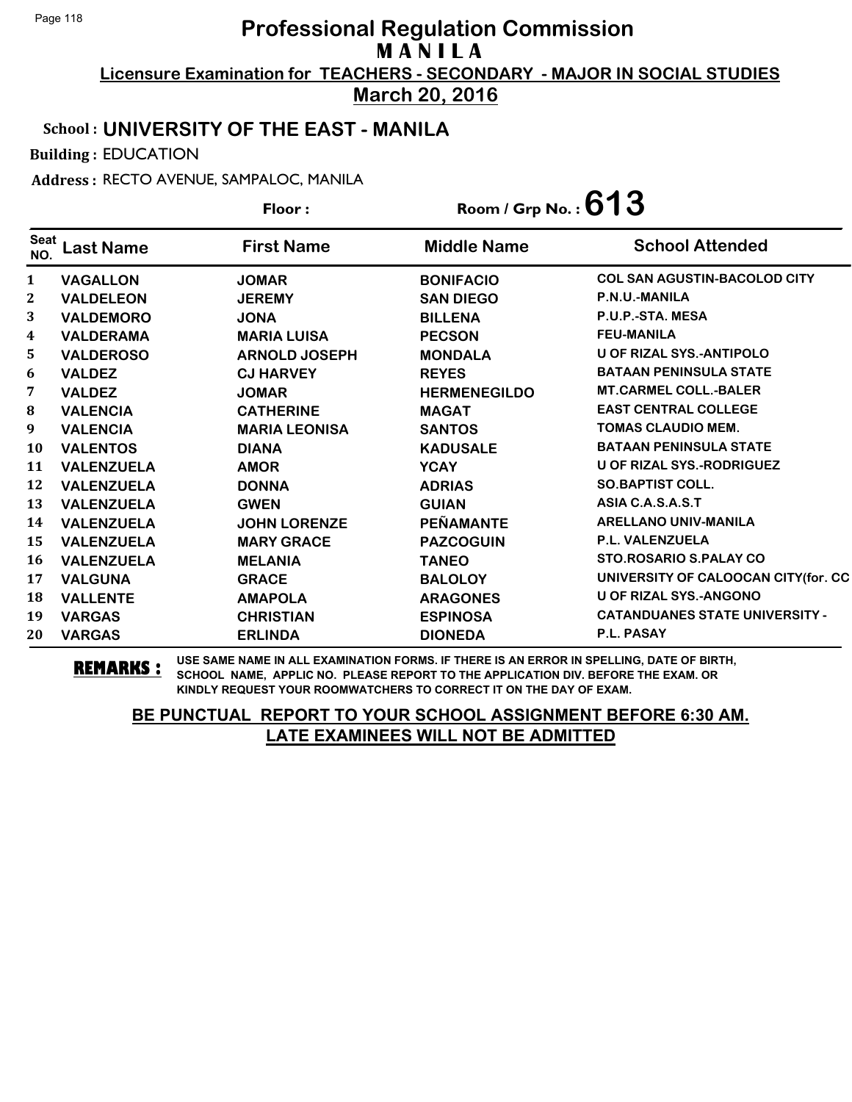**March 20, 2016**

### School : **UNIVERSITY OF THE EAST - MANILA**

Building : EDUCATION

Address : RECTO AVENUE, SAMPALOC, MANILA

|                    |                   | Floor:               | Room / Grp No. : $613$ |                                       |
|--------------------|-------------------|----------------------|------------------------|---------------------------------------|
| <b>Seat</b><br>NO. | Last Name         | <b>First Name</b>    | <b>Middle Name</b>     | <b>School Attended</b>                |
| $\mathbf{1}$       | <b>VAGALLON</b>   | <b>JOMAR</b>         | <b>BONIFACIO</b>       | <b>COL SAN AGUSTIN-BACOLOD CITY</b>   |
| $\mathbf{2}$       | <b>VALDELEON</b>  | <b>JEREMY</b>        | <b>SAN DIEGO</b>       | P.N.U.-MANILA                         |
| 3                  | <b>VALDEMORO</b>  | <b>JONA</b>          | <b>BILLENA</b>         | P.U.P.-STA. MESA                      |
| 4                  | <b>VALDERAMA</b>  | <b>MARIA LUISA</b>   | <b>PECSON</b>          | <b>FEU-MANILA</b>                     |
| 5.                 | <b>VALDEROSO</b>  | <b>ARNOLD JOSEPH</b> | <b>MONDALA</b>         | <b>U OF RIZAL SYS.-ANTIPOLO</b>       |
| 6                  | <b>VALDEZ</b>     | <b>CJ HARVEY</b>     | <b>REYES</b>           | <b>BATAAN PENINSULA STATE</b>         |
| 7                  | <b>VALDEZ</b>     | <b>JOMAR</b>         | <b>HERMENEGILDO</b>    | <b>MT.CARMEL COLL.-BALER</b>          |
| 8                  | <b>VALENCIA</b>   | <b>CATHERINE</b>     | <b>MAGAT</b>           | <b>EAST CENTRAL COLLEGE</b>           |
| 9                  | <b>VALENCIA</b>   | <b>MARIA LEONISA</b> | <b>SANTOS</b>          | <b>TOMAS CLAUDIO MEM.</b>             |
| 10                 | <b>VALENTOS</b>   | <b>DIANA</b>         | <b>KADUSALE</b>        | <b>BATAAN PENINSULA STATE</b>         |
| 11                 | <b>VALENZUELA</b> | <b>AMOR</b>          | <b>YCAY</b>            | U OF RIZAL SYS.-RODRIGUEZ             |
| 12                 | <b>VALENZUELA</b> | <b>DONNA</b>         | <b>ADRIAS</b>          | <b>SO.BAPTIST COLL.</b>               |
| 13                 | <b>VALENZUELA</b> | <b>GWEN</b>          | <b>GUIAN</b>           | ASIA C.A.S.A.S.T                      |
| 14                 | <b>VALENZUELA</b> | <b>JOHN LORENZE</b>  | <b>PEÑAMANTE</b>       | <b>ARELLANO UNIV-MANILA</b>           |
| 15                 | <b>VALENZUELA</b> | <b>MARY GRACE</b>    | <b>PAZCOGUIN</b>       | <b>P.L. VALENZUELA</b>                |
| 16                 | <b>VALENZUELA</b> | <b>MELANIA</b>       | <b>TANEO</b>           | STO.ROSARIO S.PALAY CO                |
| 17                 | <b>VALGUNA</b>    | <b>GRACE</b>         | <b>BALOLOY</b>         | UNIVERSITY OF CALOOCAN CITY(for. CC   |
| 18                 | <b>VALLENTE</b>   | <b>AMAPOLA</b>       | <b>ARAGONES</b>        | <b>U OF RIZAL SYS.-ANGONO</b>         |
| 19                 | <b>VARGAS</b>     | <b>CHRISTIAN</b>     | <b>ESPINOSA</b>        | <b>CATANDUANES STATE UNIVERSITY -</b> |
| 20                 | <b>VARGAS</b>     | <b>ERLINDA</b>       | <b>DIONEDA</b>         | P.L. PASAY                            |

**REMARKS :** USE SAME NAME IN ALL EXAMINATION FORMS. IF THERE IS AN ERROR IN SPELLING, DATE OF BIRTH, SCHOOL NAME, APPLIC NO. PLEASE REPORT TO THE APPLICATION DIV. BEFORE THE EXAM. OR KINDLY REQUEST YOUR ROOMWATCHERS TO CORRECT IT ON THE DAY OF EXAM.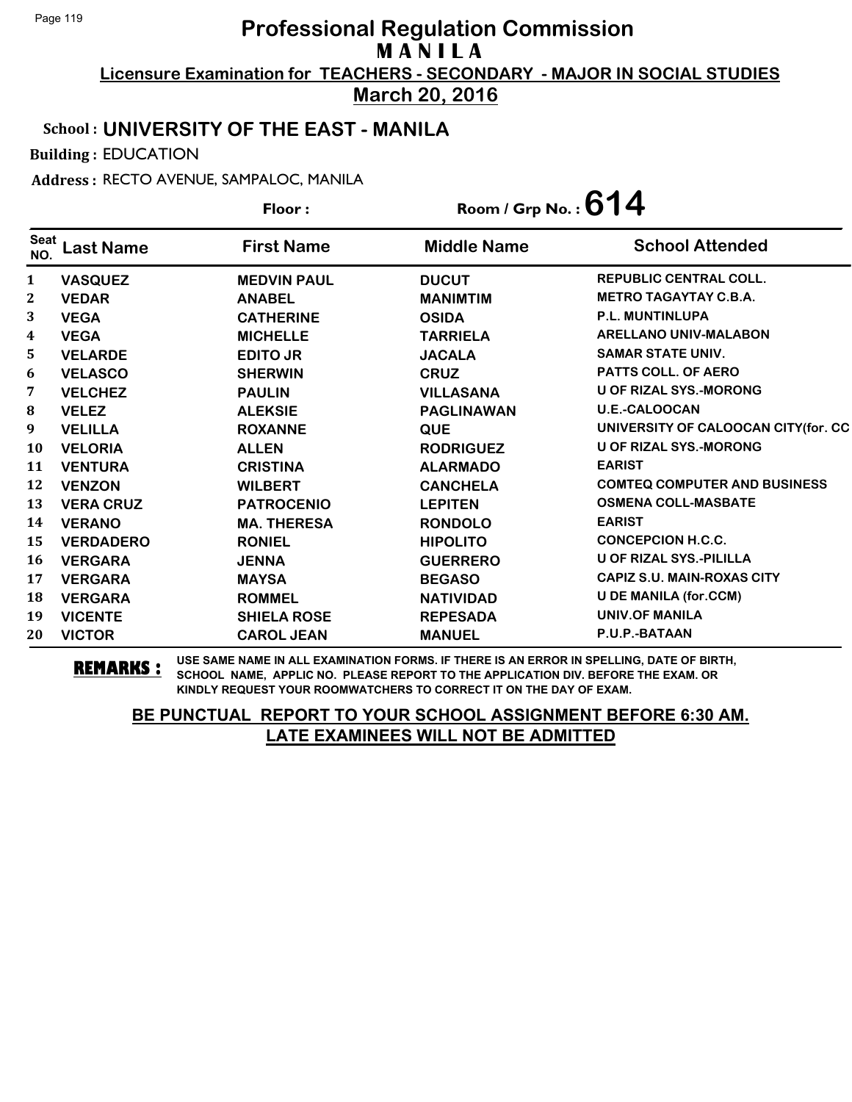**Licensure Examination for TEACHERS - SECONDARY - MAJOR IN SOCIAL STUDIES March 20, 2016**

#### School : **UNIVERSITY OF THE EAST - MANILA**

Building : EDUCATION

Address : RECTO AVENUE, SAMPALOC, MANILA

| Floor:             |                  |                    | Room / Grp No.: $614$ |                                     |
|--------------------|------------------|--------------------|-----------------------|-------------------------------------|
| <b>Seat</b><br>NO. | <b>Last Name</b> | <b>First Name</b>  | <b>Middle Name</b>    | <b>School Attended</b>              |
| $\mathbf{1}$       | <b>VASQUEZ</b>   | <b>MEDVIN PAUL</b> | <b>DUCUT</b>          | <b>REPUBLIC CENTRAL COLL.</b>       |
| $\mathbf{2}$       | <b>VEDAR</b>     | <b>ANABEL</b>      | <b>MANIMTIM</b>       | <b>METRO TAGAYTAY C.B.A.</b>        |
| 3                  | <b>VEGA</b>      | <b>CATHERINE</b>   | <b>OSIDA</b>          | <b>P.L. MUNTINLUPA</b>              |
| $\boldsymbol{4}$   | <b>VEGA</b>      | <b>MICHELLE</b>    | <b>TARRIELA</b>       | <b>ARELLANO UNIV-MALABON</b>        |
| 5                  | <b>VELARDE</b>   | <b>EDITO JR</b>    | <b>JACALA</b>         | <b>SAMAR STATE UNIV.</b>            |
| 6                  | <b>VELASCO</b>   | <b>SHERWIN</b>     | <b>CRUZ</b>           | <b>PATTS COLL. OF AERO</b>          |
| 7                  | <b>VELCHEZ</b>   | <b>PAULIN</b>      | <b>VILLASANA</b>      | <b>U OF RIZAL SYS.-MORONG</b>       |
| 8                  | <b>VELEZ</b>     | <b>ALEKSIE</b>     | <b>PAGLINAWAN</b>     | <b>U.E.-CALOOCAN</b>                |
| 9                  | <b>VELILLA</b>   | <b>ROXANNE</b>     | <b>QUE</b>            | UNIVERSITY OF CALOOCAN CITY(for. CC |
| <b>10</b>          | <b>VELORIA</b>   | <b>ALLEN</b>       | <b>RODRIGUEZ</b>      | <b>U OF RIZAL SYS.-MORONG</b>       |
| 11                 | <b>VENTURA</b>   | <b>CRISTINA</b>    | <b>ALARMADO</b>       | <b>EARIST</b>                       |
| 12                 | <b>VENZON</b>    | <b>WILBERT</b>     | <b>CANCHELA</b>       | <b>COMTEQ COMPUTER AND BUSINESS</b> |
| 13                 | <b>VERA CRUZ</b> | <b>PATROCENIO</b>  | <b>LEPITEN</b>        | <b>OSMENA COLL-MASBATE</b>          |
| 14                 | <b>VERANO</b>    | <b>MA. THERESA</b> | <b>RONDOLO</b>        | <b>EARIST</b>                       |
| 15                 | <b>VERDADERO</b> | <b>RONIEL</b>      | <b>HIPOLITO</b>       | <b>CONCEPCION H.C.C.</b>            |
| <b>16</b>          | <b>VERGARA</b>   | <b>JENNA</b>       | <b>GUERRERO</b>       | <b>U OF RIZAL SYS.-PILILLA</b>      |
| 17                 | <b>VERGARA</b>   | <b>MAYSA</b>       | <b>BEGASO</b>         | <b>CAPIZ S.U. MAIN-ROXAS CITY</b>   |
| 18                 | <b>VERGARA</b>   | <b>ROMMEL</b>      | <b>NATIVIDAD</b>      | <b>U DE MANILA (for.CCM)</b>        |
| 19                 | <b>VICENTE</b>   | <b>SHIELA ROSE</b> | <b>REPESADA</b>       | UNIV.OF MANILA                      |
| 20                 | <b>VICTOR</b>    | <b>CAROL JEAN</b>  | <b>MANUEL</b>         | P.U.P.-BATAAN                       |

**REMARKS :** USE SAME NAME IN ALL EXAMINATION FORMS. IF THERE IS AN ERROR IN SPELLING, DATE OF BIRTH, SCHOOL NAME, APPLIC NO. PLEASE REPORT TO THE APPLICATION DIV. BEFORE THE EXAM. OR KINDLY REQUEST YOUR ROOMWATCHERS TO CORRECT IT ON THE DAY OF EXAM.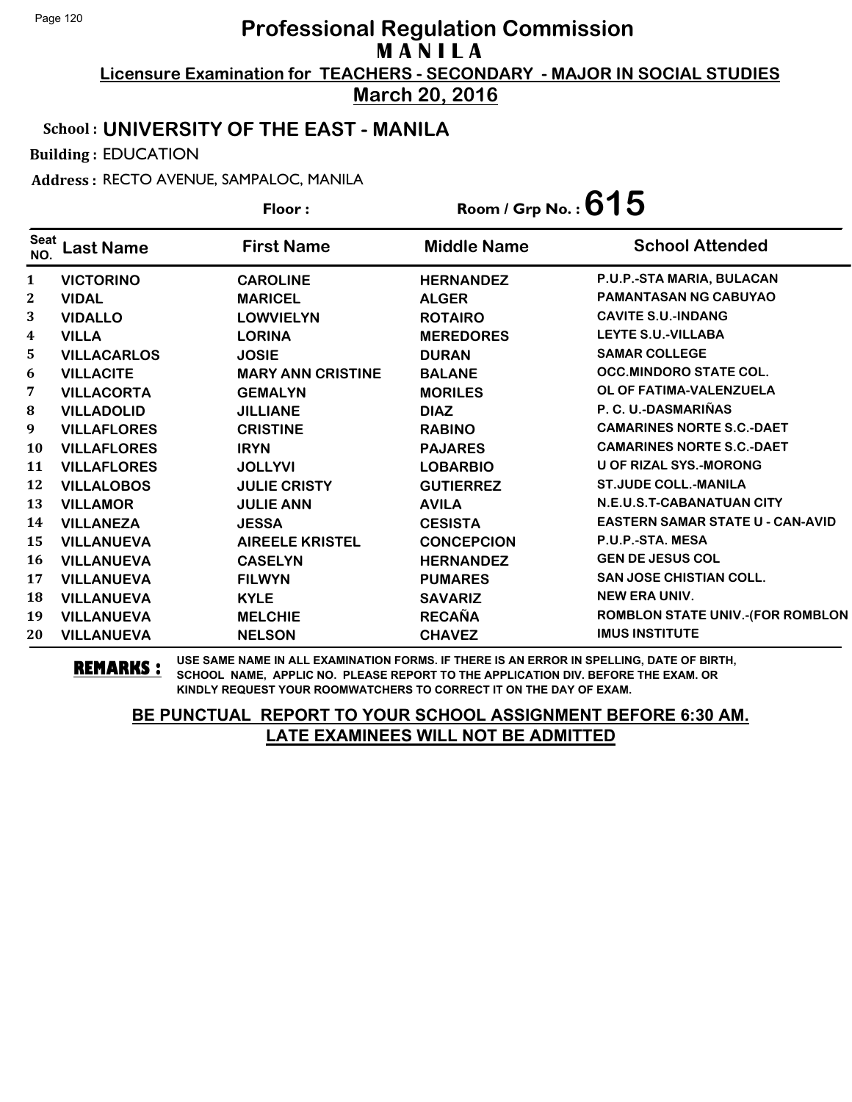**Licensure Examination for TEACHERS - SECONDARY - MAJOR IN SOCIAL STUDIES March 20, 2016**

### School : **UNIVERSITY OF THE EAST - MANILA**

Building : EDUCATION

Address : RECTO AVENUE, SAMPALOC, MANILA

| Floor:                  |                    |                          | Room / Grp No.: $615$ |                                         |
|-------------------------|--------------------|--------------------------|-----------------------|-----------------------------------------|
| <b>Seat</b><br>NO.      | <b>Last Name</b>   | <b>First Name</b>        | <b>Middle Name</b>    | <b>School Attended</b>                  |
| 1                       | <b>VICTORINO</b>   | <b>CAROLINE</b>          | <b>HERNANDEZ</b>      | P.U.P.-STA MARIA, BULACAN               |
| 2                       | <b>VIDAL</b>       | <b>MARICEL</b>           | <b>ALGER</b>          | PAMANTASAN NG CABUYAO                   |
| 3                       | <b>VIDALLO</b>     | <b>LOWVIELYN</b>         | <b>ROTAIRO</b>        | <b>CAVITE S.U.-INDANG</b>               |
| $\overline{\mathbf{4}}$ | <b>VILLA</b>       | <b>LORINA</b>            | <b>MEREDORES</b>      | <b>LEYTE S.U.-VILLABA</b>               |
| 5                       | <b>VILLACARLOS</b> | <b>JOSIE</b>             | <b>DURAN</b>          | <b>SAMAR COLLEGE</b>                    |
| 6                       | <b>VILLACITE</b>   | <b>MARY ANN CRISTINE</b> | <b>BALANE</b>         | <b>OCC.MINDORO STATE COL.</b>           |
| 7                       | <b>VILLACORTA</b>  | <b>GEMALYN</b>           | <b>MORILES</b>        | OL OF FATIMA-VALENZUELA                 |
| 8                       | <b>VILLADOLID</b>  | <b>JILLIANE</b>          | <b>DIAZ</b>           | P. C. U.-DASMARIÑAS                     |
| 9                       | <b>VILLAFLORES</b> | <b>CRISTINE</b>          | <b>RABINO</b>         | <b>CAMARINES NORTE S.C.-DAET</b>        |
| 10                      | <b>VILLAFLORES</b> | <b>IRYN</b>              | <b>PAJARES</b>        | <b>CAMARINES NORTE S.C.-DAET</b>        |
| 11                      | <b>VILLAFLORES</b> | <b>JOLLYVI</b>           | <b>LOBARBIO</b>       | <b>U OF RIZAL SYS.-MORONG</b>           |
| 12                      | <b>VILLALOBOS</b>  | <b>JULIE CRISTY</b>      | <b>GUTIERREZ</b>      | <b>ST.JUDE COLL.-MANILA</b>             |
| 13                      | <b>VILLAMOR</b>    | <b>JULIE ANN</b>         | <b>AVILA</b>          | N.E.U.S.T-CABANATUAN CITY               |
| 14                      | <b>VILLANEZA</b>   | <b>JESSA</b>             | <b>CESISTA</b>        | <b>EASTERN SAMAR STATE U - CAN-AVID</b> |
| 15                      | <b>VILLANUEVA</b>  | <b>AIREELE KRISTEL</b>   | <b>CONCEPCION</b>     | P.U.P.-STA. MESA                        |
| 16                      | <b>VILLANUEVA</b>  | <b>CASELYN</b>           | <b>HERNANDEZ</b>      | <b>GEN DE JESUS COL</b>                 |
| 17                      | <b>VILLANUEVA</b>  | <b>FILWYN</b>            | <b>PUMARES</b>        | <b>SAN JOSE CHISTIAN COLL.</b>          |
| 18                      | <b>VILLANUEVA</b>  | <b>KYLE</b>              | <b>SAVARIZ</b>        | <b>NEW ERA UNIV.</b>                    |
| 19                      | <b>VILLANUEVA</b>  | <b>MELCHIE</b>           | <b>RECAÑA</b>         | ROMBLON STATE UNIV.-(FOR ROMBLON        |
| 20                      | <b>VILLANUEVA</b>  | <b>NELSON</b>            | <b>CHAVEZ</b>         | <b>IMUS INSTITUTE</b>                   |

**REMARKS :** USE SAME NAME IN ALL EXAMINATION FORMS. IF THERE IS AN ERROR IN SPELLING, DATE OF BIRTH, SCHOOL NAME, APPLIC NO. PLEASE REPORT TO THE APPLICATION DIV. BEFORE THE EXAM. OR KINDLY REQUEST YOUR ROOMWATCHERS TO CORRECT IT ON THE DAY OF EXAM.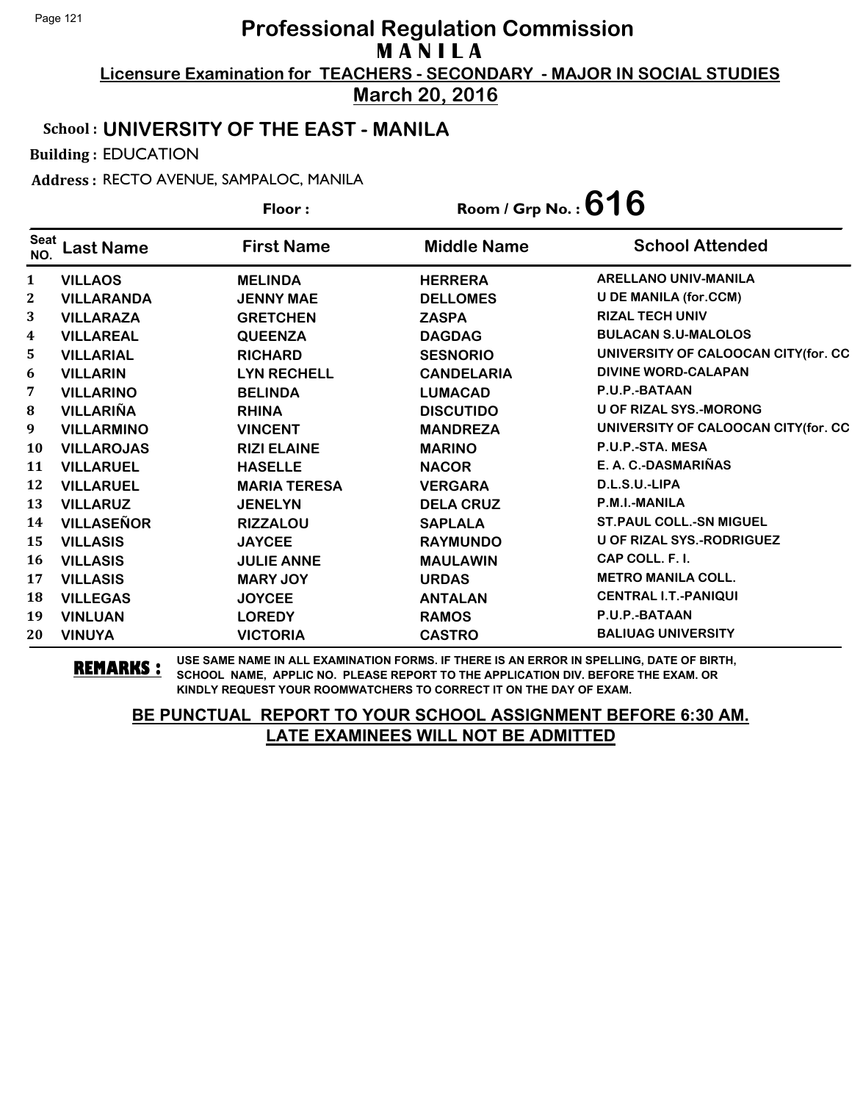**Licensure Examination for TEACHERS - SECONDARY - MAJOR IN SOCIAL STUDIES March 20, 2016**

School : **UNIVERSITY OF THE EAST - MANILA**

Building : EDUCATION

Address : RECTO AVENUE, SAMPALOC, MANILA

**Last Name First Name Middle Name** Floor : Room / Grp No. :**616** Seat <sup>seat</sup> Last Name First Name Middle Name School Attended **VILLAOS MELINDA HERRERA ARELLANO UNIV-MANILA VILLARANDA JENNY MAE DELLOMES U DE MANILA (for.CCM) VILLARAZA GRETCHEN ZASPA RIZAL TECH UNIV VILLAREAL QUEENZA DAGDAG BULACAN S.U-MALOLOS VILLARIAL RICHARD SESNORIO UNIVERSITY OF CALOOCAN CITY(for. CC VILLARIN LYN RECHELL CANDELARIA DIVINE WORD-CALAPAN VILLARINO BELINDA LUMACAD P.U.P.-BATAAN VILLARIÑA RHINA DISCUTIDO U OF RIZAL SYS.-MORONG VILLARMINO VINCENT MANDREZA UNIVERSITY OF CALOOCAN CITY(for. CC VILLAROJAS RIZI ELAINE MARINO P.U.P.-STA. MESA VILLARUEL HASELLE NACOR E. A. C.-DASMARIÑAS VILLARUEL MARIA TERESA VERGARA D.L.S.U.-LIPA VILLARUZ JENELYN DELA CRUZ P.M.I.-MANILA VILLASEÑOR RIZZALOU SAPLALA ST.PAUL COLL.-SN MIGUEL VILLASIS JAYCEE RAYMUNDO U OF RIZAL SYS.-RODRIGUEZ VILLASIS JULIE ANNE MAULAWIN CAP COLL. F. I. VILLASIS MARY JOY URDAS METRO MANILA COLL. VILLEGAS JOYCEE ANTALAN CENTRAL I.T.-PANIQUI VINLUAN LOREDY RAMOS P.U.P.-BATAAN VINUYA VICTORIA CASTRO BALIUAG UNIVERSITY**

**REMARKS :** USE SAME NAME IN ALL EXAMINATION FORMS. IF THERE IS AN ERROR IN SPELLING, DATE OF BIRTH,<br>REMARKS : SCHOOL NAME, ARRITO DI FASE REPORT TO THE ARRITON DIVI REFORE THE EXAM OR SCHOOL NAME, APPLIC NO. PLEASE REPORT TO THE APPLICATION DIV. BEFORE THE EXAM. OR KINDLY REQUEST YOUR ROOMWATCHERS TO CORRECT IT ON THE DAY OF EXAM.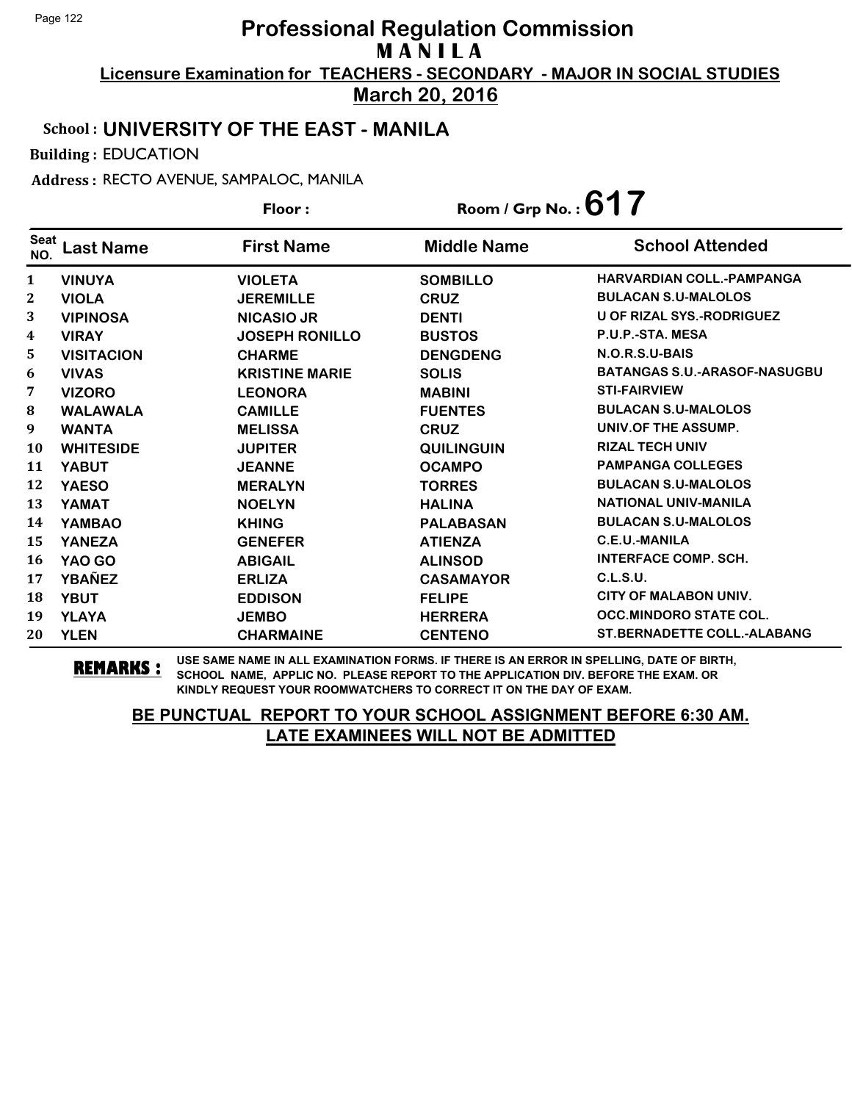**March 20, 2016**

### School : **UNIVERSITY OF THE EAST - MANILA**

Building : EDUCATION

Address : RECTO AVENUE, SAMPALOC, MANILA

|                    |                   | Floor:                | Room / Grp No.: $617$ |                                     |
|--------------------|-------------------|-----------------------|-----------------------|-------------------------------------|
| <b>Seat</b><br>NO. | <b>Last Name</b>  | <b>First Name</b>     | <b>Middle Name</b>    | <b>School Attended</b>              |
| $\mathbf{1}$       | <b>VINUYA</b>     | <b>VIOLETA</b>        | <b>SOMBILLO</b>       | <b>HARVARDIAN COLL.-PAMPANGA</b>    |
| $\mathbf{2}$       | <b>VIOLA</b>      | <b>JEREMILLE</b>      | <b>CRUZ</b>           | <b>BULACAN S.U-MALOLOS</b>          |
| 3                  | <b>VIPINOSA</b>   | <b>NICASIO JR</b>     | <b>DENTI</b>          | <b>U OF RIZAL SYS.-RODRIGUEZ</b>    |
| 4                  | <b>VIRAY</b>      | <b>JOSEPH RONILLO</b> | <b>BUSTOS</b>         | P.U.P.-STA, MESA                    |
| 5                  | <b>VISITACION</b> | <b>CHARME</b>         | <b>DENGDENG</b>       | N.O.R.S.U-BAIS                      |
| 6                  | <b>VIVAS</b>      | <b>KRISTINE MARIE</b> | <b>SOLIS</b>          | <b>BATANGAS S.U.-ARASOF-NASUGBU</b> |
| 7                  | <b>VIZORO</b>     | <b>LEONORA</b>        | <b>MABINI</b>         | <b>STI-FAIRVIEW</b>                 |
| 8                  | <b>WALAWALA</b>   | <b>CAMILLE</b>        | <b>FUENTES</b>        | <b>BULACAN S.U-MALOLOS</b>          |
| 9                  | <b>WANTA</b>      | <b>MELISSA</b>        | <b>CRUZ</b>           | UNIV.OF THE ASSUMP.                 |
| <b>10</b>          | <b>WHITESIDE</b>  | <b>JUPITER</b>        | <b>QUILINGUIN</b>     | <b>RIZAL TECH UNIV</b>              |
| 11                 | <b>YABUT</b>      | <b>JEANNE</b>         | <b>OCAMPO</b>         | <b>PAMPANGA COLLEGES</b>            |
| 12                 | <b>YAESO</b>      | <b>MERALYN</b>        | <b>TORRES</b>         | <b>BULACAN S.U-MALOLOS</b>          |
| 13                 | <b>YAMAT</b>      | <b>NOELYN</b>         | <b>HALINA</b>         | <b>NATIONAL UNIV-MANILA</b>         |
| 14                 | <b>YAMBAO</b>     | <b>KHING</b>          | <b>PALABASAN</b>      | <b>BULACAN S.U-MALOLOS</b>          |
| 15                 | <b>YANEZA</b>     | <b>GENEFER</b>        | <b>ATIENZA</b>        | C.E.U.-MANILA                       |
| 16                 | YAO GO            | <b>ABIGAIL</b>        | <b>ALINSOD</b>        | <b>INTERFACE COMP. SCH.</b>         |
| 17                 | <b>YBAÑEZ</b>     | <b>ERLIZA</b>         | <b>CASAMAYOR</b>      | <b>C.L.S.U.</b>                     |
| 18                 | <b>YBUT</b>       | <b>EDDISON</b>        | <b>FELIPE</b>         | <b>CITY OF MALABON UNIV.</b>        |
| 19                 | <b>YLAYA</b>      | <b>JEMBO</b>          | <b>HERRERA</b>        | <b>OCC.MINDORO STATE COL.</b>       |
| 20                 | <b>YLEN</b>       | <b>CHARMAINE</b>      | <b>CENTENO</b>        | <b>ST.BERNADETTE COLL.-ALABANG</b>  |

**REMARKS :** USE SAME NAME IN ALL EXAMINATION FORMS. IF THERE IS AN ERROR IN SPELLING, DATE OF BIRTH, SCHOOL NAME, APPLIC NO. PLEASE REPORT TO THE APPLICATION DIV. BEFORE THE EXAM. OR KINDLY REQUEST YOUR ROOMWATCHERS TO CORRECT IT ON THE DAY OF EXAM.